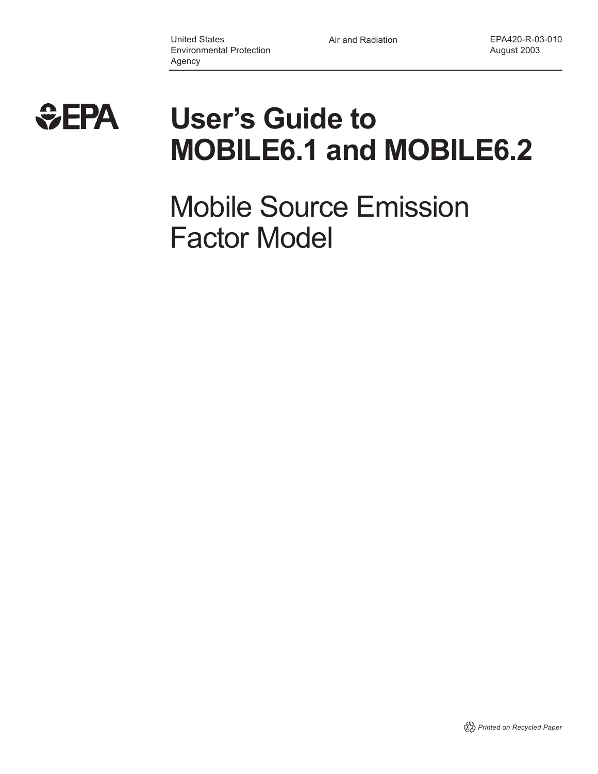

# **User's Guide to MOBILE6.1 and MOBILE6.2**

Mobile Source Emission Factor Model

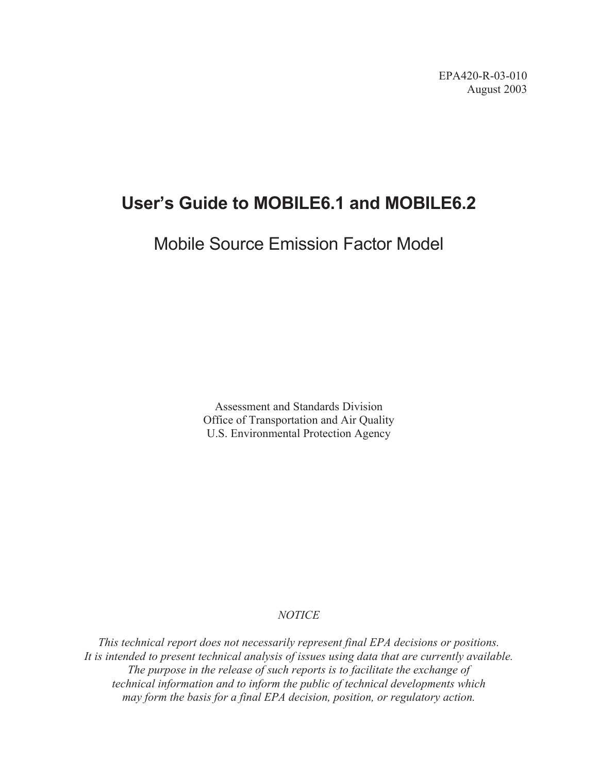# **User's Guide to MOBILE6.1 and MOBILE6.2**

# Mobile Source Emission Factor Model

Assessment and Standards Division Office of Transportation and Air Quality U.S. Environmental Protection Agency

### *NOTICE*

*This technical report does not necessarily represent final EPA decisions or positions. It is intended to present technical analysis of issues using data that are currently available. The purpose in the release of such reports is to facilitate the exchange of technical information and to inform the public of technical developments which may form the basis for a final EPA decision, position, or regulatory action.*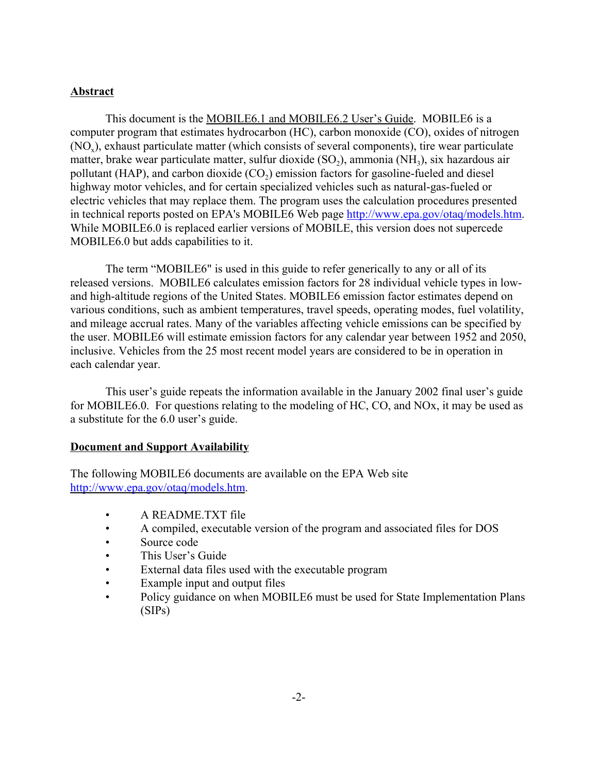### **Abstract**

This document is the MOBILE6.1 and MOBILE6.2 User's Guide. MOBILE6 is a computer program that estimates hydrocarbon (HC), carbon monoxide (CO), oxides of nitrogen (NO<sub>x</sub>), exhaust particulate matter (which consists of several components), tire wear particulate matter, brake wear particulate matter, sulfur dioxide  $(SO<sub>2</sub>)$ , ammonia  $(NH<sub>3</sub>)$ , six hazardous air pollutant (HAP), and carbon dioxide  $(CO<sub>2</sub>)$  emission factors for gasoline-fueled and diesel highway motor vehicles, and for certain specialized vehicles such as natural-gas-fueled or electric vehicles that may replace them. The program uses the calculation procedures presented in technical reports posted on EPA's MOBILE6 Web page http://www.epa.gov/otaq/models.htm. While MOBILE6.0 is replaced earlier versions of MOBILE, this version does not supercede MOBILE6.0 but adds capabilities to it.

The term "MOBILE6" is used in this guide to refer generically to any or all of its released versions. MOBILE6 calculates emission factors for 28 individual vehicle types in lowand high-altitude regions of the United States. MOBILE6 emission factor estimates depend on various conditions, such as ambient temperatures, travel speeds, operating modes, fuel volatility, and mileage accrual rates. Many of the variables affecting vehicle emissions can be specified by the user. MOBILE6 will estimate emission factors for any calendar year between 1952 and 2050, inclusive. Vehicles from the 25 most recent model years are considered to be in operation in each calendar year.

This user's guide repeats the information available in the January 2002 final user's guide for MOBILE6.0. For questions relating to the modeling of HC, CO, and NOx, it may be used as a substitute for the 6.0 user's guide.

#### **Document and Support Availability**

The following MOBILE6 documents are available on the EPA Web site http://www.epa.gov/otaq/models.htm.

- A README.TXT file
- A compiled, executable version of the program and associated files for DOS
- Source code
- This User's Guide
- External data files used with the executable program
- Example input and output files
- Policy guidance on when MOBILE6 must be used for State Implementation Plans (SIPs)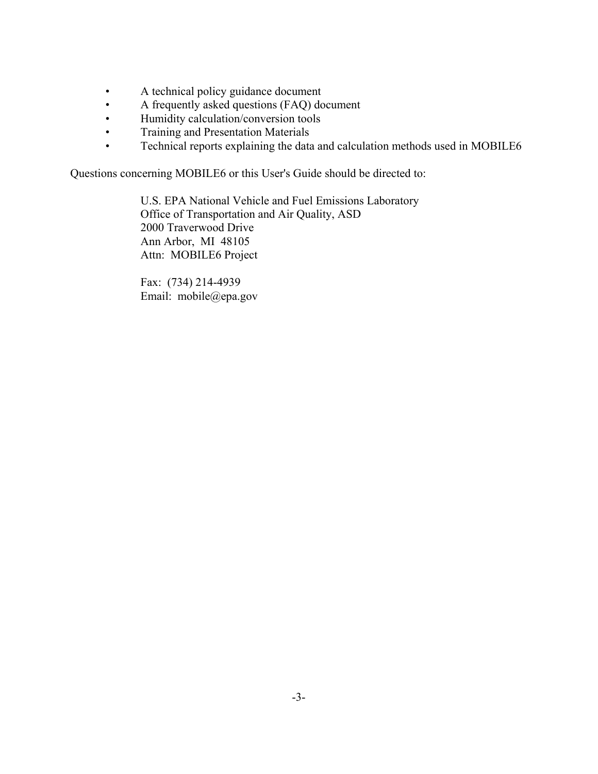- A technical policy guidance document
- A frequently asked questions (FAQ) document
- Humidity calculation/conversion tools
- Training and Presentation Materials
- Technical reports explaining the data and calculation methods used in MOBILE6

Questions concerning MOBILE6 or this User's Guide should be directed to:

U.S. EPA National Vehicle and Fuel Emissions Laboratory Office of Transportation and Air Quality, ASD 2000 Traverwood Drive Ann Arbor, MI 48105 Attn: MOBILE6 Project

Fax: (734) 214-4939 Email: mobile@epa.gov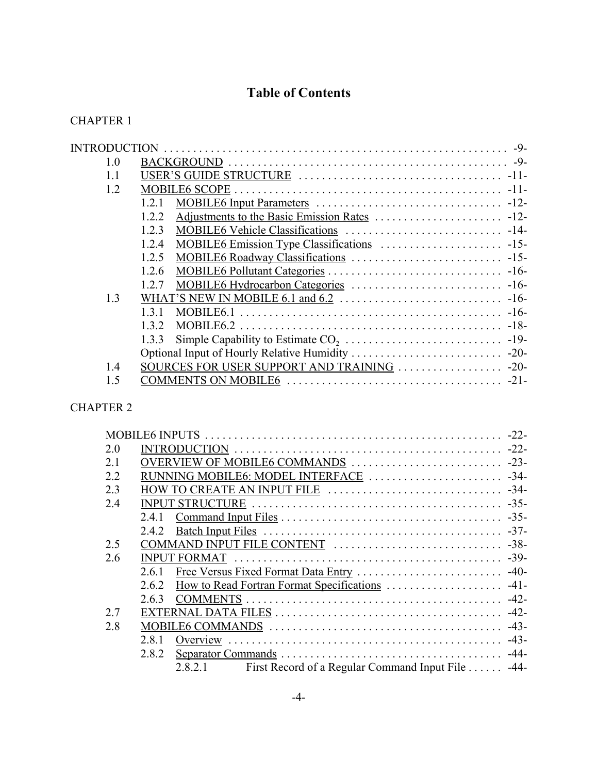### **Table of Contents**

### CHAPTER 1

| INTRODUCTION     | $-9-$                                       |
|------------------|---------------------------------------------|
|                  |                                             |
|                  |                                             |
|                  |                                             |
| 121              |                                             |
| 122              |                                             |
| 123              |                                             |
| 1.2.4            |                                             |
| 1.2.5            |                                             |
| 1.2.6            |                                             |
| 12.7             |                                             |
|                  |                                             |
| MOBILE6.1<br>131 |                                             |
| 1.3.2            |                                             |
| 1.3.3            |                                             |
|                  |                                             |
|                  |                                             |
|                  |                                             |
|                  | SOURCES FOR USER SUPPORT AND TRAINING  -20- |

### CHAPTER 2

| 20                                                          |        |
|-------------------------------------------------------------|--------|
| 21                                                          |        |
| 2.2                                                         |        |
| 2.3                                                         |        |
| 2.4                                                         |        |
|                                                             |        |
|                                                             |        |
| 2.5                                                         |        |
| 2.6                                                         |        |
| 261                                                         |        |
| 262                                                         |        |
| 2.6.3                                                       |        |
| 2.7                                                         |        |
| 2.8                                                         |        |
| 281                                                         | $-43-$ |
| 2.8.2                                                       |        |
| 2.8.2.1<br>First Record of a Regular Command Input File -44 |        |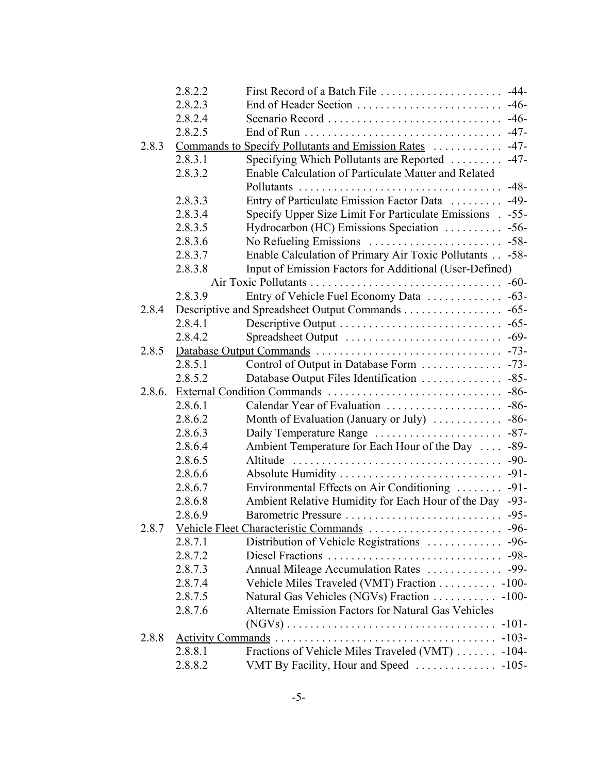|        | 2.8.2.2                  | First Record of a Batch File                              | $-44-$  |
|--------|--------------------------|-----------------------------------------------------------|---------|
|        | 2.8.2.3                  | End of Header Section                                     | $-46-$  |
|        | 2.8.2.4                  |                                                           |         |
|        | 2.8.2.5                  |                                                           |         |
| 2.8.3  |                          | Commands to Specify Pollutants and Emission Rates         | $-47-$  |
|        | 2.8.3.1                  | Specifying Which Pollutants are Reported  -47-            |         |
|        | 2.8.3.2                  | Enable Calculation of Particulate Matter and Related      |         |
|        |                          |                                                           | $-48-$  |
|        | 2.8.3.3                  | Entry of Particulate Emission Factor Data  -49-           |         |
|        | 2.8.3.4                  | Specify Upper Size Limit For Particulate Emissions . -55- |         |
|        | 2.8.3.5                  |                                                           |         |
|        | 2.8.3.6                  |                                                           |         |
|        | 2.8.3.7                  | Enable Calculation of Primary Air Toxic Pollutants -58-   |         |
|        | 2.8.3.8                  | Input of Emission Factors for Additional (User-Defined)   |         |
|        |                          |                                                           |         |
|        | 2.8.3.9                  |                                                           |         |
| 2.8.4  |                          |                                                           |         |
|        | 2.8.4.1                  |                                                           |         |
|        | 2.8.4.2                  |                                                           |         |
| 2.8.5  |                          |                                                           |         |
|        | 2.8.5.1                  |                                                           |         |
|        | 2.8.5.2                  | Database Output Files Identification  -85-                |         |
| 2.8.6. |                          |                                                           |         |
|        | 2.8.6.1                  |                                                           |         |
|        | 2.8.6.2                  | Month of Evaluation (January or July)  -86-               |         |
|        | 2.8.6.3                  |                                                           |         |
|        | 2.8.6.4                  | Ambient Temperature for Each Hour of the Day  -89-        |         |
|        | 2.8.6.5                  |                                                           | $-90-$  |
|        | 2.8.6.6                  |                                                           |         |
|        | 2.8.6.7                  | Environmental Effects on Air Conditioning                 | $-91-$  |
|        | 2.8.6.8                  | Ambient Relative Humidity for Each Hour of the Day -93-   |         |
|        | 2.8.6.9                  | Barometric Pressure                                       | $-95-$  |
| 2.8.7  |                          |                                                           |         |
|        | 2.8.7.1                  |                                                           |         |
|        | 2.8.7.2                  |                                                           | $-98-$  |
|        | 2.8.7.3                  | Annual Mileage Accumulation Rates                         | $-99-$  |
|        | 2.8.7.4                  | Vehicle Miles Traveled (VMT) Fraction - 100-              |         |
|        | 2.8.7.5                  | Natural Gas Vehicles (NGVs) Fraction                      | $-100-$ |
|        | 2.8.7.6                  | Alternate Emission Factors for Natural Gas Vehicles       |         |
|        |                          |                                                           | $-101-$ |
| 2.8.8  | <b>Activity Commands</b> |                                                           | $-103-$ |
|        | 2.8.8.1                  | Fractions of Vehicle Miles Traveled (VMT)                 | $-104-$ |
|        | 2.8.8.2                  | VMT By Facility, Hour and Speed                           | $-105-$ |
|        |                          |                                                           |         |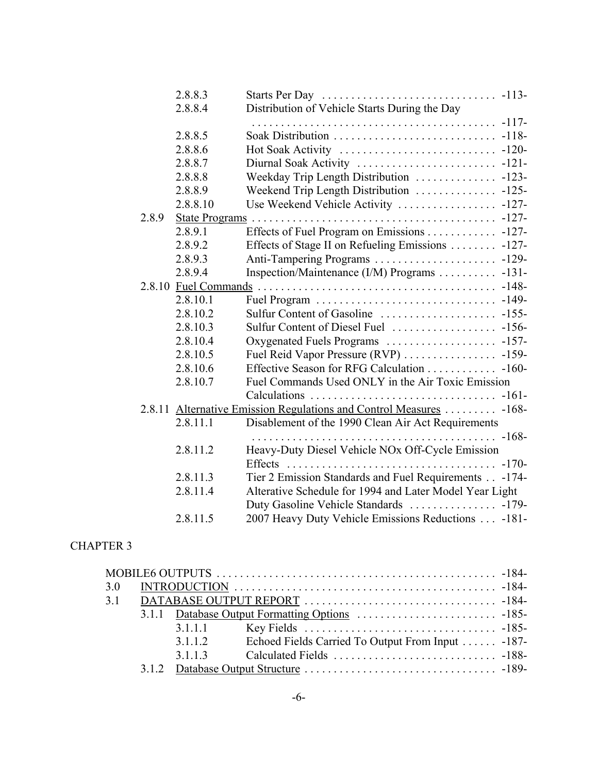|       | 2.8.8.3  |                                                                     |         |
|-------|----------|---------------------------------------------------------------------|---------|
|       | 2.8.8.4  | Distribution of Vehicle Starts During the Day                       |         |
|       |          |                                                                     | $-117-$ |
|       | 2.8.8.5  |                                                                     |         |
|       | 2.8.8.6  | Hot Soak Activity                                                   | $-120-$ |
|       | 2.8.8.7  | Diurnal Soak Activity                                               | $-121-$ |
|       | 2.8.8.8  | Weekday Trip Length Distribution                                    | $-123-$ |
|       | 2.8.8.9  | Weekend Trip Length Distribution                                    | $-125-$ |
|       | 2.8.8.10 | Use Weekend Vehicle Activity                                        | $-127-$ |
| 2.8.9 |          | State Programs                                                      | $-127-$ |
|       | 2.8.9.1  | Effects of Fuel Program on Emissions 127-                           |         |
|       | 2.8.9.2  | Effects of Stage II on Refueling Emissions                          | $-127-$ |
|       | 2.8.9.3  | Anti-Tampering Programs                                             | $-129-$ |
|       | 2.8.9.4  | Inspection/Maintenance (I/M) Programs                               | $-131-$ |
|       |          |                                                                     | $-148-$ |
|       | 2.8.10.1 |                                                                     | $-149-$ |
|       | 2.8.10.2 |                                                                     |         |
|       | 2.8.10.3 | Sulfur Content of Diesel Fuel                                       | $-156-$ |
|       | 2.8.10.4 | Oxygenated Fuels Programs                                           | $-157-$ |
|       | 2.8.10.5 |                                                                     |         |
|       | 2.8.10.6 | Effective Season for RFG Calculation 160-                           |         |
|       | 2.8.10.7 | Fuel Commands Used ONLY in the Air Toxic Emission                   |         |
|       |          |                                                                     |         |
|       |          | 2.8.11 Alternative Emission Regulations and Control Measures  -168- |         |
|       | 2.8.11.1 | Disablement of the 1990 Clean Air Act Requirements                  |         |
|       |          | . -168-                                                             |         |
|       | 2.8.11.2 | Heavy-Duty Diesel Vehicle NOx Off-Cycle Emission                    |         |
|       |          | <b>Effects</b>                                                      | $-170-$ |
|       | 2.8.11.3 | Tier 2 Emission Standards and Fuel Requirements                     | $-174-$ |
|       | 2.8.11.4 | Alterative Schedule for 1994 and Later Model Year Light             |         |
|       |          |                                                                     |         |
|       | 2.8.11.5 | 2007 Heavy Duty Vehicle Emissions Reductions -181-                  |         |
|       |          |                                                                     |         |

| 3.0 |         |                                                  |  |
|-----|---------|--------------------------------------------------|--|
|     |         |                                                  |  |
|     |         |                                                  |  |
|     | 3.1.1.1 |                                                  |  |
|     | 3.1.1.2 | Echoed Fields Carried To Output From Input -187- |  |
|     | 3113    |                                                  |  |
|     |         |                                                  |  |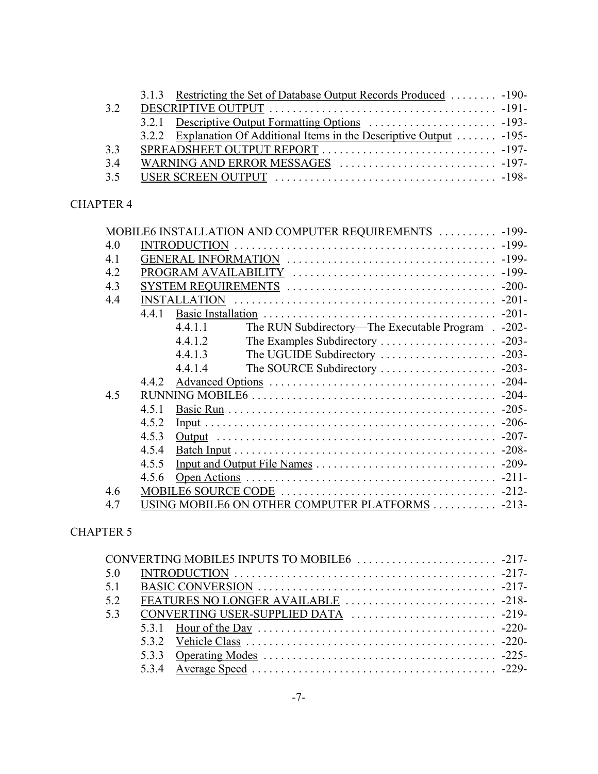| 3.2 |  |
|-----|--|
|     |  |
|     |  |
| 3.3 |  |
| 3.4 |  |
|     |  |

|     |       |         | MOBILE6 INSTALLATION AND COMPUTER REQUIREMENTS  -199- |  |
|-----|-------|---------|-------------------------------------------------------|--|
| 4.0 |       |         |                                                       |  |
| 4.1 |       |         |                                                       |  |
| 4.2 |       |         |                                                       |  |
| 4.3 |       |         |                                                       |  |
| 4.4 |       |         |                                                       |  |
|     | 4.4.1 |         |                                                       |  |
|     |       | 4.4.1.1 | The RUN Subdirectory—The Executable Program . -202-   |  |
|     |       | 4.4.1.2 |                                                       |  |
|     |       | 4.4.1.3 |                                                       |  |
|     |       | 4.4.1.4 |                                                       |  |
|     | 4.4.2 |         |                                                       |  |
| 4.5 |       |         |                                                       |  |
|     | 4.5.1 |         |                                                       |  |
|     | 4.5.2 |         |                                                       |  |
|     | 4.5.3 |         |                                                       |  |
|     | 4.5.4 |         |                                                       |  |
|     | 4.5.5 |         |                                                       |  |
|     | 4.5.6 |         |                                                       |  |
| 4.6 |       |         |                                                       |  |
| 4.7 |       |         | USING MOBILE6 ON OTHER COMPUTER PLATFORMS 213-        |  |

### CHAPTER 5

| 5.0 |  |  |
|-----|--|--|
| 5.1 |  |  |
| 5.2 |  |  |
| 5.3 |  |  |
|     |  |  |
|     |  |  |
|     |  |  |
|     |  |  |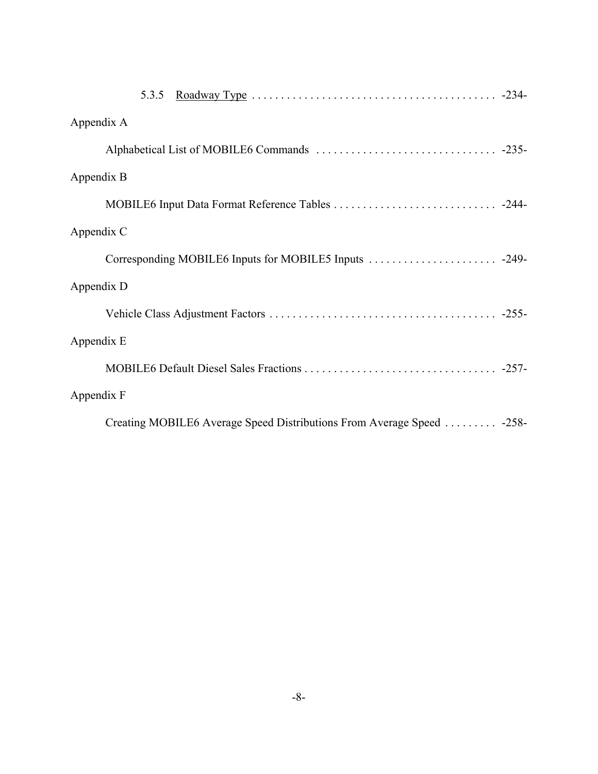| Roadway Type $\ldots \ldots \ldots \ldots \ldots \ldots \ldots \ldots \ldots \ldots \ldots \ldots$ -234-<br>5.3.5 |
|-------------------------------------------------------------------------------------------------------------------|
| Appendix A                                                                                                        |
|                                                                                                                   |
| Appendix B                                                                                                        |
|                                                                                                                   |
| Appendix C                                                                                                        |
|                                                                                                                   |
| Appendix D                                                                                                        |
|                                                                                                                   |
| Appendix E                                                                                                        |
|                                                                                                                   |
| Appendix F                                                                                                        |
| Creating MOBILE6 Average Speed Distributions From Average Speed  -258-                                            |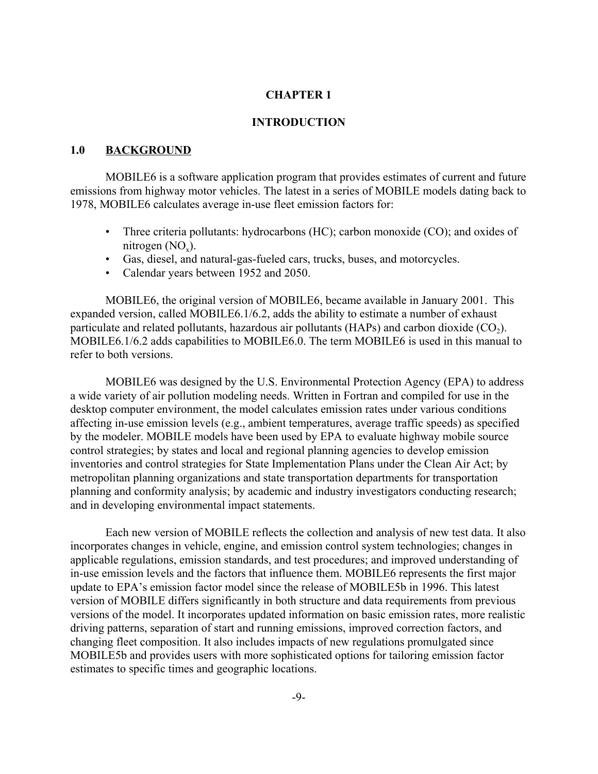#### **INTRODUCTION**

#### **1.0 BACKGROUND**

MOBILE6 is a software application program that provides estimates of current and future emissions from highway motor vehicles. The latest in a series of MOBILE models dating back to 1978, MOBILE6 calculates average in-use fleet emission factors for:

- Three criteria pollutants: hydrocarbons (HC); carbon monoxide (CO); and oxides of nitrogen  $(NO_x)$ .
- Gas, diesel, and natural-gas-fueled cars, trucks, buses, and motorcycles.
- Calendar years between 1952 and 2050.

MOBILE6, the original version of MOBILE6, became available in January 2001. This expanded version, called MOBILE6.1/6.2, adds the ability to estimate a number of exhaust particulate and related pollutants, hazardous air pollutants (HAPs) and carbon dioxide  $(CO<sub>2</sub>)$ . MOBILE6.1/6.2 adds capabilities to MOBILE6.0. The term MOBILE6 is used in this manual to refer to both versions.

MOBILE6 was designed by the U.S. Environmental Protection Agency (EPA) to address a wide variety of air pollution modeling needs. Written in Fortran and compiled for use in the desktop computer environment, the model calculates emission rates under various conditions affecting in-use emission levels (e.g., ambient temperatures, average traffic speeds) as specified by the modeler. MOBILE models have been used by EPA to evaluate highway mobile source control strategies; by states and local and regional planning agencies to develop emission inventories and control strategies for State Implementation Plans under the Clean Air Act; by metropolitan planning organizations and state transportation departments for transportation planning and conformity analysis; by academic and industry investigators conducting research; and in developing environmental impact statements.

Each new version of MOBILE reflects the collection and analysis of new test data. It also incorporates changes in vehicle, engine, and emission control system technologies; changes in applicable regulations, emission standards, and test procedures; and improved understanding of in-use emission levels and the factors that influence them. MOBILE6 represents the first major update to EPA's emission factor model since the release of MOBILE5b in 1996. This latest version of MOBILE differs significantly in both structure and data requirements from previous versions of the model. It incorporates updated information on basic emission rates, more realistic driving patterns, separation of start and running emissions, improved correction factors, and changing fleet composition. It also includes impacts of new regulations promulgated since MOBILE5b and provides users with more sophisticated options for tailoring emission factor estimates to specific times and geographic locations.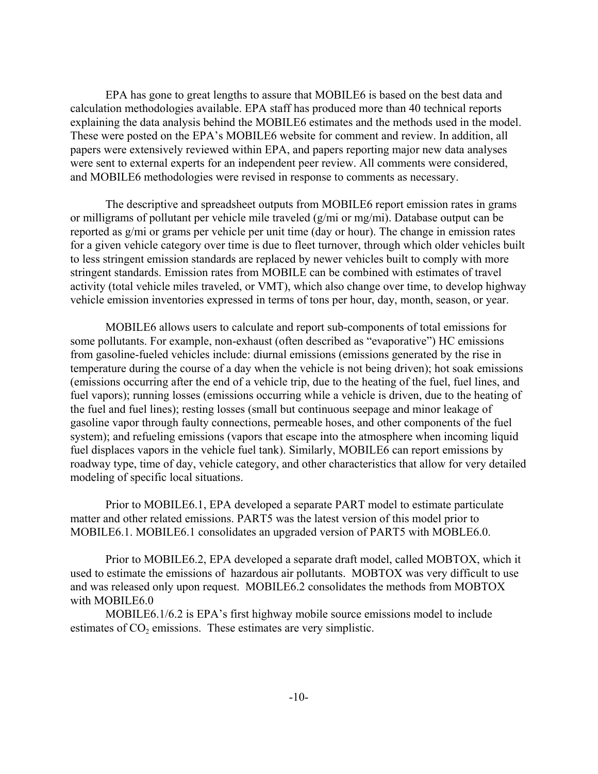EPA has gone to great lengths to assure that MOBILE6 is based on the best data and calculation methodologies available. EPA staff has produced more than 40 technical reports explaining the data analysis behind the MOBILE6 estimates and the methods used in the model. These were posted on the EPA's MOBILE6 website for comment and review. In addition, all papers were extensively reviewed within EPA, and papers reporting major new data analyses were sent to external experts for an independent peer review. All comments were considered, and MOBILE6 methodologies were revised in response to comments as necessary.

The descriptive and spreadsheet outputs from MOBILE6 report emission rates in grams or milligrams of pollutant per vehicle mile traveled (g/mi or mg/mi). Database output can be reported as g/mi or grams per vehicle per unit time (day or hour). The change in emission rates for a given vehicle category over time is due to fleet turnover, through which older vehicles built to less stringent emission standards are replaced by newer vehicles built to comply with more stringent standards. Emission rates from MOBILE can be combined with estimates of travel activity (total vehicle miles traveled, or VMT), which also change over time, to develop highway vehicle emission inventories expressed in terms of tons per hour, day, month, season, or year.

MOBILE6 allows users to calculate and report sub-components of total emissions for some pollutants. For example, non-exhaust (often described as "evaporative") HC emissions from gasoline-fueled vehicles include: diurnal emissions (emissions generated by the rise in temperature during the course of a day when the vehicle is not being driven); hot soak emissions (emissions occurring after the end of a vehicle trip, due to the heating of the fuel, fuel lines, and fuel vapors); running losses (emissions occurring while a vehicle is driven, due to the heating of the fuel and fuel lines); resting losses (small but continuous seepage and minor leakage of gasoline vapor through faulty connections, permeable hoses, and other components of the fuel system); and refueling emissions (vapors that escape into the atmosphere when incoming liquid fuel displaces vapors in the vehicle fuel tank). Similarly, MOBILE6 can report emissions by roadway type, time of day, vehicle category, and other characteristics that allow for very detailed modeling of specific local situations.

Prior to MOBILE6.1, EPA developed a separate PART model to estimate particulate matter and other related emissions. PART5 was the latest version of this model prior to MOBILE6.1. MOBILE6.1 consolidates an upgraded version of PART5 with MOBLE6.0.

Prior to MOBILE6.2, EPA developed a separate draft model, called MOBTOX, which it used to estimate the emissions of hazardous air pollutants. MOBTOX was very difficult to use and was released only upon request. MOBILE6.2 consolidates the methods from MOBTOX with MOBILE6.0

MOBILE6.1/6.2 is EPA's first highway mobile source emissions model to include estimates of  $CO<sub>2</sub>$  emissions. These estimates are very simplistic.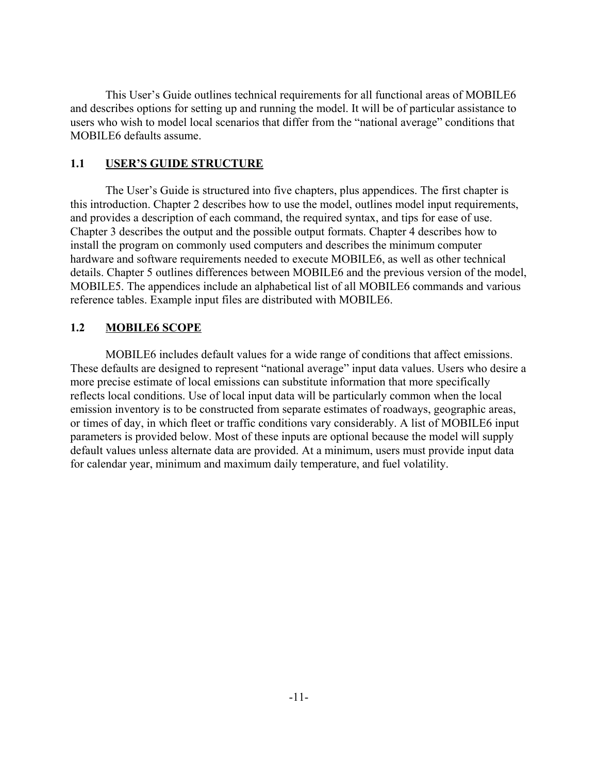This User's Guide outlines technical requirements for all functional areas of MOBILE6 and describes options for setting up and running the model. It will be of particular assistance to users who wish to model local scenarios that differ from the "national average" conditions that MOBILE6 defaults assume.

#### **1.1 USER'S GUIDE STRUCTURE**

The User's Guide is structured into five chapters, plus appendices. The first chapter is this introduction. Chapter 2 describes how to use the model, outlines model input requirements, and provides a description of each command, the required syntax, and tips for ease of use. Chapter 3 describes the output and the possible output formats. Chapter 4 describes how to install the program on commonly used computers and describes the minimum computer hardware and software requirements needed to execute MOBILE6, as well as other technical details. Chapter 5 outlines differences between MOBILE6 and the previous version of the model, MOBILE5. The appendices include an alphabetical list of all MOBILE6 commands and various reference tables. Example input files are distributed with MOBILE6.

### **1.2 MOBILE6 SCOPE**

MOBILE6 includes default values for a wide range of conditions that affect emissions. These defaults are designed to represent "national average" input data values. Users who desire a more precise estimate of local emissions can substitute information that more specifically reflects local conditions. Use of local input data will be particularly common when the local emission inventory is to be constructed from separate estimates of roadways, geographic areas, or times of day, in which fleet or traffic conditions vary considerably. A list of MOBILE6 input parameters is provided below. Most of these inputs are optional because the model will supply default values unless alternate data are provided. At a minimum, users must provide input data for calendar year, minimum and maximum daily temperature, and fuel volatility.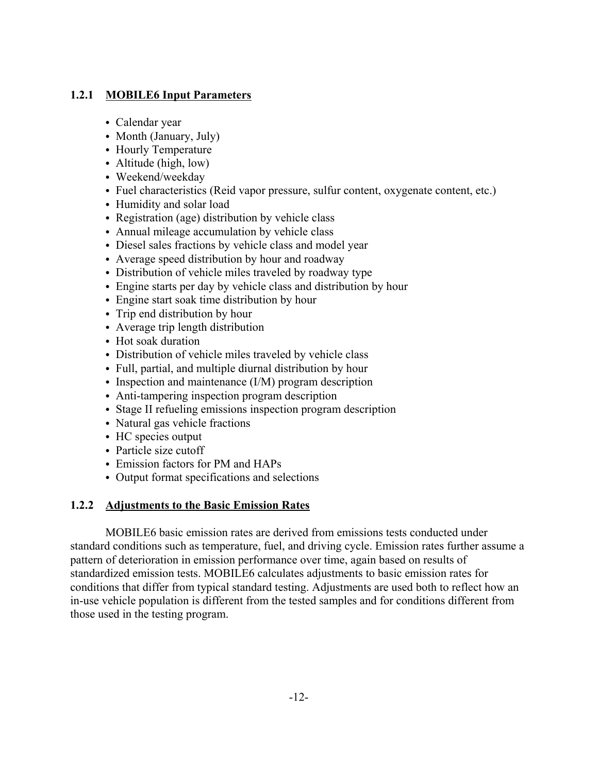### **1.2.1 MOBILE6 Input Parameters**

- Calendar year
- Month (January, July)
- Hourly Temperature
- Altitude (high, low)
- Weekend/weekday
- Fuel characteristics (Reid vapor pressure, sulfur content, oxygenate content, etc.)
- Humidity and solar load
- Registration (age) distribution by vehicle class
- Annual mileage accumulation by vehicle class
- Diesel sales fractions by vehicle class and model year
- Average speed distribution by hour and roadway
- Distribution of vehicle miles traveled by roadway type
- Engine starts per day by vehicle class and distribution by hour
- Engine start soak time distribution by hour
- Trip end distribution by hour
- $\bullet$  Average trip length distribution
- $\bullet$  Hot soak duration
- Distribution of vehicle miles traveled by vehicle class
- Full, partial, and multiple diurnal distribution by hour
- Inspection and maintenance  $(I/M)$  program description
- Anti-tampering inspection program description
- Stage II refueling emissions inspection program description
- Natural gas vehicle fractions
- HC species output
- Particle size cutoff
- Emission factors for PM and HAPs
- Output format specifications and selections

### **1.2.2 Adjustments to the Basic Emission Rates**

MOBILE6 basic emission rates are derived from emissions tests conducted under standard conditions such as temperature, fuel, and driving cycle. Emission rates further assume a pattern of deterioration in emission performance over time, again based on results of standardized emission tests. MOBILE6 calculates adjustments to basic emission rates for conditions that differ from typical standard testing. Adjustments are used both to reflect how an in-use vehicle population is different from the tested samples and for conditions different from those used in the testing program.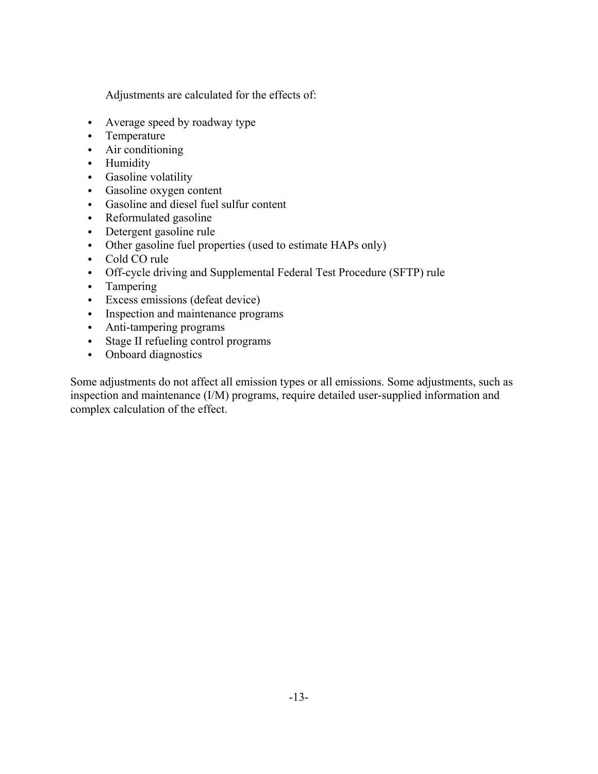Adjustments are calculated for the effects of:

- Average speed by roadway type
- Temperature
- $\bullet$  Air conditioning
- Humidity
- Gasoline volatility
- Gasoline oxygen content
- Gasoline and diesel fuel sulfur content
- Reformulated gasoline
- Detergent gasoline rule
- Other gasoline fuel properties (used to estimate HAPs only)
- Cold CO rule
- Off-cycle driving and Supplemental Federal Test Procedure (SFTP) rule
- $\bullet$  Tampering
- Excess emissions (defeat device)
- Inspection and maintenance programs
- Anti-tampering programs
- Stage II refueling control programs
- Onboard diagnostics

Some adjustments do not affect all emission types or all emissions. Some adjustments, such as inspection and maintenance (I/M) programs, require detailed user-supplied information and complex calculation of the effect.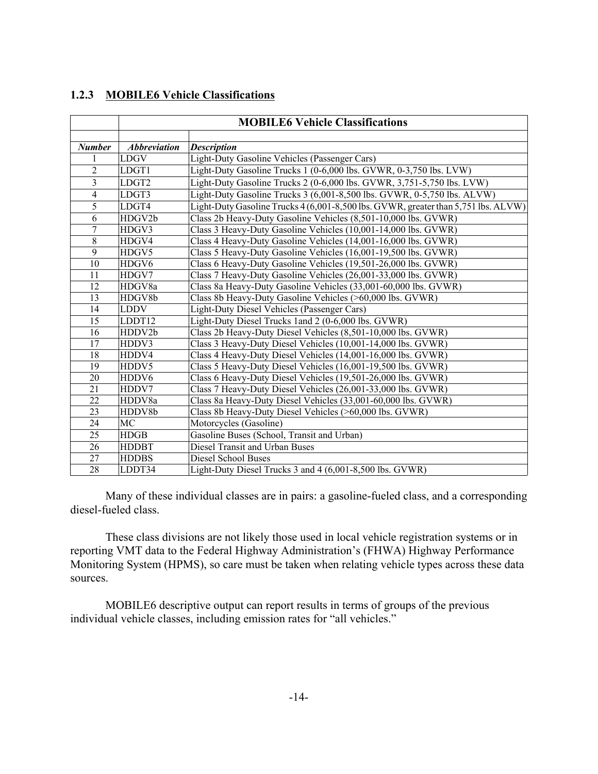### **1.2.3 MOBILE6 Vehicle Classifications**

|                | <b>MOBILE6 Vehicle Classifications</b> |                                                                                    |  |
|----------------|----------------------------------------|------------------------------------------------------------------------------------|--|
|                |                                        |                                                                                    |  |
| <b>Number</b>  | <b>Abbreviation</b>                    | <b>Description</b>                                                                 |  |
|                | LDGV                                   | Light-Duty Gasoline Vehicles (Passenger Cars)                                      |  |
| $\overline{2}$ | LDGT1                                  | Light-Duty Gasoline Trucks 1 (0-6,000 lbs. GVWR, 0-3,750 lbs. LVW)                 |  |
| $\overline{3}$ | LDGT <sub>2</sub>                      | Light-Duty Gasoline Trucks 2 (0-6,000 lbs. GVWR, 3,751-5,750 lbs. LVW)             |  |
| $\overline{4}$ | LDGT3                                  | Light-Duty Gasoline Trucks 3 (6,001-8,500 lbs. GVWR, 0-5,750 lbs. ALVW)            |  |
| 5              | LDGT4                                  | Light-Duty Gasoline Trucks 4 (6,001-8,500 lbs. GVWR, greater than 5,751 lbs. ALVW) |  |
| 6              | HDGV2b                                 | Class 2b Heavy-Duty Gasoline Vehicles (8,501-10,000 lbs. GVWR)                     |  |
| $\overline{7}$ | HDGV3                                  | Class 3 Heavy-Duty Gasoline Vehicles (10,001-14,000 lbs. GVWR)                     |  |
| $8\,$          | HDGV4                                  | Class 4 Heavy-Duty Gasoline Vehicles (14,001-16,000 lbs. GVWR)                     |  |
| 9              | HDGV5                                  | Class 5 Heavy-Duty Gasoline Vehicles (16,001-19,500 lbs. GVWR)                     |  |
| 10             | HDGV6                                  | Class 6 Heavy-Duty Gasoline Vehicles (19,501-26,000 lbs. GVWR)                     |  |
| 11             | HDGV7                                  | Class 7 Heavy-Duty Gasoline Vehicles (26,001-33,000 lbs. GVWR)                     |  |
| 12             | HDGV8a                                 | Class 8a Heavy-Duty Gasoline Vehicles (33,001-60,000 lbs. GVWR)                    |  |
| 13             | HDGV8b                                 | Class 8b Heavy-Duty Gasoline Vehicles (>60,000 lbs. GVWR)                          |  |
| 14             | <b>LDDV</b>                            | Light-Duty Diesel Vehicles (Passenger Cars)                                        |  |
| 15             | LDDT12                                 | Light-Duty Diesel Trucks 1and 2 (0-6,000 lbs. GVWR)                                |  |
| 16             | HDDV2b                                 | Class 2b Heavy-Duty Diesel Vehicles (8,501-10,000 lbs. GVWR)                       |  |
| 17             | HDDV3                                  | Class 3 Heavy-Duty Diesel Vehicles (10,001-14,000 lbs. GVWR)                       |  |
| 18             | HDDV4                                  | Class 4 Heavy-Duty Diesel Vehicles (14,001-16,000 lbs. GVWR)                       |  |
| 19             | HDDV5                                  | Class 5 Heavy-Duty Diesel Vehicles (16,001-19,500 lbs. GVWR)                       |  |
| 20             | HDDV6                                  | Class 6 Heavy-Duty Diesel Vehicles (19,501-26,000 lbs. GVWR)                       |  |
| 21             | HDDV7                                  | Class 7 Heavy-Duty Diesel Vehicles (26,001-33,000 lbs. GVWR)                       |  |
| 22             | HDDV8a                                 | Class 8a Heavy-Duty Diesel Vehicles (33,001-60,000 lbs. GVWR)                      |  |
| 23             | HDDV8b                                 | Class 8b Heavy-Duty Diesel Vehicles (>60,000 lbs. GVWR)                            |  |
| 24             | MC                                     | Motorcycles (Gasoline)                                                             |  |
| 25             | <b>HDGB</b>                            | Gasoline Buses (School, Transit and Urban)                                         |  |
| 26             | <b>HDDBT</b>                           | Diesel Transit and Urban Buses                                                     |  |
| 27             | <b>HDDBS</b>                           | Diesel School Buses                                                                |  |
| 28             | LDDT34                                 | Light-Duty Diesel Trucks 3 and 4 (6,001-8,500 lbs. GVWR)                           |  |

Many of these individual classes are in pairs: a gasoline-fueled class, and a corresponding diesel-fueled class.

These class divisions are not likely those used in local vehicle registration systems or in reporting VMT data to the Federal Highway Administration's (FHWA) Highway Performance Monitoring System (HPMS), so care must be taken when relating vehicle types across these data sources.

MOBILE6 descriptive output can report results in terms of groups of the previous individual vehicle classes, including emission rates for "all vehicles."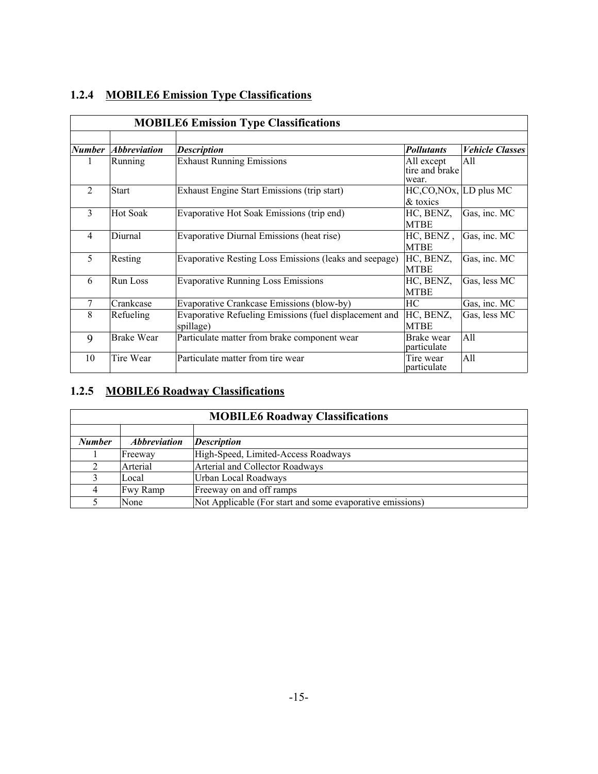|               | <b>MOBILE6 Emission Type Classifications</b> |                                                        |                              |                        |  |
|---------------|----------------------------------------------|--------------------------------------------------------|------------------------------|------------------------|--|
| <b>Number</b> | <i><b>Abbreviation</b></i>                   |                                                        | <b>Pollutants</b>            | <b>Vehicle Classes</b> |  |
|               |                                              | <b>Description</b>                                     |                              |                        |  |
| $\perp$       | Running                                      | <b>Exhaust Running Emissions</b>                       | All except<br>tire and brake | All                    |  |
|               |                                              |                                                        | wear.                        |                        |  |
| 2             | <b>Start</b>                                 | Exhaust Engine Start Emissions (trip start)            | $HC, CO, NOx, LD$ plus MC    |                        |  |
|               |                                              |                                                        | & toxics                     |                        |  |
| 3             | Hot Soak                                     | Evaporative Hot Soak Emissions (trip end)              | HC, BENZ,                    | Gas, inc. MC           |  |
|               |                                              |                                                        | <b>MTBE</b>                  |                        |  |
| 4             | Diurnal                                      | Evaporative Diurnal Emissions (heat rise)              | HC, BENZ,                    | Gas, inc. MC           |  |
|               |                                              |                                                        | <b>MTBE</b>                  |                        |  |
| 5             | Resting                                      | Evaporative Resting Loss Emissions (leaks and seepage) | HC, BENZ,                    | Gas, inc. MC           |  |
|               |                                              |                                                        | <b>MTBE</b>                  |                        |  |
| 6             | <b>Run Loss</b>                              | <b>Evaporative Running Loss Emissions</b>              | HC, BENZ,                    | Gas, less MC           |  |
|               |                                              |                                                        | <b>MTBE</b>                  |                        |  |
| 7             | Crankcase                                    | Evaporative Crankcase Emissions (blow-by)              | HC                           | Gas, inc. MC           |  |
| 8             | Refueling                                    | Evaporative Refueling Emissions (fuel displacement and | HC, BENZ,                    | Gas, less MC           |  |
|               |                                              | spillage)                                              | <b>MTBE</b>                  |                        |  |
| 9             | <b>Brake Wear</b>                            | Particulate matter from brake component wear           | Brake wear                   | All                    |  |
|               |                                              |                                                        | particulate                  |                        |  |
| 10            | Tire Wear                                    | Particulate matter from tire wear                      | Tire wear<br>particulate     | All                    |  |

## **1.2.4 MOBILE6 Emission Type Classifications**

### **1.2.5 MOBILE6 Roadway Classifications**

| <b>MOBILE6 Roadway Classifications</b> |                            |                                                           |  |
|----------------------------------------|----------------------------|-----------------------------------------------------------|--|
|                                        |                            |                                                           |  |
| <b>Number</b>                          | <i><b>Abbreviation</b></i> | <b>Description</b>                                        |  |
|                                        | Freeway                    | High-Speed, Limited-Access Roadways                       |  |
|                                        | Arterial                   | Arterial and Collector Roadways                           |  |
|                                        | Local                      | Urban Local Roadways                                      |  |
|                                        | Fwy Ramp                   | Freeway on and off ramps                                  |  |
|                                        | None                       | Not Applicable (For start and some evaporative emissions) |  |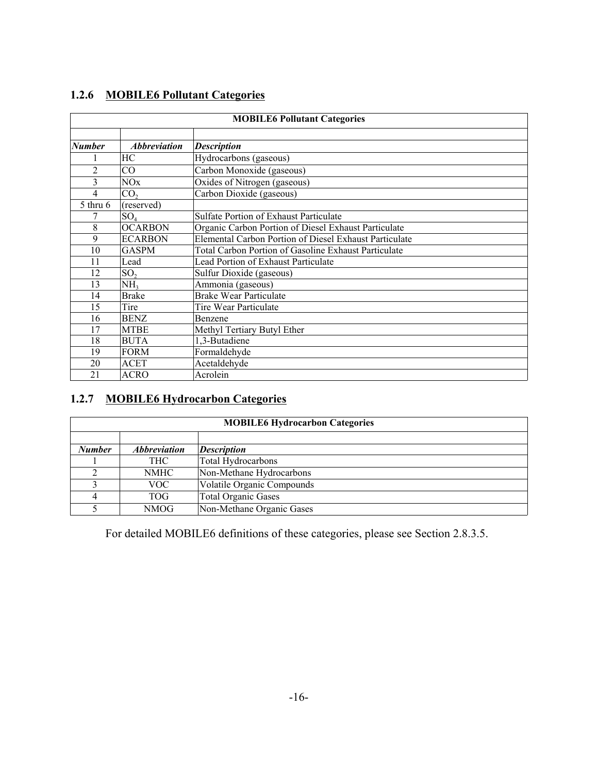### **1.2.6 MOBILE6 Pollutant Categories**

| <b>MOBILE6 Pollutant Categories</b> |                     |                                                        |  |  |  |  |
|-------------------------------------|---------------------|--------------------------------------------------------|--|--|--|--|
|                                     |                     |                                                        |  |  |  |  |
| Number                              | <b>Abbreviation</b> | <b>Description</b>                                     |  |  |  |  |
|                                     | HC                  | Hydrocarbons (gaseous)                                 |  |  |  |  |
| $\overline{2}$                      | CO                  | Carbon Monoxide (gaseous)                              |  |  |  |  |
| 3                                   | NOx                 | Oxides of Nitrogen (gaseous)                           |  |  |  |  |
| 4                                   | CO <sub>2</sub>     | Carbon Dioxide (gaseous)                               |  |  |  |  |
| $5$ thru $6$                        | (reserved)          |                                                        |  |  |  |  |
|                                     | SO <sub>4</sub>     | <b>Sulfate Portion of Exhaust Particulate</b>          |  |  |  |  |
| 8                                   | <b>OCARBON</b>      | Organic Carbon Portion of Diesel Exhaust Particulate   |  |  |  |  |
| 9                                   | <b>ECARBON</b>      | Elemental Carbon Portion of Diesel Exhaust Particulate |  |  |  |  |
| 10                                  | <b>GASPM</b>        | Total Carbon Portion of Gasoline Exhaust Particulate   |  |  |  |  |
| 11                                  | Lead                | Lead Portion of Exhaust Particulate                    |  |  |  |  |
| 12                                  | SO <sub>2</sub>     | Sulfur Dioxide (gaseous)                               |  |  |  |  |
| 13                                  | NH <sub>3</sub>     | Ammonia (gaseous)                                      |  |  |  |  |
| 14                                  | <b>Brake</b>        | <b>Brake Wear Particulate</b>                          |  |  |  |  |
| 15                                  | Tire                | Tire Wear Particulate                                  |  |  |  |  |
| 16                                  | <b>BENZ</b>         | Benzene                                                |  |  |  |  |
| 17                                  | <b>MTBE</b>         | Methyl Tertiary Butyl Ether                            |  |  |  |  |
| 18                                  | <b>BUTA</b>         | 1,3-Butadiene                                          |  |  |  |  |
| 19                                  | <b>FORM</b>         | Formaldehyde                                           |  |  |  |  |
| 20                                  | <b>ACET</b>         | Acetaldehyde                                           |  |  |  |  |
| 21                                  | <b>ACRO</b>         | Acrolein                                               |  |  |  |  |

### **1.2.7 MOBILE6 Hydrocarbon Categories**

| <b>MOBILE6 Hydrocarbon Categories</b> |                            |                            |  |  |  |  |
|---------------------------------------|----------------------------|----------------------------|--|--|--|--|
|                                       |                            |                            |  |  |  |  |
| <b>Number</b>                         | <i><b>Abbreviation</b></i> | <b>Description</b>         |  |  |  |  |
|                                       | <b>THC</b>                 | Total Hydrocarbons         |  |  |  |  |
|                                       | <b>NMHC</b>                | Non-Methane Hydrocarbons   |  |  |  |  |
|                                       | VOC-                       | Volatile Organic Compounds |  |  |  |  |
|                                       | TOG-                       | <b>Total Organic Gases</b> |  |  |  |  |
|                                       | NMOG                       | Non-Methane Organic Gases  |  |  |  |  |

For detailed MOBILE6 definitions of these categories, please see Section 2.8.3.5.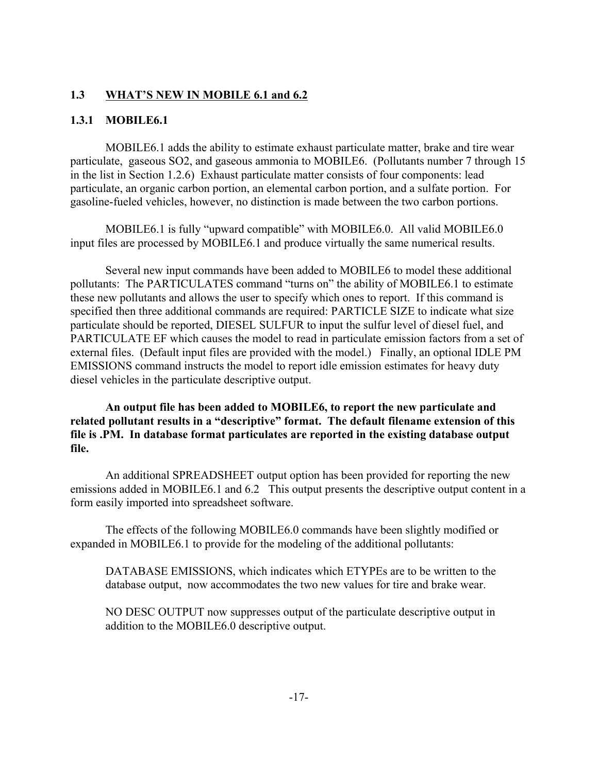### **1.3 WHAT'S NEW IN MOBILE 6.1 and 6.2**

### **1.3.1 MOBILE6.1**

MOBILE6.1 adds the ability to estimate exhaust particulate matter, brake and tire wear particulate, gaseous SO2, and gaseous ammonia to MOBILE6. (Pollutants number 7 through 15 in the list in Section 1.2.6) Exhaust particulate matter consists of four components: lead particulate, an organic carbon portion, an elemental carbon portion, and a sulfate portion. For gasoline-fueled vehicles, however, no distinction is made between the two carbon portions.

MOBILE6.1 is fully "upward compatible" with MOBILE6.0. All valid MOBILE6.0 input files are processed by MOBILE6.1 and produce virtually the same numerical results.

Several new input commands have been added to MOBILE6 to model these additional pollutants: The PARTICULATES command "turns on" the ability of MOBILE6.1 to estimate these new pollutants and allows the user to specify which ones to report. If this command is specified then three additional commands are required: PARTICLE SIZE to indicate what size particulate should be reported, DIESEL SULFUR to input the sulfur level of diesel fuel, and PARTICULATE EF which causes the model to read in particulate emission factors from a set of external files. (Default input files are provided with the model.) Finally, an optional IDLE PM EMISSIONS command instructs the model to report idle emission estimates for heavy duty diesel vehicles in the particulate descriptive output.

**An output file has been added to MOBILE6, to report the new particulate and related pollutant results in a "descriptive" format. The default filename extension of this file is .PM. In database format particulates are reported in the existing database output file.** 

An additional SPREADSHEET output option has been provided for reporting the new emissions added in MOBILE6.1 and 6.2 This output presents the descriptive output content in a form easily imported into spreadsheet software.

The effects of the following MOBILE6.0 commands have been slightly modified or expanded in MOBILE6.1 to provide for the modeling of the additional pollutants:

DATABASE EMISSIONS, which indicates which ETYPEs are to be written to the database output, now accommodates the two new values for tire and brake wear.

NO DESC OUTPUT now suppresses output of the particulate descriptive output in addition to the MOBILE6.0 descriptive output.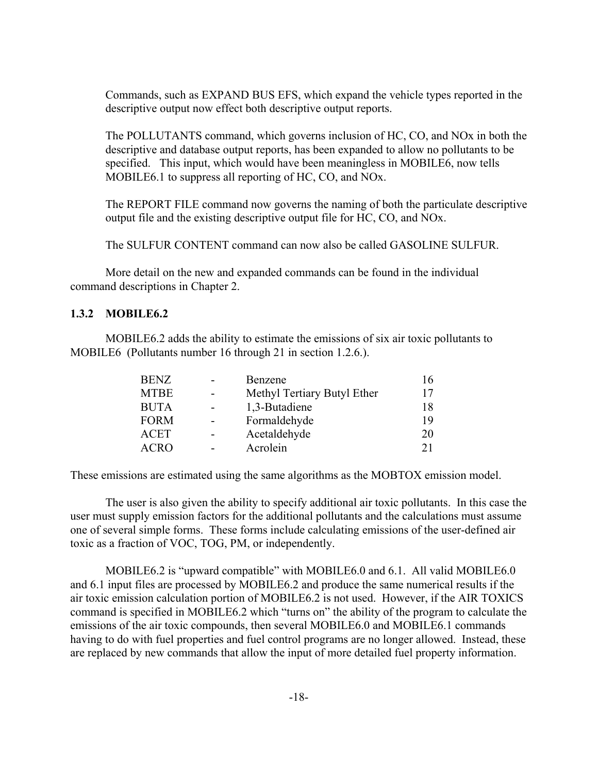Commands, such as EXPAND BUS EFS, which expand the vehicle types reported in the descriptive output now effect both descriptive output reports.

The POLLUTANTS command, which governs inclusion of HC, CO, and NOx in both the descriptive and database output reports, has been expanded to allow no pollutants to be specified. This input, which would have been meaningless in MOBILE6, now tells MOBILE6.1 to suppress all reporting of HC, CO, and NOx.

The REPORT FILE command now governs the naming of both the particulate descriptive output file and the existing descriptive output file for HC, CO, and NOx.

The SULFUR CONTENT command can now also be called GASOLINE SULFUR.

More detail on the new and expanded commands can be found in the individual command descriptions in Chapter 2.

#### **1.3.2 MOBILE6.2**

MOBILE6.2 adds the ability to estimate the emissions of six air toxic pollutants to MOBILE6 (Pollutants number 16 through 21 in section 1.2.6.).

| <b>BENZ</b> | $\overline{\phantom{0}}$ | Benzene                     | 16 |
|-------------|--------------------------|-----------------------------|----|
| <b>MTBE</b> | $\blacksquare$           | Methyl Tertiary Butyl Ether | 17 |
| <b>BUTA</b> | $\blacksquare$           | 1,3-Butadiene               | 18 |
| <b>FORM</b> | $\overline{\phantom{0}}$ | Formaldehyde                | 19 |
| <b>ACET</b> |                          | Acetaldehyde                | 20 |
| <b>ACRO</b> |                          | Acrolein                    | 21 |

These emissions are estimated using the same algorithms as the MOBTOX emission model.

The user is also given the ability to specify additional air toxic pollutants. In this case the user must supply emission factors for the additional pollutants and the calculations must assume one of several simple forms. These forms include calculating emissions of the user-defined air toxic as a fraction of VOC, TOG, PM, or independently.

MOBILE6.2 is "upward compatible" with MOBILE6.0 and 6.1. All valid MOBILE6.0 and 6.1 input files are processed by MOBILE6.2 and produce the same numerical results if the air toxic emission calculation portion of MOBILE6.2 is not used. However, if the AIR TOXICS command is specified in MOBILE6.2 which "turns on" the ability of the program to calculate the emissions of the air toxic compounds, then several MOBILE6.0 and MOBILE6.1 commands having to do with fuel properties and fuel control programs are no longer allowed. Instead, these are replaced by new commands that allow the input of more detailed fuel property information.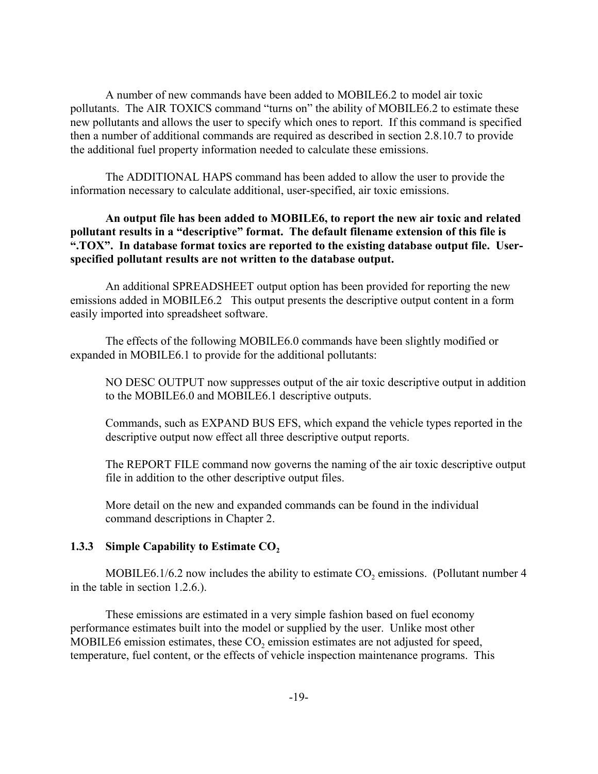A number of new commands have been added to MOBILE6.2 to model air toxic pollutants. The AIR TOXICS command "turns on" the ability of MOBILE6.2 to estimate these new pollutants and allows the user to specify which ones to report. If this command is specified then a number of additional commands are required as described in section 2.8.10.7 to provide the additional fuel property information needed to calculate these emissions.

The ADDITIONAL HAPS command has been added to allow the user to provide the information necessary to calculate additional, user-specified, air toxic emissions.

**An output file has been added to MOBILE6, to report the new air toxic and related pollutant results in a "descriptive" format. The default filename extension of this file is ".TOX". In database format toxics are reported to the existing database output file. Userspecified pollutant results are not written to the database output.**

An additional SPREADSHEET output option has been provided for reporting the new emissions added in MOBILE6.2 This output presents the descriptive output content in a form easily imported into spreadsheet software.

The effects of the following MOBILE6.0 commands have been slightly modified or expanded in MOBILE6.1 to provide for the additional pollutants:

NO DESC OUTPUT now suppresses output of the air toxic descriptive output in addition to the MOBILE6.0 and MOBILE6.1 descriptive outputs.

Commands, such as EXPAND BUS EFS, which expand the vehicle types reported in the descriptive output now effect all three descriptive output reports.

The REPORT FILE command now governs the naming of the air toxic descriptive output file in addition to the other descriptive output files.

More detail on the new and expanded commands can be found in the individual command descriptions in Chapter 2.

#### **1.3.3 Simple Capability to Estimate CO**<sub>2</sub>

MOBILE6.1/6.2 now includes the ability to estimate  $CO<sub>2</sub>$  emissions. (Pollutant number 4 in the table in section 1.2.6.).

These emissions are estimated in a very simple fashion based on fuel economy performance estimates built into the model or supplied by the user. Unlike most other MOBILE6 emission estimates, these  $CO<sub>2</sub>$  emission estimates are not adjusted for speed, temperature, fuel content, or the effects of vehicle inspection maintenance programs. This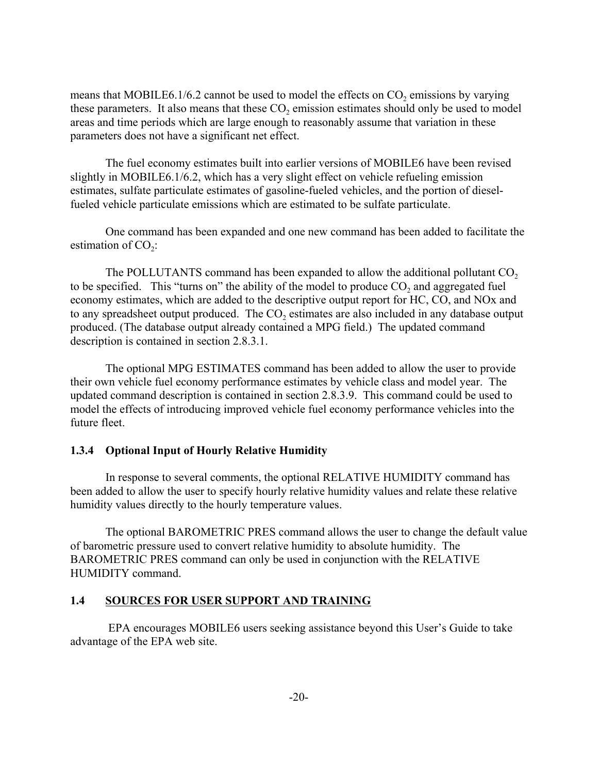means that MOBILE6.1/6.2 cannot be used to model the effects on  $CO<sub>2</sub>$  emissions by varying these parameters. It also means that these  $CO<sub>2</sub>$  emission estimates should only be used to model areas and time periods which are large enough to reasonably assume that variation in these parameters does not have a significant net effect.

The fuel economy estimates built into earlier versions of MOBILE6 have been revised slightly in MOBILE6.1/6.2, which has a very slight effect on vehicle refueling emission estimates, sulfate particulate estimates of gasoline-fueled vehicles, and the portion of dieselfueled vehicle particulate emissions which are estimated to be sulfate particulate.

One command has been expanded and one new command has been added to facilitate the estimation of  $CO<sub>2</sub>$ :

The POLLUTANTS command has been expanded to allow the additional pollutant  $CO<sub>2</sub>$ to be specified. This "turns on" the ability of the model to produce  $CO<sub>2</sub>$  and aggregated fuel economy estimates, which are added to the descriptive output report for HC, CO, and NOx and to any spreadsheet output produced. The CO<sub>2</sub> estimates are also included in any database output produced. (The database output already contained a MPG field.) The updated command description is contained in section 2.8.3.1.

The optional MPG ESTIMATES command has been added to allow the user to provide their own vehicle fuel economy performance estimates by vehicle class and model year. The updated command description is contained in section 2.8.3.9. This command could be used to model the effects of introducing improved vehicle fuel economy performance vehicles into the future fleet.

#### **1.3.4 Optional Input of Hourly Relative Humidity**

In response to several comments, the optional RELATIVE HUMIDITY command has been added to allow the user to specify hourly relative humidity values and relate these relative humidity values directly to the hourly temperature values.

The optional BAROMETRIC PRES command allows the user to change the default value of barometric pressure used to convert relative humidity to absolute humidity. The BAROMETRIC PRES command can only be used in conjunction with the RELATIVE HUMIDITY command.

#### **1.4 SOURCES FOR USER SUPPORT AND TRAINING**

 EPA encourages MOBILE6 users seeking assistance beyond this User's Guide to take advantage of the EPA web site.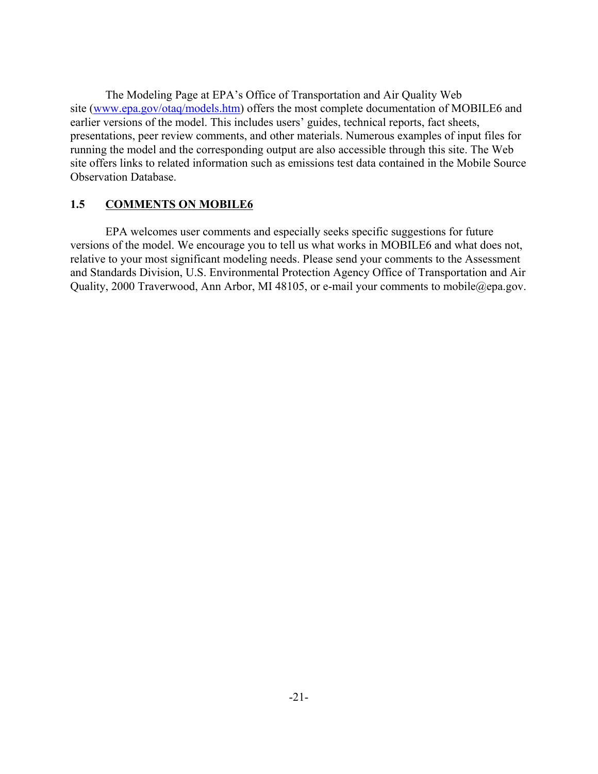The Modeling Page at EPA's Office of Transportation and Air Quality Web site (www.epa.gov/otaq/models.htm) offers the most complete documentation of MOBILE6 and earlier versions of the model. This includes users' guides, technical reports, fact sheets, presentations, peer review comments, and other materials. Numerous examples of input files for running the model and the corresponding output are also accessible through this site. The Web site offers links to related information such as emissions test data contained in the Mobile Source Observation Database.

### **1.5 COMMENTS ON MOBILE6**

EPA welcomes user comments and especially seeks specific suggestions for future versions of the model. We encourage you to tell us what works in MOBILE6 and what does not, relative to your most significant modeling needs. Please send your comments to the Assessment and Standards Division, U.S. Environmental Protection Agency Office of Transportation and Air Quality, 2000 Traverwood, Ann Arbor, MI 48105, or e-mail your comments to mobile@epa.gov.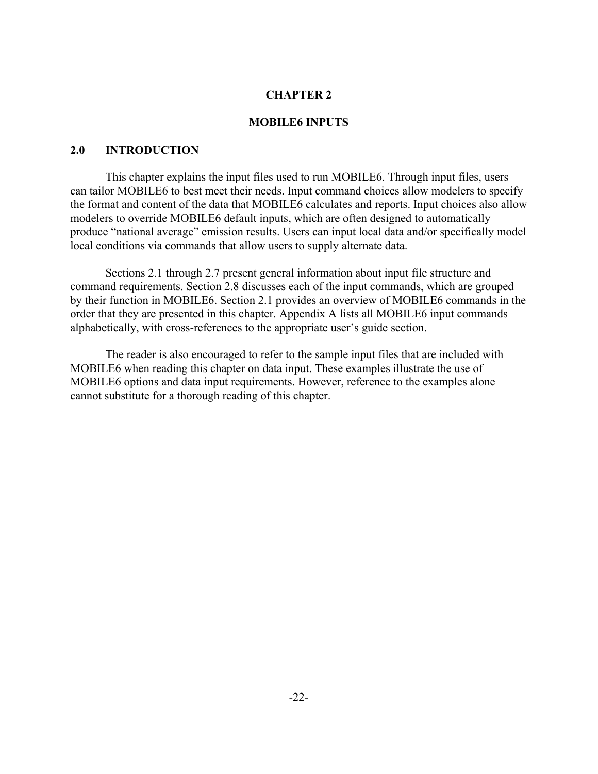#### **MOBILE6 INPUTS**

#### **2.0 INTRODUCTION**

This chapter explains the input files used to run MOBILE6. Through input files, users can tailor MOBILE6 to best meet their needs. Input command choices allow modelers to specify the format and content of the data that MOBILE6 calculates and reports. Input choices also allow modelers to override MOBILE6 default inputs, which are often designed to automatically produce "national average" emission results. Users can input local data and/or specifically model local conditions via commands that allow users to supply alternate data.

Sections 2.1 through 2.7 present general information about input file structure and command requirements. Section 2.8 discusses each of the input commands, which are grouped by their function in MOBILE6. Section 2.1 provides an overview of MOBILE6 commands in the order that they are presented in this chapter. Appendix A lists all MOBILE6 input commands alphabetically, with cross-references to the appropriate user's guide section.

The reader is also encouraged to refer to the sample input files that are included with MOBILE6 when reading this chapter on data input. These examples illustrate the use of MOBILE6 options and data input requirements. However, reference to the examples alone cannot substitute for a thorough reading of this chapter.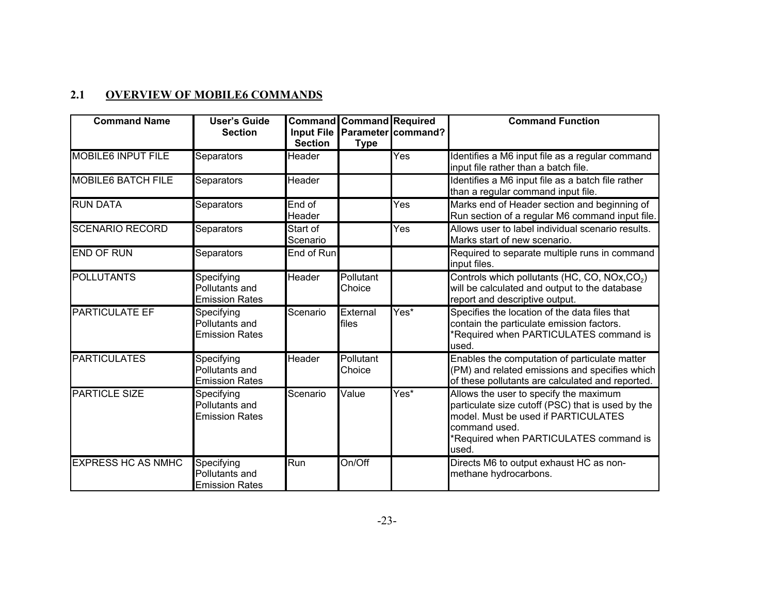### **2.1 OVERVIEW OF MOBILE6 COMMANDS**

| <b>Command Name</b>       | <b>User's Guide</b><br><b>Section</b>                 | Input File               | <b>Command Command Required</b> | Parameter command? | <b>Command Function</b>                                                                                                                                                                               |
|---------------------------|-------------------------------------------------------|--------------------------|---------------------------------|--------------------|-------------------------------------------------------------------------------------------------------------------------------------------------------------------------------------------------------|
| <b>MOBILE6 INPUT FILE</b> | Separators                                            | <b>Section</b><br>Header | <b>Type</b>                     | Yes                | Identifies a M6 input file as a regular command<br>input file rather than a batch file.                                                                                                               |
| <b>MOBILE6 BATCH FILE</b> | <b>Separators</b>                                     | Header                   |                                 |                    | Identifies a M6 input file as a batch file rather<br>than a regular command input file.                                                                                                               |
| <b>RUN DATA</b>           | Separators                                            | End of<br>Header         |                                 | Yes                | Marks end of Header section and beginning of<br>Run section of a regular M6 command input file.                                                                                                       |
| <b>SCENARIO RECORD</b>    | Separators                                            | Start of<br>Scenario     |                                 | Yes                | Allows user to label individual scenario results.<br>Marks start of new scenario.                                                                                                                     |
| <b>END OF RUN</b>         | Separators                                            | End of Run               |                                 |                    | Required to separate multiple runs in command<br>input files.                                                                                                                                         |
| POLLUTANTS                | Specifying<br>Pollutants and<br><b>Emission Rates</b> | Header                   | Pollutant<br>Choice             |                    | Controls which pollutants (HC, CO, NOx, CO <sub>2</sub> )<br>will be calculated and output to the database<br>report and descriptive output.                                                          |
| <b>PARTICULATE EF</b>     | Specifying<br>Pollutants and<br><b>Emission Rates</b> | Scenario                 | External<br>files               | Yes*               | Specifies the location of the data files that<br>contain the particulate emission factors.<br>Required when PARTICULATES command is<br>used.                                                          |
| <b>PARTICULATES</b>       | Specifying<br>Pollutants and<br><b>Emission Rates</b> | Header                   | Pollutant<br>Choice             |                    | Enables the computation of particulate matter<br>(PM) and related emissions and specifies which<br>of these pollutants are calculated and reported.                                                   |
| <b>PARTICLE SIZE</b>      | Specifying<br>Pollutants and<br><b>Emission Rates</b> | Scenario                 | Value                           | Yes*               | Allows the user to specify the maximum<br>particulate size cutoff (PSC) that is used by the<br>model. Must be used if PARTICULATES<br>command used.<br>Required when PARTICULATES command is<br>used. |
| <b>EXPRESS HC AS NMHC</b> | Specifying<br>Pollutants and<br><b>Emission Rates</b> | Run                      | On/Off                          |                    | Directs M6 to output exhaust HC as non-<br>methane hydrocarbons.                                                                                                                                      |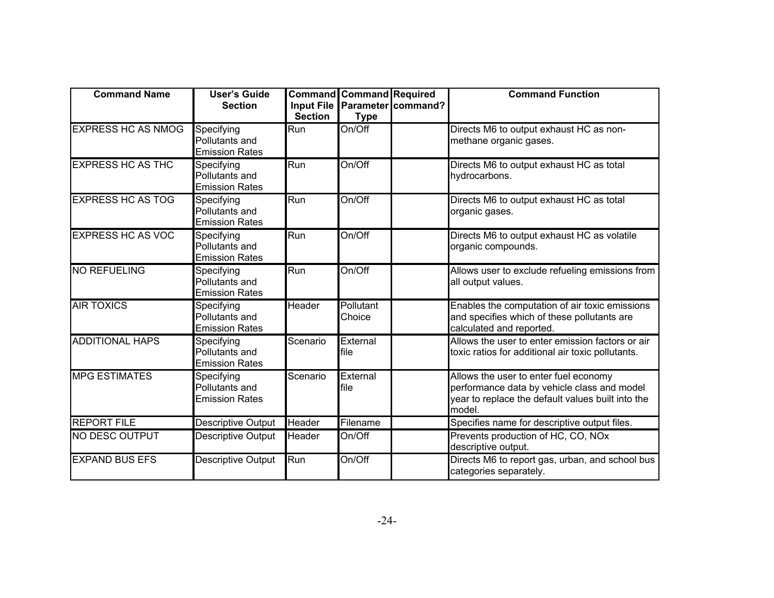| <b>Command Name</b>       | <b>User's Guide</b><br><b>Section</b>                 | <b>Input File</b><br><b>Section</b> | <b>Command Command Required</b><br><b>Type</b> | Parameter command? | <b>Command Function</b>                                                                                                                             |
|---------------------------|-------------------------------------------------------|-------------------------------------|------------------------------------------------|--------------------|-----------------------------------------------------------------------------------------------------------------------------------------------------|
| <b>EXPRESS HC AS NMOG</b> | Specifying<br>Pollutants and<br><b>Emission Rates</b> | Run                                 | On/Off                                         |                    | Directs M6 to output exhaust HC as non-<br>methane organic gases.                                                                                   |
| <b>EXPRESS HC AS THC</b>  | Specifying<br>Pollutants and<br><b>Emission Rates</b> | Run                                 | On/Off                                         |                    | Directs M6 to output exhaust HC as total<br>hydrocarbons.                                                                                           |
| <b>EXPRESS HC AS TOG</b>  | Specifying<br>Pollutants and<br><b>Emission Rates</b> | Run                                 | On/Off                                         |                    | Directs M6 to output exhaust HC as total<br>organic gases.                                                                                          |
| <b>EXPRESS HC AS VOC</b>  | Specifying<br>Pollutants and<br><b>Emission Rates</b> | Run                                 | On/Off                                         |                    | Directs M6 to output exhaust HC as volatile<br>organic compounds.                                                                                   |
| <b>NO REFUELING</b>       | Specifying<br>Pollutants and<br><b>Emission Rates</b> | Run                                 | On/Off                                         |                    | Allows user to exclude refueling emissions from<br>all output values.                                                                               |
| <b>AIR TOXICS</b>         | Specifying<br>Pollutants and<br><b>Emission Rates</b> | Header                              | Pollutant<br>Choice                            |                    | Enables the computation of air toxic emissions<br>and specifies which of these pollutants are<br>calculated and reported.                           |
| <b>ADDITIONAL HAPS</b>    | Specifying<br>Pollutants and<br><b>Emission Rates</b> | Scenario                            | External<br>file                               |                    | Allows the user to enter emission factors or air<br>toxic ratios for additional air toxic pollutants.                                               |
| <b>MPG ESTIMATES</b>      | Specifying<br>Pollutants and<br><b>Emission Rates</b> | Scenario                            | External<br>file                               |                    | Allows the user to enter fuel economy<br>performance data by vehicle class and model<br>year to replace the default values built into the<br>model. |
| <b>REPORT FILE</b>        | Descriptive Output                                    | <b>Header</b>                       | Filename                                       |                    | Specifies name for descriptive output files.                                                                                                        |
| <b>INO DESC OUTPUT</b>    | Descriptive Output                                    | Header                              | On/Off                                         |                    | Prevents production of HC, CO, NOx<br>descriptive output.                                                                                           |
| <b>EXPAND BUS EFS</b>     | Descriptive Output                                    | Run                                 | On/Off                                         |                    | Directs M6 to report gas, urban, and school bus<br>categories separately.                                                                           |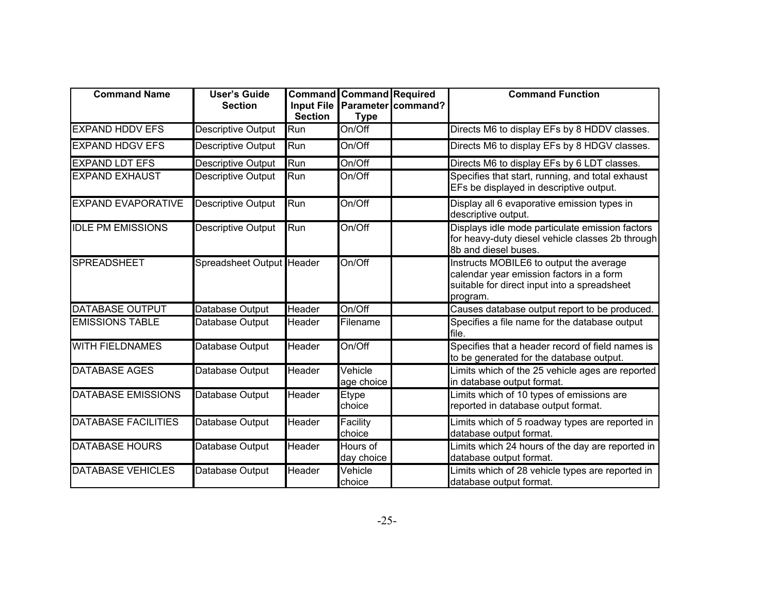| <b>Command Name</b>        | <b>User's Guide</b><br><b>Section</b> | <b>Command</b><br><b>Input File</b> | <b>Command Required</b> | Parameter command? | <b>Command Function</b>                                                                                                                         |
|----------------------------|---------------------------------------|-------------------------------------|-------------------------|--------------------|-------------------------------------------------------------------------------------------------------------------------------------------------|
|                            |                                       | <b>Section</b>                      | <b>Type</b>             |                    |                                                                                                                                                 |
| <b>EXPAND HDDV EFS</b>     | Descriptive Output                    | Run                                 | On/Off                  |                    | Directs M6 to display EFs by 8 HDDV classes.                                                                                                    |
| <b>EXPAND HDGV EFS</b>     | Descriptive Output                    | Run                                 | On/Off                  |                    | Directs M6 to display EFs by 8 HDGV classes.                                                                                                    |
| <b>EXPAND LDT EFS</b>      | Descriptive Output                    | Run                                 | On/Off                  |                    | Directs M6 to display EFs by 6 LDT classes.                                                                                                     |
| <b>EXPAND EXHAUST</b>      | Descriptive Output                    | Run                                 | On/Off                  |                    | Specifies that start, running, and total exhaust<br>EFs be displayed in descriptive output.                                                     |
| <b>IEXPAND EVAPORATIVE</b> | Descriptive Output                    | Run                                 | On/Off                  |                    | Display all 6 evaporative emission types in<br>descriptive output.                                                                              |
| <b>IDLE PM EMISSIONS</b>   | Descriptive Output                    | Run                                 | $On/\overline{Off}$     |                    | Displays idle mode particulate emission factors<br>for heavy-duty diesel vehicle classes 2b through<br>8b and diesel buses.                     |
| <b>SPREADSHEET</b>         | Spreadsheet Output Header             |                                     | On/Off                  |                    | Instructs MOBILE6 to output the average<br>calendar year emission factors in a form<br>suitable for direct input into a spreadsheet<br>program. |
| DATABASE OUTPUT            | Database Output                       | Header                              | On/Off                  |                    | Causes database output report to be produced.                                                                                                   |
| <b>EMISSIONS TABLE</b>     | Database Output                       | Header                              | Filename                |                    | Specifies a file name for the database output<br>lfile.                                                                                         |
| <b>WITH FIELDNAMES</b>     | Database Output                       | Header                              | On/Off                  |                    | Specifies that a header record of field names is<br>to be generated for the database output.                                                    |
| <b>DATABASE AGES</b>       | Database Output                       | Header                              | Vehicle<br>age choice   |                    | Limits which of the 25 vehicle ages are reported<br>in database output format.                                                                  |
| <b>DATABASE EMISSIONS</b>  | Database Output                       | Header                              | Etype<br>choice         |                    | Limits which of 10 types of emissions are<br>reported in database output format.                                                                |
| <b>DATABASE FACILITIES</b> | Database Output                       | Header                              | Facility<br>choice      |                    | Limits which of 5 roadway types are reported in<br>database output format.                                                                      |
| <b>DATABASE HOURS</b>      | Database Output                       | Header                              | Hours of<br>day choice  |                    | Limits which 24 hours of the day are reported in<br>database output format.                                                                     |
| DATABASE VEHICLES          | Database Output                       | Header                              | Vehicle<br>choice       |                    | Limits which of 28 vehicle types are reported in<br>database output format.                                                                     |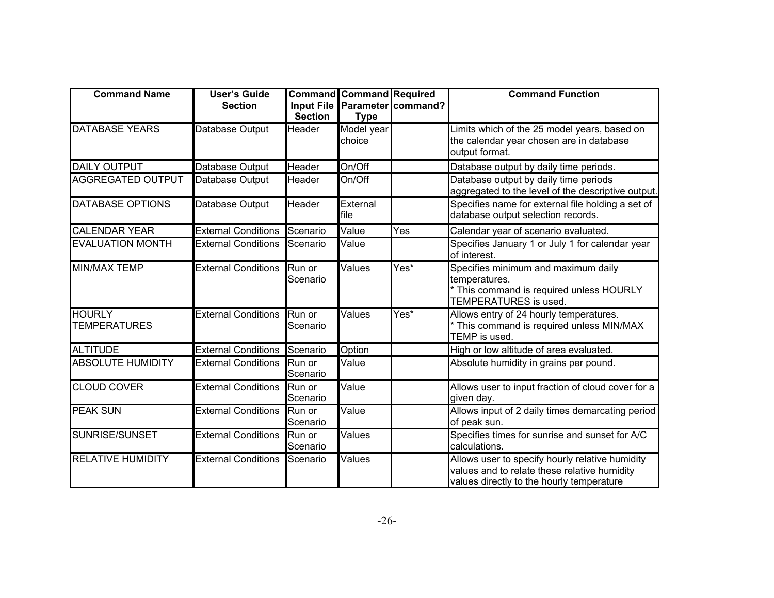| <b>Command Name</b>                  | <b>User's Guide</b><br><b>Section</b> | <b>Section</b>     | <b>Command Command Required</b><br><b>Type</b> | Input File Parameter command? | <b>Command Function</b>                                                                                                                      |
|--------------------------------------|---------------------------------------|--------------------|------------------------------------------------|-------------------------------|----------------------------------------------------------------------------------------------------------------------------------------------|
| <b>DATABASE YEARS</b>                | Database Output                       | Header             | Model year<br>choice                           |                               | Limits which of the 25 model years, based on<br>the calendar year chosen are in database<br>output format.                                   |
| <b>DAILY OUTPUT</b>                  | Database Output                       | Header             | On/Off                                         |                               | Database output by daily time periods.                                                                                                       |
| <b>AGGREGATED OUTPUT</b>             | Database Output                       | Header             | On/Off                                         |                               | Database output by daily time periods<br>aggregated to the level of the descriptive output.                                                  |
| <b>DATABASE OPTIONS</b>              | Database Output                       | Header             | External<br>file                               |                               | Specifies name for external file holding a set of<br>database output selection records.                                                      |
| <b>CALENDAR YEAR</b>                 | <b>External Conditions</b>            | Scenario           | Value                                          | Yes                           | Calendar year of scenario evaluated.                                                                                                         |
| <b>EVALUATION MONTH</b>              | <b>External Conditions</b>            | Scenario           | Value                                          |                               | Specifies January 1 or July 1 for calendar year<br>of interest.                                                                              |
| <b>MIN/MAX TEMP</b>                  | <b>External Conditions</b>            | Run or<br>Scenario | Values                                         | Yes*                          | Specifies minimum and maximum daily<br>temperatures.<br>This command is required unless HOURLY<br>TEMPERATURES is used.                      |
| <b>HOURLY</b><br><b>TEMPERATURES</b> | <b>External Conditions</b>            | Run or<br>Scenario | Values                                         | Yes*                          | Allows entry of 24 hourly temperatures.<br>This command is required unless MIN/MAX<br>TEMP is used.                                          |
| <b>ALTITUDE</b>                      | <b>External Conditions</b>            | Scenario           | Option                                         |                               | High or low altitude of area evaluated.                                                                                                      |
| <b>ABSOLUTE HUMIDITY</b>             | <b>External Conditions</b>            | Run or<br>Scenario | Value                                          |                               | Absolute humidity in grains per pound.                                                                                                       |
| <b>CLOUD COVER</b>                   | <b>External Conditions</b>            | Run or<br>Scenario | Value                                          |                               | Allows user to input fraction of cloud cover for a<br>given day.                                                                             |
| <b>PEAK SUN</b>                      | <b>External Conditions</b>            | Run or<br>Scenario | Value                                          |                               | Allows input of 2 daily times demarcating period<br>of peak sun.                                                                             |
| SUNRISE/SUNSET                       | <b>External Conditions</b>            | Run or<br>Scenario | Values                                         |                               | Specifies times for sunrise and sunset for A/C<br>calculations.                                                                              |
| <b>RELATIVE HUMIDITY</b>             | <b>External Conditions</b>            | Scenario           | Values                                         |                               | Allows user to specify hourly relative humidity<br>values and to relate these relative humidity<br>values directly to the hourly temperature |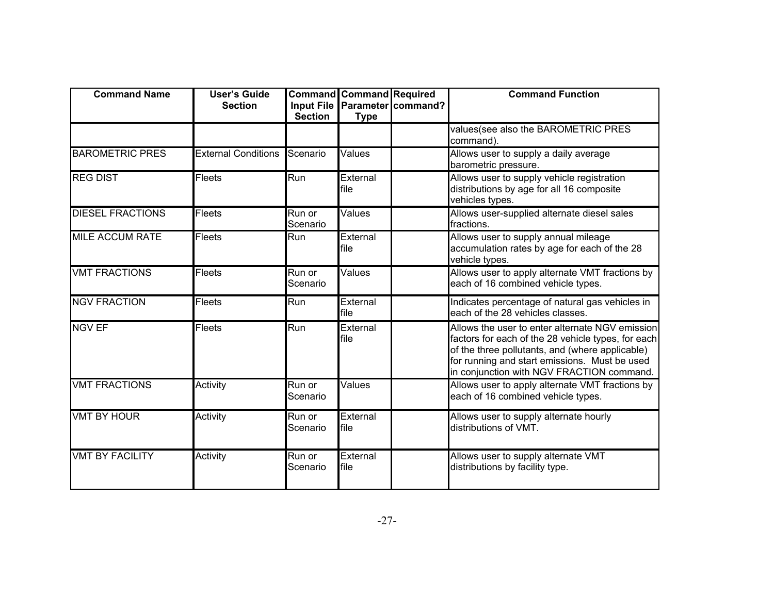| <b>Command Name</b>     | <b>User's Guide</b><br><b>Section</b> | <b>Input File</b><br><b>Section</b> | <b>Command Command Required</b><br><b>Type</b> | Parameter command? | <b>Command Function</b>                                                                                                                                                                                                                                |
|-------------------------|---------------------------------------|-------------------------------------|------------------------------------------------|--------------------|--------------------------------------------------------------------------------------------------------------------------------------------------------------------------------------------------------------------------------------------------------|
|                         |                                       |                                     |                                                |                    | values(see also the BAROMETRIC PRES<br>command).                                                                                                                                                                                                       |
| <b>BAROMETRIC PRES</b>  | <b>External Conditions</b>            | Scenario                            | Values                                         |                    | Allows user to supply a daily average<br>barometric pressure.                                                                                                                                                                                          |
| <b>REG DIST</b>         | <b>Fleets</b>                         | Run                                 | External<br>file                               |                    | Allows user to supply vehicle registration<br>distributions by age for all 16 composite<br>vehicles types.                                                                                                                                             |
| <b>DIESEL FRACTIONS</b> | <b>Fleets</b>                         | Run or<br>Scenario                  | Values                                         |                    | Allows user-supplied alternate diesel sales<br>fractions.                                                                                                                                                                                              |
| <b>MILE ACCUM RATE</b>  | Fleets                                | Run                                 | External<br>file                               |                    | Allows user to supply annual mileage<br>accumulation rates by age for each of the 28<br>vehicle types.                                                                                                                                                 |
| <b>VMT FRACTIONS</b>    | Fleets                                | Run or<br>Scenario                  | Values                                         |                    | Allows user to apply alternate VMT fractions by<br>each of 16 combined vehicle types.                                                                                                                                                                  |
| <b>NGV FRACTION</b>     | <b>Fleets</b>                         | Run                                 | External<br>file                               |                    | Indicates percentage of natural gas vehicles in<br>each of the 28 vehicles classes.                                                                                                                                                                    |
| <b>NGV EF</b>           | <b>Fleets</b>                         | Run                                 | External<br>file                               |                    | Allows the user to enter alternate NGV emission<br>factors for each of the 28 vehicle types, for each<br>of the three pollutants, and (where applicable)<br>for running and start emissions. Must be used<br>in conjunction with NGV FRACTION command. |
| <b>VMT FRACTIONS</b>    | Activity                              | Run or<br>Scenario                  | Values                                         |                    | Allows user to apply alternate VMT fractions by<br>each of 16 combined vehicle types.                                                                                                                                                                  |
| <b>VMT BY HOUR</b>      | Activity                              | Run or<br>Scenario                  | External<br>file                               |                    | Allows user to supply alternate hourly<br>distributions of VMT.                                                                                                                                                                                        |
| <b>VMT BY FACILITY</b>  | Activity                              | Run or<br>Scenario                  | External<br>file                               |                    | Allows user to supply alternate VMT<br>distributions by facility type.                                                                                                                                                                                 |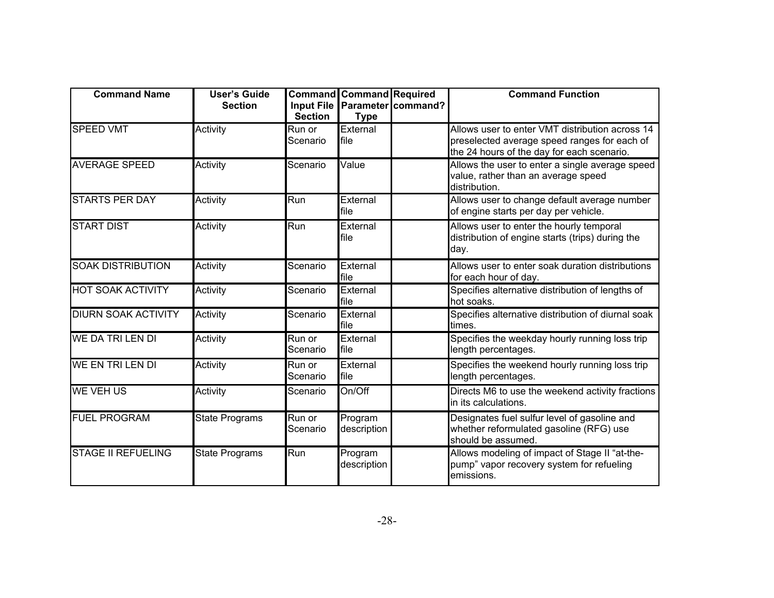| <b>Command Name</b>        | <b>User's Guide</b><br><b>Section</b> | <b>Input File</b><br><b>Section</b> | <b>Command Command Required</b><br><b>Type</b> | Parameter command? | <b>Command Function</b>                                                                                                                       |
|----------------------------|---------------------------------------|-------------------------------------|------------------------------------------------|--------------------|-----------------------------------------------------------------------------------------------------------------------------------------------|
| <b>SPEED VMT</b>           | Activity                              | Run or<br>Scenario                  | External<br>file                               |                    | Allows user to enter VMT distribution across 14<br>preselected average speed ranges for each of<br>the 24 hours of the day for each scenario. |
| <b>AVERAGE SPEED</b>       | Activity                              | Scenario                            | Value                                          |                    | Allows the user to enter a single average speed<br>value, rather than an average speed<br>distribution.                                       |
| <b>STARTS PER DAY</b>      | Activity                              | Run                                 | External<br>file                               |                    | Allows user to change default average number<br>of engine starts per day per vehicle.                                                         |
| <b>START DIST</b>          | Activity                              | Run                                 | External<br>file                               |                    | Allows user to enter the hourly temporal<br>distribution of engine starts (trips) during the<br>day.                                          |
| <b>SOAK DISTRIBUTION</b>   | Activity                              | Scenario                            | External<br>file                               |                    | Allows user to enter soak duration distributions<br>for each hour of day.                                                                     |
| <b>HOT SOAK ACTIVITY</b>   | Activity                              | Scenario                            | External<br>file                               |                    | Specifies alternative distribution of lengths of<br>hot soaks.                                                                                |
| <b>DIURN SOAK ACTIVITY</b> | Activity                              | Scenario                            | External<br>file                               |                    | Specifies alternative distribution of diurnal soak<br>times.                                                                                  |
| <b>WE DA TRI LEN DI</b>    | Activity                              | Run or<br>Scenario                  | External<br>file                               |                    | Specifies the weekday hourly running loss trip<br>length percentages.                                                                         |
| <b>WE EN TRI LEN DI</b>    | Activity                              | Run or<br>Scenario                  | External<br>file                               |                    | Specifies the weekend hourly running loss trip<br>length percentages.                                                                         |
| <b>WE VEH US</b>           | Activity                              | Scenario                            | On/Off                                         |                    | Directs M6 to use the weekend activity fractions<br>in its calculations.                                                                      |
| <b>FUEL PROGRAM</b>        | <b>State Programs</b>                 | Run or<br>Scenario                  | Program<br>description                         |                    | Designates fuel sulfur level of gasoline and<br>whether reformulated gasoline (RFG) use<br>should be assumed.                                 |
| <b>STAGE II REFUELING</b>  | <b>State Programs</b>                 | Run                                 | Program<br>description                         |                    | Allows modeling of impact of Stage II "at-the-<br>pump" vapor recovery system for refueling<br>emissions.                                     |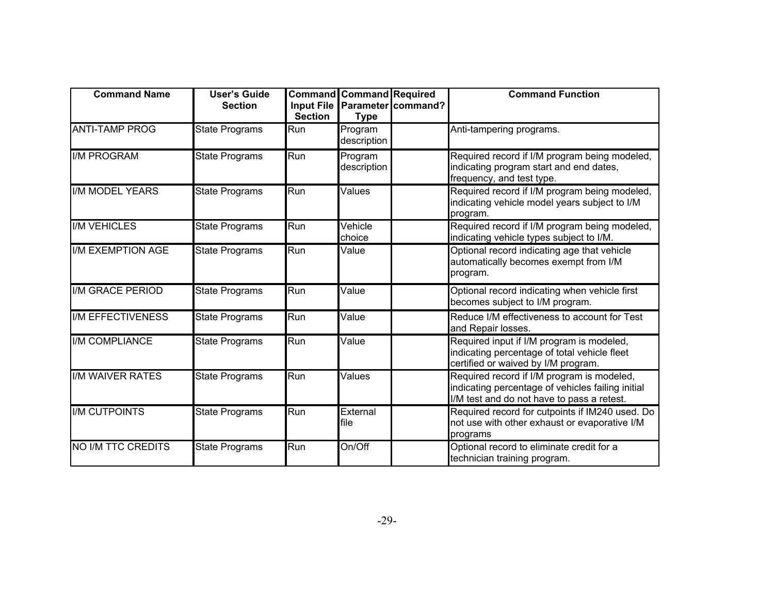| <b>Command Name</b>       | <b>User's Guide</b><br><b>Section</b> | <b>Command</b><br><b>Input File</b><br><b>Section</b> | <b>Command</b> Required<br><b>Type</b> | Parameter command? | <b>Command Function</b>                                                                                                                       |
|---------------------------|---------------------------------------|-------------------------------------------------------|----------------------------------------|--------------------|-----------------------------------------------------------------------------------------------------------------------------------------------|
| <b>ANTI-TAMP PROG</b>     | <b>State Programs</b>                 | Run                                                   | Program<br>description                 |                    | Anti-tampering programs.                                                                                                                      |
| <b>I/M PROGRAM</b>        | <b>State Programs</b>                 | Run                                                   | Program<br>description                 |                    | Required record if I/M program being modeled,<br>indicating program start and end dates,<br>frequency, and test type.                         |
| <b>II/M MODEL YEARS</b>   | <b>State Programs</b>                 | Run                                                   | Values                                 |                    | Required record if I/M program being modeled,<br>indicating vehicle model years subject to I/M<br>program.                                    |
| <b>II/M VEHICLES</b>      | <b>State Programs</b>                 | Run                                                   | Vehicle<br>choice                      |                    | Required record if I/M program being modeled,<br>indicating vehicle types subject to I/M.                                                     |
| <b>II/M EXEMPTION AGE</b> | <b>State Programs</b>                 | Run                                                   | Value                                  |                    | Optional record indicating age that vehicle<br>automatically becomes exempt from I/M<br>program.                                              |
| <b>I/M GRACE PERIOD</b>   | <b>State Programs</b>                 | Run                                                   | Value                                  |                    | Optional record indicating when vehicle first<br>becomes subject to I/M program.                                                              |
| <b>I/M EFFECTIVENESS</b>  | State Programs                        | Run                                                   | Value                                  |                    | Reduce I/M effectiveness to account for Test<br>and Repair losses.                                                                            |
| <b>II/M COMPLIANCE</b>    | State Programs                        | Run                                                   | Value                                  |                    | Required input if I/M program is modeled,<br>indicating percentage of total vehicle fleet<br>certified or waived by I/M program.              |
| <b>II/M WAIVER RATES</b>  | <b>State Programs</b>                 | Run                                                   | Values                                 |                    | Required record if I/M program is modeled,<br>indicating percentage of vehicles failing initial<br>I/M test and do not have to pass a retest. |
| <b>IIM CUTPOINTS</b>      | <b>State Programs</b>                 | Run                                                   | External<br>file                       |                    | Required record for cutpoints if IM240 used. Do<br>not use with other exhaust or evaporative I/M<br>programs                                  |
| <b>NO I/M TTC CREDITS</b> | State Programs                        | Run                                                   | On/Off                                 |                    | Optional record to eliminate credit for a<br>technician training program.                                                                     |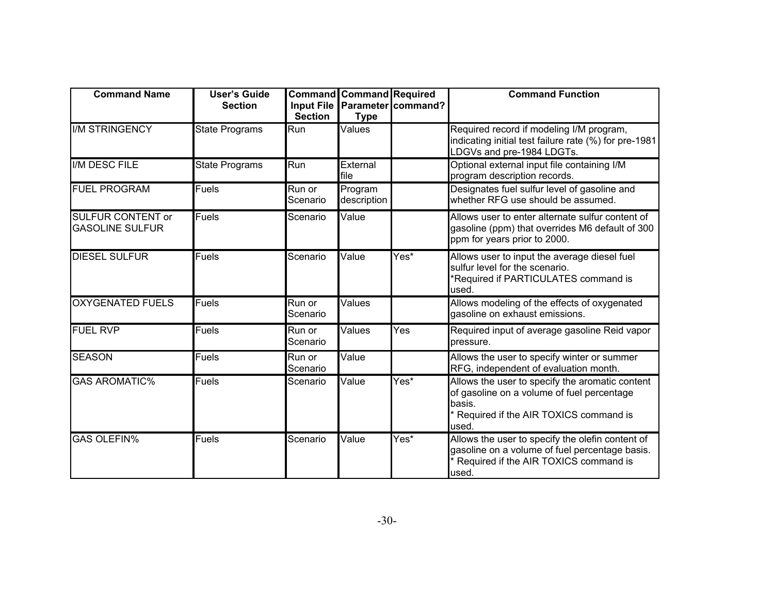| <b>Command Name</b>                                | <b>User's Guide</b><br><b>Section</b> | <b>Section</b>     | <b>Command Command Required</b><br><b>Type</b> | Input File Parameter command? | <b>Command Function</b>                                                                                                                                   |
|----------------------------------------------------|---------------------------------------|--------------------|------------------------------------------------|-------------------------------|-----------------------------------------------------------------------------------------------------------------------------------------------------------|
| <b>II/M STRINGENCY</b>                             | <b>State Programs</b>                 | Run                | Values                                         |                               | Required record if modeling I/M program,<br>indicating initial test failure rate (%) for pre-1981<br>LDGVs and pre-1984 LDGTs.                            |
| I/M DESC FILE                                      | <b>State Programs</b>                 | Run                | External<br>file                               |                               | Optional external input file containing I/M<br>program description records.                                                                               |
| <b>FUEL PROGRAM</b>                                | <b>Fuels</b>                          | Run or<br>Scenario | Program<br>description                         |                               | Designates fuel sulfur level of gasoline and<br>whether RFG use should be assumed.                                                                        |
| <b>SULFUR CONTENT or</b><br><b>GASOLINE SULFUR</b> | Fuels                                 | Scenario           | Value                                          |                               | Allows user to enter alternate sulfur content of<br>gasoline (ppm) that overrides M6 default of 300<br>ppm for years prior to 2000.                       |
| <b>DIESEL SULFUR</b>                               | <b>Fuels</b>                          | Scenario           | Value                                          | Yes*                          | Allows user to input the average diesel fuel<br>sulfur level for the scenario.<br>Required if PARTICULATES command is<br>used.                            |
| <b>OXYGENATED FUELS</b>                            | Fuels                                 | Run or<br>Scenario | Values                                         |                               | Allows modeling of the effects of oxygenated<br>gasoline on exhaust emissions.                                                                            |
| <b>FUEL RVP</b>                                    | Fuels                                 | Run or<br>Scenario | Values                                         | Yes                           | Required input of average gasoline Reid vapor<br>pressure.                                                                                                |
| <b>SEASON</b>                                      | <b>Fuels</b>                          | Run or<br>Scenario | Value                                          |                               | Allows the user to specify winter or summer<br>RFG, independent of evaluation month.                                                                      |
| <b>GAS AROMATIC%</b>                               | Fuels                                 | Scenario           | Value                                          | Yes*                          | Allows the user to specify the aromatic content<br>of gasoline on a volume of fuel percentage<br>basis.<br>Required if the AIR TOXICS command is<br>used. |
| <b>GAS OLEFIN%</b>                                 | <b>Fuels</b>                          | Scenario           | Value                                          | Yes*                          | Allows the user to specify the olefin content of<br>gasoline on a volume of fuel percentage basis.<br>Required if the AIR TOXICS command is<br>used.      |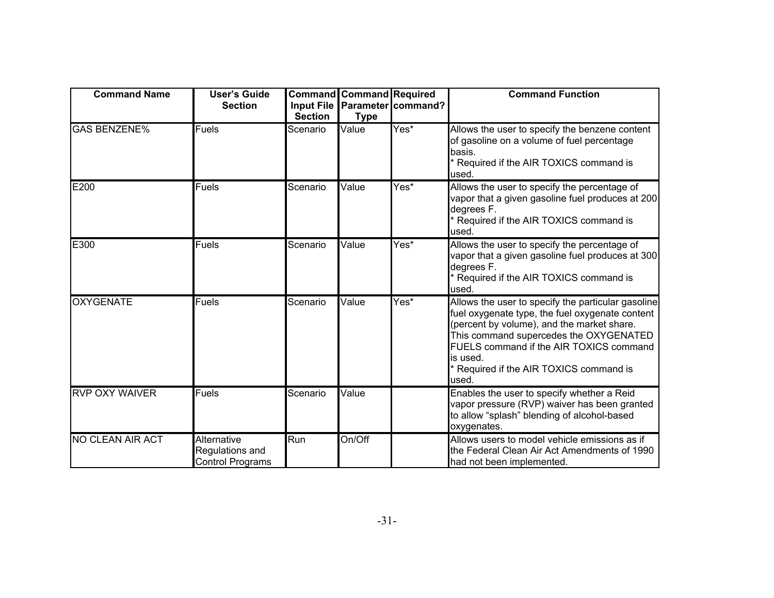| <b>Command Name</b>   | <b>User's Guide</b><br><b>Section</b>                     | <b>Section</b> | <b>Command Command Required</b><br><b>Type</b> | Input File Parameter command? | <b>Command Function</b>                                                                                                                                                                                                                                                                                |
|-----------------------|-----------------------------------------------------------|----------------|------------------------------------------------|-------------------------------|--------------------------------------------------------------------------------------------------------------------------------------------------------------------------------------------------------------------------------------------------------------------------------------------------------|
| <b>GAS BENZENE%</b>   | <b>Fuels</b>                                              | Scenario       | Value                                          | Yes*                          | Allows the user to specify the benzene content<br>of gasoline on a volume of fuel percentage<br>basis.<br>Required if the AIR TOXICS command is<br>used.                                                                                                                                               |
| E200                  | <b>Fuels</b>                                              | Scenario       | Value                                          | Yes*                          | Allows the user to specify the percentage of<br>vapor that a given gasoline fuel produces at 200<br>degrees F.<br>Required if the AIR TOXICS command is<br>used.                                                                                                                                       |
| E300                  | Fuels                                                     | Scenario       | Value                                          | Yes*                          | Allows the user to specify the percentage of<br>vapor that a given gasoline fuel produces at 300<br>degrees F.<br>Required if the AIR TOXICS command is<br>used.                                                                                                                                       |
| <b>OXYGENATE</b>      | Fuels                                                     | Scenario       | Value                                          | Yes*                          | Allows the user to specify the particular gasoline<br>fuel oxygenate type, the fuel oxygenate content<br>(percent by volume), and the market share.<br>This command supercedes the OXYGENATED<br>FUELS command if the AIR TOXICS command<br>is used.<br>Required if the AIR TOXICS command is<br>used. |
| <b>RVP OXY WAIVER</b> | <b>Fuels</b>                                              | Scenario       | Value                                          |                               | Enables the user to specify whether a Reid<br>vapor pressure (RVP) waiver has been granted<br>to allow "splash" blending of alcohol-based<br>oxygenates.                                                                                                                                               |
| NO CLEAN AIR ACT      | Alternative<br>Regulations and<br><b>Control Programs</b> | Run            | On/Off                                         |                               | Allows users to model vehicle emissions as if<br>the Federal Clean Air Act Amendments of 1990<br>had not been implemented.                                                                                                                                                                             |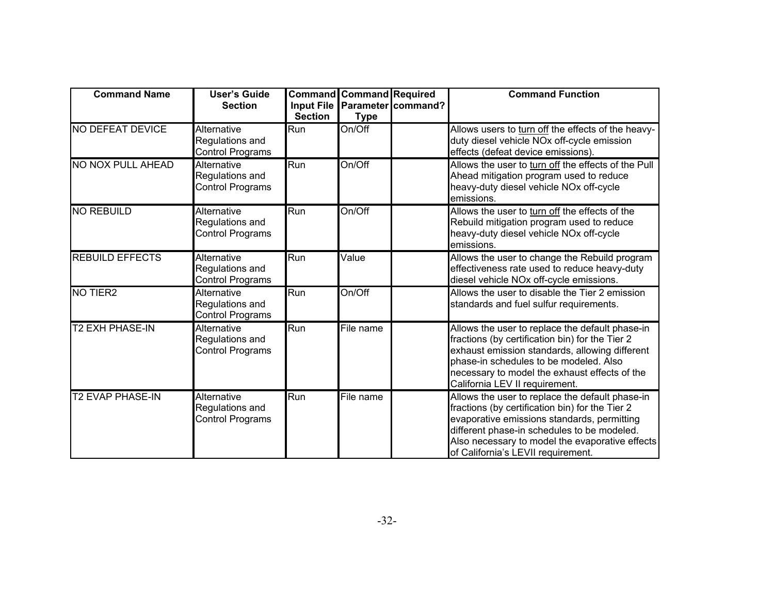| <b>Command Name</b>      | <b>User's Guide</b><br><b>Section</b>                            | Input File<br><b>Section</b> | <b>Command Command Required</b><br><b>Type</b> | Parameter command? | <b>Command Function</b>                                                                                                                                                                                                                                                                   |
|--------------------------|------------------------------------------------------------------|------------------------------|------------------------------------------------|--------------------|-------------------------------------------------------------------------------------------------------------------------------------------------------------------------------------------------------------------------------------------------------------------------------------------|
| <b>NO DEFEAT DEVICE</b>  | Alternative<br>Regulations and<br>Control Programs               | Run                          | On/Off                                         |                    | Allows users to turn off the effects of the heavy-<br>duty diesel vehicle NOx off-cycle emission<br>effects (defeat device emissions).                                                                                                                                                    |
| <b>NO NOX PULL AHEAD</b> | Alternative<br>Regulations and<br>Control Programs               | Run                          | On/Off                                         |                    | Allows the user to turn off the effects of the Pull<br>Ahead mitigation program used to reduce<br>heavy-duty diesel vehicle NOx off-cycle<br>emissions.                                                                                                                                   |
| <b>NO REBUILD</b>        | <b>Alternative</b><br>Regulations and<br>Control Programs        | Run                          | On/Off                                         |                    | Allows the user to turn off the effects of the<br>Rebuild mitigation program used to reduce<br>heavy-duty diesel vehicle NOx off-cycle<br>emissions.                                                                                                                                      |
| <b>REBUILD EFFECTS</b>   | <b>Alternative</b><br>Regulations and<br><b>Control Programs</b> | Run                          | Value                                          |                    | Allows the user to change the Rebuild program<br>effectiveness rate used to reduce heavy-duty<br>diesel vehicle NOx off-cycle emissions.                                                                                                                                                  |
| NO TIER <sub>2</sub>     | <b>Alternative</b><br>Regulations and<br>Control Programs        | $\overline{Run}$             | On/Off                                         |                    | Allows the user to disable the Tier 2 emission<br>standards and fuel sulfur requirements.                                                                                                                                                                                                 |
| <b>T2 EXH PHASE-IN</b>   | Alternative<br>Regulations and<br>Control Programs               | Run                          | File name                                      |                    | Allows the user to replace the default phase-in<br>fractions (by certification bin) for the Tier 2<br>exhaust emission standards, allowing different<br>phase-in schedules to be modeled. Also<br>necessary to model the exhaust effects of the<br>California LEV II requirement.         |
| <b>T2 EVAP PHASE-IN</b>  | Alternative<br>Regulations and<br>Control Programs               | Run                          | File name                                      |                    | Allows the user to replace the default phase-in<br>fractions (by certification bin) for the Tier 2<br>evaporative emissions standards, permitting<br>different phase-in schedules to be modeled.<br>Also necessary to model the evaporative effects<br>of California's LEVII requirement. |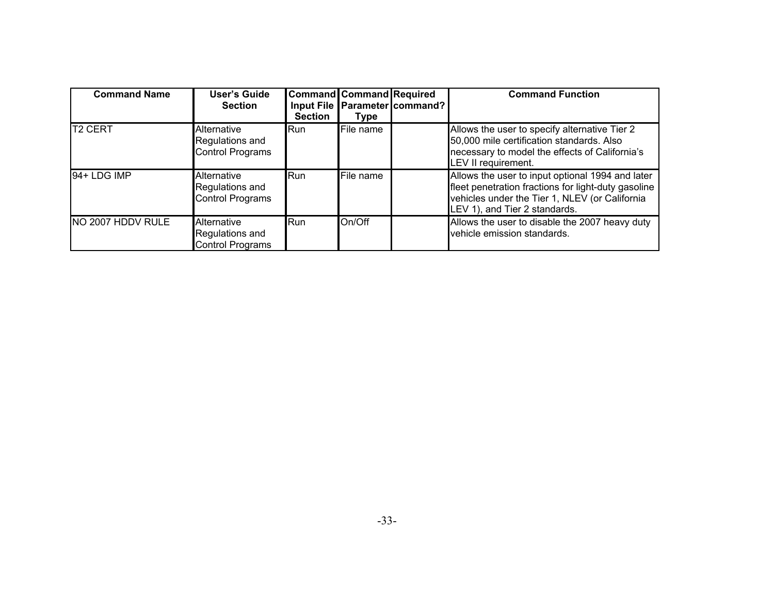| <b>Command Name</b> | <b>User's Guide</b><br><b>Section</b>                     | <b>Command Command Required</b><br><b>Section</b> | Type      | Input File Parameter command? | <b>Command Function</b>                                                                                                                                                                    |
|---------------------|-----------------------------------------------------------|---------------------------------------------------|-----------|-------------------------------|--------------------------------------------------------------------------------------------------------------------------------------------------------------------------------------------|
| <b>T2 CERT</b>      | Alternative<br>Regulations and<br><b>Control Programs</b> | <b>I</b> Run                                      | File name |                               | Allows the user to specify alternative Tier 2<br>50,000 mile certification standards. Also<br>necessary to model the effects of California's<br>LEV II requirement.                        |
| 94+ LDG IMP         | Alternative<br>Regulations and<br><b>Control Programs</b> | <b>I</b> Run                                      | File name |                               | Allows the user to input optional 1994 and later<br>fleet penetration fractions for light-duty gasoline<br>vehicles under the Tier 1, NLEV (or California<br>LEV 1), and Tier 2 standards. |
| NO 2007 HDDV RULE   | Alternative<br>Regulations and<br><b>Control Programs</b> | <b>Run</b>                                        | On/Off    |                               | Allows the user to disable the 2007 heavy duty<br>vehicle emission standards.                                                                                                              |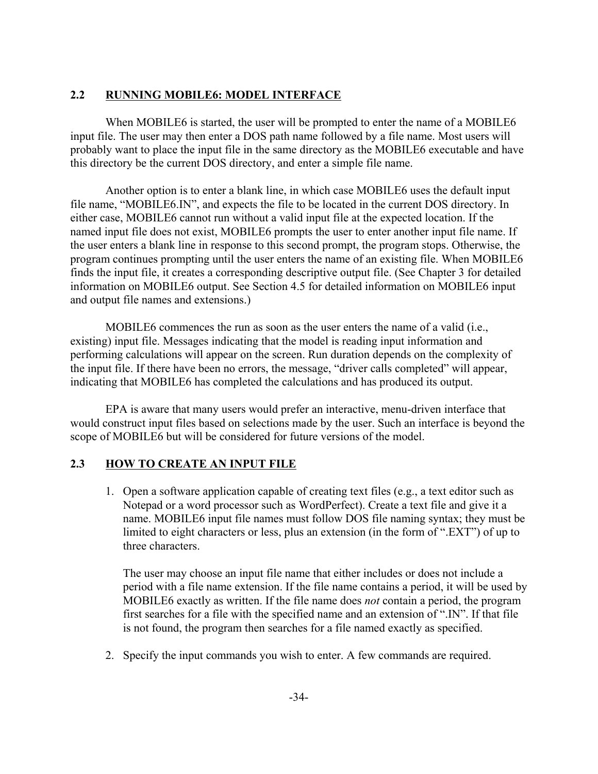### **2.2 RUNNING MOBILE6: MODEL INTERFACE**

When MOBILE6 is started, the user will be prompted to enter the name of a MOBILE6 input file. The user may then enter a DOS path name followed by a file name. Most users will probably want to place the input file in the same directory as the MOBILE6 executable and have this directory be the current DOS directory, and enter a simple file name.

Another option is to enter a blank line, in which case MOBILE6 uses the default input file name, "MOBILE6.IN", and expects the file to be located in the current DOS directory. In either case, MOBILE6 cannot run without a valid input file at the expected location. If the named input file does not exist, MOBILE6 prompts the user to enter another input file name. If the user enters a blank line in response to this second prompt, the program stops. Otherwise, the program continues prompting until the user enters the name of an existing file. When MOBILE6 finds the input file, it creates a corresponding descriptive output file. (See Chapter 3 for detailed information on MOBILE6 output. See Section 4.5 for detailed information on MOBILE6 input and output file names and extensions.)

MOBILE6 commences the run as soon as the user enters the name of a valid (i.e., existing) input file. Messages indicating that the model is reading input information and performing calculations will appear on the screen. Run duration depends on the complexity of the input file. If there have been no errors, the message, "driver calls completed" will appear, indicating that MOBILE6 has completed the calculations and has produced its output.

EPA is aware that many users would prefer an interactive, menu-driven interface that would construct input files based on selections made by the user. Such an interface is beyond the scope of MOBILE6 but will be considered for future versions of the model.

### **2.3 HOW TO CREATE AN INPUT FILE**

1. Open a software application capable of creating text files (e.g., a text editor such as Notepad or a word processor such as WordPerfect). Create a text file and give it a name. MOBILE6 input file names must follow DOS file naming syntax; they must be limited to eight characters or less, plus an extension (in the form of ".EXT") of up to three characters.

The user may choose an input file name that either includes or does not include a period with a file name extension. If the file name contains a period, it will be used by MOBILE6 exactly as written. If the file name does *not* contain a period, the program first searches for a file with the specified name and an extension of ".IN". If that file is not found, the program then searches for a file named exactly as specified.

2. Specify the input commands you wish to enter. A few commands are required.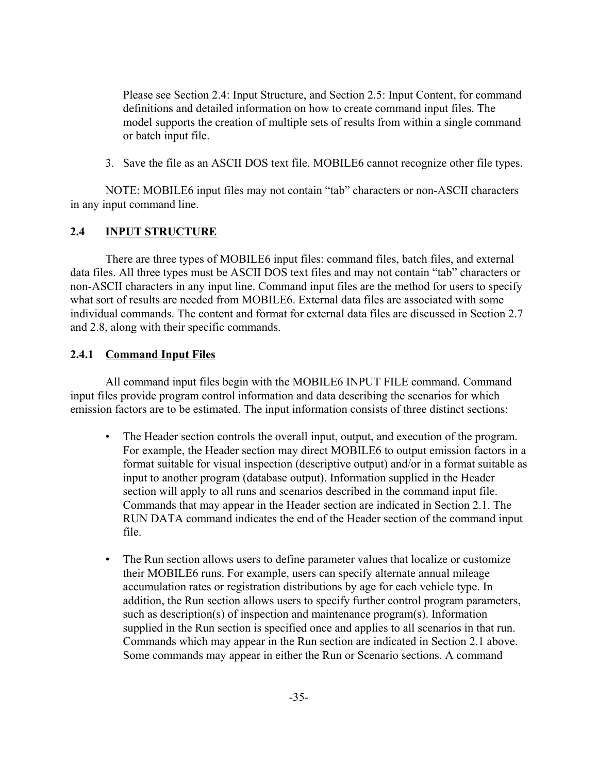Please see Section 2.4: Input Structure, and Section 2.5: Input Content, for command definitions and detailed information on how to create command input files. The model supports the creation of multiple sets of results from within a single command or batch input file.

3. Save the file as an ASCII DOS text file. MOBILE6 cannot recognize other file types.

NOTE: MOBILE6 input files may not contain "tab" characters or non-ASCII characters in any input command line.

### **2.4 INPUT STRUCTURE**

There are three types of MOBILE6 input files: command files, batch files, and external data files. All three types must be ASCII DOS text files and may not contain "tab" characters or non-ASCII characters in any input line. Command input files are the method for users to specify what sort of results are needed from MOBILE6. External data files are associated with some individual commands. The content and format for external data files are discussed in Section 2.7 and 2.8, along with their specific commands.

### **2.4.1 Command Input Files**

All command input files begin with the MOBILE6 INPUT FILE command. Command input files provide program control information and data describing the scenarios for which emission factors are to be estimated. The input information consists of three distinct sections:

- The Header section controls the overall input, output, and execution of the program. For example, the Header section may direct MOBILE6 to output emission factors in a format suitable for visual inspection (descriptive output) and/or in a format suitable as input to another program (database output). Information supplied in the Header section will apply to all runs and scenarios described in the command input file. Commands that may appear in the Header section are indicated in Section 2.1. The RUN DATA command indicates the end of the Header section of the command input file.
- The Run section allows users to define parameter values that localize or customize their MOBILE6 runs. For example, users can specify alternate annual mileage accumulation rates or registration distributions by age for each vehicle type. In addition, the Run section allows users to specify further control program parameters, such as description(s) of inspection and maintenance program(s). Information supplied in the Run section is specified once and applies to all scenarios in that run. Commands which may appear in the Run section are indicated in Section 2.1 above. Some commands may appear in either the Run or Scenario sections. A command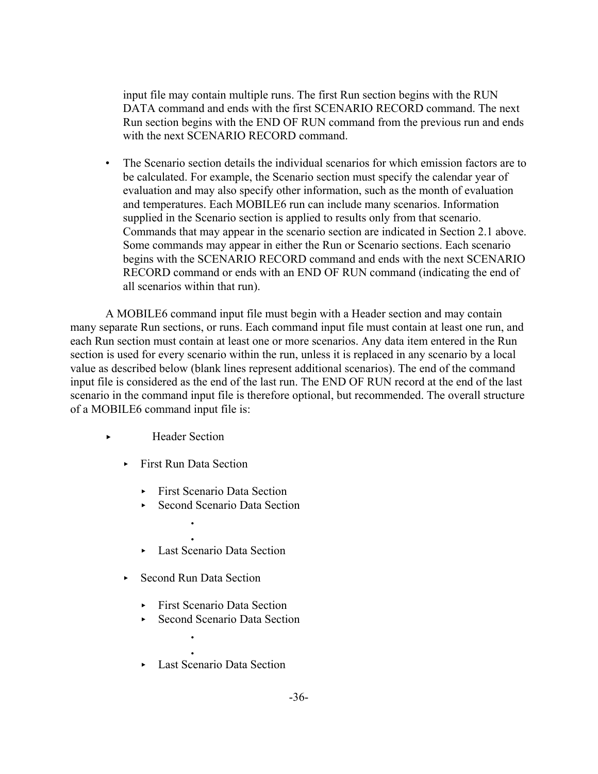input file may contain multiple runs. The first Run section begins with the RUN DATA command and ends with the first SCENARIO RECORD command. The next Run section begins with the END OF RUN command from the previous run and ends with the next SCENARIO RECORD command.

• The Scenario section details the individual scenarios for which emission factors are to be calculated. For example, the Scenario section must specify the calendar year of evaluation and may also specify other information, such as the month of evaluation and temperatures. Each MOBILE6 run can include many scenarios. Information supplied in the Scenario section is applied to results only from that scenario. Commands that may appear in the scenario section are indicated in Section 2.1 above. Some commands may appear in either the Run or Scenario sections. Each scenario begins with the SCENARIO RECORD command and ends with the next SCENARIO RECORD command or ends with an END OF RUN command (indicating the end of all scenarios within that run).

A MOBILE6 command input file must begin with a Header section and may contain many separate Run sections, or runs. Each command input file must contain at least one run, and each Run section must contain at least one or more scenarios. Any data item entered in the Run section is used for every scenario within the run, unless it is replaced in any scenario by a local value as described below (blank lines represent additional scenarios). The end of the command input file is considered as the end of the last run. The END OF RUN record at the end of the last scenario in the command input file is therefore optional, but recommended. The overall structure of a MOBILE6 command input file is:

- ► Header Section
	- First Run Data Section

**.**

- **First Scenario Data Section**
- ► Second Scenario Data Section
- **.** • Last Scenario Data Section
- $\triangleright$  Second Run Data Section

**.**

- ► First Scenario Data Section
- ► Second Scenario Data Section
- **.** ► Last Scenario Data Section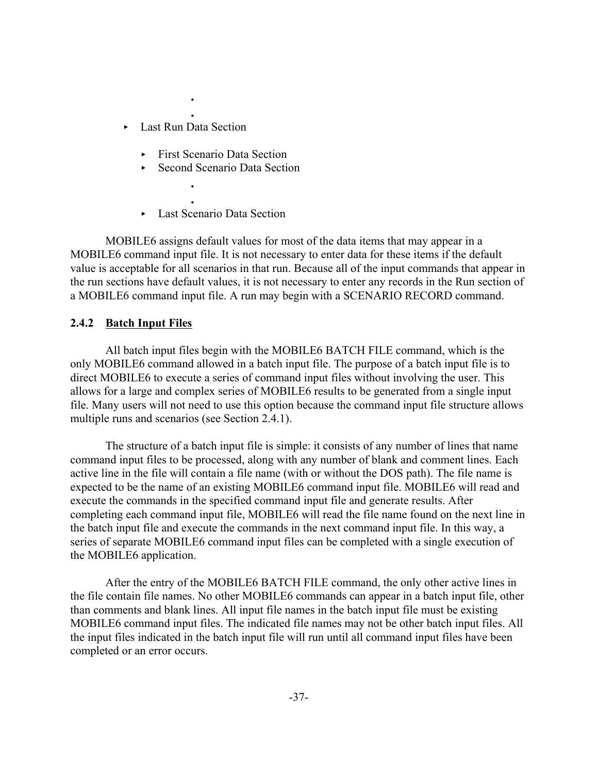**.** ► Last Run Data Section

> **. .**

> **.**

- ► First Scenario Data Section
- $\triangleright$  Second Scenario Data Section
- Last Scenario Data Section

MOBILE6 assigns default values for most of the data items that may appear in a MOBILE6 command input file. It is not necessary to enter data for these items if the default value is acceptable for all scenarios in that run. Because all of the input commands that appear in the run sections have default values, it is not necessary to enter any records in the Run section of a MOBILE6 command input file. A run may begin with a SCENARIO RECORD command.

#### **2.4.2 Batch Input Files**

All batch input files begin with the MOBILE6 BATCH FILE command, which is the only MOBILE6 command allowed in a batch input file. The purpose of a batch input file is to direct MOBILE6 to execute a series of command input files without involving the user. This allows for a large and complex series of MOBILE6 results to be generated from a single input file. Many users will not need to use this option because the command input file structure allows multiple runs and scenarios (see Section 2.4.1).

The structure of a batch input file is simple: it consists of any number of lines that name command input files to be processed, along with any number of blank and comment lines. Each active line in the file will contain a file name (with or without the DOS path). The file name is expected to be the name of an existing MOBILE6 command input file. MOBILE6 will read and execute the commands in the specified command input file and generate results. After completing each command input file, MOBILE6 will read the file name found on the next line in the batch input file and execute the commands in the next command input file. In this way, a series of separate MOBILE6 command input files can be completed with a single execution of the MOBILE6 application.

After the entry of the MOBILE6 BATCH FILE command, the only other active lines in the file contain file names. No other MOBILE6 commands can appear in a batch input file, other than comments and blank lines. All input file names in the batch input file must be existing MOBILE6 command input files. The indicated file names may not be other batch input files. All the input files indicated in the batch input file will run until all command input files have been completed or an error occurs.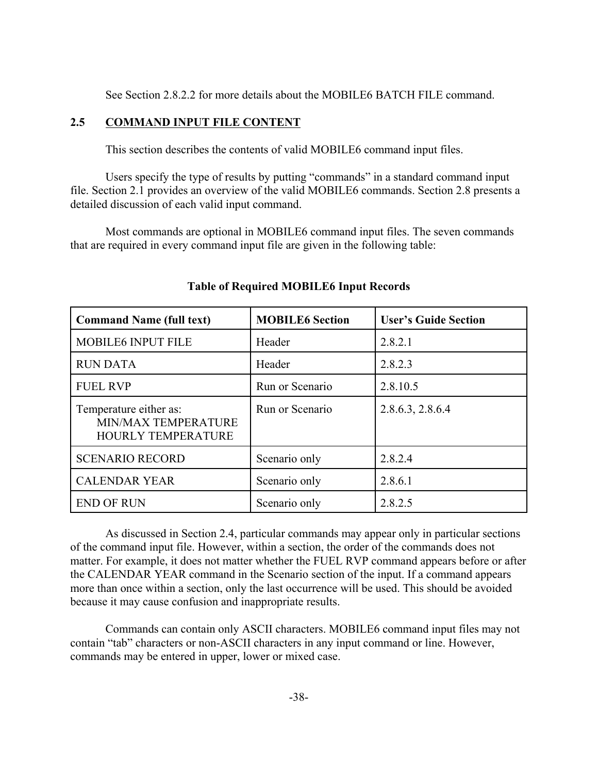See Section 2.8.2.2 for more details about the MOBILE6 BATCH FILE command.

### **2.5 COMMAND INPUT FILE CONTENT**

This section describes the contents of valid MOBILE6 command input files.

Users specify the type of results by putting "commands" in a standard command input file. Section 2.1 provides an overview of the valid MOBILE6 commands. Section 2.8 presents a detailed discussion of each valid input command.

Most commands are optional in MOBILE6 command input files. The seven commands that are required in every command input file are given in the following table:

| <b>Command Name (full text)</b>                                     | <b>MOBILE6</b> Section | <b>User's Guide Section</b> |
|---------------------------------------------------------------------|------------------------|-----------------------------|
| <b>MOBILE6 INPUT FILE</b>                                           | Header                 | 2.8.2.1                     |
| <b>RUN DATA</b>                                                     | Header                 | 2.8.2.3                     |
| <b>FUEL RVP</b>                                                     | Run or Scenario        | 2.8.10.5                    |
| Temperature either as:<br>MIN/MAX TEMPERATURE<br>HOURLY TEMPERATURE | Run or Scenario        | 2.8.6.3, 2.8.6.4            |
| <b>SCENARIO RECORD</b>                                              | Scenario only          | 2.8.2.4                     |
| <b>CALENDAR YEAR</b>                                                | Scenario only          | 2.8.6.1                     |
| <b>END OF RUN</b>                                                   | Scenario only          | 2.8.2.5                     |

# **Table of Required MOBILE6 Input Records**

As discussed in Section 2.4, particular commands may appear only in particular sections of the command input file. However, within a section, the order of the commands does not matter. For example, it does not matter whether the FUEL RVP command appears before or after the CALENDAR YEAR command in the Scenario section of the input. If a command appears more than once within a section, only the last occurrence will be used. This should be avoided because it may cause confusion and inappropriate results.

Commands can contain only ASCII characters. MOBILE6 command input files may not contain "tab" characters or non-ASCII characters in any input command or line. However, commands may be entered in upper, lower or mixed case.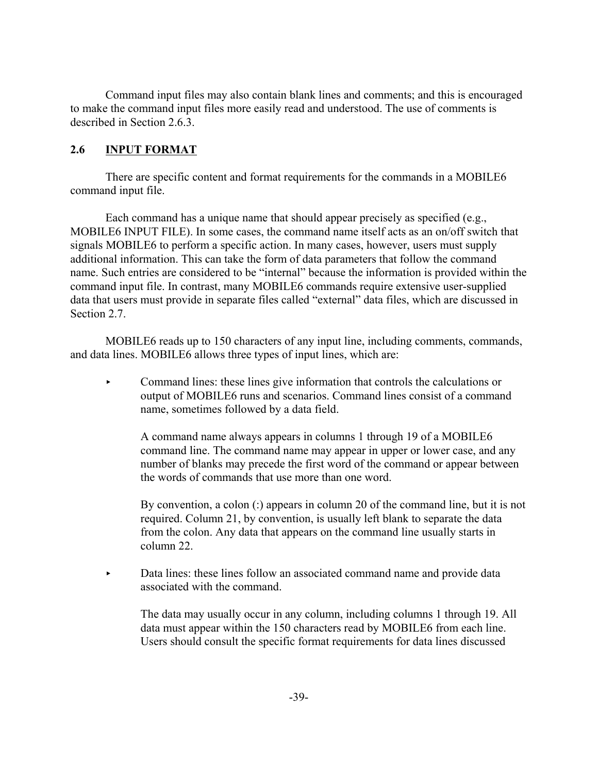Command input files may also contain blank lines and comments; and this is encouraged to make the command input files more easily read and understood. The use of comments is described in Section 2.6.3.

# **2.6 INPUT FORMAT**

There are specific content and format requirements for the commands in a MOBILE6 command input file.

Each command has a unique name that should appear precisely as specified (e.g., MOBILE6 INPUT FILE). In some cases, the command name itself acts as an on/off switch that signals MOBILE6 to perform a specific action. In many cases, however, users must supply additional information. This can take the form of data parameters that follow the command name. Such entries are considered to be "internal" because the information is provided within the command input file. In contrast, many MOBILE6 commands require extensive user-supplied data that users must provide in separate files called "external" data files, which are discussed in Section 2.7

MOBILE6 reads up to 150 characters of any input line, including comments, commands, and data lines. MOBILE6 allows three types of input lines, which are:

 $\triangleright$  Command lines: these lines give information that controls the calculations or output of MOBILE6 runs and scenarios. Command lines consist of a command name, sometimes followed by a data field.

A command name always appears in columns 1 through 19 of a MOBILE6 command line. The command name may appear in upper or lower case, and any number of blanks may precede the first word of the command or appear between the words of commands that use more than one word.

By convention, a colon (:) appears in column 20 of the command line, but it is not required. Column 21, by convention, is usually left blank to separate the data from the colon. Any data that appears on the command line usually starts in column 22.

< Data lines: these lines follow an associated command name and provide data associated with the command.

The data may usually occur in any column, including columns 1 through 19. All data must appear within the 150 characters read by MOBILE6 from each line. Users should consult the specific format requirements for data lines discussed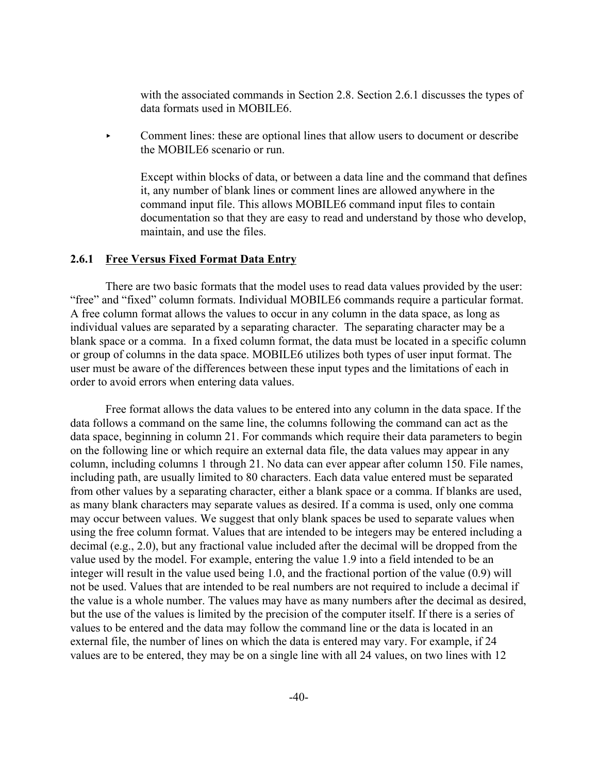with the associated commands in Section 2.8. Section 2.6.1 discusses the types of data formats used in MOBILE6.

< Comment lines: these are optional lines that allow users to document or describe the MOBILE6 scenario or run.

Except within blocks of data, or between a data line and the command that defines it, any number of blank lines or comment lines are allowed anywhere in the command input file. This allows MOBILE6 command input files to contain documentation so that they are easy to read and understand by those who develop, maintain, and use the files.

#### **2.6.1 Free Versus Fixed Format Data Entry**

There are two basic formats that the model uses to read data values provided by the user: "free" and "fixed" column formats. Individual MOBILE6 commands require a particular format. A free column format allows the values to occur in any column in the data space, as long as individual values are separated by a separating character. The separating character may be a blank space or a comma. In a fixed column format, the data must be located in a specific column or group of columns in the data space. MOBILE6 utilizes both types of user input format. The user must be aware of the differences between these input types and the limitations of each in order to avoid errors when entering data values.

Free format allows the data values to be entered into any column in the data space. If the data follows a command on the same line, the columns following the command can act as the data space, beginning in column 21. For commands which require their data parameters to begin on the following line or which require an external data file, the data values may appear in any column, including columns 1 through 21. No data can ever appear after column 150. File names, including path, are usually limited to 80 characters. Each data value entered must be separated from other values by a separating character, either a blank space or a comma. If blanks are used, as many blank characters may separate values as desired. If a comma is used, only one comma may occur between values. We suggest that only blank spaces be used to separate values when using the free column format. Values that are intended to be integers may be entered including a decimal (e.g., 2.0), but any fractional value included after the decimal will be dropped from the value used by the model. For example, entering the value 1.9 into a field intended to be an integer will result in the value used being 1.0, and the fractional portion of the value (0.9) will not be used. Values that are intended to be real numbers are not required to include a decimal if the value is a whole number. The values may have as many numbers after the decimal as desired, but the use of the values is limited by the precision of the computer itself. If there is a series of values to be entered and the data may follow the command line or the data is located in an external file, the number of lines on which the data is entered may vary. For example, if 24 values are to be entered, they may be on a single line with all 24 values, on two lines with 12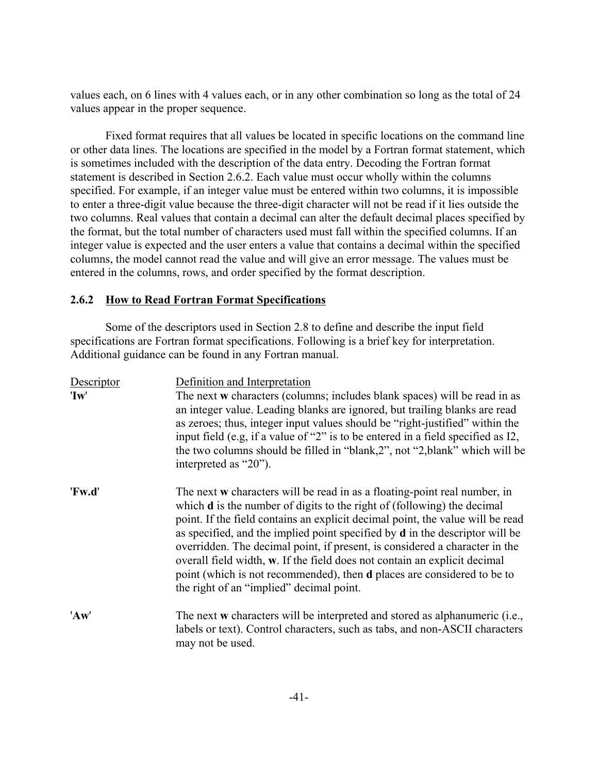values each, on 6 lines with 4 values each, or in any other combination so long as the total of 24 values appear in the proper sequence.

Fixed format requires that all values be located in specific locations on the command line or other data lines. The locations are specified in the model by a Fortran format statement, which is sometimes included with the description of the data entry. Decoding the Fortran format statement is described in Section 2.6.2. Each value must occur wholly within the columns specified. For example, if an integer value must be entered within two columns, it is impossible to enter a three-digit value because the three-digit character will not be read if it lies outside the two columns. Real values that contain a decimal can alter the default decimal places specified by the format, but the total number of characters used must fall within the specified columns. If an integer value is expected and the user enters a value that contains a decimal within the specified columns, the model cannot read the value and will give an error message. The values must be entered in the columns, rows, and order specified by the format description.

### **2.6.2 How to Read Fortran Format Specifications**

Some of the descriptors used in Section 2.8 to define and describe the input field specifications are Fortran format specifications. Following is a brief key for interpretation. Additional guidance can be found in any Fortran manual.

| Descriptor<br>'Iw' | Definition and Interpretation<br>The next w characters (columns; includes blank spaces) will be read in as<br>an integer value. Leading blanks are ignored, but trailing blanks are read<br>as zeroes; thus, integer input values should be "right-justified" within the<br>input field (e.g. if a value of "2" is to be entered in a field specified as I2,<br>the two columns should be filled in "blank,2", not "2, blank" which will be<br>interpreted as "20").                                                                                                                                                           |
|--------------------|--------------------------------------------------------------------------------------------------------------------------------------------------------------------------------------------------------------------------------------------------------------------------------------------------------------------------------------------------------------------------------------------------------------------------------------------------------------------------------------------------------------------------------------------------------------------------------------------------------------------------------|
| 'Fw.d'             | The next w characters will be read in as a floating-point real number, in<br>which <b>d</b> is the number of digits to the right of (following) the decimal<br>point. If the field contains an explicit decimal point, the value will be read<br>as specified, and the implied point specified by <b>d</b> in the descriptor will be<br>overridden. The decimal point, if present, is considered a character in the<br>overall field width, w. If the field does not contain an explicit decimal<br>point (which is not recommended), then <b>d</b> places are considered to be to<br>the right of an "implied" decimal point. |
| 'Aw'               | The next w characters will be interpreted and stored as alphanumeric (i.e.,<br>labels or text). Control characters, such as tabs, and non-ASCII characters<br>may not be used.                                                                                                                                                                                                                                                                                                                                                                                                                                                 |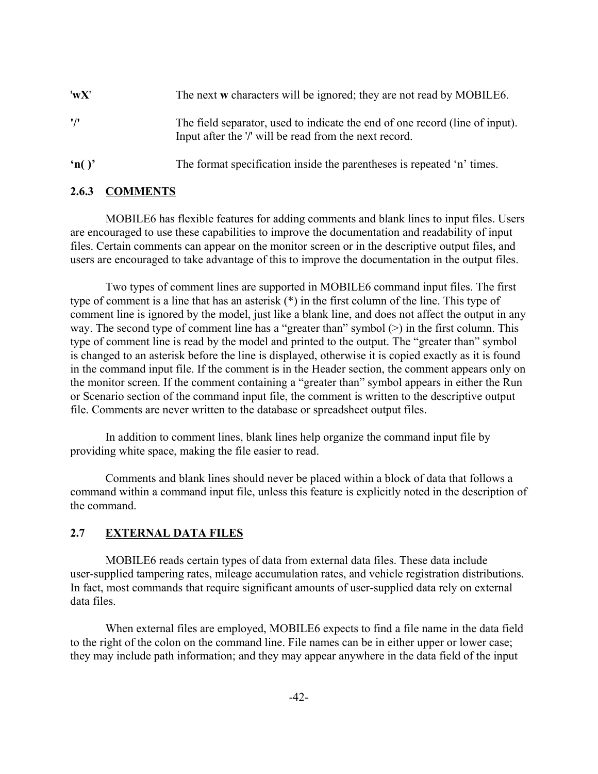| 'wX'                  | The next w characters will be ignored; they are not read by MOBILE6.                                                                   |
|-----------------------|----------------------------------------------------------------------------------------------------------------------------------------|
| $^{\prime}/^{\prime}$ | The field separator, used to indicate the end of one record (line of input).<br>Input after the '/' will be read from the next record. |
|                       |                                                                                                                                        |

**'n( )'** The format specification inside the parentheses is repeated 'n' times.

### **2.6.3 COMMENTS**

MOBILE6 has flexible features for adding comments and blank lines to input files. Users are encouraged to use these capabilities to improve the documentation and readability of input files. Certain comments can appear on the monitor screen or in the descriptive output files, and users are encouraged to take advantage of this to improve the documentation in the output files.

Two types of comment lines are supported in MOBILE6 command input files. The first type of comment is a line that has an asterisk (\*) in the first column of the line. This type of comment line is ignored by the model, just like a blank line, and does not affect the output in any way. The second type of comment line has a "greater than" symbol  $(>)$  in the first column. This type of comment line is read by the model and printed to the output. The "greater than" symbol is changed to an asterisk before the line is displayed, otherwise it is copied exactly as it is found in the command input file. If the comment is in the Header section, the comment appears only on the monitor screen. If the comment containing a "greater than" symbol appears in either the Run or Scenario section of the command input file, the comment is written to the descriptive output file. Comments are never written to the database or spreadsheet output files.

In addition to comment lines, blank lines help organize the command input file by providing white space, making the file easier to read.

Comments and blank lines should never be placed within a block of data that follows a command within a command input file, unless this feature is explicitly noted in the description of the command.

### **2.7 EXTERNAL DATA FILES**

MOBILE6 reads certain types of data from external data files. These data include user-supplied tampering rates, mileage accumulation rates, and vehicle registration distributions. In fact, most commands that require significant amounts of user-supplied data rely on external data files.

When external files are employed, MOBILE6 expects to find a file name in the data field to the right of the colon on the command line. File names can be in either upper or lower case; they may include path information; and they may appear anywhere in the data field of the input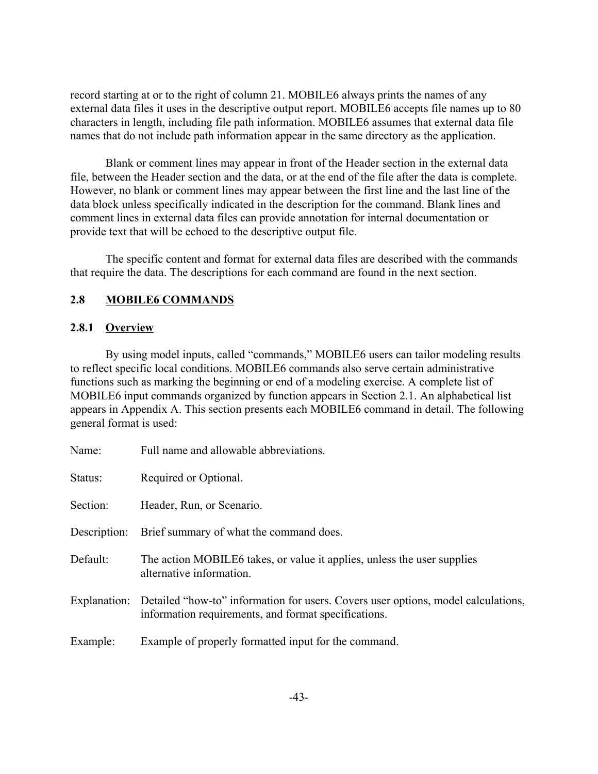record starting at or to the right of column 21. MOBILE6 always prints the names of any external data files it uses in the descriptive output report. MOBILE6 accepts file names up to 80 characters in length, including file path information. MOBILE6 assumes that external data file names that do not include path information appear in the same directory as the application.

Blank or comment lines may appear in front of the Header section in the external data file, between the Header section and the data, or at the end of the file after the data is complete. However, no blank or comment lines may appear between the first line and the last line of the data block unless specifically indicated in the description for the command. Blank lines and comment lines in external data files can provide annotation for internal documentation or provide text that will be echoed to the descriptive output file.

The specific content and format for external data files are described with the commands that require the data. The descriptions for each command are found in the next section.

# **2.8 MOBILE6 COMMANDS**

### **2.8.1 Overview**

By using model inputs, called "commands," MOBILE6 users can tailor modeling results to reflect specific local conditions. MOBILE6 commands also serve certain administrative functions such as marking the beginning or end of a modeling exercise. A complete list of MOBILE6 input commands organized by function appears in Section 2.1. An alphabetical list appears in Appendix A. This section presents each MOBILE6 command in detail. The following general format is used:

| Name:        | Full name and allowable abbreviations.                                                                                                    |
|--------------|-------------------------------------------------------------------------------------------------------------------------------------------|
| Status:      | Required or Optional.                                                                                                                     |
| Section:     | Header, Run, or Scenario.                                                                                                                 |
| Description: | Brief summary of what the command does.                                                                                                   |
| Default:     | The action MOBILE6 takes, or value it applies, unless the user supplies<br>alternative information.                                       |
| Explanation: | Detailed "how-to" information for users. Covers user options, model calculations,<br>information requirements, and format specifications. |
| Example:     | Example of properly formatted input for the command.                                                                                      |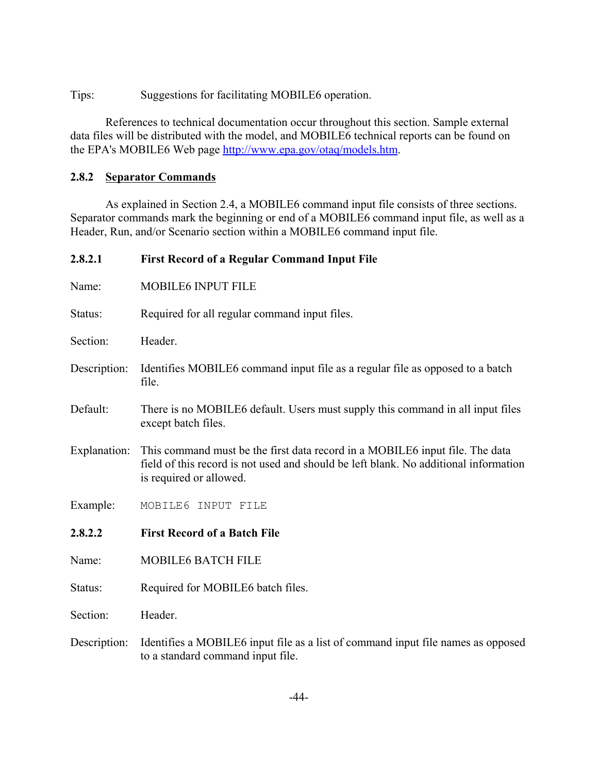Tips: Suggestions for facilitating MOBILE6 operation.

References to technical documentation occur throughout this section. Sample external data files will be distributed with the model, and MOBILE6 technical reports can be found on the EPA's MOBILE6 Web page http://www.epa.gov/otaq/models.htm.

# **2.8.2 Separator Commands**

As explained in Section 2.4, a MOBILE6 command input file consists of three sections. Separator commands mark the beginning or end of a MOBILE6 command input file, as well as a Header, Run, and/or Scenario section within a MOBILE6 command input file.

| 2.8.2.1      | First Record of a Regular Command Input File                                                                                                                                                    |
|--------------|-------------------------------------------------------------------------------------------------------------------------------------------------------------------------------------------------|
| Name:        | MOBILE6 INPUT FILE                                                                                                                                                                              |
| Status:      | Required for all regular command input files.                                                                                                                                                   |
| Section:     | Header.                                                                                                                                                                                         |
| Description: | Identifies MOBILE6 command input file as a regular file as opposed to a batch<br>file.                                                                                                          |
| Default:     | There is no MOBILE6 default. Users must supply this command in all input files<br>except batch files.                                                                                           |
| Explanation: | This command must be the first data record in a MOBILE6 input file. The data<br>field of this record is not used and should be left blank. No additional information<br>is required or allowed. |
| Example:     | MOBILE6 INPUT FILE                                                                                                                                                                              |
| 2.8.2.2      | <b>First Record of a Batch File</b>                                                                                                                                                             |
| Name:        | <b>MOBILE6 BATCH FILE</b>                                                                                                                                                                       |
| Status:      | Required for MOBILE6 batch files.                                                                                                                                                               |
| Section:     | Header.                                                                                                                                                                                         |
| Description: | Identifies a MOBILE6 input file as a list of command input file names as opposed<br>to a standard command input file.                                                                           |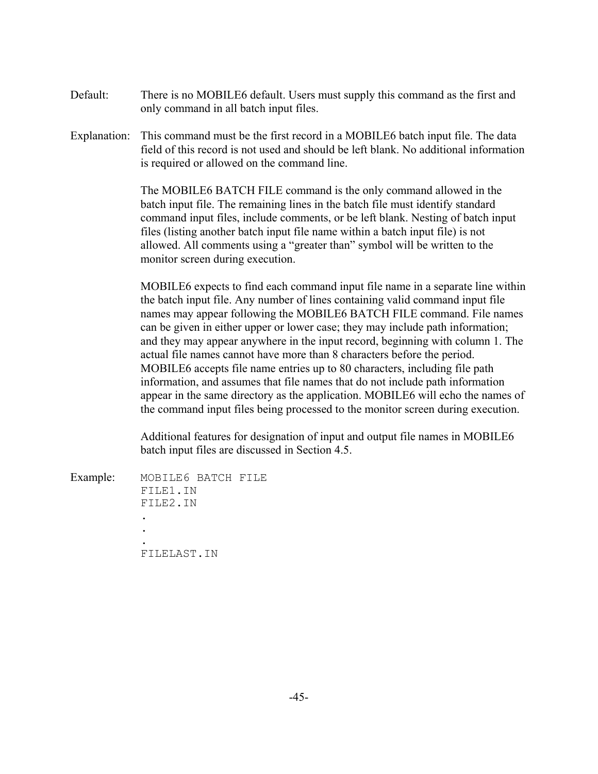- Default: There is no MOBILE6 default. Users must supply this command as the first and only command in all batch input files.
- Explanation: This command must be the first record in a MOBILE6 batch input file. The data field of this record is not used and should be left blank. No additional information is required or allowed on the command line.

The MOBILE6 BATCH FILE command is the only command allowed in the batch input file. The remaining lines in the batch file must identify standard command input files, include comments, or be left blank. Nesting of batch input files (listing another batch input file name within a batch input file) is not allowed. All comments using a "greater than" symbol will be written to the monitor screen during execution.

MOBILE6 expects to find each command input file name in a separate line within the batch input file. Any number of lines containing valid command input file names may appear following the MOBILE6 BATCH FILE command. File names can be given in either upper or lower case; they may include path information; and they may appear anywhere in the input record, beginning with column 1. The actual file names cannot have more than 8 characters before the period. MOBILE6 accepts file name entries up to 80 characters, including file path information, and assumes that file names that do not include path information appear in the same directory as the application. MOBILE6 will echo the names of the command input files being processed to the monitor screen during execution.

Additional features for designation of input and output file names in MOBILE6 batch input files are discussed in Section 4.5.

| Example: | MOBILE6 BATCH FILE |  |
|----------|--------------------|--|
|          | FILE1.IN           |  |
|          | FILE2.IN           |  |
|          |                    |  |
|          |                    |  |
|          |                    |  |
|          | FILELAST.IN        |  |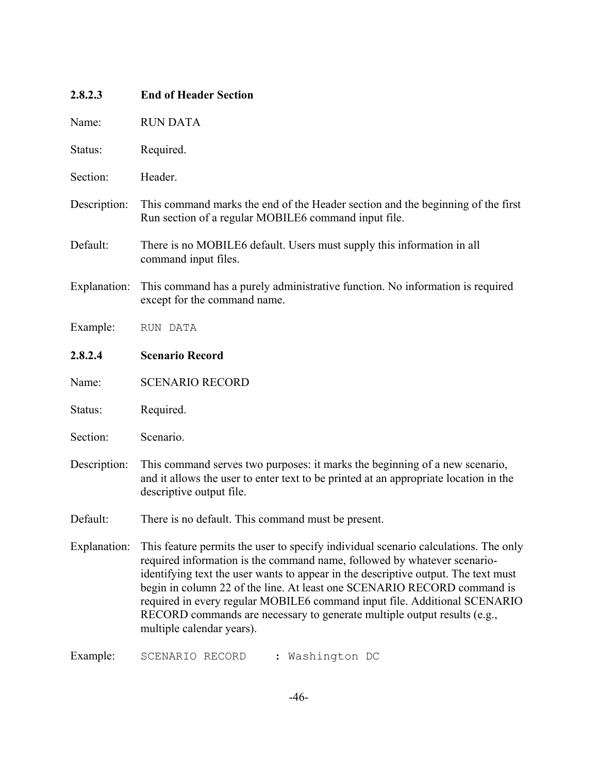| 2.8.2.3      | <b>End of Header Section</b>                                                                                                                                                                                                                                                                                                                                                                                                                                                                                           |  |  |
|--------------|------------------------------------------------------------------------------------------------------------------------------------------------------------------------------------------------------------------------------------------------------------------------------------------------------------------------------------------------------------------------------------------------------------------------------------------------------------------------------------------------------------------------|--|--|
| Name:        | <b>RUN DATA</b>                                                                                                                                                                                                                                                                                                                                                                                                                                                                                                        |  |  |
| Status:      | Required.                                                                                                                                                                                                                                                                                                                                                                                                                                                                                                              |  |  |
| Section:     | Header.                                                                                                                                                                                                                                                                                                                                                                                                                                                                                                                |  |  |
| Description: | This command marks the end of the Header section and the beginning of the first<br>Run section of a regular MOBILE6 command input file.                                                                                                                                                                                                                                                                                                                                                                                |  |  |
| Default:     | There is no MOBILE6 default. Users must supply this information in all<br>command input files.                                                                                                                                                                                                                                                                                                                                                                                                                         |  |  |
| Explanation: | This command has a purely administrative function. No information is required<br>except for the command name.                                                                                                                                                                                                                                                                                                                                                                                                          |  |  |
| Example:     | RUN DATA                                                                                                                                                                                                                                                                                                                                                                                                                                                                                                               |  |  |
| 2.8.2.4      | <b>Scenario Record</b>                                                                                                                                                                                                                                                                                                                                                                                                                                                                                                 |  |  |
| Name:        | <b>SCENARIO RECORD</b>                                                                                                                                                                                                                                                                                                                                                                                                                                                                                                 |  |  |
| Status:      | Required.                                                                                                                                                                                                                                                                                                                                                                                                                                                                                                              |  |  |
| Section:     | Scenario.                                                                                                                                                                                                                                                                                                                                                                                                                                                                                                              |  |  |
| Description: | This command serves two purposes: it marks the beginning of a new scenario,<br>and it allows the user to enter text to be printed at an appropriate location in the<br>descriptive output file.                                                                                                                                                                                                                                                                                                                        |  |  |
| Default:     | There is no default. This command must be present.                                                                                                                                                                                                                                                                                                                                                                                                                                                                     |  |  |
| Explanation: | This feature permits the user to specify individual scenario calculations. The only<br>required information is the command name, followed by whatever scenario-<br>identifying text the user wants to appear in the descriptive output. The text must<br>begin in column 22 of the line. At least one SCENARIO RECORD command is<br>required in every regular MOBILE6 command input file. Additional SCENARIO<br>RECORD commands are necessary to generate multiple output results (e.g.,<br>multiple calendar years). |  |  |
| Example:     | Washington DC<br>SCENARIO RECORD                                                                                                                                                                                                                                                                                                                                                                                                                                                                                       |  |  |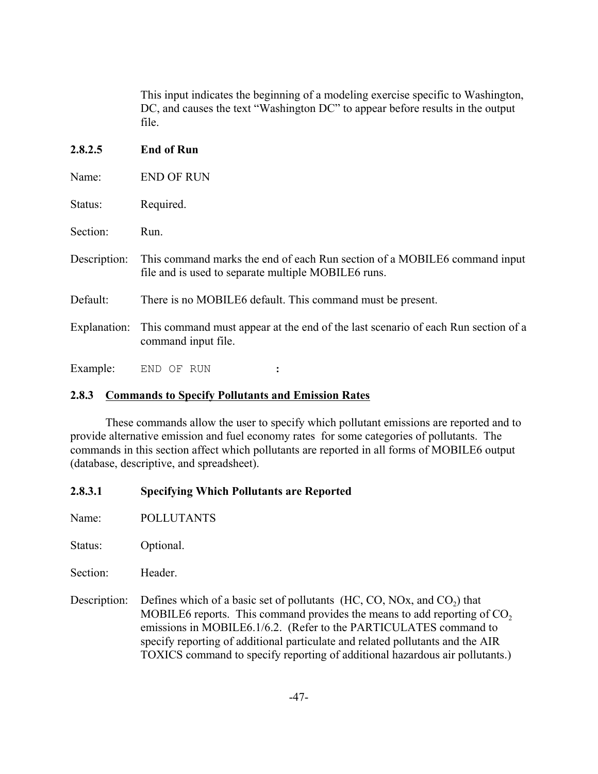This input indicates the beginning of a modeling exercise specific to Washington, DC, and causes the text "Washington DC" to appear before results in the output file.

## **2.8.2.5 End of Run**

| Status: | Required. |
|---------|-----------|
|         |           |

Section: Run.

- Description: This command marks the end of each Run section of a MOBILE6 command input file and is used to separate multiple MOBILE6 runs.
- Default: There is no MOBILE6 default. This command must be present.
- Explanation: This command must appear at the end of the last scenario of each Run section of a command input file.

Example: END OF RUN :

# **2.8.3 Commands to Specify Pollutants and Emission Rates**

These commands allow the user to specify which pollutant emissions are reported and to provide alternative emission and fuel economy rates for some categories of pollutants. The commands in this section affect which pollutants are reported in all forms of MOBILE6 output (database, descriptive, and spreadsheet).

# **2.8.3.1 Specifying Which Pollutants are Reported**

Name: POLLUTANTS

Status: Optional.

Section: Header

Description: Defines which of a basic set of pollutants  $(HC, CO, NOx, and CO<sub>2</sub>)$  that MOBILE6 reports. This command provides the means to add reporting of  $CO<sub>2</sub>$ emissions in MOBILE6.1/6.2. (Refer to the PARTICULATES command to specify reporting of additional particulate and related pollutants and the AIR TOXICS command to specify reporting of additional hazardous air pollutants.)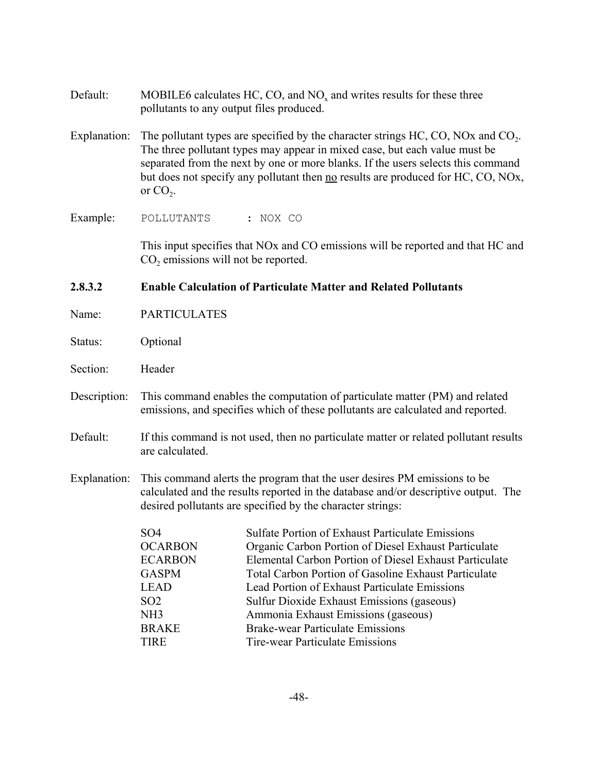- Default: MOBILE6 calculates HC, CO, and  $NO<sub>x</sub>$  and writes results for these three pollutants to any output files produced.
- Explanation: The pollutant types are specified by the character strings HC, CO, NOx and CO<sub>2</sub>. The three pollutant types may appear in mixed case, but each value must be separated from the next by one or more blanks. If the users selects this command but does not specify any pollutant then no results are produced for HC, CO, NOx, or  $CO<sub>2</sub>$ .

Example: POLLUTANTS : NOX CO

This input specifies that NOx and CO emissions will be reported and that HC and CO<sub>2</sub> emissions will not be reported.

# **2.8.3.2 Enable Calculation of Particulate Matter and Related Pollutants**

- Name: PARTICULATES
- Status: Optional
- Section: Header
- Description: This command enables the computation of particulate matter (PM) and related emissions, and specifies which of these pollutants are calculated and reported.
- Default: If this command is not used, then no particulate matter or related pollutant results are calculated.
- Explanation: This command alerts the program that the user desires PM emissions to be calculated and the results reported in the database and/or descriptive output. The desired pollutants are specified by the character strings:

| SO <sub>4</sub> | <b>Sulfate Portion of Exhaust Particulate Emissions</b>     |
|-----------------|-------------------------------------------------------------|
| <b>OCARBON</b>  | Organic Carbon Portion of Diesel Exhaust Particulate        |
| <b>ECARBON</b>  | Elemental Carbon Portion of Diesel Exhaust Particulate      |
| <b>GASPM</b>    | <b>Total Carbon Portion of Gasoline Exhaust Particulate</b> |
| <b>LEAD</b>     | Lead Portion of Exhaust Particulate Emissions               |
| SO <sub>2</sub> | Sulfur Dioxide Exhaust Emissions (gaseous)                  |
| NH <sub>3</sub> | Ammonia Exhaust Emissions (gaseous)                         |
| <b>BRAKE</b>    | <b>Brake-wear Particulate Emissions</b>                     |
| <b>TIRE</b>     | Tire-wear Particulate Emissions                             |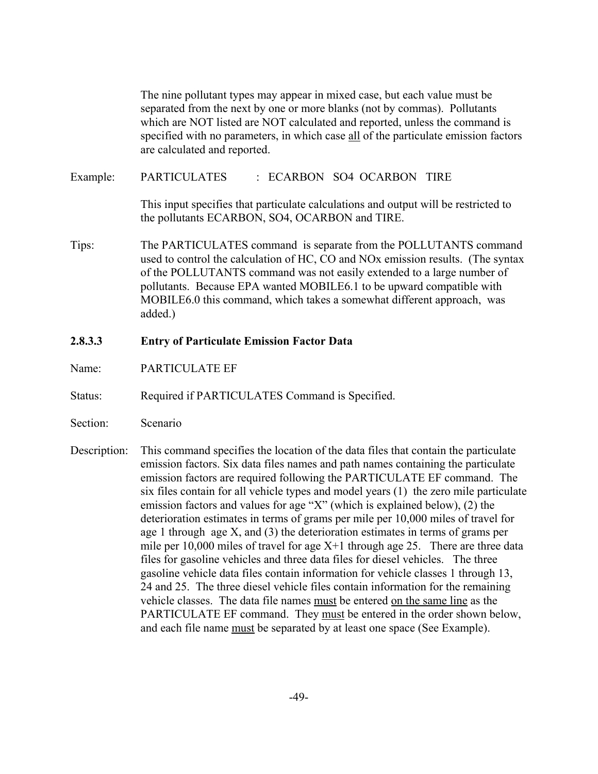The nine pollutant types may appear in mixed case, but each value must be separated from the next by one or more blanks (not by commas). Pollutants which are NOT listed are NOT calculated and reported, unless the command is specified with no parameters, in which case all of the particulate emission factors are calculated and reported. Example: PARTICULATES : ECARBON SO4 OCARBON TIRE This input specifies that particulate calculations and output will be restricted to

Tips: The PARTICULATES command is separate from the POLLUTANTS command used to control the calculation of HC, CO and NOx emission results. (The syntax of the POLLUTANTS command was not easily extended to a large number of pollutants. Because EPA wanted MOBILE6.1 to be upward compatible with MOBILE6.0 this command, which takes a somewhat different approach, was added.)

the pollutants ECARBON, SO4, OCARBON and TIRE.

- **2.8.3.3 Entry of Particulate Emission Factor Data**
- Name: PARTICULATE EF
- Status: Required if PARTICULATES Command is Specified.
- Section: Scenario
- Description: This command specifies the location of the data files that contain the particulate emission factors. Six data files names and path names containing the particulate emission factors are required following the PARTICULATE EF command. The six files contain for all vehicle types and model years (1) the zero mile particulate emission factors and values for age "X" (which is explained below), (2) the deterioration estimates in terms of grams per mile per 10,000 miles of travel for age 1 through age X, and (3) the deterioration estimates in terms of grams per mile per  $10,000$  miles of travel for age  $X+1$  through age 25. There are three data files for gasoline vehicles and three data files for diesel vehicles. The three gasoline vehicle data files contain information for vehicle classes 1 through 13, 24 and 25. The three diesel vehicle files contain information for the remaining vehicle classes. The data file names must be entered on the same line as the PARTICULATE EF command. They must be entered in the order shown below, and each file name must be separated by at least one space (See Example).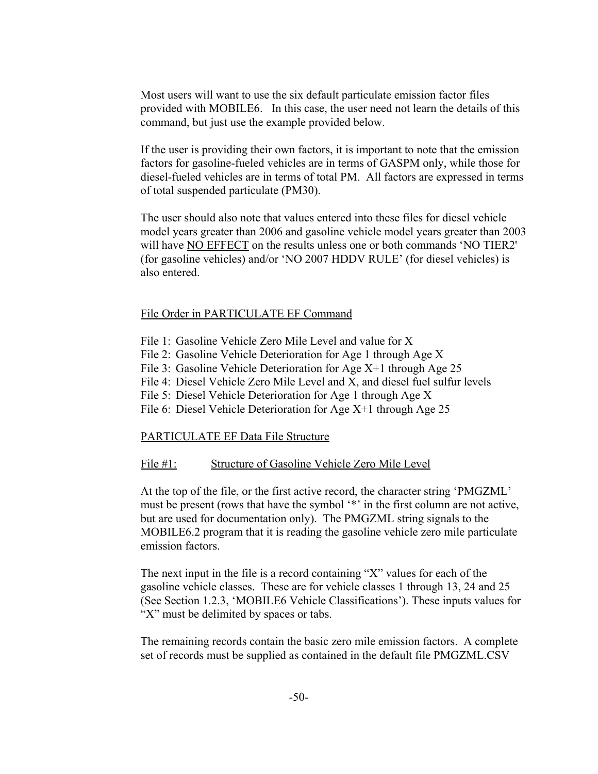Most users will want to use the six default particulate emission factor files provided with MOBILE6. In this case, the user need not learn the details of this command, but just use the example provided below.

If the user is providing their own factors, it is important to note that the emission factors for gasoline-fueled vehicles are in terms of GASPM only, while those for diesel-fueled vehicles are in terms of total PM. All factors are expressed in terms of total suspended particulate (PM30).

The user should also note that values entered into these files for diesel vehicle model years greater than 2006 and gasoline vehicle model years greater than 2003 will have NO EFFECT on the results unless one or both commands 'NO TIER2' (for gasoline vehicles) and/or 'NO 2007 HDDV RULE' (for diesel vehicles) is also entered.

#### File Order in PARTICULATE EF Command

- File 1: Gasoline Vehicle Zero Mile Level and value for X
- File 2: Gasoline Vehicle Deterioration for Age 1 through Age X
- File 3: Gasoline Vehicle Deterioration for Age X+1 through Age 25
- File 4: Diesel Vehicle Zero Mile Level and X, and diesel fuel sulfur levels
- File 5: Diesel Vehicle Deterioration for Age 1 through Age X
- File 6: Diesel Vehicle Deterioration for Age X+1 through Age 25

### PARTICULATE EF Data File Structure

### File #1: Structure of Gasoline Vehicle Zero Mile Level

At the top of the file, or the first active record, the character string 'PMGZML' must be present (rows that have the symbol '\*' in the first column are not active, but are used for documentation only). The PMGZML string signals to the MOBILE6.2 program that it is reading the gasoline vehicle zero mile particulate emission factors.

The next input in the file is a record containing "X" values for each of the gasoline vehicle classes. These are for vehicle classes 1 through 13, 24 and 25 (See Section 1.2.3, 'MOBILE6 Vehicle Classifications'). These inputs values for "X" must be delimited by spaces or tabs.

The remaining records contain the basic zero mile emission factors. A complete set of records must be supplied as contained in the default file PMGZML.CSV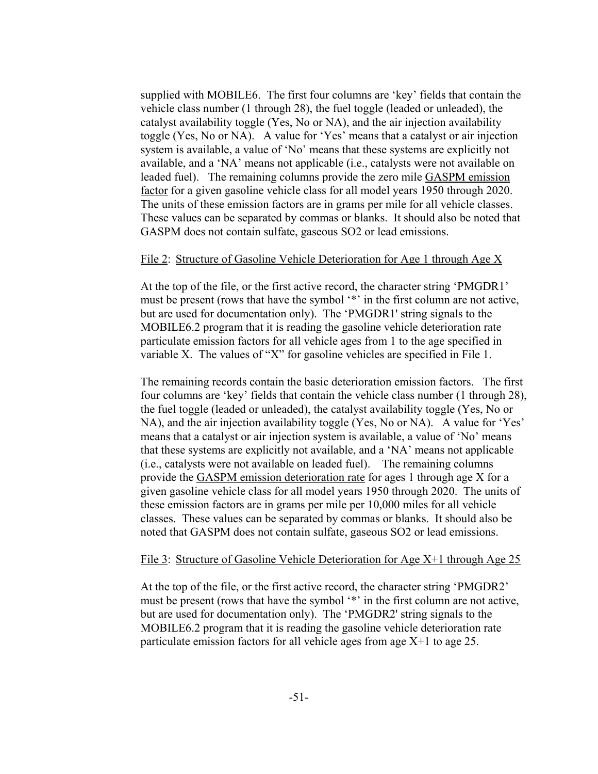supplied with MOBILE6. The first four columns are 'key' fields that contain the vehicle class number (1 through 28), the fuel toggle (leaded or unleaded), the catalyst availability toggle (Yes, No or NA), and the air injection availability toggle (Yes, No or NA). A value for 'Yes' means that a catalyst or air injection system is available, a value of 'No' means that these systems are explicitly not available, and a 'NA' means not applicable (i.e., catalysts were not available on leaded fuel). The remaining columns provide the zero mile GASPM emission factor for a given gasoline vehicle class for all model years 1950 through 2020. The units of these emission factors are in grams per mile for all vehicle classes. These values can be separated by commas or blanks. It should also be noted that GASPM does not contain sulfate, gaseous SO2 or lead emissions.

#### File 2: Structure of Gasoline Vehicle Deterioration for Age 1 through Age X

At the top of the file, or the first active record, the character string 'PMGDR1' must be present (rows that have the symbol '\*' in the first column are not active, but are used for documentation only). The 'PMGDR1' string signals to the MOBILE6.2 program that it is reading the gasoline vehicle deterioration rate particulate emission factors for all vehicle ages from 1 to the age specified in variable X. The values of "X" for gasoline vehicles are specified in File 1.

The remaining records contain the basic deterioration emission factors. The first four columns are 'key' fields that contain the vehicle class number (1 through 28), the fuel toggle (leaded or unleaded), the catalyst availability toggle (Yes, No or NA), and the air injection availability toggle (Yes, No or NA). A value for 'Yes' means that a catalyst or air injection system is available, a value of 'No' means that these systems are explicitly not available, and a 'NA' means not applicable (i.e., catalysts were not available on leaded fuel). The remaining columns provide the GASPM emission deterioration rate for ages 1 through age X for a given gasoline vehicle class for all model years 1950 through 2020. The units of these emission factors are in grams per mile per 10,000 miles for all vehicle classes. These values can be separated by commas or blanks. It should also be noted that GASPM does not contain sulfate, gaseous SO2 or lead emissions.

#### File 3: Structure of Gasoline Vehicle Deterioration for Age X+1 through Age 25

At the top of the file, or the first active record, the character string 'PMGDR2' must be present (rows that have the symbol '\*' in the first column are not active, but are used for documentation only). The 'PMGDR2' string signals to the MOBILE6.2 program that it is reading the gasoline vehicle deterioration rate particulate emission factors for all vehicle ages from age X+1 to age 25.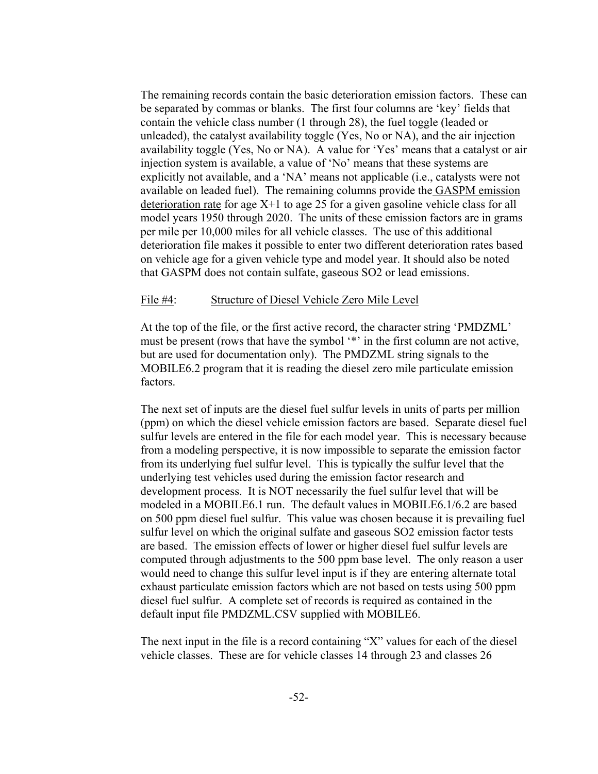The remaining records contain the basic deterioration emission factors. These can be separated by commas or blanks. The first four columns are 'key' fields that contain the vehicle class number (1 through 28), the fuel toggle (leaded or unleaded), the catalyst availability toggle (Yes, No or NA), and the air injection availability toggle (Yes, No or NA). A value for 'Yes' means that a catalyst or air injection system is available, a value of 'No' means that these systems are explicitly not available, and a 'NA' means not applicable (i.e., catalysts were not available on leaded fuel). The remaining columns provide the GASPM emission deterioration rate for age  $X+1$  to age 25 for a given gasoline vehicle class for all model years 1950 through 2020. The units of these emission factors are in grams per mile per 10,000 miles for all vehicle classes. The use of this additional deterioration file makes it possible to enter two different deterioration rates based on vehicle age for a given vehicle type and model year. It should also be noted that GASPM does not contain sulfate, gaseous SO2 or lead emissions.

#### File #4: Structure of Diesel Vehicle Zero Mile Level

At the top of the file, or the first active record, the character string 'PMDZML' must be present (rows that have the symbol '\*' in the first column are not active, but are used for documentation only). The PMDZML string signals to the MOBILE6.2 program that it is reading the diesel zero mile particulate emission factors.

The next set of inputs are the diesel fuel sulfur levels in units of parts per million (ppm) on which the diesel vehicle emission factors are based. Separate diesel fuel sulfur levels are entered in the file for each model year. This is necessary because from a modeling perspective, it is now impossible to separate the emission factor from its underlying fuel sulfur level. This is typically the sulfur level that the underlying test vehicles used during the emission factor research and development process. It is NOT necessarily the fuel sulfur level that will be modeled in a MOBILE6.1 run. The default values in MOBILE6.1/6.2 are based on 500 ppm diesel fuel sulfur. This value was chosen because it is prevailing fuel sulfur level on which the original sulfate and gaseous SO2 emission factor tests are based. The emission effects of lower or higher diesel fuel sulfur levels are computed through adjustments to the 500 ppm base level. The only reason a user would need to change this sulfur level input is if they are entering alternate total exhaust particulate emission factors which are not based on tests using 500 ppm diesel fuel sulfur. A complete set of records is required as contained in the default input file PMDZML.CSV supplied with MOBILE6.

The next input in the file is a record containing "X" values for each of the diesel vehicle classes. These are for vehicle classes 14 through 23 and classes 26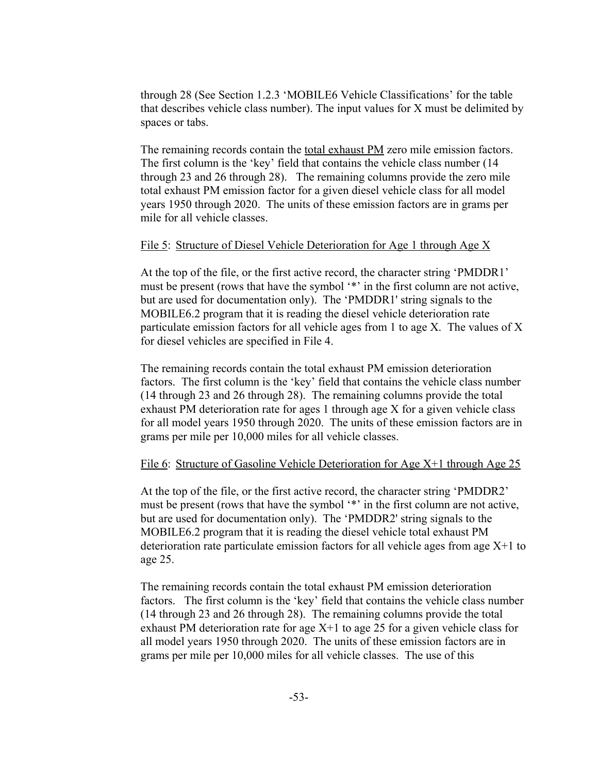through 28 (See Section 1.2.3 'MOBILE6 Vehicle Classifications' for the table that describes vehicle class number). The input values for X must be delimited by spaces or tabs.

The remaining records contain the total exhaust PM zero mile emission factors. The first column is the 'key' field that contains the vehicle class number (14 through 23 and 26 through 28). The remaining columns provide the zero mile total exhaust PM emission factor for a given diesel vehicle class for all model years 1950 through 2020. The units of these emission factors are in grams per mile for all vehicle classes.

### File 5: Structure of Diesel Vehicle Deterioration for Age 1 through Age X

At the top of the file, or the first active record, the character string 'PMDDR1' must be present (rows that have the symbol '\*' in the first column are not active, but are used for documentation only). The 'PMDDR1' string signals to the MOBILE6.2 program that it is reading the diesel vehicle deterioration rate particulate emission factors for all vehicle ages from 1 to age X. The values of X for diesel vehicles are specified in File 4.

The remaining records contain the total exhaust PM emission deterioration factors. The first column is the 'key' field that contains the vehicle class number (14 through 23 and 26 through 28). The remaining columns provide the total exhaust PM deterioration rate for ages 1 through age X for a given vehicle class for all model years 1950 through 2020. The units of these emission factors are in grams per mile per 10,000 miles for all vehicle classes.

### File 6: Structure of Gasoline Vehicle Deterioration for Age X+1 through Age 25

At the top of the file, or the first active record, the character string 'PMDDR2' must be present (rows that have the symbol '\*' in the first column are not active, but are used for documentation only). The 'PMDDR2' string signals to the MOBILE6.2 program that it is reading the diesel vehicle total exhaust PM deterioration rate particulate emission factors for all vehicle ages from age X+1 to age 25.

The remaining records contain the total exhaust PM emission deterioration factors. The first column is the 'key' field that contains the vehicle class number (14 through 23 and 26 through 28). The remaining columns provide the total exhaust PM deterioration rate for age  $X+1$  to age 25 for a given vehicle class for all model years 1950 through 2020. The units of these emission factors are in grams per mile per 10,000 miles for all vehicle classes. The use of this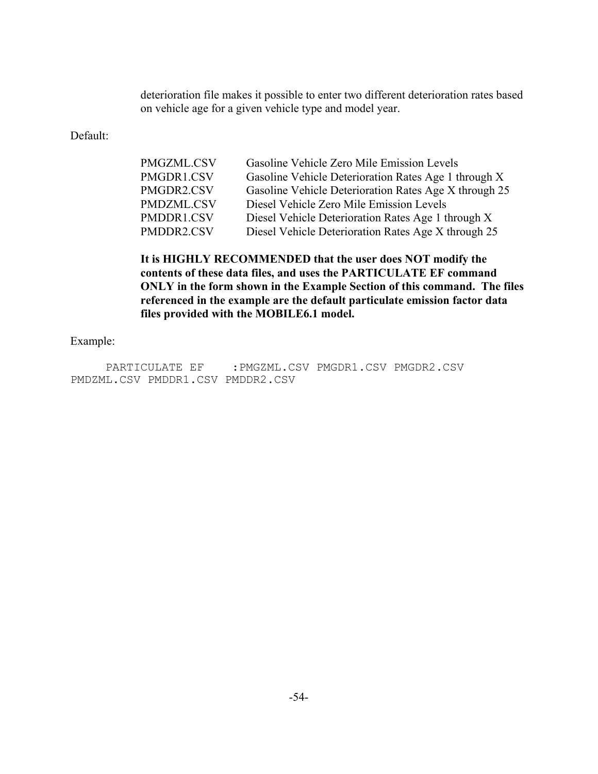deterioration file makes it possible to enter two different deterioration rates based on vehicle age for a given vehicle type and model year.

Default:

| PMGZML.CSV | Gasoline Vehicle Zero Mile Emission Levels            |
|------------|-------------------------------------------------------|
| PMGDR1.CSV | Gasoline Vehicle Deterioration Rates Age 1 through X  |
| PMGDR2.CSV | Gasoline Vehicle Deterioration Rates Age X through 25 |
| PMDZML.CSV | Diesel Vehicle Zero Mile Emission Levels              |
| PMDDR1.CSV | Diesel Vehicle Deterioration Rates Age 1 through X    |
| PMDDR2.CSV | Diesel Vehicle Deterioration Rates Age X through 25   |

**It is HIGHLY RECOMMENDED that the user does NOT modify the contents of these data files, and uses the PARTICULATE EF command ONLY in the form shown in the Example Section of this command. The files referenced in the example are the default particulate emission factor data files provided with the MOBILE6.1 model.**

Example:

PARTICULATE EF : PMGZML.CSV PMGDR1.CSV PMGDR2.CSV PMDZML.CSV PMDDR1.CSV PMDDR2.CSV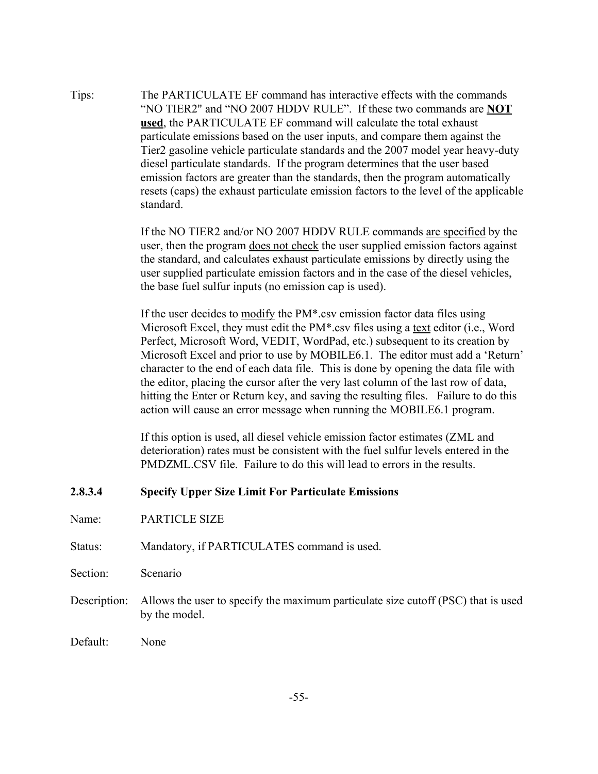Tips: The PARTICULATE EF command has interactive effects with the commands "NO TIER2" and "NO 2007 HDDV RULE". If these two commands are **NOT used**, the PARTICULATE EF command will calculate the total exhaust particulate emissions based on the user inputs, and compare them against the Tier2 gasoline vehicle particulate standards and the 2007 model year heavy-duty diesel particulate standards. If the program determines that the user based emission factors are greater than the standards, then the program automatically resets (caps) the exhaust particulate emission factors to the level of the applicable standard.

> If the NO TIER2 and/or NO 2007 HDDV RULE commands are specified by the user, then the program does not check the user supplied emission factors against the standard, and calculates exhaust particulate emissions by directly using the user supplied particulate emission factors and in the case of the diesel vehicles, the base fuel sulfur inputs (no emission cap is used).

If the user decides to modify the PM\*.csv emission factor data files using Microsoft Excel, they must edit the PM\*.csv files using a text editor (i.e., Word Perfect, Microsoft Word, VEDIT, WordPad, etc.) subsequent to its creation by Microsoft Excel and prior to use by MOBILE6.1. The editor must add a 'Return' character to the end of each data file. This is done by opening the data file with the editor, placing the cursor after the very last column of the last row of data, hitting the Enter or Return key, and saving the resulting files. Failure to do this action will cause an error message when running the MOBILE6.1 program.

If this option is used, all diesel vehicle emission factor estimates (ZML and deterioration) rates must be consistent with the fuel sulfur levels entered in the PMDZML.CSV file. Failure to do this will lead to errors in the results.

### **2.8.3.4 Specify Upper Size Limit For Particulate Emissions**

- Name: PARTICLE SIZE
- Status: Mandatory, if PARTICULATES command is used.
- Section: Scenario
- Description: Allows the user to specify the maximum particulate size cutoff (PSC) that is used by the model.
- Default: None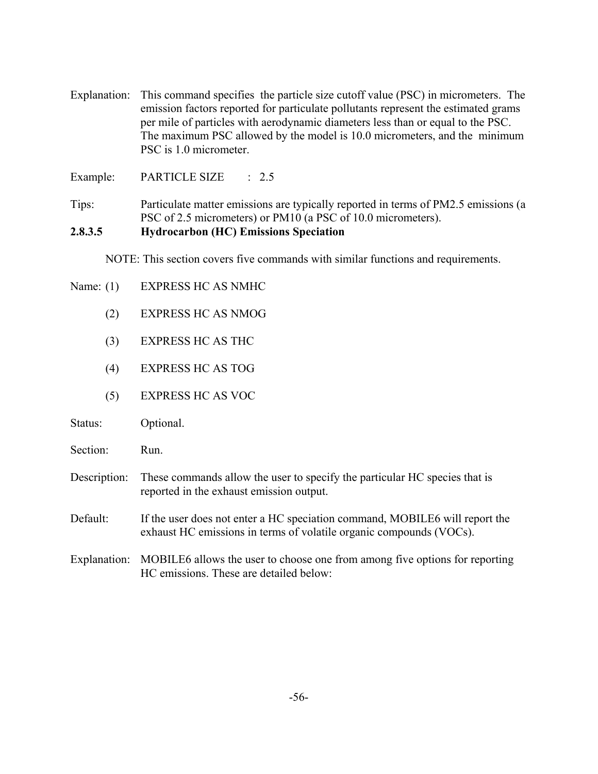Explanation: This command specifies the particle size cutoff value (PSC) in micrometers. The emission factors reported for particulate pollutants represent the estimated grams per mile of particles with aerodynamic diameters less than or equal to the PSC. The maximum PSC allowed by the model is 10.0 micrometers, and the minimum PSC is 1.0 micrometer.

Example: PARTICLE SIZE : 2.5

Tips: Particulate matter emissions are typically reported in terms of PM2.5 emissions (a PSC of 2.5 micrometers) or PM10 (a PSC of 10.0 micrometers).

### **2.8.3.5 Hydrocarbon (HC) Emissions Speciation**

NOTE: This section covers five commands with similar functions and requirements.

- Name: (1) EXPRESS HC AS NMHC
	- (2) EXPRESS HC AS NMOG
	- (3) EXPRESS HC AS THC
	- (4) EXPRESS HC AS TOG
	- (5) EXPRESS HC AS VOC
- Status: Optional.
- Section: Run.
- Description: These commands allow the user to specify the particular HC species that is reported in the exhaust emission output.
- Default: If the user does not enter a HC speciation command, MOBILE6 will report the exhaust HC emissions in terms of volatile organic compounds (VOCs).
- Explanation: MOBILE6 allows the user to choose one from among five options for reporting HC emissions. These are detailed below: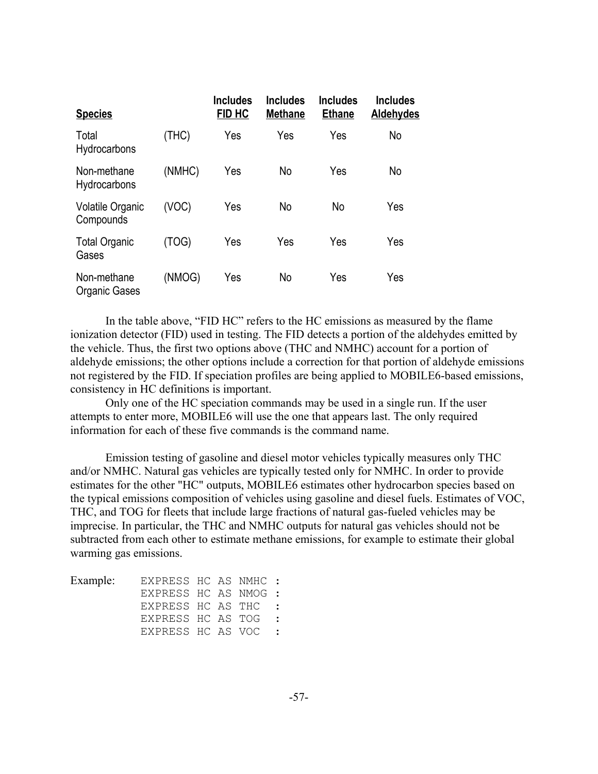| <b>Species</b>                |        | <b>Includes</b><br>FID HC | <b>Includes</b><br><b>Methane</b> | <b>Includes</b><br><b>Ethane</b> | <b>Includes</b><br>Aldehydes |
|-------------------------------|--------|---------------------------|-----------------------------------|----------------------------------|------------------------------|
| Total<br>Hydrocarbons         | (THC)  | Yes                       | Yes                               | Yes                              | No                           |
| Non-methane<br>Hydrocarbons   | (NMHC) | Yes                       | No                                | Yes                              | No                           |
| Volatile Organic<br>Compounds | (VOC)  | Yes                       | No                                | <b>No</b>                        | Yes                          |
| <b>Total Organic</b><br>Gases | (TOG)  | Yes                       | Yes                               | Yes                              | Yes                          |
| Non-methane<br>Organic Gases  | (NMOG) | Yes                       | No                                | Yes                              | Yes                          |

In the table above, "FID HC" refers to the HC emissions as measured by the flame ionization detector (FID) used in testing. The FID detects a portion of the aldehydes emitted by the vehicle. Thus, the first two options above (THC and NMHC) account for a portion of aldehyde emissions; the other options include a correction for that portion of aldehyde emissions not registered by the FID. If speciation profiles are being applied to MOBILE6-based emissions, consistency in HC definitions is important.

Only one of the HC speciation commands may be used in a single run. If the user attempts to enter more, MOBILE6 will use the one that appears last. The only required information for each of these five commands is the command name.

Emission testing of gasoline and diesel motor vehicles typically measures only THC and/or NMHC. Natural gas vehicles are typically tested only for NMHC. In order to provide estimates for the other "HC" outputs, MOBILE6 estimates other hydrocarbon species based on the typical emissions composition of vehicles using gasoline and diesel fuels. Estimates of VOC, THC, and TOG for fleets that include large fractions of natural gas-fueled vehicles may be imprecise. In particular, the THC and NMHC outputs for natural gas vehicles should not be subtracted from each other to estimate methane emissions, for example to estimate their global warming gas emissions.

| Example: | EXPRESS HC AS NMHC : |  |                     |
|----------|----------------------|--|---------------------|
|          | EXPRESS HC AS NMOG : |  |                     |
|          | EXPRESS HC AS THC :  |  |                     |
|          | EXPRESS HC AS TOG    |  | $\sim$ 1.000 $\sim$ |
|          | EXPRESS HC AS VOC    |  |                     |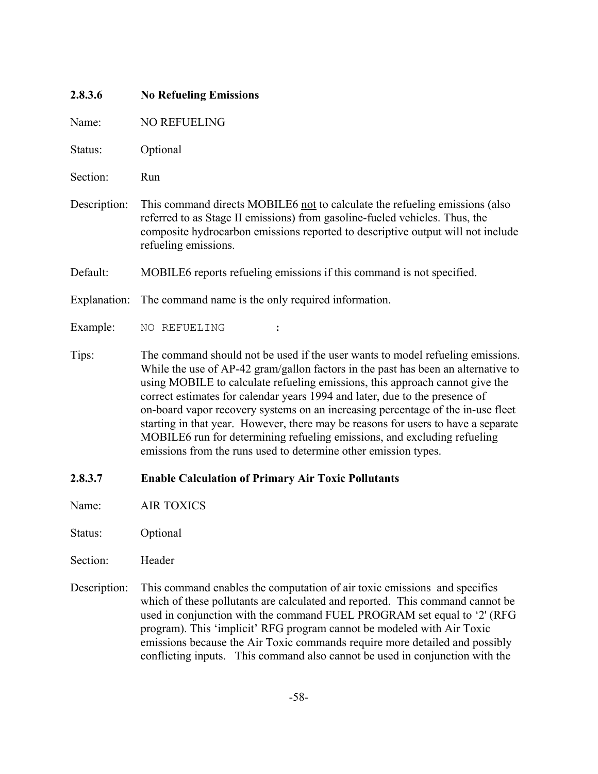| 2.8.3.6      | <b>No Refueling Emissions</b>                                                                                                                                                                                                                                                                                                                                                                                                                                                                                                                                                                                                                             |
|--------------|-----------------------------------------------------------------------------------------------------------------------------------------------------------------------------------------------------------------------------------------------------------------------------------------------------------------------------------------------------------------------------------------------------------------------------------------------------------------------------------------------------------------------------------------------------------------------------------------------------------------------------------------------------------|
| Name:        | <b>NO REFUELING</b>                                                                                                                                                                                                                                                                                                                                                                                                                                                                                                                                                                                                                                       |
| Status:      | Optional                                                                                                                                                                                                                                                                                                                                                                                                                                                                                                                                                                                                                                                  |
| Section:     | Run                                                                                                                                                                                                                                                                                                                                                                                                                                                                                                                                                                                                                                                       |
| Description: | This command directs MOBILE6 not to calculate the refueling emissions (also<br>referred to as Stage II emissions) from gasoline-fueled vehicles. Thus, the<br>composite hydrocarbon emissions reported to descriptive output will not include<br>refueling emissions.                                                                                                                                                                                                                                                                                                                                                                                     |
| Default:     | MOBILE6 reports refueling emissions if this command is not specified.                                                                                                                                                                                                                                                                                                                                                                                                                                                                                                                                                                                     |
| Explanation: | The command name is the only required information.                                                                                                                                                                                                                                                                                                                                                                                                                                                                                                                                                                                                        |
| Example:     | NO REFUELING                                                                                                                                                                                                                                                                                                                                                                                                                                                                                                                                                                                                                                              |
| Tips:        | The command should not be used if the user wants to model refueling emissions.<br>While the use of AP-42 gram/gallon factors in the past has been an alternative to<br>using MOBILE to calculate refueling emissions, this approach cannot give the<br>correct estimates for calendar years 1994 and later, due to the presence of<br>on-board vapor recovery systems on an increasing percentage of the in-use fleet<br>starting in that year. However, there may be reasons for users to have a separate<br>MOBILE6 run for determining refueling emissions, and excluding refueling<br>emissions from the runs used to determine other emission types. |
| 2.8.3.7      | <b>Enable Calculation of Primary Air Toxic Pollutants</b>                                                                                                                                                                                                                                                                                                                                                                                                                                                                                                                                                                                                 |

Name: AIR TOXICS

Status: Optional

- Section: Header
- Description: This command enables the computation of air toxic emissions and specifies which of these pollutants are calculated and reported. This command cannot be used in conjunction with the command FUEL PROGRAM set equal to '2' (RFG program). This 'implicit' RFG program cannot be modeled with Air Toxic emissions because the Air Toxic commands require more detailed and possibly conflicting inputs. This command also cannot be used in conjunction with the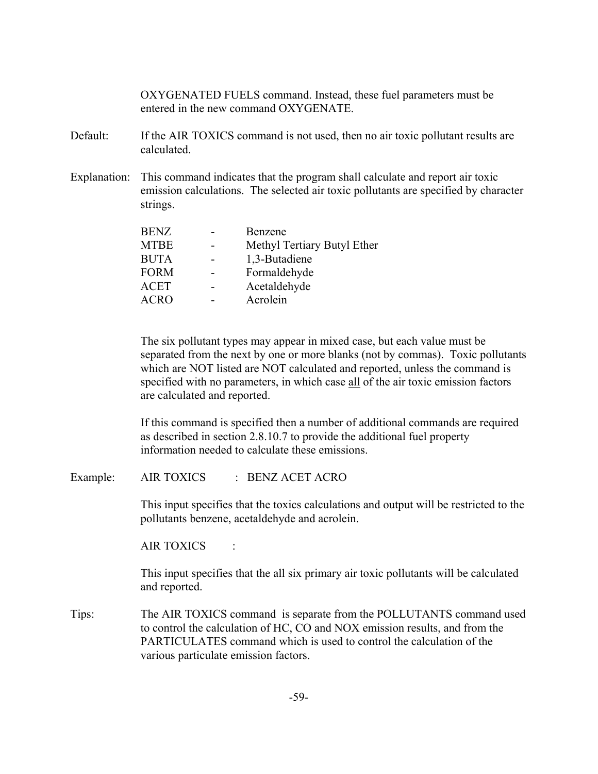OXYGENATED FUELS command. Instead, these fuel parameters must be entered in the new command OXYGENATE.

- Default: If the AIR TOXICS command is not used, then no air toxic pollutant results are calculated.
- Explanation: This command indicates that the program shall calculate and report air toxic emission calculations. The selected air toxic pollutants are specified by character strings.

| <b>BENZ</b> | Benzene                     |
|-------------|-----------------------------|
| <b>MTBE</b> | Methyl Tertiary Butyl Ether |
| <b>BUTA</b> | 1,3-Butadiene               |
| <b>FORM</b> | Formaldehyde                |
| <b>ACET</b> | Acetaldehyde                |
| <b>ACRO</b> | Acrolein                    |
|             |                             |

The six pollutant types may appear in mixed case, but each value must be separated from the next by one or more blanks (not by commas). Toxic pollutants which are NOT listed are NOT calculated and reported, unless the command is specified with no parameters, in which case all of the air toxic emission factors are calculated and reported.

If this command is specified then a number of additional commands are required as described in section 2.8.10.7 to provide the additional fuel property information needed to calculate these emissions.

Example: AIR TOXICS : BENZ ACET ACRO

This input specifies that the toxics calculations and output will be restricted to the pollutants benzene, acetaldehyde and acrolein.

AIR TOXICS :

This input specifies that the all six primary air toxic pollutants will be calculated and reported.

Tips: The AIR TOXICS command is separate from the POLLUTANTS command used to control the calculation of HC, CO and NOX emission results, and from the PARTICULATES command which is used to control the calculation of the various particulate emission factors.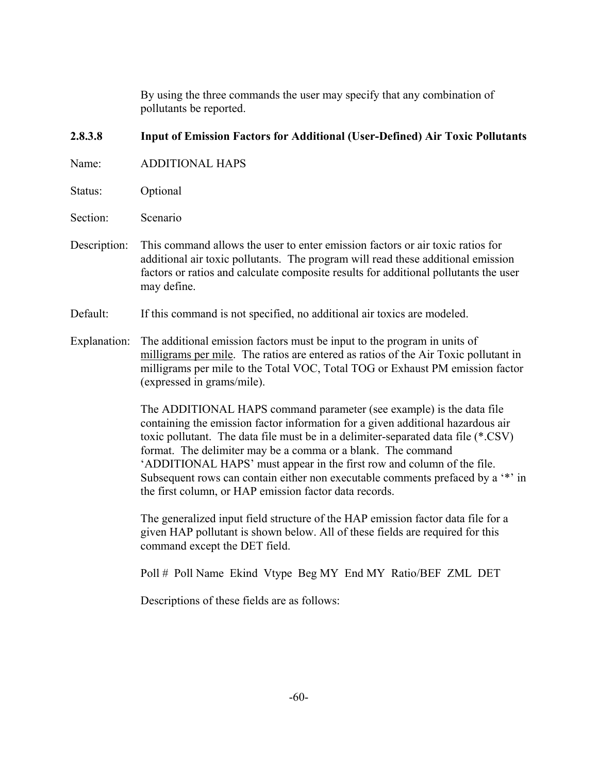By using the three commands the user may specify that any combination of pollutants be reported.

# **2.8.3.8 Input of Emission Factors for Additional (User-Defined) Air Toxic Pollutants**

Name: ADDITIONAL HAPS

Status: Optional

Section: Scenario

- Description: This command allows the user to enter emission factors or air toxic ratios for additional air toxic pollutants. The program will read these additional emission factors or ratios and calculate composite results for additional pollutants the user may define.
- Default: If this command is not specified, no additional air toxics are modeled.
- Explanation: The additional emission factors must be input to the program in units of milligrams per mile. The ratios are entered as ratios of the Air Toxic pollutant in milligrams per mile to the Total VOC, Total TOG or Exhaust PM emission factor (expressed in grams/mile).

The ADDITIONAL HAPS command parameter (see example) is the data file containing the emission factor information for a given additional hazardous air toxic pollutant. The data file must be in a delimiter-separated data file (\*.CSV) format. The delimiter may be a comma or a blank. The command 'ADDITIONAL HAPS' must appear in the first row and column of the file. Subsequent rows can contain either non executable comments prefaced by a '\*' in the first column, or HAP emission factor data records.

The generalized input field structure of the HAP emission factor data file for a given HAP pollutant is shown below. All of these fields are required for this command except the DET field.

Poll # Poll Name Ekind Vtype Beg MY End MY Ratio/BEF ZML DET

Descriptions of these fields are as follows: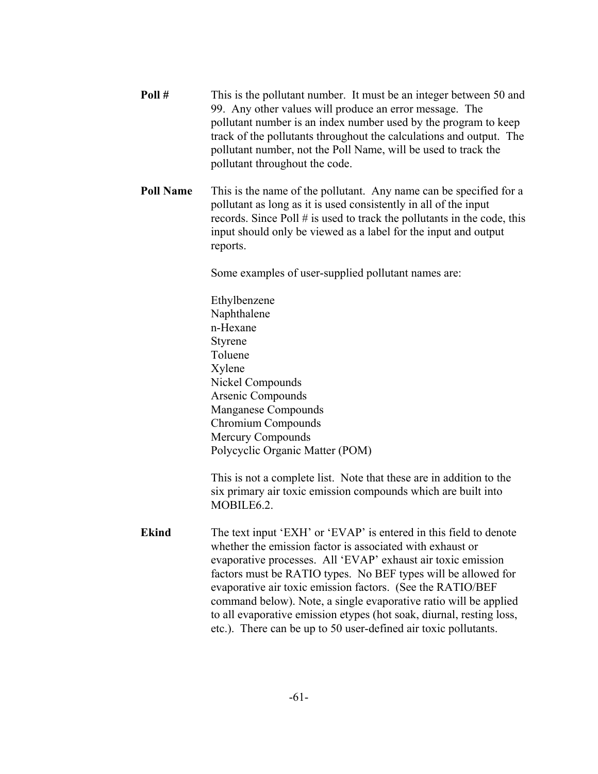| Poll#            | This is the pollutant number. It must be an integer between 50 and<br>99. Any other values will produce an error message. The<br>pollutant number is an index number used by the program to keep<br>track of the pollutants throughout the calculations and output. The<br>pollutant number, not the Poll Name, will be used to track the<br>pollutant throughout the code.                                                                                                                                                                  |
|------------------|----------------------------------------------------------------------------------------------------------------------------------------------------------------------------------------------------------------------------------------------------------------------------------------------------------------------------------------------------------------------------------------------------------------------------------------------------------------------------------------------------------------------------------------------|
| <b>Poll Name</b> | This is the name of the pollutant. Any name can be specified for a<br>pollutant as long as it is used consistently in all of the input<br>records. Since Poll $#$ is used to track the pollutants in the code, this<br>input should only be viewed as a label for the input and output<br>reports.                                                                                                                                                                                                                                           |
|                  | Some examples of user-supplied pollutant names are:                                                                                                                                                                                                                                                                                                                                                                                                                                                                                          |
|                  | Ethylbenzene<br>Naphthalene<br>n-Hexane<br>Styrene<br>Toluene<br>Xylene<br>Nickel Compounds<br>Arsenic Compounds<br>Manganese Compounds<br>Chromium Compounds<br>Mercury Compounds<br>Polycyclic Organic Matter (POM)<br>This is not a complete list. Note that these are in addition to the<br>six primary air toxic emission compounds which are built into<br>MOBILE6.2.                                                                                                                                                                  |
| <b>Ekind</b>     | The text input 'EXH' or 'EVAP' is entered in this field to denote<br>whether the emission factor is associated with exhaust or<br>evaporative processes. All 'EVAP' exhaust air toxic emission<br>factors must be RATIO types. No BEF types will be allowed for<br>evaporative air toxic emission factors. (See the RATIO/BEF<br>command below). Note, a single evaporative ratio will be applied<br>to all evaporative emission etypes (hot soak, diurnal, resting loss,<br>etc.). There can be up to 50 user-defined air toxic pollutants. |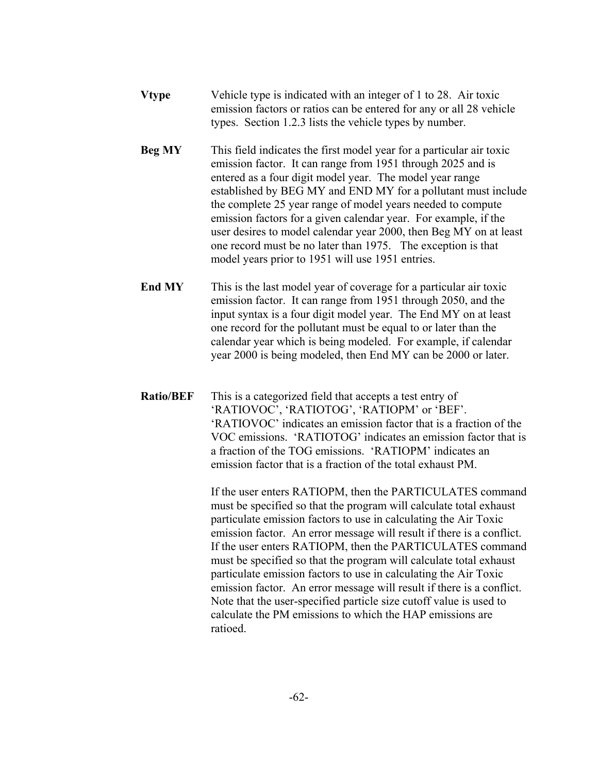- **Vtype** Vehicle type is indicated with an integer of 1 to 28. Air toxic emission factors or ratios can be entered for any or all 28 vehicle types. Section 1.2.3 lists the vehicle types by number.
- **Beg MY** This field indicates the first model year for a particular air toxic emission factor. It can range from 1951 through 2025 and is entered as a four digit model year. The model year range established by BEG MY and END MY for a pollutant must include the complete 25 year range of model years needed to compute emission factors for a given calendar year. For example, if the user desires to model calendar year 2000, then Beg MY on at least one record must be no later than 1975. The exception is that model years prior to 1951 will use 1951 entries.
- **End MY** This is the last model year of coverage for a particular air toxic emission factor. It can range from 1951 through 2050, and the input syntax is a four digit model year. The End MY on at least one record for the pollutant must be equal to or later than the calendar year which is being modeled. For example, if calendar year 2000 is being modeled, then End MY can be 2000 or later.
- **Ratio/BEF** This is a categorized field that accepts a test entry of 'RATIOVOC', 'RATIOTOG', 'RATIOPM' or 'BEF'. 'RATIOVOC' indicates an emission factor that is a fraction of the VOC emissions. 'RATIOTOG' indicates an emission factor that is a fraction of the TOG emissions. 'RATIOPM' indicates an emission factor that is a fraction of the total exhaust PM.

If the user enters RATIOPM, then the PARTICULATES command must be specified so that the program will calculate total exhaust particulate emission factors to use in calculating the Air Toxic emission factor. An error message will result if there is a conflict. If the user enters RATIOPM, then the PARTICULATES command must be specified so that the program will calculate total exhaust particulate emission factors to use in calculating the Air Toxic emission factor. An error message will result if there is a conflict. Note that the user-specified particle size cutoff value is used to calculate the PM emissions to which the HAP emissions are ratioed.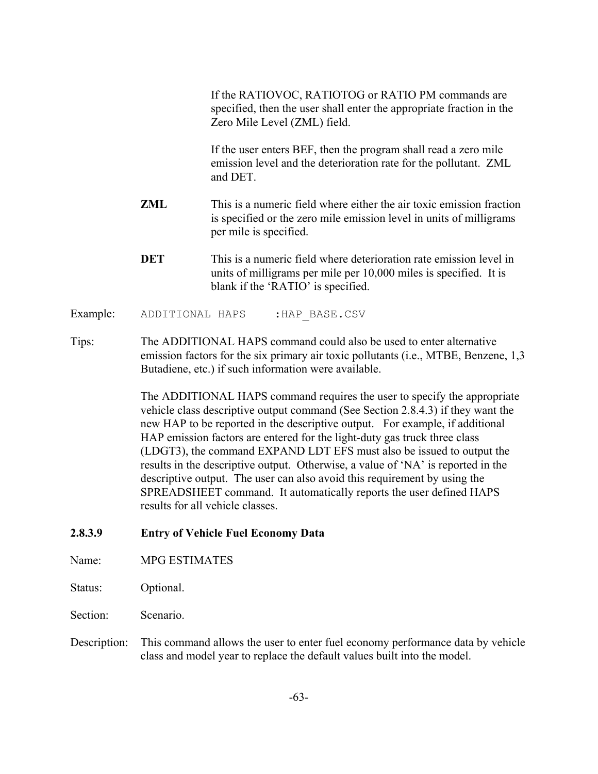If the RATIOVOC, RATIOTOG or RATIO PM commands are specified, then the user shall enter the appropriate fraction in the Zero Mile Level (ZML) field.

If the user enters BEF, then the program shall read a zero mile emission level and the deterioration rate for the pollutant. ZML and DET.

- **ZML** This is a numeric field where either the air toxic emission fraction is specified or the zero mile emission level in units of milligrams per mile is specified.
- **DET** This is a numeric field where deterioration rate emission level in units of milligrams per mile per 10,000 miles is specified. It is blank if the 'RATIO' is specified.

Example: ADDITIONAL HAPS : HAP BASE.CSV

Tips: The ADDITIONAL HAPS command could also be used to enter alternative emission factors for the six primary air toxic pollutants (i.e., MTBE, Benzene, 1,3 Butadiene, etc.) if such information were available.

> The ADDITIONAL HAPS command requires the user to specify the appropriate vehicle class descriptive output command (See Section 2.8.4.3) if they want the new HAP to be reported in the descriptive output. For example, if additional HAP emission factors are entered for the light-duty gas truck three class (LDGT3), the command EXPAND LDT EFS must also be issued to output the results in the descriptive output. Otherwise, a value of 'NA' is reported in the descriptive output. The user can also avoid this requirement by using the SPREADSHEET command. It automatically reports the user defined HAPS results for all vehicle classes.

### **2.8.3.9 Entry of Vehicle Fuel Economy Data**

Name: MPG ESTIMATES

Status: Optional.

Section: Scenario.

Description: This command allows the user to enter fuel economy performance data by vehicle class and model year to replace the default values built into the model.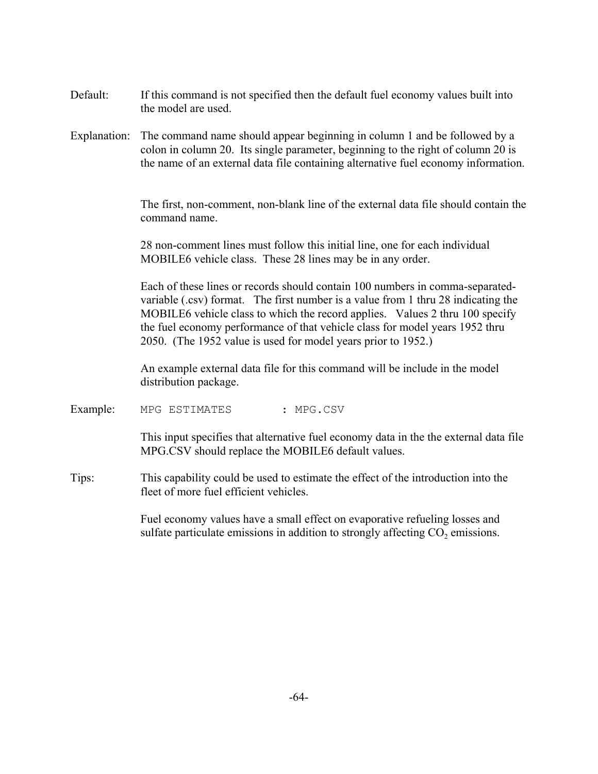- Default: If this command is not specified then the default fuel economy values built into the model are used.
- Explanation: The command name should appear beginning in column 1 and be followed by a colon in column 20. Its single parameter, beginning to the right of column 20 is the name of an external data file containing alternative fuel economy information.

The first, non-comment, non-blank line of the external data file should contain the command name.

28 non-comment lines must follow this initial line, one for each individual MOBILE6 vehicle class. These 28 lines may be in any order.

Each of these lines or records should contain 100 numbers in comma-separatedvariable (.csv) format. The first number is a value from 1 thru 28 indicating the MOBILE6 vehicle class to which the record applies. Values 2 thru 100 specify the fuel economy performance of that vehicle class for model years 1952 thru 2050. (The 1952 value is used for model years prior to 1952.)

An example external data file for this command will be include in the model distribution package.

Example: MPG ESTIMATES : MPG.CSV

This input specifies that alternative fuel economy data in the the external data file MPG.CSV should replace the MOBILE6 default values.

Tips: This capability could be used to estimate the effect of the introduction into the fleet of more fuel efficient vehicles.

> Fuel economy values have a small effect on evaporative refueling losses and sulfate particulate emissions in addition to strongly affecting  $CO<sub>2</sub>$  emissions.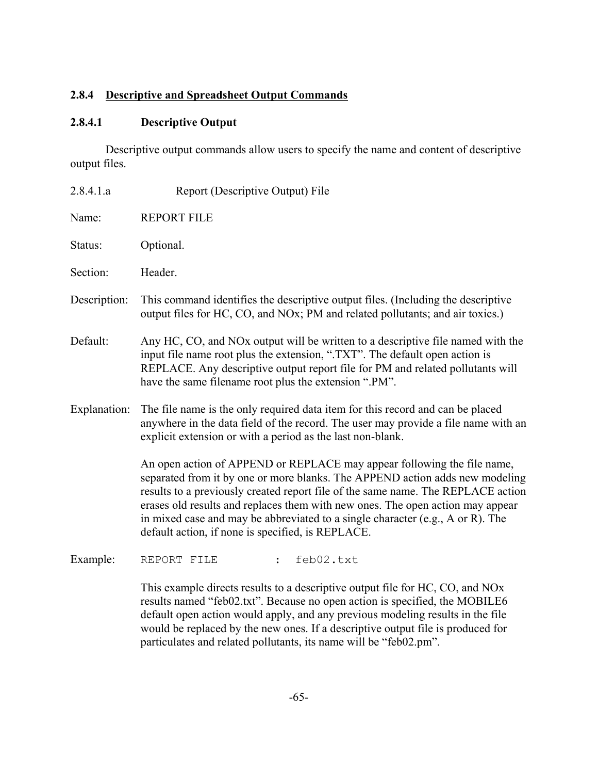# **2.8.4 Descriptive and Spreadsheet Output Commands**

# **2.8.4.1 Descriptive Output**

Descriptive output commands allow users to specify the name and content of descriptive output files.

| 2.8.4.1.a    | Report (Descriptive Output) File                                                                                                                                                                                                                                                                                                                                                                                                                                     |
|--------------|----------------------------------------------------------------------------------------------------------------------------------------------------------------------------------------------------------------------------------------------------------------------------------------------------------------------------------------------------------------------------------------------------------------------------------------------------------------------|
| Name:        | <b>REPORT FILE</b>                                                                                                                                                                                                                                                                                                                                                                                                                                                   |
| Status:      | Optional.                                                                                                                                                                                                                                                                                                                                                                                                                                                            |
| Section:     | Header.                                                                                                                                                                                                                                                                                                                                                                                                                                                              |
| Description: | This command identifies the descriptive output files. (Including the descriptive<br>output files for HC, CO, and NOx; PM and related pollutants; and air toxics.)                                                                                                                                                                                                                                                                                                    |
| Default:     | Any HC, CO, and NOx output will be written to a descriptive file named with the<br>input file name root plus the extension, ".TXT". The default open action is<br>REPLACE. Any descriptive output report file for PM and related pollutants will<br>have the same filename root plus the extension ".PM".                                                                                                                                                            |
| Explanation: | The file name is the only required data item for this record and can be placed<br>anywhere in the data field of the record. The user may provide a file name with an<br>explicit extension or with a period as the last non-blank.                                                                                                                                                                                                                                   |
|              | An open action of APPEND or REPLACE may appear following the file name,<br>separated from it by one or more blanks. The APPEND action adds new modeling<br>results to a previously created report file of the same name. The REPLACE action<br>erases old results and replaces them with new ones. The open action may appear<br>in mixed case and may be abbreviated to a single character (e.g., A or R). The<br>default action, if none is specified, is REPLACE. |
| Example:     | feb02.txt<br>REPORT FILE<br>$\ddot{\cdot}$                                                                                                                                                                                                                                                                                                                                                                                                                           |

This example directs results to a descriptive output file for HC, CO, and NOx results named "feb02.txt". Because no open action is specified, the MOBILE6 default open action would apply, and any previous modeling results in the file would be replaced by the new ones. If a descriptive output file is produced for particulates and related pollutants, its name will be "feb02.pm".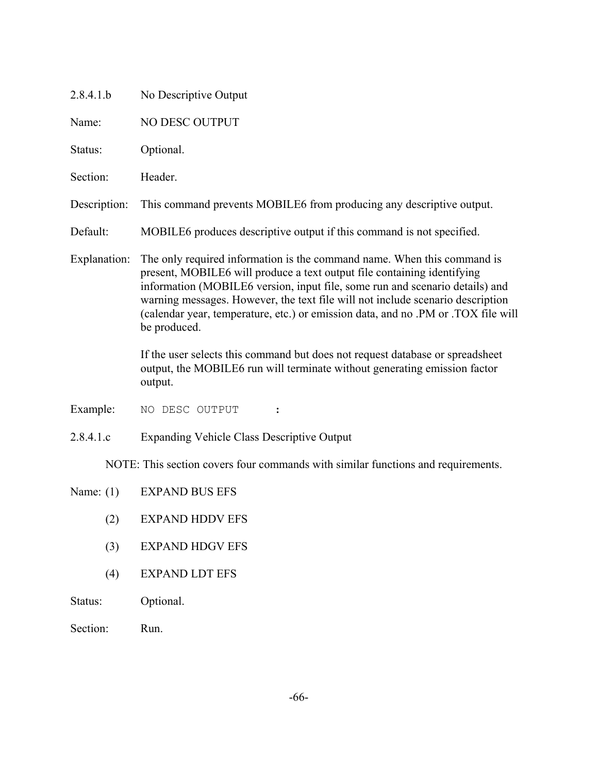| No Descriptive Output                                                                                                                                                                                                                                                                                                                                                                                                     |  |
|---------------------------------------------------------------------------------------------------------------------------------------------------------------------------------------------------------------------------------------------------------------------------------------------------------------------------------------------------------------------------------------------------------------------------|--|
| NO DESC OUTPUT                                                                                                                                                                                                                                                                                                                                                                                                            |  |
| Optional.                                                                                                                                                                                                                                                                                                                                                                                                                 |  |
| Header.                                                                                                                                                                                                                                                                                                                                                                                                                   |  |
| This command prevents MOBILE6 from producing any descriptive output.                                                                                                                                                                                                                                                                                                                                                      |  |
| MOBILE6 produces descriptive output if this command is not specified.                                                                                                                                                                                                                                                                                                                                                     |  |
| The only required information is the command name. When this command is<br>present, MOBILE6 will produce a text output file containing identifying<br>information (MOBILE6 version, input file, some run and scenario details) and<br>warning messages. However, the text file will not include scenario description<br>(calendar year, temperature, etc.) or emission data, and no .PM or .TOX file will<br>be produced. |  |
| If the user selects this command but does not request database or spreadsheet<br>output, the MOBILE6 run will terminate without generating emission factor<br>output.                                                                                                                                                                                                                                                     |  |
| NO DESC OUTPUT<br>$\ddot{\cdot}$                                                                                                                                                                                                                                                                                                                                                                                          |  |
| <b>Expanding Vehicle Class Descriptive Output</b>                                                                                                                                                                                                                                                                                                                                                                         |  |
| NOTE: This section covers four commands with similar functions and requirements.                                                                                                                                                                                                                                                                                                                                          |  |
| <b>EXPAND BUS EFS</b>                                                                                                                                                                                                                                                                                                                                                                                                     |  |
| <b>EXPAND HDDV EFS</b>                                                                                                                                                                                                                                                                                                                                                                                                    |  |
| <b>EXPAND HDGV EFS</b>                                                                                                                                                                                                                                                                                                                                                                                                    |  |
| <b>EXPAND LDT EFS</b>                                                                                                                                                                                                                                                                                                                                                                                                     |  |
|                                                                                                                                                                                                                                                                                                                                                                                                                           |  |

- Status: Optional.
- Section: Run.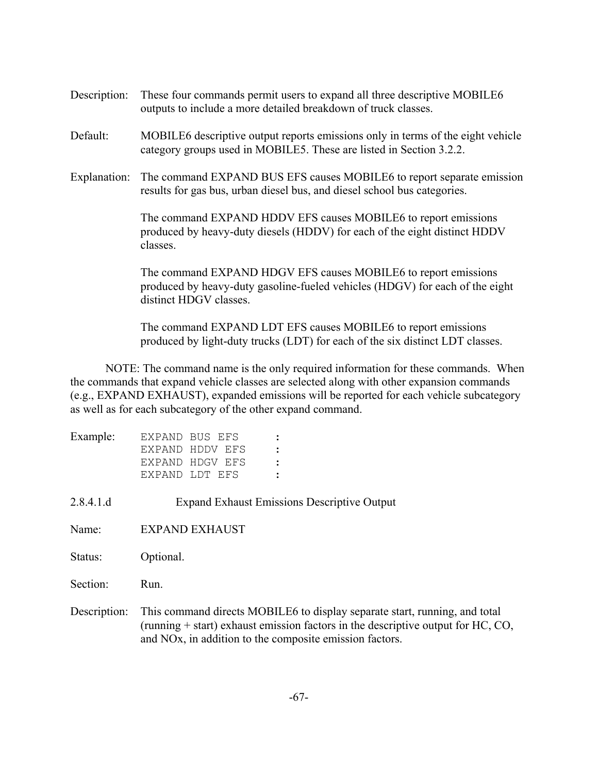- Description: These four commands permit users to expand all three descriptive MOBILE6 outputs to include a more detailed breakdown of truck classes.
- Default: MOBILE6 descriptive output reports emissions only in terms of the eight vehicle category groups used in MOBILE5. These are listed in Section 3.2.2.
- Explanation: The command EXPAND BUS EFS causes MOBILE6 to report separate emission results for gas bus, urban diesel bus, and diesel school bus categories.

The command EXPAND HDDV EFS causes MOBILE6 to report emissions produced by heavy-duty diesels (HDDV) for each of the eight distinct HDDV classes.

The command EXPAND HDGV EFS causes MOBILE6 to report emissions produced by heavy-duty gasoline-fueled vehicles (HDGV) for each of the eight distinct HDGV classes.

The command EXPAND LDT EFS causes MOBILE6 to report emissions produced by light-duty trucks (LDT) for each of the six distinct LDT classes.

NOTE: The command name is the only required information for these commands. When the commands that expand vehicle classes are selected along with other expansion commands (e.g., EXPAND EXHAUST), expanded emissions will be reported for each vehicle subcategory as well as for each subcategory of the other expand command.

| Example: | EXPAND BUS EFS  |  |
|----------|-----------------|--|
|          | EXPAND HDDV EFS |  |
|          | EXPAND HDGV EFS |  |
|          | EXPAND LDT EFS  |  |

2.8.4.1.d Expand Exhaust Emissions Descriptive Output

Name: EXPAND EXHAUST

Status: Optional.

Section: Run.

Description: This command directs MOBILE6 to display separate start, running, and total (running + start) exhaust emission factors in the descriptive output for HC, CO, and NOx, in addition to the composite emission factors.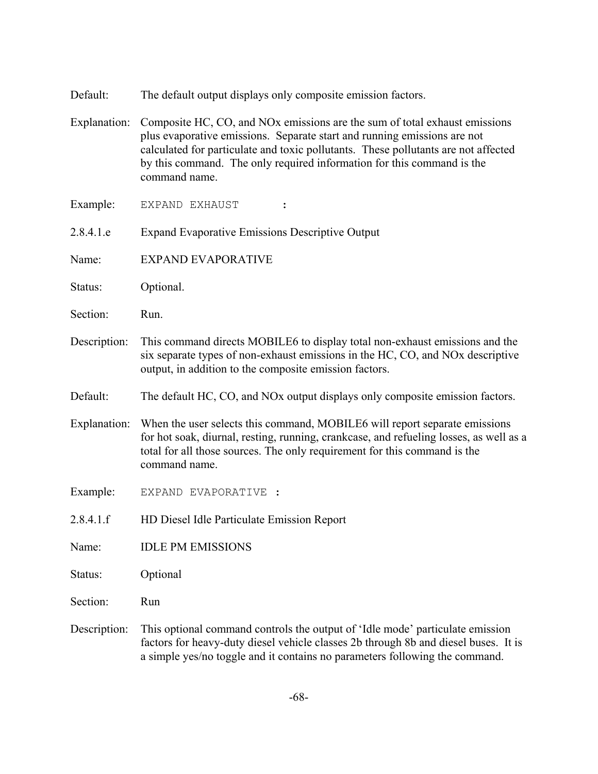- Default: The default output displays only composite emission factors.
- Explanation: Composite HC, CO, and NOx emissions are the sum of total exhaust emissions plus evaporative emissions. Separate start and running emissions are not calculated for particulate and toxic pollutants. These pollutants are not affected by this command. The only required information for this command is the command name.

Example: EXPAND EXHAUST :

- 2.8.4.1.e Expand Evaporative Emissions Descriptive Output
- Name: EXPAND EVAPORATIVE
- Status: Optional.
- Section: Run.
- Description: This command directs MOBILE6 to display total non-exhaust emissions and the six separate types of non-exhaust emissions in the HC, CO, and NOx descriptive output, in addition to the composite emission factors.
- Default: The default HC, CO, and NOx output displays only composite emission factors.
- Explanation: When the user selects this command, MOBILE6 will report separate emissions for hot soak, diurnal, resting, running, crankcase, and refueling losses, as well as a total for all those sources. The only requirement for this command is the command name.
- Example: EXPAND EVAPORATIVE :
- 2.8.4.1.f HD Diesel Idle Particulate Emission Report
- Name: IDLE PM EMISSIONS
- Status: Optional
- Section: Run
- Description: This optional command controls the output of 'Idle mode' particulate emission factors for heavy-duty diesel vehicle classes 2b through 8b and diesel buses. It is a simple yes/no toggle and it contains no parameters following the command.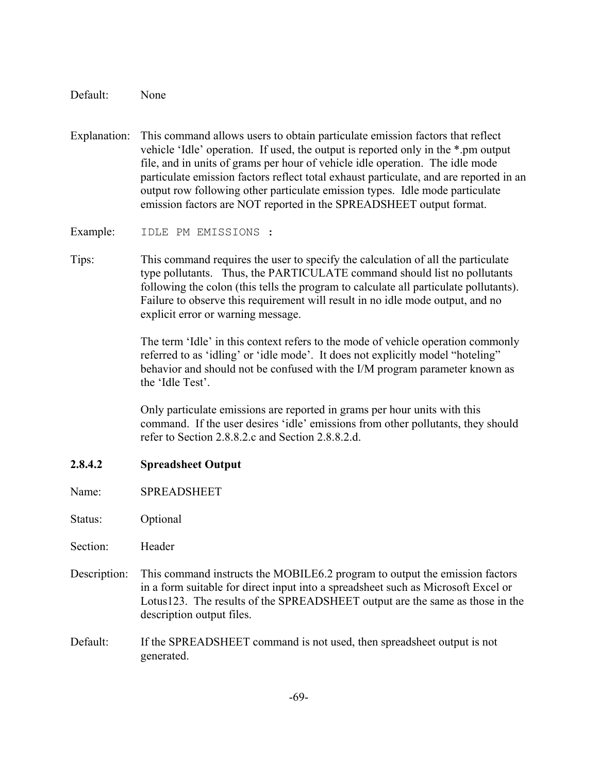Default: None

Explanation: This command allows users to obtain particulate emission factors that reflect vehicle 'Idle' operation. If used, the output is reported only in the \*.pm output file, and in units of grams per hour of vehicle idle operation. The idle mode particulate emission factors reflect total exhaust particulate, and are reported in an output row following other particulate emission types. Idle mode particulate emission factors are NOT reported in the SPREADSHEET output format.

Example: IDLE PM EMISSIONS :

Tips: This command requires the user to specify the calculation of all the particulate type pollutants. Thus, the PARTICULATE command should list no pollutants following the colon (this tells the program to calculate all particulate pollutants). Failure to observe this requirement will result in no idle mode output, and no explicit error or warning message.

> The term 'Idle' in this context refers to the mode of vehicle operation commonly referred to as 'idling' or 'idle mode'. It does not explicitly model "hoteling" behavior and should not be confused with the I/M program parameter known as the 'Idle Test'.

> Only particulate emissions are reported in grams per hour units with this command. If the user desires 'idle' emissions from other pollutants, they should refer to Section 2.8.8.2.c and Section 2.8.8.2.d.

# **2.8.4.2 Spreadsheet Output**

Name: SPREADSHEET

Status: Optional

Section: Header

- Description: This command instructs the MOBILE6.2 program to output the emission factors in a form suitable for direct input into a spreadsheet such as Microsoft Excel or Lotus123. The results of the SPREADSHEET output are the same as those in the description output files.
- Default: If the SPREADSHEET command is not used, then spreadsheet output is not generated.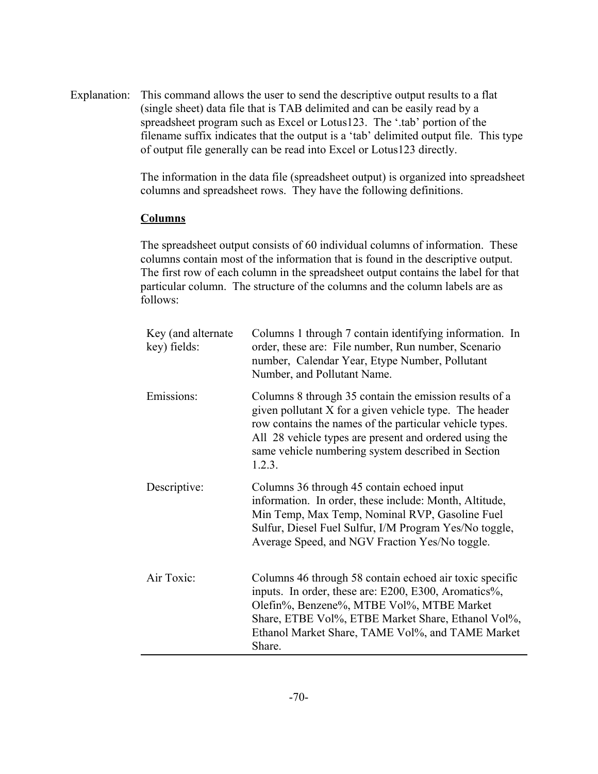Explanation: This command allows the user to send the descriptive output results to a flat (single sheet) data file that is TAB delimited and can be easily read by a spreadsheet program such as Excel or Lotus123. The '.tab' portion of the filename suffix indicates that the output is a 'tab' delimited output file. This type of output file generally can be read into Excel or Lotus123 directly.

> The information in the data file (spreadsheet output) is organized into spreadsheet columns and spreadsheet rows. They have the following definitions.

#### **Columns**

The spreadsheet output consists of 60 individual columns of information. These columns contain most of the information that is found in the descriptive output. The first row of each column in the spreadsheet output contains the label for that particular column. The structure of the columns and the column labels are as follows:

| Key (and alternate<br>key) fields: | Columns 1 through 7 contain identifying information. In<br>order, these are: File number, Run number, Scenario<br>number, Calendar Year, Etype Number, Pollutant<br>Number, and Pollutant Name.                                                                                                       |
|------------------------------------|-------------------------------------------------------------------------------------------------------------------------------------------------------------------------------------------------------------------------------------------------------------------------------------------------------|
| Emissions:                         | Columns 8 through 35 contain the emission results of a<br>given pollutant X for a given vehicle type. The header<br>row contains the names of the particular vehicle types.<br>All 28 vehicle types are present and ordered using the<br>same vehicle numbering system described in Section<br>1.2.3. |
| Descriptive:                       | Columns 36 through 45 contain echoed input<br>information. In order, these include: Month, Altitude,<br>Min Temp, Max Temp, Nominal RVP, Gasoline Fuel<br>Sulfur, Diesel Fuel Sulfur, I/M Program Yes/No toggle,<br>Average Speed, and NGV Fraction Yes/No toggle.                                    |
| Air Toxic:                         | Columns 46 through 58 contain echoed air toxic specific<br>inputs. In order, these are: E200, E300, Aromatics%,<br>Olefin%, Benzene%, MTBE Vol%, MTBE Market<br>Share, ETBE Vol%, ETBE Market Share, Ethanol Vol%,<br>Ethanol Market Share, TAME Vol%, and TAME Market<br>Share.                      |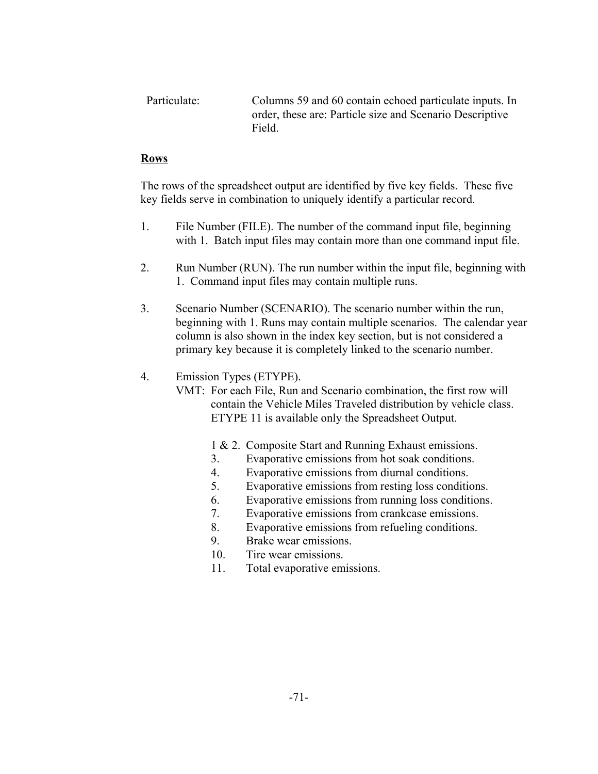Particulate: Columns 59 and 60 contain echoed particulate inputs. In order, these are: Particle size and Scenario Descriptive Field.

# **Rows**

The rows of the spreadsheet output are identified by five key fields. These five key fields serve in combination to uniquely identify a particular record.

- 1. File Number (FILE). The number of the command input file, beginning with 1. Batch input files may contain more than one command input file.
- 2. Run Number (RUN). The run number within the input file, beginning with 1. Command input files may contain multiple runs.
- 3. Scenario Number (SCENARIO). The scenario number within the run, beginning with 1. Runs may contain multiple scenarios. The calendar year column is also shown in the index key section, but is not considered a primary key because it is completely linked to the scenario number.

# 4. Emission Types (ETYPE).

- VMT: For each File, Run and Scenario combination, the first row will contain the Vehicle Miles Traveled distribution by vehicle class. ETYPE 11 is available only the Spreadsheet Output.
	- 1 & 2. Composite Start and Running Exhaust emissions.
	- 3. Evaporative emissions from hot soak conditions.
	- 4. Evaporative emissions from diurnal conditions.
	- 5. Evaporative emissions from resting loss conditions.
	- 6. Evaporative emissions from running loss conditions.
	- 7. Evaporative emissions from crankcase emissions.
	- 8. Evaporative emissions from refueling conditions.
	- 9. Brake wear emissions.
	- 10. Tire wear emissions.
	- 11. Total evaporative emissions.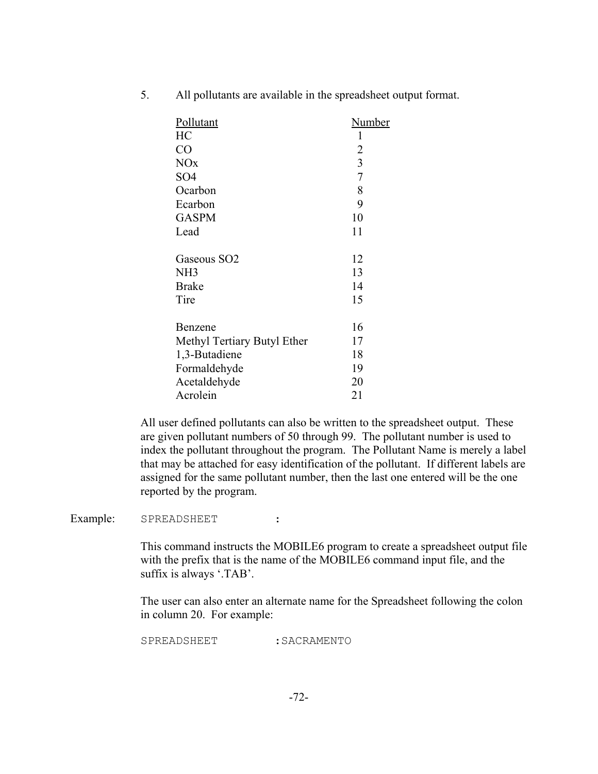5. All pollutants are available in the spreadsheet output format.

| Pollutant                   | Number |
|-----------------------------|--------|
| HC                          | 1      |
| CO                          | 2      |
| <b>NO<sub>x</sub></b>       | 3      |
| SO <sub>4</sub>             | 7      |
| Ocarbon                     | 8      |
| Ecarbon                     | 9      |
| <b>GASPM</b>                | 10     |
| Lead                        | 11     |
| Gaseous SO <sub>2</sub>     | 12     |
| NH <sub>3</sub>             | 13     |
| <b>Brake</b>                | 14     |
| Tire                        | 15     |
| Benzene                     | 16     |
| Methyl Tertiary Butyl Ether | 17     |
| 1,3-Butadiene               | 18     |
|                             |        |
| Formaldehyde                | 19     |
| Acetaldehyde                | 20     |
| Acrolein                    | 21     |

All user defined pollutants can also be written to the spreadsheet output. These are given pollutant numbers of 50 through 99. The pollutant number is used to index the pollutant throughout the program. The Pollutant Name is merely a label that may be attached for easy identification of the pollutant. If different labels are assigned for the same pollutant number, then the last one entered will be the one reported by the program.

Example: SPREADSHEET :

This command instructs the MOBILE6 program to create a spreadsheet output file with the prefix that is the name of the MOBILE6 command input file, and the suffix is always '.TAB'.

The user can also enter an alternate name for the Spreadsheet following the colon in column 20. For example:

SPREADSHEET : SACRAMENTO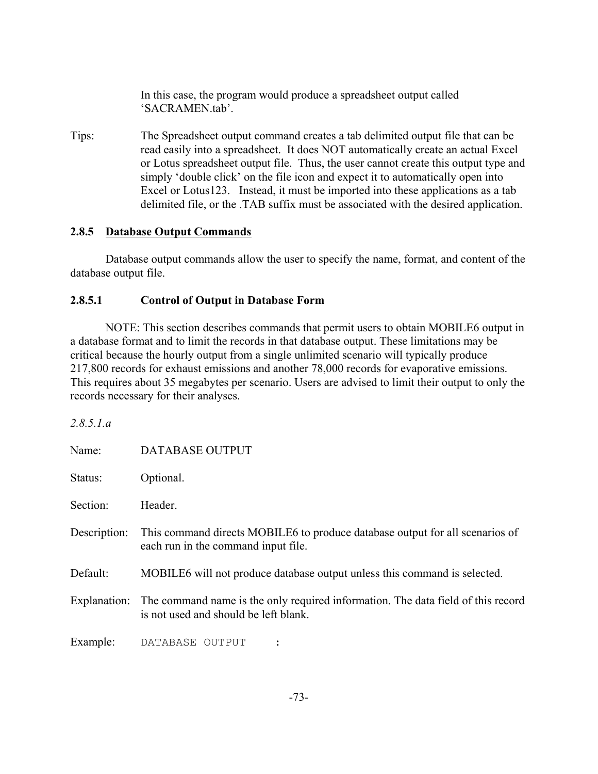In this case, the program would produce a spreadsheet output called 'SACRAMEN.tab'.

Tips: The Spreadsheet output command creates a tab delimited output file that can be read easily into a spreadsheet. It does NOT automatically create an actual Excel or Lotus spreadsheet output file. Thus, the user cannot create this output type and simply 'double click' on the file icon and expect it to automatically open into Excel or Lotus123. Instead, it must be imported into these applications as a tab delimited file, or the .TAB suffix must be associated with the desired application.

#### **2.8.5 Database Output Commands**

Database output commands allow the user to specify the name, format, and content of the database output file.

#### **2.8.5.1 Control of Output in Database Form**

NOTE: This section describes commands that permit users to obtain MOBILE6 output in a database format and to limit the records in that database output. These limitations may be critical because the hourly output from a single unlimited scenario will typically produce 217,800 records for exhaust emissions and another 78,000 records for evaporative emissions. This requires about 35 megabytes per scenario. Users are advised to limit their output to only the records necessary for their analyses.

*2.8.5.1.a*

| Name:        | <b>DATABASE OUTPUT</b>                                                                                                                 |
|--------------|----------------------------------------------------------------------------------------------------------------------------------------|
| Status:      | Optional.                                                                                                                              |
| Section:     | Header.                                                                                                                                |
| Description: | This command directs MOBILE6 to produce database output for all scenarios of<br>each run in the command input file.                    |
| Default:     | MOBILE6 will not produce database output unless this command is selected.                                                              |
|              | Explanation: The command name is the only required information. The data field of this record<br>is not used and should be left blank. |
| Example:     | DATABASE OUTPUT                                                                                                                        |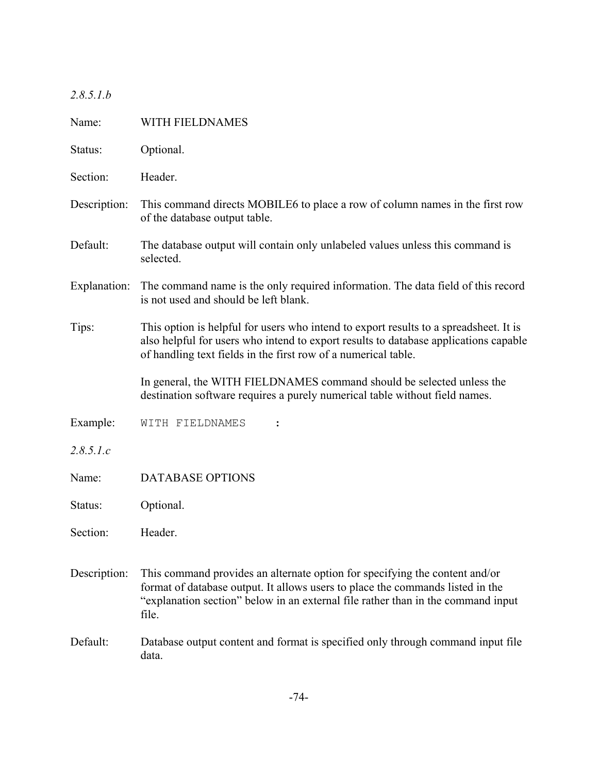*2.8.5.1.b*

| Name:        | WITH FIELDNAMES                                                                                                                                                                                                                                            |  |  |  |
|--------------|------------------------------------------------------------------------------------------------------------------------------------------------------------------------------------------------------------------------------------------------------------|--|--|--|
| Status:      | Optional.                                                                                                                                                                                                                                                  |  |  |  |
| Section:     | Header.                                                                                                                                                                                                                                                    |  |  |  |
| Description: | This command directs MOBILE6 to place a row of column names in the first row<br>of the database output table.                                                                                                                                              |  |  |  |
| Default:     | The database output will contain only unlabeled values unless this command is<br>selected.                                                                                                                                                                 |  |  |  |
| Explanation: | The command name is the only required information. The data field of this record<br>is not used and should be left blank.                                                                                                                                  |  |  |  |
| Tips:        | This option is helpful for users who intend to export results to a spreadsheet. It is<br>also helpful for users who intend to export results to database applications capable<br>of handling text fields in the first row of a numerical table.            |  |  |  |
|              | In general, the WITH FIELDNAMES command should be selected unless the<br>destination software requires a purely numerical table without field names.                                                                                                       |  |  |  |
| Example:     | WITH FIELDNAMES                                                                                                                                                                                                                                            |  |  |  |
| 2.8.5.1.c    |                                                                                                                                                                                                                                                            |  |  |  |
| Name:        | <b>DATABASE OPTIONS</b>                                                                                                                                                                                                                                    |  |  |  |
| Status:      | Optional.                                                                                                                                                                                                                                                  |  |  |  |
| Section:     | Header.                                                                                                                                                                                                                                                    |  |  |  |
| Description: | This command provides an alternate option for specifying the content and/or<br>format of database output. It allows users to place the commands listed in the<br>"explanation section" below in an external file rather than in the command input<br>file. |  |  |  |
| Default:     | Database output content and format is specified only through command input file<br>data.                                                                                                                                                                   |  |  |  |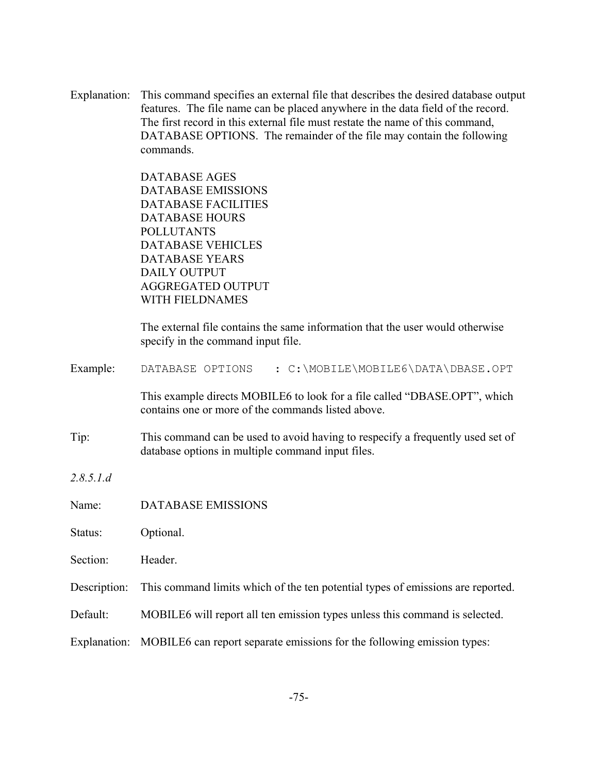Explanation: This command specifies an external file that describes the desired database output features. The file name can be placed anywhere in the data field of the record. The first record in this external file must restate the name of this command, DATABASE OPTIONS. The remainder of the file may contain the following commands.

> DATABASE AGES DATABASE EMISSIONS DATABASE FACILITIES DATABASE HOURS POLLUTANTS DATABASE VEHICLES DATABASE YEARS DAILY OUTPUT AGGREGATED OUTPUT WITH FIELDNAMES

The external file contains the same information that the user would otherwise specify in the command input file.

Example: DATABASE OPTIONS : C:\MOBILE\MOBILE6\DATA\DBASE.OPT

This example directs MOBILE6 to look for a file called "DBASE.OPT", which contains one or more of the commands listed above.

Tip: This command can be used to avoid having to respecify a frequently used set of database options in multiple command input files.

*2.8.5.1.d*

Name: DATABASE EMISSIONS

Status: Optional.

Section: Header.

Description: This command limits which of the ten potential types of emissions are reported.

Default: MOBILE6 will report all ten emission types unless this command is selected.

Explanation: MOBILE6 can report separate emissions for the following emission types: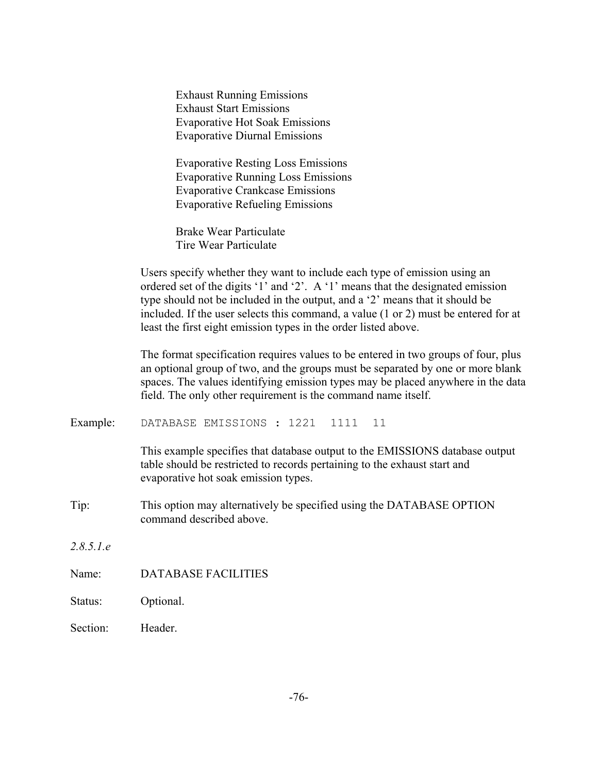Exhaust Running Emissions Exhaust Start Emissions Evaporative Hot Soak Emissions Evaporative Diurnal Emissions

Evaporative Resting Loss Emissions Evaporative Running Loss Emissions Evaporative Crankcase Emissions Evaporative Refueling Emissions

Brake Wear Particulate Tire Wear Particulate

Users specify whether they want to include each type of emission using an ordered set of the digits '1' and '2'. A '1' means that the designated emission type should not be included in the output, and a '2' means that it should be included. If the user selects this command, a value (1 or 2) must be entered for at least the first eight emission types in the order listed above.

The format specification requires values to be entered in two groups of four, plus an optional group of two, and the groups must be separated by one or more blank spaces. The values identifying emission types may be placed anywhere in the data field. The only other requirement is the command name itself.

Example: DATABASE EMISSIONS : 1221 1111 11

This example specifies that database output to the EMISSIONS database output table should be restricted to records pertaining to the exhaust start and evaporative hot soak emission types.

- Tip: This option may alternatively be specified using the DATABASE OPTION command described above.
- *2.8.5.1.e*
- Name: DATABASE FACILITIES
- Status: Optional.
- Section: Header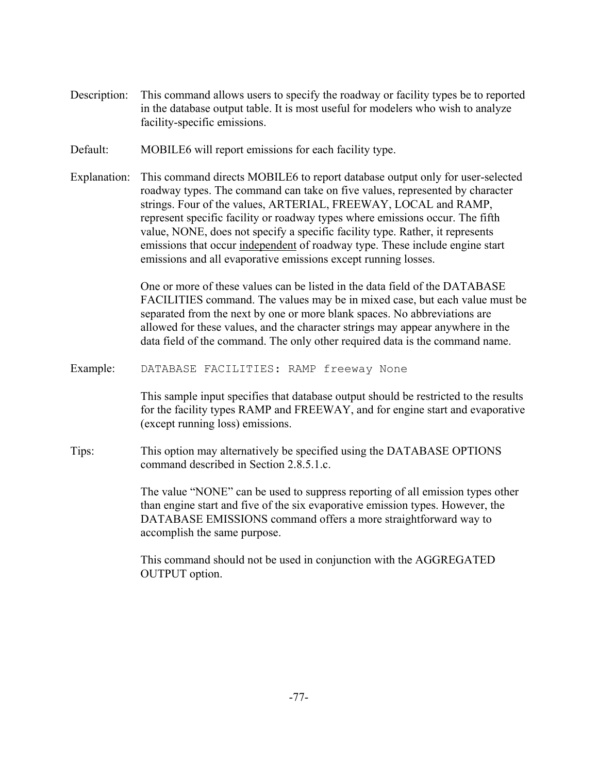- Description: This command allows users to specify the roadway or facility types be to reported in the database output table. It is most useful for modelers who wish to analyze facility-specific emissions.
- Default: MOBILE6 will report emissions for each facility type.
- Explanation: This command directs MOBILE6 to report database output only for user-selected roadway types. The command can take on five values, represented by character strings. Four of the values, ARTERIAL, FREEWAY, LOCAL and RAMP, represent specific facility or roadway types where emissions occur. The fifth value, NONE, does not specify a specific facility type. Rather, it represents emissions that occur independent of roadway type. These include engine start emissions and all evaporative emissions except running losses.

One or more of these values can be listed in the data field of the DATABASE FACILITIES command. The values may be in mixed case, but each value must be separated from the next by one or more blank spaces. No abbreviations are allowed for these values, and the character strings may appear anywhere in the data field of the command. The only other required data is the command name.

Example: DATABASE FACILITIES: RAMP freeway None

This sample input specifies that database output should be restricted to the results for the facility types RAMP and FREEWAY, and for engine start and evaporative (except running loss) emissions.

Tips: This option may alternatively be specified using the DATABASE OPTIONS command described in Section 2.8.5.1.c.

> The value "NONE" can be used to suppress reporting of all emission types other than engine start and five of the six evaporative emission types. However, the DATABASE EMISSIONS command offers a more straightforward way to accomplish the same purpose.

This command should not be used in conjunction with the AGGREGATED OUTPUT option.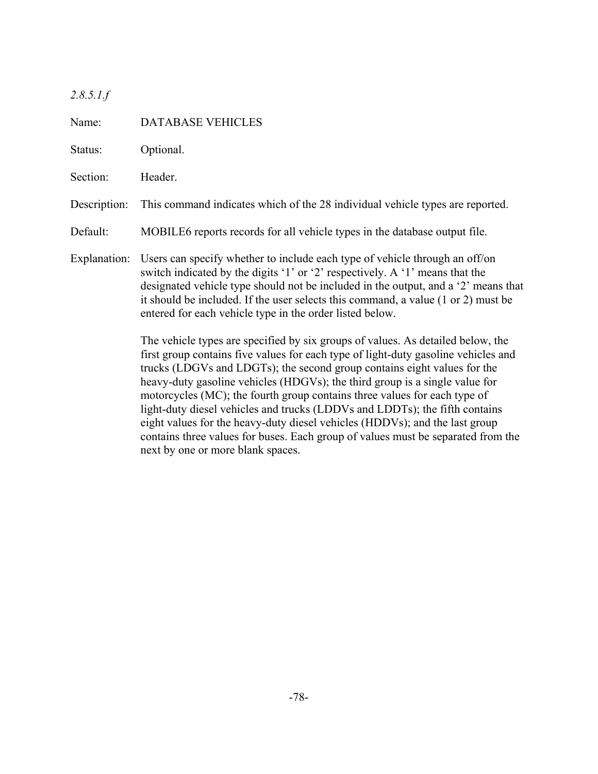*2.8.5.1.f*

Name: DATABASE VEHICLES Status: Optional. Section: Header. Description: This command indicates which of the 28 individual vehicle types are reported. Default: MOBILE6 reports records for all vehicle types in the database output file. Explanation: Users can specify whether to include each type of vehicle through an off/on switch indicated by the digits '1' or '2' respectively. A '1' means that the designated vehicle type should not be included in the output, and a '2' means that it should be included. If the user selects this command, a value (1 or 2) must be entered for each vehicle type in the order listed below. The vehicle types are specified by six groups of values. As detailed below, the first group contains five values for each type of light-duty gasoline vehicles and trucks (LDGVs and LDGTs); the second group contains eight values for the heavy-duty gasoline vehicles (HDGVs); the third group is a single value for motorcycles (MC); the fourth group contains three values for each type of light-duty diesel vehicles and trucks (LDDVs and LDDTs); the fifth contains eight values for the heavy-duty diesel vehicles (HDDVs); and the last group contains three values for buses. Each group of values must be separated from the next by one or more blank spaces.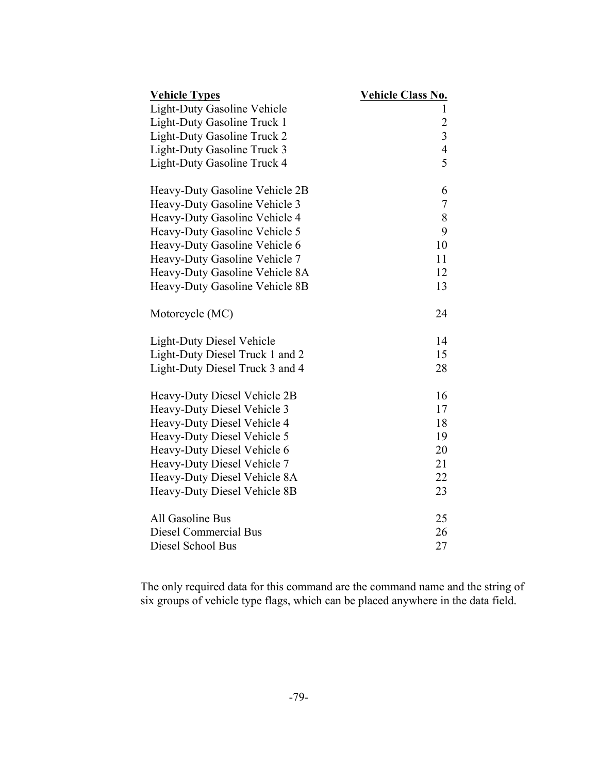| <b>Vehicle Types</b>               | <b>Vehicle Class No.</b> |
|------------------------------------|--------------------------|
| <b>Light-Duty Gasoline Vehicle</b> | 1                        |
| Light-Duty Gasoline Truck 1        | $\overline{c}$           |
| Light-Duty Gasoline Truck 2        | $\overline{\mathbf{3}}$  |
| Light-Duty Gasoline Truck 3        | $\overline{4}$           |
| Light-Duty Gasoline Truck 4        | 5                        |
| Heavy-Duty Gasoline Vehicle 2B     | 6                        |
| Heavy-Duty Gasoline Vehicle 3      | 7                        |
| Heavy-Duty Gasoline Vehicle 4      | 8                        |
| Heavy-Duty Gasoline Vehicle 5      | 9                        |
| Heavy-Duty Gasoline Vehicle 6      | 10                       |
| Heavy-Duty Gasoline Vehicle 7      | 11                       |
| Heavy-Duty Gasoline Vehicle 8A     | 12                       |
| Heavy-Duty Gasoline Vehicle 8B     | 13                       |
| Motorcycle (MC)                    | 24                       |
| <b>Light-Duty Diesel Vehicle</b>   | 14                       |
| Light-Duty Diesel Truck 1 and 2    | 15                       |
| Light-Duty Diesel Truck 3 and 4    | 28                       |
| Heavy-Duty Diesel Vehicle 2B       | 16                       |
| Heavy-Duty Diesel Vehicle 3        | 17                       |
| Heavy-Duty Diesel Vehicle 4        | 18                       |
| Heavy-Duty Diesel Vehicle 5        | 19                       |
| Heavy-Duty Diesel Vehicle 6        | 20                       |
| Heavy-Duty Diesel Vehicle 7        | 21                       |
| Heavy-Duty Diesel Vehicle 8A       | 22                       |
| Heavy-Duty Diesel Vehicle 8B       | 23                       |
| All Gasoline Bus                   | 25                       |
| Diesel Commercial Bus              | 26                       |
| Diesel School Bus                  | 27                       |

The only required data for this command are the command name and the string of six groups of vehicle type flags, which can be placed anywhere in the data field.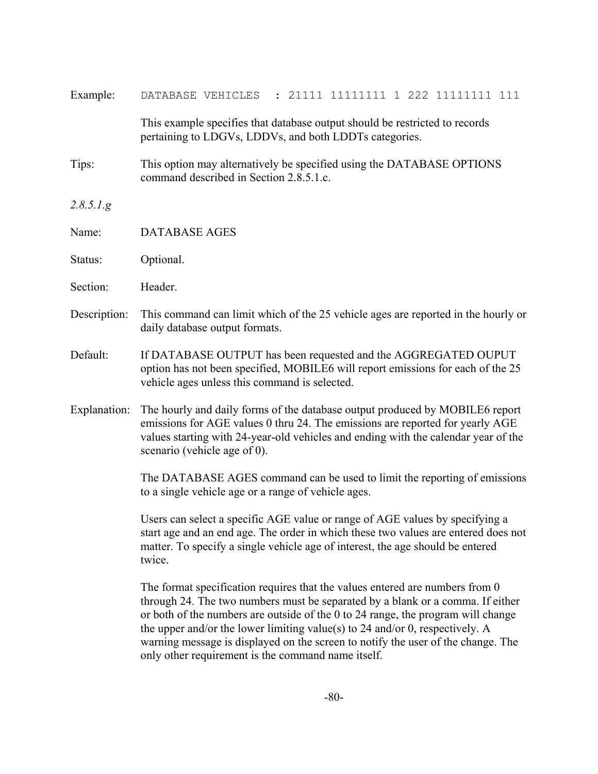| Example:     | : 21111 11111111 1 222 11111111 111<br>DATABASE VEHICLES                                                                                                                                                                                                                                                                                                                                                                                                                     |  |  |  |  |
|--------------|------------------------------------------------------------------------------------------------------------------------------------------------------------------------------------------------------------------------------------------------------------------------------------------------------------------------------------------------------------------------------------------------------------------------------------------------------------------------------|--|--|--|--|
|              | This example specifies that database output should be restricted to records<br>pertaining to LDGVs, LDDVs, and both LDDTs categories.                                                                                                                                                                                                                                                                                                                                        |  |  |  |  |
| Tips:        | This option may alternatively be specified using the DATABASE OPTIONS<br>command described in Section 2.8.5.1.c.                                                                                                                                                                                                                                                                                                                                                             |  |  |  |  |
| 2.8.5.1.g    |                                                                                                                                                                                                                                                                                                                                                                                                                                                                              |  |  |  |  |
| Name:        | <b>DATABASE AGES</b>                                                                                                                                                                                                                                                                                                                                                                                                                                                         |  |  |  |  |
| Status:      | Optional.                                                                                                                                                                                                                                                                                                                                                                                                                                                                    |  |  |  |  |
| Section:     | Header.                                                                                                                                                                                                                                                                                                                                                                                                                                                                      |  |  |  |  |
| Description: | This command can limit which of the 25 vehicle ages are reported in the hourly or<br>daily database output formats.                                                                                                                                                                                                                                                                                                                                                          |  |  |  |  |
| Default:     | If DATABASE OUTPUT has been requested and the AGGREGATED OUPUT<br>option has not been specified, MOBILE6 will report emissions for each of the 25<br>vehicle ages unless this command is selected.                                                                                                                                                                                                                                                                           |  |  |  |  |
| Explanation: | The hourly and daily forms of the database output produced by MOBILE6 report<br>emissions for AGE values 0 thru 24. The emissions are reported for yearly AGE<br>values starting with 24-year-old vehicles and ending with the calendar year of the<br>scenario (vehicle age of 0).                                                                                                                                                                                          |  |  |  |  |
|              | The DATABASE AGES command can be used to limit the reporting of emissions<br>to a single vehicle age or a range of vehicle ages.                                                                                                                                                                                                                                                                                                                                             |  |  |  |  |
|              | Users can select a specific AGE value or range of AGE values by specifying a<br>start age and an end age. The order in which these two values are entered does not<br>matter. To specify a single vehicle age of interest, the age should be entered<br>twice.                                                                                                                                                                                                               |  |  |  |  |
|              | The format specification requires that the values entered are numbers from 0<br>through 24. The two numbers must be separated by a blank or a comma. If either<br>or both of the numbers are outside of the 0 to 24 range, the program will change<br>the upper and/or the lower limiting value(s) to 24 and/or 0, respectively. A<br>warning message is displayed on the screen to notify the user of the change. The<br>only other requirement is the command name itself. |  |  |  |  |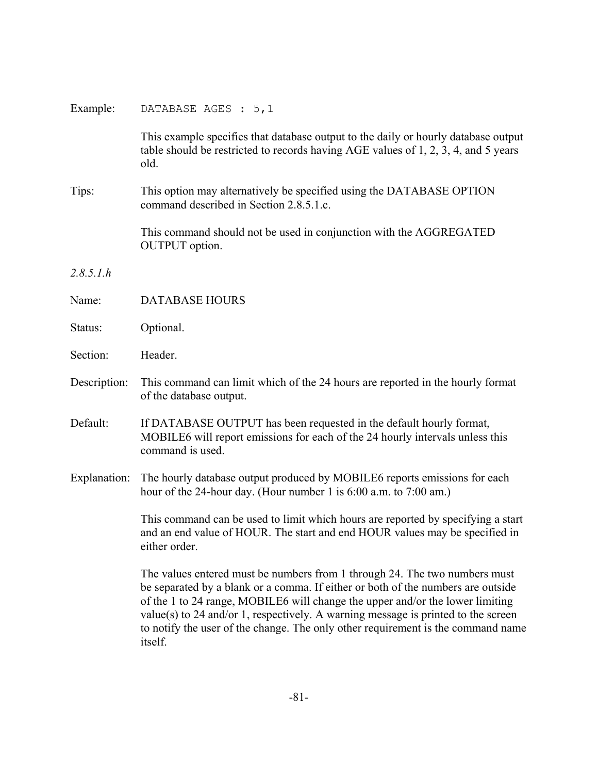| Example:     | DATABASE AGES : 5,1                                                                                                                                                                                                                                                                                                                                                                                                                   |  |  |  |
|--------------|---------------------------------------------------------------------------------------------------------------------------------------------------------------------------------------------------------------------------------------------------------------------------------------------------------------------------------------------------------------------------------------------------------------------------------------|--|--|--|
|              | This example specifies that database output to the daily or hourly database output<br>table should be restricted to records having AGE values of 1, 2, 3, 4, and 5 years<br>old.                                                                                                                                                                                                                                                      |  |  |  |
| Tips:        | This option may alternatively be specified using the DATABASE OPTION<br>command described in Section 2.8.5.1.c.                                                                                                                                                                                                                                                                                                                       |  |  |  |
|              | This command should not be used in conjunction with the AGGREGATED<br><b>OUTPUT</b> option.                                                                                                                                                                                                                                                                                                                                           |  |  |  |
| 2.8.5.1.h    |                                                                                                                                                                                                                                                                                                                                                                                                                                       |  |  |  |
| Name:        | <b>DATABASE HOURS</b>                                                                                                                                                                                                                                                                                                                                                                                                                 |  |  |  |
| Status:      | Optional.                                                                                                                                                                                                                                                                                                                                                                                                                             |  |  |  |
| Section:     | Header.                                                                                                                                                                                                                                                                                                                                                                                                                               |  |  |  |
| Description: | This command can limit which of the 24 hours are reported in the hourly format<br>of the database output.                                                                                                                                                                                                                                                                                                                             |  |  |  |
| Default:     | If DATABASE OUTPUT has been requested in the default hourly format,<br>MOBILE6 will report emissions for each of the 24 hourly intervals unless this<br>command is used.                                                                                                                                                                                                                                                              |  |  |  |
| Explanation: | The hourly database output produced by MOBILE6 reports emissions for each<br>hour of the 24-hour day. (Hour number 1 is 6:00 a.m. to 7:00 am.)                                                                                                                                                                                                                                                                                        |  |  |  |
|              | This command can be used to limit which hours are reported by specifying a start<br>and an end value of HOUR. The start and end HOUR values may be specified in<br>either order.                                                                                                                                                                                                                                                      |  |  |  |
|              | The values entered must be numbers from 1 through 24. The two numbers must<br>be separated by a blank or a comma. If either or both of the numbers are outside<br>of the 1 to 24 range, MOBILE6 will change the upper and/or the lower limiting<br>$value(s)$ to 24 and/or 1, respectively. A warning message is printed to the screen<br>to notify the user of the change. The only other requirement is the command name<br>itself. |  |  |  |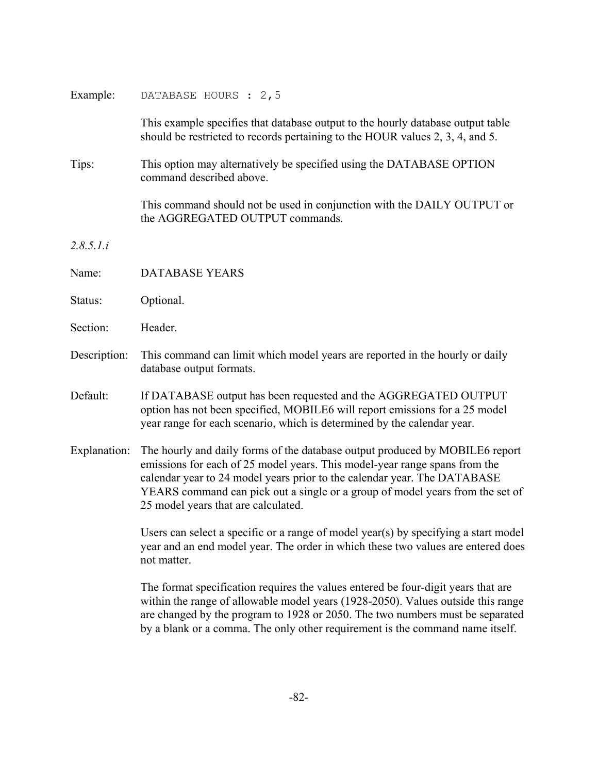| Example: | DATABASE HOURS : 2,5 |  |  |  |
|----------|----------------------|--|--|--|
|----------|----------------------|--|--|--|

This example specifies that database output to the hourly database output table should be restricted to records pertaining to the HOUR values 2, 3, 4, and 5.

Tips: This option may alternatively be specified using the DATABASE OPTION command described above.

> This command should not be used in conjunction with the DAILY OUTPUT or the AGGREGATED OUTPUT commands.

*2.8.5.1.i*

- Name: DATABASE YEARS
- Status: Optional.
- Section: Header.
- Description: This command can limit which model years are reported in the hourly or daily database output formats.
- Default: If DATABASE output has been requested and the AGGREGATED OUTPUT option has not been specified, MOBILE6 will report emissions for a 25 model year range for each scenario, which is determined by the calendar year.
- Explanation: The hourly and daily forms of the database output produced by MOBILE6 report emissions for each of 25 model years. This model-year range spans from the calendar year to 24 model years prior to the calendar year. The DATABASE YEARS command can pick out a single or a group of model years from the set of 25 model years that are calculated.

Users can select a specific or a range of model year(s) by specifying a start model year and an end model year. The order in which these two values are entered does not matter.

The format specification requires the values entered be four-digit years that are within the range of allowable model years (1928-2050). Values outside this range are changed by the program to 1928 or 2050. The two numbers must be separated by a blank or a comma. The only other requirement is the command name itself.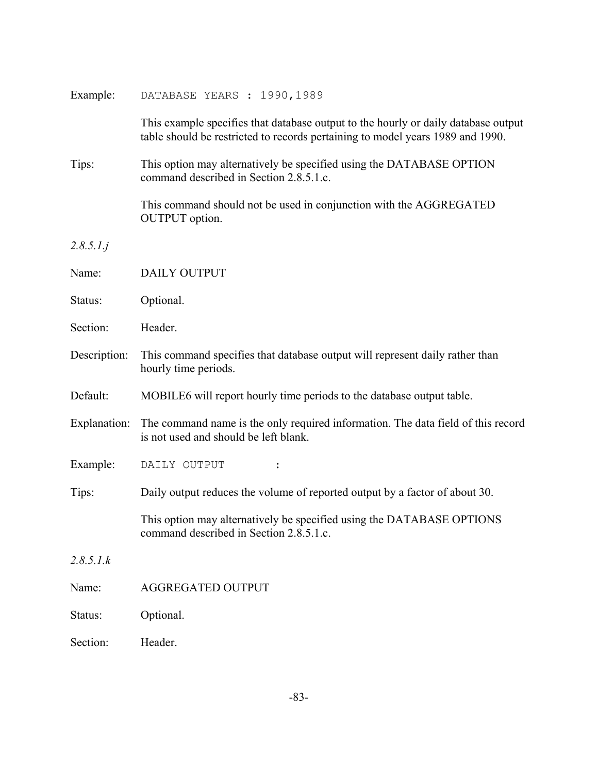| Example:     | DATABASE YEARS : 1990, 1989                                                                                                                                          |  |  |  |
|--------------|----------------------------------------------------------------------------------------------------------------------------------------------------------------------|--|--|--|
|              | This example specifies that database output to the hourly or daily database output<br>table should be restricted to records pertaining to model years 1989 and 1990. |  |  |  |
| Tips:        | This option may alternatively be specified using the DATABASE OPTION<br>command described in Section 2.8.5.1.c.                                                      |  |  |  |
|              | This command should not be used in conjunction with the AGGREGATED<br><b>OUTPUT</b> option.                                                                          |  |  |  |
| 2.8.5.1.j    |                                                                                                                                                                      |  |  |  |
| Name:        | <b>DAILY OUTPUT</b>                                                                                                                                                  |  |  |  |
| Status:      | Optional.                                                                                                                                                            |  |  |  |
| Section:     | Header.                                                                                                                                                              |  |  |  |
| Description: | This command specifies that database output will represent daily rather than<br>hourly time periods.                                                                 |  |  |  |
| Default:     | MOBILE6 will report hourly time periods to the database output table.                                                                                                |  |  |  |
| Explanation: | The command name is the only required information. The data field of this record<br>is not used and should be left blank.                                            |  |  |  |
| Example:     | DAILY OUTPUT                                                                                                                                                         |  |  |  |
| Tips:        | Daily output reduces the volume of reported output by a factor of about 30.                                                                                          |  |  |  |
|              | This option may alternatively be specified using the DATABASE OPTIONS<br>command described in Section 2.8.5.1.c.                                                     |  |  |  |
| 2.8.5.1.k    |                                                                                                                                                                      |  |  |  |
| Name:        | <b>AGGREGATED OUTPUT</b>                                                                                                                                             |  |  |  |
| Status:      | Optional.                                                                                                                                                            |  |  |  |
| Section:     | Header.                                                                                                                                                              |  |  |  |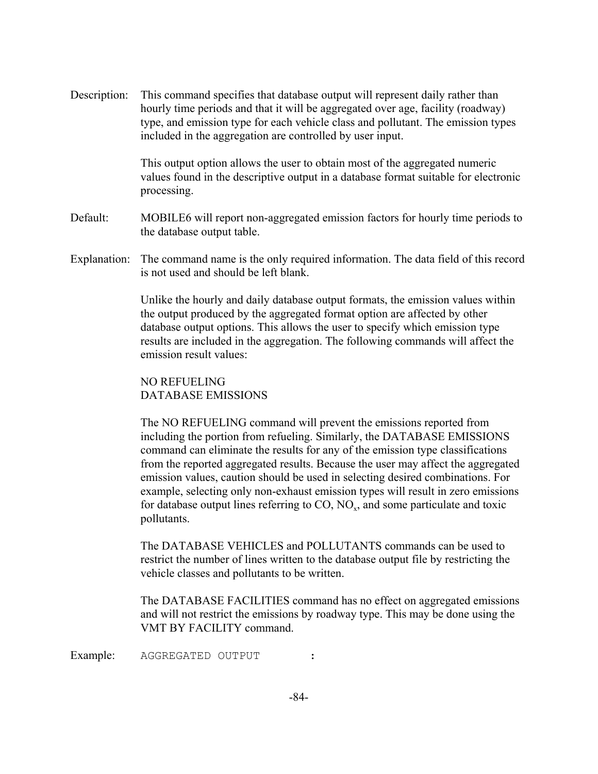Description: This command specifies that database output will represent daily rather than hourly time periods and that it will be aggregated over age, facility (roadway) type, and emission type for each vehicle class and pollutant. The emission types included in the aggregation are controlled by user input.

> This output option allows the user to obtain most of the aggregated numeric values found in the descriptive output in a database format suitable for electronic processing.

- Default: MOBILE6 will report non-aggregated emission factors for hourly time periods to the database output table.
- Explanation: The command name is the only required information. The data field of this record is not used and should be left blank.

Unlike the hourly and daily database output formats, the emission values within the output produced by the aggregated format option are affected by other database output options. This allows the user to specify which emission type results are included in the aggregation. The following commands will affect the emission result values:

NO REFUELING DATABASE EMISSIONS

The NO REFUELING command will prevent the emissions reported from including the portion from refueling. Similarly, the DATABASE EMISSIONS command can eliminate the results for any of the emission type classifications from the reported aggregated results. Because the user may affect the aggregated emission values, caution should be used in selecting desired combinations. For example, selecting only non-exhaust emission types will result in zero emissions for database output lines referring to  $CO$ ,  $NO<sub>x</sub>$ , and some particulate and toxic pollutants.

The DATABASE VEHICLES and POLLUTANTS commands can be used to restrict the number of lines written to the database output file by restricting the vehicle classes and pollutants to be written.

The DATABASE FACILITIES command has no effect on aggregated emissions and will not restrict the emissions by roadway type. This may be done using the VMT BY FACILITY command.

Example: AGGREGATED OUTPUT :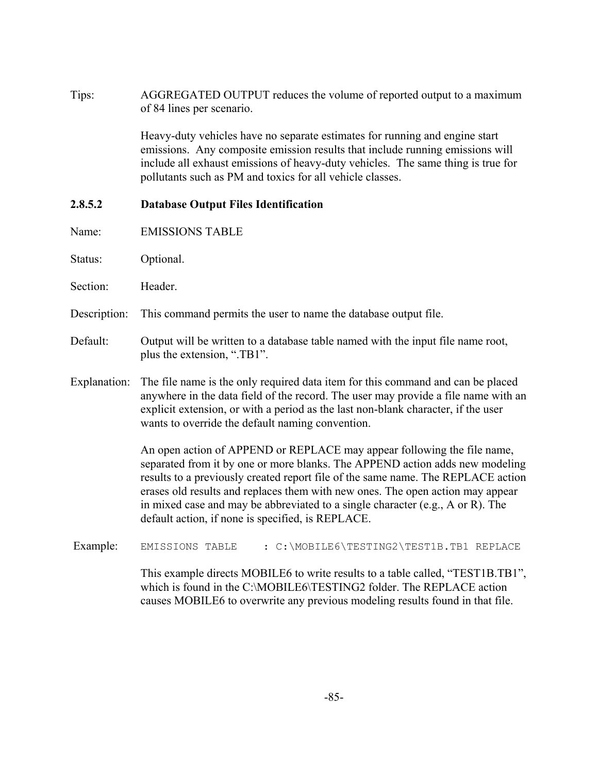Tips: AGGREGATED OUTPUT reduces the volume of reported output to a maximum of 84 lines per scenario.

> Heavy-duty vehicles have no separate estimates for running and engine start emissions. Any composite emission results that include running emissions will include all exhaust emissions of heavy-duty vehicles. The same thing is true for pollutants such as PM and toxics for all vehicle classes.

#### **2.8.5.2 Database Output Files Identification**

- Name: EMISSIONS TABLE
- Status: Optional.
- Section: Header.
- Description: This command permits the user to name the database output file.
- Default: Output will be written to a database table named with the input file name root, plus the extension, ".TB1".
- Explanation: The file name is the only required data item for this command and can be placed anywhere in the data field of the record. The user may provide a file name with an explicit extension, or with a period as the last non-blank character, if the user wants to override the default naming convention.

An open action of APPEND or REPLACE may appear following the file name, separated from it by one or more blanks. The APPEND action adds new modeling results to a previously created report file of the same name. The REPLACE action erases old results and replaces them with new ones. The open action may appear in mixed case and may be abbreviated to a single character (e.g., A or R). The default action, if none is specified, is REPLACE.

Example: EMISSIONS TABLE : C:\MOBILE6\TESTING2\TEST1B.TB1 REPLACE

This example directs MOBILE6 to write results to a table called, "TEST1B.TB1", which is found in the C:\MOBILE6\TESTING2 folder. The REPLACE action causes MOBILE6 to overwrite any previous modeling results found in that file.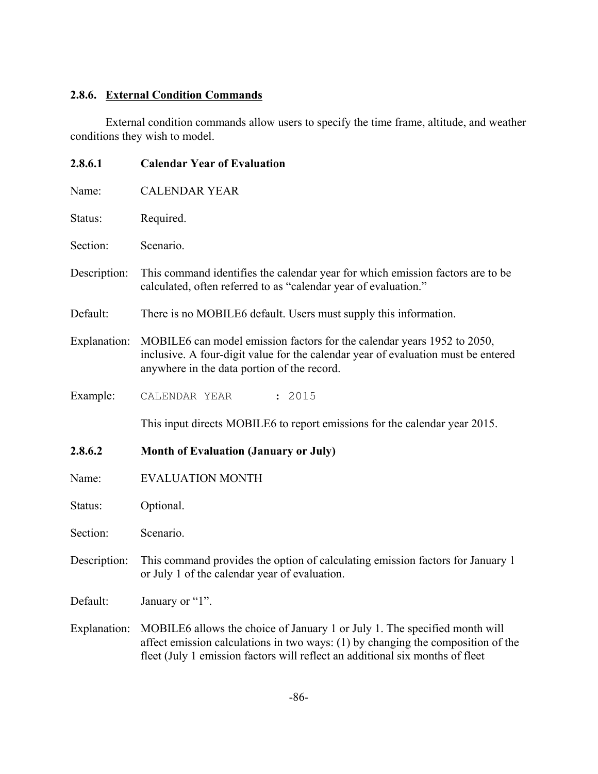# **2.8.6. External Condition Commands**

External condition commands allow users to specify the time frame, altitude, and weather conditions they wish to model.

| 2.8.6.1      | <b>Calendar Year of Evaluation</b>                                                                                                                                                                                                              |  |  |  |
|--------------|-------------------------------------------------------------------------------------------------------------------------------------------------------------------------------------------------------------------------------------------------|--|--|--|
| Name:        | <b>CALENDAR YEAR</b>                                                                                                                                                                                                                            |  |  |  |
| Status:      | Required.                                                                                                                                                                                                                                       |  |  |  |
| Section:     | Scenario.                                                                                                                                                                                                                                       |  |  |  |
| Description: | This command identifies the calendar year for which emission factors are to be<br>calculated, often referred to as "calendar year of evaluation."                                                                                               |  |  |  |
| Default:     | There is no MOBILE6 default. Users must supply this information.                                                                                                                                                                                |  |  |  |
| Explanation: | MOBILE6 can model emission factors for the calendar years 1952 to 2050,<br>inclusive. A four-digit value for the calendar year of evaluation must be entered<br>anywhere in the data portion of the record.                                     |  |  |  |
| Example:     | : 2015<br>CALENDAR YEAR                                                                                                                                                                                                                         |  |  |  |
|              | This input directs MOBILE6 to report emissions for the calendar year 2015.                                                                                                                                                                      |  |  |  |
| 2.8.6.2      | <b>Month of Evaluation (January or July)</b>                                                                                                                                                                                                    |  |  |  |
| Name:        | <b>EVALUATION MONTH</b>                                                                                                                                                                                                                         |  |  |  |
| Status:      | Optional.                                                                                                                                                                                                                                       |  |  |  |
| Section:     | Scenario.                                                                                                                                                                                                                                       |  |  |  |
| Description: | This command provides the option of calculating emission factors for January 1<br>or July 1 of the calendar year of evaluation.                                                                                                                 |  |  |  |
| Default:     | January or "1".                                                                                                                                                                                                                                 |  |  |  |
| Explanation: | MOBILE6 allows the choice of January 1 or July 1. The specified month will<br>affect emission calculations in two ways: (1) by changing the composition of the<br>fleet (July 1 emission factors will reflect an additional six months of fleet |  |  |  |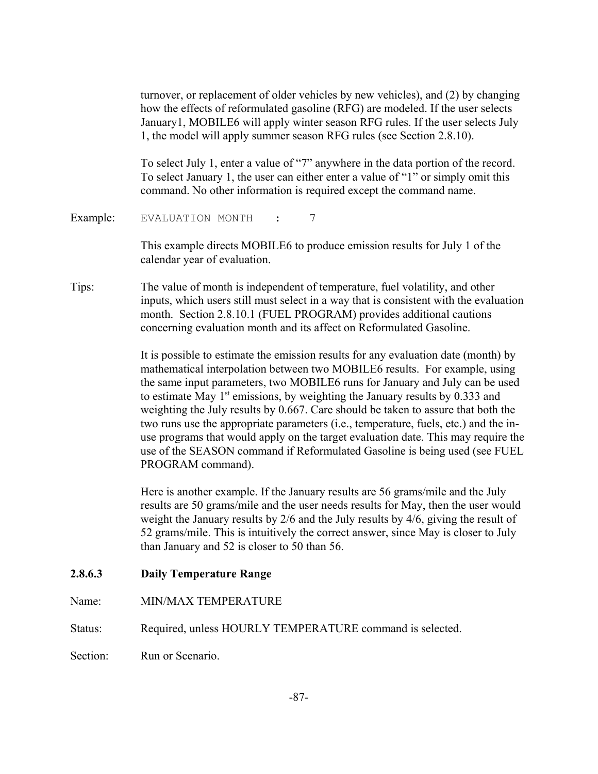turnover, or replacement of older vehicles by new vehicles), and (2) by changing how the effects of reformulated gasoline (RFG) are modeled. If the user selects January1, MOBILE6 will apply winter season RFG rules. If the user selects July 1, the model will apply summer season RFG rules (see Section 2.8.10).

To select July 1, enter a value of "7" anywhere in the data portion of the record. To select January 1, the user can either enter a value of "1" or simply omit this command. No other information is required except the command name.

Example: EVALUATION MONTH : 7

This example directs MOBILE6 to produce emission results for July 1 of the calendar year of evaluation.

Tips: The value of month is independent of temperature, fuel volatility, and other inputs, which users still must select in a way that is consistent with the evaluation month. Section 2.8.10.1 (FUEL PROGRAM) provides additional cautions concerning evaluation month and its affect on Reformulated Gasoline.

> It is possible to estimate the emission results for any evaluation date (month) by mathematical interpolation between two MOBILE6 results. For example, using the same input parameters, two MOBILE6 runs for January and July can be used to estimate May  $1<sup>st</sup>$  emissions, by weighting the January results by 0.333 and weighting the July results by 0.667. Care should be taken to assure that both the two runs use the appropriate parameters (i.e., temperature, fuels, etc.) and the inuse programs that would apply on the target evaluation date. This may require the use of the SEASON command if Reformulated Gasoline is being used (see FUEL PROGRAM command).

> Here is another example. If the January results are 56 grams/mile and the July results are 50 grams/mile and the user needs results for May, then the user would weight the January results by 2/6 and the July results by 4/6, giving the result of 52 grams/mile. This is intuitively the correct answer, since May is closer to July than January and 52 is closer to 50 than 56.

#### **2.8.6.3 Daily Temperature Range**

Name: MIN/MAX TEMPERATURE

Status: Required, unless HOURLY TEMPERATURE command is selected.

Section: Run or Scenario.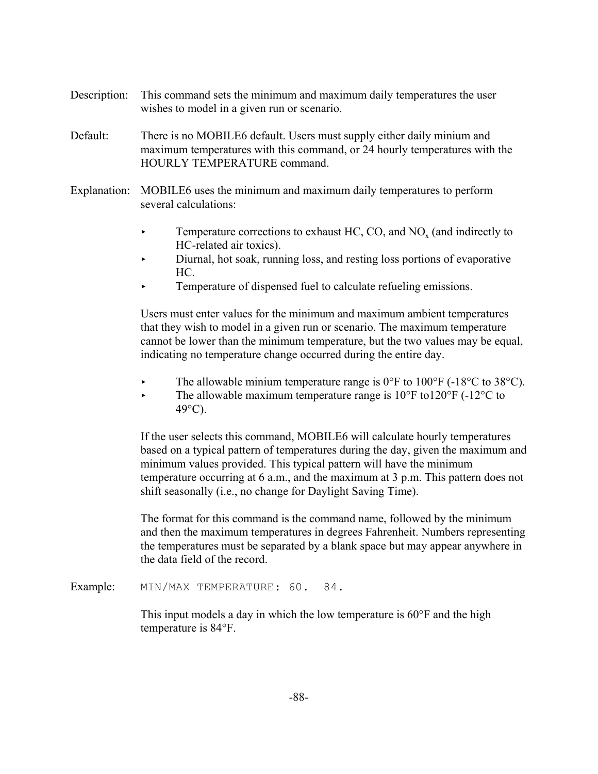- Description: This command sets the minimum and maximum daily temperatures the user wishes to model in a given run or scenario.
- Default: There is no MOBILE6 default. Users must supply either daily minium and maximum temperatures with this command, or 24 hourly temperatures with the HOURLY TEMPERATURE command.
- Explanation: MOBILE6 uses the minimum and maximum daily temperatures to perform several calculations:
	- Femperature corrections to exhaust HC, CO, and  $NO<sub>x</sub>$  (and indirectly to HC-related air toxics).
	- < Diurnal, hot soak, running loss, and resting loss portions of evaporative HC.
	- < Temperature of dispensed fuel to calculate refueling emissions.

Users must enter values for the minimum and maximum ambient temperatures that they wish to model in a given run or scenario. The maximum temperature cannot be lower than the minimum temperature, but the two values may be equal, indicating no temperature change occurred during the entire day.

- The allowable minium temperature range is  $0^{\circ}$ F to  $100^{\circ}$ F (-18 $^{\circ}$ C to 38 $^{\circ}$ C).
- $\blacktriangleright$  The allowable maximum temperature range is 10°F to120°F (-12°C to 49°C).

If the user selects this command, MOBILE6 will calculate hourly temperatures based on a typical pattern of temperatures during the day, given the maximum and minimum values provided. This typical pattern will have the minimum temperature occurring at 6 a.m., and the maximum at 3 p.m. This pattern does not shift seasonally (i.e., no change for Daylight Saving Time).

The format for this command is the command name, followed by the minimum and then the maximum temperatures in degrees Fahrenheit. Numbers representing the temperatures must be separated by a blank space but may appear anywhere in the data field of the record.

Example: MIN/MAX TEMPERATURE: 60. 84.

This input models a day in which the low temperature is 60°F and the high temperature is 84°F.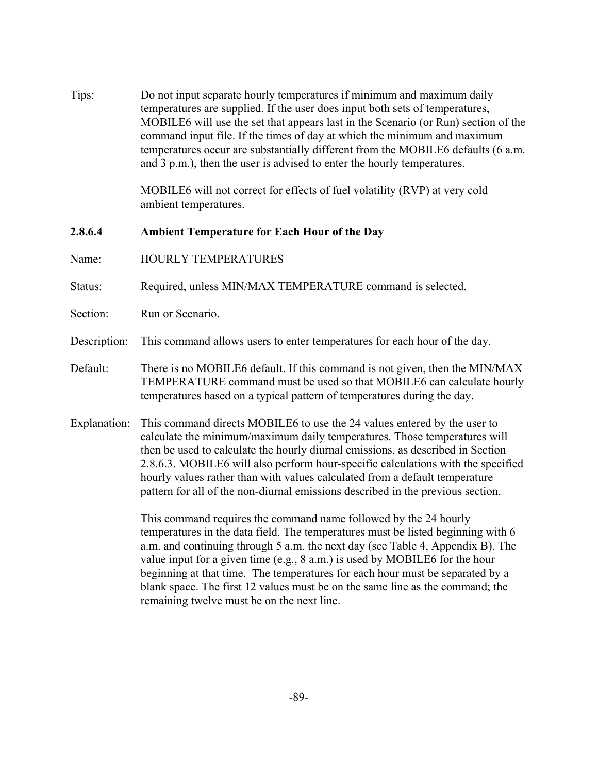Tips: Do not input separate hourly temperatures if minimum and maximum daily temperatures are supplied. If the user does input both sets of temperatures, MOBILE6 will use the set that appears last in the Scenario (or Run) section of the command input file. If the times of day at which the minimum and maximum temperatures occur are substantially different from the MOBILE6 defaults (6 a.m. and 3 p.m.), then the user is advised to enter the hourly temperatures.

> MOBILE6 will not correct for effects of fuel volatility (RVP) at very cold ambient temperatures.

**2.8.6.4 Ambient Temperature for Each Hour of the Day**

- Name: HOURLY TEMPERATURES
- Status: Required, unless MIN/MAX TEMPERATURE command is selected.
- Section: Run or Scenario.
- Description: This command allows users to enter temperatures for each hour of the day.
- Default: There is no MOBILE6 default. If this command is not given, then the MIN/MAX TEMPERATURE command must be used so that MOBILE6 can calculate hourly temperatures based on a typical pattern of temperatures during the day.
- Explanation: This command directs MOBILE6 to use the 24 values entered by the user to calculate the minimum/maximum daily temperatures. Those temperatures will then be used to calculate the hourly diurnal emissions, as described in Section 2.8.6.3. MOBILE6 will also perform hour-specific calculations with the specified hourly values rather than with values calculated from a default temperature pattern for all of the non-diurnal emissions described in the previous section.

This command requires the command name followed by the 24 hourly temperatures in the data field. The temperatures must be listed beginning with 6 a.m. and continuing through 5 a.m. the next day (see Table 4, Appendix B). The value input for a given time (e.g., 8 a.m.) is used by MOBILE6 for the hour beginning at that time. The temperatures for each hour must be separated by a blank space. The first 12 values must be on the same line as the command; the remaining twelve must be on the next line.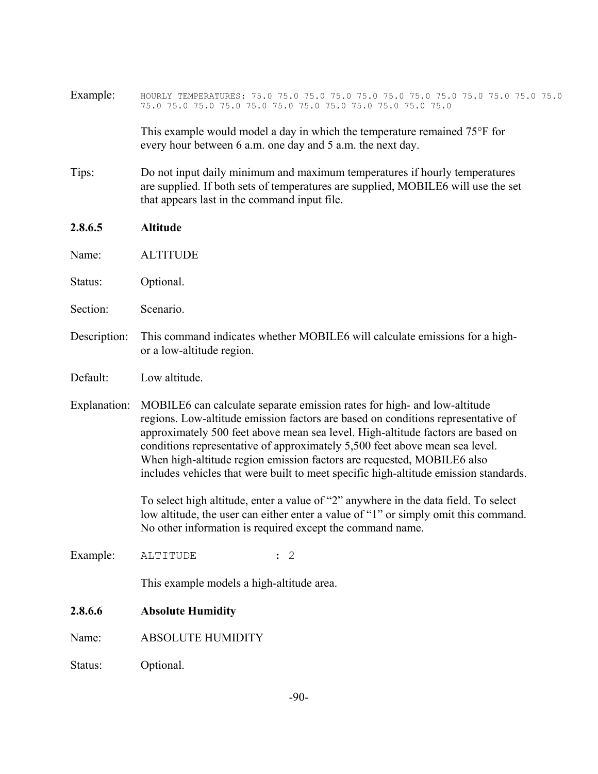| Example:     |                                                                                                                                                                                                                                                                                                                                                                                                                                                                                                  |  |  |  |  |
|--------------|--------------------------------------------------------------------------------------------------------------------------------------------------------------------------------------------------------------------------------------------------------------------------------------------------------------------------------------------------------------------------------------------------------------------------------------------------------------------------------------------------|--|--|--|--|
|              | This example would model a day in which the temperature remained 75°F for<br>every hour between 6 a.m. one day and 5 a.m. the next day.                                                                                                                                                                                                                                                                                                                                                          |  |  |  |  |
| Tips:        | Do not input daily minimum and maximum temperatures if hourly temperatures<br>are supplied. If both sets of temperatures are supplied, MOBILE6 will use the set<br>that appears last in the command input file.                                                                                                                                                                                                                                                                                  |  |  |  |  |
| 2.8.6.5      | <b>Altitude</b>                                                                                                                                                                                                                                                                                                                                                                                                                                                                                  |  |  |  |  |
| Name:        | <b>ALTITUDE</b>                                                                                                                                                                                                                                                                                                                                                                                                                                                                                  |  |  |  |  |
| Status:      | Optional.                                                                                                                                                                                                                                                                                                                                                                                                                                                                                        |  |  |  |  |
| Section:     | Scenario.                                                                                                                                                                                                                                                                                                                                                                                                                                                                                        |  |  |  |  |
| Description: | This command indicates whether MOBILE6 will calculate emissions for a high-<br>or a low-altitude region.                                                                                                                                                                                                                                                                                                                                                                                         |  |  |  |  |
| Default:     | Low altitude.                                                                                                                                                                                                                                                                                                                                                                                                                                                                                    |  |  |  |  |
| Explanation: | MOBILE6 can calculate separate emission rates for high- and low-altitude<br>regions. Low-altitude emission factors are based on conditions representative of<br>approximately 500 feet above mean sea level. High-altitude factors are based on<br>conditions representative of approximately 5,500 feet above mean sea level.<br>When high-altitude region emission factors are requested, MOBILE6 also<br>includes vehicles that were built to meet specific high-altitude emission standards. |  |  |  |  |
|              | To select high altitude, enter a value of "2" anywhere in the data field. To select<br>low altitude, the user can either enter a value of "1" or simply omit this command.<br>No other information is required except the command name.                                                                                                                                                                                                                                                          |  |  |  |  |
| Example:     | ALTITUDE<br>$\colon$ 2                                                                                                                                                                                                                                                                                                                                                                                                                                                                           |  |  |  |  |
|              | This example models a high-altitude area.                                                                                                                                                                                                                                                                                                                                                                                                                                                        |  |  |  |  |
| 2.8.6.6      | <b>Absolute Humidity</b>                                                                                                                                                                                                                                                                                                                                                                                                                                                                         |  |  |  |  |
| Name:        | <b>ABSOLUTE HUMIDITY</b>                                                                                                                                                                                                                                                                                                                                                                                                                                                                         |  |  |  |  |
| Status:      | Optional.                                                                                                                                                                                                                                                                                                                                                                                                                                                                                        |  |  |  |  |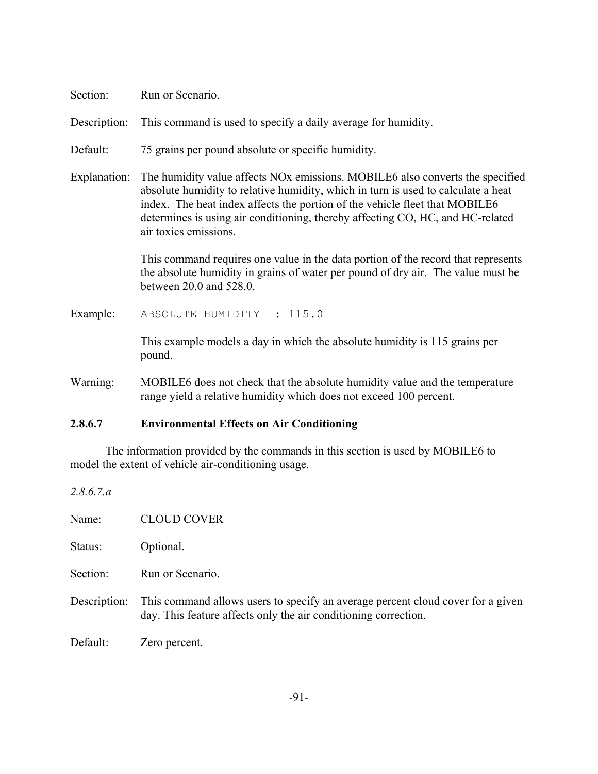| Section:     | Run or Scenario.                                                                                                                                                                                                                                                                                                                                                         |  |  |  |
|--------------|--------------------------------------------------------------------------------------------------------------------------------------------------------------------------------------------------------------------------------------------------------------------------------------------------------------------------------------------------------------------------|--|--|--|
| Description: | This command is used to specify a daily average for humidity.                                                                                                                                                                                                                                                                                                            |  |  |  |
| Default:     | 75 grains per pound absolute or specific humidity.                                                                                                                                                                                                                                                                                                                       |  |  |  |
| Explanation: | The humidity value affects NO <sub>x</sub> emissions. MOBILE6 also converts the specified<br>absolute humidity to relative humidity, which in turn is used to calculate a heat<br>index. The heat index affects the portion of the vehicle fleet that MOBILE6<br>determines is using air conditioning, thereby affecting CO, HC, and HC-related<br>air toxics emissions. |  |  |  |
|              | This command requires one value in the data portion of the record that represents<br>the absolute humidity in grains of water per pound of dry air. The value must be<br>between 20.0 and 528.0.                                                                                                                                                                         |  |  |  |
| Example:     | ABSOLUTE HUMIDITY : 115.0                                                                                                                                                                                                                                                                                                                                                |  |  |  |
|              | This example models a day in which the absolute humidity is 115 grains per<br>pound.                                                                                                                                                                                                                                                                                     |  |  |  |
| Warning:     | MOBILE6 does not check that the absolute humidity value and the temperature<br>range yield a relative humidity which does not exceed 100 percent.                                                                                                                                                                                                                        |  |  |  |

#### **2.8.6.7 Environmental Effects on Air Conditioning**

*2.8.6.7.a*

The information provided by the commands in this section is used by MOBILE6 to model the extent of vehicle air-conditioning usage.

Name: CLOUD COVER Status: Optional. Section: Run or Scenario. Description: This command allows users to specify an average percent cloud cover for a given day. This feature affects only the air conditioning correction. Default: Zero percent.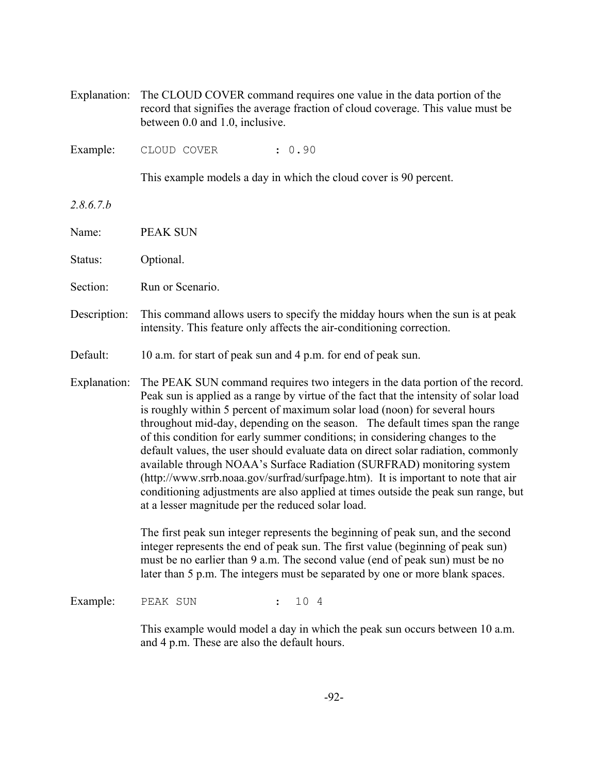Explanation: The CLOUD COVER command requires one value in the data portion of the record that signifies the average fraction of cloud coverage. This value must be between 0.0 and 1.0, inclusive.

Example: CLOUD COVER : 0.90

This example models a day in which the cloud cover is 90 percent.

*2.8.6.7.b*

Name: PEAK SUN

Status: Optional.

Section: Run or Scenario.

Description: This command allows users to specify the midday hours when the sun is at peak intensity. This feature only affects the air-conditioning correction.

Default: 10 a.m. for start of peak sun and 4 p.m. for end of peak sun.

Explanation: The PEAK SUN command requires two integers in the data portion of the record. Peak sun is applied as a range by virtue of the fact that the intensity of solar load is roughly within 5 percent of maximum solar load (noon) for several hours throughout mid-day, depending on the season. The default times span the range of this condition for early summer conditions; in considering changes to the default values, the user should evaluate data on direct solar radiation, commonly available through NOAA's Surface Radiation (SURFRAD) monitoring system (http://www.srrb.noaa.gov/surfrad/surfpage.htm). It is important to note that air conditioning adjustments are also applied at times outside the peak sun range, but at a lesser magnitude per the reduced solar load.

> The first peak sun integer represents the beginning of peak sun, and the second integer represents the end of peak sun. The first value (beginning of peak sun) must be no earlier than 9 a.m. The second value (end of peak sun) must be no later than 5 p.m. The integers must be separated by one or more blank spaces.

Example: PEAK SUN : 10 4

This example would model a day in which the peak sun occurs between 10 a.m. and 4 p.m. These are also the default hours.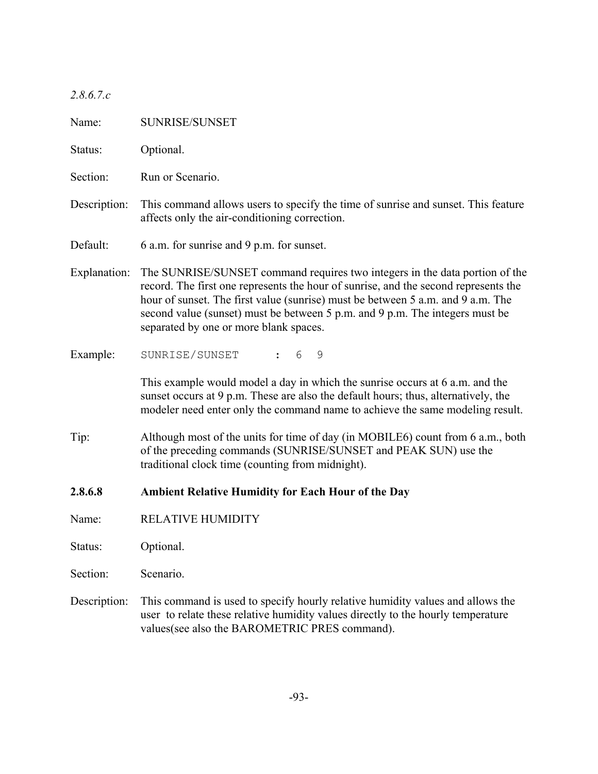| 2.8.6.7.c |  |  |
|-----------|--|--|
|           |  |  |

| Name:        | SUNRISE/SUNSET                                                                                                                                                                                                                                                                                                                                                                  |
|--------------|---------------------------------------------------------------------------------------------------------------------------------------------------------------------------------------------------------------------------------------------------------------------------------------------------------------------------------------------------------------------------------|
| Status:      | Optional.                                                                                                                                                                                                                                                                                                                                                                       |
| Section:     | Run or Scenario.                                                                                                                                                                                                                                                                                                                                                                |
| Description: | This command allows users to specify the time of sunrise and sunset. This feature<br>affects only the air-conditioning correction.                                                                                                                                                                                                                                              |
| Default:     | 6 a.m. for sunrise and 9 p.m. for sunset.                                                                                                                                                                                                                                                                                                                                       |
| Explanation: | The SUNRISE/SUNSET command requires two integers in the data portion of the<br>record. The first one represents the hour of sunrise, and the second represents the<br>hour of sunset. The first value (sunrise) must be between 5 a.m. and 9 a.m. The<br>second value (sunset) must be between 5 p.m. and 9 p.m. The integers must be<br>separated by one or more blank spaces. |
| Example:     | SUNRISE/SUNSET<br>6<br>9<br>$\mathbf{L}$                                                                                                                                                                                                                                                                                                                                        |
|              | This example would model a day in which the sunrise occurs at 6 a.m. and the<br>sunset occurs at 9 p.m. These are also the default hours; thus, alternatively, the<br>modeler need enter only the command name to achieve the same modeling result.                                                                                                                             |
| Tip:         | Although most of the units for time of day (in MOBILE6) count from 6 a.m., both<br>of the preceding commands (SUNRISE/SUNSET and PEAK SUN) use the<br>traditional clock time (counting from midnight).                                                                                                                                                                          |
| 2.8.6.8      | <b>Ambient Relative Humidity for Each Hour of the Day</b>                                                                                                                                                                                                                                                                                                                       |
| Name:        | <b>RELATIVE HUMIDITY</b>                                                                                                                                                                                                                                                                                                                                                        |
| Status:      | Optional.                                                                                                                                                                                                                                                                                                                                                                       |
| Section:     | Scenario.                                                                                                                                                                                                                                                                                                                                                                       |
| Description: | This command is used to specify hourly relative humidity values and allows the<br>user to relate these relative humidity values directly to the hourly temperature<br>values(see also the BAROMETRIC PRES command).                                                                                                                                                             |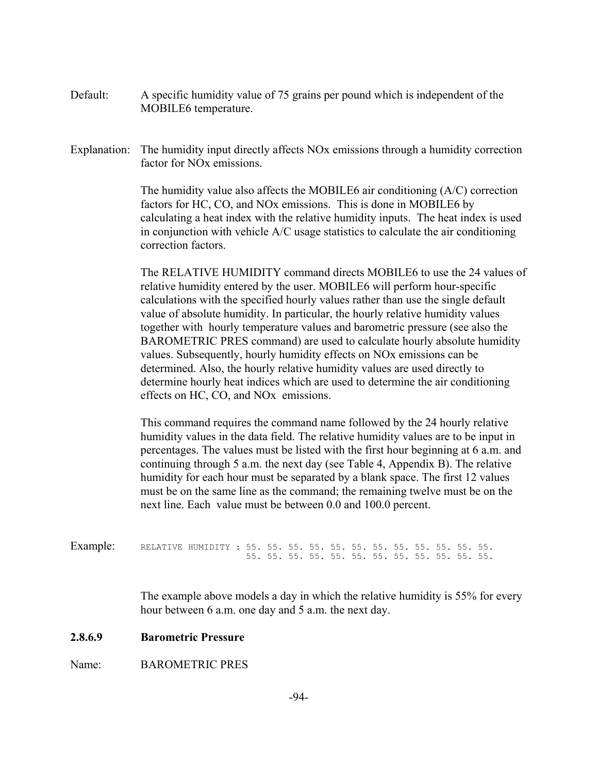- Default: A specific humidity value of 75 grains per pound which is independent of the MOBILE6 temperature.
- Explanation: The humidity input directly affects NO<sub>x</sub> emissions through a humidity correction factor for NOx emissions.

The humidity value also affects the MOBILE6 air conditioning (A/C) correction factors for HC, CO, and NOx emissions. This is done in MOBILE6 by calculating a heat index with the relative humidity inputs. The heat index is used in conjunction with vehicle A/C usage statistics to calculate the air conditioning correction factors.

The RELATIVE HUMIDITY command directs MOBILE6 to use the 24 values of relative humidity entered by the user. MOBILE6 will perform hour-specific calculations with the specified hourly values rather than use the single default value of absolute humidity. In particular, the hourly relative humidity values together with hourly temperature values and barometric pressure (see also the BAROMETRIC PRES command) are used to calculate hourly absolute humidity values. Subsequently, hourly humidity effects on NOx emissions can be determined. Also, the hourly relative humidity values are used directly to determine hourly heat indices which are used to determine the air conditioning effects on HC, CO, and NOx emissions.

This command requires the command name followed by the 24 hourly relative humidity values in the data field. The relative humidity values are to be input in percentages. The values must be listed with the first hour beginning at 6 a.m. and continuing through 5 a.m. the next day (see Table 4, Appendix B). The relative humidity for each hour must be separated by a blank space. The first 12 values must be on the same line as the command; the remaining twelve must be on the next line. Each value must be between 0.0 and 100.0 percent.

Example: RELATIVE HUMIDITY : 55. 55. 55. 55. 55. 55. 55. 55. 55. 55. 55. 55. 55. 55. 55. 55. 55. 55. 55. 55. 55. 55. 55. 55.

> The example above models a day in which the relative humidity is 55% for every hour between 6 a.m. one day and 5 a.m. the next day.

#### **2.8.6.9 Barometric Pressure**

Name: BAROMETRIC PRES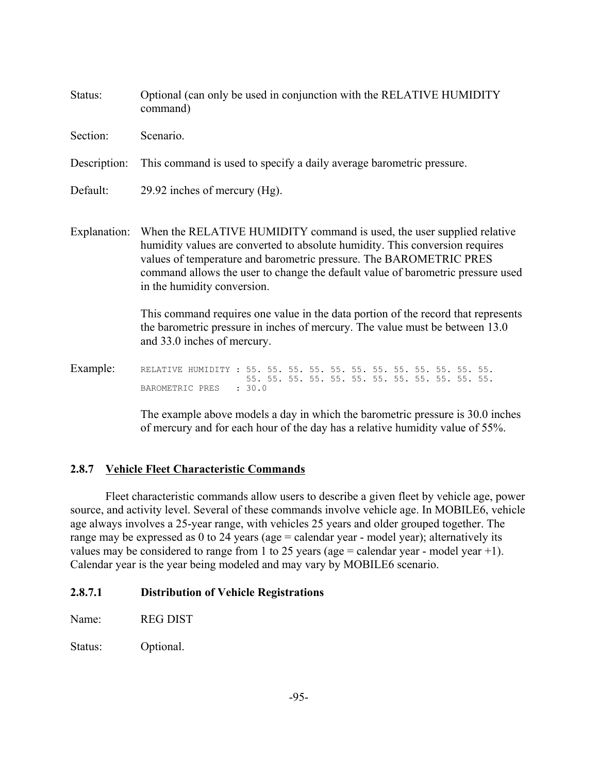| Status:      | Optional (can only be used in conjunction with the RELATIVE HUMIDITY<br>command)                                                                                                                                                                                                                                                               |  |  |  |
|--------------|------------------------------------------------------------------------------------------------------------------------------------------------------------------------------------------------------------------------------------------------------------------------------------------------------------------------------------------------|--|--|--|
| Section:     | Scenario.                                                                                                                                                                                                                                                                                                                                      |  |  |  |
| Description: | This command is used to specify a daily average barometric pressure.                                                                                                                                                                                                                                                                           |  |  |  |
| Default:     | 29.92 inches of mercury (Hg).                                                                                                                                                                                                                                                                                                                  |  |  |  |
| Explanation: | When the RELATIVE HUMIDITY command is used, the user supplied relative<br>humidity values are converted to absolute humidity. This conversion requires<br>values of temperature and barometric pressure. The BAROMETRIC PRES<br>command allows the user to change the default value of barometric pressure used<br>in the humidity conversion. |  |  |  |
|              | This command requires one value in the data portion of the record that represents<br>the barometric pressure in inches of mercury. The value must be between 13.0<br>and 33.0 inches of mercury.                                                                                                                                               |  |  |  |
| Example:     | RELATIVE HUMIDITY:<br>: 30.0<br>BAROMETRIC PRES                                                                                                                                                                                                                                                                                                |  |  |  |

The example above models a day in which the barometric pressure is 30.0 inches of mercury and for each hour of the day has a relative humidity value of 55%.

#### **2.8.7 Vehicle Fleet Characteristic Commands**

Fleet characteristic commands allow users to describe a given fleet by vehicle age, power source, and activity level. Several of these commands involve vehicle age. In MOBILE6, vehicle age always involves a 25-year range, with vehicles 25 years and older grouped together. The range may be expressed as 0 to 24 years (age = calendar year - model year); alternatively its values may be considered to range from 1 to 25 years (age = calendar year - model year +1). Calendar year is the year being modeled and may vary by MOBILE6 scenario.

# **2.8.7.1 Distribution of Vehicle Registrations**

Name: REG DIST

Status: Optional.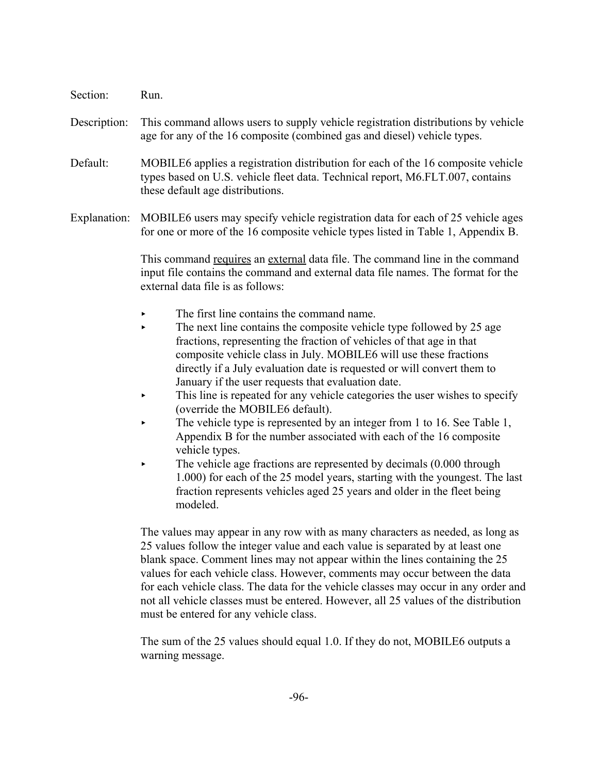- Section: Run.
- Description: This command allows users to supply vehicle registration distributions by vehicle age for any of the 16 composite (combined gas and diesel) vehicle types.
- Default: MOBILE6 applies a registration distribution for each of the 16 composite vehicle types based on U.S. vehicle fleet data. Technical report, M6.FLT.007, contains these default age distributions.
- Explanation: MOBILE6 users may specify vehicle registration data for each of 25 vehicle ages for one or more of the 16 composite vehicle types listed in Table 1, Appendix B.

This command requires an external data file. The command line in the command input file contains the command and external data file names. The format for the external data file is as follows:

- $\blacktriangleright$  The first line contains the command name.
- $\blacktriangleright$  The next line contains the composite vehicle type followed by 25 age fractions, representing the fraction of vehicles of that age in that composite vehicle class in July. MOBILE6 will use these fractions directly if a July evaluation date is requested or will convert them to January if the user requests that evaluation date.
- This line is repeated for any vehicle categories the user wishes to specify (override the MOBILE6 default).
- The vehicle type is represented by an integer from 1 to 16. See Table 1, Appendix B for the number associated with each of the 16 composite vehicle types.
- The vehicle age fractions are represented by decimals (0.000 through 1.000) for each of the 25 model years, starting with the youngest. The last fraction represents vehicles aged 25 years and older in the fleet being modeled.

The values may appear in any row with as many characters as needed, as long as 25 values follow the integer value and each value is separated by at least one blank space. Comment lines may not appear within the lines containing the 25 values for each vehicle class. However, comments may occur between the data for each vehicle class. The data for the vehicle classes may occur in any order and not all vehicle classes must be entered. However, all 25 values of the distribution must be entered for any vehicle class.

The sum of the 25 values should equal 1.0. If they do not, MOBILE6 outputs a warning message.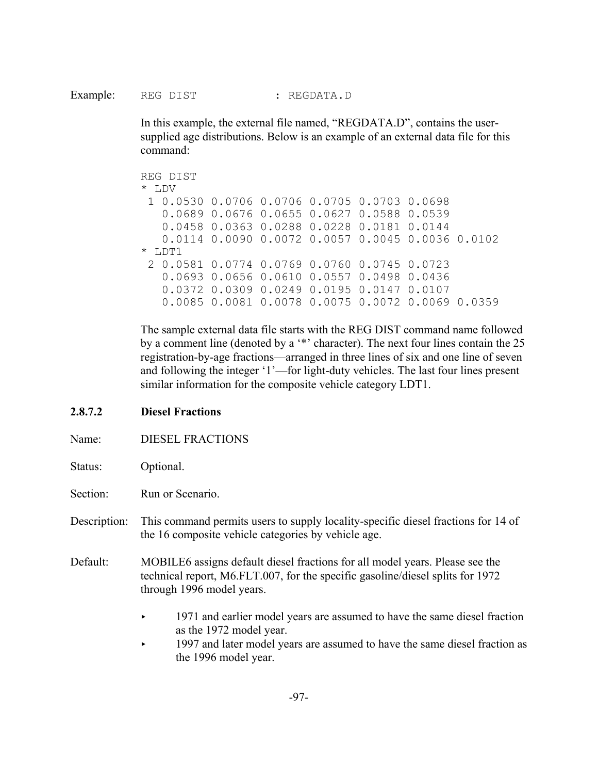In this example, the external file named, "REGDATA.D", contains the usersupplied age distributions. Below is an example of an external data file for this command:

REG DIST \* LDV 1 0.0530 0.0706 0.0706 0.0705 0.0703 0.0698 0.0689 0.0676 0.0655 0.0627 0.0588 0.0539 0.0458 0.0363 0.0288 0.0228 0.0181 0.0144 0.0114 0.0090 0.0072 0.0057 0.0045 0.0036 0.0102 \* LDT1 2 0.0581 0.0774 0.0769 0.0760 0.0745 0.0723 0.0693 0.0656 0.0610 0.0557 0.0498 0.0436 0.0372 0.0309 0.0249 0.0195 0.0147 0.0107 0.0085 0.0081 0.0078 0.0075 0.0072 0.0069 0.0359

The sample external data file starts with the REG DIST command name followed by a comment line (denoted by a '\*' character). The next four lines contain the 25 registration-by-age fractions—arranged in three lines of six and one line of seven and following the integer '1'—for light-duty vehicles. The last four lines present similar information for the composite vehicle category LDT1.

- **2.8.7.2 Diesel Fractions**
- Name: DIESEL FRACTIONS
- Status: Optional.
- Section: Run or Scenario.
- Description: This command permits users to supply locality-specific diesel fractions for 14 of the 16 composite vehicle categories by vehicle age.
- Default: MOBILE6 assigns default diesel fractions for all model years. Please see the technical report, M6.FLT.007, for the specific gasoline/diesel splits for 1972 through 1996 model years.
	- 1971 and earlier model years are assumed to have the same diesel fraction as the 1972 model year.
	- < 1997 and later model years are assumed to have the same diesel fraction as the 1996 model year.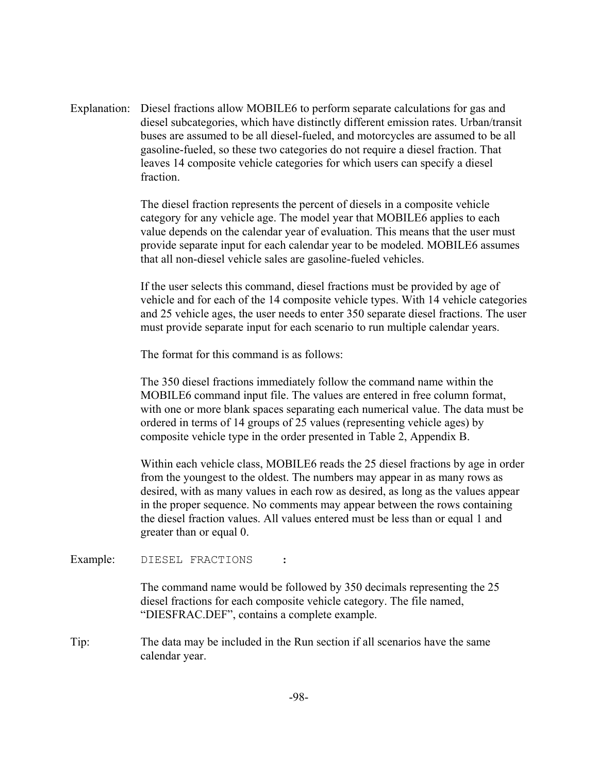Explanation: Diesel fractions allow MOBILE6 to perform separate calculations for gas and diesel subcategories, which have distinctly different emission rates. Urban/transit buses are assumed to be all diesel-fueled, and motorcycles are assumed to be all gasoline-fueled, so these two categories do not require a diesel fraction. That leaves 14 composite vehicle categories for which users can specify a diesel fraction.

> The diesel fraction represents the percent of diesels in a composite vehicle category for any vehicle age. The model year that MOBILE6 applies to each value depends on the calendar year of evaluation. This means that the user must provide separate input for each calendar year to be modeled. MOBILE6 assumes that all non-diesel vehicle sales are gasoline-fueled vehicles.

If the user selects this command, diesel fractions must be provided by age of vehicle and for each of the 14 composite vehicle types. With 14 vehicle categories and 25 vehicle ages, the user needs to enter 350 separate diesel fractions. The user must provide separate input for each scenario to run multiple calendar years.

The format for this command is as follows:

The 350 diesel fractions immediately follow the command name within the MOBILE6 command input file. The values are entered in free column format, with one or more blank spaces separating each numerical value. The data must be ordered in terms of 14 groups of 25 values (representing vehicle ages) by composite vehicle type in the order presented in Table 2, Appendix B.

Within each vehicle class, MOBILE6 reads the 25 diesel fractions by age in order from the youngest to the oldest. The numbers may appear in as many rows as desired, with as many values in each row as desired, as long as the values appear in the proper sequence. No comments may appear between the rows containing the diesel fraction values. All values entered must be less than or equal 1 and greater than or equal 0.

Example: DIESEL FRACTIONS :

The command name would be followed by 350 decimals representing the 25 diesel fractions for each composite vehicle category. The file named, "DIESFRAC.DEF", contains a complete example.

Tip: The data may be included in the Run section if all scenarios have the same calendar year.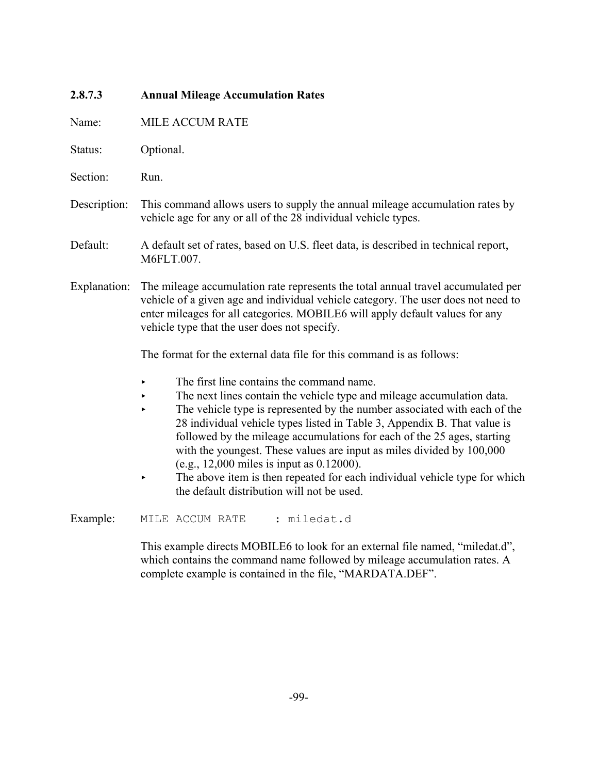| 2.8.7.3      | <b>Annual Mileage Accumulation Rates</b>                                                                                                                                                                                                                                                                                                                                                                                                                                                                                                                                                                                                              |  |  |
|--------------|-------------------------------------------------------------------------------------------------------------------------------------------------------------------------------------------------------------------------------------------------------------------------------------------------------------------------------------------------------------------------------------------------------------------------------------------------------------------------------------------------------------------------------------------------------------------------------------------------------------------------------------------------------|--|--|
| Name:        | MILE ACCUM RATE                                                                                                                                                                                                                                                                                                                                                                                                                                                                                                                                                                                                                                       |  |  |
| Status:      | Optional.                                                                                                                                                                                                                                                                                                                                                                                                                                                                                                                                                                                                                                             |  |  |
| Section:     | Run.                                                                                                                                                                                                                                                                                                                                                                                                                                                                                                                                                                                                                                                  |  |  |
| Description: | This command allows users to supply the annual mileage accumulation rates by<br>vehicle age for any or all of the 28 individual vehicle types.                                                                                                                                                                                                                                                                                                                                                                                                                                                                                                        |  |  |
| Default:     | A default set of rates, based on U.S. fleet data, is described in technical report,<br>M6FLT.007.                                                                                                                                                                                                                                                                                                                                                                                                                                                                                                                                                     |  |  |
| Explanation: | The mileage accumulation rate represents the total annual travel accumulated per<br>vehicle of a given age and individual vehicle category. The user does not need to<br>enter mileages for all categories. MOBILE6 will apply default values for any<br>vehicle type that the user does not specify.                                                                                                                                                                                                                                                                                                                                                 |  |  |
|              | The format for the external data file for this command is as follows:                                                                                                                                                                                                                                                                                                                                                                                                                                                                                                                                                                                 |  |  |
|              | The first line contains the command name.<br>▶<br>The next lines contain the vehicle type and mileage accumulation data.<br>k,<br>The vehicle type is represented by the number associated with each of the<br>$\blacktriangleright$<br>28 individual vehicle types listed in Table 3, Appendix B. That value is<br>followed by the mileage accumulations for each of the 25 ages, starting<br>with the youngest. These values are input as miles divided by 100,000<br>(e.g., 12,000 miles is input as $0.12000$ ).<br>The above item is then repeated for each individual vehicle type for which<br>▶<br>the default distribution will not be used. |  |  |
| Example:     | MILE ACCUM RATE<br>: miledat.d                                                                                                                                                                                                                                                                                                                                                                                                                                                                                                                                                                                                                        |  |  |
|              | This example directs MOBILE6 to look for an external file named, "miledat.d",<br>which contains the command name followed by mileage accumulation rates. A                                                                                                                                                                                                                                                                                                                                                                                                                                                                                            |  |  |

complete example is contained in the file, "MARDATA.DEF".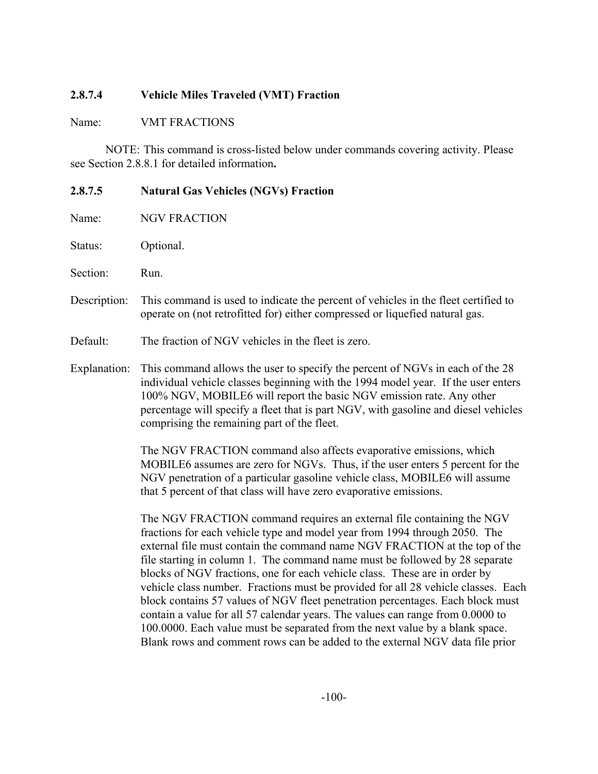# **2.8.7.4 Vehicle Miles Traveled (VMT) Fraction**

Name: VMT FRACTIONS

NOTE: This command is cross-listed below under commands covering activity. Please see Section 2.8.8.1 for detailed information**.**

| 2.8.7.5      | <b>Natural Gas Vehicles (NGVs) Fraction</b>                                                                                                                                                                                                                                                                                                                                                                                                                                                                                                                                                                                                                                                                                             |  |
|--------------|-----------------------------------------------------------------------------------------------------------------------------------------------------------------------------------------------------------------------------------------------------------------------------------------------------------------------------------------------------------------------------------------------------------------------------------------------------------------------------------------------------------------------------------------------------------------------------------------------------------------------------------------------------------------------------------------------------------------------------------------|--|
| Name:        | <b>NGV FRACTION</b>                                                                                                                                                                                                                                                                                                                                                                                                                                                                                                                                                                                                                                                                                                                     |  |
| Status:      | Optional.                                                                                                                                                                                                                                                                                                                                                                                                                                                                                                                                                                                                                                                                                                                               |  |
| Section:     | Run.                                                                                                                                                                                                                                                                                                                                                                                                                                                                                                                                                                                                                                                                                                                                    |  |
| Description: | This command is used to indicate the percent of vehicles in the fleet certified to<br>operate on (not retrofitted for) either compressed or liquefied natural gas.                                                                                                                                                                                                                                                                                                                                                                                                                                                                                                                                                                      |  |
| Default:     | The fraction of NGV vehicles in the fleet is zero.                                                                                                                                                                                                                                                                                                                                                                                                                                                                                                                                                                                                                                                                                      |  |
| Explanation: | This command allows the user to specify the percent of NGVs in each of the 28<br>individual vehicle classes beginning with the 1994 model year. If the user enters<br>100% NGV, MOBILE6 will report the basic NGV emission rate. Any other<br>percentage will specify a fleet that is part NGV, with gasoline and diesel vehicles<br>comprising the remaining part of the fleet.                                                                                                                                                                                                                                                                                                                                                        |  |
|              | The NGV FRACTION command also affects evaporative emissions, which<br>MOBILE6 assumes are zero for NGVs. Thus, if the user enters 5 percent for the<br>NGV penetration of a particular gasoline vehicle class, MOBILE6 will assume<br>that 5 percent of that class will have zero evaporative emissions.                                                                                                                                                                                                                                                                                                                                                                                                                                |  |
|              | The NGV FRACTION command requires an external file containing the NGV<br>fractions for each vehicle type and model year from 1994 through 2050. The<br>external file must contain the command name NGV FRACTION at the top of the<br>file starting in column 1. The command name must be followed by 28 separate<br>blocks of NGV fractions, one for each vehicle class. These are in order by<br>vehicle class number. Fractions must be provided for all 28 vehicle classes. Each<br>block contains 57 values of NGV fleet penetration percentages. Each block must<br>contain a value for all 57 calendar years. The values can range from 0.0000 to<br>100.0000. Each value must be separated from the next value by a blank space. |  |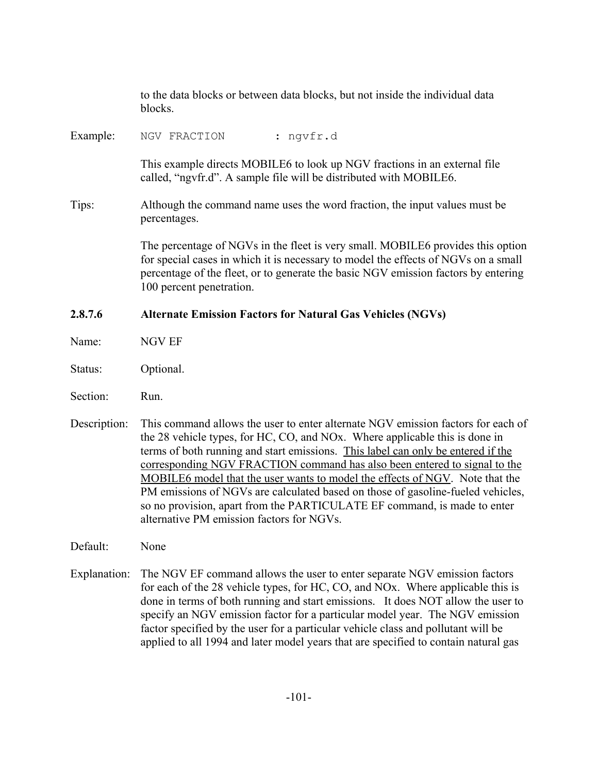|          | to the data blocks or between data blocks, but not inside the individual data<br>blocks.                                                                                                                                                                                                |
|----------|-----------------------------------------------------------------------------------------------------------------------------------------------------------------------------------------------------------------------------------------------------------------------------------------|
| Example: | NGV FRACTION<br>: ngvfr.d                                                                                                                                                                                                                                                               |
|          | This example directs MOBILE6 to look up NGV fractions in an external file<br>called, "ngvfr.d". A sample file will be distributed with MOBILE6.                                                                                                                                         |
| Tips:    | Although the command name uses the word fraction, the input values must be<br>percentages.                                                                                                                                                                                              |
|          | The percentage of NGVs in the fleet is very small. MOBILE6 provides this option<br>for special cases in which it is necessary to model the effects of NGVs on a small<br>percentage of the fleet, or to generate the basic NGV emission factors by entering<br>100 percent penetration. |
|          |                                                                                                                                                                                                                                                                                         |
| 2.8.7.6  | <b>Alternate Emission Factors for Natural Gas Vehicles (NGVs)</b>                                                                                                                                                                                                                       |
| Name:    | <b>NGV EF</b>                                                                                                                                                                                                                                                                           |
| Status:  | Optional.                                                                                                                                                                                                                                                                               |
| Section: | Run.                                                                                                                                                                                                                                                                                    |

Default: None

Explanation: The NGV EF command allows the user to enter separate NGV emission factors for each of the 28 vehicle types, for HC, CO, and NOx. Where applicable this is done in terms of both running and start emissions. It does NOT allow the user to specify an NGV emission factor for a particular model year. The NGV emission factor specified by the user for a particular vehicle class and pollutant will be applied to all 1994 and later model years that are specified to contain natural gas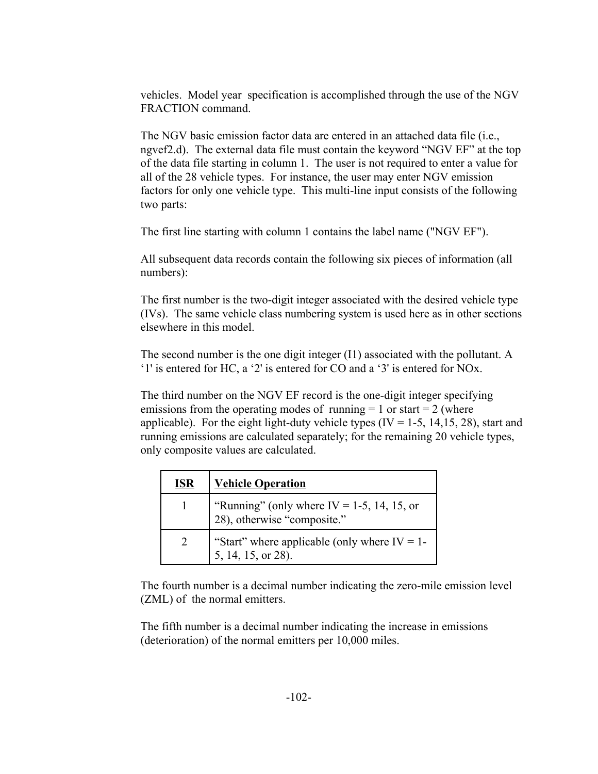vehicles. Model year specification is accomplished through the use of the NGV FRACTION command.

The NGV basic emission factor data are entered in an attached data file (i.e., ngvef2.d). The external data file must contain the keyword "NGV EF" at the top of the data file starting in column 1. The user is not required to enter a value for all of the 28 vehicle types. For instance, the user may enter NGV emission factors for only one vehicle type. This multi-line input consists of the following two parts:

The first line starting with column 1 contains the label name ("NGV EF").

All subsequent data records contain the following six pieces of information (all numbers):

The first number is the two-digit integer associated with the desired vehicle type (IVs). The same vehicle class numbering system is used here as in other sections elsewhere in this model.

The second number is the one digit integer (I1) associated with the pollutant. A '1' is entered for HC, a '2' is entered for CO and a '3' is entered for NOx.

The third number on the NGV EF record is the one-digit integer specifying emissions from the operating modes of running  $= 1$  or start  $= 2$  (where applicable). For the eight light-duty vehicle types  $(IV = 1-5, 14, 15, 28)$ , start and running emissions are calculated separately; for the remaining 20 vehicle types, only composite values are calculated.

| <b>ISR</b>    | <b>Vehicle Operation</b>                                                  |
|---------------|---------------------------------------------------------------------------|
|               | "Running" (only where IV = 1-5, 14, 15, or<br>28), otherwise "composite." |
| $\mathcal{L}$ | "Start" where applicable (only where $IV = 1$ -<br>5, 14, 15, or 28).     |

The fourth number is a decimal number indicating the zero-mile emission level (ZML) of the normal emitters.

The fifth number is a decimal number indicating the increase in emissions (deterioration) of the normal emitters per 10,000 miles.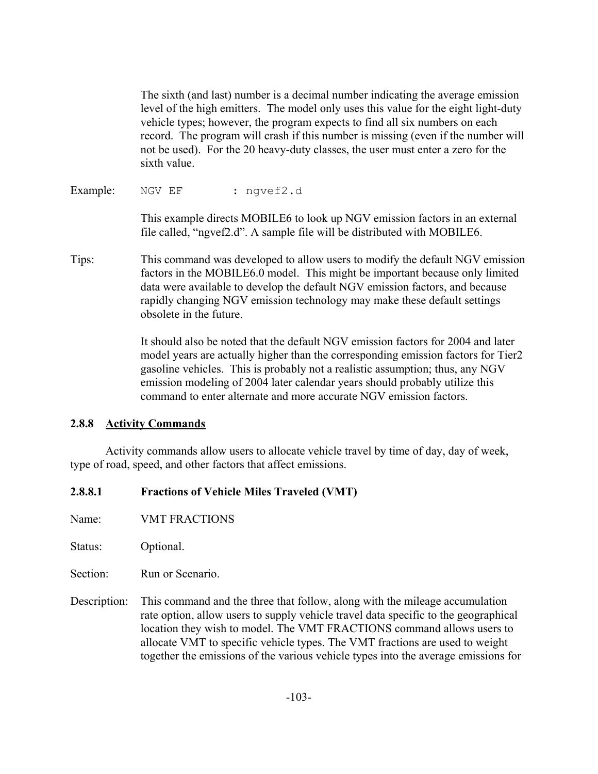The sixth (and last) number is a decimal number indicating the average emission level of the high emitters. The model only uses this value for the eight light-duty vehicle types; however, the program expects to find all six numbers on each record. The program will crash if this number is missing (even if the number will not be used). For the 20 heavy-duty classes, the user must enter a zero for the sixth value.

Example: NGV EF : nqvef2.d

This example directs MOBILE6 to look up NGV emission factors in an external file called, "ngvef2.d". A sample file will be distributed with MOBILE6.

Tips: This command was developed to allow users to modify the default NGV emission factors in the MOBILE6.0 model. This might be important because only limited data were available to develop the default NGV emission factors, and because rapidly changing NGV emission technology may make these default settings obsolete in the future.

> It should also be noted that the default NGV emission factors for 2004 and later model years are actually higher than the corresponding emission factors for Tier2 gasoline vehicles. This is probably not a realistic assumption; thus, any NGV emission modeling of 2004 later calendar years should probably utilize this command to enter alternate and more accurate NGV emission factors.

# **2.8.8 Activity Commands**

Activity commands allow users to allocate vehicle travel by time of day, day of week, type of road, speed, and other factors that affect emissions.

# **2.8.8.1 Fractions of Vehicle Miles Traveled (VMT)**

Name: VMT FRACTIONS

Status: Optional.

Section: Run or Scenario.

Description: This command and the three that follow, along with the mileage accumulation rate option, allow users to supply vehicle travel data specific to the geographical location they wish to model. The VMT FRACTIONS command allows users to allocate VMT to specific vehicle types. The VMT fractions are used to weight together the emissions of the various vehicle types into the average emissions for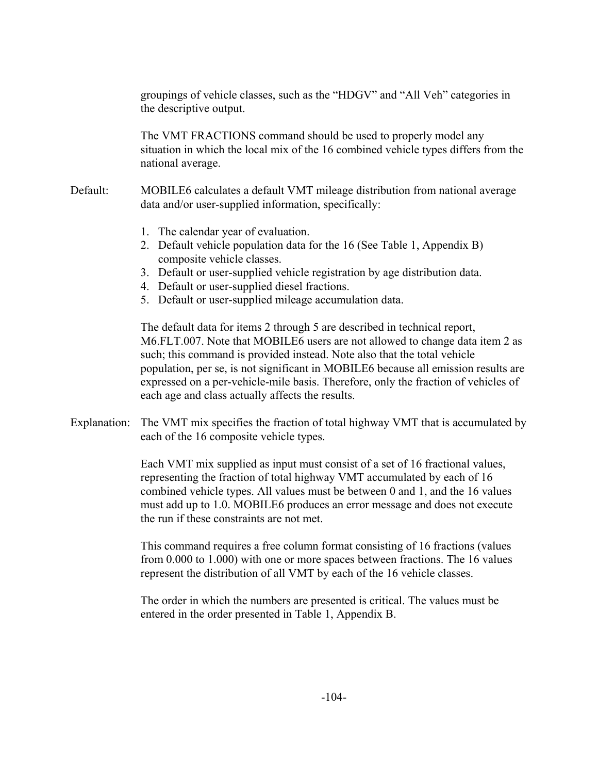groupings of vehicle classes, such as the "HDGV" and "All Veh" categories in the descriptive output.

The VMT FRACTIONS command should be used to properly model any situation in which the local mix of the 16 combined vehicle types differs from the national average.

- Default: MOBILE6 calculates a default VMT mileage distribution from national average data and/or user-supplied information, specifically:
	- 1. The calendar year of evaluation.
	- 2. Default vehicle population data for the 16 (See Table 1, Appendix B) composite vehicle classes.
	- 3. Default or user-supplied vehicle registration by age distribution data.
	- 4. Default or user-supplied diesel fractions.
	- 5. Default or user-supplied mileage accumulation data.

The default data for items 2 through 5 are described in technical report, M6.FLT.007. Note that MOBILE6 users are not allowed to change data item 2 as such; this command is provided instead. Note also that the total vehicle population, per se, is not significant in MOBILE6 because all emission results are expressed on a per-vehicle-mile basis. Therefore, only the fraction of vehicles of each age and class actually affects the results.

Explanation: The VMT mix specifies the fraction of total highway VMT that is accumulated by each of the 16 composite vehicle types.

> Each VMT mix supplied as input must consist of a set of 16 fractional values, representing the fraction of total highway VMT accumulated by each of 16 combined vehicle types. All values must be between 0 and 1, and the 16 values must add up to 1.0. MOBILE6 produces an error message and does not execute the run if these constraints are not met.

> This command requires a free column format consisting of 16 fractions (values from 0.000 to 1.000) with one or more spaces between fractions. The 16 values represent the distribution of all VMT by each of the 16 vehicle classes.

The order in which the numbers are presented is critical. The values must be entered in the order presented in Table 1, Appendix B.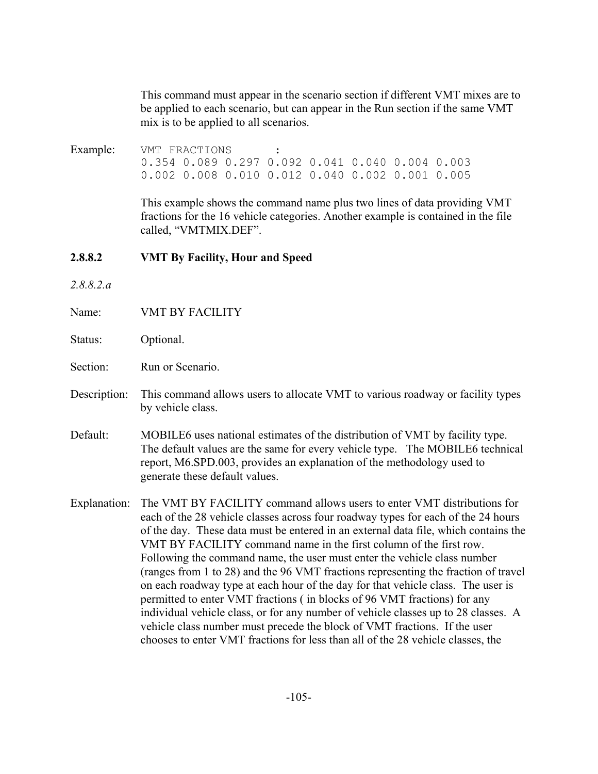This command must appear in the scenario section if different VMT mixes are to be applied to each scenario, but can appear in the Run section if the same VMT mix is to be applied to all scenarios.

Example: VMT FRACTIONS : 0.354 0.089 0.297 0.092 0.041 0.040 0.004 0.003 0.002 0.008 0.010 0.012 0.040 0.002 0.001 0.005

> This example shows the command name plus two lines of data providing VMT fractions for the 16 vehicle categories. Another example is contained in the file called, "VMTMIX.DEF".

#### **2.8.8.2 VMT By Facility, Hour and Speed**

- *2.8.8.2.a*
- Name: VMT BY FACILITY
- Status: Optional.
- Section: Run or Scenario.
- Description: This command allows users to allocate VMT to various roadway or facility types by vehicle class.
- Default: MOBILE6 uses national estimates of the distribution of VMT by facility type. The default values are the same for every vehicle type. The MOBILE6 technical report, M6.SPD.003, provides an explanation of the methodology used to generate these default values.

Explanation: The VMT BY FACILITY command allows users to enter VMT distributions for each of the 28 vehicle classes across four roadway types for each of the 24 hours of the day. These data must be entered in an external data file, which contains the VMT BY FACILITY command name in the first column of the first row. Following the command name, the user must enter the vehicle class number (ranges from 1 to 28) and the 96 VMT fractions representing the fraction of travel on each roadway type at each hour of the day for that vehicle class. The user is permitted to enter VMT fractions ( in blocks of 96 VMT fractions) for any individual vehicle class, or for any number of vehicle classes up to 28 classes. A vehicle class number must precede the block of VMT fractions. If the user chooses to enter VMT fractions for less than all of the 28 vehicle classes, the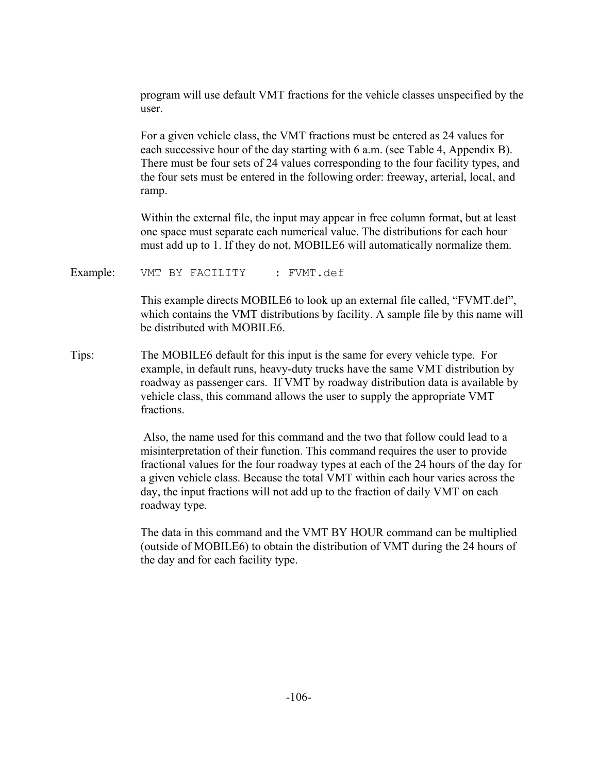program will use default VMT fractions for the vehicle classes unspecified by the user.

For a given vehicle class, the VMT fractions must be entered as 24 values for each successive hour of the day starting with 6 a.m. (see Table 4, Appendix B). There must be four sets of 24 values corresponding to the four facility types, and the four sets must be entered in the following order: freeway, arterial, local, and ramp.

Within the external file, the input may appear in free column format, but at least one space must separate each numerical value. The distributions for each hour must add up to 1. If they do not, MOBILE6 will automatically normalize them.

Example: VMT BY FACILITY : FVMT.def

This example directs MOBILE6 to look up an external file called, "FVMT.def", which contains the VMT distributions by facility. A sample file by this name will be distributed with MOBILE6.

Tips: The MOBILE6 default for this input is the same for every vehicle type. For example, in default runs, heavy-duty trucks have the same VMT distribution by roadway as passenger cars. If VMT by roadway distribution data is available by vehicle class, this command allows the user to supply the appropriate VMT fractions.

> Also, the name used for this command and the two that follow could lead to a misinterpretation of their function. This command requires the user to provide fractional values for the four roadway types at each of the 24 hours of the day for a given vehicle class. Because the total VMT within each hour varies across the day, the input fractions will not add up to the fraction of daily VMT on each roadway type.

The data in this command and the VMT BY HOUR command can be multiplied (outside of MOBILE6) to obtain the distribution of VMT during the 24 hours of the day and for each facility type.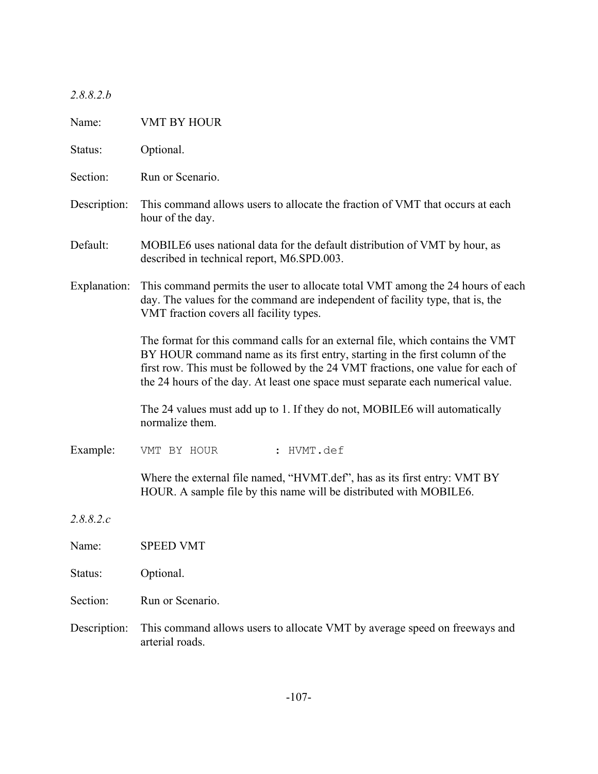| 2.8.8.2.b |  |  |
|-----------|--|--|
|           |  |  |

| Name:        | <b>VMT BY HOUR</b>                                                                                                                                                                                                                                                                                                                   |  |  |
|--------------|--------------------------------------------------------------------------------------------------------------------------------------------------------------------------------------------------------------------------------------------------------------------------------------------------------------------------------------|--|--|
| Status:      | Optional.                                                                                                                                                                                                                                                                                                                            |  |  |
| Section:     | Run or Scenario.                                                                                                                                                                                                                                                                                                                     |  |  |
| Description: | This command allows users to allocate the fraction of VMT that occurs at each<br>hour of the day.                                                                                                                                                                                                                                    |  |  |
| Default:     | MOBILE6 uses national data for the default distribution of VMT by hour, as<br>described in technical report, M6.SPD.003.                                                                                                                                                                                                             |  |  |
| Explanation: | This command permits the user to allocate total VMT among the 24 hours of each<br>day. The values for the command are independent of facility type, that is, the<br>VMT fraction covers all facility types.                                                                                                                          |  |  |
|              | The format for this command calls for an external file, which contains the VMT<br>BY HOUR command name as its first entry, starting in the first column of the<br>first row. This must be followed by the 24 VMT fractions, one value for each of<br>the 24 hours of the day. At least one space must separate each numerical value. |  |  |
|              | The 24 values must add up to 1. If they do not, MOBILE6 will automatically<br>normalize them.                                                                                                                                                                                                                                        |  |  |
| Example:     | : HVMT.def<br>VMT BY HOUR                                                                                                                                                                                                                                                                                                            |  |  |
|              | Where the external file named, "HVMT.def", has as its first entry: VMT BY<br>HOUR. A sample file by this name will be distributed with MOBILE6.                                                                                                                                                                                      |  |  |
| 2.8.8.2.c    |                                                                                                                                                                                                                                                                                                                                      |  |  |
| Name:        | <b>SPEED VMT</b>                                                                                                                                                                                                                                                                                                                     |  |  |
| Status:      | Optional.                                                                                                                                                                                                                                                                                                                            |  |  |
| Section:     | Run or Scenario.                                                                                                                                                                                                                                                                                                                     |  |  |
| Description: | This command allows users to allocate VMT by average speed on freeways and<br>arterial roads.                                                                                                                                                                                                                                        |  |  |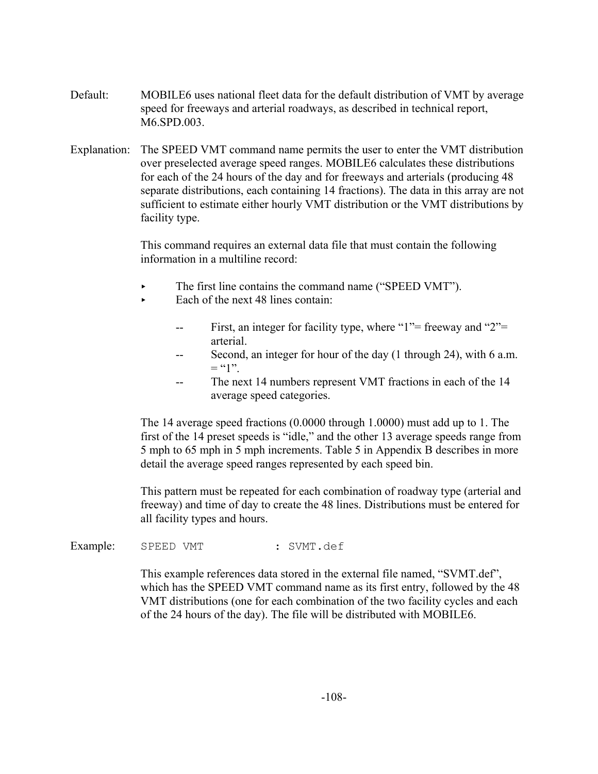- Default: MOBILE6 uses national fleet data for the default distribution of VMT by average speed for freeways and arterial roadways, as described in technical report, M6.SPD.003.
- Explanation: The SPEED VMT command name permits the user to enter the VMT distribution over preselected average speed ranges. MOBILE6 calculates these distributions for each of the 24 hours of the day and for freeways and arterials (producing 48 separate distributions, each containing 14 fractions). The data in this array are not sufficient to estimate either hourly VMT distribution or the VMT distributions by facility type.

This command requires an external data file that must contain the following information in a multiline record:

- The first line contains the command name ("SPEED VMT").
- $\blacktriangleright$  Each of the next 48 lines contain:
	- First, an integer for facility type, where "1"= freeway and "2"= arterial.
	- -- Second, an integer for hour of the day (1 through 24), with 6 a.m.  $=$  "1".
	- The next 14 numbers represent VMT fractions in each of the 14 average speed categories.

The 14 average speed fractions (0.0000 through 1.0000) must add up to 1. The first of the 14 preset speeds is "idle," and the other 13 average speeds range from 5 mph to 65 mph in 5 mph increments. Table 5 in Appendix B describes in more detail the average speed ranges represented by each speed bin.

This pattern must be repeated for each combination of roadway type (arterial and freeway) and time of day to create the 48 lines. Distributions must be entered for all facility types and hours.

Example: SPEED VMT : SVMT.def

This example references data stored in the external file named, "SVMT.def", which has the SPEED VMT command name as its first entry, followed by the 48 VMT distributions (one for each combination of the two facility cycles and each of the 24 hours of the day). The file will be distributed with MOBILE6.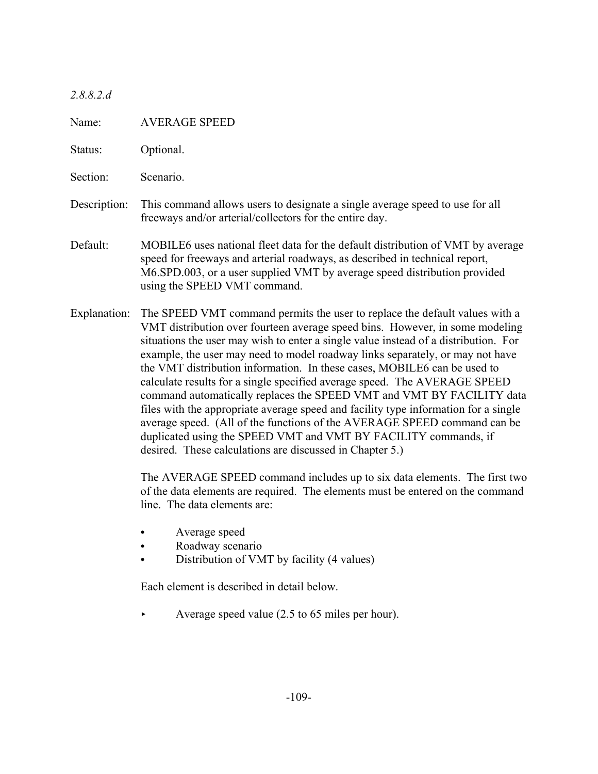*2.8.8.2.d*

Name: AVERAGE SPEED

Status: Optional.

Section: Scenario.

- Description: This command allows users to designate a single average speed to use for all freeways and/or arterial/collectors for the entire day.
- Default: MOBILE6 uses national fleet data for the default distribution of VMT by average speed for freeways and arterial roadways, as described in technical report, M6.SPD.003, or a user supplied VMT by average speed distribution provided using the SPEED VMT command.
- Explanation: The SPEED VMT command permits the user to replace the default values with a VMT distribution over fourteen average speed bins. However, in some modeling situations the user may wish to enter a single value instead of a distribution. For example, the user may need to model roadway links separately, or may not have the VMT distribution information. In these cases, MOBILE6 can be used to calculate results for a single specified average speed. The AVERAGE SPEED command automatically replaces the SPEED VMT and VMT BY FACILITY data files with the appropriate average speed and facility type information for a single average speed. (All of the functions of the AVERAGE SPEED command can be duplicated using the SPEED VMT and VMT BY FACILITY commands, if desired. These calculations are discussed in Chapter 5.)

The AVERAGE SPEED command includes up to six data elements. The first two of the data elements are required. The elements must be entered on the command line. The data elements are:

- Average speed
- Roadway scenario
- Distribution of VMT by facility (4 values)

Each element is described in detail below.

< Average speed value (2.5 to 65 miles per hour).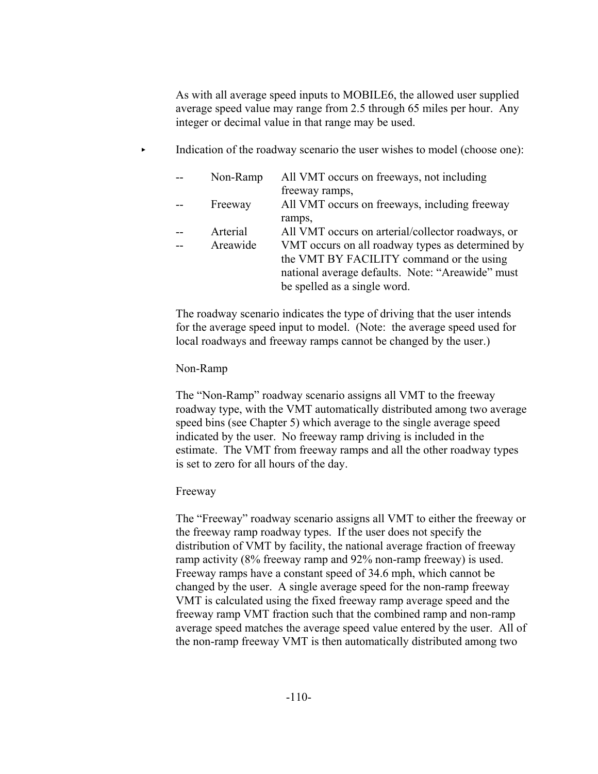As with all average speed inputs to MOBILE6, the allowed user supplied average speed value may range from 2.5 through 65 miles per hour. Any integer or decimal value in that range may be used.

Indication of the roadway scenario the user wishes to model (choose one):

| Non-Ramp | All VMT occurs on freeways, not including         |
|----------|---------------------------------------------------|
|          | freeway ramps,                                    |
| Freeway  | All VMT occurs on freeways, including freeway     |
|          | ramps,                                            |
| Arterial | All VMT occurs on arterial/collector roadways, or |
| Areawide | VMT occurs on all roadway types as determined by  |
|          | the VMT BY FACILITY command or the using          |
|          | national average defaults. Note: "Areawide" must  |
|          | be spelled as a single word.                      |
|          |                                                   |

The roadway scenario indicates the type of driving that the user intends for the average speed input to model. (Note: the average speed used for local roadways and freeway ramps cannot be changed by the user.)

### Non-Ramp

The "Non-Ramp" roadway scenario assigns all VMT to the freeway roadway type, with the VMT automatically distributed among two average speed bins (see Chapter 5) which average to the single average speed indicated by the user. No freeway ramp driving is included in the estimate. The VMT from freeway ramps and all the other roadway types is set to zero for all hours of the day.

# Freeway

The "Freeway" roadway scenario assigns all VMT to either the freeway or the freeway ramp roadway types. If the user does not specify the distribution of VMT by facility, the national average fraction of freeway ramp activity (8% freeway ramp and 92% non-ramp freeway) is used. Freeway ramps have a constant speed of 34.6 mph, which cannot be changed by the user. A single average speed for the non-ramp freeway VMT is calculated using the fixed freeway ramp average speed and the freeway ramp VMT fraction such that the combined ramp and non-ramp average speed matches the average speed value entered by the user. All of the non-ramp freeway VMT is then automatically distributed among two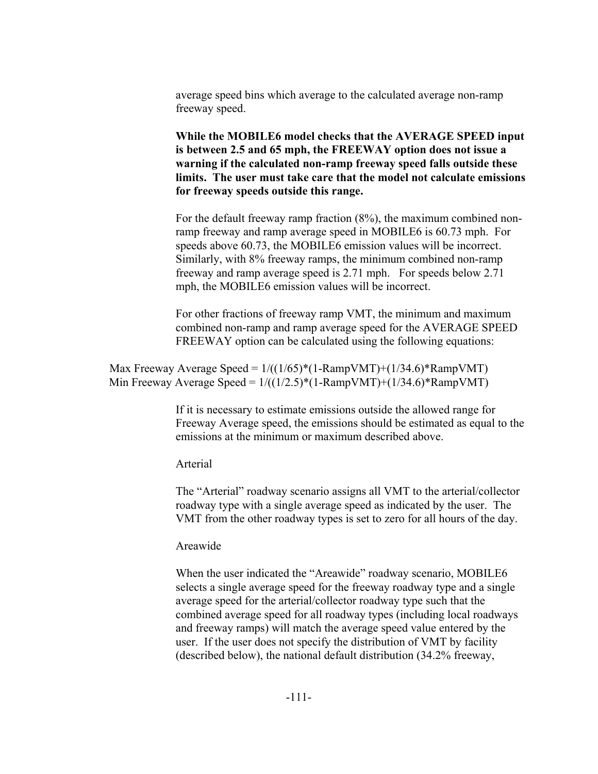average speed bins which average to the calculated average non-ramp freeway speed.

**While the MOBILE6 model checks that the AVERAGE SPEED input is between 2.5 and 65 mph, the FREEWAY option does not issue a warning if the calculated non-ramp freeway speed falls outside these limits. The user must take care that the model not calculate emissions for freeway speeds outside this range.** 

For the default freeway ramp fraction (8%), the maximum combined nonramp freeway and ramp average speed in MOBILE6 is 60.73 mph. For speeds above 60.73, the MOBILE6 emission values will be incorrect. Similarly, with 8% freeway ramps, the minimum combined non-ramp freeway and ramp average speed is 2.71 mph. For speeds below 2.71 mph, the MOBILE6 emission values will be incorrect.

For other fractions of freeway ramp VMT, the minimum and maximum combined non-ramp and ramp average speed for the AVERAGE SPEED FREEWAY option can be calculated using the following equations:

Max Freeway Average Speed =  $1/((1/65)^*(1-RampVMT)+(1/34.6)^*RampVMT)$ Min Freeway Average Speed =  $1/((1/2.5)*(1-RampVMT)+(1/34.6)*RampVMT)$ 

> If it is necessary to estimate emissions outside the allowed range for Freeway Average speed, the emissions should be estimated as equal to the emissions at the minimum or maximum described above.

Arterial

The "Arterial" roadway scenario assigns all VMT to the arterial/collector roadway type with a single average speed as indicated by the user. The VMT from the other roadway types is set to zero for all hours of the day.

#### Areawide

When the user indicated the "Areawide" roadway scenario, MOBILE6 selects a single average speed for the freeway roadway type and a single average speed for the arterial/collector roadway type such that the combined average speed for all roadway types (including local roadways and freeway ramps) will match the average speed value entered by the user. If the user does not specify the distribution of VMT by facility (described below), the national default distribution (34.2% freeway,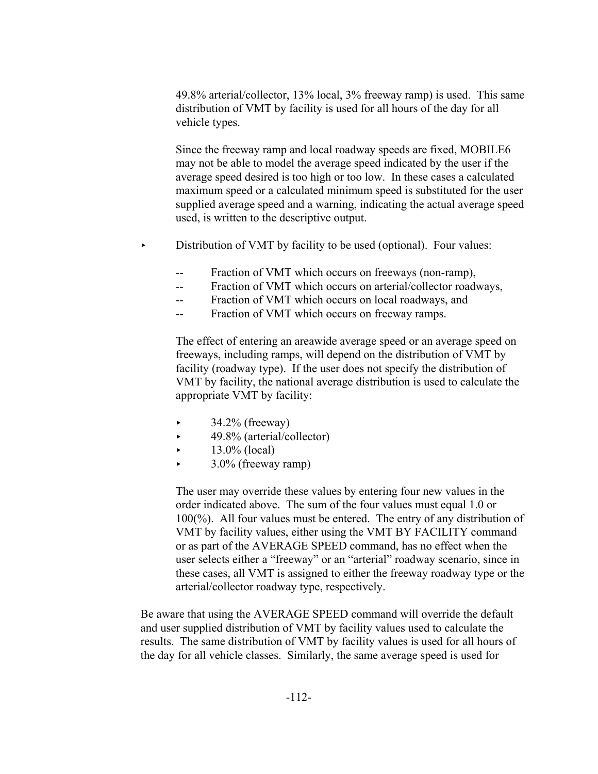49.8% arterial/collector, 13% local, 3% freeway ramp) is used. This same distribution of VMT by facility is used for all hours of the day for all vehicle types.

Since the freeway ramp and local roadway speeds are fixed, MOBILE6 may not be able to model the average speed indicated by the user if the average speed desired is too high or too low. In these cases a calculated maximum speed or a calculated minimum speed is substituted for the user supplied average speed and a warning, indicating the actual average speed used, is written to the descriptive output.

- $\triangleright$  Distribution of VMT by facility to be used (optional). Four values:
	- -- Fraction of VMT which occurs on freeways (non-ramp),
	- -- Fraction of VMT which occurs on arterial/collector roadways,
	- -- Fraction of VMT which occurs on local roadways, and
	- -- Fraction of VMT which occurs on freeway ramps.

The effect of entering an areawide average speed or an average speed on freeways, including ramps, will depend on the distribution of VMT by facility (roadway type). If the user does not specify the distribution of VMT by facility, the national average distribution is used to calculate the appropriate VMT by facility:

- < 34.2% (freeway)
- < 49.8% (arterial/collector)
- $\blacktriangleright$  13.0% (local)
- < 3.0% (freeway ramp)

The user may override these values by entering four new values in the order indicated above. The sum of the four values must equal 1.0 or 100(%). All four values must be entered. The entry of any distribution of VMT by facility values, either using the VMT BY FACILITY command or as part of the AVERAGE SPEED command, has no effect when the user selects either a "freeway" or an "arterial" roadway scenario, since in these cases, all VMT is assigned to either the freeway roadway type or the arterial/collector roadway type, respectively.

Be aware that using the AVERAGE SPEED command will override the default and user supplied distribution of VMT by facility values used to calculate the results. The same distribution of VMT by facility values is used for all hours of the day for all vehicle classes. Similarly, the same average speed is used for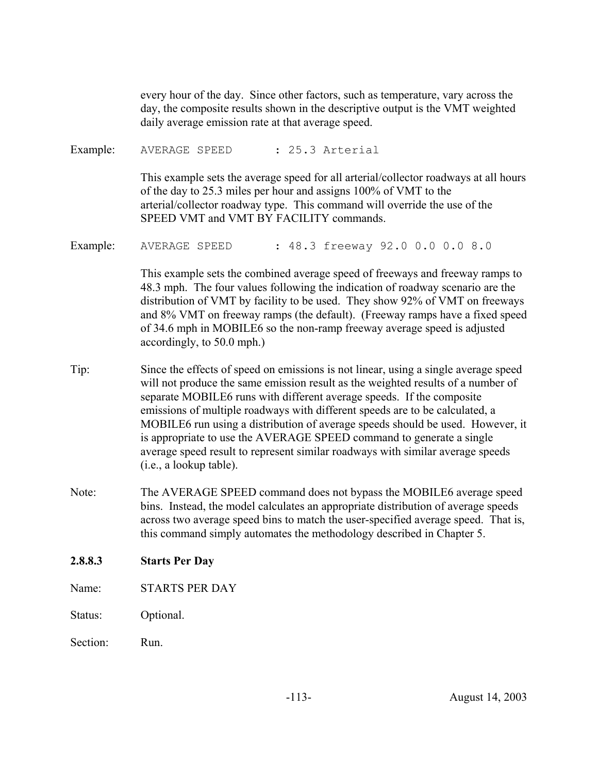every hour of the day. Since other factors, such as temperature, vary across the day, the composite results shown in the descriptive output is the VMT weighted daily average emission rate at that average speed.

Example: AVERAGE SPEED : 25.3 Arterial

This example sets the average speed for all arterial/collector roadways at all hours of the day to 25.3 miles per hour and assigns 100% of VMT to the arterial/collector roadway type. This command will override the use of the SPEED VMT and VMT BY FACILITY commands.

Example: AVERAGE SPEED : 48.3 freeway 92.0 0.0 0.0 8.0

This example sets the combined average speed of freeways and freeway ramps to 48.3 mph. The four values following the indication of roadway scenario are the distribution of VMT by facility to be used. They show 92% of VMT on freeways and 8% VMT on freeway ramps (the default). (Freeway ramps have a fixed speed of 34.6 mph in MOBILE6 so the non-ramp freeway average speed is adjusted accordingly, to 50.0 mph.)

- Tip: Since the effects of speed on emissions is not linear, using a single average speed will not produce the same emission result as the weighted results of a number of separate MOBILE6 runs with different average speeds. If the composite emissions of multiple roadways with different speeds are to be calculated, a MOBILE6 run using a distribution of average speeds should be used. However, it is appropriate to use the AVERAGE SPEED command to generate a single average speed result to represent similar roadways with similar average speeds (i.e., a lookup table).
- Note: The AVERAGE SPEED command does not bypass the MOBILE6 average speed bins. Instead, the model calculates an appropriate distribution of average speeds across two average speed bins to match the user-specified average speed. That is, this command simply automates the methodology described in Chapter 5.

### **2.8.8.3 Starts Per Day**

- Name: STARTS PER DAY
- Status: Optional.
- Section: Run.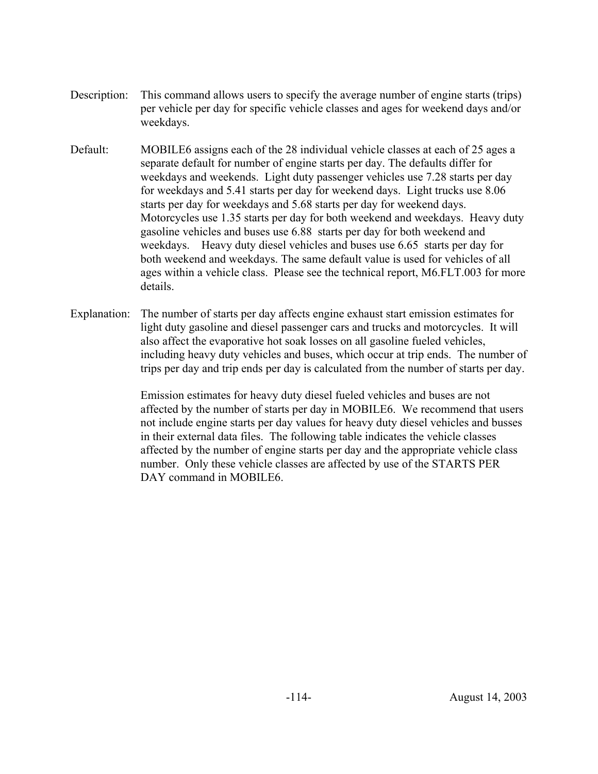- Description: This command allows users to specify the average number of engine starts (trips) per vehicle per day for specific vehicle classes and ages for weekend days and/or weekdays.
- Default: MOBILE6 assigns each of the 28 individual vehicle classes at each of 25 ages a separate default for number of engine starts per day. The defaults differ for weekdays and weekends. Light duty passenger vehicles use 7.28 starts per day for weekdays and 5.41 starts per day for weekend days. Light trucks use 8.06 starts per day for weekdays and 5.68 starts per day for weekend days. Motorcycles use 1.35 starts per day for both weekend and weekdays. Heavy duty gasoline vehicles and buses use 6.88 starts per day for both weekend and weekdays. Heavy duty diesel vehicles and buses use 6.65 starts per day for both weekend and weekdays. The same default value is used for vehicles of all ages within a vehicle class. Please see the technical report, M6.FLT.003 for more details.
- Explanation: The number of starts per day affects engine exhaust start emission estimates for light duty gasoline and diesel passenger cars and trucks and motorcycles. It will also affect the evaporative hot soak losses on all gasoline fueled vehicles, including heavy duty vehicles and buses, which occur at trip ends. The number of trips per day and trip ends per day is calculated from the number of starts per day.

Emission estimates for heavy duty diesel fueled vehicles and buses are not affected by the number of starts per day in MOBILE6. We recommend that users not include engine starts per day values for heavy duty diesel vehicles and busses in their external data files. The following table indicates the vehicle classes affected by the number of engine starts per day and the appropriate vehicle class number. Only these vehicle classes are affected by use of the STARTS PER DAY command in MOBILE6.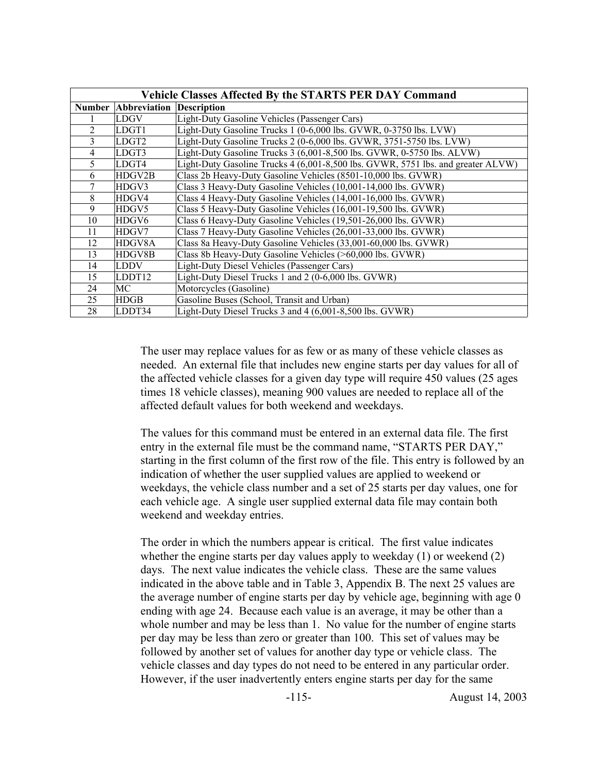| <b>Vehicle Classes Affected By the STARTS PER DAY Command</b> |                            |                                                                                  |  |  |
|---------------------------------------------------------------|----------------------------|----------------------------------------------------------------------------------|--|--|
|                                                               | <b>Number Abbreviation</b> | <b>Description</b>                                                               |  |  |
|                                                               | <b>LDGV</b>                | Light-Duty Gasoline Vehicles (Passenger Cars)                                    |  |  |
| $\overline{2}$                                                | LDGT1                      | Light-Duty Gasoline Trucks 1 (0-6,000 lbs. GVWR, 0-3750 lbs. LVW)                |  |  |
| 3                                                             | LDGT <sub>2</sub>          | Light-Duty Gasoline Trucks 2 (0-6,000 lbs. GVWR, 3751-5750 lbs. LVW)             |  |  |
| 4                                                             | LDGT3                      | Light-Duty Gasoline Trucks 3 (6,001-8,500 lbs. GVWR, 0-5750 lbs. ALVW)           |  |  |
| 5                                                             | LDGT4                      | Light-Duty Gasoline Trucks 4 (6,001-8,500 lbs. GVWR, 5751 lbs. and greater ALVW) |  |  |
| 6                                                             | HDGV2B                     | Class 2b Heavy-Duty Gasoline Vehicles (8501-10,000 lbs. GVWR)                    |  |  |
| 7                                                             | HDGV3                      | Class 3 Heavy-Duty Gasoline Vehicles (10,001-14,000 lbs. GVWR)                   |  |  |
| 8                                                             | HDGV4                      | Class 4 Heavy-Duty Gasoline Vehicles (14,001-16,000 lbs. GVWR)                   |  |  |
| 9                                                             | HDGV <sub>5</sub>          | Class 5 Heavy-Duty Gasoline Vehicles (16,001-19,500 lbs. GVWR)                   |  |  |
| 10                                                            | HDGV <sub>6</sub>          | Class 6 Heavy-Duty Gasoline Vehicles (19,501-26,000 lbs. GVWR)                   |  |  |
| 11                                                            | HDGV7                      | Class 7 Heavy-Duty Gasoline Vehicles (26,001-33,000 lbs. GVWR)                   |  |  |
| 12                                                            | HDGV8A                     | Class 8a Heavy-Duty Gasoline Vehicles (33,001-60,000 lbs. GVWR)                  |  |  |
| 13                                                            | HDGV8B                     | Class 8b Heavy-Duty Gasoline Vehicles (>60,000 lbs. GVWR)                        |  |  |
| 14                                                            | <b>LDDV</b>                | Light-Duty Diesel Vehicles (Passenger Cars)                                      |  |  |
| 15                                                            | LDDT12                     | Light-Duty Diesel Trucks 1 and 2 (0-6,000 lbs. GVWR)                             |  |  |
| 24                                                            | МC                         | Motorcycles (Gasoline)                                                           |  |  |
| 25                                                            | <b>HDGB</b>                | Gasoline Buses (School, Transit and Urban)                                       |  |  |
| 28                                                            | LDDT34                     | Light-Duty Diesel Trucks 3 and 4 (6,001-8,500 lbs. GVWR)                         |  |  |

The user may replace values for as few or as many of these vehicle classes as needed. An external file that includes new engine starts per day values for all of the affected vehicle classes for a given day type will require 450 values (25 ages times 18 vehicle classes), meaning 900 values are needed to replace all of the affected default values for both weekend and weekdays.

The values for this command must be entered in an external data file. The first entry in the external file must be the command name, "STARTS PER DAY," starting in the first column of the first row of the file. This entry is followed by an indication of whether the user supplied values are applied to weekend or weekdays, the vehicle class number and a set of 25 starts per day values, one for each vehicle age. A single user supplied external data file may contain both weekend and weekday entries.

The order in which the numbers appear is critical. The first value indicates whether the engine starts per day values apply to weekday (1) or weekend (2) days. The next value indicates the vehicle class. These are the same values indicated in the above table and in Table 3, Appendix B. The next 25 values are the average number of engine starts per day by vehicle age, beginning with age 0 ending with age 24. Because each value is an average, it may be other than a whole number and may be less than 1. No value for the number of engine starts per day may be less than zero or greater than 100. This set of values may be followed by another set of values for another day type or vehicle class. The vehicle classes and day types do not need to be entered in any particular order. However, if the user inadvertently enters engine starts per day for the same

-115- August 14, 2003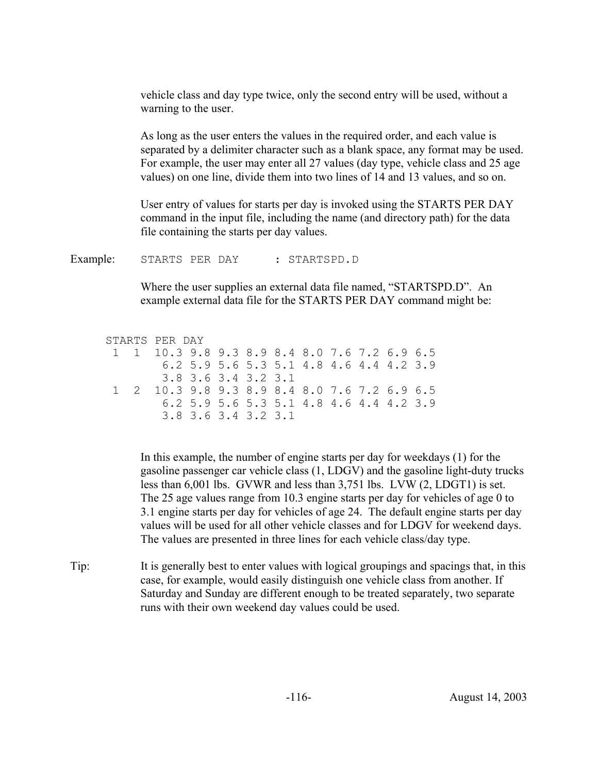vehicle class and day type twice, only the second entry will be used, without a warning to the user.

As long as the user enters the values in the required order, and each value is separated by a delimiter character such as a blank space, any format may be used. For example, the user may enter all 27 values (day type, vehicle class and 25 age values) on one line, divide them into two lines of 14 and 13 values, and so on.

User entry of values for starts per day is invoked using the STARTS PER DAY command in the input file, including the name (and directory path) for the data file containing the starts per day values.

Example: STARTS PER DAY : STARTSPD.D

Where the user supplies an external data file named, "STARTSPD.D". An example external data file for the STARTS PER DAY command might be:

STARTS PER DAY 1 1 10.3 9.8 9.3 8.9 8.4 8.0 7.6 7.2 6.9 6.5 6.2 5.9 5.6 5.3 5.1 4.8 4.6 4.4 4.2 3.9 3.8 3.6 3.4 3.2 3.1 1 2 10.3 9.8 9.3 8.9 8.4 8.0 7.6 7.2 6.9 6.5 6.2 5.9 5.6 5.3 5.1 4.8 4.6 4.4 4.2 3.9 3.8 3.6 3.4 3.2 3.1

In this example, the number of engine starts per day for weekdays (1) for the gasoline passenger car vehicle class (1, LDGV) and the gasoline light-duty trucks less than 6,001 lbs. GVWR and less than 3,751 lbs. LVW (2, LDGT1) is set. The 25 age values range from 10.3 engine starts per day for vehicles of age 0 to 3.1 engine starts per day for vehicles of age 24. The default engine starts per day values will be used for all other vehicle classes and for LDGV for weekend days. The values are presented in three lines for each vehicle class/day type.

Tip: It is generally best to enter values with logical groupings and spacings that, in this case, for example, would easily distinguish one vehicle class from another. If Saturday and Sunday are different enough to be treated separately, two separate runs with their own weekend day values could be used.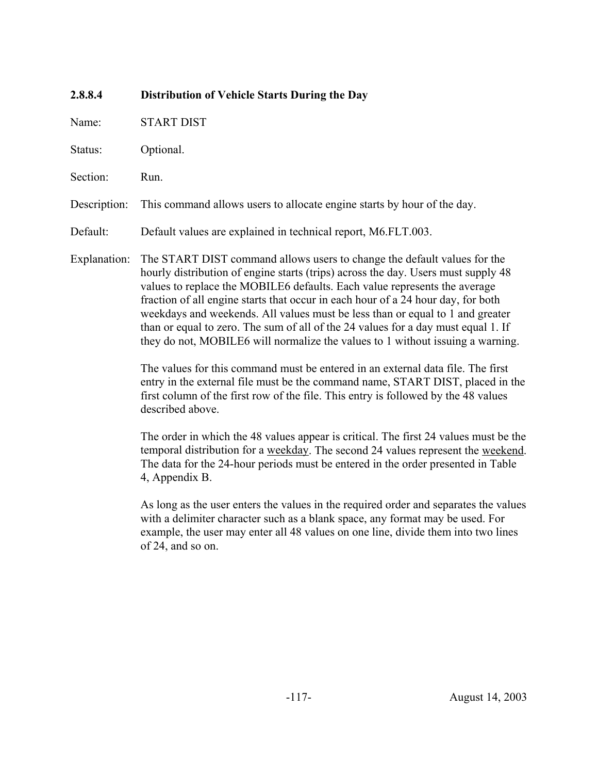# **2.8.8.4 Distribution of Vehicle Starts During the Day**

Name: START DIST

Status: Optional.

Section: Run.

Description: This command allows users to allocate engine starts by hour of the day.

Default: Default values are explained in technical report, M6.FLT.003.

Explanation: The START DIST command allows users to change the default values for the hourly distribution of engine starts (trips) across the day. Users must supply 48 values to replace the MOBILE6 defaults. Each value represents the average fraction of all engine starts that occur in each hour of a 24 hour day, for both weekdays and weekends. All values must be less than or equal to 1 and greater than or equal to zero. The sum of all of the 24 values for a day must equal 1. If they do not, MOBILE6 will normalize the values to 1 without issuing a warning.

> The values for this command must be entered in an external data file. The first entry in the external file must be the command name, START DIST, placed in the first column of the first row of the file. This entry is followed by the 48 values described above.

> The order in which the 48 values appear is critical. The first 24 values must be the temporal distribution for a weekday. The second 24 values represent the weekend. The data for the 24-hour periods must be entered in the order presented in Table 4, Appendix B.

> As long as the user enters the values in the required order and separates the values with a delimiter character such as a blank space, any format may be used. For example, the user may enter all 48 values on one line, divide them into two lines of 24, and so on.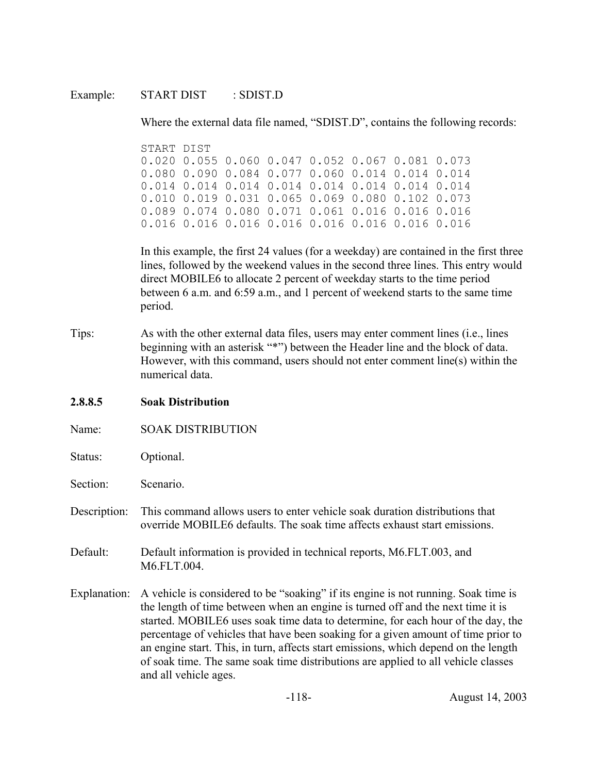### Example: START DIST : SDIST.D

Where the external data file named, "SDIST.D", contains the following records:

START DIST 0.020 0.055 0.060 0.047 0.052 0.067 0.081 0.073 0.080 0.090 0.084 0.077 0.060 0.014 0.014 0.014 0.014 0.014 0.014 0.014 0.014 0.014 0.014 0.014 0.010 0.019 0.031 0.065 0.069 0.080 0.102 0.073 0.089 0.074 0.080 0.071 0.061 0.016 0.016 0.016 0.016 0.016 0.016 0.016 0.016 0.016 0.016 0.016

In this example, the first 24 values (for a weekday) are contained in the first three lines, followed by the weekend values in the second three lines. This entry would direct MOBILE6 to allocate 2 percent of weekday starts to the time period between 6 a.m. and 6:59 a.m., and 1 percent of weekend starts to the same time period.

Tips: As with the other external data files, users may enter comment lines (i.e., lines beginning with an asterisk "\*") between the Header line and the block of data. However, with this command, users should not enter comment line(s) within the numerical data.

# **2.8.8.5 Soak Distribution**

- Name: SOAK DISTRIBUTION
- Status: Optional.
- Section: Scenario.
- Description: This command allows users to enter vehicle soak duration distributions that override MOBILE6 defaults. The soak time affects exhaust start emissions.
- Default: Default information is provided in technical reports, M6.FLT.003, and M6.FLT.004.
- Explanation: A vehicle is considered to be "soaking" if its engine is not running. Soak time is the length of time between when an engine is turned off and the next time it is started. MOBILE6 uses soak time data to determine, for each hour of the day, the percentage of vehicles that have been soaking for a given amount of time prior to an engine start. This, in turn, affects start emissions, which depend on the length of soak time. The same soak time distributions are applied to all vehicle classes and all vehicle ages.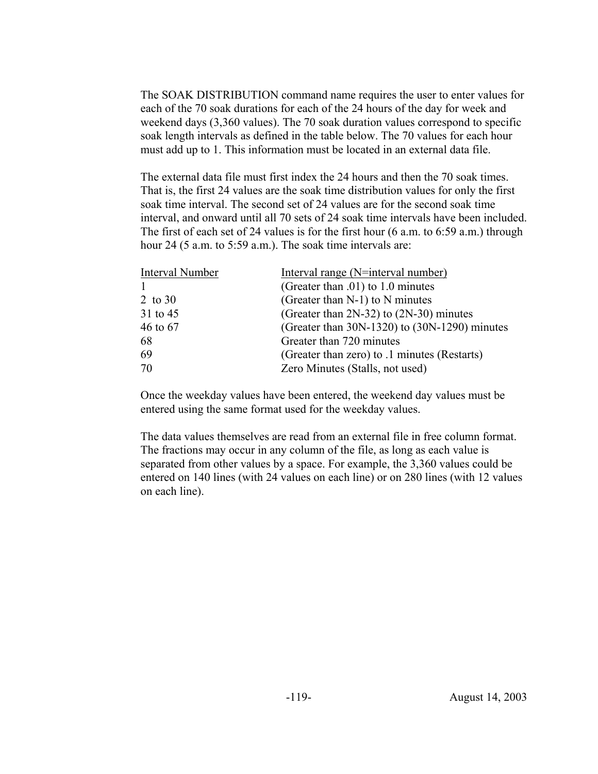The SOAK DISTRIBUTION command name requires the user to enter values for each of the 70 soak durations for each of the 24 hours of the day for week and weekend days (3,360 values). The 70 soak duration values correspond to specific soak length intervals as defined in the table below. The 70 values for each hour must add up to 1. This information must be located in an external data file.

The external data file must first index the 24 hours and then the 70 soak times. That is, the first 24 values are the soak time distribution values for only the first soak time interval. The second set of 24 values are for the second soak time interval, and onward until all 70 sets of 24 soak time intervals have been included. The first of each set of 24 values is for the first hour (6 a.m. to 6:59 a.m.) through hour 24 (5 a.m. to 5:59 a.m.). The soak time intervals are:

| Interval Number | Interval range (N=interval number)            |
|-----------------|-----------------------------------------------|
|                 | (Greater than .01) to 1.0 minutes             |
| 2 to 30         | (Greater than $N-1$ ) to N minutes            |
| 31 to 45        | (Greater than $2N-32$ ) to $(2N-30)$ minutes  |
| 46 to 67        | (Greater than 30N-1320) to (30N-1290) minutes |
| 68              | Greater than 720 minutes                      |
| 69              | (Greater than zero) to .1 minutes (Restarts)  |
| 70              | Zero Minutes (Stalls, not used)               |
|                 |                                               |

Once the weekday values have been entered, the weekend day values must be entered using the same format used for the weekday values.

The data values themselves are read from an external file in free column format. The fractions may occur in any column of the file, as long as each value is separated from other values by a space. For example, the 3,360 values could be entered on 140 lines (with 24 values on each line) or on 280 lines (with 12 values on each line).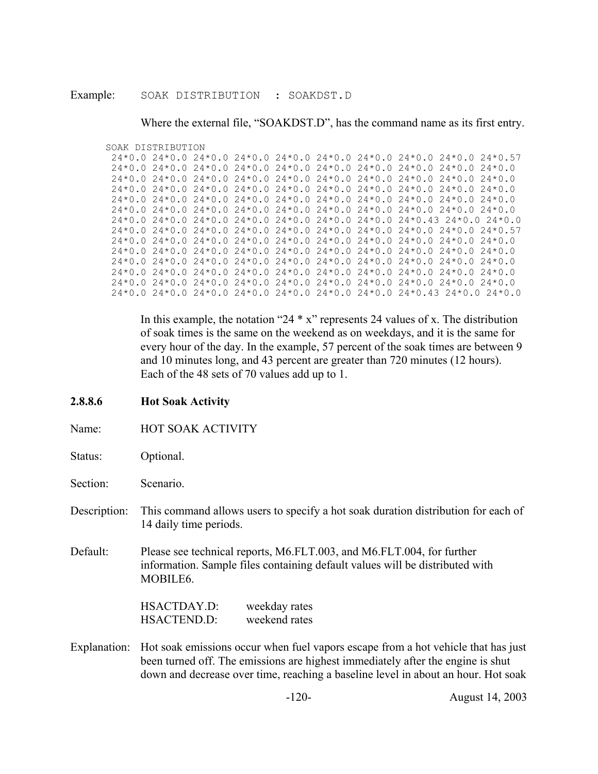#### Example: SOAK DISTRIBUTION : SOAKDST.D

Where the external file, "SOAKDST.D", has the command name as its first entry.

#### SOAK DISTRIBUTION

|  |  |  | $24*0.0$ $24*0.0$ $24*0.0$ $24*0.0$ $24*0.0$ $24*0.0$ $24*0.0$ $24*0.0$ $24*0.0$ $24*0.0$ $24*0.57$                                                                                                                                                                                                           |
|--|--|--|---------------------------------------------------------------------------------------------------------------------------------------------------------------------------------------------------------------------------------------------------------------------------------------------------------------|
|  |  |  | $24*0$ 0 24*0 0 24*0 0 24*0 0 24*0 0 24*0 0 24*0 0 24*0 0 24*0 0 24*0 0                                                                                                                                                                                                                                       |
|  |  |  | $24 \times 0$ 0 24 $\times$ 0 24 $\times$ 0 24 $\times$ 0 24 $\times$ 0 24 $\times$ 0 24 $\times$ 0 24 $\times$ 0 24 $\times$ 0 24 $\times$ 0 0 24 $\times$ 0 0 24 $\times$ 0 0 24 $\times$ 0 0 24 $\times$ 0 0 24 $\times$ 0 0 24 $\times$ 0 0 24 $\times$ 0 0 24 $\times$ 0 0 24 $\times$ 0 0 24 $\times$ 0 |
|  |  |  | $24*0.0$ $24*0.0$ $24*0.0$ $24*0.0$ $24*0.0$ $24*0.0$ $24*0.0$ $24*0.0$ $24*0.0$ $24*0.0$ $24*0.0$                                                                                                                                                                                                            |
|  |  |  | $24*0.0$ $24*0.0$ $24*0.0$ $24*0.0$ $24*0.0$ $24*0.0$ $24*0.0$ $24*0.0$ $24*0.0$ $24*0.0$ $24*0.0$                                                                                                                                                                                                            |
|  |  |  | $24*0$ 0 24 * 0 0 24 * 0 0 24 * 0 0 24 * 0 0 24 * 0 0 24 * 0 0 24 * 0 0 24 * 0 0 24 * 0 0 24 * 0 0 24 * 0 0 24 * 0 0 24 * 0 0 24 * 0 0 24 * 0 0 24 * 0 0 24 * 0 0 24 * 0 0 24 * 0 0 24 * 0 0 24 * 0 0 24 * 0 0 24 * 0 0 24 *                                                                                  |
|  |  |  | 24 * 0 0 24 * 0 0 24 * 0 0 24 * 0 0 24 * 0 0 24 * 0 0 24 * 0 4 * 0 4 * 0 0 24 * 0 0 24 * 0 0 24 * 0 0                                                                                                                                                                                                         |
|  |  |  | $24*0$ 0 24 * 0 0 24 * 0 0 24 * 0 0 24 * 0 0 24 * 0 0 24 * 0 0 24 * 0 0 24 * 0 6 74 * 0 6 74 * 0 6 7                                                                                                                                                                                                          |
|  |  |  | $24*0$ 0 24 * 0 0 24 * 0 0 24 * 0 0 24 * 0 0 24 * 0 0 24 * 0 0 24 * 0 0 24 * 0 0 24 * 0 0 24 * 0 0 24 * 0 0 24 * 0 0 24 * 0 0 24 * 0 0 24 * 0 0 24 * 0 0 24 * 0 0 24 * 0 0 24 * 0 0 24 * 0 0 24 * 0 0 24 * 0 0 24 * 0 0 24 *                                                                                  |
|  |  |  | $24*0.0$ $24*0.0$ $24*0.0$ $24*0.0$ $24*0.0$ $24*0.0$ $24*0.0$ $24*0.0$ $24*0.0$ $24*0.0$ $24*0.0$                                                                                                                                                                                                            |
|  |  |  | $24*0.0$ $24*0.0$ $24*0.0$ $24*0.0$ $24*0.0$ $24*0.0$ $24*0.0$ $24*0.0$ $24*0.0$ $24*0.0$ $24*0.0$                                                                                                                                                                                                            |
|  |  |  | $24 \times 0$ 0 24 $\times$ 0 24 $\times$ 0 24 $\times$ 0 24 $\times$ 0 24 $\times$ 0 24 $\times$ 0 24 $\times$ 0 24 $\times$ 0 24 $\times$ 0 0 24 $\times$ 0 0 24 $\times$ 0 0 24 $\times$ 0 0 24 $\times$ 0 0 24 $\times$ 0 0 24 $\times$ 0 0 24 $\times$ 0 0 24 $\times$ 0 0 24 $\times$ 0 0 24 $\times$ 0 |
|  |  |  | $24*0$ 0 24 * 0 0 24 * 0 0 24 * 0 0 24 * 0 0 24 * 0 0 24 * 0 0 24 * 0 0 24 * 0 0 24 * 0 0 24 * 0 0 24 * 0 0 24 * 0 0 24 * 0 0 24 * 0 0 24 * 0 0 24 * 0 0 24 * 0 0 24 * 0 0 24 * 0 0 24 * 0 0 24 * 0 0 24 * 0 24 * 0 24 * 0 24                                                                                 |
|  |  |  | 24 * 0 0 24 * 0 0 24 * 0 0 24 * 0 0 24 * 0 0 24 * 0 0 24 * 0 4 * 0 4 * 0 0 24 * 0 0 24 * 0 0 24 * 0 0                                                                                                                                                                                                         |

In this example, the notation "24  $*$  x" represents 24 values of x. The distribution of soak times is the same on the weekend as on weekdays, and it is the same for every hour of the day. In the example, 57 percent of the soak times are between 9 and 10 minutes long, and 43 percent are greater than 720 minutes (12 hours). Each of the 48 sets of 70 values add up to 1.

- **2.8.8.6 Hot Soak Activity**
- Name: **HOT SOAK ACTIVITY**
- Status: Optional.
- Section: Scenario.
- Description: This command allows users to specify a hot soak duration distribution for each of 14 daily time periods.
- Default: Please see technical reports, M6.FLT.003, and M6.FLT.004, for further information. Sample files containing default values will be distributed with MOBILE6.

HSACTDAY.D: weekday rates HSACTEND.D: weekend rates

Explanation: Hot soak emissions occur when fuel vapors escape from a hot vehicle that has just been turned off. The emissions are highest immediately after the engine is shut down and decrease over time, reaching a baseline level in about an hour. Hot soak

-120- August 14, 2003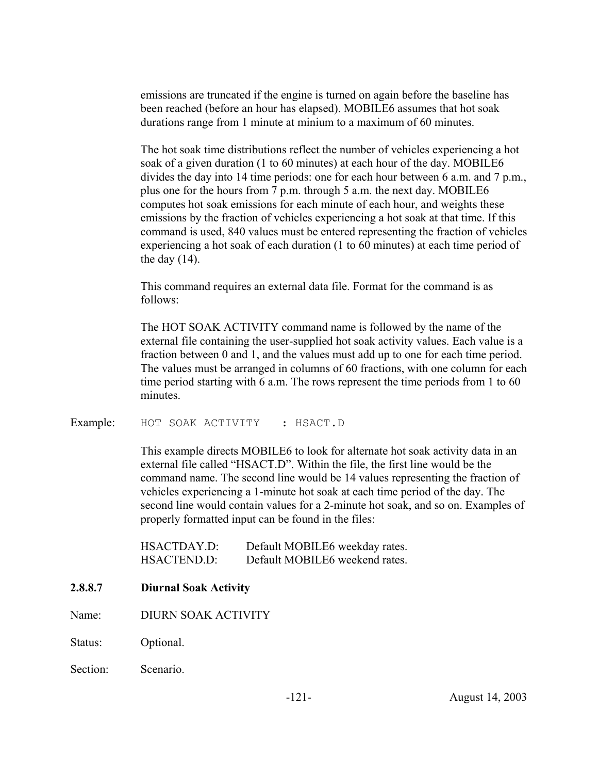emissions are truncated if the engine is turned on again before the baseline has been reached (before an hour has elapsed). MOBILE6 assumes that hot soak durations range from 1 minute at minium to a maximum of 60 minutes.

The hot soak time distributions reflect the number of vehicles experiencing a hot soak of a given duration (1 to 60 minutes) at each hour of the day. MOBILE6 divides the day into 14 time periods: one for each hour between 6 a.m. and 7 p.m., plus one for the hours from 7 p.m. through 5 a.m. the next day. MOBILE6 computes hot soak emissions for each minute of each hour, and weights these emissions by the fraction of vehicles experiencing a hot soak at that time. If this command is used, 840 values must be entered representing the fraction of vehicles experiencing a hot soak of each duration (1 to 60 minutes) at each time period of the day  $(14)$ .

This command requires an external data file. Format for the command is as follows:

The HOT SOAK ACTIVITY command name is followed by the name of the external file containing the user-supplied hot soak activity values. Each value is a fraction between 0 and 1, and the values must add up to one for each time period. The values must be arranged in columns of 60 fractions, with one column for each time period starting with 6 a.m. The rows represent the time periods from 1 to 60 minutes.

Example: HOT SOAK ACTIVITY : HSACT.D

This example directs MOBILE6 to look for alternate hot soak activity data in an external file called "HSACT.D". Within the file, the first line would be the command name. The second line would be 14 values representing the fraction of vehicles experiencing a 1-minute hot soak at each time period of the day. The second line would contain values for a 2-minute hot soak, and so on. Examples of properly formatted input can be found in the files:

| HSACTDAY.D: | Default MOBILE6 weekday rates. |
|-------------|--------------------------------|
| HSACTEND.D: | Default MOBILE6 weekend rates. |

# **2.8.8.7 Diurnal Soak Activity**

- Name: DIURN SOAK ACTIVITY
- Status: Optional.
- Section: Scenario.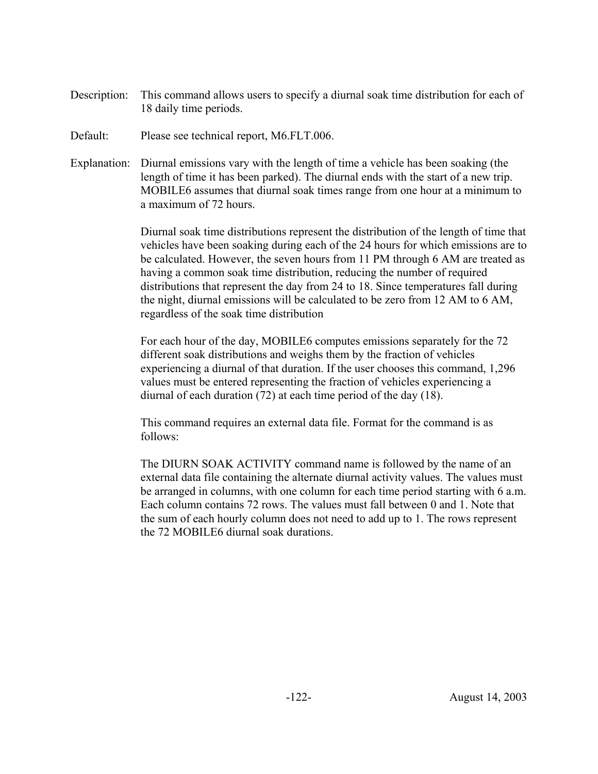- Description: This command allows users to specify a diurnal soak time distribution for each of 18 daily time periods.
- Default: Please see technical report, M6.FLT.006.
- Explanation: Diurnal emissions vary with the length of time a vehicle has been soaking (the length of time it has been parked). The diurnal ends with the start of a new trip. MOBILE6 assumes that diurnal soak times range from one hour at a minimum to a maximum of 72 hours.

Diurnal soak time distributions represent the distribution of the length of time that vehicles have been soaking during each of the 24 hours for which emissions are to be calculated. However, the seven hours from 11 PM through 6 AM are treated as having a common soak time distribution, reducing the number of required distributions that represent the day from 24 to 18. Since temperatures fall during the night, diurnal emissions will be calculated to be zero from 12 AM to 6 AM, regardless of the soak time distribution

For each hour of the day, MOBILE6 computes emissions separately for the 72 different soak distributions and weighs them by the fraction of vehicles experiencing a diurnal of that duration. If the user chooses this command, 1,296 values must be entered representing the fraction of vehicles experiencing a diurnal of each duration (72) at each time period of the day (18).

This command requires an external data file. Format for the command is as follows:

The DIURN SOAK ACTIVITY command name is followed by the name of an external data file containing the alternate diurnal activity values. The values must be arranged in columns, with one column for each time period starting with 6 a.m. Each column contains 72 rows. The values must fall between 0 and 1. Note that the sum of each hourly column does not need to add up to 1. The rows represent the 72 MOBILE6 diurnal soak durations.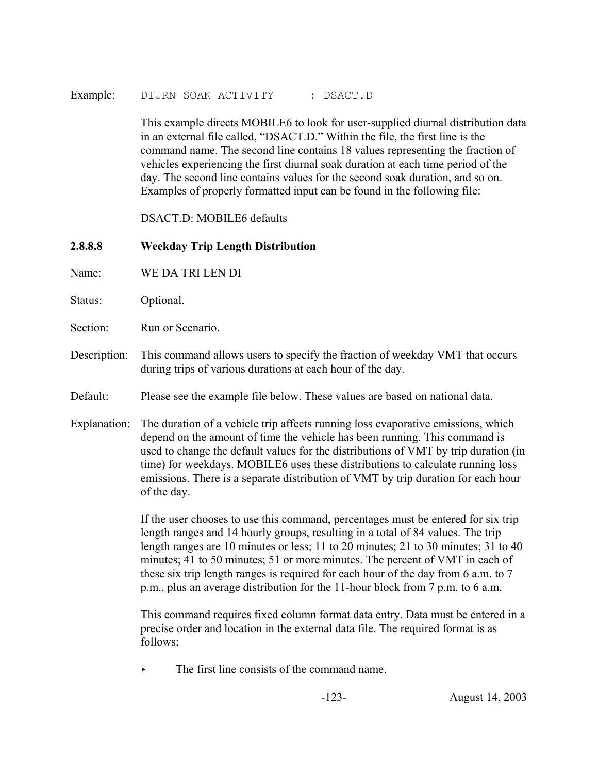Example: DIURN SOAK ACTIVITY : DSACT.D

This example directs MOBILE6 to look for user-supplied diurnal distribution data in an external file called, "DSACT.D." Within the file, the first line is the command name. The second line contains 18 values representing the fraction of vehicles experiencing the first diurnal soak duration at each time period of the day. The second line contains values for the second soak duration, and so on. Examples of properly formatted input can be found in the following file:

DSACT.D: MOBILE6 defaults

# **2.8.8.8 Weekday Trip Length Distribution**

- Name: WE DA TRI LEN DI
- Status: Optional.
- Section: Run or Scenario.
- Description: This command allows users to specify the fraction of weekday VMT that occurs during trips of various durations at each hour of the day.
- Default: Please see the example file below. These values are based on national data.
- Explanation: The duration of a vehicle trip affects running loss evaporative emissions, which depend on the amount of time the vehicle has been running. This command is used to change the default values for the distributions of VMT by trip duration (in time) for weekdays. MOBILE6 uses these distributions to calculate running loss emissions. There is a separate distribution of VMT by trip duration for each hour of the day.

If the user chooses to use this command, percentages must be entered for six trip length ranges and 14 hourly groups, resulting in a total of 84 values. The trip length ranges are 10 minutes or less; 11 to 20 minutes; 21 to 30 minutes; 31 to 40 minutes; 41 to 50 minutes; 51 or more minutes. The percent of VMT in each of these six trip length ranges is required for each hour of the day from 6 a.m. to 7 p.m., plus an average distribution for the 11-hour block from 7 p.m. to 6 a.m.

This command requires fixed column format data entry. Data must be entered in a precise order and location in the external data file. The required format is as follows:

< The first line consists of the command name.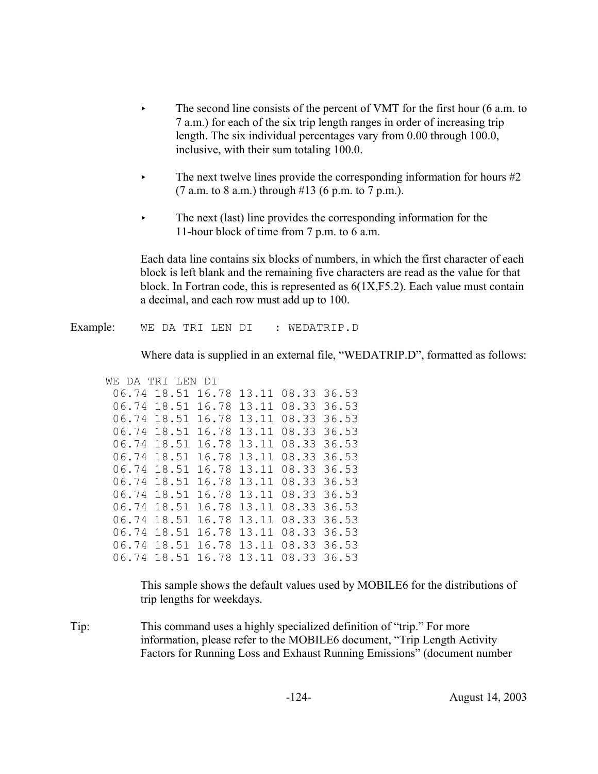- $\blacktriangleright$  The second line consists of the percent of VMT for the first hour (6 a.m. to 7 a.m.) for each of the six trip length ranges in order of increasing trip length. The six individual percentages vary from 0.00 through 100.0, inclusive, with their sum totaling 100.0.
- The next twelve lines provide the corresponding information for hours  $#2$ (7 a.m. to 8 a.m.) through  $#13$  (6 p.m. to 7 p.m.).
- $\blacktriangleright$  The next (last) line provides the corresponding information for the 11-hour block of time from 7 p.m. to 6 a.m.

Each data line contains six blocks of numbers, in which the first character of each block is left blank and the remaining five characters are read as the value for that block. In Fortran code, this is represented as 6(1X,F5.2). Each value must contain a decimal, and each row must add up to 100.

### Example: WE DA TRI LEN DI : WEDATRIP.D

Where data is supplied in an external file, "WEDATRIP.D", formatted as follows:

| WF.<br>DA | TRI LEN | DT.   |       |       |             |
|-----------|---------|-------|-------|-------|-------------|
| 06.74     | 18.51   | 16.78 | 13.11 |       | 08.33 36.53 |
| 06.74     | 18.51   | 16.78 | 13.11 | 08.33 | 36.53       |
| 06.74     | 18.51   | 16.78 | 13.11 | 08.33 | 36.53       |
| 06.74     | 18.51   | 16.78 | 13.11 | 08.33 | 36.53       |
| 06.74     | 18.51   | 16.78 | 13.11 | 08.33 | 36.53       |
| 06.74     | 18.51   | 16.78 | 13.11 | 08.33 | 36.53       |
| 06.74     | 18.51   | 16.78 | 13.11 | 08.33 | 36.53       |
| 06.74     | 18.51   | 16.78 | 13.11 | 08.33 | 36.53       |
| 06.74     | 18.51   | 16.78 | 13.11 | 08.33 | 36.53       |
| 06.74     | 18.51   | 16.78 | 13.11 | 08.33 | 36.53       |
| 06.74     | 18.51   | 16.78 | 13.11 | 08.33 | 36.53       |
| 06.74     | 18.51   | 16.78 | 13.11 | 08.33 | 36.53       |
| 06.74     | 18.51   | 16.78 | 13.11 | 08.33 | 36.53       |
| 06.74     | 18.51   | 16.78 | 13.11 | 08.33 | 36.53       |

This sample shows the default values used by MOBILE6 for the distributions of trip lengths for weekdays.

Tip: This command uses a highly specialized definition of "trip." For more information, please refer to the MOBILE6 document, "Trip Length Activity Factors for Running Loss and Exhaust Running Emissions" (document number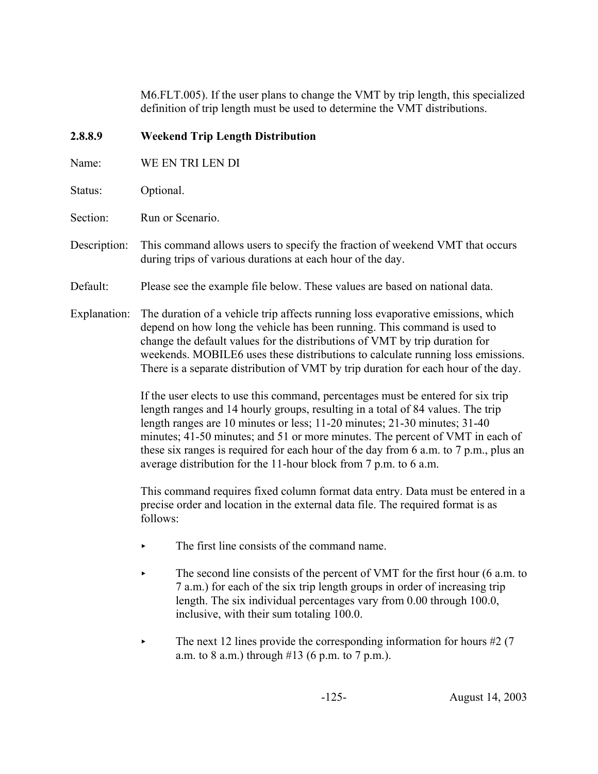M6.FLT.005). If the user plans to change the VMT by trip length, this specialized definition of trip length must be used to determine the VMT distributions.

# **2.8.8.9 Weekend Trip Length Distribution**

- Name: WE EN TRI LEN DI
- Status: Optional.
- Section: Run or Scenario.
- Description: This command allows users to specify the fraction of weekend VMT that occurs during trips of various durations at each hour of the day.
- Default: Please see the example file below. These values are based on national data.
- Explanation: The duration of a vehicle trip affects running loss evaporative emissions, which depend on how long the vehicle has been running. This command is used to change the default values for the distributions of VMT by trip duration for weekends. MOBILE6 uses these distributions to calculate running loss emissions. There is a separate distribution of VMT by trip duration for each hour of the day.

If the user elects to use this command, percentages must be entered for six trip length ranges and 14 hourly groups, resulting in a total of 84 values. The trip length ranges are 10 minutes or less; 11-20 minutes; 21-30 minutes; 31-40 minutes; 41-50 minutes; and 51 or more minutes. The percent of VMT in each of these six ranges is required for each hour of the day from 6 a.m. to 7 p.m., plus an average distribution for the 11-hour block from 7 p.m. to 6 a.m.

This command requires fixed column format data entry. Data must be entered in a precise order and location in the external data file. The required format is as follows:

- $\blacktriangleright$  The first line consists of the command name.
- The second line consists of the percent of VMT for the first hour (6 a.m. to 7 a.m.) for each of the six trip length groups in order of increasing trip length. The six individual percentages vary from 0.00 through 100.0, inclusive, with their sum totaling 100.0.
- $\blacktriangleright$  The next 12 lines provide the corresponding information for hours #2 (7) a.m. to 8 a.m.) through  $#13$  (6 p.m. to 7 p.m.).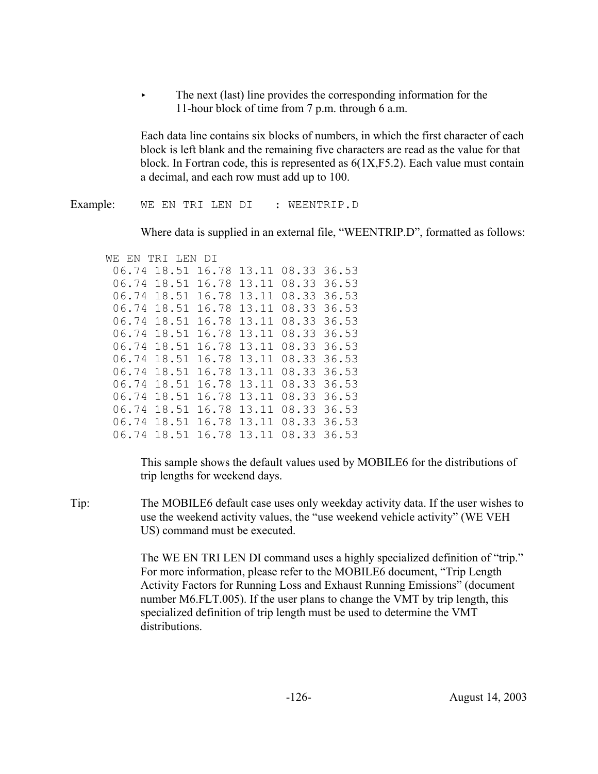The next (last) line provides the corresponding information for the 11-hour block of time from 7 p.m. through 6 a.m.

Each data line contains six blocks of numbers, in which the first character of each block is left blank and the remaining five characters are read as the value for that block. In Fortran code, this is represented as  $6(1X,F5.2)$ . Each value must contain a decimal, and each row must add up to 100.

Example: WE EN TRI LEN DI : WEENTRIP.D

Where data is supplied in an external file, "WEENTRIP.D", formatted as follows:

```
WE EN TRI LEN DI
 06.74 18.51 16.78 13.11 08.33 36.53
06.74 18.51 16.78 13.11 08.33 36.53
 06.74 18.51 16.78 13.11 08.33 36.53
06.74 18.51 16.78 13.11 08.33 36.53
 06.74 18.51 16.78 13.11 08.33 36.53
 06.74 18.51 16.78 13.11 08.33 36.53
 06.74 18.51 16.78 13.11 08.33 36.53
 06.74 18.51 16.78 13.11 08.33 36.53
 06.74 18.51 16.78 13.11 08.33 36.53
 06.74 18.51 16.78 13.11 08.33 36.53
 06.74 18.51 16.78 13.11 08.33 36.53
 06.74 18.51 16.78 13.11 08.33 36.53
06.74 18.51 16.78 13.11 08.33 36.53
 06.74 18.51 16.78 13.11 08.33 36.53
```
This sample shows the default values used by MOBILE6 for the distributions of trip lengths for weekend days.

Tip: The MOBILE6 default case uses only weekday activity data. If the user wishes to use the weekend activity values, the "use weekend vehicle activity" (WE VEH US) command must be executed.

> The WE EN TRI LEN DI command uses a highly specialized definition of "trip." For more information, please refer to the MOBILE6 document, "Trip Length Activity Factors for Running Loss and Exhaust Running Emissions" (document number M6.FLT.005). If the user plans to change the VMT by trip length, this specialized definition of trip length must be used to determine the VMT distributions.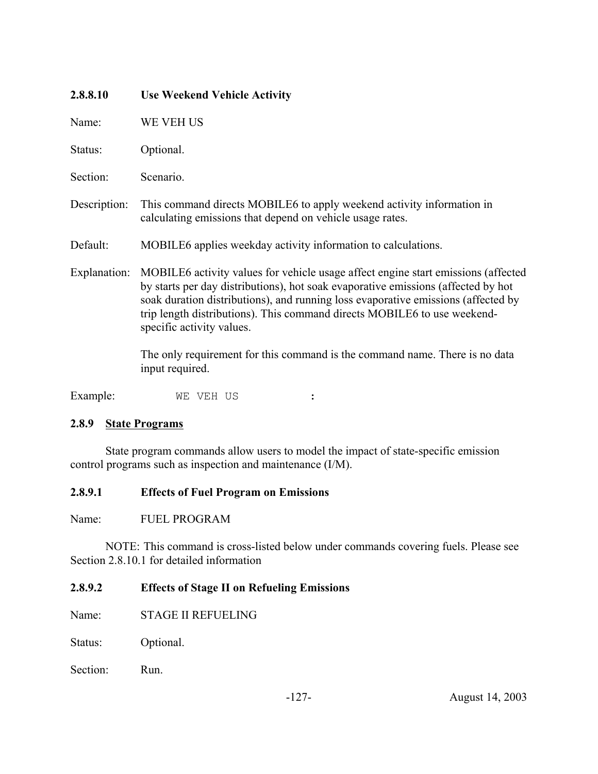| 2.8.8.10     | <b>Use Weekend Vehicle Activity</b>                                                                                                                                                                                                                                                                                                                                  |
|--------------|----------------------------------------------------------------------------------------------------------------------------------------------------------------------------------------------------------------------------------------------------------------------------------------------------------------------------------------------------------------------|
| Name:        | WE VEH US                                                                                                                                                                                                                                                                                                                                                            |
| Status:      | Optional.                                                                                                                                                                                                                                                                                                                                                            |
| Section:     | Scenario.                                                                                                                                                                                                                                                                                                                                                            |
| Description: | This command directs MOBILE6 to apply weekend activity information in<br>calculating emissions that depend on vehicle usage rates.                                                                                                                                                                                                                                   |
| Default:     | MOBILE6 applies weekday activity information to calculations.                                                                                                                                                                                                                                                                                                        |
| Explanation: | MOBILE6 activity values for vehicle usage affect engine start emissions (affected<br>by starts per day distributions), hot soak evaporative emissions (affected by hot<br>soak duration distributions), and running loss evaporative emissions (affected by<br>trip length distributions). This command directs MOBILE6 to use weekend-<br>specific activity values. |
|              | The only requirement for this command is the command name. There is no data<br>input required.                                                                                                                                                                                                                                                                       |

Example: WE VEH US :

# **2.8.9 State Programs**

State program commands allow users to model the impact of state-specific emission control programs such as inspection and maintenance (I/M).

# **2.8.9.1 Effects of Fuel Program on Emissions**

Name: FUEL PROGRAM

NOTE: This command is cross-listed below under commands covering fuels. Please see Section 2.8.10.1 for detailed information

# **2.8.9.2 Effects of Stage II on Refueling Emissions**

Name: STAGE II REFUELING

Status: Optional.

Section: Run.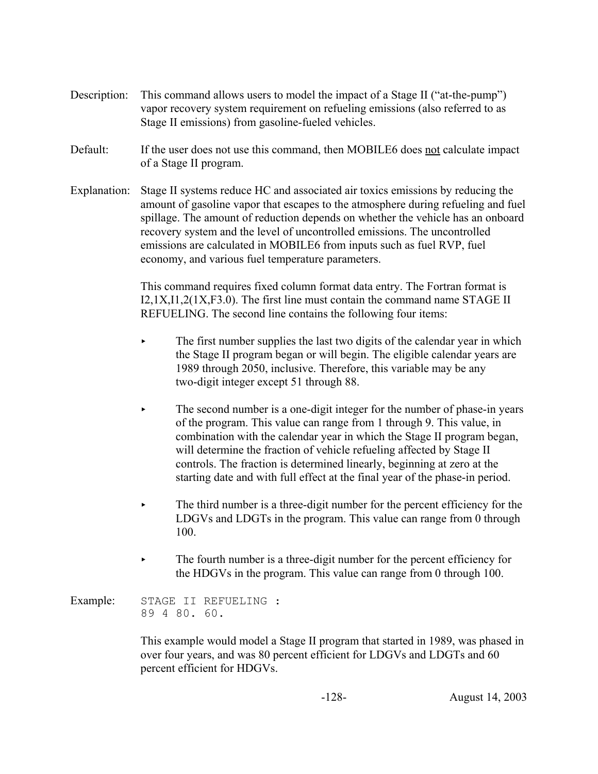- Description: This command allows users to model the impact of a Stage II ("at-the-pump") vapor recovery system requirement on refueling emissions (also referred to as Stage II emissions) from gasoline-fueled vehicles.
- Default: If the user does not use this command, then MOBILE6 does not calculate impact of a Stage II program.
- Explanation: Stage II systems reduce HC and associated air toxics emissions by reducing the amount of gasoline vapor that escapes to the atmosphere during refueling and fuel spillage. The amount of reduction depends on whether the vehicle has an onboard recovery system and the level of uncontrolled emissions. The uncontrolled emissions are calculated in MOBILE6 from inputs such as fuel RVP, fuel economy, and various fuel temperature parameters.

This command requires fixed column format data entry. The Fortran format is I2,1X,I1,2(1X,F3.0). The first line must contain the command name STAGE II REFUELING. The second line contains the following four items:

- $\blacktriangleright$  The first number supplies the last two digits of the calendar year in which the Stage II program began or will begin. The eligible calendar years are 1989 through 2050, inclusive. Therefore, this variable may be any two-digit integer except 51 through 88.
- The second number is a one-digit integer for the number of phase-in years of the program. This value can range from 1 through 9. This value, in combination with the calendar year in which the Stage II program began, will determine the fraction of vehicle refueling affected by Stage II controls. The fraction is determined linearly, beginning at zero at the starting date and with full effect at the final year of the phase-in period.
- The third number is a three-digit number for the percent efficiency for the LDGVs and LDGTs in the program. This value can range from 0 through 100.
- $\blacktriangleright$  The fourth number is a three-digit number for the percent efficiency for the HDGVs in the program. This value can range from 0 through 100.

Example: STAGE II REFUELING : 89 4 80. 60.

> This example would model a Stage II program that started in 1989, was phased in over four years, and was 80 percent efficient for LDGVs and LDGTs and 60 percent efficient for HDGVs.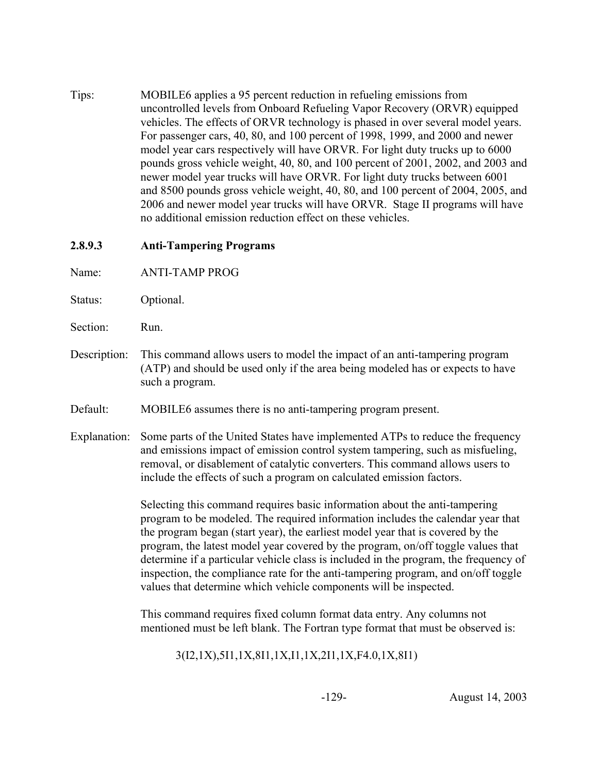Tips: MOBILE6 applies a 95 percent reduction in refueling emissions from uncontrolled levels from Onboard Refueling Vapor Recovery (ORVR) equipped vehicles. The effects of ORVR technology is phased in over several model years. For passenger cars, 40, 80, and 100 percent of 1998, 1999, and 2000 and newer model year cars respectively will have ORVR. For light duty trucks up to 6000 pounds gross vehicle weight, 40, 80, and 100 percent of 2001, 2002, and 2003 and newer model year trucks will have ORVR. For light duty trucks between 6001 and 8500 pounds gross vehicle weight, 40, 80, and 100 percent of 2004, 2005, and 2006 and newer model year trucks will have ORVR. Stage II programs will have no additional emission reduction effect on these vehicles.

# **2.8.9.3 Anti-Tampering Programs**

Name: ANTI-TAMP PROG

- Status: Optional.
- Section: Run.
- Description: This command allows users to model the impact of an anti-tampering program (ATP) and should be used only if the area being modeled has or expects to have such a program.
- Default: MOBILE6 assumes there is no anti-tampering program present.
- Explanation: Some parts of the United States have implemented ATPs to reduce the frequency and emissions impact of emission control system tampering, such as misfueling, removal, or disablement of catalytic converters. This command allows users to include the effects of such a program on calculated emission factors.

Selecting this command requires basic information about the anti-tampering program to be modeled. The required information includes the calendar year that the program began (start year), the earliest model year that is covered by the program, the latest model year covered by the program, on/off toggle values that determine if a particular vehicle class is included in the program, the frequency of inspection, the compliance rate for the anti-tampering program, and on/off toggle values that determine which vehicle components will be inspected.

This command requires fixed column format data entry. Any columns not mentioned must be left blank. The Fortran type format that must be observed is:

3(I2,1X),5I1,1X,8I1,1X,I1,1X,2I1,1X,F4.0,1X,8I1)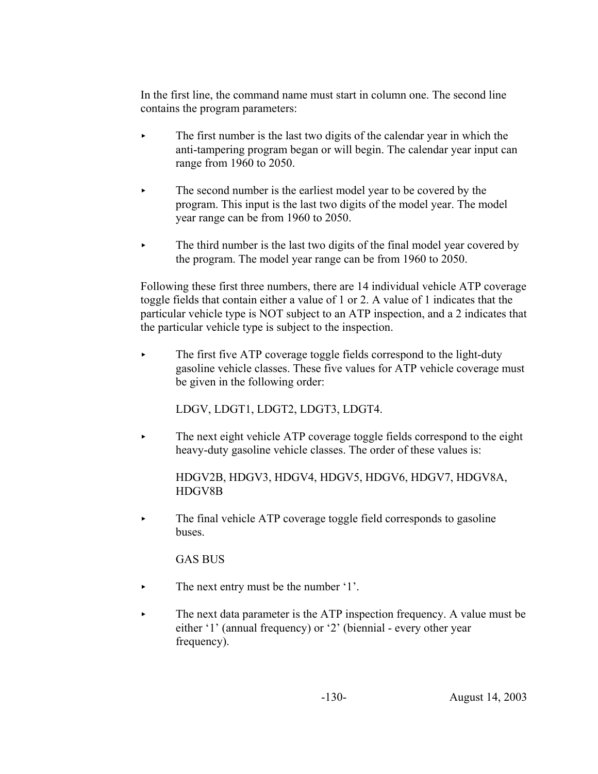In the first line, the command name must start in column one. The second line contains the program parameters:

- The first number is the last two digits of the calendar year in which the anti-tampering program began or will begin. The calendar year input can range from 1960 to 2050.
- $\blacktriangleright$  The second number is the earliest model year to be covered by the program. This input is the last two digits of the model year. The model year range can be from 1960 to 2050.
- The third number is the last two digits of the final model year covered by the program. The model year range can be from 1960 to 2050.

Following these first three numbers, there are 14 individual vehicle ATP coverage toggle fields that contain either a value of 1 or 2. A value of 1 indicates that the particular vehicle type is NOT subject to an ATP inspection, and a 2 indicates that the particular vehicle type is subject to the inspection.

 $\blacktriangleright$  The first five ATP coverage toggle fields correspond to the light-duty gasoline vehicle classes. These five values for ATP vehicle coverage must be given in the following order:

LDGV, LDGT1, LDGT2, LDGT3, LDGT4.

 $\blacktriangleright$  The next eight vehicle ATP coverage toggle fields correspond to the eight heavy-duty gasoline vehicle classes. The order of these values is:

# HDGV2B, HDGV3, HDGV4, HDGV5, HDGV6, HDGV7, HDGV8A, HDGV8B

• The final vehicle ATP coverage toggle field corresponds to gasoline buses.

GAS BUS

- $\blacktriangleright$  The next entry must be the number '1'.
- The next data parameter is the ATP inspection frequency. A value must be either '1' (annual frequency) or '2' (biennial - every other year frequency).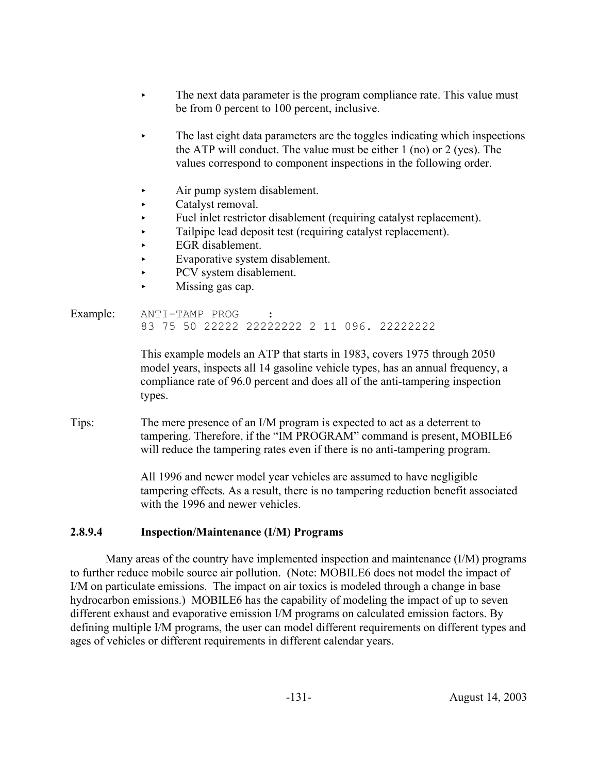- The next data parameter is the program compliance rate. This value must be from 0 percent to 100 percent, inclusive.
- < The last eight data parameters are the toggles indicating which inspections the ATP will conduct. The value must be either 1 (no) or 2 (yes). The values correspond to component inspections in the following order.
- < Air pump system disablement.
- Catalyst removal.
- Fuel inlet restrictor disablement (requiring catalyst replacement).
- $\blacktriangleright$  Tailpipe lead deposit test (requiring catalyst replacement).
- $\blacktriangleright$  EGR disablement.
- Evaporative system disablement.
- PCV system disablement.
- $\blacktriangleright$  Missing gas cap.

#### Example: ANTI-TAMP PROG 83 75 50 22222 22222222 2 11 096. 22222222

This example models an ATP that starts in 1983, covers 1975 through 2050 model years, inspects all 14 gasoline vehicle types, has an annual frequency, a compliance rate of 96.0 percent and does all of the anti-tampering inspection types.

Tips: The mere presence of an I/M program is expected to act as a deterrent to tampering. Therefore, if the "IM PROGRAM" command is present, MOBILE6 will reduce the tampering rates even if there is no anti-tampering program.

> All 1996 and newer model year vehicles are assumed to have negligible tampering effects. As a result, there is no tampering reduction benefit associated with the 1996 and newer vehicles.

# **2.8.9.4 Inspection/Maintenance (I/M) Programs**

Many areas of the country have implemented inspection and maintenance (I/M) programs to further reduce mobile source air pollution. (Note: MOBILE6 does not model the impact of I/M on particulate emissions. The impact on air toxics is modeled through a change in base hydrocarbon emissions.) MOBILE6 has the capability of modeling the impact of up to seven different exhaust and evaporative emission I/M programs on calculated emission factors. By defining multiple I/M programs, the user can model different requirements on different types and ages of vehicles or different requirements in different calendar years.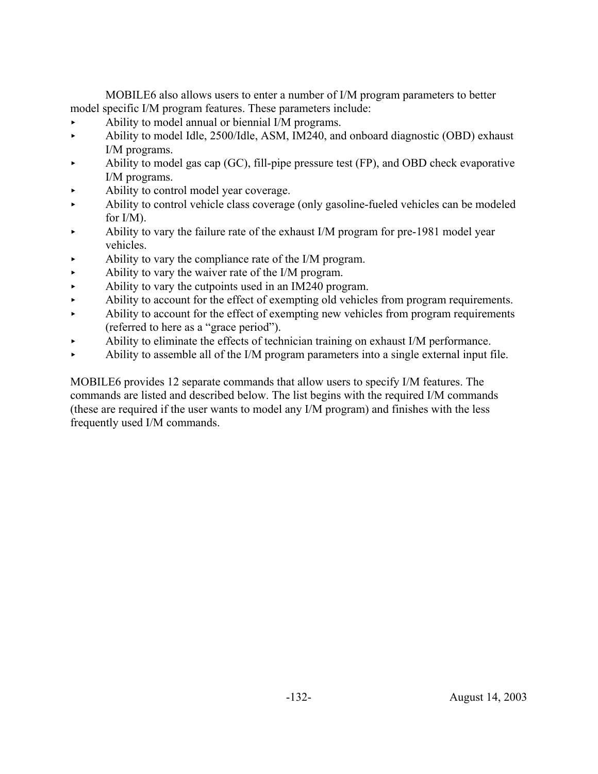MOBILE6 also allows users to enter a number of I/M program parameters to better model specific I/M program features. These parameters include:

- Ability to model annual or biennial I/M programs.
- Ability to model Idle, 2500/Idle, ASM, IM240, and onboard diagnostic (OBD) exhaust I/M programs.
- Ability to model gas cap  $(GC)$ , fill-pipe pressure test  $(FP)$ , and OBD check evaporative I/M programs.
- < Ability to control model year coverage.
- < Ability to control vehicle class coverage (only gasoline-fueled vehicles can be modeled for I/M).
- < Ability to vary the failure rate of the exhaust I/M program for pre-1981 model year vehicles.
- < Ability to vary the compliance rate of the I/M program.
- Ability to vary the waiver rate of the I/M program.
- $\blacktriangleright$  Ability to vary the cutpoints used in an IM240 program.
- Ability to account for the effect of exempting old vehicles from program requirements.
- Ability to account for the effect of exempting new vehicles from program requirements (referred to here as a "grace period").
- Ability to eliminate the effects of technician training on exhaust I/M performance.
- Ability to assemble all of the I/M program parameters into a single external input file.

MOBILE6 provides 12 separate commands that allow users to specify I/M features. The commands are listed and described below. The list begins with the required I/M commands (these are required if the user wants to model any I/M program) and finishes with the less frequently used I/M commands.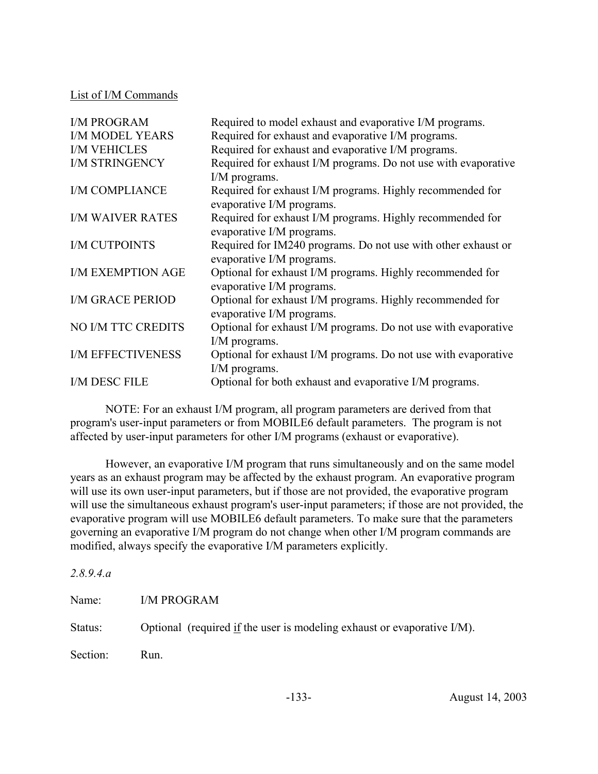List of I/M Commands

| <b>I/M PROGRAM</b>        | Required to model exhaust and evaporative I/M programs.                                    |
|---------------------------|--------------------------------------------------------------------------------------------|
| <b>I/M MODEL YEARS</b>    | Required for exhaust and evaporative I/M programs.                                         |
| <b>I/M VEHICLES</b>       | Required for exhaust and evaporative I/M programs.                                         |
| <b>I/M STRINGENCY</b>     | Required for exhaust I/M programs. Do not use with evaporative                             |
|                           | I/M programs.                                                                              |
| I/M COMPLIANCE            | Required for exhaust I/M programs. Highly recommended for<br>evaporative I/M programs.     |
| <b>I/M WAIVER RATES</b>   | Required for exhaust I/M programs. Highly recommended for<br>evaporative I/M programs.     |
| <b>I/M CUTPOINTS</b>      | Required for IM240 programs. Do not use with other exhaust or<br>evaporative I/M programs. |
| <b>I/M EXEMPTION AGE</b>  | Optional for exhaust I/M programs. Highly recommended for<br>evaporative I/M programs.     |
| <b>I/M GRACE PERIOD</b>   | Optional for exhaust I/M programs. Highly recommended for<br>evaporative I/M programs.     |
| <b>NO I/M TTC CREDITS</b> | Optional for exhaust I/M programs. Do not use with evaporative                             |
|                           | I/M programs.                                                                              |
| <b>I/M EFFECTIVENESS</b>  | Optional for exhaust I/M programs. Do not use with evaporative                             |
|                           | I/M programs.                                                                              |
| I/M DESC FILE             | Optional for both exhaust and evaporative I/M programs.                                    |

NOTE: For an exhaust I/M program, all program parameters are derived from that program's user-input parameters or from MOBILE6 default parameters. The program is not affected by user-input parameters for other I/M programs (exhaust or evaporative).

However, an evaporative I/M program that runs simultaneously and on the same model years as an exhaust program may be affected by the exhaust program. An evaporative program will use its own user-input parameters, but if those are not provided, the evaporative program will use the simultaneous exhaust program's user-input parameters; if those are not provided, the evaporative program will use MOBILE6 default parameters. To make sure that the parameters governing an evaporative I/M program do not change when other I/M program commands are modified, always specify the evaporative I/M parameters explicitly.

| 2.8.9.4.a |                                                                                       |
|-----------|---------------------------------------------------------------------------------------|
| Name:     | <b>I/M PROGRAM</b>                                                                    |
| Status:   | Optional (required $\underline{if}$ the user is modeling exhaust or evaporative I/M). |
| Section:  | Run.                                                                                  |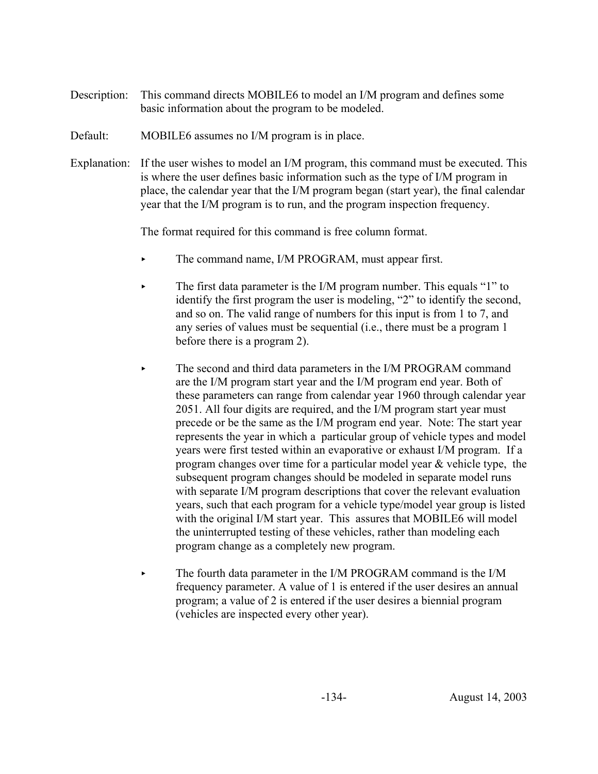- Description: This command directs MOBILE6 to model an I/M program and defines some basic information about the program to be modeled.
- Default: MOBILE6 assumes no I/M program is in place.
- Explanation: If the user wishes to model an I/M program, this command must be executed. This is where the user defines basic information such as the type of I/M program in place, the calendar year that the I/M program began (start year), the final calendar year that the I/M program is to run, and the program inspection frequency.

The format required for this command is free column format.

- The command name, I/M PROGRAM, must appear first.
- The first data parameter is the I/M program number. This equals "1" to identify the first program the user is modeling, "2" to identify the second, and so on. The valid range of numbers for this input is from 1 to 7, and any series of values must be sequential (i.e., there must be a program 1 before there is a program 2).
- The second and third data parameters in the I/M PROGRAM command are the I/M program start year and the I/M program end year. Both of these parameters can range from calendar year 1960 through calendar year 2051. All four digits are required, and the I/M program start year must precede or be the same as the I/M program end year. Note: The start year represents the year in which a particular group of vehicle types and model years were first tested within an evaporative or exhaust I/M program. If a program changes over time for a particular model year & vehicle type, the subsequent program changes should be modeled in separate model runs with separate I/M program descriptions that cover the relevant evaluation years, such that each program for a vehicle type/model year group is listed with the original I/M start year. This assures that MOBILE6 will model the uninterrupted testing of these vehicles, rather than modeling each program change as a completely new program.
- $\triangleright$  The fourth data parameter in the I/M PROGRAM command is the I/M frequency parameter. A value of 1 is entered if the user desires an annual program; a value of 2 is entered if the user desires a biennial program (vehicles are inspected every other year).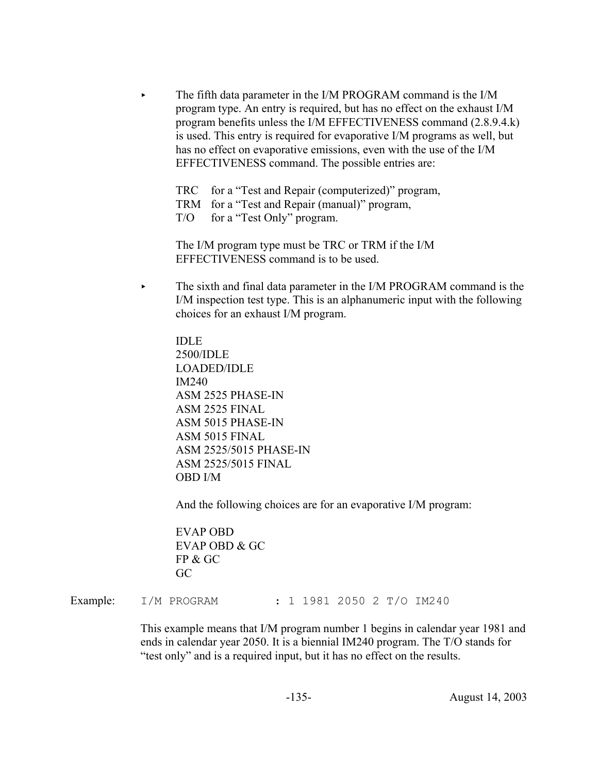The fifth data parameter in the I/M PROGRAM command is the I/M program type. An entry is required, but has no effect on the exhaust I/M program benefits unless the I/M EFFECTIVENESS command (2.8.9.4.k) is used. This entry is required for evaporative I/M programs as well, but has no effect on evaporative emissions, even with the use of the I/M EFFECTIVENESS command. The possible entries are:

TRC for a "Test and Repair (computerized)" program, TRM for a "Test and Repair (manual)" program, T/O for a "Test Only" program.

The I/M program type must be TRC or TRM if the I/M EFFECTIVENESS command is to be used.

 $\blacktriangleright$  The sixth and final data parameter in the I/M PROGRAM command is the I/M inspection test type. This is an alphanumeric input with the following choices for an exhaust I/M program.

IDLE 2500/IDLE LOADED/IDLE IM240 ASM 2525 PHASE-IN ASM 2525 FINAL ASM 5015 PHASE-IN ASM 5015 FINAL ASM 2525/5015 PHASE-IN ASM 2525/5015 FINAL OBD I/M

And the following choices are for an evaporative I/M program:

EVAP OBD EVAP OBD & GC FP & GC GC

Example: I/M PROGRAM : 1 1981 2050 2 T/O IM240

This example means that I/M program number 1 begins in calendar year 1981 and ends in calendar year 2050. It is a biennial IM240 program. The T/O stands for "test only" and is a required input, but it has no effect on the results.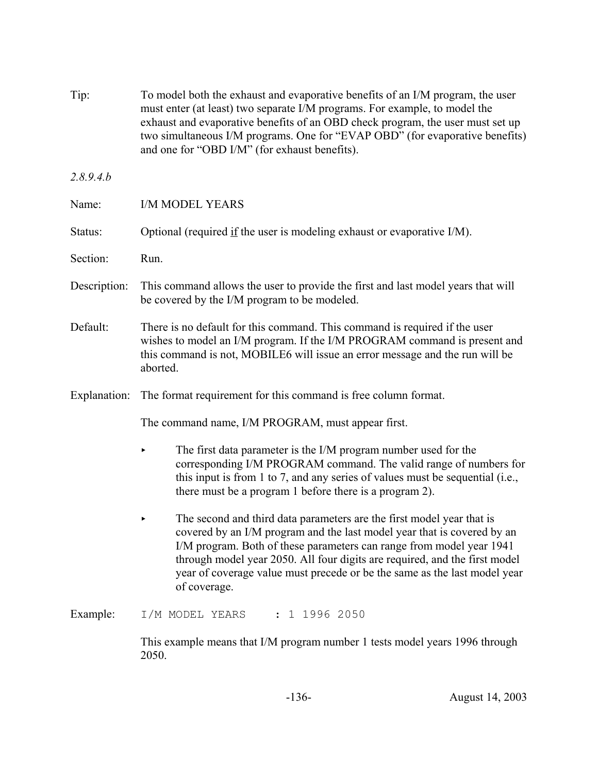| Tip:         | To model both the exhaust and evaporative benefits of an I/M program, the user<br>must enter (at least) two separate I/M programs. For example, to model the<br>exhaust and evaporative benefits of an OBD check program, the user must set up<br>two simultaneous I/M programs. One for "EVAP OBD" (for evaporative benefits)<br>and one for "OBD I/M" (for exhaust benefits).                     |  |  |
|--------------|-----------------------------------------------------------------------------------------------------------------------------------------------------------------------------------------------------------------------------------------------------------------------------------------------------------------------------------------------------------------------------------------------------|--|--|
| 2.8.9.4.b    |                                                                                                                                                                                                                                                                                                                                                                                                     |  |  |
| Name:        | <b>I/M MODEL YEARS</b>                                                                                                                                                                                                                                                                                                                                                                              |  |  |
| Status:      | Optional (required if the user is modeling exhaust or evaporative I/M).                                                                                                                                                                                                                                                                                                                             |  |  |
| Section:     | Run.                                                                                                                                                                                                                                                                                                                                                                                                |  |  |
| Description: | This command allows the user to provide the first and last model years that will<br>be covered by the I/M program to be modeled.                                                                                                                                                                                                                                                                    |  |  |
| Default:     | There is no default for this command. This command is required if the user<br>wishes to model an I/M program. If the I/M PROGRAM command is present and<br>this command is not, MOBILE6 will issue an error message and the run will be<br>aborted.                                                                                                                                                 |  |  |
| Explanation: | The format requirement for this command is free column format.                                                                                                                                                                                                                                                                                                                                      |  |  |
|              | The command name, I/M PROGRAM, must appear first.                                                                                                                                                                                                                                                                                                                                                   |  |  |
|              | The first data parameter is the I/M program number used for the<br>corresponding I/M PROGRAM command. The valid range of numbers for<br>this input is from 1 to 7, and any series of values must be sequential (i.e.,<br>there must be a program 1 before there is a program 2).                                                                                                                    |  |  |
|              | The second and third data parameters are the first model year that is<br>covered by an I/M program and the last model year that is covered by an<br>I/M program. Both of these parameters can range from model year 1941<br>through model year 2050. All four digits are required, and the first model<br>year of coverage value must precede or be the same as the last model year<br>of coverage. |  |  |
| Example:     | $: 1$ 1996 2050<br>I/M MODEL YEARS                                                                                                                                                                                                                                                                                                                                                                  |  |  |
|              | This example means that I/M program number 1 tests model years 1996 through<br>2050.                                                                                                                                                                                                                                                                                                                |  |  |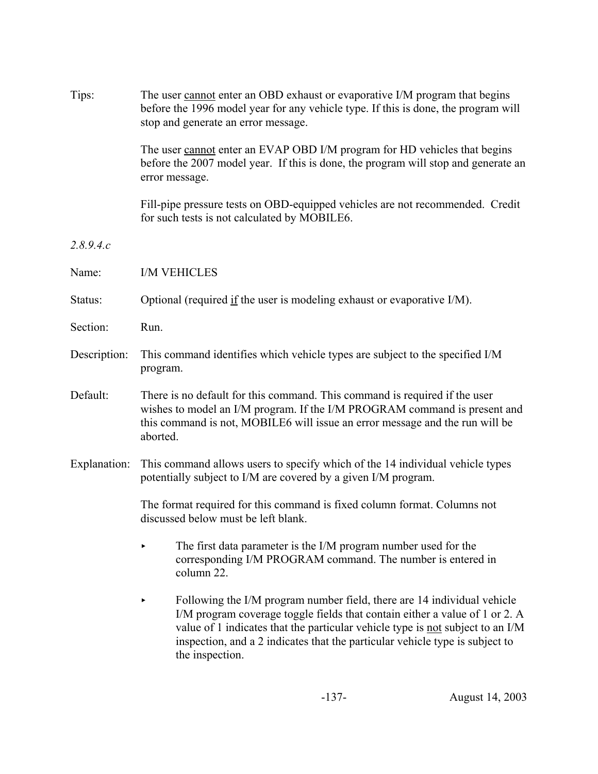| Tips:        | The user cannot enter an OBD exhaust or evaporative I/M program that begins<br>before the 1996 model year for any vehicle type. If this is done, the program will<br>stop and generate an error message.                                                                                                                                    |  |  |
|--------------|---------------------------------------------------------------------------------------------------------------------------------------------------------------------------------------------------------------------------------------------------------------------------------------------------------------------------------------------|--|--|
|              | The user cannot enter an EVAP OBD I/M program for HD vehicles that begins<br>before the 2007 model year. If this is done, the program will stop and generate an<br>error message.                                                                                                                                                           |  |  |
|              | Fill-pipe pressure tests on OBD-equipped vehicles are not recommended. Credit<br>for such tests is not calculated by MOBILE6.                                                                                                                                                                                                               |  |  |
| 2.8.9.4.c    |                                                                                                                                                                                                                                                                                                                                             |  |  |
| Name:        | <b>I/M VEHICLES</b>                                                                                                                                                                                                                                                                                                                         |  |  |
| Status:      | Optional (required if the user is modeling exhaust or evaporative I/M).                                                                                                                                                                                                                                                                     |  |  |
| Section:     | Run.                                                                                                                                                                                                                                                                                                                                        |  |  |
| Description: | This command identifies which vehicle types are subject to the specified I/M<br>program.                                                                                                                                                                                                                                                    |  |  |
| Default:     | There is no default for this command. This command is required if the user<br>wishes to model an I/M program. If the I/M PROGRAM command is present and<br>this command is not, MOBILE6 will issue an error message and the run will be<br>aborted.                                                                                         |  |  |
| Explanation: | This command allows users to specify which of the 14 individual vehicle types<br>potentially subject to I/M are covered by a given I/M program.                                                                                                                                                                                             |  |  |
|              | The format required for this command is fixed column format. Columns not<br>discussed below must be left blank.                                                                                                                                                                                                                             |  |  |
|              | The first data parameter is the I/M program number used for the<br>corresponding I/M PROGRAM command. The number is entered in<br>column 22.                                                                                                                                                                                                |  |  |
|              | Following the I/M program number field, there are 14 individual vehicle<br>I/M program coverage toggle fields that contain either a value of 1 or 2. A<br>value of 1 indicates that the particular vehicle type is not subject to an I/M<br>inspection, and a 2 indicates that the particular vehicle type is subject to<br>the inspection. |  |  |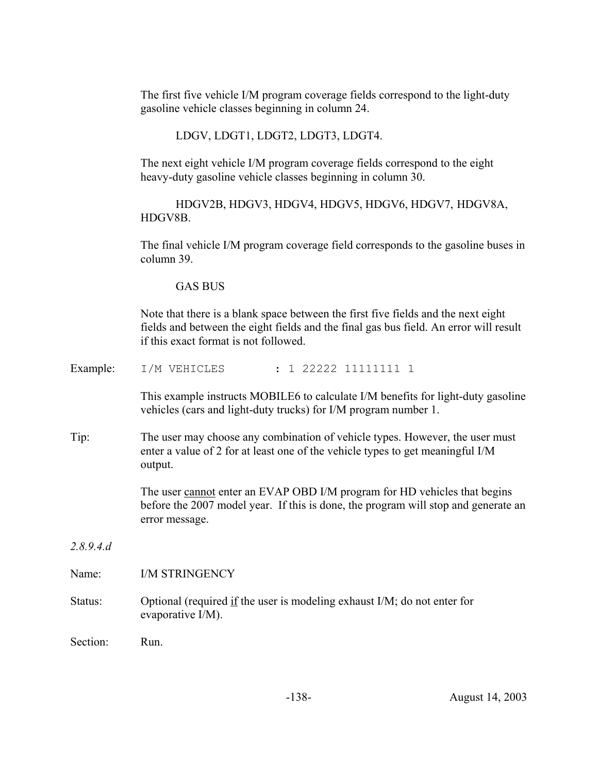The first five vehicle I/M program coverage fields correspond to the light-duty gasoline vehicle classes beginning in column 24.

LDGV, LDGT1, LDGT2, LDGT3, LDGT4.

The next eight vehicle I/M program coverage fields correspond to the eight heavy-duty gasoline vehicle classes beginning in column 30.

HDGV2B, HDGV3, HDGV4, HDGV5, HDGV6, HDGV7, HDGV8A, HDGV8B.

The final vehicle I/M program coverage field corresponds to the gasoline buses in column 39.

GAS BUS

Note that there is a blank space between the first five fields and the next eight fields and between the eight fields and the final gas bus field. An error will result if this exact format is not followed.

Example: I/M VEHICLES : 1 22222 11111111 1

This example instructs MOBILE6 to calculate I/M benefits for light-duty gasoline vehicles (cars and light-duty trucks) for I/M program number 1.

Tip: The user may choose any combination of vehicle types. However, the user must enter a value of 2 for at least one of the vehicle types to get meaningful I/M output.

> The user cannot enter an EVAP OBD I/M program for HD vehicles that begins before the 2007 model year. If this is done, the program will stop and generate an error message.

*2.8.9.4.d*

Name: I/M STRINGENCY

Status: Optional (required if the user is modeling exhaust I/M; do not enter for evaporative I/M).

Section: Run.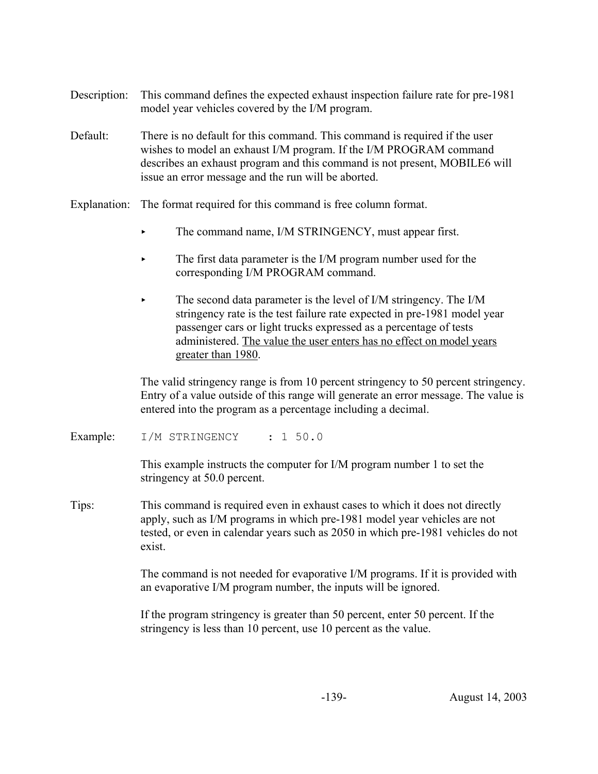- Description: This command defines the expected exhaust inspection failure rate for pre-1981 model year vehicles covered by the I/M program.
- Default: There is no default for this command. This command is required if the user wishes to model an exhaust I/M program. If the I/M PROGRAM command describes an exhaust program and this command is not present, MOBILE6 will issue an error message and the run will be aborted.
- Explanation: The format required for this command is free column format.
	- $\blacktriangleright$  The command name, I/M STRINGENCY, must appear first.
	- The first data parameter is the I/M program number used for the corresponding I/M PROGRAM command.
	- The second data parameter is the level of I/M stringency. The I/M stringency rate is the test failure rate expected in pre-1981 model year passenger cars or light trucks expressed as a percentage of tests administered. The value the user enters has no effect on model years greater than 1980.

The valid stringency range is from 10 percent stringency to 50 percent stringency. Entry of a value outside of this range will generate an error message. The value is entered into the program as a percentage including a decimal.

Example: I/M STRINGENCY : 1 50.0

This example instructs the computer for I/M program number 1 to set the stringency at 50.0 percent.

Tips: This command is required even in exhaust cases to which it does not directly apply, such as I/M programs in which pre-1981 model year vehicles are not tested, or even in calendar years such as 2050 in which pre-1981 vehicles do not exist.

> The command is not needed for evaporative I/M programs. If it is provided with an evaporative I/M program number, the inputs will be ignored.

If the program stringency is greater than 50 percent, enter 50 percent. If the stringency is less than 10 percent, use 10 percent as the value.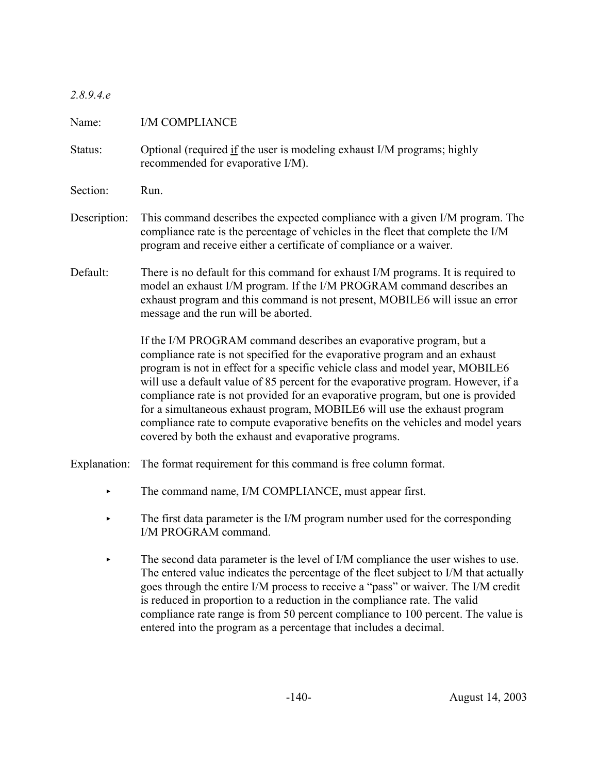### *2.8.9.4.e*

| Name:        | I/M COMPLIANCE                                                                                                                                                                                                                                                                                                                                                                                                                                                                                                                                                                                                                     |
|--------------|------------------------------------------------------------------------------------------------------------------------------------------------------------------------------------------------------------------------------------------------------------------------------------------------------------------------------------------------------------------------------------------------------------------------------------------------------------------------------------------------------------------------------------------------------------------------------------------------------------------------------------|
| Status:      | Optional (required if the user is modeling exhaust I/M programs; highly<br>recommended for evaporative I/M).                                                                                                                                                                                                                                                                                                                                                                                                                                                                                                                       |
| Section:     | Run.                                                                                                                                                                                                                                                                                                                                                                                                                                                                                                                                                                                                                               |
| Description: | This command describes the expected compliance with a given I/M program. The<br>compliance rate is the percentage of vehicles in the fleet that complete the I/M<br>program and receive either a certificate of compliance or a waiver.                                                                                                                                                                                                                                                                                                                                                                                            |
| Default:     | There is no default for this command for exhaust I/M programs. It is required to<br>model an exhaust I/M program. If the I/M PROGRAM command describes an<br>exhaust program and this command is not present, MOBILE6 will issue an error<br>message and the run will be aborted.                                                                                                                                                                                                                                                                                                                                                  |
|              | If the I/M PROGRAM command describes an evaporative program, but a<br>compliance rate is not specified for the evaporative program and an exhaust<br>program is not in effect for a specific vehicle class and model year, MOBILE6<br>will use a default value of 85 percent for the evaporative program. However, if a<br>compliance rate is not provided for an evaporative program, but one is provided<br>for a simultaneous exhaust program, MOBILE6 will use the exhaust program<br>compliance rate to compute evaporative benefits on the vehicles and model years<br>covered by both the exhaust and evaporative programs. |
|              | $\mathbf{r}$ and $\mathbf{r}$ and $\mathbf{r}$ and $\mathbf{r}$ and $\mathbf{r}$ and $\mathbf{r}$ and $\mathbf{r}$ and $\mathbf{r}$ and $\mathbf{r}$ and $\mathbf{r}$ and $\mathbf{r}$ and $\mathbf{r}$ and $\mathbf{r}$ and $\mathbf{r}$ and $\mathbf{r}$ and $\mathbf{r}$ and $\mathbf{r}$ and                                                                                                                                                                                                                                                                                                                                   |

Explanation: The format requirement for this command is free column format.

- The command name, I/M COMPLIANCE, must appear first.
- $\blacktriangleright$  The first data parameter is the I/M program number used for the corresponding I/M PROGRAM command.
- $\blacktriangleright$  The second data parameter is the level of I/M compliance the user wishes to use. The entered value indicates the percentage of the fleet subject to I/M that actually goes through the entire I/M process to receive a "pass" or waiver. The I/M credit is reduced in proportion to a reduction in the compliance rate. The valid compliance rate range is from 50 percent compliance to 100 percent. The value is entered into the program as a percentage that includes a decimal.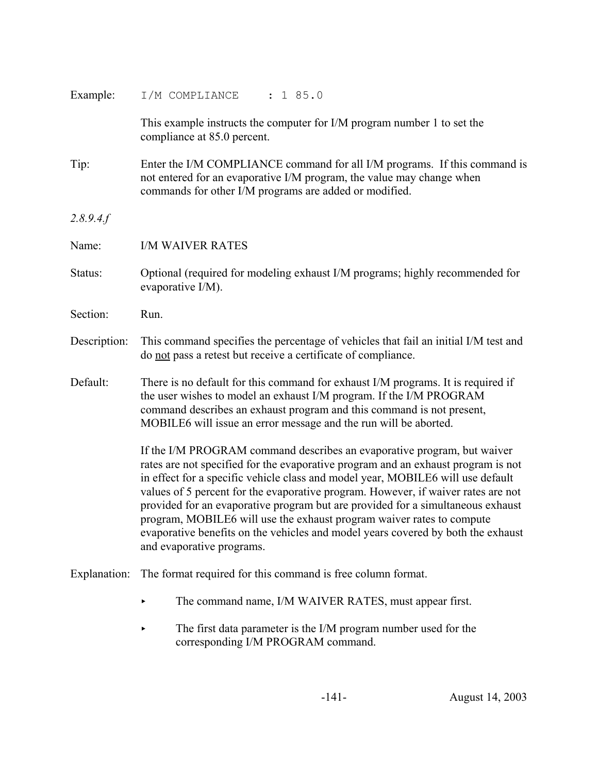| Example:     | I/M COMPLIANCE<br>: 185.0                                                                                                                                                                                                                                                                                                                                                                                                                                                                                                                                                                                         |
|--------------|-------------------------------------------------------------------------------------------------------------------------------------------------------------------------------------------------------------------------------------------------------------------------------------------------------------------------------------------------------------------------------------------------------------------------------------------------------------------------------------------------------------------------------------------------------------------------------------------------------------------|
|              | This example instructs the computer for I/M program number 1 to set the<br>compliance at 85.0 percent.                                                                                                                                                                                                                                                                                                                                                                                                                                                                                                            |
| Tip:         | Enter the I/M COMPLIANCE command for all I/M programs. If this command is<br>not entered for an evaporative I/M program, the value may change when<br>commands for other I/M programs are added or modified.                                                                                                                                                                                                                                                                                                                                                                                                      |
| 2.8.9.4.f    |                                                                                                                                                                                                                                                                                                                                                                                                                                                                                                                                                                                                                   |
| Name:        | <b>I/M WAIVER RATES</b>                                                                                                                                                                                                                                                                                                                                                                                                                                                                                                                                                                                           |
| Status:      | Optional (required for modeling exhaust I/M programs; highly recommended for<br>evaporative I/M).                                                                                                                                                                                                                                                                                                                                                                                                                                                                                                                 |
| Section:     | Run.                                                                                                                                                                                                                                                                                                                                                                                                                                                                                                                                                                                                              |
| Description: | This command specifies the percentage of vehicles that fail an initial I/M test and<br>do not pass a retest but receive a certificate of compliance.                                                                                                                                                                                                                                                                                                                                                                                                                                                              |
| Default:     | There is no default for this command for exhaust I/M programs. It is required if<br>the user wishes to model an exhaust I/M program. If the I/M PROGRAM<br>command describes an exhaust program and this command is not present,<br>MOBILE6 will issue an error message and the run will be aborted.                                                                                                                                                                                                                                                                                                              |
|              | If the I/M PROGRAM command describes an evaporative program, but waiver<br>rates are not specified for the evaporative program and an exhaust program is not<br>in effect for a specific vehicle class and model year, MOBILE6 will use default<br>values of 5 percent for the evaporative program. However, if waiver rates are not<br>provided for an evaporative program but are provided for a simultaneous exhaust<br>program, MOBILE6 will use the exhaust program waiver rates to compute<br>evaporative benefits on the vehicles and model years covered by both the exhaust<br>and evaporative programs. |
| Explanation: | The format required for this command is free column format.                                                                                                                                                                                                                                                                                                                                                                                                                                                                                                                                                       |
|              | The command name, I/M WAIVER RATES, must appear first.                                                                                                                                                                                                                                                                                                                                                                                                                                                                                                                                                            |

The first data parameter is the I/M program number used for the corresponding I/M PROGRAM command.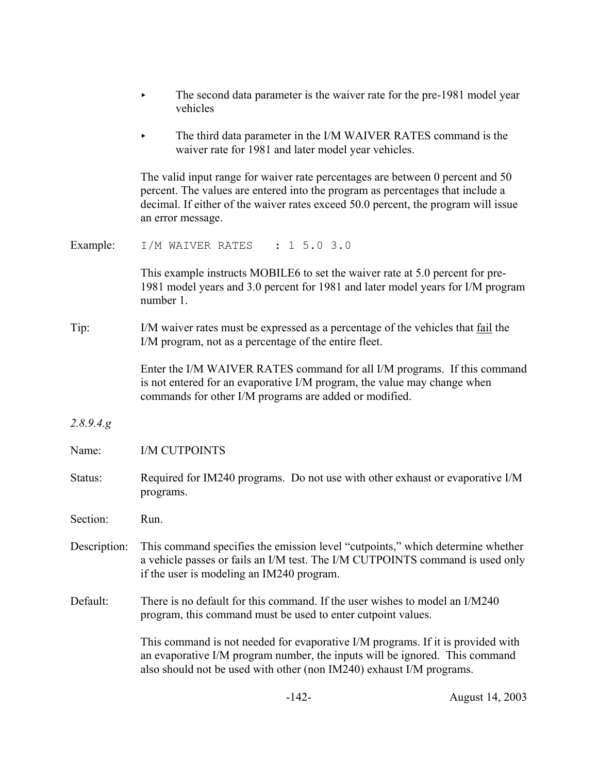|              | The second data parameter is the waiver rate for the pre-1981 model year<br>vehicles                                                                                                                                                                                        |
|--------------|-----------------------------------------------------------------------------------------------------------------------------------------------------------------------------------------------------------------------------------------------------------------------------|
|              | The third data parameter in the I/M WAIVER RATES command is the<br>waiver rate for 1981 and later model year vehicles.                                                                                                                                                      |
|              | The valid input range for waiver rate percentages are between 0 percent and 50<br>percent. The values are entered into the program as percentages that include a<br>decimal. If either of the waiver rates exceed 50.0 percent, the program will issue<br>an error message. |
| Example:     | I/M WAIVER RATES : 1 5.0 3.0                                                                                                                                                                                                                                                |
|              | This example instructs MOBILE6 to set the waiver rate at 5.0 percent for pre-<br>1981 model years and 3.0 percent for 1981 and later model years for I/M program<br>number 1.                                                                                               |
| Tip:         | I/M waiver rates must be expressed as a percentage of the vehicles that fail the<br>I/M program, not as a percentage of the entire fleet.                                                                                                                                   |
|              | Enter the I/M WAIVER RATES command for all I/M programs. If this command<br>is not entered for an evaporative I/M program, the value may change when<br>commands for other I/M programs are added or modified.                                                              |
| 2.8.9.4.8    |                                                                                                                                                                                                                                                                             |
| Name:        | <b>I/M CUTPOINTS</b>                                                                                                                                                                                                                                                        |
| Status:      | Required for IM240 programs. Do not use with other exhaust or evaporative I/M<br>programs.                                                                                                                                                                                  |
| Section:     | Run.                                                                                                                                                                                                                                                                        |
| Description: | This command specifies the emission level "cutpoints," which determine whether<br>a vehicle passes or fails an I/M test. The I/M CUTPOINTS command is used only<br>if the user is modeling an IM240 program.                                                                |
| Default:     | There is no default for this command. If the user wishes to model an I/M240<br>program, this command must be used to enter cutpoint values.                                                                                                                                 |
|              | This command is not needed for evaporative I/M programs. If it is provided with<br>an evaporative I/M program number, the inputs will be ignored. This command<br>also should not be used with other (non IM240) exhaust I/M programs.                                      |
|              |                                                                                                                                                                                                                                                                             |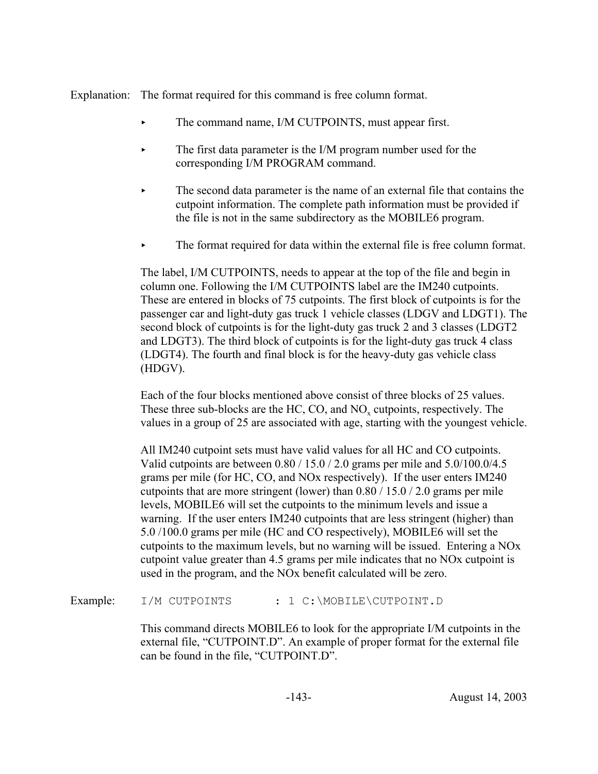Explanation: The format required for this command is free column format.

- The command name, I/M CUTPOINTS, must appear first.
- The first data parameter is the I/M program number used for the corresponding I/M PROGRAM command.
- $\blacktriangleright$  The second data parameter is the name of an external file that contains the cutpoint information. The complete path information must be provided if the file is not in the same subdirectory as the MOBILE6 program.
- The format required for data within the external file is free column format.

The label, I/M CUTPOINTS, needs to appear at the top of the file and begin in column one. Following the I/M CUTPOINTS label are the IM240 cutpoints. These are entered in blocks of 75 cutpoints. The first block of cutpoints is for the passenger car and light-duty gas truck 1 vehicle classes (LDGV and LDGT1). The second block of cutpoints is for the light-duty gas truck 2 and 3 classes (LDGT2 and LDGT3). The third block of cutpoints is for the light-duty gas truck 4 class (LDGT4). The fourth and final block is for the heavy-duty gas vehicle class (HDGV).

Each of the four blocks mentioned above consist of three blocks of 25 values. These three sub-blocks are the HC, CO, and NO<sub>y</sub> cutpoints, respectively. The values in a group of 25 are associated with age, starting with the youngest vehicle.

All IM240 cutpoint sets must have valid values for all HC and CO cutpoints. Valid cutpoints are between 0.80 / 15.0 / 2.0 grams per mile and 5.0/100.0/4.5 grams per mile (for HC, CO, and NOx respectively). If the user enters IM240 cutpoints that are more stringent (lower) than 0.80 / 15.0 / 2.0 grams per mile levels, MOBILE6 will set the cutpoints to the minimum levels and issue a warning. If the user enters IM240 cutpoints that are less stringent (higher) than 5.0 /100.0 grams per mile (HC and CO respectively), MOBILE6 will set the cutpoints to the maximum levels, but no warning will be issued. Entering a NOx cutpoint value greater than 4.5 grams per mile indicates that no NOx cutpoint is used in the program, and the NOx benefit calculated will be zero.

Example: I/M CUTPOINTS : 1 C:\MOBILE\CUTPOINT.D

This command directs MOBILE6 to look for the appropriate I/M cutpoints in the external file, "CUTPOINT.D". An example of proper format for the external file can be found in the file, "CUTPOINT.D".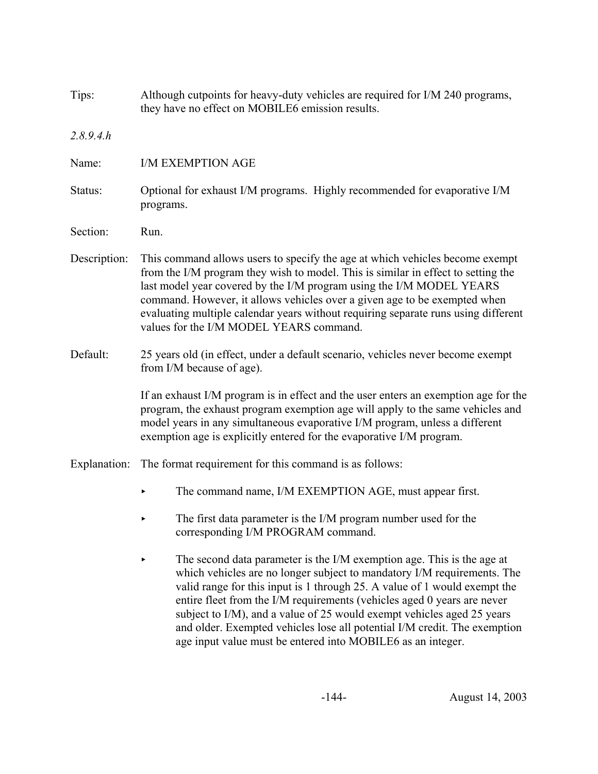| Tips:        | Although cutpoints for heavy-duty vehicles are required for I/M 240 programs,<br>they have no effect on MOBILE6 emission results.                                                                                                                                                                                                                                                                                                                                                                                               |  |  |  |  |
|--------------|---------------------------------------------------------------------------------------------------------------------------------------------------------------------------------------------------------------------------------------------------------------------------------------------------------------------------------------------------------------------------------------------------------------------------------------------------------------------------------------------------------------------------------|--|--|--|--|
| 2.8.9.4.h    |                                                                                                                                                                                                                                                                                                                                                                                                                                                                                                                                 |  |  |  |  |
| Name:        | <b>I/M EXEMPTION AGE</b>                                                                                                                                                                                                                                                                                                                                                                                                                                                                                                        |  |  |  |  |
| Status:      | Optional for exhaust I/M programs. Highly recommended for evaporative I/M<br>programs.                                                                                                                                                                                                                                                                                                                                                                                                                                          |  |  |  |  |
| Section:     | Run.                                                                                                                                                                                                                                                                                                                                                                                                                                                                                                                            |  |  |  |  |
| Description: | This command allows users to specify the age at which vehicles become exempt<br>from the I/M program they wish to model. This is similar in effect to setting the<br>last model year covered by the I/M program using the I/M MODEL YEARS<br>command. However, it allows vehicles over a given age to be exempted when<br>evaluating multiple calendar years without requiring separate runs using different<br>values for the I/M MODEL YEARS command.                                                                         |  |  |  |  |
| Default:     | 25 years old (in effect, under a default scenario, vehicles never become exempt<br>from I/M because of age).                                                                                                                                                                                                                                                                                                                                                                                                                    |  |  |  |  |
|              | If an exhaust I/M program is in effect and the user enters an exemption age for the<br>program, the exhaust program exemption age will apply to the same vehicles and<br>model years in any simultaneous evaporative I/M program, unless a different<br>exemption age is explicitly entered for the evaporative I/M program.                                                                                                                                                                                                    |  |  |  |  |
| Explanation: | The format requirement for this command is as follows:                                                                                                                                                                                                                                                                                                                                                                                                                                                                          |  |  |  |  |
|              | The command name, I/M EXEMPTION AGE, must appear first.                                                                                                                                                                                                                                                                                                                                                                                                                                                                         |  |  |  |  |
|              | The first data parameter is the I/M program number used for the<br>corresponding I/M PROGRAM command.                                                                                                                                                                                                                                                                                                                                                                                                                           |  |  |  |  |
|              | The second data parameter is the I/M exemption age. This is the age at<br>which vehicles are no longer subject to mandatory I/M requirements. The<br>valid range for this input is 1 through 25. A value of 1 would exempt the<br>entire fleet from the I/M requirements (vehicles aged 0 years are never<br>subject to I/M), and a value of 25 would exempt vehicles aged 25 years<br>and older. Exempted vehicles lose all potential I/M credit. The exemption<br>age input value must be entered into MOBILE6 as an integer. |  |  |  |  |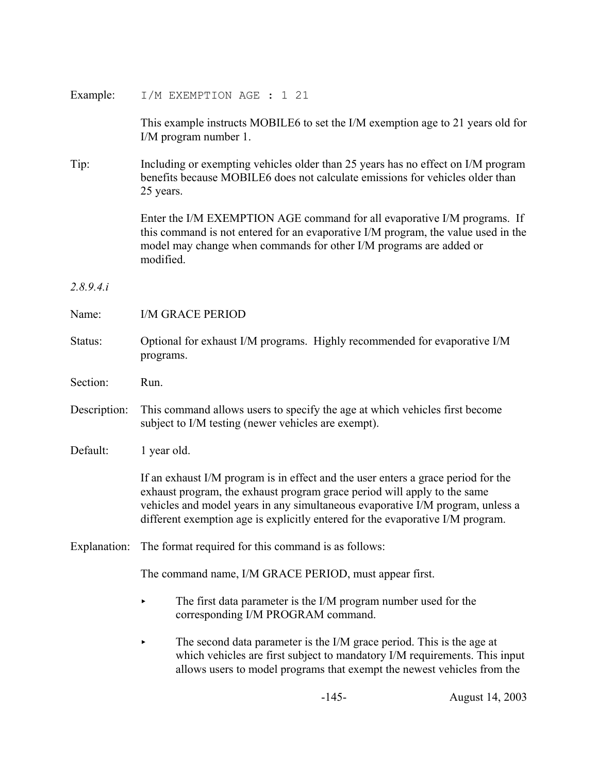| Example:     | I/M EXEMPTION AGE : 1 21                                                                                                                                                                                                                                                                                                          |  |  |  |
|--------------|-----------------------------------------------------------------------------------------------------------------------------------------------------------------------------------------------------------------------------------------------------------------------------------------------------------------------------------|--|--|--|
|              | This example instructs MOBILE6 to set the I/M exemption age to 21 years old for<br>I/M program number 1.                                                                                                                                                                                                                          |  |  |  |
| Tip:         | Including or exempting vehicles older than 25 years has no effect on I/M program<br>benefits because MOBILE6 does not calculate emissions for vehicles older than<br>25 years.                                                                                                                                                    |  |  |  |
|              | Enter the I/M EXEMPTION AGE command for all evaporative I/M programs. If<br>this command is not entered for an evaporative I/M program, the value used in the<br>model may change when commands for other I/M programs are added or<br>modified.                                                                                  |  |  |  |
| 2.8.9.4.i    |                                                                                                                                                                                                                                                                                                                                   |  |  |  |
| Name:        | <b>I/M GRACE PERIOD</b>                                                                                                                                                                                                                                                                                                           |  |  |  |
| Status:      | Optional for exhaust I/M programs. Highly recommended for evaporative I/M<br>programs.                                                                                                                                                                                                                                            |  |  |  |
| Section:     | Run.                                                                                                                                                                                                                                                                                                                              |  |  |  |
| Description: | This command allows users to specify the age at which vehicles first become<br>subject to I/M testing (newer vehicles are exempt).                                                                                                                                                                                                |  |  |  |
| Default:     | 1 year old.                                                                                                                                                                                                                                                                                                                       |  |  |  |
|              | If an exhaust I/M program is in effect and the user enters a grace period for the<br>exhaust program, the exhaust program grace period will apply to the same<br>vehicles and model years in any simultaneous evaporative I/M program, unless a<br>different exemption age is explicitly entered for the evaporative I/M program. |  |  |  |
|              | Explanation: The format required for this command is as follows:                                                                                                                                                                                                                                                                  |  |  |  |
|              | The command name, I/M GRACE PERIOD, must appear first.                                                                                                                                                                                                                                                                            |  |  |  |
|              | The first data parameter is the I/M program number used for the<br>corresponding I/M PROGRAM command.                                                                                                                                                                                                                             |  |  |  |
|              | The second data parameter is the I/M grace period. This is the age at<br>which vehicles are first subject to mandatory I/M requirements. This input<br>allows users to model programs that exempt the newest vehicles from the                                                                                                    |  |  |  |

-145- August 14, 2003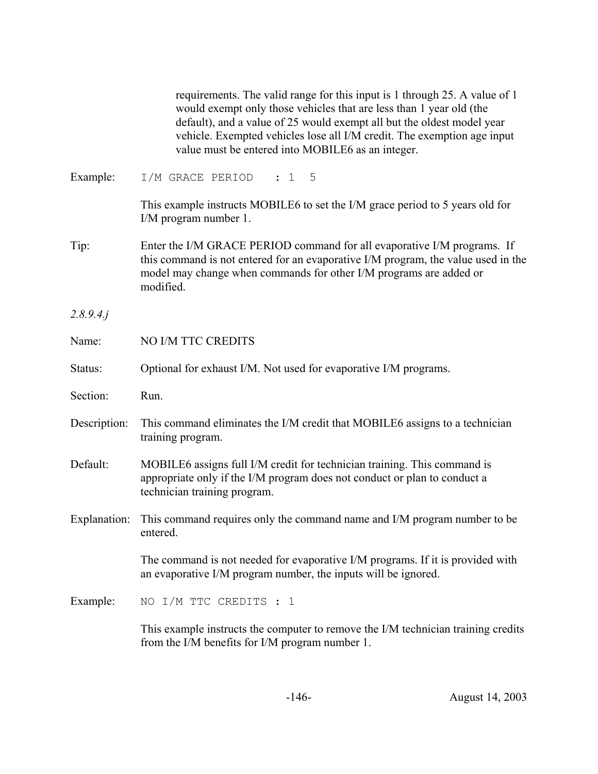|              | requirements. The valid range for this input is 1 through 25. A value of 1<br>would exempt only those vehicles that are less than 1 year old (the<br>default), and a value of 25 would exempt all but the oldest model year<br>vehicle. Exempted vehicles lose all I/M credit. The exemption age input<br>value must be entered into MOBILE6 as an integer. |
|--------------|-------------------------------------------------------------------------------------------------------------------------------------------------------------------------------------------------------------------------------------------------------------------------------------------------------------------------------------------------------------|
| Example:     | I/M GRACE PERIOD<br>$5^{\circ}$<br>: 1                                                                                                                                                                                                                                                                                                                      |
|              | This example instructs MOBILE6 to set the I/M grace period to 5 years old for<br>I/M program number 1.                                                                                                                                                                                                                                                      |
| Tip:         | Enter the I/M GRACE PERIOD command for all evaporative I/M programs. If<br>this command is not entered for an evaporative I/M program, the value used in the<br>model may change when commands for other I/M programs are added or<br>modified.                                                                                                             |
| 2.8.9.4j     |                                                                                                                                                                                                                                                                                                                                                             |
| Name:        | NO I/M TTC CREDITS                                                                                                                                                                                                                                                                                                                                          |
| Status:      | Optional for exhaust I/M. Not used for evaporative I/M programs.                                                                                                                                                                                                                                                                                            |
| Section:     | Run.                                                                                                                                                                                                                                                                                                                                                        |
| Description: | This command eliminates the I/M credit that MOBILE6 assigns to a technician<br>training program.                                                                                                                                                                                                                                                            |
| Default:     | MOBILE6 assigns full I/M credit for technician training. This command is<br>appropriate only if the I/M program does not conduct or plan to conduct a<br>technician training program.                                                                                                                                                                       |
| Explanation: | This command requires only the command name and I/M program number to be<br>entered.                                                                                                                                                                                                                                                                        |
|              | The command is not needed for evaporative I/M programs. If it is provided with<br>an evaporative I/M program number, the inputs will be ignored.                                                                                                                                                                                                            |
| Example:     | NO I/M TTC CREDITS : 1                                                                                                                                                                                                                                                                                                                                      |
|              | This example instructs the computer to remove the I/M technician training credits<br>from the I/M benefits for I/M program number 1.                                                                                                                                                                                                                        |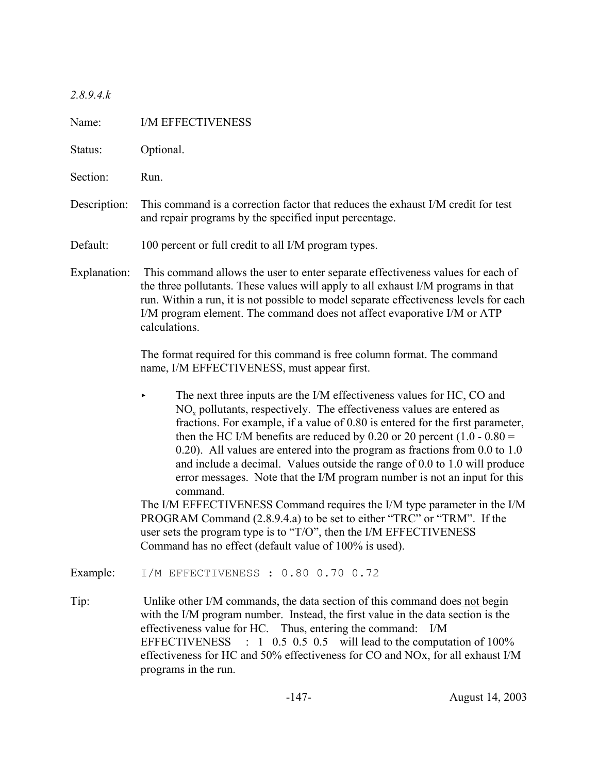*2.8.9.4.k*

| Name:        | I/M EFFECTIVENESS                                                                                                                                                                                                                                                                                                                                                                                                                                                                                                                                                                                                                                                                                                                                                                                                                                                        |  |  |  |  |
|--------------|--------------------------------------------------------------------------------------------------------------------------------------------------------------------------------------------------------------------------------------------------------------------------------------------------------------------------------------------------------------------------------------------------------------------------------------------------------------------------------------------------------------------------------------------------------------------------------------------------------------------------------------------------------------------------------------------------------------------------------------------------------------------------------------------------------------------------------------------------------------------------|--|--|--|--|
| Status:      | Optional.                                                                                                                                                                                                                                                                                                                                                                                                                                                                                                                                                                                                                                                                                                                                                                                                                                                                |  |  |  |  |
| Section:     | Run.                                                                                                                                                                                                                                                                                                                                                                                                                                                                                                                                                                                                                                                                                                                                                                                                                                                                     |  |  |  |  |
| Description: | This command is a correction factor that reduces the exhaust I/M credit for test<br>and repair programs by the specified input percentage.                                                                                                                                                                                                                                                                                                                                                                                                                                                                                                                                                                                                                                                                                                                               |  |  |  |  |
| Default:     | 100 percent or full credit to all I/M program types.                                                                                                                                                                                                                                                                                                                                                                                                                                                                                                                                                                                                                                                                                                                                                                                                                     |  |  |  |  |
| Explanation: | This command allows the user to enter separate effectiveness values for each of<br>the three pollutants. These values will apply to all exhaust I/M programs in that<br>run. Within a run, it is not possible to model separate effectiveness levels for each<br>I/M program element. The command does not affect evaporative I/M or ATP<br>calculations.                                                                                                                                                                                                                                                                                                                                                                                                                                                                                                                |  |  |  |  |
|              | The format required for this command is free column format. The command<br>name, I/M EFFECTIVENESS, must appear first.                                                                                                                                                                                                                                                                                                                                                                                                                                                                                                                                                                                                                                                                                                                                                   |  |  |  |  |
|              | The next three inputs are the I/M effectiveness values for HC, CO and<br>▶<br>$NOx$ pollutants, respectively. The effectiveness values are entered as<br>fractions. For example, if a value of 0.80 is entered for the first parameter,<br>then the HC I/M benefits are reduced by 0.20 or 20 percent $(1.0 - 0.80)$<br>$(0.20)$ . All values are entered into the program as fractions from 0.0 to 1.0<br>and include a decimal. Values outside the range of $0.0$ to $1.0$ will produce<br>error messages. Note that the I/M program number is not an input for this<br>command.<br>The I/M EFFECTIVENESS Command requires the I/M type parameter in the I/M<br>PROGRAM Command (2.8.9.4.a) to be set to either "TRC" or "TRM". If the<br>user sets the program type is to "T/O", then the I/M EFFECTIVENESS<br>Command has no effect (default value of 100% is used). |  |  |  |  |
| Example:     | I/M EFFECTIVENESS : 0.80 0.70 0.72                                                                                                                                                                                                                                                                                                                                                                                                                                                                                                                                                                                                                                                                                                                                                                                                                                       |  |  |  |  |
| Tip:         | Unlike other I/M commands, the data section of this command does not begin<br>with the I/M program number. Instead, the first value in the data section is the<br>effectiveness value for HC. Thus, entering the command: I/M<br>$\therefore$ 1 0.5 0.5 0.5 will lead to the computation of 100%<br><b>EFFECTIVENESS</b><br>effectiveness for HC and 50% effectiveness for CO and NOx, for all exhaust I/M<br>programs in the run.                                                                                                                                                                                                                                                                                                                                                                                                                                       |  |  |  |  |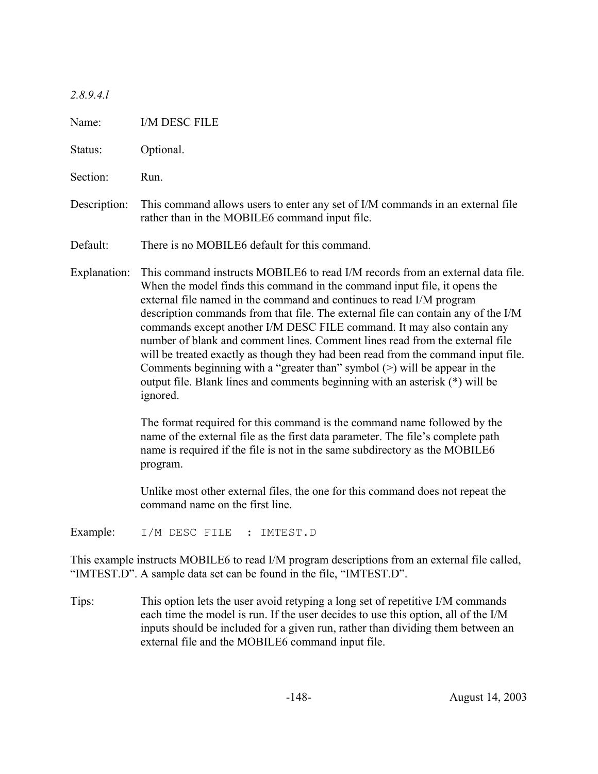#### *2.8.9.4.l*

Name: I/M DESC FILE Status: Optional. Section: Run. Description: This command allows users to enter any set of I/M commands in an external file rather than in the MOBILE6 command input file. Default: There is no MOBILE6 default for this command. Explanation: This command instructs MOBILE6 to read I/M records from an external data file. When the model finds this command in the command input file, it opens the external file named in the command and continues to read I/M program description commands from that file. The external file can contain any of the I/M commands except another I/M DESC FILE command. It may also contain any number of blank and comment lines. Comment lines read from the external file will be treated exactly as though they had been read from the command input file. Comments beginning with a "greater than" symbol (>) will be appear in the output file. Blank lines and comments beginning with an asterisk (\*) will be ignored. The format required for this command is the command name followed by the name of the external file as the first data parameter. The file's complete path name is required if the file is not in the same subdirectory as the MOBILE6 program. Unlike most other external files, the one for this command does not repeat the command name on the first line.

Example: I/M DESC FILE : IMTEST.D

This example instructs MOBILE6 to read I/M program descriptions from an external file called, "IMTEST.D". A sample data set can be found in the file, "IMTEST.D".

Tips: This option lets the user avoid retyping a long set of repetitive I/M commands each time the model is run. If the user decides to use this option, all of the I/M inputs should be included for a given run, rather than dividing them between an external file and the MOBILE6 command input file.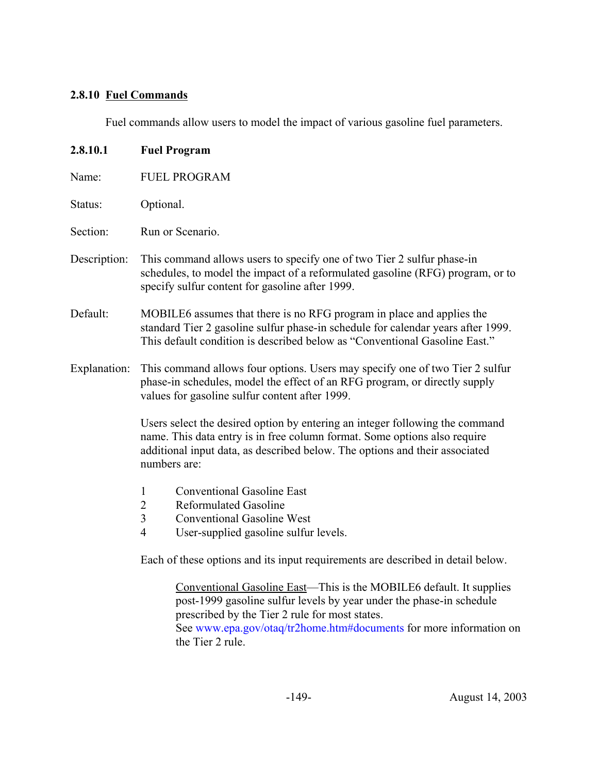# **2.8.10 Fuel Commands**

Fuel commands allow users to model the impact of various gasoline fuel parameters.

| 2.8.10.1     | <b>Fuel Program</b>                                                                                                                                                                                                                                                                     |  |  |  |  |  |
|--------------|-----------------------------------------------------------------------------------------------------------------------------------------------------------------------------------------------------------------------------------------------------------------------------------------|--|--|--|--|--|
| Name:        | <b>FUEL PROGRAM</b>                                                                                                                                                                                                                                                                     |  |  |  |  |  |
| Status:      | Optional.                                                                                                                                                                                                                                                                               |  |  |  |  |  |
| Section:     | Run or Scenario.                                                                                                                                                                                                                                                                        |  |  |  |  |  |
| Description: | This command allows users to specify one of two Tier 2 sulfur phase-in<br>schedules, to model the impact of a reformulated gasoline (RFG) program, or to<br>specify sulfur content for gasoline after 1999.                                                                             |  |  |  |  |  |
| Default:     | MOBILE6 assumes that there is no RFG program in place and applies the<br>standard Tier 2 gasoline sulfur phase-in schedule for calendar years after 1999.<br>This default condition is described below as "Conventional Gasoline East."                                                 |  |  |  |  |  |
| Explanation: | This command allows four options. Users may specify one of two Tier 2 sulfur<br>phase-in schedules, model the effect of an RFG program, or directly supply<br>values for gasoline sulfur content after 1999.                                                                            |  |  |  |  |  |
|              | Users select the desired option by entering an integer following the command<br>name. This data entry is in free column format. Some options also require<br>additional input data, as described below. The options and their associated<br>numbers are:                                |  |  |  |  |  |
|              | <b>Conventional Gasoline East</b><br>$\mathbf{1}$<br>$\overline{2}$<br><b>Reformulated Gasoline</b><br>$\mathfrak{Z}$<br><b>Conventional Gasoline West</b><br>$\overline{4}$<br>User-supplied gasoline sulfur levels.                                                                   |  |  |  |  |  |
|              | Each of these options and its input requirements are described in detail below.                                                                                                                                                                                                         |  |  |  |  |  |
|              | Conventional Gasoline East—This is the MOBILE6 default. It supplies<br>post-1999 gasoline sulfur levels by year under the phase-in schedule<br>prescribed by the Tier 2 rule for most states.<br>See www.epa.gov/otaq/tr2home.htm#documents for more information on<br>the Tier 2 rule. |  |  |  |  |  |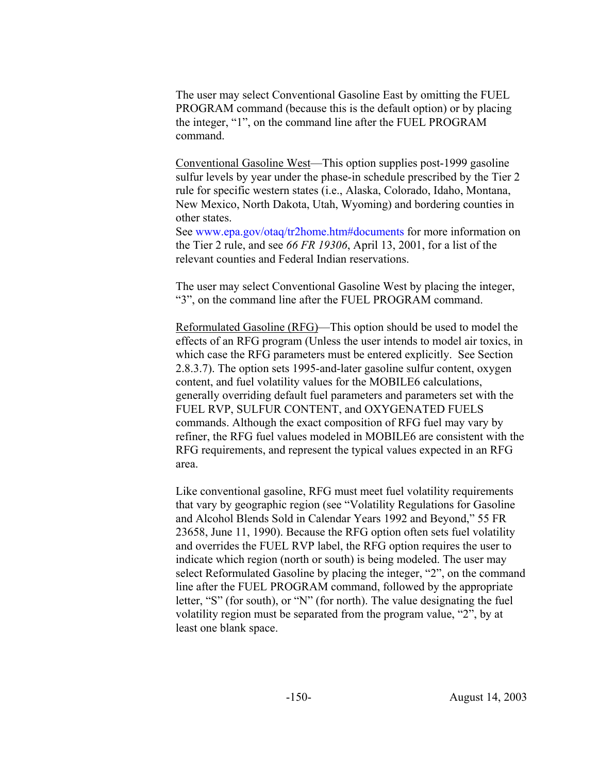The user may select Conventional Gasoline East by omitting the FUEL PROGRAM command (because this is the default option) or by placing the integer, "1", on the command line after the FUEL PROGRAM command.

Conventional Gasoline West—This option supplies post-1999 gasoline sulfur levels by year under the phase-in schedule prescribed by the Tier 2 rule for specific western states (i.e., Alaska, Colorado, Idaho, Montana, New Mexico, North Dakota, Utah, Wyoming) and bordering counties in other states.

See www.epa.gov/otaq/tr2home.htm#documents for more information on the Tier 2 rule, and see *66 FR 19306*, April 13, 2001, for a list of the relevant counties and Federal Indian reservations.

The user may select Conventional Gasoline West by placing the integer, "3", on the command line after the FUEL PROGRAM command.

Reformulated Gasoline (RFG)—This option should be used to model the effects of an RFG program (Unless the user intends to model air toxics, in which case the RFG parameters must be entered explicitly. See Section 2.8.3.7). The option sets 1995-and-later gasoline sulfur content, oxygen content, and fuel volatility values for the MOBILE6 calculations, generally overriding default fuel parameters and parameters set with the FUEL RVP, SULFUR CONTENT, and OXYGENATED FUELS commands. Although the exact composition of RFG fuel may vary by refiner, the RFG fuel values modeled in MOBILE6 are consistent with the RFG requirements, and represent the typical values expected in an RFG area.

Like conventional gasoline, RFG must meet fuel volatility requirements that vary by geographic region (see "Volatility Regulations for Gasoline and Alcohol Blends Sold in Calendar Years 1992 and Beyond," 55 FR 23658, June 11, 1990). Because the RFG option often sets fuel volatility and overrides the FUEL RVP label, the RFG option requires the user to indicate which region (north or south) is being modeled. The user may select Reformulated Gasoline by placing the integer, "2", on the command line after the FUEL PROGRAM command, followed by the appropriate letter, "S" (for south), or "N" (for north). The value designating the fuel volatility region must be separated from the program value, "2", by at least one blank space.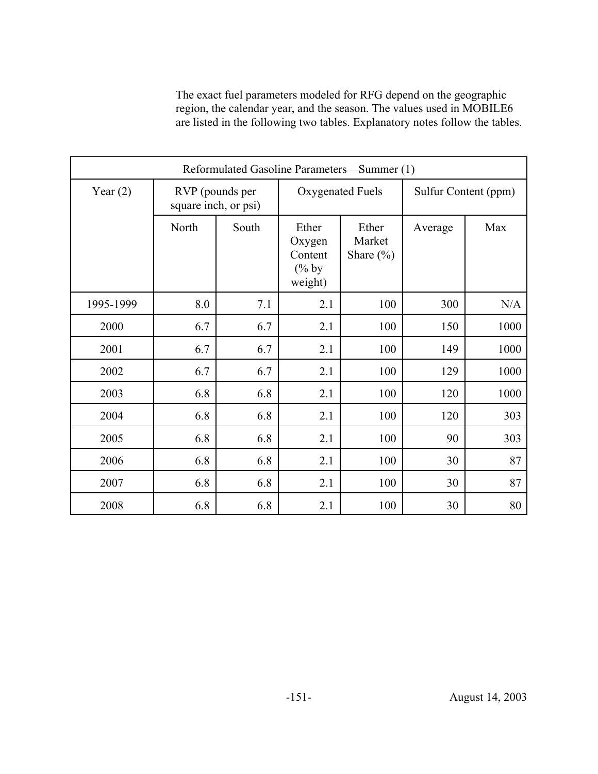The exact fuel parameters modeled for RFG depend on the geographic region, the calendar year, and the season. The values used in MOBILE6 are listed in the following two tables. Explanatory notes follow the tables.

| Reformulated Gasoline Parameters-Summer (1) |                                         |       |                                                   |                                  |                      |      |  |
|---------------------------------------------|-----------------------------------------|-------|---------------------------------------------------|----------------------------------|----------------------|------|--|
| Year $(2)$                                  | RVP (pounds per<br>square inch, or psi) |       | Oxygenated Fuels                                  |                                  | Sulfur Content (ppm) |      |  |
|                                             | North                                   | South | Ether<br>Oxygen<br>Content<br>$(\%$ by<br>weight) | Ether<br>Market<br>Share $(\% )$ | Average              | Max  |  |
| 1995-1999                                   | 8.0                                     | 7.1   | 2.1                                               | 100                              | 300                  | N/A  |  |
| 2000                                        | 6.7                                     | 6.7   | 2.1                                               | 100                              | 150                  | 1000 |  |
| 2001                                        | 6.7                                     | 6.7   | 2.1                                               | 100                              | 149                  | 1000 |  |
| 2002                                        | 6.7                                     | 6.7   | 2.1                                               | 100                              | 129                  | 1000 |  |
| 2003                                        | 6.8                                     | 6.8   | 2.1                                               | 100                              | 120                  | 1000 |  |
| 2004                                        | 6.8                                     | 6.8   | 2.1                                               | 100                              | 120                  | 303  |  |
| 2005                                        | 6.8                                     | 6.8   | 2.1                                               | 100                              | 90                   | 303  |  |
| 2006                                        | 6.8                                     | 6.8   | 2.1                                               | 100                              | 30                   | 87   |  |
| 2007                                        | 6.8                                     | 6.8   | 2.1                                               | 100                              | 30                   | 87   |  |
| 2008                                        | 6.8                                     | 6.8   | 2.1                                               | 100                              | 30                   | 80   |  |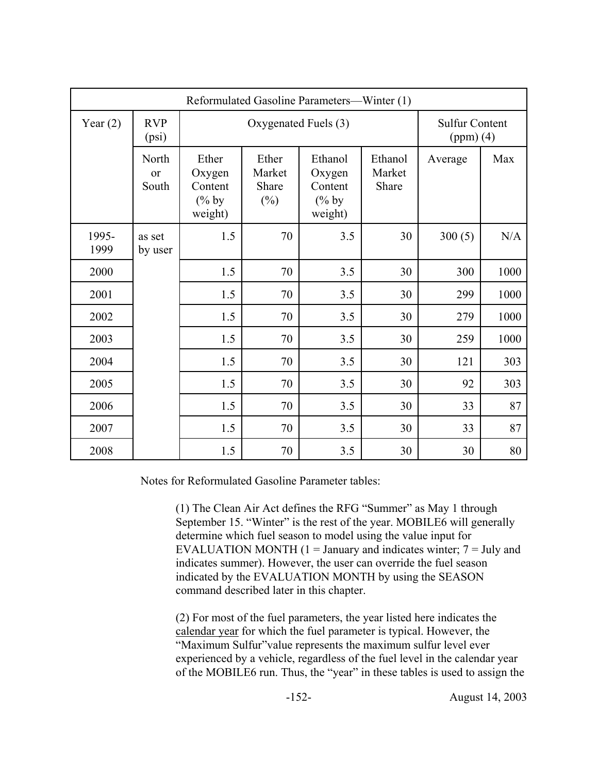| Reformulated Gasoline Parameters—Winter (1) |                            |                                                   |                                    |                                                     |                            |         |                                      |  |
|---------------------------------------------|----------------------------|---------------------------------------------------|------------------------------------|-----------------------------------------------------|----------------------------|---------|--------------------------------------|--|
| Year $(2)$                                  | <b>RVP</b><br>(psi)        |                                                   | Oxygenated Fuels (3)               |                                                     |                            |         | <b>Sulfur Content</b><br>$(ppm)$ (4) |  |
|                                             | North<br>$\alpha$<br>South | Ether<br>Oxygen<br>Content<br>$(\%$ by<br>weight) | Ether<br>Market<br>Share<br>$(\%)$ | Ethanol<br>Oxygen<br>Content<br>$(\%$ by<br>weight) | Ethanol<br>Market<br>Share | Average | Max                                  |  |
| 1995-<br>1999                               | as set<br>by user          | 1.5                                               | 70                                 | 3.5                                                 | 30                         | 300(5)  | N/A                                  |  |
| 2000                                        |                            | 1.5                                               | 70                                 | 3.5                                                 | 30                         | 300     | 1000                                 |  |
| 2001                                        |                            | 1.5                                               | 70                                 | 3.5                                                 | 30                         | 299     | 1000                                 |  |
| 2002                                        |                            | 1.5                                               | 70                                 | 3.5                                                 | 30                         | 279     | 1000                                 |  |
| 2003                                        |                            | 1.5                                               | 70                                 | 3.5                                                 | 30                         | 259     | 1000                                 |  |
| 2004                                        |                            | 1.5                                               | 70                                 | 3.5                                                 | 30                         | 121     | 303                                  |  |
| 2005                                        |                            | 1.5                                               | 70                                 | 3.5                                                 | 30                         | 92      | 303                                  |  |
| 2006                                        |                            | 1.5                                               | 70                                 | 3.5                                                 | 30                         | 33      | 87                                   |  |
| 2007                                        |                            | 1.5                                               | 70                                 | 3.5                                                 | 30                         | 33      | 87                                   |  |
| 2008                                        |                            | 1.5                                               | 70                                 | 3.5                                                 | 30                         | 30      | 80                                   |  |

Notes for Reformulated Gasoline Parameter tables:

(1) The Clean Air Act defines the RFG "Summer" as May 1 through September 15. "Winter" is the rest of the year. MOBILE6 will generally determine which fuel season to model using the value input for EVALUATION MONTH  $(1 = January and indicates winter; 7 = July and$ indicates summer). However, the user can override the fuel season indicated by the EVALUATION MONTH by using the SEASON command described later in this chapter.

(2) For most of the fuel parameters, the year listed here indicates the calendar year for which the fuel parameter is typical. However, the "Maximum Sulfur"value represents the maximum sulfur level ever experienced by a vehicle, regardless of the fuel level in the calendar year of the MOBILE6 run. Thus, the "year" in these tables is used to assign the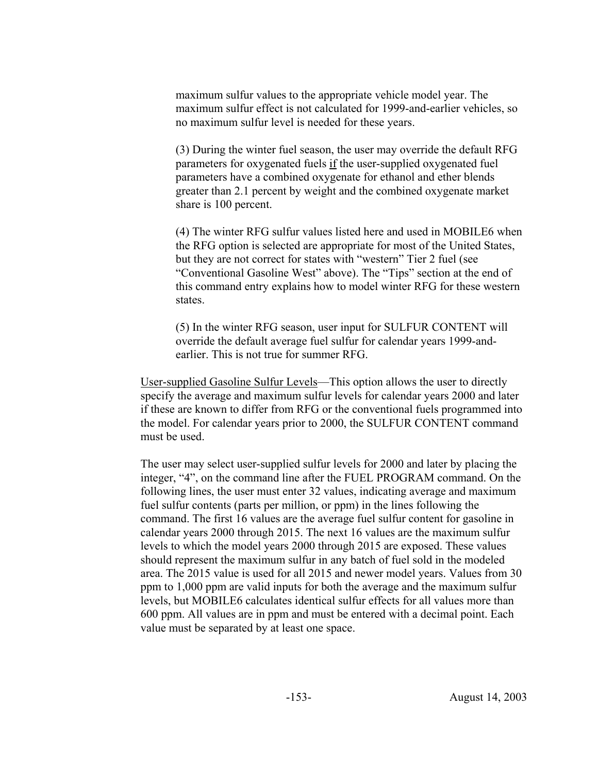maximum sulfur values to the appropriate vehicle model year. The maximum sulfur effect is not calculated for 1999-and-earlier vehicles, so no maximum sulfur level is needed for these years.

(3) During the winter fuel season, the user may override the default RFG parameters for oxygenated fuels if the user-supplied oxygenated fuel parameters have a combined oxygenate for ethanol and ether blends greater than 2.1 percent by weight and the combined oxygenate market share is 100 percent.

(4) The winter RFG sulfur values listed here and used in MOBILE6 when the RFG option is selected are appropriate for most of the United States, but they are not correct for states with "western" Tier 2 fuel (see "Conventional Gasoline West" above). The "Tips" section at the end of this command entry explains how to model winter RFG for these western states.

(5) In the winter RFG season, user input for SULFUR CONTENT will override the default average fuel sulfur for calendar years 1999-andearlier. This is not true for summer RFG.

User-supplied Gasoline Sulfur Levels—This option allows the user to directly specify the average and maximum sulfur levels for calendar years 2000 and later if these are known to differ from RFG or the conventional fuels programmed into the model. For calendar years prior to 2000, the SULFUR CONTENT command must be used.

The user may select user-supplied sulfur levels for 2000 and later by placing the integer, "4", on the command line after the FUEL PROGRAM command. On the following lines, the user must enter 32 values, indicating average and maximum fuel sulfur contents (parts per million, or ppm) in the lines following the command. The first 16 values are the average fuel sulfur content for gasoline in calendar years 2000 through 2015. The next 16 values are the maximum sulfur levels to which the model years 2000 through 2015 are exposed. These values should represent the maximum sulfur in any batch of fuel sold in the modeled area. The 2015 value is used for all 2015 and newer model years. Values from 30 ppm to 1,000 ppm are valid inputs for both the average and the maximum sulfur levels, but MOBILE6 calculates identical sulfur effects for all values more than 600 ppm. All values are in ppm and must be entered with a decimal point. Each value must be separated by at least one space.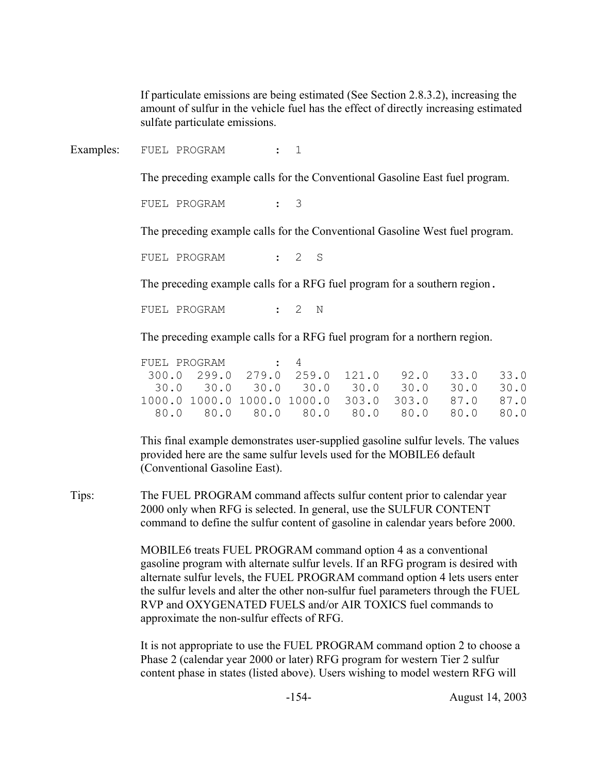If particulate emissions are being estimated (See Section 2.8.3.2), increasing the amount of sulfur in the vehicle fuel has the effect of directly increasing estimated sulfate particulate emissions.

Examples: FUEL PROGRAM : 1

The preceding example calls for the Conventional Gasoline East fuel program.

FUEL PROGRAM : 3

The preceding example calls for the Conventional Gasoline West fuel program.

FUEL PROGRAM : 2 S

The preceding example calls for a RFG fuel program for a southern region.

FUEL PROGRAM : 2 N

The preceding example calls for a RFG fuel program for a northern region.

|  |  | $300.0$ 299.0 279.0 259.0 121.0 92.0 33.0 33.0    |  |  |
|--|--|---------------------------------------------------|--|--|
|  |  |                                                   |  |  |
|  |  | 1000.0 1000.0 1000.0 1000.0 303.0 303.0 87.0 87.0 |  |  |
|  |  |                                                   |  |  |

This final example demonstrates user-supplied gasoline sulfur levels. The values provided here are the same sulfur levels used for the MOBILE6 default (Conventional Gasoline East).

Tips: The FUEL PROGRAM command affects sulfur content prior to calendar year 2000 only when RFG is selected. In general, use the SULFUR CONTENT command to define the sulfur content of gasoline in calendar years before 2000.

> MOBILE6 treats FUEL PROGRAM command option 4 as a conventional gasoline program with alternate sulfur levels. If an RFG program is desired with alternate sulfur levels, the FUEL PROGRAM command option 4 lets users enter the sulfur levels and alter the other non-sulfur fuel parameters through the FUEL RVP and OXYGENATED FUELS and/or AIR TOXICS fuel commands to approximate the non-sulfur effects of RFG.

> It is not appropriate to use the FUEL PROGRAM command option 2 to choose a Phase 2 (calendar year 2000 or later) RFG program for western Tier 2 sulfur content phase in states (listed above). Users wishing to model western RFG will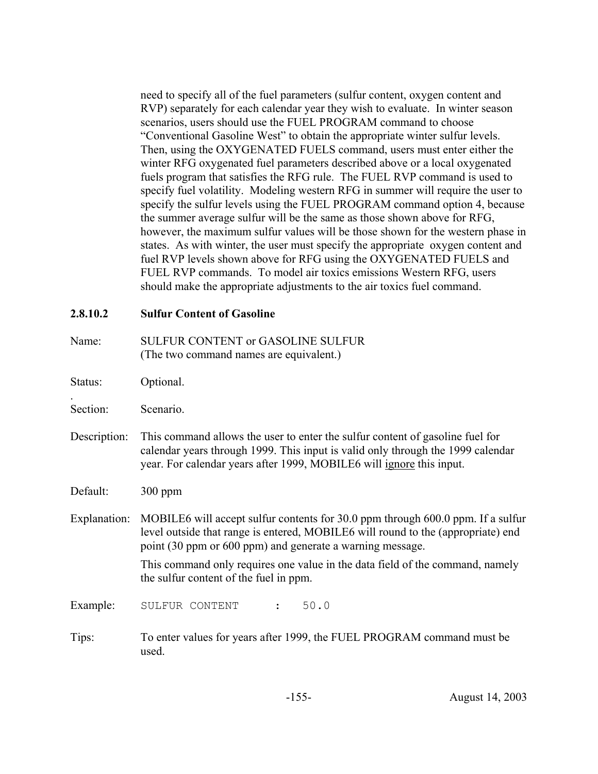need to specify all of the fuel parameters (sulfur content, oxygen content and RVP) separately for each calendar year they wish to evaluate. In winter season scenarios, users should use the FUEL PROGRAM command to choose "Conventional Gasoline West" to obtain the appropriate winter sulfur levels. Then, using the OXYGENATED FUELS command, users must enter either the winter RFG oxygenated fuel parameters described above or a local oxygenated fuels program that satisfies the RFG rule. The FUEL RVP command is used to specify fuel volatility. Modeling western RFG in summer will require the user to specify the sulfur levels using the FUEL PROGRAM command option 4, because the summer average sulfur will be the same as those shown above for RFG, however, the maximum sulfur values will be those shown for the western phase in states. As with winter, the user must specify the appropriate oxygen content and fuel RVP levels shown above for RFG using the OXYGENATED FUELS and FUEL RVP commands. To model air toxics emissions Western RFG, users should make the appropriate adjustments to the air toxics fuel command.

### **2.8.10.2 Sulfur Content of Gasoline**

- Name: SULFUR CONTENT or GASOLINE SULFUR (The two command names are equivalent.)
- Status: Optional.

.

- Section: Scenario.
- Description: This command allows the user to enter the sulfur content of gasoline fuel for calendar years through 1999. This input is valid only through the 1999 calendar year. For calendar years after 1999, MOBILE6 will ignore this input.
- Default: 300 ppm
- Explanation: MOBILE6 will accept sulfur contents for 30.0 ppm through 600.0 ppm. If a sulfur level outside that range is entered, MOBILE6 will round to the (appropriate) end point (30 ppm or 600 ppm) and generate a warning message.

This command only requires one value in the data field of the command, namely the sulfur content of the fuel in ppm.

Example: SULFUR CONTENT : 50.0

Tips: To enter values for years after 1999, the FUEL PROGRAM command must be used.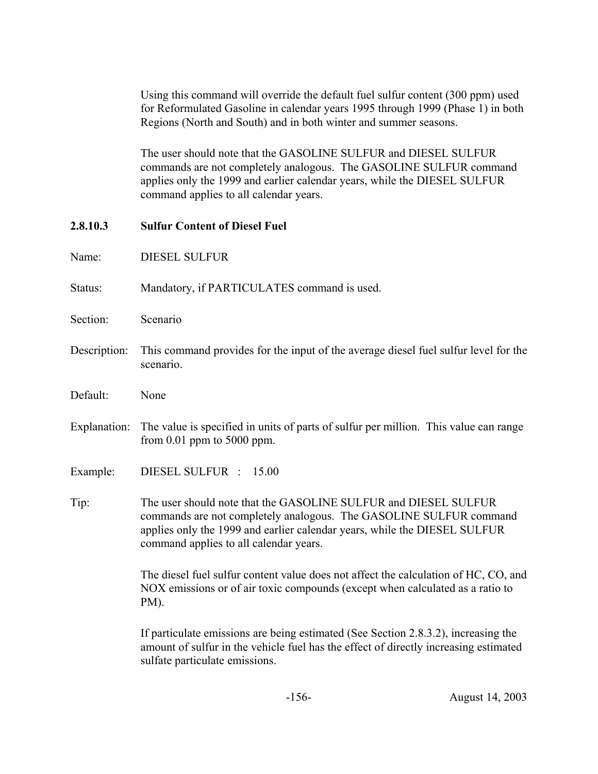Using this command will override the default fuel sulfur content (300 ppm) used for Reformulated Gasoline in calendar years 1995 through 1999 (Phase 1) in both Regions (North and South) and in both winter and summer seasons.

The user should note that the GASOLINE SULFUR and DIESEL SULFUR commands are not completely analogous. The GASOLINE SULFUR command applies only the 1999 and earlier calendar years, while the DIESEL SULFUR command applies to all calendar years.

### **2.8.10.3 Sulfur Content of Diesel Fuel**

- Name: DIESEL SULFUR
- Status: Mandatory, if PARTICULATES command is used.
- Section: Scenario
- Description: This command provides for the input of the average diesel fuel sulfur level for the scenario.
- Default: None
- Explanation: The value is specified in units of parts of sulfur per million. This value can range from 0.01 ppm to 5000 ppm.
- Example: DIESEL SULFUR : 15.00
- Tip: The user should note that the GASOLINE SULFUR and DIESEL SULFUR commands are not completely analogous. The GASOLINE SULFUR command applies only the 1999 and earlier calendar years, while the DIESEL SULFUR command applies to all calendar years.

The diesel fuel sulfur content value does not affect the calculation of HC, CO, and NOX emissions or of air toxic compounds (except when calculated as a ratio to PM).

If particulate emissions are being estimated (See Section 2.8.3.2), increasing the amount of sulfur in the vehicle fuel has the effect of directly increasing estimated sulfate particulate emissions.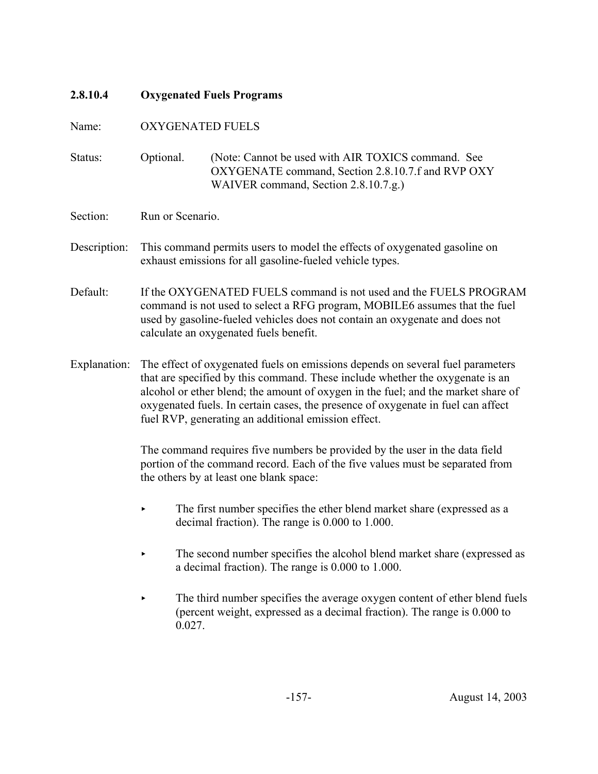# **2.8.10.4 Oxygenated Fuels Programs** Name: OXYGENATED FUELS Status: Optional. (Note: Cannot be used with AIR TOXICS command. See OXYGENATE command, Section 2.8.10.7.f and RVP OXY WAIVER command, Section 2.8.10.7.g.) Section: Run or Scenario. Description: This command permits users to model the effects of oxygenated gasoline on exhaust emissions for all gasoline-fueled vehicle types. Default: If the OXYGENATED FUELS command is not used and the FUELS PROGRAM command is not used to select a RFG program, MOBILE6 assumes that the fuel used by gasoline-fueled vehicles does not contain an oxygenate and does not calculate an oxygenated fuels benefit. Explanation: The effect of oxygenated fuels on emissions depends on several fuel parameters that are specified by this command. These include whether the oxygenate is an alcohol or ether blend; the amount of oxygen in the fuel; and the market share of oxygenated fuels. In certain cases, the presence of oxygenate in fuel can affect fuel RVP, generating an additional emission effect. The command requires five numbers be provided by the user in the data field portion of the command record. Each of the five values must be separated from the others by at least one blank space: The first number specifies the ether blend market share (expressed as a decimal fraction). The range is 0.000 to 1.000.  $\blacktriangleright$  The second number specifies the alcohol blend market share (expressed as a decimal fraction). The range is 0.000 to 1.000. The third number specifies the average oxygen content of ether blend fuels (percent weight, expressed as a decimal fraction). The range is 0.000 to 0.027.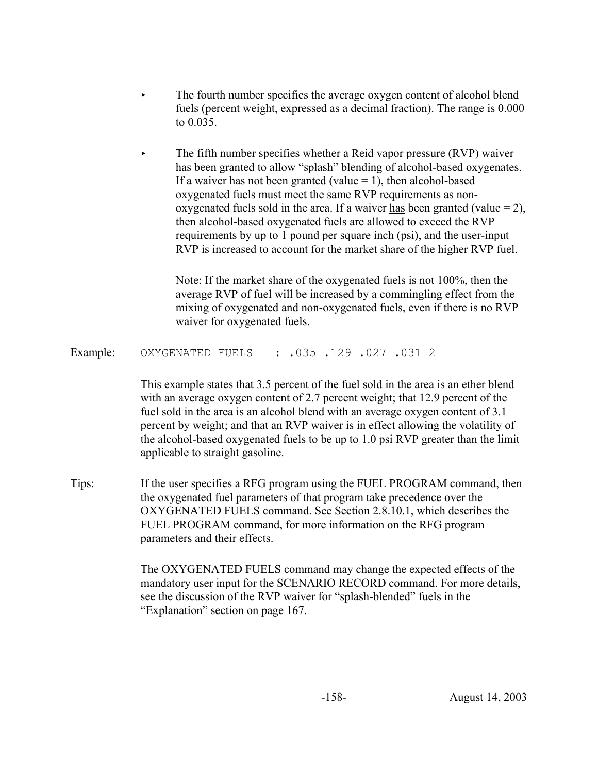- The fourth number specifies the average oxygen content of alcohol blend fuels (percent weight, expressed as a decimal fraction). The range is 0.000 to 0.035.
- The fifth number specifies whether a Reid vapor pressure (RVP) waiver has been granted to allow "splash" blending of alcohol-based oxygenates. If a waiver has <u>not</u> been granted (value  $= 1$ ), then alcohol-based oxygenated fuels must meet the same RVP requirements as nonoxygenated fuels sold in the area. If a waiver has been granted (value  $= 2$ ), then alcohol-based oxygenated fuels are allowed to exceed the RVP requirements by up to 1 pound per square inch (psi), and the user-input RVP is increased to account for the market share of the higher RVP fuel.

Note: If the market share of the oxygenated fuels is not 100%, then the average RVP of fuel will be increased by a commingling effect from the mixing of oxygenated and non-oxygenated fuels, even if there is no RVP waiver for oxygenated fuels.

Example: OXYGENATED FUELS : .035 .129 .027 .031 2

This example states that 3.5 percent of the fuel sold in the area is an ether blend with an average oxygen content of 2.7 percent weight; that 12.9 percent of the fuel sold in the area is an alcohol blend with an average oxygen content of 3.1 percent by weight; and that an RVP waiver is in effect allowing the volatility of the alcohol-based oxygenated fuels to be up to 1.0 psi RVP greater than the limit applicable to straight gasoline.

Tips: If the user specifies a RFG program using the FUEL PROGRAM command, then the oxygenated fuel parameters of that program take precedence over the OXYGENATED FUELS command. See Section 2.8.10.1, which describes the FUEL PROGRAM command, for more information on the RFG program parameters and their effects.

> The OXYGENATED FUELS command may change the expected effects of the mandatory user input for the SCENARIO RECORD command. For more details, see the discussion of the RVP waiver for "splash-blended" fuels in the "Explanation" section on page 167.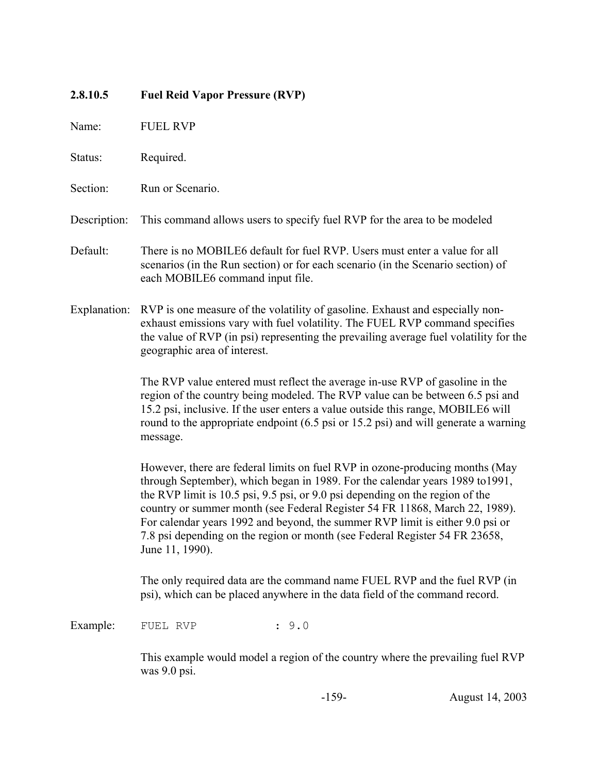# **2.8.10.5 Fuel Reid Vapor Pressure (RVP)** Name: FUEL RVP Status: Required. Section: Run or Scenario. Description: This command allows users to specify fuel RVP for the area to be modeled Default: There is no MOBILE6 default for fuel RVP. Users must enter a value for all scenarios (in the Run section) or for each scenario (in the Scenario section) of each MOBILE6 command input file. Explanation: RVP is one measure of the volatility of gasoline. Exhaust and especially nonexhaust emissions vary with fuel volatility. The FUEL RVP command specifies the value of RVP (in psi) representing the prevailing average fuel volatility for the geographic area of interest. The RVP value entered must reflect the average in-use RVP of gasoline in the region of the country being modeled. The RVP value can be between 6.5 psi and 15.2 psi, inclusive. If the user enters a value outside this range, MOBILE6 will round to the appropriate endpoint (6.5 psi or 15.2 psi) and will generate a warning message. However, there are federal limits on fuel RVP in ozone-producing months (May through September), which began in 1989. For the calendar years 1989 to1991, the RVP limit is 10.5 psi, 9.5 psi, or 9.0 psi depending on the region of the country or summer month (see Federal Register 54 FR 11868, March 22, 1989). For calendar years 1992 and beyond, the summer RVP limit is either 9.0 psi or 7.8 psi depending on the region or month (see Federal Register 54 FR 23658, June 11, 1990). The only required data are the command name FUEL RVP and the fuel RVP (in psi), which can be placed anywhere in the data field of the command record. Example: FUEL RVP : 9.0 This example would model a region of the country where the prevailing fuel RVP was 9.0 psi.

-159- August 14, 2003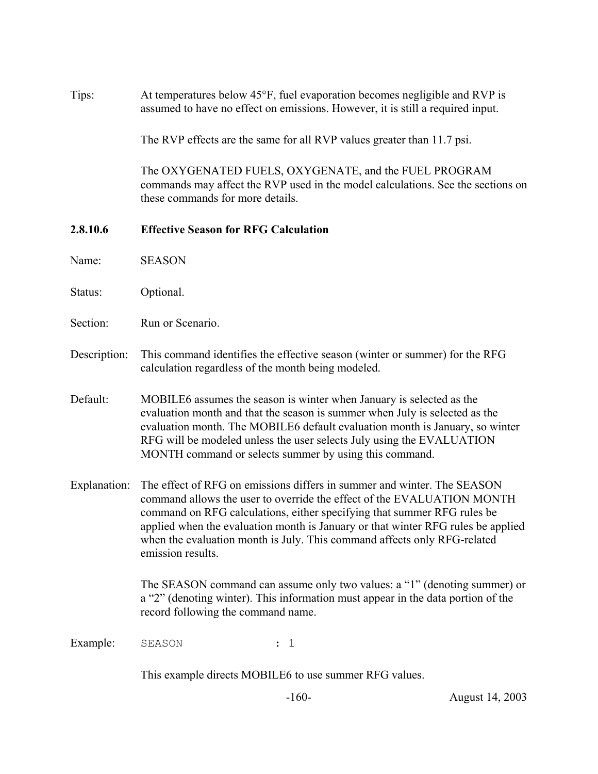Tips: At temperatures below 45°F, fuel evaporation becomes negligible and RVP is assumed to have no effect on emissions. However, it is still a required input.

The RVP effects are the same for all RVP values greater than 11.7 psi.

The OXYGENATED FUELS, OXYGENATE, and the FUEL PROGRAM commands may affect the RVP used in the model calculations. See the sections on these commands for more details.

#### **2.8.10.6 Effective Season for RFG Calculation**

Name: SEASON

- Status: Optional.
- Section: Run or Scenario.
- Description: This command identifies the effective season (winter or summer) for the RFG calculation regardless of the month being modeled.
- Default: MOBILE6 assumes the season is winter when January is selected as the evaluation month and that the season is summer when July is selected as the evaluation month. The MOBILE6 default evaluation month is January, so winter RFG will be modeled unless the user selects July using the EVALUATION MONTH command or selects summer by using this command.
- Explanation: The effect of RFG on emissions differs in summer and winter. The SEASON command allows the user to override the effect of the EVALUATION MONTH command on RFG calculations, either specifying that summer RFG rules be applied when the evaluation month is January or that winter RFG rules be applied when the evaluation month is July. This command affects only RFG-related emission results.

The SEASON command can assume only two values: a "1" (denoting summer) or a "2" (denoting winter). This information must appear in the data portion of the record following the command name.

Example: SEASON : 1

This example directs MOBILE6 to use summer RFG values.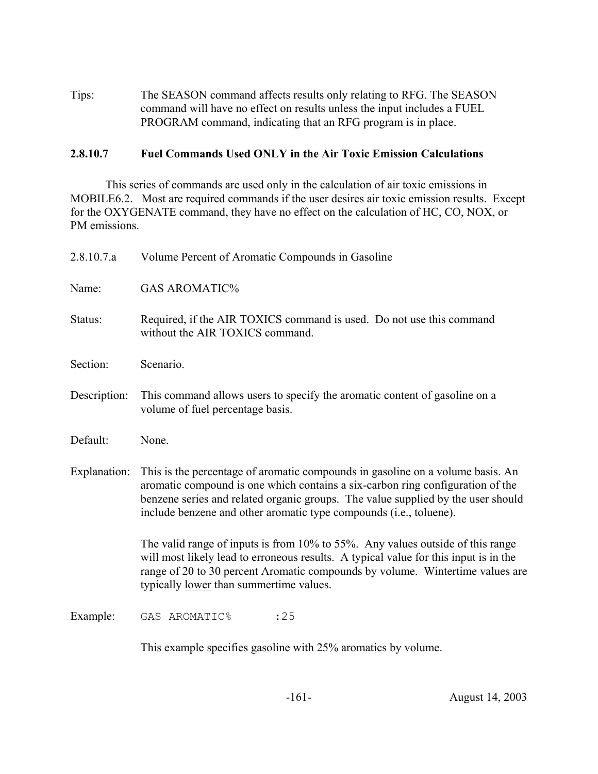Tips: The SEASON command affects results only relating to RFG. The SEASON command will have no effect on results unless the input includes a FUEL PROGRAM command, indicating that an RFG program is in place.

### **2.8.10.7 Fuel Commands Used ONLY in the Air Toxic Emission Calculations**

This series of commands are used only in the calculation of air toxic emissions in MOBILE6.2. Most are required commands if the user desires air toxic emission results. Except for the OXYGENATE command, they have no effect on the calculation of HC, CO, NOX, or PM emissions.

| 2.8.10.7.a   | Volume Percent of Aromatic Compounds in Gasoline                                                                                                                                                                                                                                                                           |
|--------------|----------------------------------------------------------------------------------------------------------------------------------------------------------------------------------------------------------------------------------------------------------------------------------------------------------------------------|
| Name:        | <b>GAS AROMATIC%</b>                                                                                                                                                                                                                                                                                                       |
| Status:      | Required, if the AIR TOXICS command is used. Do not use this command<br>without the AIR TOXICS command.                                                                                                                                                                                                                    |
| Section:     | Scenario.                                                                                                                                                                                                                                                                                                                  |
| Description: | This command allows users to specify the aromatic content of gasoline on a<br>volume of fuel percentage basis.                                                                                                                                                                                                             |
| Default:     | None.                                                                                                                                                                                                                                                                                                                      |
| Explanation: | This is the percentage of aromatic compounds in gasoline on a volume basis. An<br>aromatic compound is one which contains a six-carbon ring configuration of the<br>benzene series and related organic groups. The value supplied by the user should<br>include benzene and other aromatic type compounds (i.e., toluene). |
|              | The valid range of inputs is from 10% to 55%. Any values outside of this range<br>will most likely lead to erroneous results. A typical value for this input is in the<br>range of 20 to 30 percent Aromatic compounds by volume. Wintertime values are<br>typically <u>lower</u> than summertime values.                  |
| Example:     | : 25<br>GAS AROMATIC%                                                                                                                                                                                                                                                                                                      |
|              | This example specifies gasoline with 25% aromatics by volume.                                                                                                                                                                                                                                                              |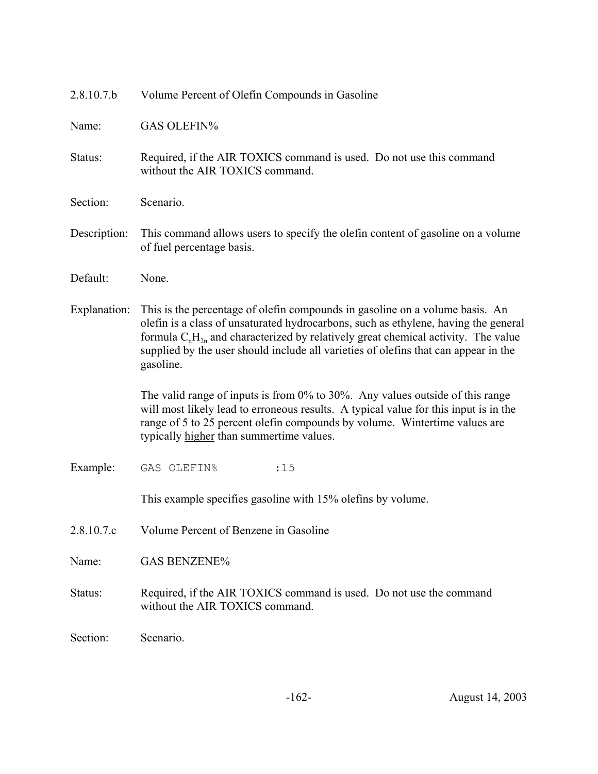| 2.8.10.7.b   | Volume Percent of Olefin Compounds in Gasoline                                                                                                                                                                                                                                                                                                                    |  |  |  |  |  |  |
|--------------|-------------------------------------------------------------------------------------------------------------------------------------------------------------------------------------------------------------------------------------------------------------------------------------------------------------------------------------------------------------------|--|--|--|--|--|--|
| Name:        | <b>GAS OLEFIN%</b>                                                                                                                                                                                                                                                                                                                                                |  |  |  |  |  |  |
| Status:      | Required, if the AIR TOXICS command is used. Do not use this command<br>without the AIR TOXICS command.                                                                                                                                                                                                                                                           |  |  |  |  |  |  |
| Section:     | Scenario.                                                                                                                                                                                                                                                                                                                                                         |  |  |  |  |  |  |
| Description: | This command allows users to specify the olefin content of gasoline on a volume<br>of fuel percentage basis.                                                                                                                                                                                                                                                      |  |  |  |  |  |  |
| Default:     | None.                                                                                                                                                                                                                                                                                                                                                             |  |  |  |  |  |  |
| Explanation: | This is the percentage of olefin compounds in gasoline on a volume basis. An<br>olefin is a class of unsaturated hydrocarbons, such as ethylene, having the general<br>formula $C_nH_{2n}$ and characterized by relatively great chemical activity. The value<br>supplied by the user should include all varieties of olefins that can appear in the<br>gasoline. |  |  |  |  |  |  |
|              | The valid range of inputs is from $0\%$ to $30\%$ . Any values outside of this range<br>will most likely lead to erroneous results. A typical value for this input is in the<br>range of 5 to 25 percent olefin compounds by volume. Wintertime values are<br>typically higher than summertime values.                                                            |  |  |  |  |  |  |
| Example:     | GAS OLEFIN%<br>: 15                                                                                                                                                                                                                                                                                                                                               |  |  |  |  |  |  |
|              | This example specifies gasoline with 15% olefins by volume.                                                                                                                                                                                                                                                                                                       |  |  |  |  |  |  |
| 2.8.10.7.c   | Volume Percent of Benzene in Gasoline                                                                                                                                                                                                                                                                                                                             |  |  |  |  |  |  |
| Name:        | <b>GAS BENZENE%</b>                                                                                                                                                                                                                                                                                                                                               |  |  |  |  |  |  |
| Status:      | Required, if the AIR TOXICS command is used. Do not use the command<br>without the AIR TOXICS command.                                                                                                                                                                                                                                                            |  |  |  |  |  |  |
| Section:     | Scenario.                                                                                                                                                                                                                                                                                                                                                         |  |  |  |  |  |  |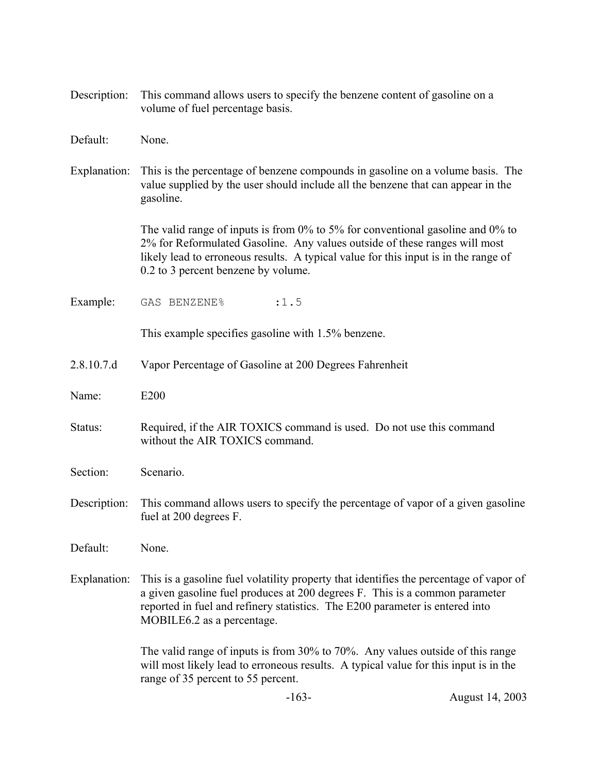| Description: | This command allows users to specify the benzene content of gasoline on a<br>volume of fuel percentage basis.                                                                                                                                                                                 |
|--------------|-----------------------------------------------------------------------------------------------------------------------------------------------------------------------------------------------------------------------------------------------------------------------------------------------|
| Default:     | None.                                                                                                                                                                                                                                                                                         |
| Explanation: | This is the percentage of benzene compounds in gasoline on a volume basis. The<br>value supplied by the user should include all the benzene that can appear in the<br>gasoline.                                                                                                               |
|              | The valid range of inputs is from $0\%$ to 5% for conventional gasoline and 0% to<br>2% for Reformulated Gasoline. Any values outside of these ranges will most<br>likely lead to erroneous results. A typical value for this input is in the range of<br>0.2 to 3 percent benzene by volume. |
| Example:     | : 1.5<br>GAS BENZENE%                                                                                                                                                                                                                                                                         |
|              | This example specifies gasoline with 1.5% benzene.                                                                                                                                                                                                                                            |
| 2.8.10.7.d   | Vapor Percentage of Gasoline at 200 Degrees Fahrenheit                                                                                                                                                                                                                                        |
| Name:        | E200                                                                                                                                                                                                                                                                                          |
| Status:      | Required, if the AIR TOXICS command is used. Do not use this command<br>without the AIR TOXICS command.                                                                                                                                                                                       |
| Section:     | Scenario.                                                                                                                                                                                                                                                                                     |
| Description: | This command allows users to specify the percentage of vapor of a given gasoline<br>fuel at 200 degrees F.                                                                                                                                                                                    |
| Default:     | None.                                                                                                                                                                                                                                                                                         |
| Explanation: | This is a gasoline fuel volatility property that identifies the percentage of vapor of<br>a given gasoline fuel produces at 200 degrees F. This is a common parameter<br>reported in fuel and refinery statistics. The E200 parameter is entered into<br>MOBILE6.2 as a percentage.           |
|              | The valid range of inputs is from 30% to 70%. Any values outside of this range<br>will most likely lead to erroneous results. A typical value for this input is in the<br>range of 35 percent to 55 percent.                                                                                  |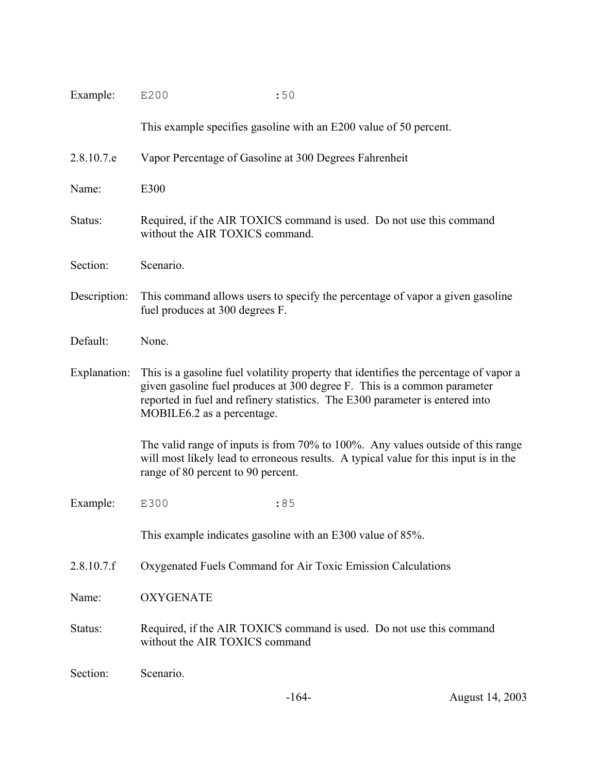| Example:     | E200<br>:50                                                                                                                                                                                                                                                                     |  |  |  |  |
|--------------|---------------------------------------------------------------------------------------------------------------------------------------------------------------------------------------------------------------------------------------------------------------------------------|--|--|--|--|
|              | This example specifies gasoline with an E200 value of 50 percent.                                                                                                                                                                                                               |  |  |  |  |
| 2.8.10.7.e   | Vapor Percentage of Gasoline at 300 Degrees Fahrenheit                                                                                                                                                                                                                          |  |  |  |  |
| Name:        | E300                                                                                                                                                                                                                                                                            |  |  |  |  |
| Status:      | Required, if the AIR TOXICS command is used. Do not use this command<br>without the AIR TOXICS command.                                                                                                                                                                         |  |  |  |  |
| Section:     | Scenario.                                                                                                                                                                                                                                                                       |  |  |  |  |
| Description: | This command allows users to specify the percentage of vapor a given gasoline<br>fuel produces at 300 degrees F.                                                                                                                                                                |  |  |  |  |
| Default:     | None.                                                                                                                                                                                                                                                                           |  |  |  |  |
| Explanation: | This is a gasoline fuel volatility property that identifies the percentage of vapor a<br>given gasoline fuel produces at 300 degree F. This is a common parameter<br>reported in fuel and refinery statistics. The E300 parameter is entered into<br>MOBILE6.2 as a percentage. |  |  |  |  |
|              | The valid range of inputs is from 70% to 100%. Any values outside of this range<br>will most likely lead to erroneous results. A typical value for this input is in the<br>range of 80 percent to 90 percent.                                                                   |  |  |  |  |
| Example:     | E300<br>:85                                                                                                                                                                                                                                                                     |  |  |  |  |
|              | This example indicates gasoline with an E300 value of 85%.                                                                                                                                                                                                                      |  |  |  |  |
| 2.8.10.7.f   | Oxygenated Fuels Command for Air Toxic Emission Calculations                                                                                                                                                                                                                    |  |  |  |  |
| Name:        | <b>OXYGENATE</b>                                                                                                                                                                                                                                                                |  |  |  |  |
| Status:      | Required, if the AIR TOXICS command is used. Do not use this command<br>without the AIR TOXICS command                                                                                                                                                                          |  |  |  |  |
| Section:     | Scenario.                                                                                                                                                                                                                                                                       |  |  |  |  |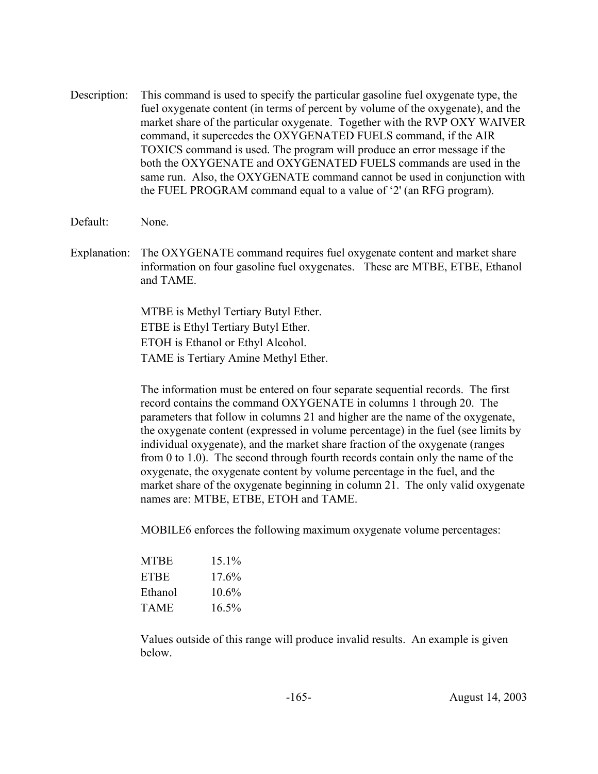- Description: This command is used to specify the particular gasoline fuel oxygenate type, the fuel oxygenate content (in terms of percent by volume of the oxygenate), and the market share of the particular oxygenate. Together with the RVP OXY WAIVER command, it supercedes the OXYGENATED FUELS command, if the AIR TOXICS command is used. The program will produce an error message if the both the OXYGENATE and OXYGENATED FUELS commands are used in the same run. Also, the OXYGENATE command cannot be used in conjunction with the FUEL PROGRAM command equal to a value of '2' (an RFG program).
- Default: None.
- Explanation: The OXYGENATE command requires fuel oxygenate content and market share information on four gasoline fuel oxygenates. These are MTBE, ETBE, Ethanol and TAME.

MTBE is Methyl Tertiary Butyl Ether. ETBE is Ethyl Tertiary Butyl Ether. ETOH is Ethanol or Ethyl Alcohol. TAME is Tertiary Amine Methyl Ether.

The information must be entered on four separate sequential records. The first record contains the command OXYGENATE in columns 1 through 20. The parameters that follow in columns 21 and higher are the name of the oxygenate, the oxygenate content (expressed in volume percentage) in the fuel (see limits by individual oxygenate), and the market share fraction of the oxygenate (ranges from 0 to 1.0). The second through fourth records contain only the name of the oxygenate, the oxygenate content by volume percentage in the fuel, and the market share of the oxygenate beginning in column 21. The only valid oxygenate names are: MTBE, ETBE, ETOH and TAME.

MOBILE6 enforces the following maximum oxygenate volume percentages:

| <b>MTBE</b> | $151\%$ |
|-------------|---------|
| ETBE        | 17.6%   |
| Ethanol     | 10.6%   |
| <b>TAME</b> | 16.5%   |

Values outside of this range will produce invalid results. An example is given below.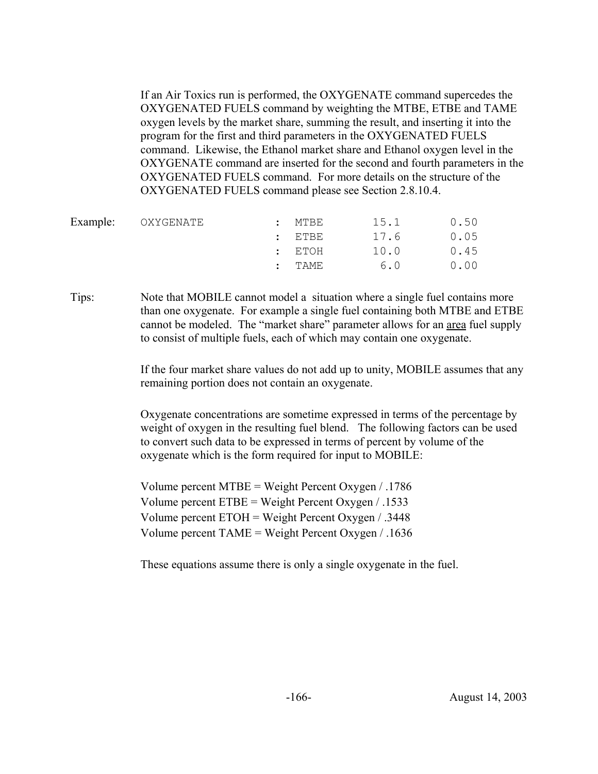If an Air Toxics run is performed, the OXYGENATE command supercedes the OXYGENATED FUELS command by weighting the MTBE, ETBE and TAME oxygen levels by the market share, summing the result, and inserting it into the program for the first and third parameters in the OXYGENATED FUELS command. Likewise, the Ethanol market share and Ethanol oxygen level in the OXYGENATE command are inserted for the second and fourth parameters in the OXYGENATED FUELS command. For more details on the structure of the OXYGENATED FUELS command please see Section 2.8.10.4.

| Example: OXYGENATE | MTBE       | 15.1 | 0.50 |
|--------------------|------------|------|------|
|                    | $:$ ETBE   | 17.6 | 0.05 |
|                    | $:$ $ETOH$ | 10.0 | 0.45 |
|                    | TAME       | 6.0  | 0.00 |
|                    |            |      |      |

Tips: Note that MOBILE cannot model a situation where a single fuel contains more than one oxygenate. For example a single fuel containing both MTBE and ETBE cannot be modeled. The "market share" parameter allows for an area fuel supply to consist of multiple fuels, each of which may contain one oxygenate.

> If the four market share values do not add up to unity, MOBILE assumes that any remaining portion does not contain an oxygenate.

Oxygenate concentrations are sometime expressed in terms of the percentage by weight of oxygen in the resulting fuel blend. The following factors can be used to convert such data to be expressed in terms of percent by volume of the oxygenate which is the form required for input to MOBILE:

Volume percent MTBE = Weight Percent Oxygen / .1786 Volume percent ETBE = Weight Percent Oxygen / .1533 Volume percent ETOH = Weight Percent Oxygen / .3448 Volume percent TAME = Weight Percent Oxygen / .1636

These equations assume there is only a single oxygenate in the fuel.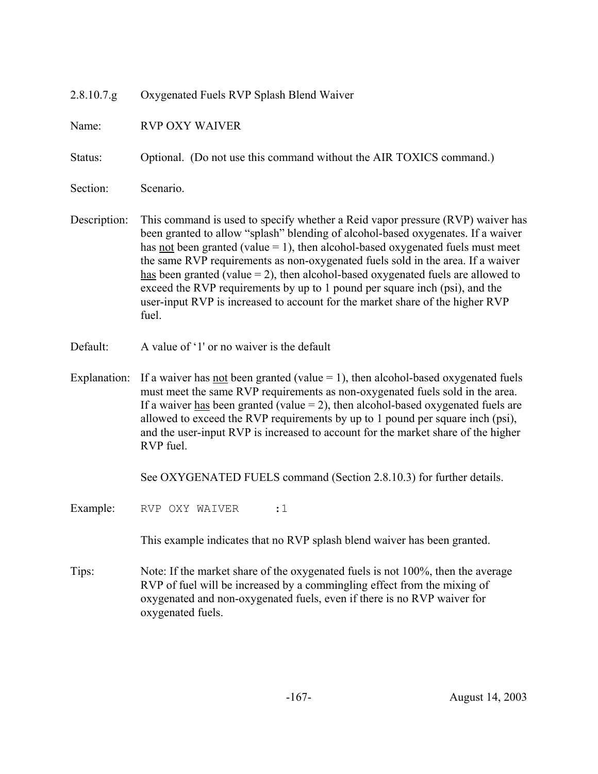| 2.8.10.7.g   | Oxygenated Fuels RVP Splash Blend Waiver                                                                                                                                                                                                                                                                                                                                                                                                                                                                                                                                                                  |
|--------------|-----------------------------------------------------------------------------------------------------------------------------------------------------------------------------------------------------------------------------------------------------------------------------------------------------------------------------------------------------------------------------------------------------------------------------------------------------------------------------------------------------------------------------------------------------------------------------------------------------------|
| Name:        | <b>RVP OXY WAIVER</b>                                                                                                                                                                                                                                                                                                                                                                                                                                                                                                                                                                                     |
| Status:      | Optional. (Do not use this command without the AIR TOXICS command.)                                                                                                                                                                                                                                                                                                                                                                                                                                                                                                                                       |
| Section:     | Scenario.                                                                                                                                                                                                                                                                                                                                                                                                                                                                                                                                                                                                 |
| Description: | This command is used to specify whether a Reid vapor pressure (RVP) waiver has<br>been granted to allow "splash" blending of alcohol-based oxygenates. If a waiver<br>has <u>not</u> been granted (value $= 1$ ), then alcohol-based oxygenated fuels must meet<br>the same RVP requirements as non-oxygenated fuels sold in the area. If a waiver<br>has been granted (value $= 2$ ), then alcohol-based oxygenated fuels are allowed to<br>exceed the RVP requirements by up to 1 pound per square inch (psi), and the<br>user-input RVP is increased to account for the market share of the higher RVP |

Default: A value of '1' or no waiver is the default

fuel.

Explanation: If a waiver has <u>not</u> been granted (value  $= 1$ ), then alcohol-based oxygenated fuels must meet the same RVP requirements as non-oxygenated fuels sold in the area. If a waiver has been granted (value  $= 2$ ), then alcohol-based oxygenated fuels are allowed to exceed the RVP requirements by up to 1 pound per square inch (psi), and the user-input RVP is increased to account for the market share of the higher RVP fuel.

See OXYGENATED FUELS command (Section 2.8.10.3) for further details.

Example: RVP OXY WAIVER :1

This example indicates that no RVP splash blend waiver has been granted.

Tips: Note: If the market share of the oxygenated fuels is not 100%, then the average RVP of fuel will be increased by a commingling effect from the mixing of oxygenated and non-oxygenated fuels, even if there is no RVP waiver for oxygenated fuels.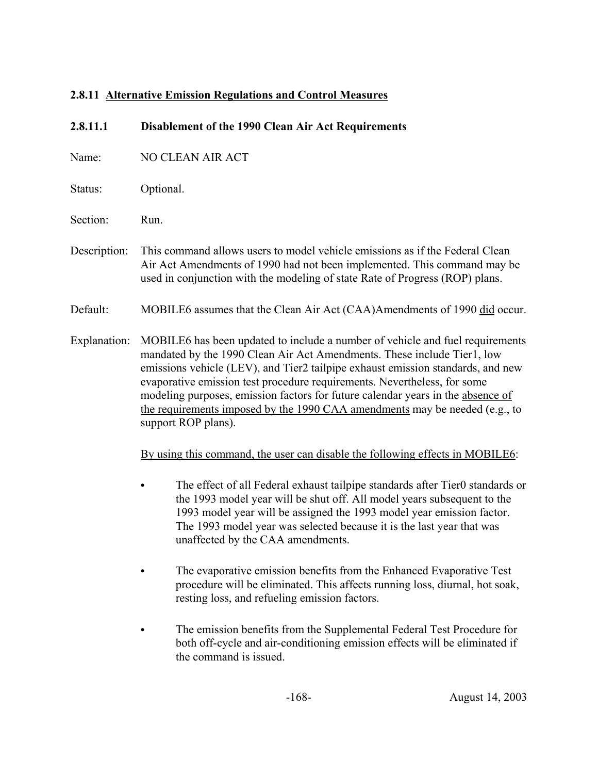# **2.8.11 Alternative Emission Regulations and Control Measures**

| 2.8.11.1     | Disablement of the 1990 Clean Air Act Requirements                                                                                                                                                                                                                                                                                                                                                                                                                                                               |  |  |  |
|--------------|------------------------------------------------------------------------------------------------------------------------------------------------------------------------------------------------------------------------------------------------------------------------------------------------------------------------------------------------------------------------------------------------------------------------------------------------------------------------------------------------------------------|--|--|--|
| Name:        | <b>NO CLEAN AIR ACT</b>                                                                                                                                                                                                                                                                                                                                                                                                                                                                                          |  |  |  |
| Status:      | Optional.                                                                                                                                                                                                                                                                                                                                                                                                                                                                                                        |  |  |  |
| Section:     | Run.                                                                                                                                                                                                                                                                                                                                                                                                                                                                                                             |  |  |  |
| Description: | This command allows users to model vehicle emissions as if the Federal Clean<br>Air Act Amendments of 1990 had not been implemented. This command may be<br>used in conjunction with the modeling of state Rate of Progress (ROP) plans.                                                                                                                                                                                                                                                                         |  |  |  |
| Default:     | MOBILE6 assumes that the Clean Air Act (CAA)Amendments of 1990 did occur.                                                                                                                                                                                                                                                                                                                                                                                                                                        |  |  |  |
| Explanation: | MOBILE6 has been updated to include a number of vehicle and fuel requirements<br>mandated by the 1990 Clean Air Act Amendments. These include Tier1, low<br>emissions vehicle (LEV), and Tier2 tailpipe exhaust emission standards, and new<br>evaporative emission test procedure requirements. Nevertheless, for some<br>modeling purposes, emission factors for future calendar years in the absence of<br>the requirements imposed by the 1990 CAA amendments may be needed (e.g., to<br>support ROP plans). |  |  |  |
|              | By using this command, the user can disable the following effects in MOBILE6:                                                                                                                                                                                                                                                                                                                                                                                                                                    |  |  |  |
|              | The effect of all Federal exhaust tailpipe standards after Tier0 standards or<br>the 1993 model year will be shut off. All model years subsequent to the<br>1993 model year will be assigned the 1993 model year emission factor.<br>The 1993 model year was selected because it is the last year that was<br>unaffected by the CAA amendments.                                                                                                                                                                  |  |  |  |
|              | The evaporative emission benefits from the Enhanced Evaporative Test<br>procedure will be eliminated. This affects running loss, diurnal, hot soak,<br>resting loss, and refueling emission factors.                                                                                                                                                                                                                                                                                                             |  |  |  |
|              | The emission benefits from the Supplemental Federal Test Procedure for<br>both off-cycle and air-conditioning emission effects will be eliminated if                                                                                                                                                                                                                                                                                                                                                             |  |  |  |

the command is issued.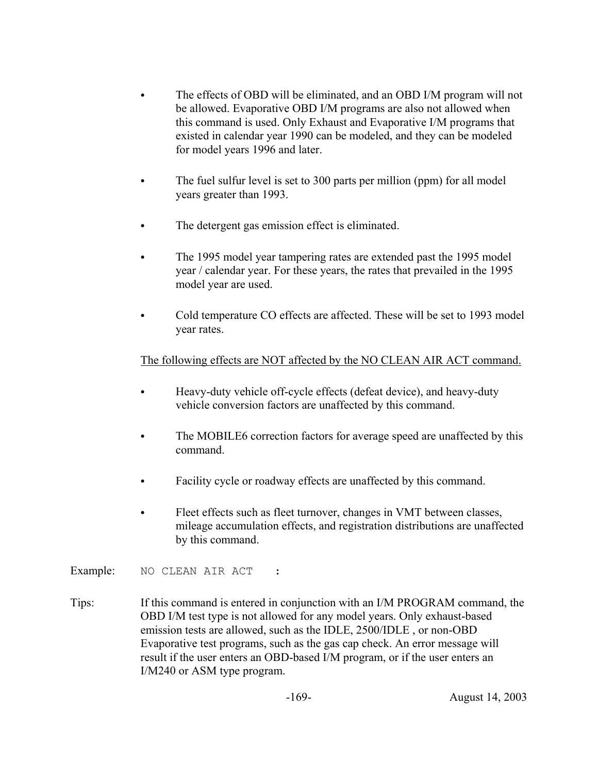- The effects of OBD will be eliminated, and an OBD I/M program will not be allowed. Evaporative OBD I/M programs are also not allowed when this command is used. Only Exhaust and Evaporative I/M programs that existed in calendar year 1990 can be modeled, and they can be modeled for model years 1996 and later.
- The fuel sulfur level is set to 300 parts per million (ppm) for all model years greater than 1993.
- The detergent gas emission effect is eliminated.
- The 1995 model year tampering rates are extended past the 1995 model year / calendar year. For these years, the rates that prevailed in the 1995 model year are used.
- Cold temperature CO effects are affected. These will be set to 1993 model year rates.

## The following effects are NOT affected by the NO CLEAN AIR ACT command.

- Heavy-duty vehicle off-cycle effects (defeat device), and heavy-duty vehicle conversion factors are unaffected by this command.
- The MOBILE6 correction factors for average speed are unaffected by this command.
- Facility cycle or roadway effects are unaffected by this command.
- Fleet effects such as fleet turnover, changes in VMT between classes, mileage accumulation effects, and registration distributions are unaffected by this command.

Example: NO CLEAN AIR ACT :

Tips: If this command is entered in conjunction with an I/M PROGRAM command, the OBD I/M test type is not allowed for any model years. Only exhaust-based emission tests are allowed, such as the IDLE, 2500/IDLE , or non-OBD Evaporative test programs, such as the gas cap check. An error message will result if the user enters an OBD-based I/M program, or if the user enters an I/M240 or ASM type program.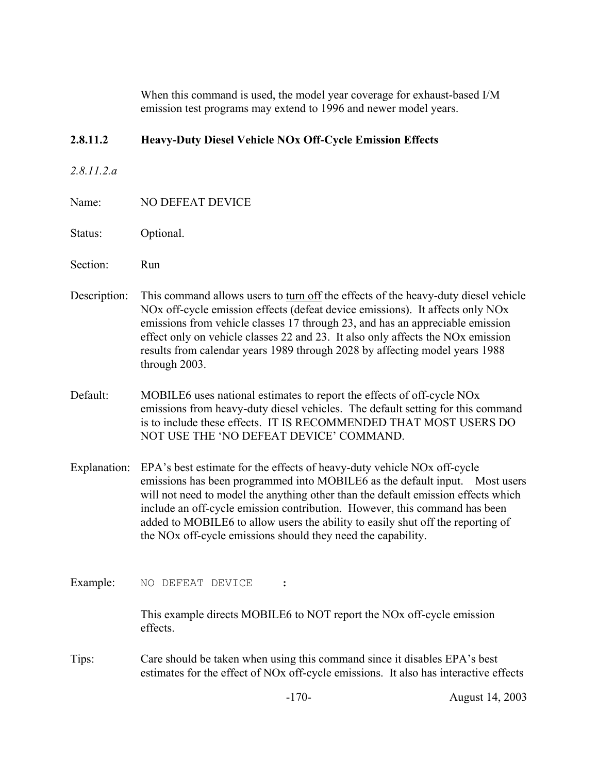When this command is used, the model year coverage for exhaust-based I/M emission test programs may extend to 1996 and newer model years.

## **2.8.11.2 Heavy-Duty Diesel Vehicle NOx Off-Cycle Emission Effects**

- *2.8.11.2.a*
- Name: NO DEFEAT DEVICE
- Status: Optional.
- Section: Run
- Description: This command allows users to turn off the effects of the heavy-duty diesel vehicle NOx off-cycle emission effects (defeat device emissions). It affects only NOx emissions from vehicle classes 17 through 23, and has an appreciable emission effect only on vehicle classes 22 and 23. It also only affects the NOx emission results from calendar years 1989 through 2028 by affecting model years 1988 through 2003.
- Default: MOBILE6 uses national estimates to report the effects of off-cycle NOx emissions from heavy-duty diesel vehicles. The default setting for this command is to include these effects. IT IS RECOMMENDED THAT MOST USERS DO NOT USE THE 'NO DEFEAT DEVICE' COMMAND.
- Explanation: EPA's best estimate for the effects of heavy-duty vehicle NOx off-cycle emissions has been programmed into MOBILE6 as the default input. Most users will not need to model the anything other than the default emission effects which include an off-cycle emission contribution. However, this command has been added to MOBILE6 to allow users the ability to easily shut off the reporting of the NOx off-cycle emissions should they need the capability.
- Example: NO DEFEAT DEVICE :

This example directs MOBILE6 to NOT report the NOx off-cycle emission effects.

Tips: Care should be taken when using this command since it disables EPA's best estimates for the effect of NOx off-cycle emissions. It also has interactive effects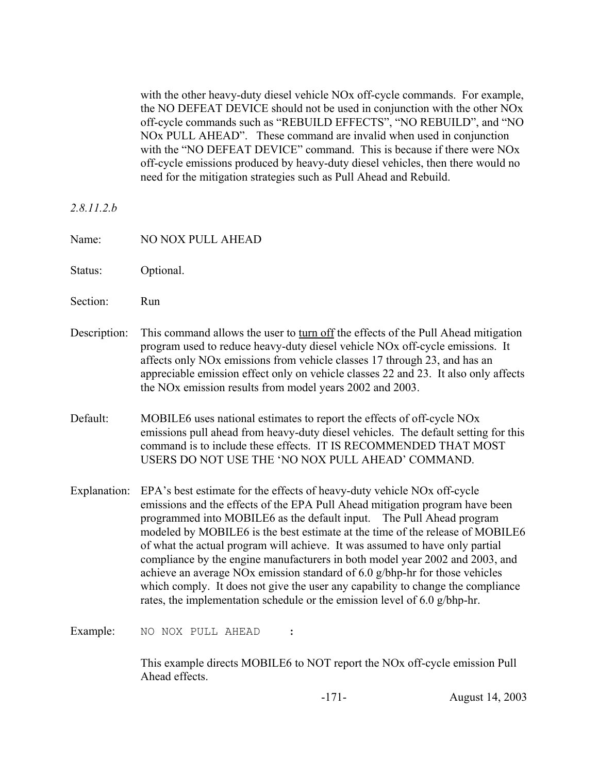with the other heavy-duty diesel vehicle NOx off-cycle commands. For example, the NO DEFEAT DEVICE should not be used in conjunction with the other NOx off-cycle commands such as "REBUILD EFFECTS", "NO REBUILD", and "NO NOx PULL AHEAD". These command are invalid when used in conjunction with the "NO DEFEAT DEVICE" command. This is because if there were NO<sub>x</sub> off-cycle emissions produced by heavy-duty diesel vehicles, then there would no need for the mitigation strategies such as Pull Ahead and Rebuild.

*2.8.11.2.b*

- Name: NO NOX PULL AHEAD
- Status: Optional.
- Section: Run
- Description: This command allows the user to turn off the effects of the Pull Ahead mitigation program used to reduce heavy-duty diesel vehicle NOx off-cycle emissions. It affects only NOx emissions from vehicle classes 17 through 23, and has an appreciable emission effect only on vehicle classes 22 and 23. It also only affects the NOx emission results from model years 2002 and 2003.
- Default: MOBILE6 uses national estimates to report the effects of off-cycle NO<sub>x</sub> emissions pull ahead from heavy-duty diesel vehicles. The default setting for this command is to include these effects. IT IS RECOMMENDED THAT MOST USERS DO NOT USE THE 'NO NOX PULL AHEAD' COMMAND.
- Explanation: EPA's best estimate for the effects of heavy-duty vehicle NOx off-cycle emissions and the effects of the EPA Pull Ahead mitigation program have been programmed into MOBILE6 as the default input. The Pull Ahead program modeled by MOBILE6 is the best estimate at the time of the release of MOBILE6 of what the actual program will achieve. It was assumed to have only partial compliance by the engine manufacturers in both model year 2002 and 2003, and achieve an average NOx emission standard of 6.0 g/bhp-hr for those vehicles which comply. It does not give the user any capability to change the compliance rates, the implementation schedule or the emission level of 6.0 g/bhp-hr.

Example: NO NOX PULL AHEAD :

This example directs MOBILE6 to NOT report the NOx off-cycle emission Pull Ahead effects.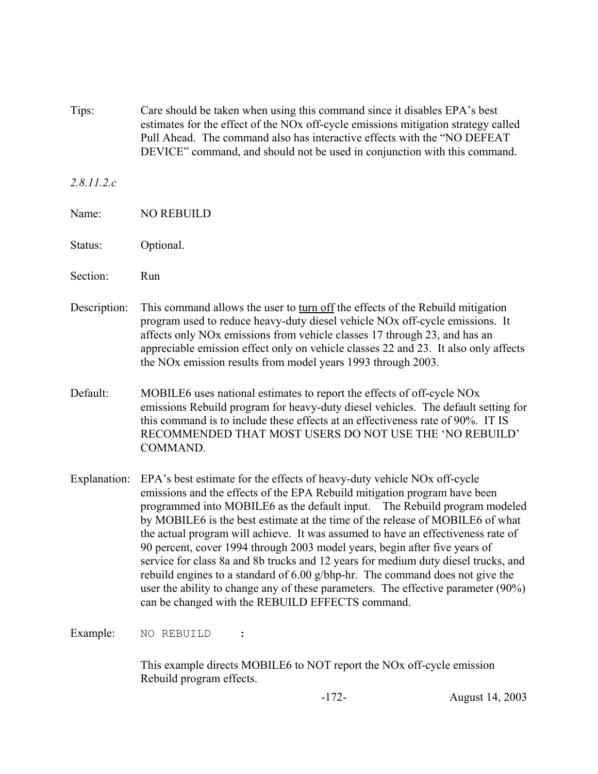Tips: Care should be taken when using this command since it disables EPA's best estimates for the effect of the NOx off-cycle emissions mitigation strategy called Pull Ahead. The command also has interactive effects with the "NO DEFEAT DEVICE" command, and should not be used in conjunction with this command.

### *2.8.11.2.c*

- Name: NO REBUILD
- Status: Optional.
- Section: Run
- Description: This command allows the user to turn off the effects of the Rebuild mitigation program used to reduce heavy-duty diesel vehicle NOx off-cycle emissions. It affects only NOx emissions from vehicle classes 17 through 23, and has an appreciable emission effect only on vehicle classes 22 and 23. It also only affects the NOx emission results from model years 1993 through 2003.
- Default: MOBILE6 uses national estimates to report the effects of off-cycle NO<sub>x</sub> emissions Rebuild program for heavy-duty diesel vehicles. The default setting for this command is to include these effects at an effectiveness rate of 90%. IT IS RECOMMENDED THAT MOST USERS DO NOT USE THE 'NO REBUILD' **COMMAND**
- Explanation: EPA's best estimate for the effects of heavy-duty vehicle NOx off-cycle emissions and the effects of the EPA Rebuild mitigation program have been programmed into MOBILE6 as the default input. The Rebuild program modeled by MOBILE6 is the best estimate at the time of the release of MOBILE6 of what the actual program will achieve. It was assumed to have an effectiveness rate of 90 percent, cover 1994 through 2003 model years, begin after five years of service for class 8a and 8b trucks and 12 years for medium duty diesel trucks, and rebuild engines to a standard of 6.00 g/bhp-hr. The command does not give the user the ability to change any of these parameters. The effective parameter (90%) can be changed with the REBUILD EFFECTS command.

Example: NO REBUILD :

This example directs MOBILE6 to NOT report the NOx off-cycle emission Rebuild program effects.

-172- August 14, 2003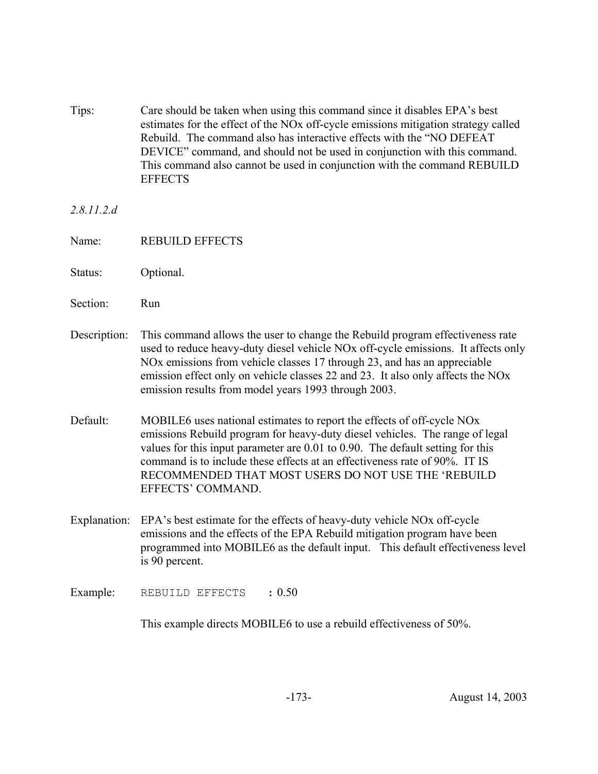Tips: Care should be taken when using this command since it disables EPA's best estimates for the effect of the NOx off-cycle emissions mitigation strategy called Rebuild. The command also has interactive effects with the "NO DEFEAT DEVICE" command, and should not be used in conjunction with this command. This command also cannot be used in conjunction with the command REBUILD **EFFECTS** 

*2.8.11.2.d*

- Name: REBUILD EFFECTS
- Status: Optional.
- Section: Run
- Description: This command allows the user to change the Rebuild program effectiveness rate used to reduce heavy-duty diesel vehicle NOx off-cycle emissions. It affects only NOx emissions from vehicle classes 17 through 23, and has an appreciable emission effect only on vehicle classes 22 and 23. It also only affects the NOx emission results from model years 1993 through 2003.
- Default: MOBILE6 uses national estimates to report the effects of off-cycle NOx emissions Rebuild program for heavy-duty diesel vehicles. The range of legal values for this input parameter are 0.01 to 0.90. The default setting for this command is to include these effects at an effectiveness rate of 90%. IT IS RECOMMENDED THAT MOST USERS DO NOT USE THE 'REBUILD EFFECTS' COMMAND.
- Explanation: EPA's best estimate for the effects of heavy-duty vehicle NOx off-cycle emissions and the effects of the EPA Rebuild mitigation program have been programmed into MOBILE6 as the default input. This default effectiveness level is 90 percent.
- Example: REBUILD EFFECTS : 0.50

This example directs MOBILE6 to use a rebuild effectiveness of 50%.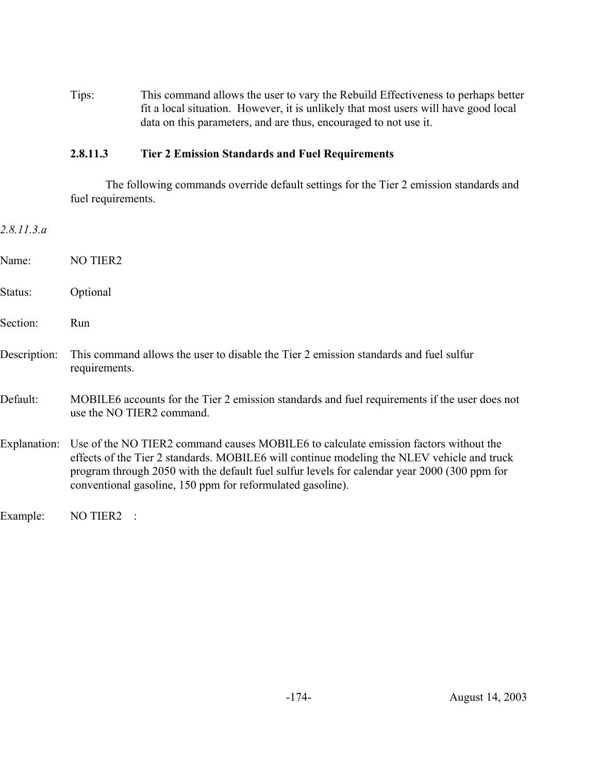Tips: This command allows the user to vary the Rebuild Effectiveness to perhaps better fit a local situation. However, it is unlikely that most users will have good local data on this parameters, and are thus, encouraged to not use it.

### **2.8.11.3 Tier 2 Emission Standards and Fuel Requirements**

The following commands override default settings for the Tier 2 emission standards and fuel requirements.

| 2.8.11.3.a   |                                                                                                                                                                                                                                                                                                                                                  |
|--------------|--------------------------------------------------------------------------------------------------------------------------------------------------------------------------------------------------------------------------------------------------------------------------------------------------------------------------------------------------|
| Name:        | <b>NO TIER2</b>                                                                                                                                                                                                                                                                                                                                  |
| Status:      | Optional                                                                                                                                                                                                                                                                                                                                         |
| Section:     | Run                                                                                                                                                                                                                                                                                                                                              |
| Description: | This command allows the user to disable the Tier 2 emission standards and fuel sulfur<br>requirements.                                                                                                                                                                                                                                           |
| Default:     | MOBILE6 accounts for the Tier 2 emission standards and fuel requirements if the user does not<br>use the NO TIER2 command.                                                                                                                                                                                                                       |
| Explanation: | Use of the NO TIER2 command causes MOBILE6 to calculate emission factors without the<br>effects of the Tier 2 standards. MOBILE6 will continue modeling the NLEV vehicle and truck<br>program through 2050 with the default fuel sulfur levels for calendar year 2000 (300 ppm for<br>conventional gasoline, 150 ppm for reformulated gasoline). |
| Example:     | NO TIER2                                                                                                                                                                                                                                                                                                                                         |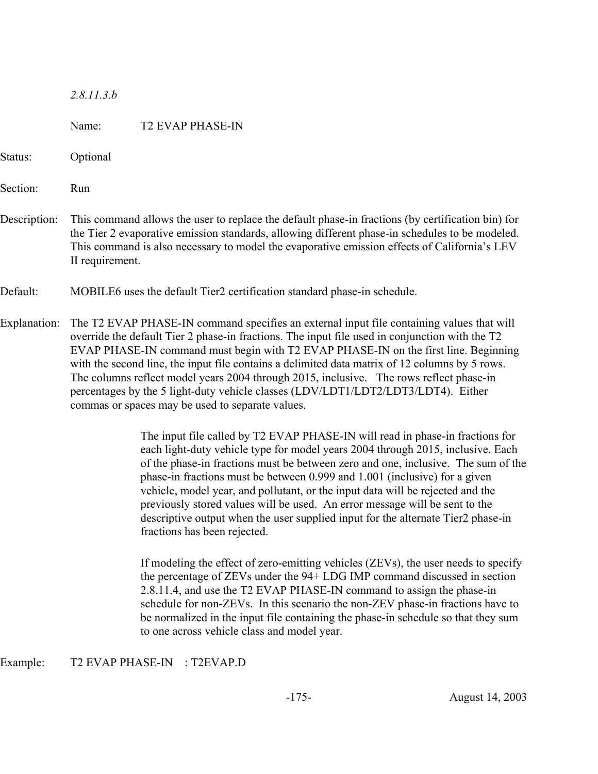| 8.11.3<br>$\mathcal{D}$ |
|-------------------------|
|-------------------------|

|              | Name:                                                                                                                                                                                                                                                                                                                                                                                                                                                                                                                                                                                                                    | <b>T2 EVAP PHASE-IN</b>                                                                                                                                                                                                                                                                                                                                                                                                                                                                                                                                                                                                  |  |
|--------------|--------------------------------------------------------------------------------------------------------------------------------------------------------------------------------------------------------------------------------------------------------------------------------------------------------------------------------------------------------------------------------------------------------------------------------------------------------------------------------------------------------------------------------------------------------------------------------------------------------------------------|--------------------------------------------------------------------------------------------------------------------------------------------------------------------------------------------------------------------------------------------------------------------------------------------------------------------------------------------------------------------------------------------------------------------------------------------------------------------------------------------------------------------------------------------------------------------------------------------------------------------------|--|
| Status:      | Optional                                                                                                                                                                                                                                                                                                                                                                                                                                                                                                                                                                                                                 |                                                                                                                                                                                                                                                                                                                                                                                                                                                                                                                                                                                                                          |  |
| Section:     | Run                                                                                                                                                                                                                                                                                                                                                                                                                                                                                                                                                                                                                      |                                                                                                                                                                                                                                                                                                                                                                                                                                                                                                                                                                                                                          |  |
| Description: | This command allows the user to replace the default phase-in fractions (by certification bin) for<br>the Tier 2 evaporative emission standards, allowing different phase-in schedules to be modeled.<br>This command is also necessary to model the evaporative emission effects of California's LEV<br>II requirement.                                                                                                                                                                                                                                                                                                  |                                                                                                                                                                                                                                                                                                                                                                                                                                                                                                                                                                                                                          |  |
| Default:     | MOBILE6 uses the default Tier2 certification standard phase-in schedule.                                                                                                                                                                                                                                                                                                                                                                                                                                                                                                                                                 |                                                                                                                                                                                                                                                                                                                                                                                                                                                                                                                                                                                                                          |  |
| Explanation: | The T2 EVAP PHASE-IN command specifies an external input file containing values that will<br>override the default Tier 2 phase-in fractions. The input file used in conjunction with the T2<br>EVAP PHASE-IN command must begin with T2 EVAP PHASE-IN on the first line. Beginning<br>with the second line, the input file contains a delimited data matrix of 12 columns by 5 rows.<br>The columns reflect model years 2004 through 2015, inclusive. The rows reflect phase-in<br>percentages by the 5 light-duty vehicle classes (LDV/LDT1/LDT2/LDT3/LDT4). Either<br>commas or spaces may be used to separate values. |                                                                                                                                                                                                                                                                                                                                                                                                                                                                                                                                                                                                                          |  |
|              |                                                                                                                                                                                                                                                                                                                                                                                                                                                                                                                                                                                                                          | The input file called by T2 EVAP PHASE-IN will read in phase-in fractions for<br>each light-duty vehicle type for model years 2004 through 2015, inclusive. Each<br>of the phase-in fractions must be between zero and one, inclusive. The sum of the<br>phase-in fractions must be between 0.999 and 1.001 (inclusive) for a given<br>vehicle, model year, and pollutant, or the input data will be rejected and the<br>previously stored values will be used. An error message will be sent to the<br>descriptive output when the user supplied input for the alternate Tier2 phase-in<br>fractions has been rejected. |  |
|              |                                                                                                                                                                                                                                                                                                                                                                                                                                                                                                                                                                                                                          | If modeling the effect of zero-emitting vehicles (ZEVs), the user needs to specify<br>the percentage of ZEVs under the 94+ LDG IMP command discussed in section<br>2.8.11.4, and use the T2 EVAP PHASE-IN command to assign the phase-in<br>schedule for non-ZEVs. In this scenario the non-ZEV phase-in fractions have to<br>be normalized in the input file containing the phase-in schedule so that they sum<br>to one across vehicle class and model year.                                                                                                                                                           |  |

## Example: T2 EVAP PHASE-IN : T2EVAP.D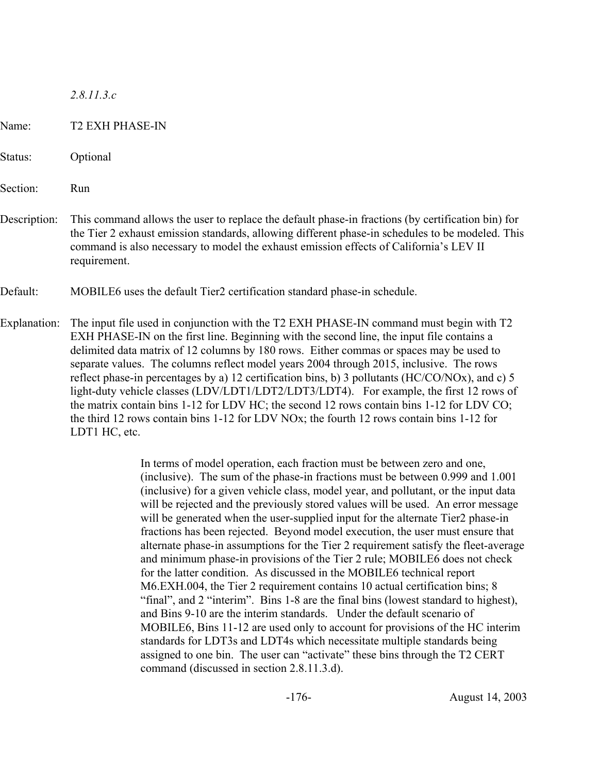*2.8.11.3.c*

Name: T2 EXH PHASE-IN

Status: Optional

Section: Run

Description: This command allows the user to replace the default phase-in fractions (by certification bin) for the Tier 2 exhaust emission standards, allowing different phase-in schedules to be modeled. This command is also necessary to model the exhaust emission effects of California's LEV II requirement.

Default: MOBILE6 uses the default Tier2 certification standard phase-in schedule.

Explanation: The input file used in conjunction with the T2 EXH PHASE-IN command must begin with T2 EXH PHASE-IN on the first line. Beginning with the second line, the input file contains a delimited data matrix of 12 columns by 180 rows. Either commas or spaces may be used to separate values. The columns reflect model years 2004 through 2015, inclusive. The rows reflect phase-in percentages by a) 12 certification bins, b) 3 pollutants (HC/CO/NOx), and c) 5 light-duty vehicle classes (LDV/LDT1/LDT2/LDT3/LDT4). For example, the first 12 rows of the matrix contain bins 1-12 for LDV HC; the second 12 rows contain bins 1-12 for LDV CO; the third 12 rows contain bins 1-12 for LDV NOx; the fourth 12 rows contain bins 1-12 for LDT1 HC, etc.

> In terms of model operation, each fraction must be between zero and one, (inclusive). The sum of the phase-in fractions must be between 0.999 and 1.001 (inclusive) for a given vehicle class, model year, and pollutant, or the input data will be rejected and the previously stored values will be used. An error message will be generated when the user-supplied input for the alternate Tier2 phase-in fractions has been rejected. Beyond model execution, the user must ensure that alternate phase-in assumptions for the Tier 2 requirement satisfy the fleet-average and minimum phase-in provisions of the Tier 2 rule; MOBILE6 does not check for the latter condition. As discussed in the MOBILE6 technical report M6.EXH.004, the Tier 2 requirement contains 10 actual certification bins; 8 "final", and 2 "interim". Bins 1-8 are the final bins (lowest standard to highest), and Bins 9-10 are the interim standards. Under the default scenario of MOBILE6, Bins 11-12 are used only to account for provisions of the HC interim standards for LDT3s and LDT4s which necessitate multiple standards being assigned to one bin. The user can "activate" these bins through the T2 CERT command (discussed in section 2.8.11.3.d).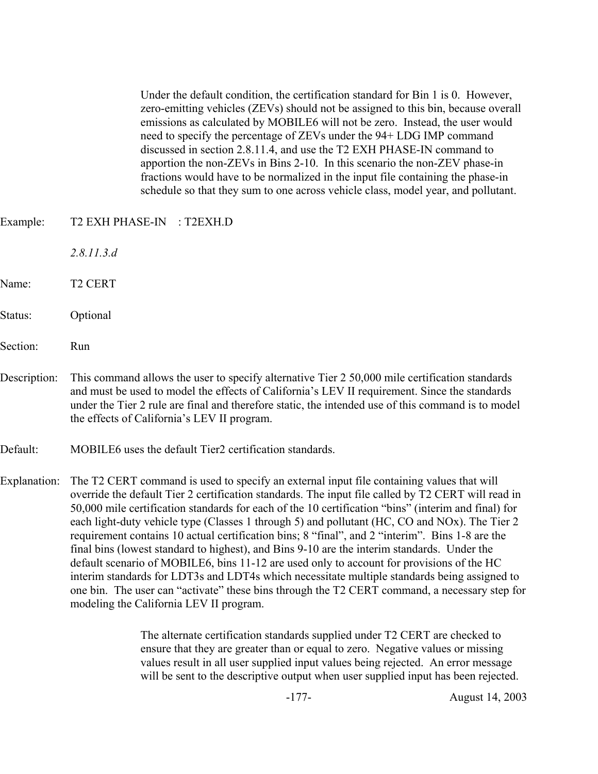Under the default condition, the certification standard for Bin 1 is 0. However, zero-emitting vehicles (ZEVs) should not be assigned to this bin, because overall emissions as calculated by MOBILE6 will not be zero. Instead, the user would need to specify the percentage of ZEVs under the 94+ LDG IMP command discussed in section 2.8.11.4, and use the T2 EXH PHASE-IN command to apportion the non-ZEVs in Bins 2-10. In this scenario the non-ZEV phase-in fractions would have to be normalized in the input file containing the phase-in schedule so that they sum to one across vehicle class, model year, and pollutant.

- Example: T2 EXH PHASE-IN : T2EXH.D
	- *2.8.11.3.d*
- Name: T2 CERT
- Status: Optional
- Section: Run
- Description: This command allows the user to specify alternative Tier 2 50,000 mile certification standards and must be used to model the effects of California's LEV II requirement. Since the standards under the Tier 2 rule are final and therefore static, the intended use of this command is to model the effects of California's LEV II program.
- Default: MOBILE6 uses the default Tier2 certification standards.

Explanation: The T2 CERT command is used to specify an external input file containing values that will override the default Tier 2 certification standards. The input file called by T2 CERT will read in 50,000 mile certification standards for each of the 10 certification "bins" (interim and final) for each light-duty vehicle type (Classes 1 through 5) and pollutant (HC, CO and NOx). The Tier 2 requirement contains 10 actual certification bins; 8 "final", and 2 "interim". Bins 1-8 are the final bins (lowest standard to highest), and Bins 9-10 are the interim standards. Under the default scenario of MOBILE6, bins 11-12 are used only to account for provisions of the HC interim standards for LDT3s and LDT4s which necessitate multiple standards being assigned to one bin. The user can "activate" these bins through the T2 CERT command, a necessary step for modeling the California LEV II program.

> The alternate certification standards supplied under T2 CERT are checked to ensure that they are greater than or equal to zero. Negative values or missing values result in all user supplied input values being rejected. An error message will be sent to the descriptive output when user supplied input has been rejected.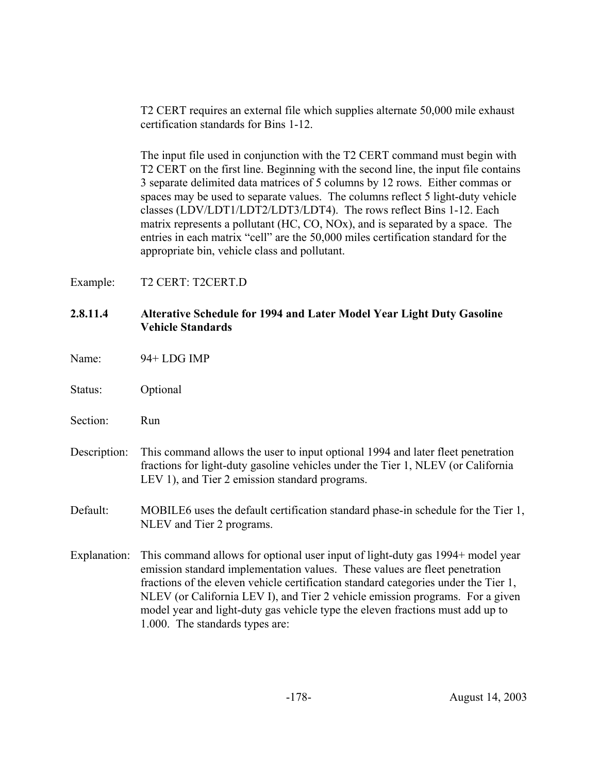T2 CERT requires an external file which supplies alternate 50,000 mile exhaust certification standards for Bins 1-12.

The input file used in conjunction with the T2 CERT command must begin with T2 CERT on the first line. Beginning with the second line, the input file contains 3 separate delimited data matrices of 5 columns by 12 rows. Either commas or spaces may be used to separate values. The columns reflect 5 light-duty vehicle classes (LDV/LDT1/LDT2/LDT3/LDT4). The rows reflect Bins 1-12. Each matrix represents a pollutant (HC, CO, NOx), and is separated by a space. The entries in each matrix "cell" are the 50,000 miles certification standard for the appropriate bin, vehicle class and pollutant.

Example: T2 CERT: T2CERT.D

### **2.8.11.4 Alterative Schedule for 1994 and Later Model Year Light Duty Gasoline Vehicle Standards**

- Name: 94+ LDG IMP
- Status: Optional
- Section: Run
- Description: This command allows the user to input optional 1994 and later fleet penetration fractions for light-duty gasoline vehicles under the Tier 1, NLEV (or California LEV 1), and Tier 2 emission standard programs.
- Default: MOBILE6 uses the default certification standard phase-in schedule for the Tier 1, NLEV and Tier 2 programs.
- Explanation: This command allows for optional user input of light-duty gas 1994+ model year emission standard implementation values. These values are fleet penetration fractions of the eleven vehicle certification standard categories under the Tier 1, NLEV (or California LEV I), and Tier 2 vehicle emission programs. For a given model year and light-duty gas vehicle type the eleven fractions must add up to 1.000. The standards types are: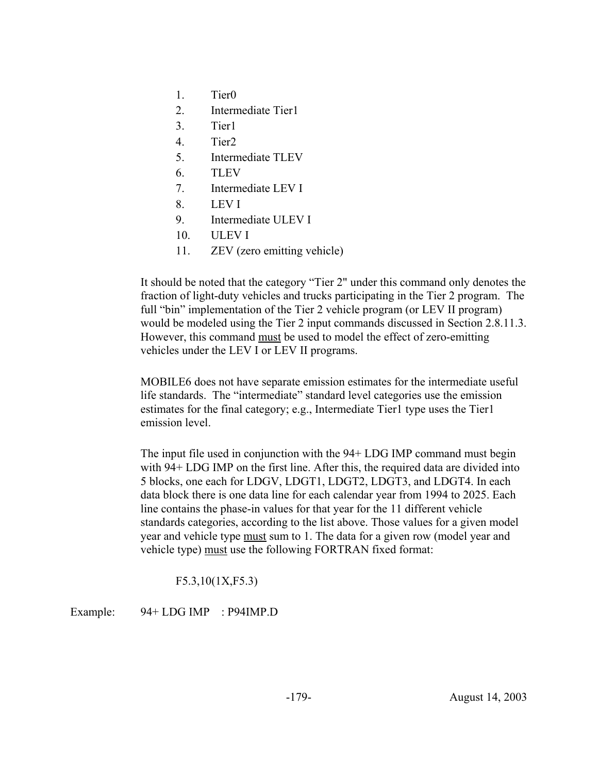- 1. Tier0
- 2. Intermediate Tier1
- 3. Tier1
- 4. Tier2
- 5. Intermediate TLEV
- 6. TLEV
- 7. Intermediate LEV I
- 8. LEV I
- 9. Intermediate ULEV I
- 10. ULEV I
- 11. ZEV (zero emitting vehicle)

It should be noted that the category "Tier 2" under this command only denotes the fraction of light-duty vehicles and trucks participating in the Tier 2 program. The full "bin" implementation of the Tier 2 vehicle program (or LEV II program) would be modeled using the Tier 2 input commands discussed in Section 2.8.11.3. However, this command must be used to model the effect of zero-emitting vehicles under the LEV I or LEV II programs.

MOBILE6 does not have separate emission estimates for the intermediate useful life standards. The "intermediate" standard level categories use the emission estimates for the final category; e.g., Intermediate Tier1 type uses the Tier1 emission level.

The input file used in conjunction with the 94+ LDG IMP command must begin with 94+ LDG IMP on the first line. After this, the required data are divided into 5 blocks, one each for LDGV, LDGT1, LDGT2, LDGT3, and LDGT4. In each data block there is one data line for each calendar year from 1994 to 2025. Each line contains the phase-in values for that year for the 11 different vehicle standards categories, according to the list above. Those values for a given model year and vehicle type must sum to 1. The data for a given row (model year and vehicle type) must use the following FORTRAN fixed format:

F5.3,10(1X,F5.3)

Example: 94+ LDG IMP : P94IMP.D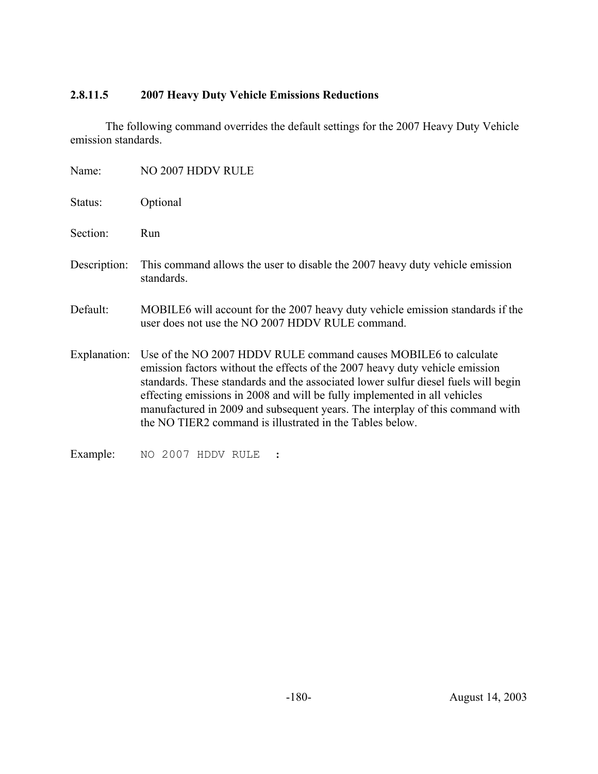# **2.8.11.5 2007 Heavy Duty Vehicle Emissions Reductions**

The following command overrides the default settings for the 2007 Heavy Duty Vehicle emission standards.

| Name:        | NO 2007 HDDV RULE                                                                                                                                                                                                                                                                                                                                                                                                                                                             |
|--------------|-------------------------------------------------------------------------------------------------------------------------------------------------------------------------------------------------------------------------------------------------------------------------------------------------------------------------------------------------------------------------------------------------------------------------------------------------------------------------------|
| Status:      | Optional                                                                                                                                                                                                                                                                                                                                                                                                                                                                      |
| Section:     | Run                                                                                                                                                                                                                                                                                                                                                                                                                                                                           |
| Description: | This command allows the user to disable the 2007 heavy duty vehicle emission<br>standards.                                                                                                                                                                                                                                                                                                                                                                                    |
| Default:     | MOBILE6 will account for the 2007 heavy duty vehicle emission standards if the<br>user does not use the NO 2007 HDDV RULE command.                                                                                                                                                                                                                                                                                                                                            |
|              | Explanation: Use of the NO 2007 HDDV RULE command causes MOBILE6 to calculate<br>emission factors without the effects of the 2007 heavy duty vehicle emission<br>standards. These standards and the associated lower sulfur diesel fuels will begin<br>effecting emissions in 2008 and will be fully implemented in all vehicles<br>manufactured in 2009 and subsequent years. The interplay of this command with<br>the NO TIER2 command is illustrated in the Tables below. |
| Example:     | NO 2007 HDDV RULE                                                                                                                                                                                                                                                                                                                                                                                                                                                             |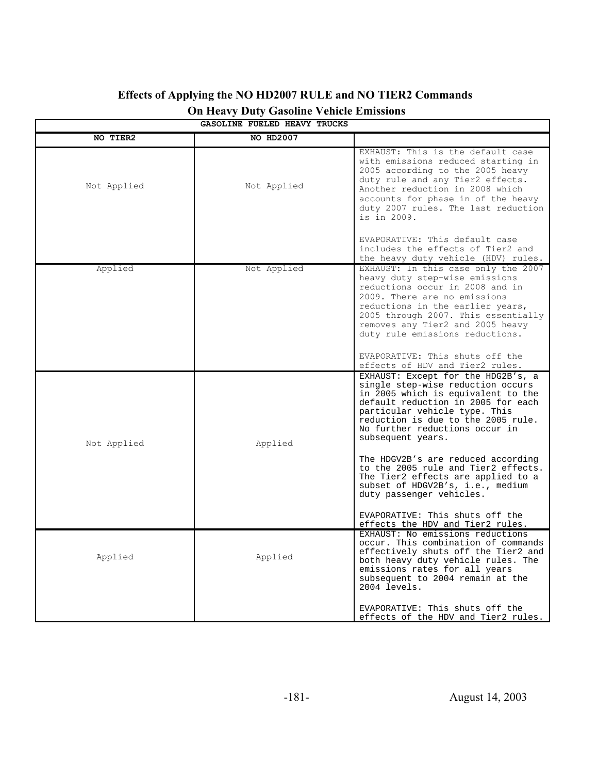| GASOLINE FUELED HEAVY TRUCKS |             |                                                                                                                                                                                                                                                                                   |  |  |  |  |  |
|------------------------------|-------------|-----------------------------------------------------------------------------------------------------------------------------------------------------------------------------------------------------------------------------------------------------------------------------------|--|--|--|--|--|
| NO TIER2                     | NO HD2007   |                                                                                                                                                                                                                                                                                   |  |  |  |  |  |
| Not Applied                  | Not Applied | EXHAUST: This is the default case<br>with emissions reduced starting in<br>2005 according to the 2005 heavy<br>duty rule and any Tier2 effects.<br>Another reduction in 2008 which<br>accounts for phase in of the heavy<br>duty 2007 rules. The last reduction<br>is in 2009.    |  |  |  |  |  |
| Applied                      | Not Applied | EVAPORATIVE: This default case<br>includes the effects of Tier2 and<br>the heavy duty vehicle (HDV) rules.<br>EXHAUST: In this case only the 2007                                                                                                                                 |  |  |  |  |  |
|                              |             | heavy duty step-wise emissions<br>reductions occur in 2008 and in<br>2009. There are no emissions<br>reductions in the earlier years,<br>2005 through 2007. This essentially<br>removes any Tier2 and 2005 heavy<br>duty rule emissions reductions.                               |  |  |  |  |  |
|                              |             | EVAPORATIVE: This shuts off the<br>effects of HDV and Tier2 rules.                                                                                                                                                                                                                |  |  |  |  |  |
| Not Applied                  | Applied     | EXHAUST: Except for the HDG2B's, a<br>single step-wise reduction occurs<br>in 2005 which is equivalent to the<br>default reduction in 2005 for each<br>particular vehicle type. This<br>reduction is due to the 2005 rule.<br>No further reductions occur in<br>subsequent years. |  |  |  |  |  |
|                              |             | The HDGV2B's are reduced according<br>to the 2005 rule and Tier2 effects.<br>The Tier2 effects are applied to a<br>subset of HDGV2B's, i.e., medium<br>duty passenger vehicles.                                                                                                   |  |  |  |  |  |
|                              |             | EVAPORATIVE: This shuts off the<br>effects the HDV and Tier2 rules.                                                                                                                                                                                                               |  |  |  |  |  |
| Applied                      | Applied     | EXHAUST: No emissions reductions<br>occur. This combination of commands<br>effectively shuts off the Tier2 and<br>both heavy duty vehicle rules. The<br>emissions rates for all years<br>subsequent to 2004 remain at the<br>2004 levels.                                         |  |  |  |  |  |
|                              |             | EVAPORATIVE: This shuts off the<br>effects of the HDV and Tier2 rules.                                                                                                                                                                                                            |  |  |  |  |  |

# **Effects of Applying the NO HD2007 RULE and NO TIER2 Commands On Heavy Duty Gasoline Vehicle Emissions**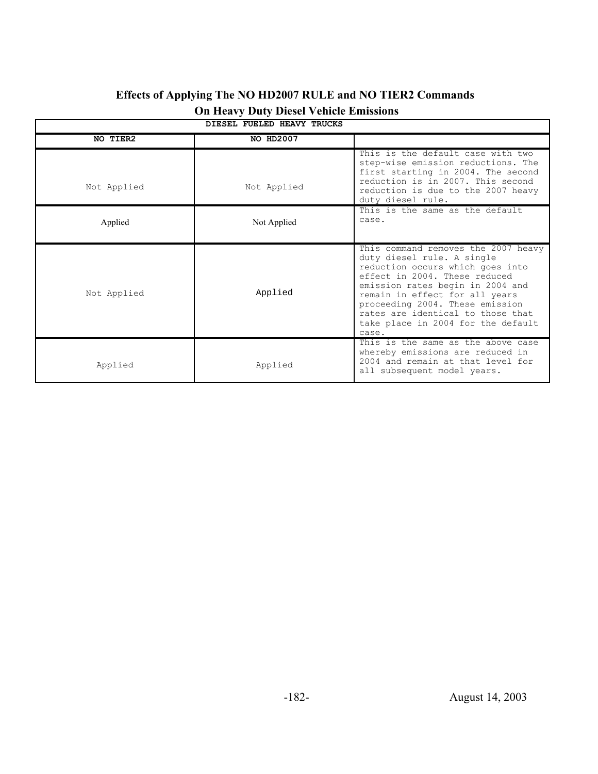| DIESEL FUELED HEAVY TRUCKS |                  |                                                                                                                                                                                                                                                                                                                                     |  |  |  |  |  |
|----------------------------|------------------|-------------------------------------------------------------------------------------------------------------------------------------------------------------------------------------------------------------------------------------------------------------------------------------------------------------------------------------|--|--|--|--|--|
| NO TIER2                   | <b>NO HD2007</b> |                                                                                                                                                                                                                                                                                                                                     |  |  |  |  |  |
| Not Applied                | Not Applied      | This is the default case with two<br>step-wise emission reductions. The<br>first starting in 2004. The second<br>reduction is in 2007. This second<br>reduction is due to the 2007 heavy<br>duty diesel rule.                                                                                                                       |  |  |  |  |  |
| Applied                    | Not Applied      | This is the same as the default<br>case.                                                                                                                                                                                                                                                                                            |  |  |  |  |  |
| Not Applied                | Applied          | This command removes the 2007 heavy<br>duty diesel rule. A single<br>reduction occurs which goes into<br>effect in 2004. These reduced<br>emission rates begin in 2004 and<br>remain in effect for all years<br>proceeding 2004. These emission<br>rates are identical to those that<br>take place in 2004 for the default<br>case. |  |  |  |  |  |
| Applied                    | Applied          | This is the same as the above case<br>whereby emissions are reduced in<br>2004 and remain at that level for<br>all subsequent model years.                                                                                                                                                                                          |  |  |  |  |  |

# **Effects of Applying The NO HD2007 RULE and NO TIER2 Commands On Heavy Duty Diesel Vehicle Emissions**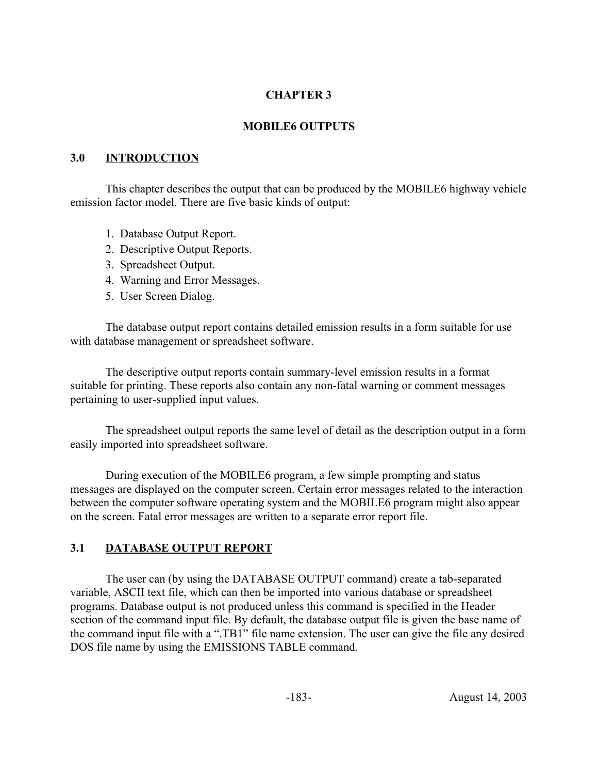### **CHAPTER 3**

### **MOBILE6 OUTPUTS**

### **3.0 INTRODUCTION**

This chapter describes the output that can be produced by the MOBILE6 highway vehicle emission factor model. There are five basic kinds of output:

- 1. Database Output Report.
- 2. Descriptive Output Reports.
- 3. Spreadsheet Output.
- 4. Warning and Error Messages.
- 5. User Screen Dialog.

The database output report contains detailed emission results in a form suitable for use with database management or spreadsheet software.

The descriptive output reports contain summary-level emission results in a format suitable for printing. These reports also contain any non-fatal warning or comment messages pertaining to user-supplied input values.

The spreadsheet output reports the same level of detail as the description output in a form easily imported into spreadsheet software.

During execution of the MOBILE6 program, a few simple prompting and status messages are displayed on the computer screen. Certain error messages related to the interaction between the computer software operating system and the MOBILE6 program might also appear on the screen. Fatal error messages are written to a separate error report file.

# **3.1 DATABASE OUTPUT REPORT**

The user can (by using the DATABASE OUTPUT command) create a tab-separated variable, ASCII text file, which can then be imported into various database or spreadsheet programs. Database output is not produced unless this command is specified in the Header section of the command input file. By default, the database output file is given the base name of the command input file with a ".TB1" file name extension. The user can give the file any desired DOS file name by using the EMISSIONS TABLE command.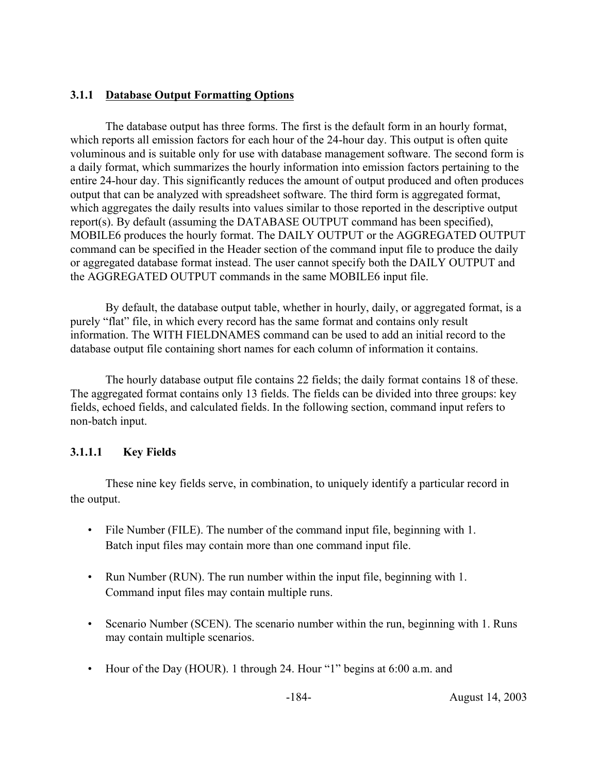### **3.1.1 Database Output Formatting Options**

The database output has three forms. The first is the default form in an hourly format, which reports all emission factors for each hour of the 24-hour day. This output is often quite voluminous and is suitable only for use with database management software. The second form is a daily format, which summarizes the hourly information into emission factors pertaining to the entire 24-hour day. This significantly reduces the amount of output produced and often produces output that can be analyzed with spreadsheet software. The third form is aggregated format, which aggregates the daily results into values similar to those reported in the descriptive output report(s). By default (assuming the DATABASE OUTPUT command has been specified), MOBILE6 produces the hourly format. The DAILY OUTPUT or the AGGREGATED OUTPUT command can be specified in the Header section of the command input file to produce the daily or aggregated database format instead. The user cannot specify both the DAILY OUTPUT and the AGGREGATED OUTPUT commands in the same MOBILE6 input file.

By default, the database output table, whether in hourly, daily, or aggregated format, is a purely "flat" file, in which every record has the same format and contains only result information. The WITH FIELDNAMES command can be used to add an initial record to the database output file containing short names for each column of information it contains.

The hourly database output file contains 22 fields; the daily format contains 18 of these. The aggregated format contains only 13 fields. The fields can be divided into three groups: key fields, echoed fields, and calculated fields. In the following section, command input refers to non-batch input.

### **3.1.1.1 Key Fields**

These nine key fields serve, in combination, to uniquely identify a particular record in the output.

- File Number (FILE). The number of the command input file, beginning with 1. Batch input files may contain more than one command input file.
- Run Number (RUN). The run number within the input file, beginning with 1. Command input files may contain multiple runs.
- Scenario Number (SCEN). The scenario number within the run, beginning with 1. Runs may contain multiple scenarios.
- Hour of the Day (HOUR). 1 through 24. Hour "1" begins at 6:00 a.m. and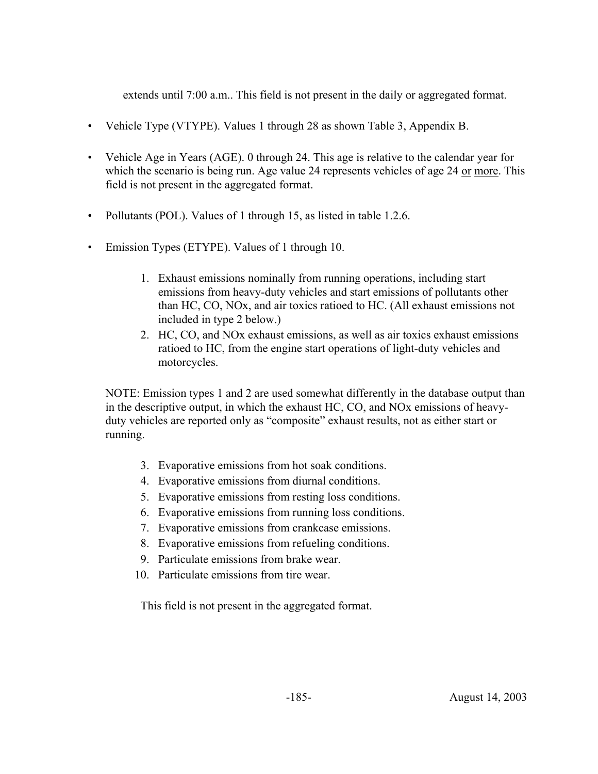extends until 7:00 a.m.. This field is not present in the daily or aggregated format.

- Vehicle Type (VTYPE). Values 1 through 28 as shown Table 3, Appendix B.
- Vehicle Age in Years (AGE). 0 through 24. This age is relative to the calendar year for which the scenario is being run. Age value 24 represents vehicles of age 24 or more. This field is not present in the aggregated format.
- Pollutants (POL). Values of 1 through 15, as listed in table 1.2.6.
- Emission Types (ETYPE). Values of 1 through 10.
	- 1. Exhaust emissions nominally from running operations, including start emissions from heavy-duty vehicles and start emissions of pollutants other than HC, CO, NOx, and air toxics ratioed to HC. (All exhaust emissions not included in type 2 below.)
	- 2. HC, CO, and NOx exhaust emissions, as well as air toxics exhaust emissions ratioed to HC, from the engine start operations of light-duty vehicles and motorcycles.

NOTE: Emission types 1 and 2 are used somewhat differently in the database output than in the descriptive output, in which the exhaust HC, CO, and NOx emissions of heavyduty vehicles are reported only as "composite" exhaust results, not as either start or running.

- 3. Evaporative emissions from hot soak conditions.
- 4. Evaporative emissions from diurnal conditions.
- 5. Evaporative emissions from resting loss conditions.
- 6. Evaporative emissions from running loss conditions.
- 7. Evaporative emissions from crankcase emissions.
- 8. Evaporative emissions from refueling conditions.
- 9. Particulate emissions from brake wear.
- 10. Particulate emissions from tire wear.

This field is not present in the aggregated format.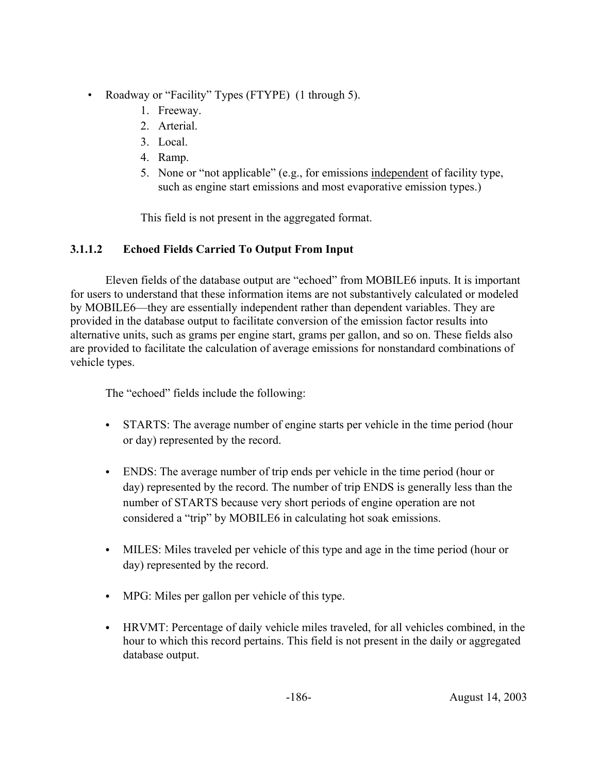- Roadway or "Facility" Types (FTYPE) (1 through 5).
	- 1. Freeway.
	- 2. Arterial.
	- 3. Local.
	- 4. Ramp.
	- 5. None or "not applicable" (e.g., for emissions independent of facility type, such as engine start emissions and most evaporative emission types.)

This field is not present in the aggregated format.

# **3.1.1.2 Echoed Fields Carried To Output From Input**

Eleven fields of the database output are "echoed" from MOBILE6 inputs. It is important for users to understand that these information items are not substantively calculated or modeled by MOBILE6—they are essentially independent rather than dependent variables. They are provided in the database output to facilitate conversion of the emission factor results into alternative units, such as grams per engine start, grams per gallon, and so on. These fields also are provided to facilitate the calculation of average emissions for nonstandard combinations of vehicle types.

The "echoed" fields include the following:

- STARTS: The average number of engine starts per vehicle in the time period (hour or day) represented by the record.
- ENDS: The average number of trip ends per vehicle in the time period (hour or day) represented by the record. The number of trip ENDS is generally less than the number of STARTS because very short periods of engine operation are not considered a "trip" by MOBILE6 in calculating hot soak emissions.
- MILES: Miles traveled per vehicle of this type and age in the time period (hour or day) represented by the record.
- MPG: Miles per gallon per vehicle of this type.
- HRVMT: Percentage of daily vehicle miles traveled, for all vehicles combined, in the hour to which this record pertains. This field is not present in the daily or aggregated database output.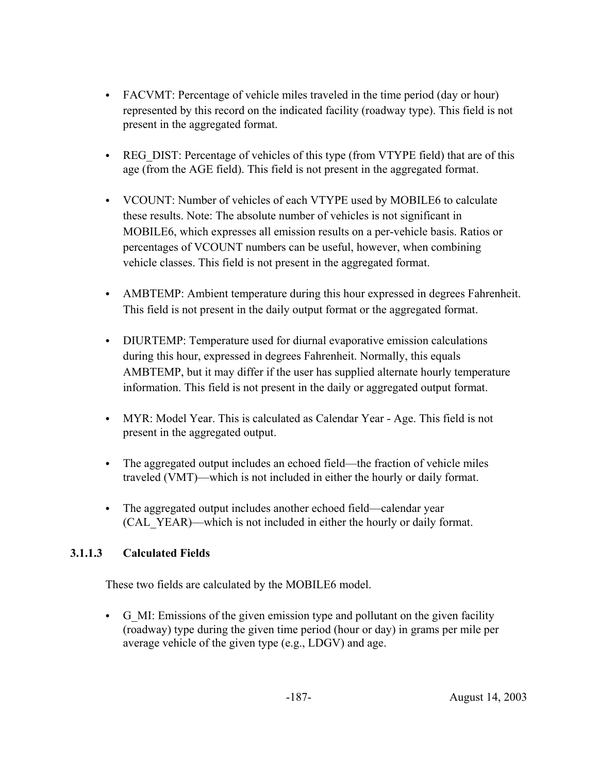- FACVMT: Percentage of vehicle miles traveled in the time period (day or hour) represented by this record on the indicated facility (roadway type). This field is not present in the aggregated format.
- REG DIST: Percentage of vehicles of this type (from VTYPE field) that are of this age (from the AGE field). This field is not present in the aggregated format.
- VCOUNT: Number of vehicles of each VTYPE used by MOBILE6 to calculate these results. Note: The absolute number of vehicles is not significant in MOBILE6, which expresses all emission results on a per-vehicle basis. Ratios or percentages of VCOUNT numbers can be useful, however, when combining vehicle classes. This field is not present in the aggregated format.
- AMBTEMP: Ambient temperature during this hour expressed in degrees Fahrenheit. This field is not present in the daily output format or the aggregated format.
- DIURTEMP: Temperature used for diurnal evaporative emission calculations during this hour, expressed in degrees Fahrenheit. Normally, this equals AMBTEMP, but it may differ if the user has supplied alternate hourly temperature information. This field is not present in the daily or aggregated output format.
- MYR: Model Year. This is calculated as Calendar Year Age. This field is not present in the aggregated output.
- The aggregated output includes an echoed field—the fraction of vehicle miles traveled (VMT)—which is not included in either the hourly or daily format.
- The aggregated output includes another echoed field—calendar year (CAL\_YEAR)—which is not included in either the hourly or daily format.

# **3.1.1.3 Calculated Fields**

These two fields are calculated by the MOBILE6 model.

C G\_MI: Emissions of the given emission type and pollutant on the given facility (roadway) type during the given time period (hour or day) in grams per mile per average vehicle of the given type (e.g., LDGV) and age.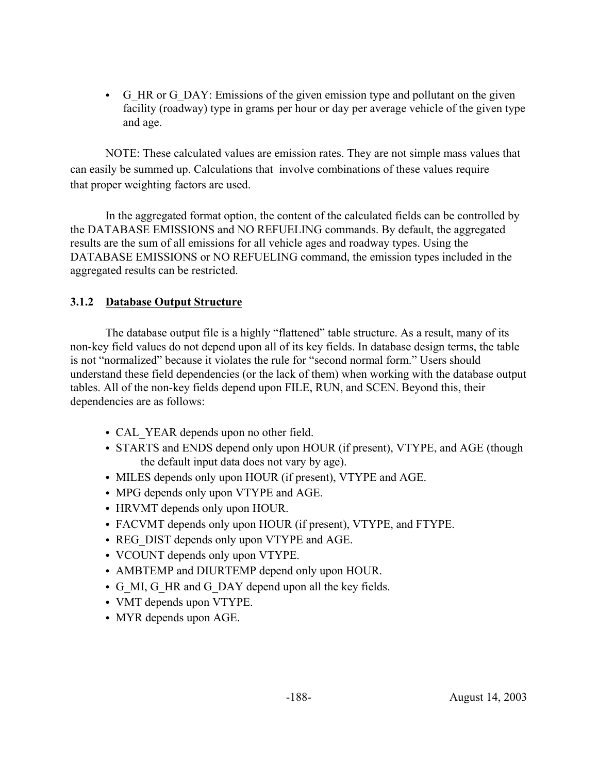• G HR or G DAY: Emissions of the given emission type and pollutant on the given facility (roadway) type in grams per hour or day per average vehicle of the given type and age.

NOTE: These calculated values are emission rates. They are not simple mass values that can easily be summed up. Calculations that involve combinations of these values require that proper weighting factors are used.

In the aggregated format option, the content of the calculated fields can be controlled by the DATABASE EMISSIONS and NO REFUELING commands. By default, the aggregated results are the sum of all emissions for all vehicle ages and roadway types. Using the DATABASE EMISSIONS or NO REFUELING command, the emission types included in the aggregated results can be restricted.

### **3.1.2 Database Output Structure**

The database output file is a highly "flattened" table structure. As a result, many of its non-key field values do not depend upon all of its key fields. In database design terms, the table is not "normalized" because it violates the rule for "second normal form." Users should understand these field dependencies (or the lack of them) when working with the database output tables. All of the non-key fields depend upon FILE, RUN, and SCEN. Beyond this, their dependencies are as follows:

- CAL YEAR depends upon no other field.
- STARTS and ENDS depend only upon HOUR (if present), VTYPE, and AGE (though the default input data does not vary by age).
- MILES depends only upon HOUR (if present), VTYPE and AGE.
- MPG depends only upon VTYPE and AGE.
- HRVMT depends only upon HOUR.
- FACVMT depends only upon HOUR (if present), VTYPE, and FTYPE.
- REG DIST depends only upon VTYPE and AGE.
- VCOUNT depends only upon VTYPE.
- AMBTEMP and DIURTEMP depend only upon HOUR.
- G\_MI, G\_HR and G\_DAY depend upon all the key fields.
- VMT depends upon VTYPE.
- MYR depends upon AGE.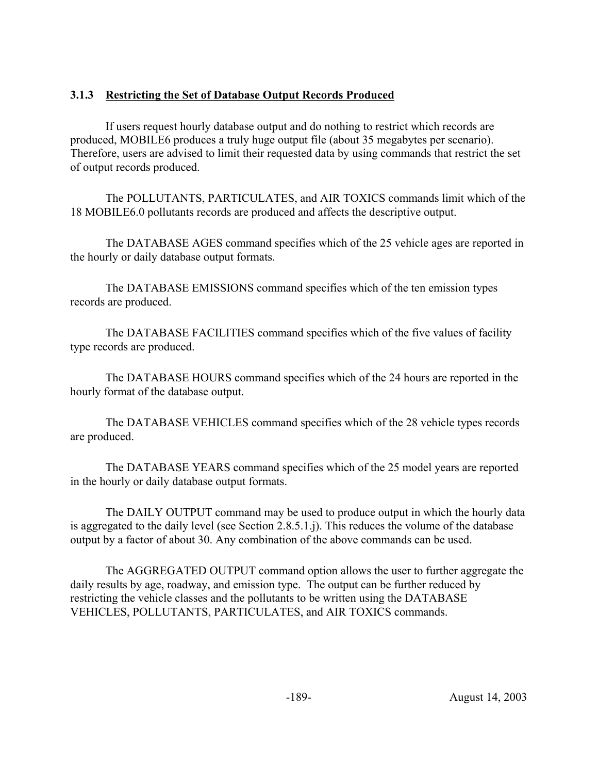# **3.1.3 Restricting the Set of Database Output Records Produced**

If users request hourly database output and do nothing to restrict which records are produced, MOBILE6 produces a truly huge output file (about 35 megabytes per scenario). Therefore, users are advised to limit their requested data by using commands that restrict the set of output records produced.

The POLLUTANTS, PARTICULATES, and AIR TOXICS commands limit which of the 18 MOBILE6.0 pollutants records are produced and affects the descriptive output.

The DATABASE AGES command specifies which of the 25 vehicle ages are reported in the hourly or daily database output formats.

The DATABASE EMISSIONS command specifies which of the ten emission types records are produced.

The DATABASE FACILITIES command specifies which of the five values of facility type records are produced.

The DATABASE HOURS command specifies which of the 24 hours are reported in the hourly format of the database output.

The DATABASE VEHICLES command specifies which of the 28 vehicle types records are produced.

The DATABASE YEARS command specifies which of the 25 model years are reported in the hourly or daily database output formats.

The DAILY OUTPUT command may be used to produce output in which the hourly data is aggregated to the daily level (see Section 2.8.5.1.j). This reduces the volume of the database output by a factor of about 30. Any combination of the above commands can be used.

The AGGREGATED OUTPUT command option allows the user to further aggregate the daily results by age, roadway, and emission type. The output can be further reduced by restricting the vehicle classes and the pollutants to be written using the DATABASE VEHICLES, POLLUTANTS, PARTICULATES, and AIR TOXICS commands.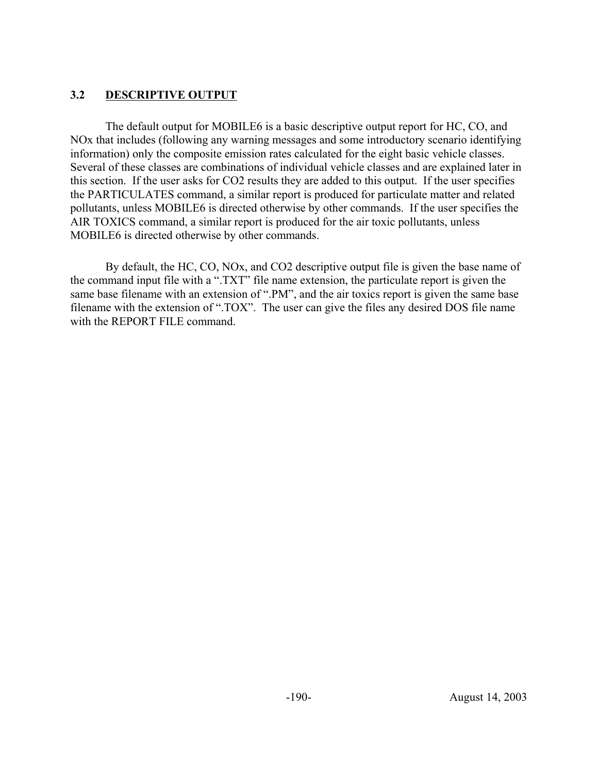### **3.2 DESCRIPTIVE OUTPUT**

The default output for MOBILE6 is a basic descriptive output report for HC, CO, and NOx that includes (following any warning messages and some introductory scenario identifying information) only the composite emission rates calculated for the eight basic vehicle classes. Several of these classes are combinations of individual vehicle classes and are explained later in this section. If the user asks for CO2 results they are added to this output. If the user specifies the PARTICULATES command, a similar report is produced for particulate matter and related pollutants, unless MOBILE6 is directed otherwise by other commands. If the user specifies the AIR TOXICS command, a similar report is produced for the air toxic pollutants, unless MOBILE6 is directed otherwise by other commands.

By default, the HC, CO, NOx, and CO2 descriptive output file is given the base name of the command input file with a ".TXT" file name extension, the particulate report is given the same base filename with an extension of ".PM", and the air toxics report is given the same base filename with the extension of ".TOX". The user can give the files any desired DOS file name with the REPORT FILE command.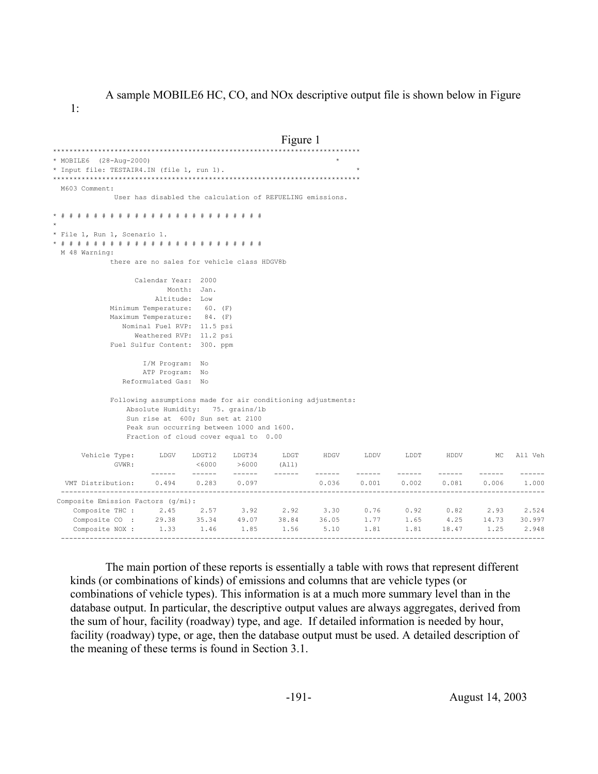A sample MOBILE6 HC, CO, and NOx descriptive output file is shown below in Figure

1:

```
Figure 1 ***************************************************************************
* MOBILE6 (28-Aug-2000) *
* Input file: TESTAIR4.IN (file 1, run 1). *
***************************************************************************
  M603 Comment:
             User has disabled the calculation of REFUELING emissions.
* # # # # # # # # # # # # # # # # # # # # # # # # #
* 
* File 1, Run 1, Scenario 1. 
* # # # # # # # # # # # # # # # # # # # # # # # # #
  M 48 Warning:
            there are no sales for vehicle class HDGV8b 
                 Calendar Year: 2000
                        Month: Jan.
                     Altitude: Low 
            Minimum Temperature: 60. (F)
            Maximum Temperature: 84. (F)
              Nominal Fuel RVP: 11.5 psi
                Weathered RVP: 11.2 psi
            Fuel Sulfur Content: 300. ppm
                   I/M Program: No 
                   ATP Program: No 
               Reformulated Gas: No 
             Following assumptions made for air conditioning adjustments:
                Absolute Humidity: 75. grains/lb
                Sun rise at 600; Sun set at 2100
                Peak sun occurring between 1000 and 1600.
                Fraction of cloud cover equal to 0.00
     Vehicle Type: LDGV LDGT12 LDGT34 LDGT HDGV LDDV LDDT HDDV MC All Veh<br>GVWR: <6000 >6000 (All)
GVWR: <6000 >6000 (All)
 ------ ------ ------ ------ ------ ------ ------ ------ ------ ------
   VMT Distribution: 0.494 0.283 0.097 0.036 0.001 0.002 0.081 0.006 1.000
  ----------------------------------------------------------------------------------------------------------------------
 Composite Emission Factors (g/mi):
 Composite THC : 2.45 2.57 3.92 2.92 3.30 0.76 0.92 0.82 2.93 2.524
 Composite CO : 29.38 35.34 49.07 38.84 36.05 1.77 1.65 4.25 14.73 30.997
 Composite NOX : 1.33 1.46 1.85 1.56 5.10 1.81 1.81 18.47 1.25 2.948
     ----------------------------------------------------------------------------------------------------------------------
```
The main portion of these reports is essentially a table with rows that represent different kinds (or combinations of kinds) of emissions and columns that are vehicle types (or combinations of vehicle types). This information is at a much more summary level than in the database output. In particular, the descriptive output values are always aggregates, derived from the sum of hour, facility (roadway) type, and age. If detailed information is needed by hour, facility (roadway) type, or age, then the database output must be used. A detailed description of the meaning of these terms is found in Section 3.1.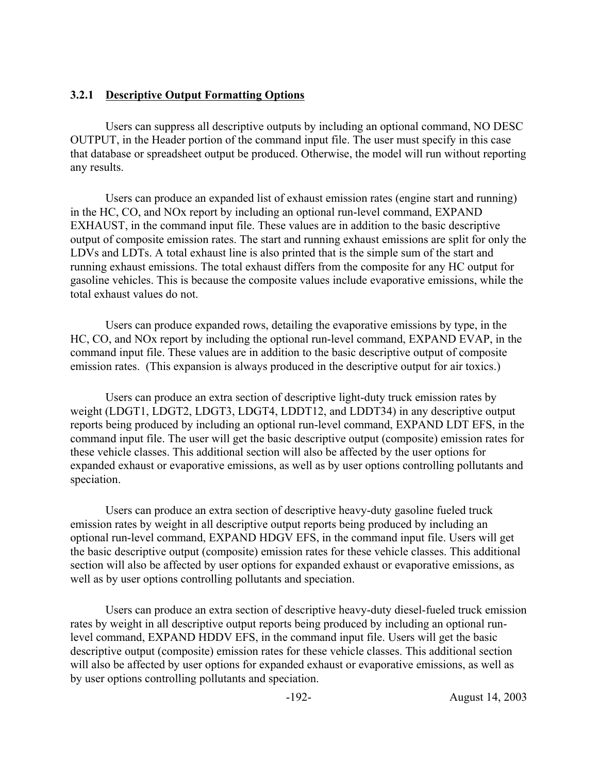#### **3.2.1 Descriptive Output Formatting Options**

Users can suppress all descriptive outputs by including an optional command, NO DESC OUTPUT, in the Header portion of the command input file. The user must specify in this case that database or spreadsheet output be produced. Otherwise, the model will run without reporting any results.

Users can produce an expanded list of exhaust emission rates (engine start and running) in the HC, CO, and NOx report by including an optional run-level command, EXPAND EXHAUST, in the command input file. These values are in addition to the basic descriptive output of composite emission rates. The start and running exhaust emissions are split for only the LDVs and LDTs. A total exhaust line is also printed that is the simple sum of the start and running exhaust emissions. The total exhaust differs from the composite for any HC output for gasoline vehicles. This is because the composite values include evaporative emissions, while the total exhaust values do not.

Users can produce expanded rows, detailing the evaporative emissions by type, in the HC, CO, and NOx report by including the optional run-level command, EXPAND EVAP, in the command input file. These values are in addition to the basic descriptive output of composite emission rates. (This expansion is always produced in the descriptive output for air toxics.)

Users can produce an extra section of descriptive light-duty truck emission rates by weight (LDGT1, LDGT2, LDGT3, LDGT4, LDDT12, and LDDT34) in any descriptive output reports being produced by including an optional run-level command, EXPAND LDT EFS, in the command input file. The user will get the basic descriptive output (composite) emission rates for these vehicle classes. This additional section will also be affected by the user options for expanded exhaust or evaporative emissions, as well as by user options controlling pollutants and speciation.

Users can produce an extra section of descriptive heavy-duty gasoline fueled truck emission rates by weight in all descriptive output reports being produced by including an optional run-level command, EXPAND HDGV EFS, in the command input file. Users will get the basic descriptive output (composite) emission rates for these vehicle classes. This additional section will also be affected by user options for expanded exhaust or evaporative emissions, as well as by user options controlling pollutants and speciation.

Users can produce an extra section of descriptive heavy-duty diesel-fueled truck emission rates by weight in all descriptive output reports being produced by including an optional runlevel command, EXPAND HDDV EFS, in the command input file. Users will get the basic descriptive output (composite) emission rates for these vehicle classes. This additional section will also be affected by user options for expanded exhaust or evaporative emissions, as well as by user options controlling pollutants and speciation.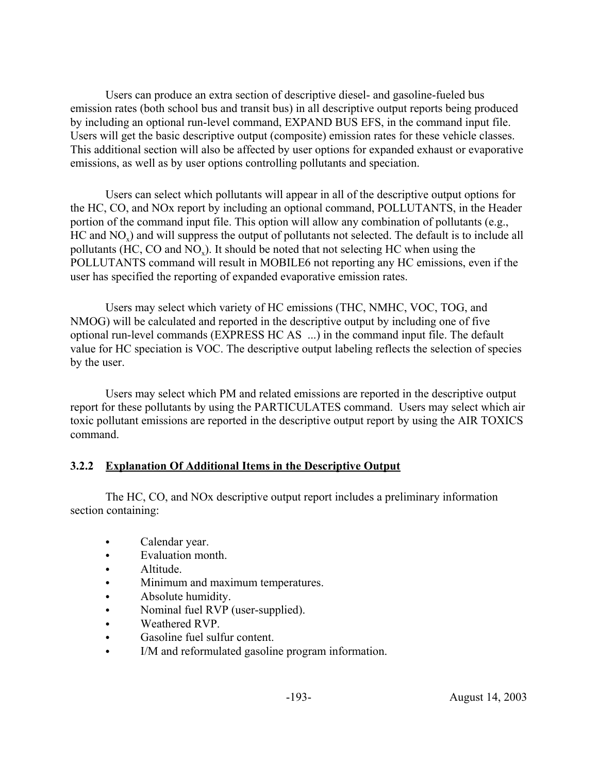Users can produce an extra section of descriptive diesel- and gasoline-fueled bus emission rates (both school bus and transit bus) in all descriptive output reports being produced by including an optional run-level command, EXPAND BUS EFS, in the command input file. Users will get the basic descriptive output (composite) emission rates for these vehicle classes. This additional section will also be affected by user options for expanded exhaust or evaporative emissions, as well as by user options controlling pollutants and speciation.

Users can select which pollutants will appear in all of the descriptive output options for the HC, CO, and NOx report by including an optional command, POLLUTANTS, in the Header portion of the command input file. This option will allow any combination of pollutants (e.g., HC and NO<sub>x</sub>) and will suppress the output of pollutants not selected. The default is to include all pollutants (HC, CO and NO $_{\rm v}$ ). It should be noted that not selecting HC when using the POLLUTANTS command will result in MOBILE6 not reporting any HC emissions, even if the user has specified the reporting of expanded evaporative emission rates.

Users may select which variety of HC emissions (THC, NMHC, VOC, TOG, and NMOG) will be calculated and reported in the descriptive output by including one of five optional run-level commands (EXPRESS HC AS ...) in the command input file. The default value for HC speciation is VOC. The descriptive output labeling reflects the selection of species by the user.

Users may select which PM and related emissions are reported in the descriptive output report for these pollutants by using the PARTICULATES command. Users may select which air toxic pollutant emissions are reported in the descriptive output report by using the AIR TOXICS command.

### **3.2.2 Explanation Of Additional Items in the Descriptive Output**

The HC, CO, and NOx descriptive output report includes a preliminary information section containing:

- Calendar year.
- Evaluation month
- Altitude.
- Minimum and maximum temperatures.
- Absolute humidity.
- Nominal fuel RVP (user-supplied).
- Weathered RVP.
- Gasoline fuel sulfur content.
- I/M and reformulated gasoline program information.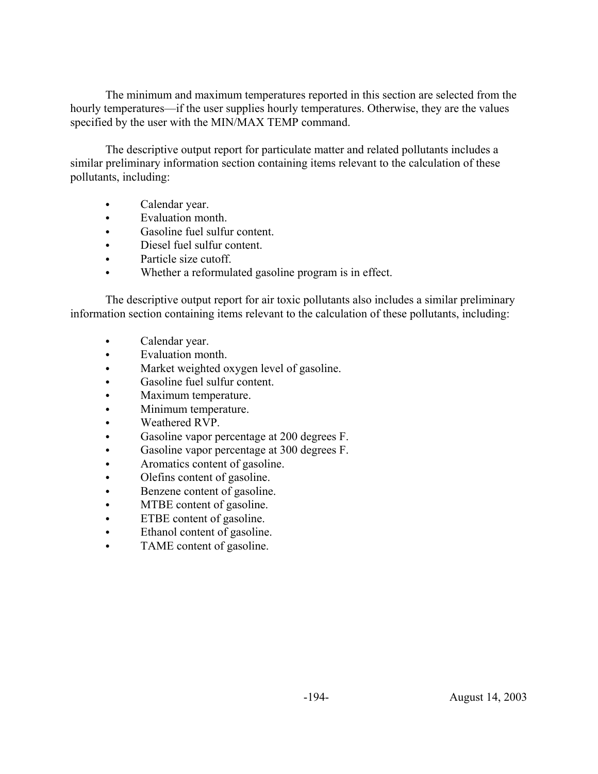The minimum and maximum temperatures reported in this section are selected from the hourly temperatures—if the user supplies hourly temperatures. Otherwise, they are the values specified by the user with the MIN/MAX TEMP command.

The descriptive output report for particulate matter and related pollutants includes a similar preliminary information section containing items relevant to the calculation of these pollutants, including:

- Calendar year.
- Evaluation month.
- Gasoline fuel sulfur content.
- Diesel fuel sulfur content.
- Particle size cutoff.
- Whether a reformulated gasoline program is in effect.

The descriptive output report for air toxic pollutants also includes a similar preliminary information section containing items relevant to the calculation of these pollutants, including:

- Calendar year.
- Evaluation month.
- Market weighted oxygen level of gasoline.
- Gasoline fuel sulfur content.
- Maximum temperature.
- Minimum temperature.
- Weathered RVP.
- Gasoline vapor percentage at 200 degrees F.
- Gasoline vapor percentage at 300 degrees F.
- Aromatics content of gasoline.
- Olefins content of gasoline.
- Benzene content of gasoline.
- MTBE content of gasoline.
- ETBE content of gasoline.
- Ethanol content of gasoline.
- TAME content of gasoline.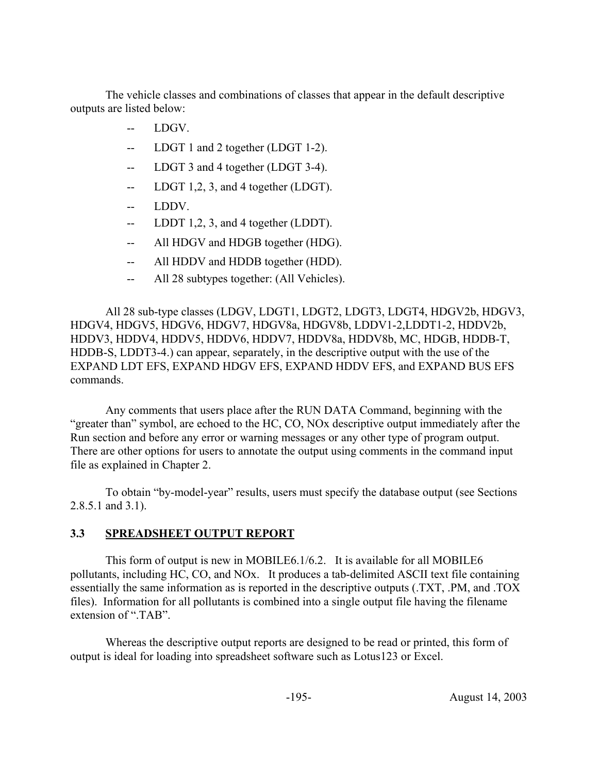The vehicle classes and combinations of classes that appear in the default descriptive outputs are listed below:

- -- LDGV.
- -- LDGT 1 and 2 together (LDGT 1-2).
- -- LDGT 3 and 4 together (LDGT 3-4).
- -- LDGT 1,2, 3, and 4 together (LDGT).
- LDDV.
- -- LDDT 1,2, 3, and 4 together (LDDT).
- -- All HDGV and HDGB together (HDG).
- -- All HDDV and HDDB together (HDD).
- All 28 subtypes together: (All Vehicles).

All 28 sub-type classes (LDGV, LDGT1, LDGT2, LDGT3, LDGT4, HDGV2b, HDGV3, HDGV4, HDGV5, HDGV6, HDGV7, HDGV8a, HDGV8b, LDDV1-2,LDDT1-2, HDDV2b, HDDV3, HDDV4, HDDV5, HDDV6, HDDV7, HDDV8a, HDDV8b, MC, HDGB, HDDB-T, HDDB-S, LDDT3-4.) can appear, separately, in the descriptive output with the use of the EXPAND LDT EFS, EXPAND HDGV EFS, EXPAND HDDV EFS, and EXPAND BUS EFS commands.

Any comments that users place after the RUN DATA Command, beginning with the "greater than" symbol, are echoed to the HC, CO, NOx descriptive output immediately after the Run section and before any error or warning messages or any other type of program output. There are other options for users to annotate the output using comments in the command input file as explained in Chapter 2.

To obtain "by-model-year" results, users must specify the database output (see Sections 2.8.5.1 and 3.1).

# **3.3 SPREADSHEET OUTPUT REPORT**

This form of output is new in MOBILE6.1/6.2. It is available for all MOBILE6 pollutants, including HC, CO, and NOx. It produces a tab-delimited ASCII text file containing essentially the same information as is reported in the descriptive outputs (.TXT, .PM, and .TOX files). Information for all pollutants is combined into a single output file having the filename extension of ".TAB".

Whereas the descriptive output reports are designed to be read or printed, this form of output is ideal for loading into spreadsheet software such as Lotus123 or Excel.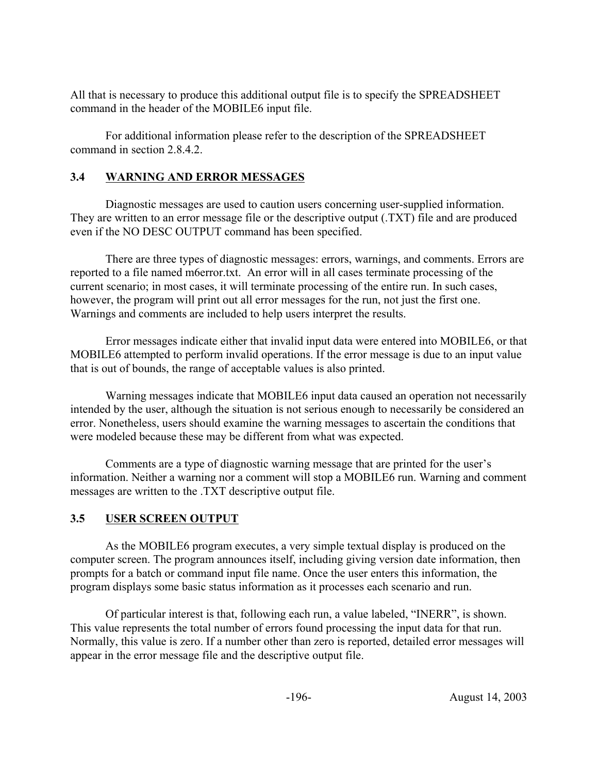All that is necessary to produce this additional output file is to specify the SPREADSHEET command in the header of the MOBILE6 input file.

For additional information please refer to the description of the SPREADSHEET command in section 2.8.4.2.

### **3.4 WARNING AND ERROR MESSAGES**

Diagnostic messages are used to caution users concerning user-supplied information. They are written to an error message file or the descriptive output (.TXT) file and are produced even if the NO DESC OUTPUT command has been specified.

There are three types of diagnostic messages: errors, warnings, and comments. Errors are reported to a file named m6error.txt. An error will in all cases terminate processing of the current scenario; in most cases, it will terminate processing of the entire run. In such cases, however, the program will print out all error messages for the run, not just the first one. Warnings and comments are included to help users interpret the results.

Error messages indicate either that invalid input data were entered into MOBILE6, or that MOBILE6 attempted to perform invalid operations. If the error message is due to an input value that is out of bounds, the range of acceptable values is also printed.

Warning messages indicate that MOBILE6 input data caused an operation not necessarily intended by the user, although the situation is not serious enough to necessarily be considered an error. Nonetheless, users should examine the warning messages to ascertain the conditions that were modeled because these may be different from what was expected.

Comments are a type of diagnostic warning message that are printed for the user's information. Neither a warning nor a comment will stop a MOBILE6 run. Warning and comment messages are written to the .TXT descriptive output file.

# **3.5 USER SCREEN OUTPUT**

As the MOBILE6 program executes, a very simple textual display is produced on the computer screen. The program announces itself, including giving version date information, then prompts for a batch or command input file name. Once the user enters this information, the program displays some basic status information as it processes each scenario and run.

Of particular interest is that, following each run, a value labeled, "INERR", is shown. This value represents the total number of errors found processing the input data for that run. Normally, this value is zero. If a number other than zero is reported, detailed error messages will appear in the error message file and the descriptive output file.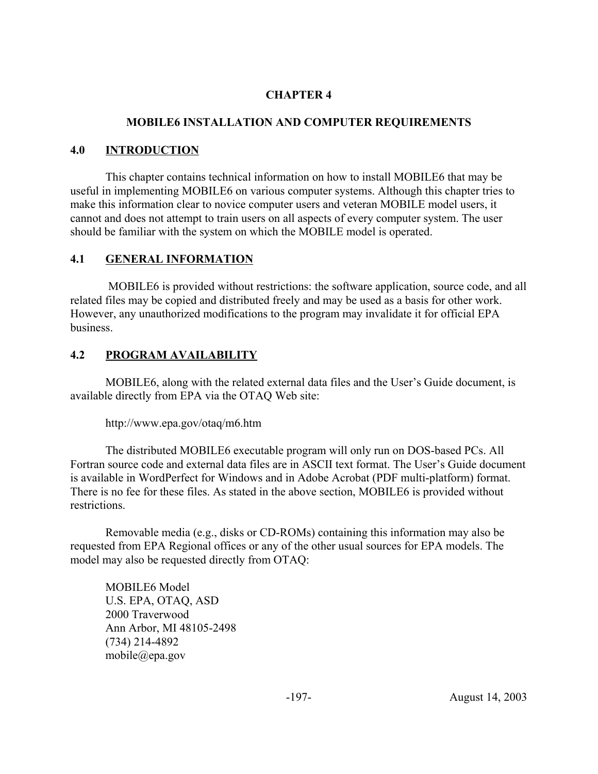# **CHAPTER 4**

### **MOBILE6 INSTALLATION AND COMPUTER REQUIREMENTS**

### **4.0 INTRODUCTION**

This chapter contains technical information on how to install MOBILE6 that may be useful in implementing MOBILE6 on various computer systems. Although this chapter tries to make this information clear to novice computer users and veteran MOBILE model users, it cannot and does not attempt to train users on all aspects of every computer system. The user should be familiar with the system on which the MOBILE model is operated.

# **4.1 GENERAL INFORMATION**

 MOBILE6 is provided without restrictions: the software application, source code, and all related files may be copied and distributed freely and may be used as a basis for other work. However, any unauthorized modifications to the program may invalidate it for official EPA business.

# **4.2 PROGRAM AVAILABILITY**

MOBILE6, along with the related external data files and the User's Guide document, is available directly from EPA via the OTAQ Web site:

http://www.epa.gov/otaq/m6.htm

The distributed MOBILE6 executable program will only run on DOS-based PCs. All Fortran source code and external data files are in ASCII text format. The User's Guide document is available in WordPerfect for Windows and in Adobe Acrobat (PDF multi-platform) format. There is no fee for these files. As stated in the above section, MOBILE6 is provided without restrictions.

Removable media (e.g., disks or CD-ROMs) containing this information may also be requested from EPA Regional offices or any of the other usual sources for EPA models. The model may also be requested directly from OTAQ:

MOBILE6 Model U.S. EPA, OTAQ, ASD 2000 Traverwood Ann Arbor, MI 48105-2498 (734) 214-4892 mobile@epa.gov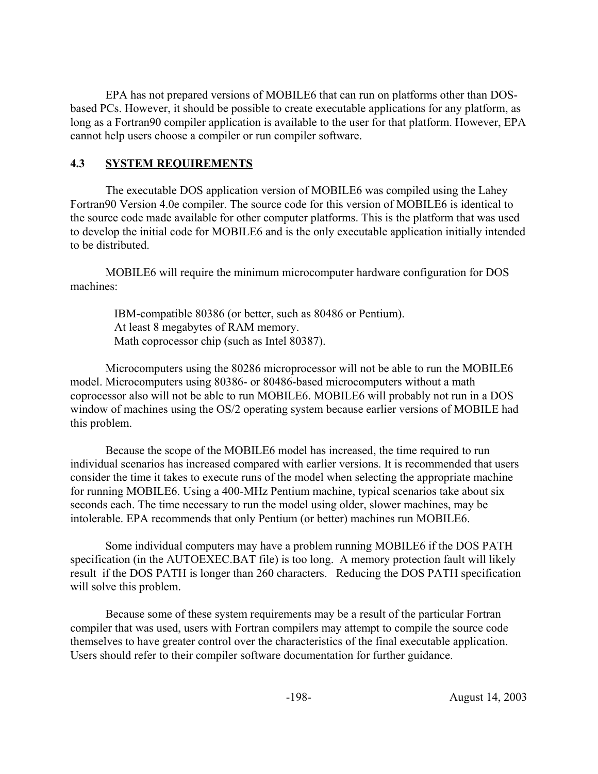EPA has not prepared versions of MOBILE6 that can run on platforms other than DOSbased PCs. However, it should be possible to create executable applications for any platform, as long as a Fortran90 compiler application is available to the user for that platform. However, EPA cannot help users choose a compiler or run compiler software.

### **4.3 SYSTEM REQUIREMENTS**

The executable DOS application version of MOBILE6 was compiled using the Lahey Fortran90 Version 4.0e compiler. The source code for this version of MOBILE6 is identical to the source code made available for other computer platforms. This is the platform that was used to develop the initial code for MOBILE6 and is the only executable application initially intended to be distributed.

MOBILE6 will require the minimum microcomputer hardware configuration for DOS machines:

 IBM-compatible 80386 (or better, such as 80486 or Pentium). At least 8 megabytes of RAM memory. Math coprocessor chip (such as Intel 80387).

Microcomputers using the 80286 microprocessor will not be able to run the MOBILE6 model. Microcomputers using 80386- or 80486-based microcomputers without a math coprocessor also will not be able to run MOBILE6. MOBILE6 will probably not run in a DOS window of machines using the OS/2 operating system because earlier versions of MOBILE had this problem.

Because the scope of the MOBILE6 model has increased, the time required to run individual scenarios has increased compared with earlier versions. It is recommended that users consider the time it takes to execute runs of the model when selecting the appropriate machine for running MOBILE6. Using a 400-MHz Pentium machine, typical scenarios take about six seconds each. The time necessary to run the model using older, slower machines, may be intolerable. EPA recommends that only Pentium (or better) machines run MOBILE6.

Some individual computers may have a problem running MOBILE6 if the DOS PATH specification (in the AUTOEXEC.BAT file) is too long. A memory protection fault will likely result if the DOS PATH is longer than 260 characters. Reducing the DOS PATH specification will solve this problem.

Because some of these system requirements may be a result of the particular Fortran compiler that was used, users with Fortran compilers may attempt to compile the source code themselves to have greater control over the characteristics of the final executable application. Users should refer to their compiler software documentation for further guidance.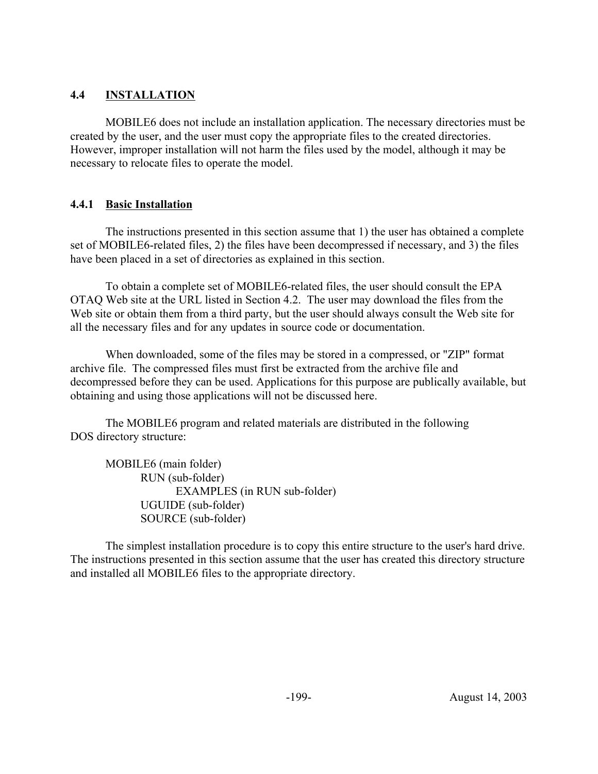# **4.4 INSTALLATION**

MOBILE6 does not include an installation application. The necessary directories must be created by the user, and the user must copy the appropriate files to the created directories. However, improper installation will not harm the files used by the model, although it may be necessary to relocate files to operate the model.

# **4.4.1 Basic Installation**

The instructions presented in this section assume that 1) the user has obtained a complete set of MOBILE6-related files, 2) the files have been decompressed if necessary, and 3) the files have been placed in a set of directories as explained in this section.

To obtain a complete set of MOBILE6-related files, the user should consult the EPA OTAQ Web site at the URL listed in Section 4.2. The user may download the files from the Web site or obtain them from a third party, but the user should always consult the Web site for all the necessary files and for any updates in source code or documentation.

When downloaded, some of the files may be stored in a compressed, or "ZIP" format archive file. The compressed files must first be extracted from the archive file and decompressed before they can be used. Applications for this purpose are publically available, but obtaining and using those applications will not be discussed here.

The MOBILE6 program and related materials are distributed in the following DOS directory structure:

MOBILE6 (main folder) RUN (sub-folder) EXAMPLES (in RUN sub-folder) UGUIDE (sub-folder) SOURCE (sub-folder)

The simplest installation procedure is to copy this entire structure to the user's hard drive. The instructions presented in this section assume that the user has created this directory structure and installed all MOBILE6 files to the appropriate directory.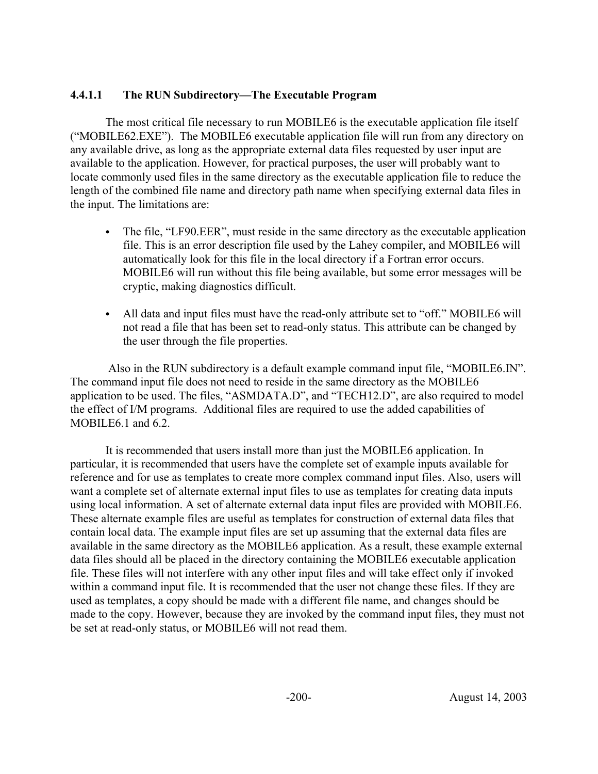### **4.4.1.1 The RUN Subdirectory—The Executable Program**

The most critical file necessary to run MOBILE6 is the executable application file itself ("MOBILE62.EXE"). The MOBILE6 executable application file will run from any directory on any available drive, as long as the appropriate external data files requested by user input are available to the application. However, for practical purposes, the user will probably want to locate commonly used files in the same directory as the executable application file to reduce the length of the combined file name and directory path name when specifying external data files in the input. The limitations are:

- The file, "LF90.EER", must reside in the same directory as the executable application file. This is an error description file used by the Lahey compiler, and MOBILE6 will automatically look for this file in the local directory if a Fortran error occurs. MOBILE6 will run without this file being available, but some error messages will be cryptic, making diagnostics difficult.
- All data and input files must have the read-only attribute set to "off." MOBILE6 will not read a file that has been set to read-only status. This attribute can be changed by the user through the file properties.

 Also in the RUN subdirectory is a default example command input file, "MOBILE6.IN". The command input file does not need to reside in the same directory as the MOBILE6 application to be used. The files, "ASMDATA.D", and "TECH12.D", are also required to model the effect of I/M programs. Additional files are required to use the added capabilities of MOBILE6.1 and 6.2.

It is recommended that users install more than just the MOBILE6 application. In particular, it is recommended that users have the complete set of example inputs available for reference and for use as templates to create more complex command input files. Also, users will want a complete set of alternate external input files to use as templates for creating data inputs using local information. A set of alternate external data input files are provided with MOBILE6. These alternate example files are useful as templates for construction of external data files that contain local data. The example input files are set up assuming that the external data files are available in the same directory as the MOBILE6 application. As a result, these example external data files should all be placed in the directory containing the MOBILE6 executable application file. These files will not interfere with any other input files and will take effect only if invoked within a command input file. It is recommended that the user not change these files. If they are used as templates, a copy should be made with a different file name, and changes should be made to the copy. However, because they are invoked by the command input files, they must not be set at read-only status, or MOBILE6 will not read them.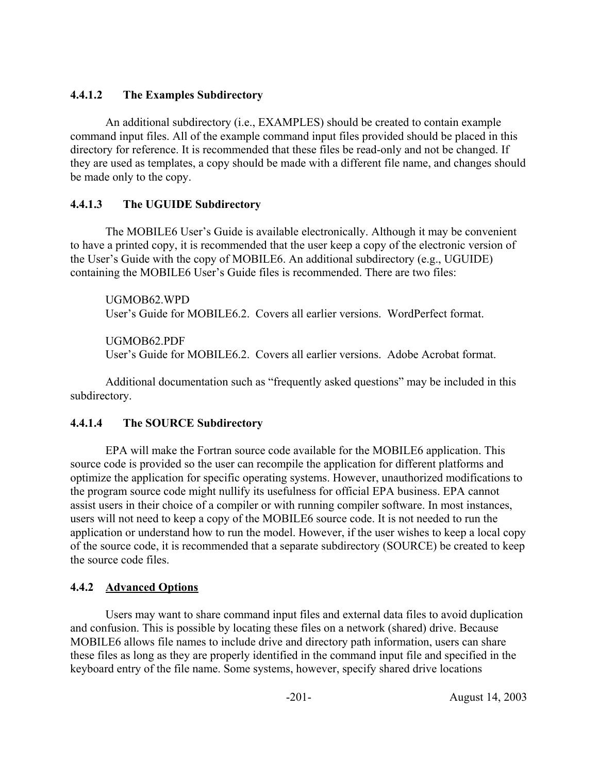# **4.4.1.2 The Examples Subdirectory**

An additional subdirectory (i.e., EXAMPLES) should be created to contain example command input files. All of the example command input files provided should be placed in this directory for reference. It is recommended that these files be read-only and not be changed. If they are used as templates, a copy should be made with a different file name, and changes should be made only to the copy.

# **4.4.1.3 The UGUIDE Subdirectory**

The MOBILE6 User's Guide is available electronically. Although it may be convenient to have a printed copy, it is recommended that the user keep a copy of the electronic version of the User's Guide with the copy of MOBILE6. An additional subdirectory (e.g., UGUIDE) containing the MOBILE6 User's Guide files is recommended. There are two files:

UGMOB62.WPD User's Guide for MOBILE6.2. Covers all earlier versions. WordPerfect format.

UGMOB62.PDF

User's Guide for MOBILE6.2. Covers all earlier versions. Adobe Acrobat format.

Additional documentation such as "frequently asked questions" may be included in this subdirectory.

# **4.4.1.4 The SOURCE Subdirectory**

EPA will make the Fortran source code available for the MOBILE6 application. This source code is provided so the user can recompile the application for different platforms and optimize the application for specific operating systems. However, unauthorized modifications to the program source code might nullify its usefulness for official EPA business. EPA cannot assist users in their choice of a compiler or with running compiler software. In most instances, users will not need to keep a copy of the MOBILE6 source code. It is not needed to run the application or understand how to run the model. However, if the user wishes to keep a local copy of the source code, it is recommended that a separate subdirectory (SOURCE) be created to keep the source code files.

# **4.4.2 Advanced Options**

Users may want to share command input files and external data files to avoid duplication and confusion. This is possible by locating these files on a network (shared) drive. Because MOBILE6 allows file names to include drive and directory path information, users can share these files as long as they are properly identified in the command input file and specified in the keyboard entry of the file name. Some systems, however, specify shared drive locations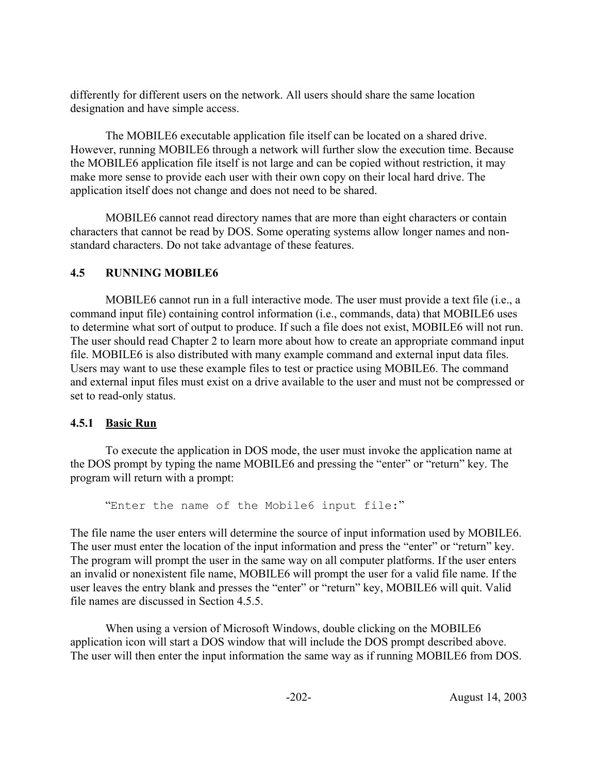differently for different users on the network. All users should share the same location designation and have simple access.

The MOBILE6 executable application file itself can be located on a shared drive. However, running MOBILE6 through a network will further slow the execution time. Because the MOBILE6 application file itself is not large and can be copied without restriction, it may make more sense to provide each user with their own copy on their local hard drive. The application itself does not change and does not need to be shared.

MOBILE6 cannot read directory names that are more than eight characters or contain characters that cannot be read by DOS. Some operating systems allow longer names and nonstandard characters. Do not take advantage of these features.

### **4.5 RUNNING MOBILE6**

MOBILE6 cannot run in a full interactive mode. The user must provide a text file (i.e., a command input file) containing control information (i.e., commands, data) that MOBILE6 uses to determine what sort of output to produce. If such a file does not exist, MOBILE6 will not run. The user should read Chapter 2 to learn more about how to create an appropriate command input file. MOBILE6 is also distributed with many example command and external input data files. Users may want to use these example files to test or practice using MOBILE6. The command and external input files must exist on a drive available to the user and must not be compressed or set to read-only status.

# **4.5.1 Basic Run**

To execute the application in DOS mode, the user must invoke the application name at the DOS prompt by typing the name MOBILE6 and pressing the "enter" or "return" key. The program will return with a prompt:

"Enter the name of the Mobile6 input file:"

The file name the user enters will determine the source of input information used by MOBILE6. The user must enter the location of the input information and press the "enter" or "return" key. The program will prompt the user in the same way on all computer platforms. If the user enters an invalid or nonexistent file name, MOBILE6 will prompt the user for a valid file name. If the user leaves the entry blank and presses the "enter" or "return" key, MOBILE6 will quit. Valid file names are discussed in Section 4.5.5.

When using a version of Microsoft Windows, double clicking on the MOBILE6 application icon will start a DOS window that will include the DOS prompt described above. The user will then enter the input information the same way as if running MOBILE6 from DOS.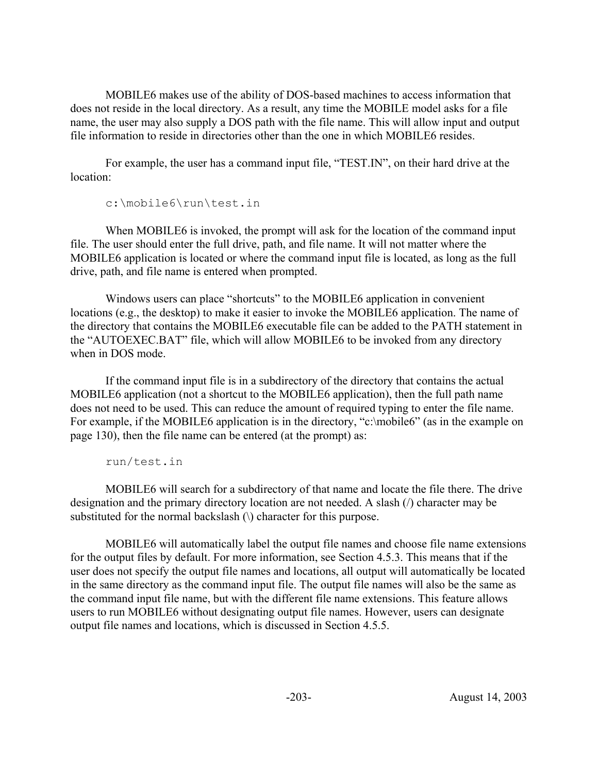MOBILE6 makes use of the ability of DOS-based machines to access information that does not reside in the local directory. As a result, any time the MOBILE model asks for a file name, the user may also supply a DOS path with the file name. This will allow input and output file information to reside in directories other than the one in which MOBILE6 resides.

For example, the user has a command input file, "TEST.IN", on their hard drive at the location:

c:\mobile6\run\test.in

When MOBILE6 is invoked, the prompt will ask for the location of the command input file. The user should enter the full drive, path, and file name. It will not matter where the MOBILE6 application is located or where the command input file is located, as long as the full drive, path, and file name is entered when prompted.

Windows users can place "shortcuts" to the MOBILE6 application in convenient locations (e.g., the desktop) to make it easier to invoke the MOBILE6 application. The name of the directory that contains the MOBILE6 executable file can be added to the PATH statement in the "AUTOEXEC.BAT" file, which will allow MOBILE6 to be invoked from any directory when in DOS mode.

If the command input file is in a subdirectory of the directory that contains the actual MOBILE6 application (not a shortcut to the MOBILE6 application), then the full path name does not need to be used. This can reduce the amount of required typing to enter the file name. For example, if the MOBILE6 application is in the directory, "c:\mobile6" (as in the example on page 130), then the file name can be entered (at the prompt) as:

run/test.in

MOBILE6 will search for a subdirectory of that name and locate the file there. The drive designation and the primary directory location are not needed. A slash (/) character may be substituted for the normal backslash  $\langle \rangle$  character for this purpose.

MOBILE6 will automatically label the output file names and choose file name extensions for the output files by default. For more information, see Section 4.5.3. This means that if the user does not specify the output file names and locations, all output will automatically be located in the same directory as the command input file. The output file names will also be the same as the command input file name, but with the different file name extensions. This feature allows users to run MOBILE6 without designating output file names. However, users can designate output file names and locations, which is discussed in Section 4.5.5.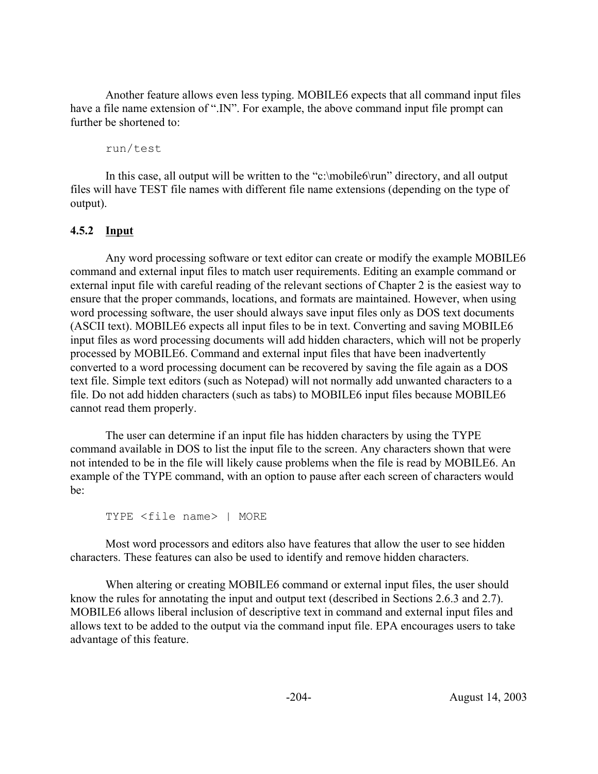Another feature allows even less typing. MOBILE6 expects that all command input files have a file name extension of ".IN". For example, the above command input file prompt can further be shortened to:

run/test

In this case, all output will be written to the "c:\mobile6\run" directory, and all output files will have TEST file names with different file name extensions (depending on the type of output).

# **4.5.2 Input**

Any word processing software or text editor can create or modify the example MOBILE6 command and external input files to match user requirements. Editing an example command or external input file with careful reading of the relevant sections of Chapter 2 is the easiest way to ensure that the proper commands, locations, and formats are maintained. However, when using word processing software, the user should always save input files only as DOS text documents (ASCII text). MOBILE6 expects all input files to be in text. Converting and saving MOBILE6 input files as word processing documents will add hidden characters, which will not be properly processed by MOBILE6. Command and external input files that have been inadvertently converted to a word processing document can be recovered by saving the file again as a DOS text file. Simple text editors (such as Notepad) will not normally add unwanted characters to a file. Do not add hidden characters (such as tabs) to MOBILE6 input files because MOBILE6 cannot read them properly.

The user can determine if an input file has hidden characters by using the TYPE command available in DOS to list the input file to the screen. Any characters shown that were not intended to be in the file will likely cause problems when the file is read by MOBILE6. An example of the TYPE command, with an option to pause after each screen of characters would be:

```
TYPE <file name> | MORE
```
Most word processors and editors also have features that allow the user to see hidden characters. These features can also be used to identify and remove hidden characters.

When altering or creating MOBILE6 command or external input files, the user should know the rules for annotating the input and output text (described in Sections 2.6.3 and 2.7). MOBILE6 allows liberal inclusion of descriptive text in command and external input files and allows text to be added to the output via the command input file. EPA encourages users to take advantage of this feature.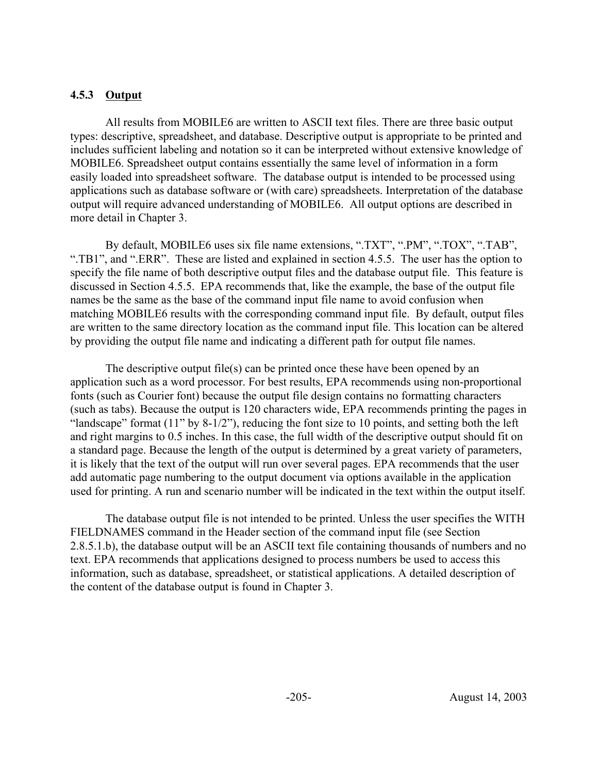#### **4.5.3 Output**

All results from MOBILE6 are written to ASCII text files. There are three basic output types: descriptive, spreadsheet, and database. Descriptive output is appropriate to be printed and includes sufficient labeling and notation so it can be interpreted without extensive knowledge of MOBILE6. Spreadsheet output contains essentially the same level of information in a form easily loaded into spreadsheet software. The database output is intended to be processed using applications such as database software or (with care) spreadsheets. Interpretation of the database output will require advanced understanding of MOBILE6. All output options are described in more detail in Chapter 3.

By default, MOBILE6 uses six file name extensions, ".TXT", ".PM", ".TOX", ".TAB", ".TB1", and ".ERR". These are listed and explained in section 4.5.5. The user has the option to specify the file name of both descriptive output files and the database output file. This feature is discussed in Section 4.5.5. EPA recommends that, like the example, the base of the output file names be the same as the base of the command input file name to avoid confusion when matching MOBILE6 results with the corresponding command input file. By default, output files are written to the same directory location as the command input file. This location can be altered by providing the output file name and indicating a different path for output file names.

The descriptive output file(s) can be printed once these have been opened by an application such as a word processor. For best results, EPA recommends using non-proportional fonts (such as Courier font) because the output file design contains no formatting characters (such as tabs). Because the output is 120 characters wide, EPA recommends printing the pages in "landscape" format (11" by 8-1/2"), reducing the font size to 10 points, and setting both the left and right margins to 0.5 inches. In this case, the full width of the descriptive output should fit on a standard page. Because the length of the output is determined by a great variety of parameters, it is likely that the text of the output will run over several pages. EPA recommends that the user add automatic page numbering to the output document via options available in the application used for printing. A run and scenario number will be indicated in the text within the output itself.

The database output file is not intended to be printed. Unless the user specifies the WITH FIELDNAMES command in the Header section of the command input file (see Section 2.8.5.1.b), the database output will be an ASCII text file containing thousands of numbers and no text. EPA recommends that applications designed to process numbers be used to access this information, such as database, spreadsheet, or statistical applications. A detailed description of the content of the database output is found in Chapter 3.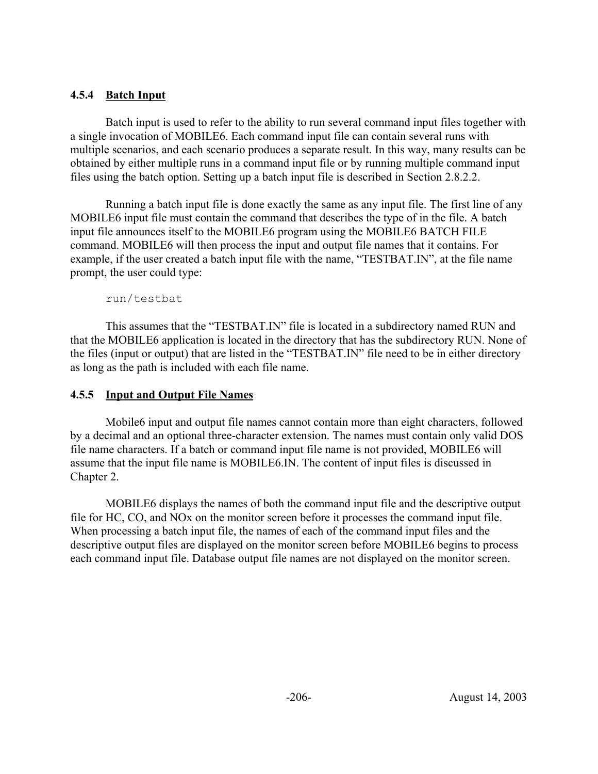# **4.5.4 Batch Input**

Batch input is used to refer to the ability to run several command input files together with a single invocation of MOBILE6. Each command input file can contain several runs with multiple scenarios, and each scenario produces a separate result. In this way, many results can be obtained by either multiple runs in a command input file or by running multiple command input files using the batch option. Setting up a batch input file is described in Section 2.8.2.2.

Running a batch input file is done exactly the same as any input file. The first line of any MOBILE6 input file must contain the command that describes the type of in the file. A batch input file announces itself to the MOBILE6 program using the MOBILE6 BATCH FILE command. MOBILE6 will then process the input and output file names that it contains. For example, if the user created a batch input file with the name, "TESTBAT.IN", at the file name prompt, the user could type:

run/testbat

This assumes that the "TESTBAT.IN" file is located in a subdirectory named RUN and that the MOBILE6 application is located in the directory that has the subdirectory RUN. None of the files (input or output) that are listed in the "TESTBAT.IN" file need to be in either directory as long as the path is included with each file name.

### **4.5.5 Input and Output File Names**

Mobile6 input and output file names cannot contain more than eight characters, followed by a decimal and an optional three-character extension. The names must contain only valid DOS file name characters. If a batch or command input file name is not provided, MOBILE6 will assume that the input file name is MOBILE6.IN. The content of input files is discussed in Chapter 2.

MOBILE6 displays the names of both the command input file and the descriptive output file for HC, CO, and NOx on the monitor screen before it processes the command input file. When processing a batch input file, the names of each of the command input files and the descriptive output files are displayed on the monitor screen before MOBILE6 begins to process each command input file. Database output file names are not displayed on the monitor screen.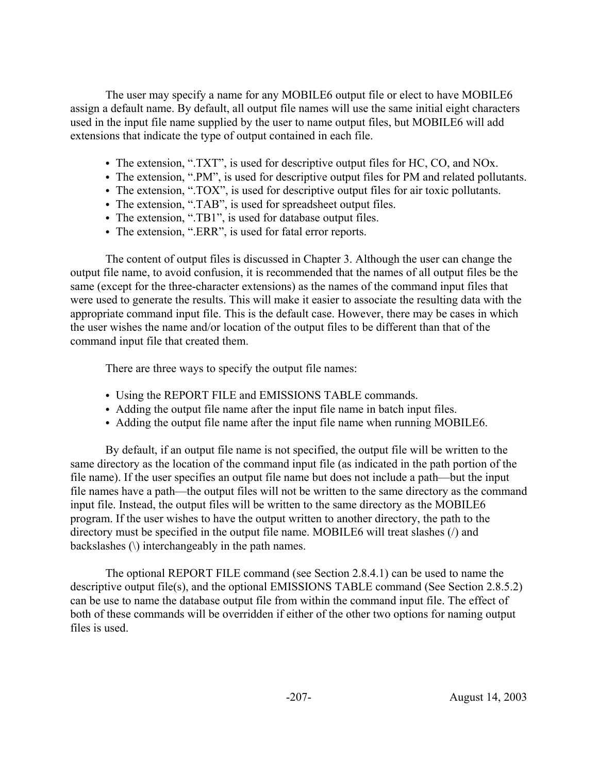The user may specify a name for any MOBILE6 output file or elect to have MOBILE6 assign a default name. By default, all output file names will use the same initial eight characters used in the input file name supplied by the user to name output files, but MOBILE6 will add extensions that indicate the type of output contained in each file.

- The extension, ".TXT", is used for descriptive output files for HC, CO, and NOx.
- The extension, ".PM", is used for descriptive output files for PM and related pollutants.
- The extension, ".TOX", is used for descriptive output files for air toxic pollutants.
- The extension, ".TAB", is used for spreadsheet output files.
- The extension, ".TB1", is used for database output files.
- The extension, ".ERR", is used for fatal error reports.

The content of output files is discussed in Chapter 3. Although the user can change the output file name, to avoid confusion, it is recommended that the names of all output files be the same (except for the three-character extensions) as the names of the command input files that were used to generate the results. This will make it easier to associate the resulting data with the appropriate command input file. This is the default case. However, there may be cases in which the user wishes the name and/or location of the output files to be different than that of the command input file that created them.

There are three ways to specify the output file names:

- Using the REPORT FILE and EMISSIONS TABLE commands.
- Adding the output file name after the input file name in batch input files.
- Adding the output file name after the input file name when running MOBILE6.

By default, if an output file name is not specified, the output file will be written to the same directory as the location of the command input file (as indicated in the path portion of the file name). If the user specifies an output file name but does not include a path—but the input file names have a path—the output files will not be written to the same directory as the command input file. Instead, the output files will be written to the same directory as the MOBILE6 program. If the user wishes to have the output written to another directory, the path to the directory must be specified in the output file name. MOBILE6 will treat slashes (/) and backslashes (\) interchangeably in the path names.

The optional REPORT FILE command (see Section 2.8.4.1) can be used to name the descriptive output file(s), and the optional EMISSIONS TABLE command (See Section 2.8.5.2) can be use to name the database output file from within the command input file. The effect of both of these commands will be overridden if either of the other two options for naming output files is used.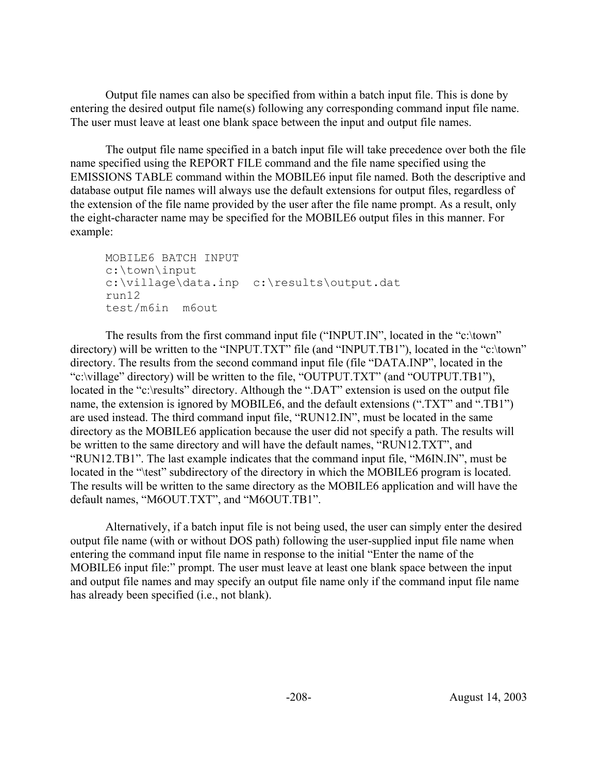Output file names can also be specified from within a batch input file. This is done by entering the desired output file name(s) following any corresponding command input file name. The user must leave at least one blank space between the input and output file names.

The output file name specified in a batch input file will take precedence over both the file name specified using the REPORT FILE command and the file name specified using the EMISSIONS TABLE command within the MOBILE6 input file named. Both the descriptive and database output file names will always use the default extensions for output files, regardless of the extension of the file name provided by the user after the file name prompt. As a result, only the eight-character name may be specified for the MOBILE6 output files in this manner. For example:

```
MOBILE6 BATCH INPUT
c:\town\input
c:\village\data.inp c:\results\output.dat
run12
test/m6in m6out
```
The results from the first command input file ("INPUT.IN", located in the "c:\town" directory) will be written to the "INPUT.TXT" file (and "INPUT.TB1"), located in the "c:\town" directory. The results from the second command input file (file "DATA.INP", located in the "c:\village" directory) will be written to the file, "OUTPUT.TXT" (and "OUTPUT.TB1"), located in the "c:\results" directory. Although the ".DAT" extension is used on the output file name, the extension is ignored by MOBILE6, and the default extensions ("TXT" and "TB1") are used instead. The third command input file, "RUN12.IN", must be located in the same directory as the MOBILE6 application because the user did not specify a path. The results will be written to the same directory and will have the default names, "RUN12.TXT", and "RUN12.TB1". The last example indicates that the command input file, "M6IN.IN", must be located in the "\test" subdirectory of the directory in which the MOBILE6 program is located. The results will be written to the same directory as the MOBILE6 application and will have the default names, "M6OUT.TXT", and "M6OUT.TB1".

Alternatively, if a batch input file is not being used, the user can simply enter the desired output file name (with or without DOS path) following the user-supplied input file name when entering the command input file name in response to the initial "Enter the name of the MOBILE6 input file:" prompt. The user must leave at least one blank space between the input and output file names and may specify an output file name only if the command input file name has already been specified (i.e., not blank).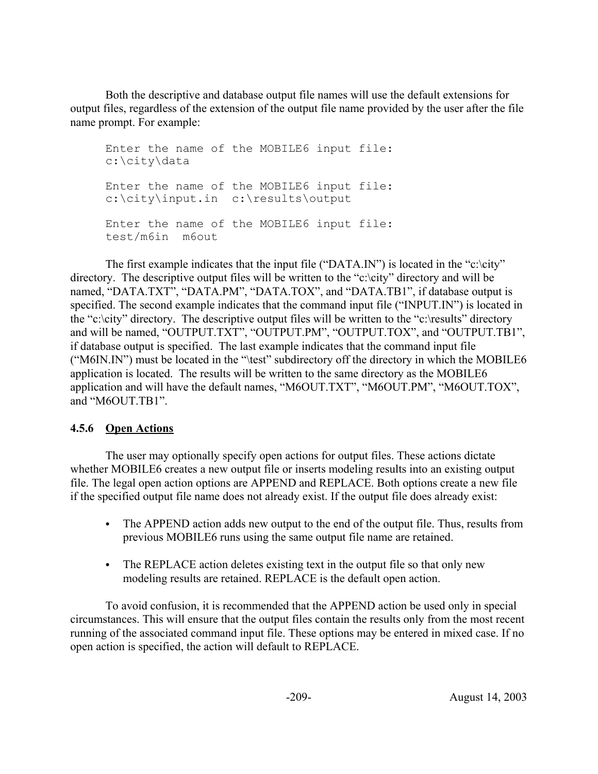Both the descriptive and database output file names will use the default extensions for output files, regardless of the extension of the output file name provided by the user after the file name prompt. For example:

Enter the name of the MOBILE6 input file: c:\city\data Enter the name of the MOBILE6 input file: c:\city\input.in c:\results\output Enter the name of the MOBILE6 input file: test/m6in m6out

The first example indicates that the input file ("DATA.IN") is located in the "c:\city" directory. The descriptive output files will be written to the "c:\city" directory and will be named, "DATA.TXT", "DATA.PM", "DATA.TOX", and "DATA.TB1", if database output is specified. The second example indicates that the command input file ("INPUT.IN") is located in the "c:\city" directory. The descriptive output files will be written to the "c:\results" directory and will be named, "OUTPUT.TXT", "OUTPUT.PM", "OUTPUT.TOX", and "OUTPUT.TB1", if database output is specified. The last example indicates that the command input file ("M6IN.IN") must be located in the "\test" subdirectory off the directory in which the MOBILE6 application is located. The results will be written to the same directory as the MOBILE6 application and will have the default names, "M6OUT.TXT", "M6OUT.PM", "M6OUT.TOX", and "M6OUT.TB1".

### **4.5.6 Open Actions**

The user may optionally specify open actions for output files. These actions dictate whether MOBILE6 creates a new output file or inserts modeling results into an existing output file. The legal open action options are APPEND and REPLACE. Both options create a new file if the specified output file name does not already exist. If the output file does already exist:

- The APPEND action adds new output to the end of the output file. Thus, results from previous MOBILE6 runs using the same output file name are retained.
- The REPLACE action deletes existing text in the output file so that only new modeling results are retained. REPLACE is the default open action.

To avoid confusion, it is recommended that the APPEND action be used only in special circumstances. This will ensure that the output files contain the results only from the most recent running of the associated command input file. These options may be entered in mixed case. If no open action is specified, the action will default to REPLACE.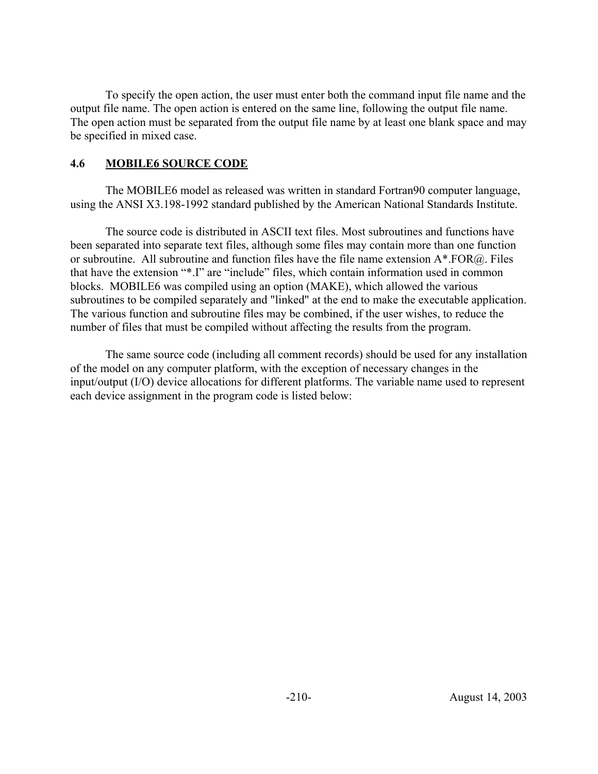To specify the open action, the user must enter both the command input file name and the output file name. The open action is entered on the same line, following the output file name. The open action must be separated from the output file name by at least one blank space and may be specified in mixed case.

### **4.6 MOBILE6 SOURCE CODE**

The MOBILE6 model as released was written in standard Fortran90 computer language, using the ANSI X3.198-1992 standard published by the American National Standards Institute.

The source code is distributed in ASCII text files. Most subroutines and functions have been separated into separate text files, although some files may contain more than one function or subroutine. All subroutine and function files have the file name extension A\*.FOR@. Files that have the extension "\*.I" are "include" files, which contain information used in common blocks. MOBILE6 was compiled using an option (MAKE), which allowed the various subroutines to be compiled separately and "linked" at the end to make the executable application. The various function and subroutine files may be combined, if the user wishes, to reduce the number of files that must be compiled without affecting the results from the program.

The same source code (including all comment records) should be used for any installation of the model on any computer platform, with the exception of necessary changes in the input/output (I/O) device allocations for different platforms. The variable name used to represent each device assignment in the program code is listed below: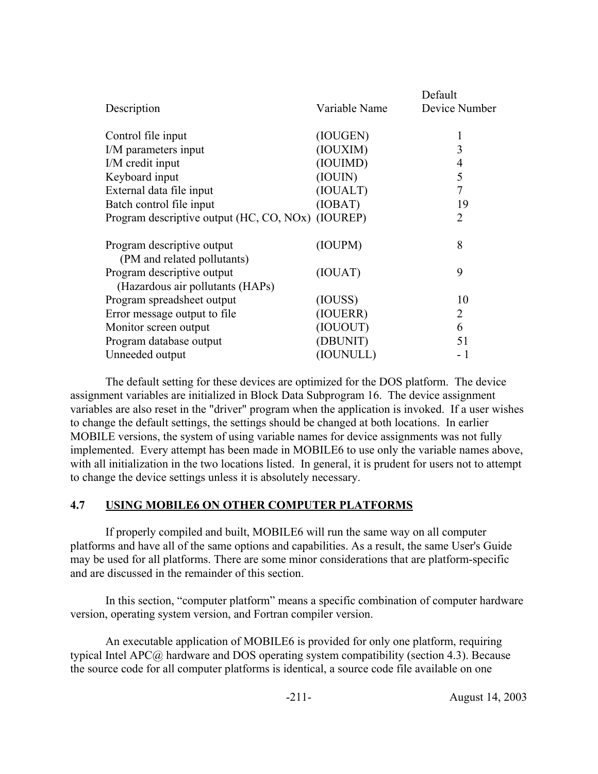|                                                           |               | Default       |
|-----------------------------------------------------------|---------------|---------------|
| Description                                               | Variable Name | Device Number |
| Control file input                                        | (IOUGEN)      | 1             |
| I/M parameters input                                      | (IOUXIM)      | 3             |
| I/M credit input                                          | (IOUIMD)      | 4             |
| Keyboard input                                            | (IOUIN)       | 5             |
| External data file input                                  | (IOUALT)      | 7             |
| Batch control file input                                  | (IOBAT)       | 19            |
| Program descriptive output (HC, CO, NOx) (IOUREP)         |               | 2             |
| Program descriptive output<br>(PM and related pollutants) | (IOUPM)       | 8             |
| Program descriptive output                                | (IOUAT)       | 9             |
| (Hazardous air pollutants (HAPs)                          |               |               |
| Program spreadsheet output                                | (IOUSS)       | 10            |
| Error message output to file                              | (IOUERR)      | 2             |
| Monitor screen output                                     | (IOUOUT)      | 6             |
| Program database output                                   | (DBUNIT)      | 51            |
| Unneeded output                                           | (IOUNULL)     | - 1           |

The default setting for these devices are optimized for the DOS platform. The device assignment variables are initialized in Block Data Subprogram 16. The device assignment variables are also reset in the "driver" program when the application is invoked. If a user wishes to change the default settings, the settings should be changed at both locations. In earlier MOBILE versions, the system of using variable names for device assignments was not fully implemented. Every attempt has been made in MOBILE6 to use only the variable names above, with all initialization in the two locations listed. In general, it is prudent for users not to attempt to change the device settings unless it is absolutely necessary.

### **4.7 USING MOBILE6 ON OTHER COMPUTER PLATFORMS**

If properly compiled and built, MOBILE6 will run the same way on all computer platforms and have all of the same options and capabilities. As a result, the same User's Guide may be used for all platforms. There are some minor considerations that are platform-specific and are discussed in the remainder of this section.

In this section, "computer platform" means a specific combination of computer hardware version, operating system version, and Fortran compiler version.

An executable application of MOBILE6 is provided for only one platform, requiring typical Intel APC@ hardware and DOS operating system compatibility (section 4.3). Because the source code for all computer platforms is identical, a source code file available on one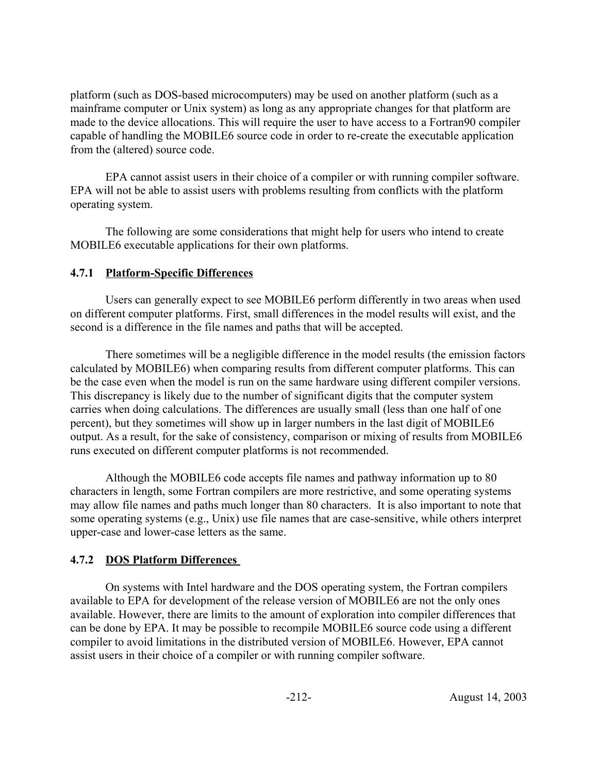platform (such as DOS-based microcomputers) may be used on another platform (such as a mainframe computer or Unix system) as long as any appropriate changes for that platform are made to the device allocations. This will require the user to have access to a Fortran90 compiler capable of handling the MOBILE6 source code in order to re-create the executable application from the (altered) source code.

EPA cannot assist users in their choice of a compiler or with running compiler software. EPA will not be able to assist users with problems resulting from conflicts with the platform operating system.

The following are some considerations that might help for users who intend to create MOBILE6 executable applications for their own platforms.

### **4.7.1 Platform-Specific Differences**

Users can generally expect to see MOBILE6 perform differently in two areas when used on different computer platforms. First, small differences in the model results will exist, and the second is a difference in the file names and paths that will be accepted.

There sometimes will be a negligible difference in the model results (the emission factors calculated by MOBILE6) when comparing results from different computer platforms. This can be the case even when the model is run on the same hardware using different compiler versions. This discrepancy is likely due to the number of significant digits that the computer system carries when doing calculations. The differences are usually small (less than one half of one percent), but they sometimes will show up in larger numbers in the last digit of MOBILE6 output. As a result, for the sake of consistency, comparison or mixing of results from MOBILE6 runs executed on different computer platforms is not recommended.

Although the MOBILE6 code accepts file names and pathway information up to 80 characters in length, some Fortran compilers are more restrictive, and some operating systems may allow file names and paths much longer than 80 characters. It is also important to note that some operating systems (e.g., Unix) use file names that are case-sensitive, while others interpret upper-case and lower-case letters as the same.

# **4.7.2 DOS Platform Differences**

On systems with Intel hardware and the DOS operating system, the Fortran compilers available to EPA for development of the release version of MOBILE6 are not the only ones available. However, there are limits to the amount of exploration into compiler differences that can be done by EPA. It may be possible to recompile MOBILE6 source code using a different compiler to avoid limitations in the distributed version of MOBILE6. However, EPA cannot assist users in their choice of a compiler or with running compiler software.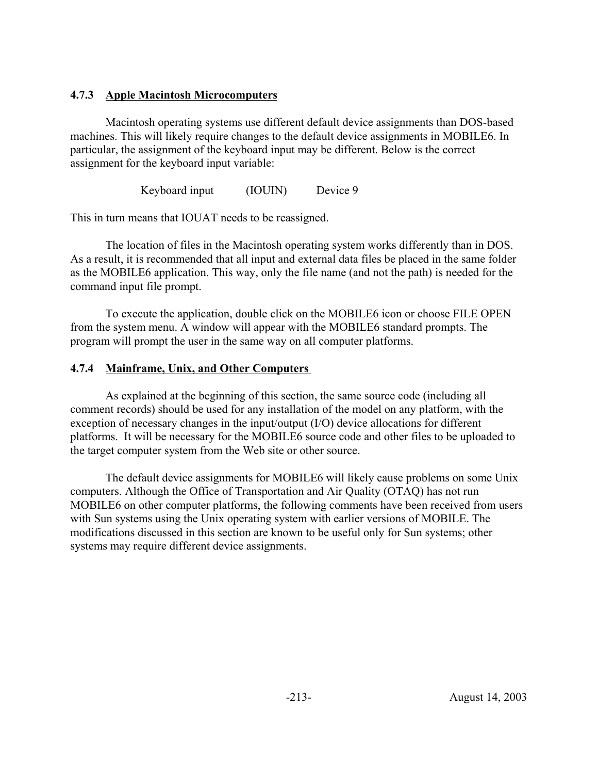### **4.7.3 Apple Macintosh Microcomputers**

Macintosh operating systems use different default device assignments than DOS-based machines. This will likely require changes to the default device assignments in MOBILE6. In particular, the assignment of the keyboard input may be different. Below is the correct assignment for the keyboard input variable:

Keyboard input (IOUIN) Device 9

This in turn means that IOUAT needs to be reassigned.

The location of files in the Macintosh operating system works differently than in DOS. As a result, it is recommended that all input and external data files be placed in the same folder as the MOBILE6 application. This way, only the file name (and not the path) is needed for the command input file prompt.

To execute the application, double click on the MOBILE6 icon or choose FILE OPEN from the system menu. A window will appear with the MOBILE6 standard prompts. The program will prompt the user in the same way on all computer platforms.

### **4.7.4 Mainframe, Unix, and Other Computers**

As explained at the beginning of this section, the same source code (including all comment records) should be used for any installation of the model on any platform, with the exception of necessary changes in the input/output (I/O) device allocations for different platforms.It will be necessary for the MOBILE6 source code and other files to be uploaded to the target computer system from the Web site or other source.

The default device assignments for MOBILE6 will likely cause problems on some Unix computers. Although the Office of Transportation and Air Quality (OTAQ) has not run MOBILE6 on other computer platforms, the following comments have been received from users with Sun systems using the Unix operating system with earlier versions of MOBILE. The modifications discussed in this section are known to be useful only for Sun systems; other systems may require different device assignments.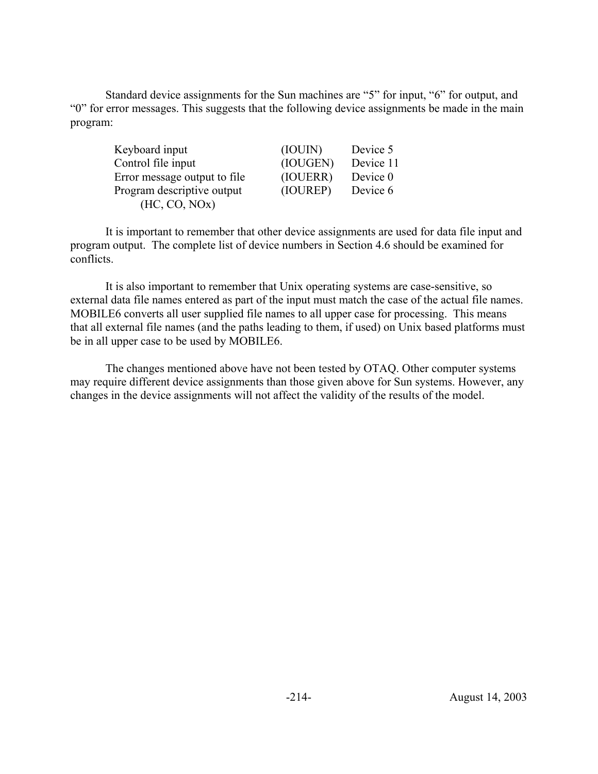Standard device assignments for the Sun machines are "5" for input, "6" for output, and "0" for error messages. This suggests that the following device assignments be made in the main program:

| Keyboard input                | (IOUIN)  | Device 5  |
|-------------------------------|----------|-----------|
| Control file input            | (IOUGEN) | Device 11 |
| Error message output to file. | (IOUERR) | Device 0  |
| Program descriptive output    | (IOUREP) | Device 6  |
| (HC, CO, NOx)                 |          |           |

It is important to remember that other device assignments are used for data file input and program output. The complete list of device numbers in Section 4.6 should be examined for conflicts.

It is also important to remember that Unix operating systems are case-sensitive, so external data file names entered as part of the input must match the case of the actual file names. MOBILE6 converts all user supplied file names to all upper case for processing. This means that all external file names (and the paths leading to them, if used) on Unix based platforms must be in all upper case to be used by MOBILE6.

The changes mentioned above have not been tested by OTAQ. Other computer systems may require different device assignments than those given above for Sun systems. However, any changes in the device assignments will not affect the validity of the results of the model.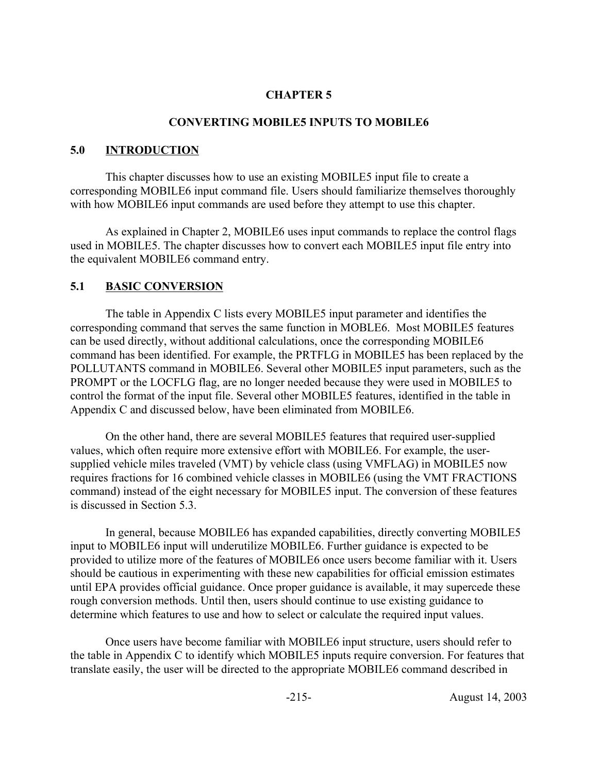#### **CHAPTER 5**

#### **CONVERTING MOBILE5 INPUTS TO MOBILE6**

#### **5.0 INTRODUCTION**

This chapter discusses how to use an existing MOBILE5 input file to create a corresponding MOBILE6 input command file. Users should familiarize themselves thoroughly with how MOBILE6 input commands are used before they attempt to use this chapter.

As explained in Chapter 2, MOBILE6 uses input commands to replace the control flags used in MOBILE5. The chapter discusses how to convert each MOBILE5 input file entry into the equivalent MOBILE6 command entry.

### **5.1 BASIC CONVERSION**

The table in Appendix C lists every MOBILE5 input parameter and identifies the corresponding command that serves the same function in MOBLE6. Most MOBILE5 features can be used directly, without additional calculations, once the corresponding MOBILE6 command has been identified. For example, the PRTFLG in MOBILE5 has been replaced by the POLLUTANTS command in MOBILE6. Several other MOBILE5 input parameters, such as the PROMPT or the LOCFLG flag, are no longer needed because they were used in MOBILE5 to control the format of the input file. Several other MOBILE5 features, identified in the table in Appendix C and discussed below, have been eliminated from MOBILE6.

On the other hand, there are several MOBILE5 features that required user-supplied values, which often require more extensive effort with MOBILE6. For example, the usersupplied vehicle miles traveled (VMT) by vehicle class (using VMFLAG) in MOBILE5 now requires fractions for 16 combined vehicle classes in MOBILE6 (using the VMT FRACTIONS command) instead of the eight necessary for MOBILE5 input. The conversion of these features is discussed in Section 5.3.

In general, because MOBILE6 has expanded capabilities, directly converting MOBILE5 input to MOBILE6 input will underutilize MOBILE6. Further guidance is expected to be provided to utilize more of the features of MOBILE6 once users become familiar with it. Users should be cautious in experimenting with these new capabilities for official emission estimates until EPA provides official guidance. Once proper guidance is available, it may supercede these rough conversion methods. Until then, users should continue to use existing guidance to determine which features to use and how to select or calculate the required input values.

Once users have become familiar with MOBILE6 input structure, users should refer to the table in Appendix C to identify which MOBILE5 inputs require conversion. For features that translate easily, the user will be directed to the appropriate MOBILE6 command described in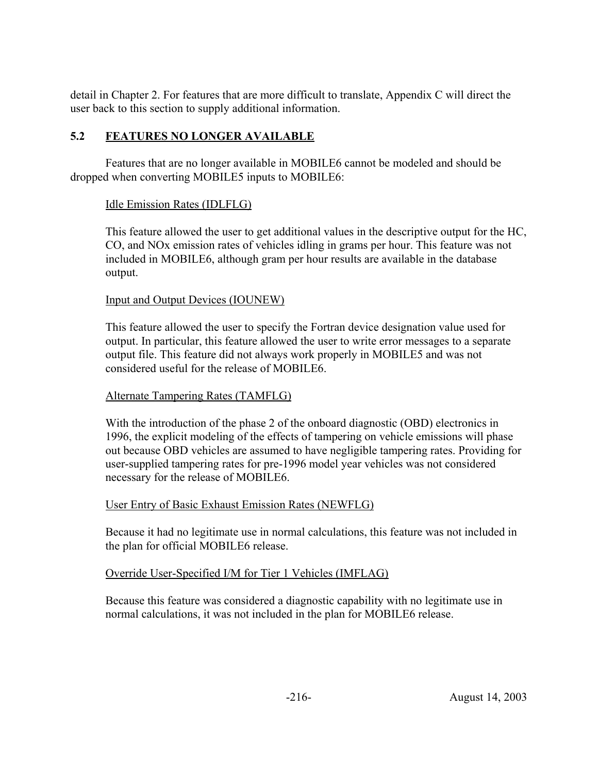detail in Chapter 2. For features that are more difficult to translate, Appendix C will direct the user back to this section to supply additional information.

# **5.2 FEATURES NO LONGER AVAILABLE**

Features that are no longer available in MOBILE6 cannot be modeled and should be dropped when converting MOBILE5 inputs to MOBILE6:

# Idle Emission Rates (IDLFLG)

This feature allowed the user to get additional values in the descriptive output for the HC, CO, and NOx emission rates of vehicles idling in grams per hour. This feature was not included in MOBILE6, although gram per hour results are available in the database output.

# Input and Output Devices (IOUNEW)

This feature allowed the user to specify the Fortran device designation value used for output. In particular, this feature allowed the user to write error messages to a separate output file. This feature did not always work properly in MOBILE5 and was not considered useful for the release of MOBILE6.

# Alternate Tampering Rates (TAMFLG)

With the introduction of the phase 2 of the onboard diagnostic (OBD) electronics in 1996, the explicit modeling of the effects of tampering on vehicle emissions will phase out because OBD vehicles are assumed to have negligible tampering rates. Providing for user-supplied tampering rates for pre-1996 model year vehicles was not considered necessary for the release of MOBILE6.

### User Entry of Basic Exhaust Emission Rates (NEWFLG)

Because it had no legitimate use in normal calculations, this feature was not included in the plan for official MOBILE6 release.

# Override User-Specified I/M for Tier 1 Vehicles (IMFLAG)

Because this feature was considered a diagnostic capability with no legitimate use in normal calculations, it was not included in the plan for MOBILE6 release.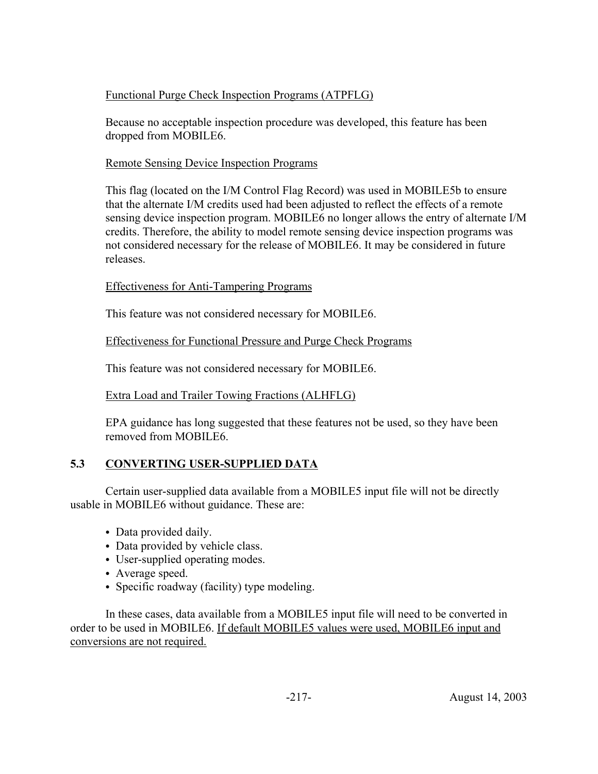# Functional Purge Check Inspection Programs (ATPFLG)

Because no acceptable inspection procedure was developed, this feature has been dropped from MOBILE6.

# Remote Sensing Device Inspection Programs

This flag (located on the I/M Control Flag Record) was used in MOBILE5b to ensure that the alternate I/M credits used had been adjusted to reflect the effects of a remote sensing device inspection program. MOBILE6 no longer allows the entry of alternate I/M credits. Therefore, the ability to model remote sensing device inspection programs was not considered necessary for the release of MOBILE6. It may be considered in future releases.

# Effectiveness for Anti-Tampering Programs

This feature was not considered necessary for MOBILE6.

# Effectiveness for Functional Pressure and Purge Check Programs

This feature was not considered necessary for MOBILE6.

# Extra Load and Trailer Towing Fractions (ALHFLG)

EPA guidance has long suggested that these features not be used, so they have been removed from MOBILE6.

# **5.3 CONVERTING USER-SUPPLIED DATA**

Certain user-supplied data available from a MOBILE5 input file will not be directly usable in MOBILE6 without guidance. These are:

- Data provided daily.
- Data provided by vehicle class.
- User-supplied operating modes.
- Average speed.
- Specific roadway (facility) type modeling.

In these cases, data available from a MOBILE5 input file will need to be converted in order to be used in MOBILE6. If default MOBILE5 values were used, MOBILE6 input and conversions are not required.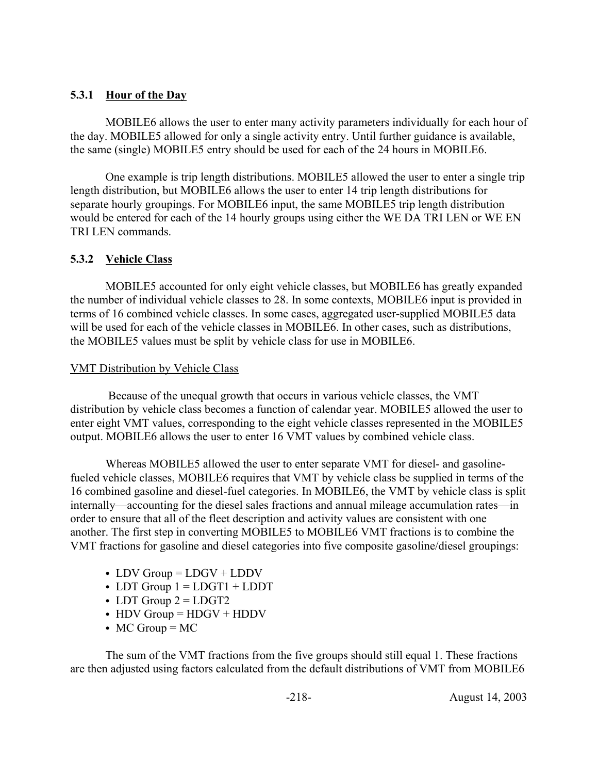# **5.3.1 Hour of the Day**

MOBILE6 allows the user to enter many activity parameters individually for each hour of the day. MOBILE5 allowed for only a single activity entry. Until further guidance is available, the same (single) MOBILE5 entry should be used for each of the 24 hours in MOBILE6.

One example is trip length distributions. MOBILE5 allowed the user to enter a single trip length distribution, but MOBILE6 allows the user to enter 14 trip length distributions for separate hourly groupings. For MOBILE6 input, the same MOBILE5 trip length distribution would be entered for each of the 14 hourly groups using either the WE DA TRI LEN or WE EN TRI LEN commands.

# **5.3.2 Vehicle Class**

MOBILE5 accounted for only eight vehicle classes, but MOBILE6 has greatly expanded the number of individual vehicle classes to 28. In some contexts, MOBILE6 input is provided in terms of 16 combined vehicle classes. In some cases, aggregated user-supplied MOBILE5 data will be used for each of the vehicle classes in MOBILE6. In other cases, such as distributions, the MOBILE5 values must be split by vehicle class for use in MOBILE6.

# VMT Distribution by Vehicle Class

 Because of the unequal growth that occurs in various vehicle classes, the VMT distribution by vehicle class becomes a function of calendar year. MOBILE5 allowed the user to enter eight VMT values, corresponding to the eight vehicle classes represented in the MOBILE5 output. MOBILE6 allows the user to enter 16 VMT values by combined vehicle class.

Whereas MOBILE5 allowed the user to enter separate VMT for diesel- and gasolinefueled vehicle classes, MOBILE6 requires that VMT by vehicle class be supplied in terms of the 16 combined gasoline and diesel-fuel categories. In MOBILE6, the VMT by vehicle class is split internally—accounting for the diesel sales fractions and annual mileage accumulation rates—in order to ensure that all of the fleet description and activity values are consistent with one another. The first step in converting MOBILE5 to MOBILE6 VMT fractions is to combine the VMT fractions for gasoline and diesel categories into five composite gasoline/diesel groupings:

- $\bullet$  LDV Group = LDGV + LDDV
- $\bullet$  LDT Group  $1 = LDGT1 + LDDT$
- LDT Group  $2 = LDGT2$
- $\cdot$  HDV Group = HDGV + HDDV
- $\bullet$  MC Group = MC

The sum of the VMT fractions from the five groups should still equal 1. These fractions are then adjusted using factors calculated from the default distributions of VMT from MOBILE6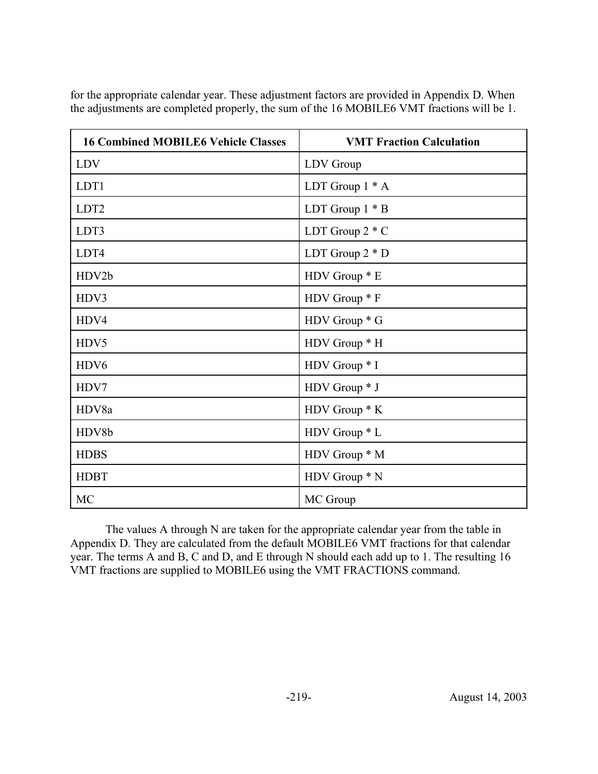| <b>16 Combined MOBILE6 Vehicle Classes</b> | <b>VMT Fraction Calculation</b> |
|--------------------------------------------|---------------------------------|
| <b>LDV</b>                                 | LDV Group                       |
| LDT1                                       | LDT Group $1 * A$               |
| LDT <sub>2</sub>                           | LDT Group $1 * B$               |
| LDT3                                       | LDT Group $2 * C$               |
| LDT4                                       | LDT Group $2 * D$               |
| HDV2b                                      | HDV Group * E                   |
| HDV3                                       | HDV Group * F                   |
| HDV4                                       | HDV Group * G                   |
| HDV5                                       | HDV Group * H                   |
| HDV <sub>6</sub>                           | HDV Group * I                   |
| HDV7                                       | HDV Group * J                   |
| HDV8a                                      | HDV Group * K                   |
| HDV8b                                      | HDV Group * L                   |
| <b>HDBS</b>                                | HDV Group * M                   |
| <b>HDBT</b>                                | HDV Group * N                   |
| <b>MC</b>                                  | MC Group                        |

for the appropriate calendar year. These adjustment factors are provided in Appendix D. When the adjustments are completed properly, the sum of the 16 MOBILE6 VMT fractions will be 1.

The values A through N are taken for the appropriate calendar year from the table in Appendix D. They are calculated from the default MOBILE6 VMT fractions for that calendar year. The terms A and B, C and D, and E through N should each add up to 1. The resulting 16 VMT fractions are supplied to MOBILE6 using the VMT FRACTIONS command.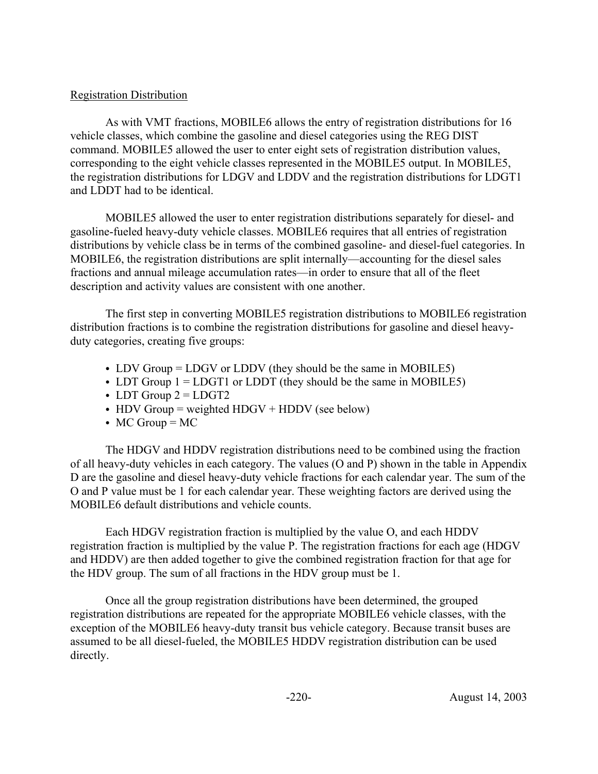## Registration Distribution

As with VMT fractions, MOBILE6 allows the entry of registration distributions for 16 vehicle classes, which combine the gasoline and diesel categories using the REG DIST command. MOBILE5 allowed the user to enter eight sets of registration distribution values, corresponding to the eight vehicle classes represented in the MOBILE5 output. In MOBILE5, the registration distributions for LDGV and LDDV and the registration distributions for LDGT1 and LDDT had to be identical.

MOBILE5 allowed the user to enter registration distributions separately for diesel- and gasoline-fueled heavy-duty vehicle classes. MOBILE6 requires that all entries of registration distributions by vehicle class be in terms of the combined gasoline- and diesel-fuel categories. In MOBILE6, the registration distributions are split internally—accounting for the diesel sales fractions and annual mileage accumulation rates—in order to ensure that all of the fleet description and activity values are consistent with one another.

The first step in converting MOBILE5 registration distributions to MOBILE6 registration distribution fractions is to combine the registration distributions for gasoline and diesel heavyduty categories, creating five groups:

- $\bullet$  LDV Group = LDGV or LDDV (they should be the same in MOBILE5)
- LDT Group  $1 =$  LDGT1 or LDDT (they should be the same in MOBILE5)
- LDT Group  $2 = LDGT2$
- $\bullet$  HDV Group = weighted HDGV + HDDV (see below)
- $\bullet$  MC Group = MC

The HDGV and HDDV registration distributions need to be combined using the fraction of all heavy-duty vehicles in each category. The values (O and P) shown in the table in Appendix D are the gasoline and diesel heavy-duty vehicle fractions for each calendar year. The sum of the O and P value must be 1 for each calendar year. These weighting factors are derived using the MOBILE6 default distributions and vehicle counts.

Each HDGV registration fraction is multiplied by the value O, and each HDDV registration fraction is multiplied by the value P. The registration fractions for each age (HDGV and HDDV) are then added together to give the combined registration fraction for that age for the HDV group. The sum of all fractions in the HDV group must be 1.

Once all the group registration distributions have been determined, the grouped registration distributions are repeated for the appropriate MOBILE6 vehicle classes, with the exception of the MOBILE6 heavy-duty transit bus vehicle category. Because transit buses are assumed to be all diesel-fueled, the MOBILE5 HDDV registration distribution can be used directly.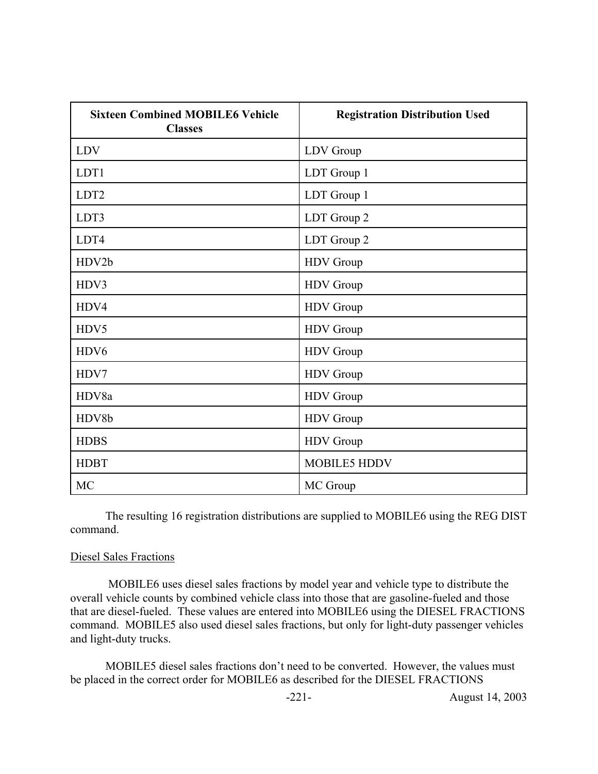| <b>Sixteen Combined MOBILE6 Vehicle</b><br><b>Classes</b> | <b>Registration Distribution Used</b> |
|-----------------------------------------------------------|---------------------------------------|
| <b>LDV</b>                                                | LDV Group                             |
| LDT1                                                      | LDT Group 1                           |
| LDT <sub>2</sub>                                          | LDT Group 1                           |
| LDT3                                                      | LDT Group 2                           |
| LDT4                                                      | LDT Group 2                           |
| HDV2b                                                     | HDV Group                             |
| HDV3                                                      | HDV Group                             |
| HDV4                                                      | HDV Group                             |
| HDV5                                                      | HDV Group                             |
| HDV <sub>6</sub>                                          | HDV Group                             |
| HDV7                                                      | HDV Group                             |
| HDV8a                                                     | HDV Group                             |
| HDV8b                                                     | HDV Group                             |
| <b>HDBS</b>                                               | <b>HDV</b> Group                      |
| <b>HDBT</b>                                               | <b>MOBILE5 HDDV</b>                   |
| <b>MC</b>                                                 | MC Group                              |

The resulting 16 registration distributions are supplied to MOBILE6 using the REG DIST command.

#### Diesel Sales Fractions

 MOBILE6 uses diesel sales fractions by model year and vehicle type to distribute the overall vehicle counts by combined vehicle class into those that are gasoline-fueled and those that are diesel-fueled. These values are entered into MOBILE6 using the DIESEL FRACTIONS command. MOBILE5 also used diesel sales fractions, but only for light-duty passenger vehicles and light-duty trucks.

MOBILE5 diesel sales fractions don't need to be converted. However, the values must be placed in the correct order for MOBILE6 as described for the DIESEL FRACTIONS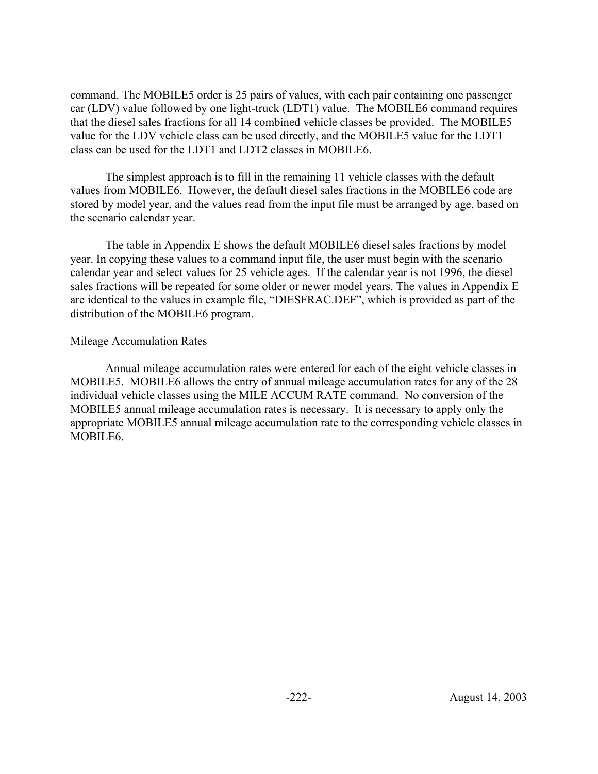command. The MOBILE5 order is 25 pairs of values, with each pair containing one passenger car (LDV) value followed by one light-truck (LDT1) value. The MOBILE6 command requires that the diesel sales fractions for all 14 combined vehicle classes be provided. The MOBILE5 value for the LDV vehicle class can be used directly, and the MOBILE5 value for the LDT1 class can be used for the LDT1 and LDT2 classes in MOBILE6.

The simplest approach is to fill in the remaining 11 vehicle classes with the default values from MOBILE6. However, the default diesel sales fractions in the MOBILE6 code are stored by model year, and the values read from the input file must be arranged by age, based on the scenario calendar year.

The table in Appendix E shows the default MOBILE6 diesel sales fractions by model year. In copying these values to a command input file, the user must begin with the scenario calendar year and select values for 25 vehicle ages. If the calendar year is not 1996, the diesel sales fractions will be repeated for some older or newer model years. The values in Appendix E are identical to the values in example file, "DIESFRAC.DEF", which is provided as part of the distribution of the MOBILE6 program.

#### Mileage Accumulation Rates

Annual mileage accumulation rates were entered for each of the eight vehicle classes in MOBILE5. MOBILE6 allows the entry of annual mileage accumulation rates for any of the 28 individual vehicle classes using the MILE ACCUM RATE command. No conversion of the MOBILE5 annual mileage accumulation rates is necessary. It is necessary to apply only the appropriate MOBILE5 annual mileage accumulation rate to the corresponding vehicle classes in MOBILE<sub>6</sub>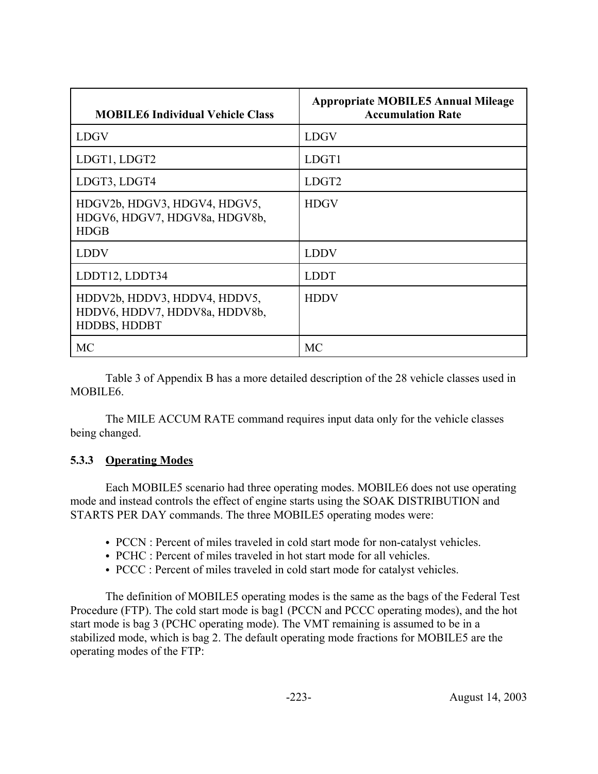| <b>MOBILE6 Individual Vehicle Class</b>                                       | <b>Appropriate MOBILE5 Annual Mileage</b><br><b>Accumulation Rate</b> |
|-------------------------------------------------------------------------------|-----------------------------------------------------------------------|
| <b>LDGV</b>                                                                   | <b>LDGV</b>                                                           |
| LDGT1, LDGT2                                                                  | LDGT1                                                                 |
| LDGT3, LDGT4                                                                  | LDGT <sub>2</sub>                                                     |
| HDGV2b, HDGV3, HDGV4, HDGV5,<br>HDGV6, HDGV7, HDGV8a, HDGV8b,<br><b>HDGB</b>  | <b>HDGV</b>                                                           |
| <b>LDDV</b>                                                                   | <b>LDDV</b>                                                           |
| LDDT12, LDDT34                                                                | <b>LDDT</b>                                                           |
| HDDV2b, HDDV3, HDDV4, HDDV5,<br>HDDV6, HDDV7, HDDV8a, HDDV8b,<br>HDDBS, HDDBT | <b>HDDV</b>                                                           |
| <b>MC</b>                                                                     | MC                                                                    |

Table 3 of Appendix B has a more detailed description of the 28 vehicle classes used in MOBILE6.

The MILE ACCUM RATE command requires input data only for the vehicle classes being changed.

# **5.3.3 Operating Modes**

Each MOBILE5 scenario had three operating modes. MOBILE6 does not use operating mode and instead controls the effect of engine starts using the SOAK DISTRIBUTION and STARTS PER DAY commands. The three MOBILE5 operating modes were:

- PCCN : Percent of miles traveled in cold start mode for non-catalyst vehicles.
- PCHC : Percent of miles traveled in hot start mode for all vehicles.
- PCCC : Percent of miles traveled in cold start mode for catalyst vehicles.

The definition of MOBILE5 operating modes is the same as the bags of the Federal Test Procedure (FTP). The cold start mode is bag1 (PCCN and PCCC operating modes), and the hot start mode is bag 3 (PCHC operating mode). The VMT remaining is assumed to be in a stabilized mode, which is bag 2. The default operating mode fractions for MOBILE5 are the operating modes of the FTP: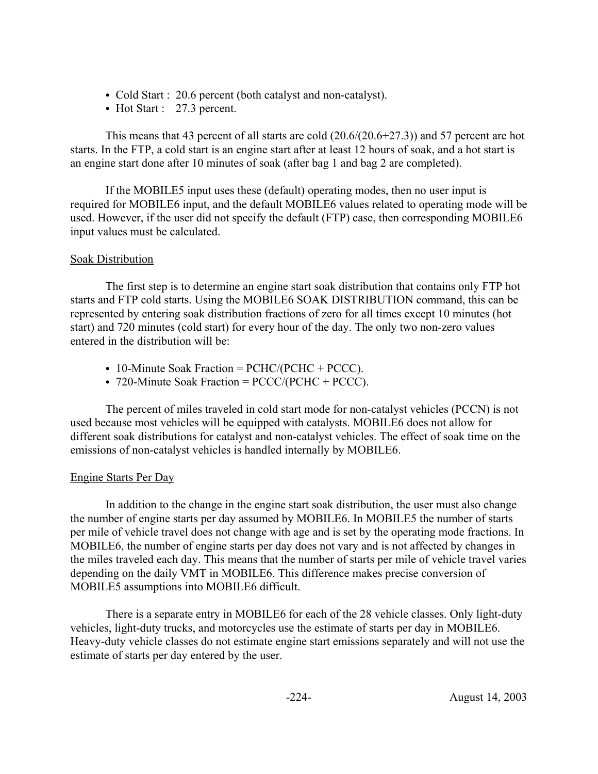- Cold Start : 20.6 percent (both catalyst and non-catalyst).
- $\bullet$  Hot Start : 27.3 percent.

This means that 43 percent of all starts are cold (20.6/(20.6+27.3)) and 57 percent are hot starts. In the FTP, a cold start is an engine start after at least 12 hours of soak, and a hot start is an engine start done after 10 minutes of soak (after bag 1 and bag 2 are completed).

If the MOBILE5 input uses these (default) operating modes, then no user input is required for MOBILE6 input, and the default MOBILE6 values related to operating mode will be used. However, if the user did not specify the default (FTP) case, then corresponding MOBILE6 input values must be calculated.

### Soak Distribution

The first step is to determine an engine start soak distribution that contains only FTP hot starts and FTP cold starts. Using the MOBILE6 SOAK DISTRIBUTION command, this can be represented by entering soak distribution fractions of zero for all times except 10 minutes (hot start) and 720 minutes (cold start) for every hour of the day. The only two non-zero values entered in the distribution will be:

- 10-Minute Soak Fraction =  $PCHC/(PCHC + PCCC)$ .
- 720-Minute Soak Fraction =  $\text{PCCC}/(\text{PCHC} + \text{PCCC})$ .

The percent of miles traveled in cold start mode for non-catalyst vehicles (PCCN) is not used because most vehicles will be equipped with catalysts. MOBILE6 does not allow for different soak distributions for catalyst and non-catalyst vehicles. The effect of soak time on the emissions of non-catalyst vehicles is handled internally by MOBILE6.

### Engine Starts Per Day

In addition to the change in the engine start soak distribution, the user must also change the number of engine starts per day assumed by MOBILE6. In MOBILE5 the number of starts per mile of vehicle travel does not change with age and is set by the operating mode fractions. In MOBILE6, the number of engine starts per day does not vary and is not affected by changes in the miles traveled each day. This means that the number of starts per mile of vehicle travel varies depending on the daily VMT in MOBILE6. This difference makes precise conversion of MOBILE5 assumptions into MOBILE6 difficult.

There is a separate entry in MOBILE6 for each of the 28 vehicle classes. Only light-duty vehicles, light-duty trucks, and motorcycles use the estimate of starts per day in MOBILE6. Heavy-duty vehicle classes do not estimate engine start emissions separately and will not use the estimate of starts per day entered by the user.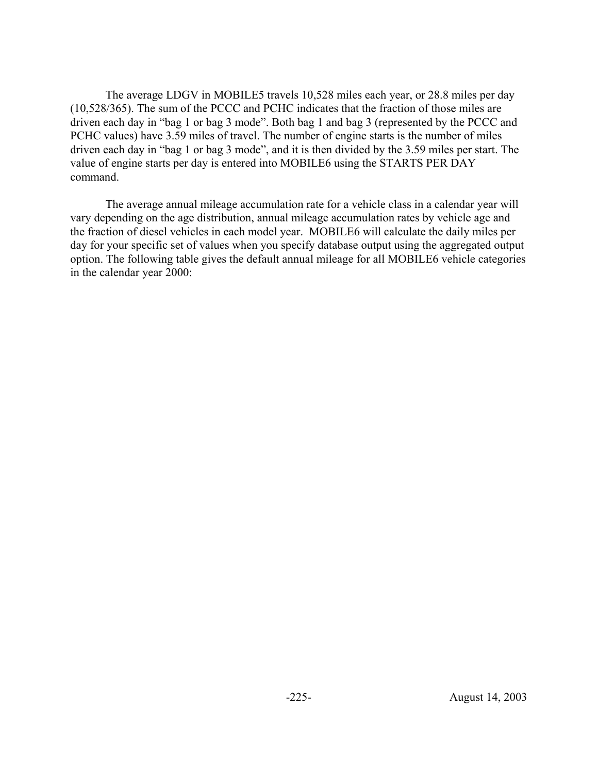The average LDGV in MOBILE5 travels 10,528 miles each year, or 28.8 miles per day (10,528/365). The sum of the PCCC and PCHC indicates that the fraction of those miles are driven each day in "bag 1 or bag 3 mode". Both bag 1 and bag 3 (represented by the PCCC and PCHC values) have 3.59 miles of travel. The number of engine starts is the number of miles driven each day in "bag 1 or bag 3 mode", and it is then divided by the 3.59 miles per start. The value of engine starts per day is entered into MOBILE6 using the STARTS PER DAY command.

The average annual mileage accumulation rate for a vehicle class in a calendar year will vary depending on the age distribution, annual mileage accumulation rates by vehicle age and the fraction of diesel vehicles in each model year. MOBILE6 will calculate the daily miles per day for your specific set of values when you specify database output using the aggregated output option. The following table gives the default annual mileage for all MOBILE6 vehicle categories in the calendar year 2000: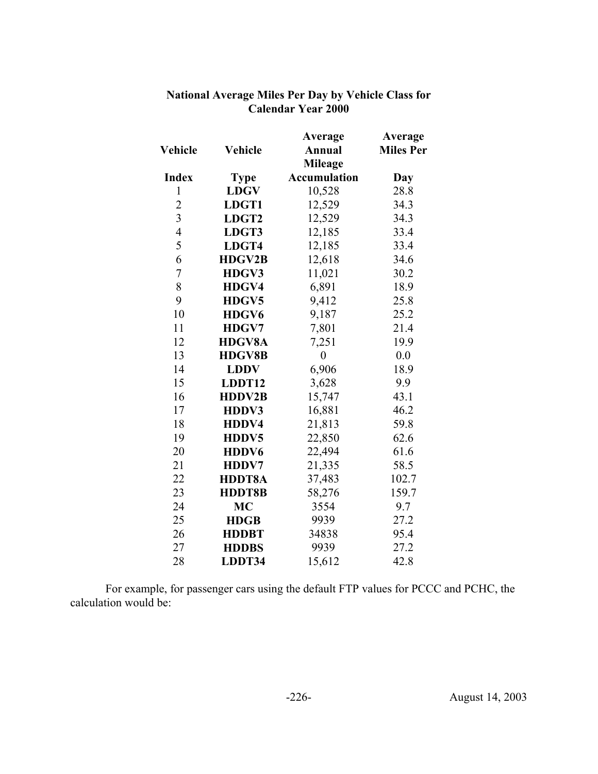|                         |                   | Average             | Average          |
|-------------------------|-------------------|---------------------|------------------|
| Vehicle                 | Vehicle           | <b>Annual</b>       | <b>Miles Per</b> |
|                         |                   | <b>Mileage</b>      |                  |
| <b>Index</b>            | <b>Type</b>       | <b>Accumulation</b> | Day              |
| $\mathbf{1}$            | <b>LDGV</b>       | 10,528              | 28.8             |
| $\overline{2}$          | LDGT1             | 12,529              | 34.3             |
| $\overline{\mathbf{3}}$ | LDGT <sub>2</sub> | 12,529              | 34.3             |
| $\overline{4}$          | LDGT3             | 12,185              | 33.4             |
| 5                       | LDGT4             | 12,185              | 33.4             |
| 6                       | <b>HDGV2B</b>     | 12,618              | 34.6             |
| $\overline{7}$          | HDGV3             | 11,021              | 30.2             |
| 8                       | HDGV4             | 6,891               | 18.9             |
| 9                       | HDGV5             | 9,412               | 25.8             |
| 10                      | HDGV6             | 9,187               | 25.2             |
| 11                      | HDGV7             | 7,801               | 21.4             |
| 12                      | <b>HDGV8A</b>     | 7,251               | 19.9             |
| 13                      | <b>HDGV8B</b>     | $\boldsymbol{0}$    | 0.0              |
| 14                      | <b>LDDV</b>       | 6,906               | 18.9             |
| 15                      | LDDT12            | 3,628               | 9.9              |
| 16                      | <b>HDDV2B</b>     | 15,747              | 43.1             |
| 17                      | HDDV3             | 16,881              | 46.2             |
| 18                      | HDDV4             | 21,813              | 59.8             |
| 19                      | HDDV5             | 22,850              | 62.6             |
| 20                      | HDDV6             | 22,494              | 61.6             |
| 21                      | HDDV7             | 21,335              | 58.5             |
| 22                      | HDDT8A            | 37,483              | 102.7            |
| 23                      | HDDT8B            | 58,276              | 159.7            |
| 24                      | MC                | 3554                | 9.7              |
| 25                      | <b>HDGB</b>       | 9939                | 27.2             |
| 26                      | <b>HDDBT</b>      | 34838               | 95.4             |
| 27                      | <b>HDDBS</b>      | 9939                | 27.2             |
| 28                      | LDDT34            | 15,612              | 42.8             |

### **National Average Miles Per Day by Vehicle Class for Calendar Year 2000**

For example, for passenger cars using the default FTP values for PCCC and PCHC, the calculation would be: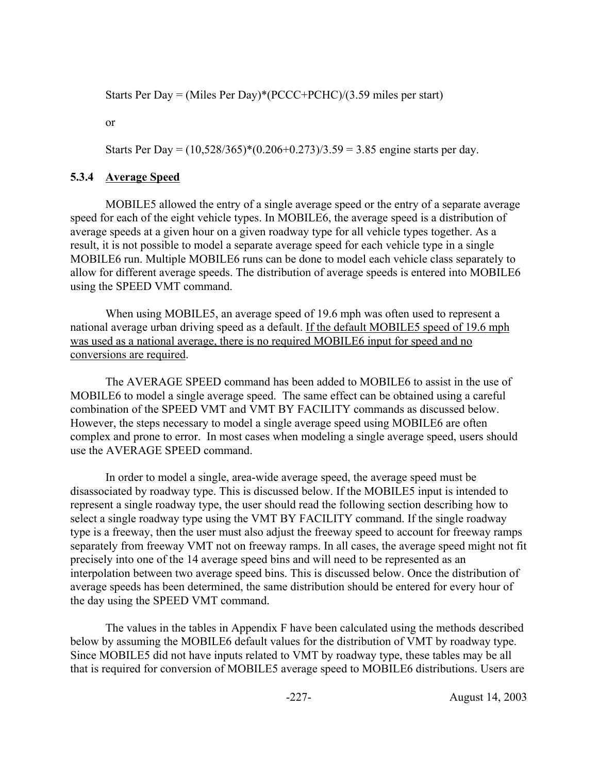Starts Per Day = (Miles Per Day)\*(PCCC+PCHC)/(3.59 miles per start)

or

Starts Per Day =  $(10,528/365)*(0.206+0.273)/3.59 = 3.85$  engine starts per day.

# **5.3.4 Average Speed**

MOBILE5 allowed the entry of a single average speed or the entry of a separate average speed for each of the eight vehicle types. In MOBILE6, the average speed is a distribution of average speeds at a given hour on a given roadway type for all vehicle types together. As a result, it is not possible to model a separate average speed for each vehicle type in a single MOBILE6 run. Multiple MOBILE6 runs can be done to model each vehicle class separately to allow for different average speeds. The distribution of average speeds is entered into MOBILE6 using the SPEED VMT command.

When using MOBILE5, an average speed of 19.6 mph was often used to represent a national average urban driving speed as a default. If the default MOBILE5 speed of 19.6 mph was used as a national average, there is no required MOBILE6 input for speed and no conversions are required.

The AVERAGE SPEED command has been added to MOBILE6 to assist in the use of MOBILE6 to model a single average speed. The same effect can be obtained using a careful combination of the SPEED VMT and VMT BY FACILITY commands as discussed below. However, the steps necessary to model a single average speed using MOBILE6 are often complex and prone to error. In most cases when modeling a single average speed, users should use the AVERAGE SPEED command.

In order to model a single, area-wide average speed, the average speed must be disassociated by roadway type. This is discussed below. If the MOBILE5 input is intended to represent a single roadway type, the user should read the following section describing how to select a single roadway type using the VMT BY FACILITY command. If the single roadway type is a freeway, then the user must also adjust the freeway speed to account for freeway ramps separately from freeway VMT not on freeway ramps. In all cases, the average speed might not fit precisely into one of the 14 average speed bins and will need to be represented as an interpolation between two average speed bins. This is discussed below. Once the distribution of average speeds has been determined, the same distribution should be entered for every hour of the day using the SPEED VMT command.

The values in the tables in Appendix F have been calculated using the methods described below by assuming the MOBILE6 default values for the distribution of VMT by roadway type. Since MOBILE5 did not have inputs related to VMT by roadway type, these tables may be all that is required for conversion of MOBILE5 average speed to MOBILE6 distributions. Users are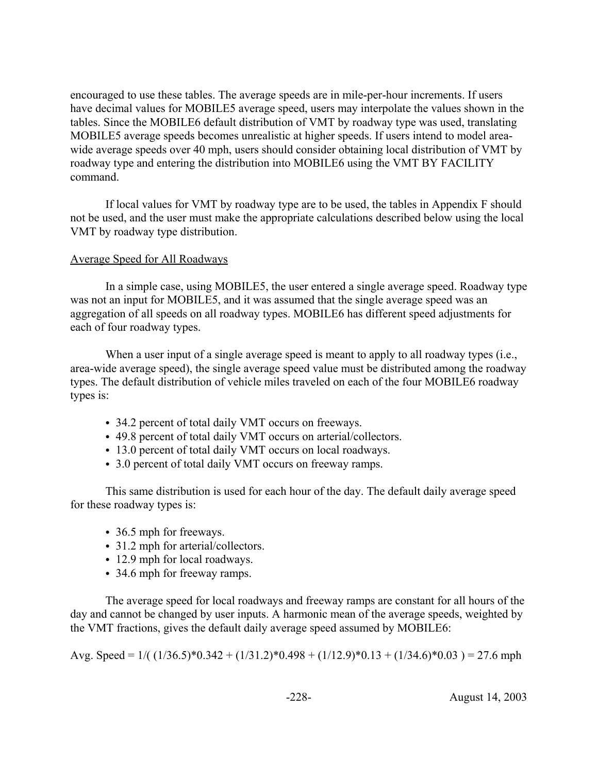encouraged to use these tables. The average speeds are in mile-per-hour increments. If users have decimal values for MOBILE5 average speed, users may interpolate the values shown in the tables. Since the MOBILE6 default distribution of VMT by roadway type was used, translating MOBILE5 average speeds becomes unrealistic at higher speeds. If users intend to model areawide average speeds over 40 mph, users should consider obtaining local distribution of VMT by roadway type and entering the distribution into MOBILE6 using the VMT BY FACILITY command.

If local values for VMT by roadway type are to be used, the tables in Appendix F should not be used, and the user must make the appropriate calculations described below using the local VMT by roadway type distribution.

#### Average Speed for All Roadways

In a simple case, using MOBILE5, the user entered a single average speed. Roadway type was not an input for MOBILE5, and it was assumed that the single average speed was an aggregation of all speeds on all roadway types. MOBILE6 has different speed adjustments for each of four roadway types.

When a user input of a single average speed is meant to apply to all roadway types (i.e., area-wide average speed), the single average speed value must be distributed among the roadway types. The default distribution of vehicle miles traveled on each of the four MOBILE6 roadway types is:

- 34.2 percent of total daily VMT occurs on freeways.
- 49.8 percent of total daily VMT occurs on arterial/collectors.
- 13.0 percent of total daily VMT occurs on local roadways.
- 3.0 percent of total daily VMT occurs on freeway ramps.

This same distribution is used for each hour of the day. The default daily average speed for these roadway types is:

- 36.5 mph for freeways.
- 31.2 mph for arterial/collectors.
- 12.9 mph for local roadways.
- 34.6 mph for freeway ramps.

The average speed for local roadways and freeway ramps are constant for all hours of the day and cannot be changed by user inputs. A harmonic mean of the average speeds, weighted by the VMT fractions, gives the default daily average speed assumed by MOBILE6:

Avg. Speed =  $1/((1/36.5)^*0.342 + (1/31.2)^*0.498 + (1/12.9)^*0.13 + (1/34.6)^*0.03) = 27.6$  mph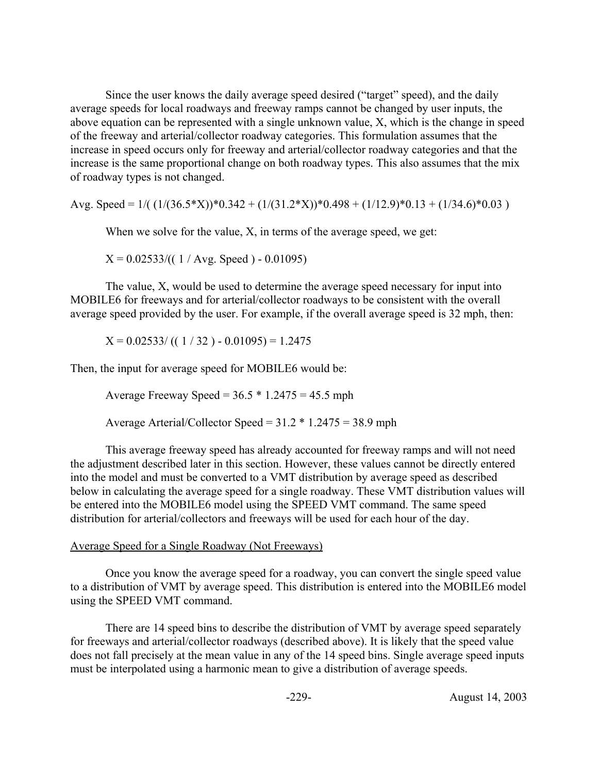Since the user knows the daily average speed desired ("target" speed), and the daily average speeds for local roadways and freeway ramps cannot be changed by user inputs, the above equation can be represented with a single unknown value, X, which is the change in speed of the freeway and arterial/collector roadway categories. This formulation assumes that the increase in speed occurs only for freeway and arterial/collector roadway categories and that the increase is the same proportional change on both roadway types. This also assumes that the mix of roadway types is not changed.

Avg. Speed =  $1/((1/(36.5*X))*0.342 + (1/(31.2*X))*0.498 + (1/12.9)*0.13 + (1/34.6)*0.03)$ 

When we solve for the value, X, in terms of the average speed, we get:

 $X = 0.02533/((1 / Avg. Speed) - 0.01095)$ 

The value, X, would be used to determine the average speed necessary for input into MOBILE6 for freeways and for arterial/collector roadways to be consistent with the overall average speed provided by the user. For example, if the overall average speed is 32 mph, then:

 $X = 0.02533/((1/32) - 0.01095) = 1.2475$ 

Then, the input for average speed for MOBILE6 would be:

Average Freeway Speed =  $36.5 * 1.2475 = 45.5$  mph

Average Arterial/Collector Speed = 31.2 \* 1.2475 = 38.9 mph

This average freeway speed has already accounted for freeway ramps and will not need the adjustment described later in this section. However, these values cannot be directly entered into the model and must be converted to a VMT distribution by average speed as described below in calculating the average speed for a single roadway. These VMT distribution values will be entered into the MOBILE6 model using the SPEED VMT command. The same speed distribution for arterial/collectors and freeways will be used for each hour of the day.

#### Average Speed for a Single Roadway (Not Freeways)

Once you know the average speed for a roadway, you can convert the single speed value to a distribution of VMT by average speed. This distribution is entered into the MOBILE6 model using the SPEED VMT command.

There are 14 speed bins to describe the distribution of VMT by average speed separately for freeways and arterial/collector roadways (described above). It is likely that the speed value does not fall precisely at the mean value in any of the 14 speed bins. Single average speed inputs must be interpolated using a harmonic mean to give a distribution of average speeds.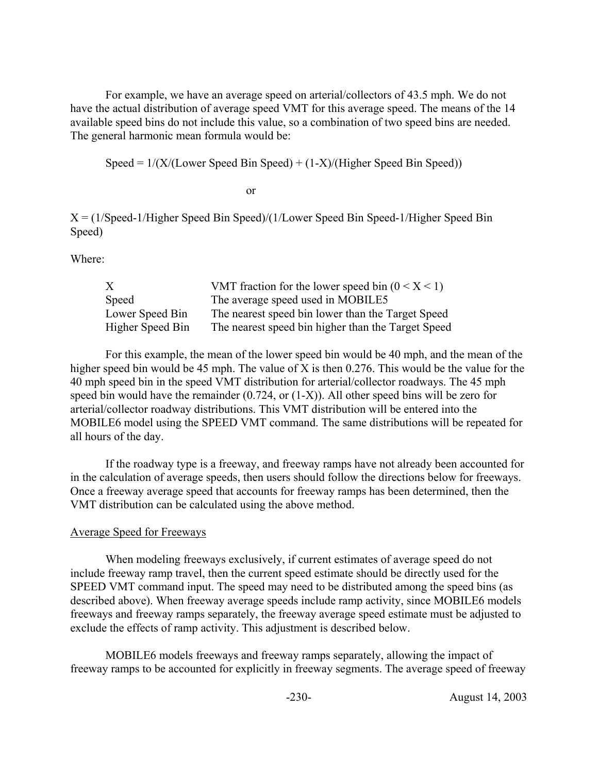For example, we have an average speed on arterial/collectors of 43.5 mph. We do not have the actual distribution of average speed VMT for this average speed. The means of the 14 available speed bins do not include this value, so a combination of two speed bins are needed. The general harmonic mean formula would be:

Speed =  $1/(X/(Lower Speed Bin Speed) + (1-X)/(Higher Speed Bin Speed))$ 

or

X = (1/Speed-1/Higher Speed Bin Speed)/(1/Lower Speed Bin Speed-1/Higher Speed Bin Speed)

Where:

| X                | VMT fraction for the lower speed bin $(0 < X < 1)$ |
|------------------|----------------------------------------------------|
| Speed            | The average speed used in MOBILE5                  |
| Lower Speed Bin  | The nearest speed bin lower than the Target Speed  |
| Higher Speed Bin | The nearest speed bin higher than the Target Speed |

For this example, the mean of the lower speed bin would be 40 mph, and the mean of the higher speed bin would be 45 mph. The value of X is then 0.276. This would be the value for the 40 mph speed bin in the speed VMT distribution for arterial/collector roadways. The 45 mph speed bin would have the remainder (0.724, or (1-X)). All other speed bins will be zero for arterial/collector roadway distributions. This VMT distribution will be entered into the MOBILE6 model using the SPEED VMT command. The same distributions will be repeated for all hours of the day.

If the roadway type is a freeway, and freeway ramps have not already been accounted for in the calculation of average speeds, then users should follow the directions below for freeways. Once a freeway average speed that accounts for freeway ramps has been determined, then the VMT distribution can be calculated using the above method.

### Average Speed for Freeways

When modeling freeways exclusively, if current estimates of average speed do not include freeway ramp travel, then the current speed estimate should be directly used for the SPEED VMT command input. The speed may need to be distributed among the speed bins (as described above). When freeway average speeds include ramp activity, since MOBILE6 models freeways and freeway ramps separately, the freeway average speed estimate must be adjusted to exclude the effects of ramp activity. This adjustment is described below.

MOBILE6 models freeways and freeway ramps separately, allowing the impact of freeway ramps to be accounted for explicitly in freeway segments. The average speed of freeway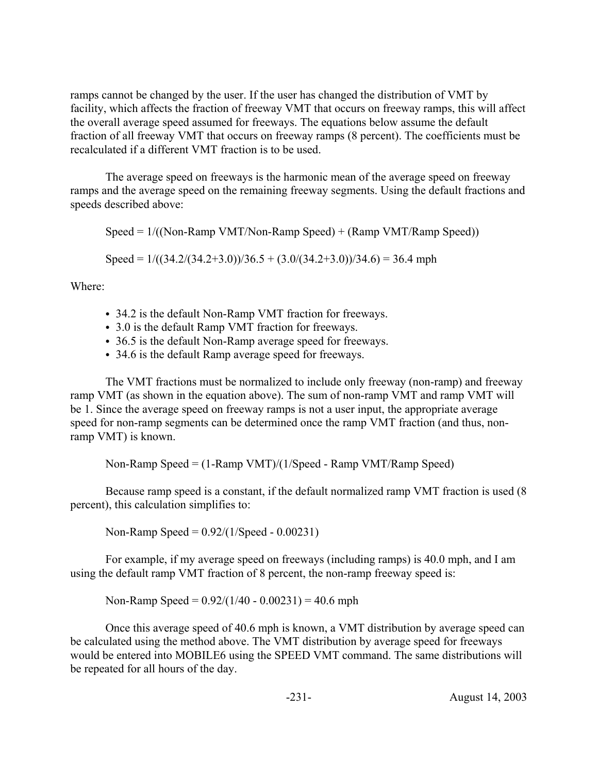ramps cannot be changed by the user. If the user has changed the distribution of VMT by facility, which affects the fraction of freeway VMT that occurs on freeway ramps, this will affect the overall average speed assumed for freeways. The equations below assume the default fraction of all freeway VMT that occurs on freeway ramps (8 percent). The coefficients must be recalculated if a different VMT fraction is to be used.

The average speed on freeways is the harmonic mean of the average speed on freeway ramps and the average speed on the remaining freeway segments. Using the default fractions and speeds described above:

Speed =  $1/((\text{Non-Ramp VMT/Non-Ramp Speed}) + (\text{Ramp VMT/Ramp Speed}))$ 

Speed =  $1/((34.2/(34.2+3.0))/36.5 + (3.0/(34.2+3.0))/34.6) = 36.4$  mph

Where:

- 34.2 is the default Non-Ramp VMT fraction for freeways.
- 3.0 is the default Ramp VMT fraction for freeways.
- 36.5 is the default Non-Ramp average speed for freeways.
- 34.6 is the default Ramp average speed for freeways.

The VMT fractions must be normalized to include only freeway (non-ramp) and freeway ramp VMT (as shown in the equation above). The sum of non-ramp VMT and ramp VMT will be 1. Since the average speed on freeway ramps is not a user input, the appropriate average speed for non-ramp segments can be determined once the ramp VMT fraction (and thus, nonramp VMT) is known.

Non-Ramp Speed = (1-Ramp VMT)/(1/Speed - Ramp VMT/Ramp Speed)

Because ramp speed is a constant, if the default normalized ramp VMT fraction is used (8 percent), this calculation simplifies to:

Non-Ramp Speed = 0.92/(1/Speed - 0.00231)

For example, if my average speed on freeways (including ramps) is 40.0 mph, and I am using the default ramp VMT fraction of 8 percent, the non-ramp freeway speed is:

Non-Ramp Speed =  $0.92/(1/40 - 0.00231) = 40.6$  mph

Once this average speed of 40.6 mph is known, a VMT distribution by average speed can be calculated using the method above. The VMT distribution by average speed for freeways would be entered into MOBILE6 using the SPEED VMT command. The same distributions will be repeated for all hours of the day.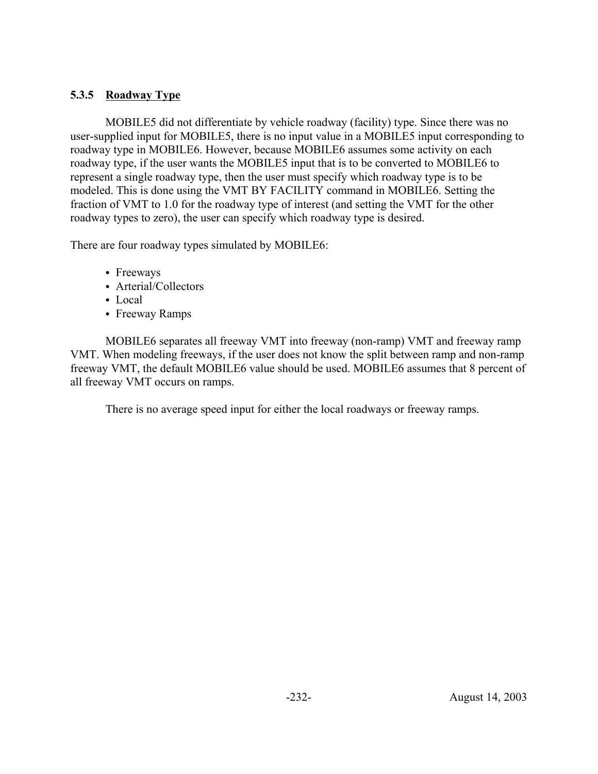# **5.3.5 Roadway Type**

MOBILE5 did not differentiate by vehicle roadway (facility) type. Since there was no user-supplied input for MOBILE5, there is no input value in a MOBILE5 input corresponding to roadway type in MOBILE6. However, because MOBILE6 assumes some activity on each roadway type, if the user wants the MOBILE5 input that is to be converted to MOBILE6 to represent a single roadway type, then the user must specify which roadway type is to be modeled. This is done using the VMT BY FACILITY command in MOBILE6. Setting the fraction of VMT to 1.0 for the roadway type of interest (and setting the VMT for the other roadway types to zero), the user can specify which roadway type is desired.

There are four roadway types simulated by MOBILE6:

- Freeways
- Arterial/Collectors
- $\bullet$  Local
- Freeway Ramps

MOBILE6 separates all freeway VMT into freeway (non-ramp) VMT and freeway ramp VMT. When modeling freeways, if the user does not know the split between ramp and non-ramp freeway VMT, the default MOBILE6 value should be used. MOBILE6 assumes that 8 percent of all freeway VMT occurs on ramps.

There is no average speed input for either the local roadways or freeway ramps.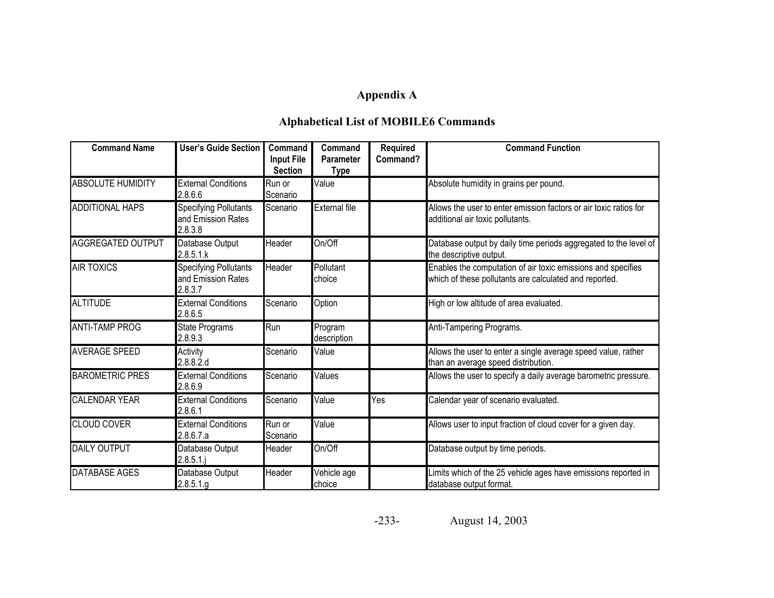# **Appendix A**

# **Alphabetical List of MOBILE6 Commands**

| <b>Command Name</b>      | <b>User's Guide Section</b>                                   | Command<br><b>Input File</b><br><b>Section</b> | Command<br>Parameter<br><b>Type</b> | <b>Required</b><br>Command? | <b>Command Function</b>                                                                                                |
|--------------------------|---------------------------------------------------------------|------------------------------------------------|-------------------------------------|-----------------------------|------------------------------------------------------------------------------------------------------------------------|
| <b>ABSOLUTE HUMIDITY</b> | <b>External Conditions</b><br>2.8.6.6                         | Run or<br>Scenario                             | Value                               |                             | Absolute humidity in grains per pound.                                                                                 |
| <b>ADDITIONAL HAPS</b>   | <b>Specifying Pollutants</b><br>and Emission Rates<br>2.8.3.8 | Scenario                                       | <b>External file</b>                |                             | Allows the user to enter emission factors or air toxic ratios for<br>additional air toxic pollutants.                  |
| <b>AGGREGATED OUTPUT</b> | Database Output<br>2.8.5.1.k                                  | Header                                         | On/Off                              |                             | Database output by daily time periods aggregated to the level of<br>the descriptive output.                            |
| <b>AIR TOXICS</b>        | <b>Specifying Pollutants</b><br>and Emission Rates<br>2.8.3.7 | Header                                         | Pollutant<br>choice                 |                             | Enables the computation of air toxic emissions and specifies<br>which of these pollutants are calculated and reported. |
| <b>ALTITUDE</b>          | <b>External Conditions</b><br>2.8.6.5                         | Scenario                                       | Option                              |                             | High or low altitude of area evaluated.                                                                                |
| <b>ANTI-TAMP PROG</b>    | State Programs<br>2.8.9.3                                     | Run                                            | Program<br>description              |                             | Anti-Tampering Programs.                                                                                               |
| <b>AVERAGE SPEED</b>     | Activity<br>2.8.8.2.d                                         | Scenario                                       | Value                               |                             | Allows the user to enter a single average speed value, rather<br>than an average speed distribution.                   |
| <b>BAROMETRIC PRES</b>   | <b>External Conditions</b><br>2.8.6.9                         | Scenario                                       | Values                              |                             | Allows the user to specify a daily average barometric pressure.                                                        |
| <b>CALENDAR YEAR</b>     | <b>External Conditions</b><br>2.8.6.1                         | Scenario                                       | Value                               | Yes                         | Calendar year of scenario evaluated.                                                                                   |
| <b>CLOUD COVER</b>       | <b>External Conditions</b><br>2.8.6.7.a                       | Run or<br>Scenario                             | Value                               |                             | Allows user to input fraction of cloud cover for a given day.                                                          |
| <b>DAILY OUTPUT</b>      | Database Output<br>$2.8.5.1$ .j                               | Header                                         | On/Off                              |                             | Database output by time periods.                                                                                       |
| <b>DATABASE AGES</b>     | Database Output<br>2.8.5.1.g                                  | Header                                         | Vehicle age<br>choice               |                             | Limits which of the 25 vehicle ages have emissions reported in<br>database output format.                              |

-233-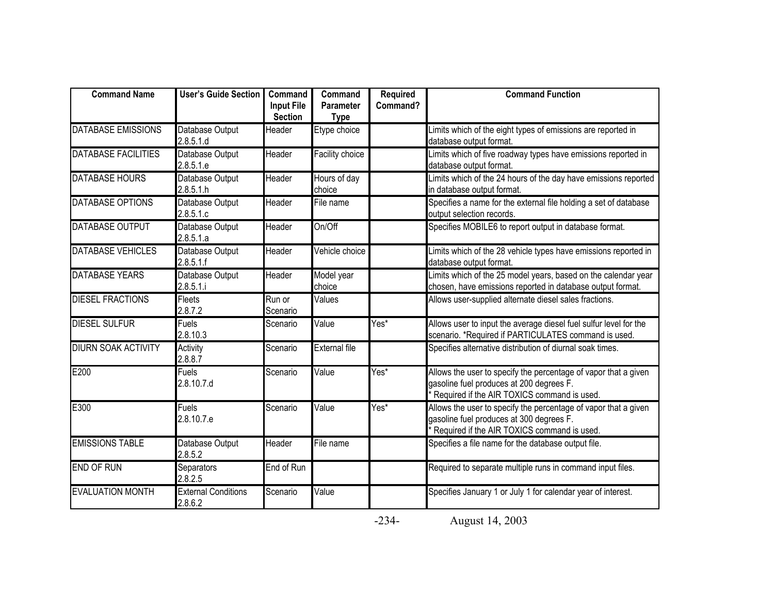| <b>Command Name</b>        | <b>User's Guide Section</b>           | Command<br><b>Input File</b><br><b>Section</b> | Command<br><b>Parameter</b><br><b>Type</b> | Required<br>Command? | <b>Command Function</b>                                                                                                                                    |
|----------------------------|---------------------------------------|------------------------------------------------|--------------------------------------------|----------------------|------------------------------------------------------------------------------------------------------------------------------------------------------------|
| DATABASE EMISSIONS         | Database Output<br>2.8.5.1.d          | Header                                         | Etype choice                               |                      | Limits which of the eight types of emissions are reported in<br>database output format.                                                                    |
| <b>DATABASE FACILITIES</b> | Database Output<br>2.8.5.1.e          | Header                                         | Facility choice                            |                      | Limits which of five roadway types have emissions reported in<br>database output format.                                                                   |
| <b>DATABASE HOURS</b>      | Database Output<br>2.8.5.1.h          | Header                                         | Hours of day<br>choice                     |                      | Limits which of the 24 hours of the day have emissions reported<br>in database output format.                                                              |
| DATABASE OPTIONS           | Database Output<br>2.8.5.1.c          | Header                                         | File name                                  |                      | Specifies a name for the external file holding a set of database<br>output selection records.                                                              |
| DATABASE OUTPUT            | Database Output<br>2.8.5.1.a          | Header                                         | On/Off                                     |                      | Specifies MOBILE6 to report output in database format.                                                                                                     |
| DATABASE VEHICLES          | Database Output<br>2.8.5.1.f          | Header                                         | Vehicle choice                             |                      | imits which of the 28 vehicle types have emissions reported in<br>database output format.                                                                  |
| DATABASE YEARS             | Database Output<br>2.8.5.1.i          | Header                                         | Model year<br>choice                       |                      | Limits which of the 25 model years, based on the calendar year<br>chosen, have emissions reported in database output format.                               |
| <b>DIESEL FRACTIONS</b>    | Fleets<br>2.8.7.2                     | Run or<br>Scenario                             | Values                                     |                      | Allows user-supplied alternate diesel sales fractions.                                                                                                     |
| <b>DIESEL SULFUR</b>       | <b>Fuels</b><br>2.8.10.3              | Scenario                                       | Value                                      | Yes*                 | Allows user to input the average diesel fuel sulfur level for the<br>scenario. *Required if PARTICULATES command is used.                                  |
| <b>DIURN SOAK ACTIVITY</b> | Activity<br>2.8.8.7                   | Scenario                                       | External file                              |                      | Specifies alternative distribution of diurnal soak times.                                                                                                  |
| E200                       | <b>Fuels</b><br>2.8.10.7.d            | Scenario                                       | Value                                      | Yes*                 | Allows the user to specify the percentage of vapor that a given<br>gasoline fuel produces at 200 degrees F.<br>Required if the AIR TOXICS command is used. |
| E300                       | <b>Fuels</b><br>2.8.10.7.e            | Scenario                                       | Value                                      | Yes*                 | Allows the user to specify the percentage of vapor that a given<br>gasoline fuel produces at 300 degrees F.<br>Required if the AIR TOXICS command is used. |
| <b>EMISSIONS TABLE</b>     | Database Output<br>2.8.5.2            | Header                                         | File name                                  |                      | Specifies a file name for the database output file.                                                                                                        |
| <b>END OF RUN</b>          | Separators<br>2.8.2.5                 | End of Run                                     |                                            |                      | Required to separate multiple runs in command input files.                                                                                                 |
| <b>EVALUATION MONTH</b>    | <b>External Conditions</b><br>2.8.6.2 | Scenario                                       | Value                                      |                      | Specifies January 1 or July 1 for calendar year of interest.                                                                                               |

-234-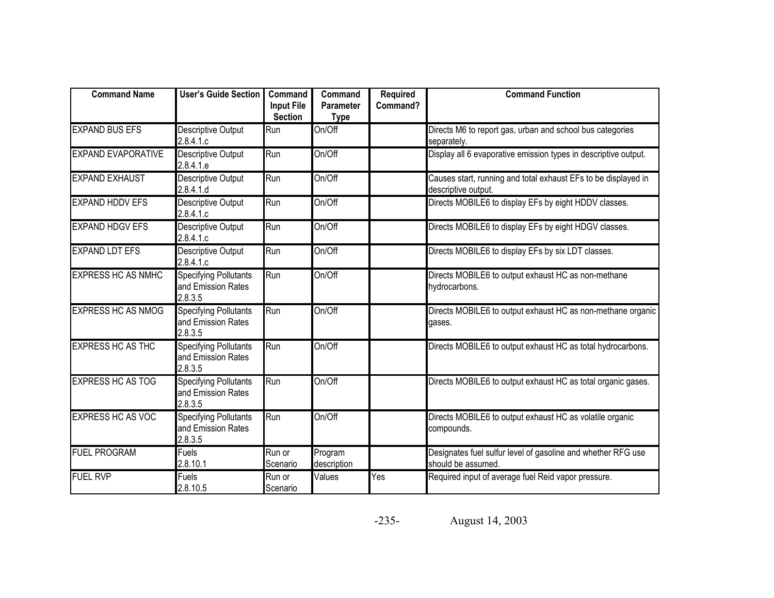| <b>Command Name</b>       | <b>User's Guide Section</b>                                   | Command<br><b>Input File</b><br><b>Section</b> | Command<br><b>Parameter</b><br><b>Type</b> | <b>Required</b><br>Command? | <b>Command Function</b>                                                               |
|---------------------------|---------------------------------------------------------------|------------------------------------------------|--------------------------------------------|-----------------------------|---------------------------------------------------------------------------------------|
| <b>EXPAND BUS EFS</b>     | Descriptive Output<br>2.8.4.1.c                               | Run                                            | On/Off                                     |                             | Directs M6 to report gas, urban and school bus categories<br>separately.              |
| <b>EXPAND EVAPORATIVE</b> | Descriptive Output<br>2.8.4.1.e                               | Run                                            | On/Off                                     |                             | Display all 6 evaporative emission types in descriptive output.                       |
| <b>EXPAND EXHAUST</b>     | <b>Descriptive Output</b><br>2.8.4.1.d                        | Run                                            | On/Off                                     |                             | Causes start, running and total exhaust EFs to be displayed in<br>descriptive output. |
| <b>EXPAND HDDV EFS</b>    | Descriptive Output<br>2.8.4.1.c                               | Run                                            | On/Off                                     |                             | Directs MOBILE6 to display EFs by eight HDDV classes.                                 |
| <b>EXPAND HDGV EFS</b>    | Descriptive Output<br>2.8.4.1.c                               | Run                                            | On/Off                                     |                             | Directs MOBILE6 to display EFs by eight HDGV classes.                                 |
| <b>EXPAND LDT EFS</b>     | Descriptive Output<br>2.8.4.1.c                               | Run                                            | On/Off                                     |                             | Directs MOBILE6 to display EFs by six LDT classes.                                    |
| <b>EXPRESS HC AS NMHC</b> | <b>Specifying Pollutants</b><br>and Emission Rates<br>2.8.3.5 | Run                                            | On/Off                                     |                             | Directs MOBILE6 to output exhaust HC as non-methane<br>hydrocarbons.                  |
| <b>EXPRESS HC AS NMOG</b> | <b>Specifying Pollutants</b><br>and Emission Rates<br>2.8.3.5 | Run                                            | On/Off                                     |                             | Directs MOBILE6 to output exhaust HC as non-methane organic<br>gases.                 |
| <b>EXPRESS HC AS THC</b>  | <b>Specifying Pollutants</b><br>and Emission Rates<br>2.8.3.5 | Run                                            | On/Off                                     |                             | Directs MOBILE6 to output exhaust HC as total hydrocarbons.                           |
| <b>EXPRESS HC AS TOG</b>  | <b>Specifying Pollutants</b><br>and Emission Rates<br>2.8.3.5 | Run                                            | On/Off                                     |                             | Directs MOBILE6 to output exhaust HC as total organic gases.                          |
| <b>EXPRESS HC AS VOC</b>  | <b>Specifying Pollutants</b><br>and Emission Rates<br>2.8.3.5 | Run                                            | On/Off                                     |                             | Directs MOBILE6 to output exhaust HC as volatile organic<br>compounds.                |
| <b>FUEL PROGRAM</b>       | Fuels<br>2.8.10.1                                             | Run or<br>Scenario                             | Program<br>description                     |                             | Designates fuel sulfur level of gasoline and whether RFG use<br>should be assumed.    |
| <b>FUEL RVP</b>           | Fuels<br>2.8.10.5                                             | Run or<br>Scenario                             | Values                                     | Yes                         | Required input of average fuel Reid vapor pressure.                                   |

-235-August 14, 2003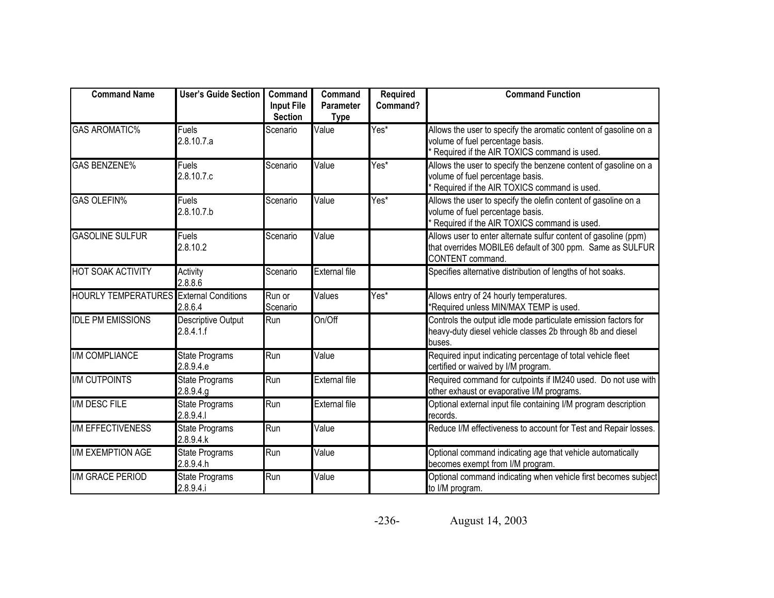| <b>Command Name</b>                            | <b>User's Guide Section</b>        | Command<br><b>Input File</b><br><b>Section</b> | Command<br><b>Parameter</b><br><b>Type</b> | <b>Required</b><br>Command? | <b>Command Function</b>                                                                                                                              |
|------------------------------------------------|------------------------------------|------------------------------------------------|--------------------------------------------|-----------------------------|------------------------------------------------------------------------------------------------------------------------------------------------------|
| <b>GAS AROMATIC%</b>                           | <b>Fuels</b><br>2.8.10.7.a         | Scenario                                       | Value                                      | Yes*                        | Allows the user to specify the aromatic content of gasoline on a<br>volume of fuel percentage basis.<br>Required if the AIR TOXICS command is used.  |
| <b>GAS BENZENE%</b>                            | <b>Fuels</b><br>2.8.10.7.c         | Scenario                                       | Value                                      | Yes*                        | Allows the user to specify the benzene content of gasoline on a<br>volume of fuel percentage basis.<br>* Required if the AIR TOXICS command is used. |
| <b>GAS OLEFIN%</b>                             | Fuels<br>2.8.10.7.b                | Scenario                                       | Value                                      | $Yes^*$                     | Allows the user to specify the olefin content of gasoline on a<br>volume of fuel percentage basis.<br>* Required if the AIR TOXICS command is used.  |
| <b>GASOLINE SULFUR</b>                         | Fuels<br>2.8.10.2                  | Scenario                                       | Value                                      |                             | Allows user to enter alternate sulfur content of gasoline (ppm)<br>that overrides MOBILE6 default of 300 ppm. Same as SULFUR<br>CONTENT command.     |
| <b>HOT SOAK ACTIVITY</b>                       | Activity<br>2.8.8.6                | Scenario                                       | <b>External file</b>                       |                             | Specifies alternative distribution of lengths of hot soaks.                                                                                          |
| <b>HOURLY TEMPERATURES</b> External Conditions | 2.8.6.4                            | Run or<br>Scenario                             | Values                                     | Yes*                        | Allows entry of 24 hourly temperatures.<br>*Required unless MIN/MAX TEMP is used.                                                                    |
| <b>IDLE PM EMISSIONS</b>                       | Descriptive Output<br>2.8.4.1.f    | Run                                            | On/Off                                     |                             | Controls the output idle mode particulate emission factors for<br>heavy-duty diesel vehicle classes 2b through 8b and diesel<br>buses.               |
| <b>I/M COMPLIANCE</b>                          | <b>State Programs</b><br>2.8.9.4.e | Run                                            | Value                                      |                             | Required input indicating percentage of total vehicle fleet<br>certified or waived by I/M program.                                                   |
| <b>IM CUTPOINTS</b>                            | State Programs<br>2.8.9.4.g        | Run                                            | <b>External file</b>                       |                             | Required command for cutpoints if IM240 used. Do not use with<br>other exhaust or evaporative I/M programs.                                          |
| I/M DESC FILE                                  | <b>State Programs</b><br>2.8.9.4.1 | Run                                            | <b>External file</b>                       |                             | Optional external input file containing I/M program description<br>records.                                                                          |
| <b>I/M EFFECTIVENESS</b>                       | <b>State Programs</b><br>2.8.9.4.k | Run                                            | Value                                      |                             | Reduce I/M effectiveness to account for Test and Repair losses.                                                                                      |
| <b>I/M EXEMPTION AGE</b>                       | <b>State Programs</b><br>2.8.9.4.h | Run                                            | Value                                      |                             | Optional command indicating age that vehicle automatically<br>becomes exempt from I/M program.                                                       |
| I/M GRACE PERIOD                               | <b>State Programs</b><br>2.8.9.4.i | Run                                            | Value                                      |                             | Optional command indicating when vehicle first becomes subject<br>to I/M program.                                                                    |

-236-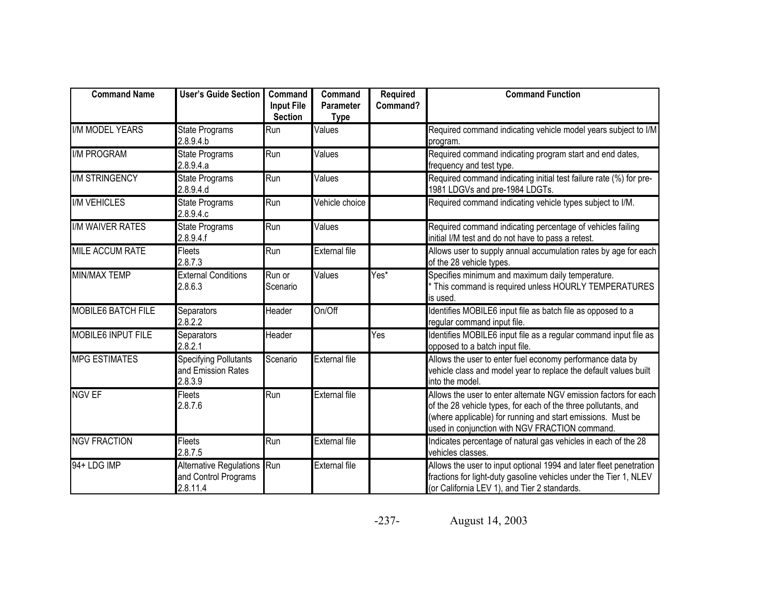| <b>Command Name</b>       | <b>User's Guide Section</b>                                     | Command<br><b>Input File</b><br><b>Section</b> | Command<br><b>Parameter</b><br><b>Type</b> | <b>Required</b><br>Command? | <b>Command Function</b>                                                                                                                                                                                                                             |
|---------------------------|-----------------------------------------------------------------|------------------------------------------------|--------------------------------------------|-----------------------------|-----------------------------------------------------------------------------------------------------------------------------------------------------------------------------------------------------------------------------------------------------|
| <b>I/M MODEL YEARS</b>    | <b>State Programs</b><br>2.8.9.4.b                              | Run                                            | Values                                     |                             | Required command indicating vehicle model years subject to I/M<br>program.                                                                                                                                                                          |
| <b>I/M PROGRAM</b>        | State Programs<br>2.8.9.4.a                                     | Run                                            | Values                                     |                             | Required command indicating program start and end dates,<br>frequency and test type.                                                                                                                                                                |
| <b>I/M STRINGENCY</b>     | <b>State Programs</b><br>2.8.9.4.d                              | Run                                            | Values                                     |                             | Required command indicating initial test failure rate $(\%)$ for pre-<br>1981 LDGVs and pre-1984 LDGTs.                                                                                                                                             |
| <b>I/M VEHICLES</b>       | <b>State Programs</b><br>2.8.9.4.c                              | Run                                            | Vehicle choice                             |                             | Required command indicating vehicle types subject to I/M.                                                                                                                                                                                           |
| <b>I/M WAIVER RATES</b>   | State Programs<br>2.8.9.4.f                                     | Run                                            | Values                                     |                             | Required command indicating percentage of vehicles failing<br>initial I/M test and do not have to pass a retest.                                                                                                                                    |
| <b>MILE ACCUM RATE</b>    | <b>Fleets</b><br>2.8.7.3                                        | Run                                            | <b>External file</b>                       |                             | Allows user to supply annual accumulation rates by age for each<br>of the 28 vehicle types.                                                                                                                                                         |
| <b>MIN/MAX TEMP</b>       | <b>External Conditions</b><br>2.8.6.3                           | Run or<br>Scenario                             | Values                                     | Yes*                        | Specifies minimum and maximum daily temperature.<br>This command is required unless HOURLY TEMPERATURES<br>is used.                                                                                                                                 |
| <b>MOBILE6 BATCH FILE</b> | Separators<br>2.8.2.2                                           | Header                                         | On/Off                                     |                             | Identifies MOBILE6 input file as batch file as opposed to a<br>regular command input file.                                                                                                                                                          |
| <b>MOBILE6 INPUT FILE</b> | Separators<br>2.8.2.1                                           | Header                                         |                                            | Yes                         | Identifies MOBILE6 input file as a regular command input file as<br>opposed to a batch input file.                                                                                                                                                  |
| <b>MPG ESTIMATES</b>      | <b>Specifying Pollutants</b><br>and Emission Rates<br>2.8.3.9   | Scenario                                       | <b>External file</b>                       |                             | Allows the user to enter fuel economy performance data by<br>vehicle class and model year to replace the default values built<br>into the model.                                                                                                    |
| <b>NGV EF</b>             | <b>Fleets</b><br>2.8.7.6                                        | Run                                            | <b>External file</b>                       |                             | Allows the user to enter alternate NGV emission factors for each<br>of the 28 vehicle types, for each of the three pollutants, and<br>(where applicable) for running and start emissions. Must be<br>used in conjunction with NGV FRACTION command. |
| <b>NGV FRACTION</b>       | Fleets<br>2.8.7.5                                               | Run                                            | <b>External file</b>                       |                             | Indicates percentage of natural gas vehicles in each of the 28<br>vehicles classes.                                                                                                                                                                 |
| 94+ LDG IMP               | Alternative Regulations Run<br>and Control Programs<br>2.8.11.4 |                                                | <b>External file</b>                       |                             | Allows the user to input optional 1994 and later fleet penetration<br>fractions for light-duty gasoline vehicles under the Tier 1, NLEV<br>(or California LEV 1), and Tier 2 standards.                                                             |

-237-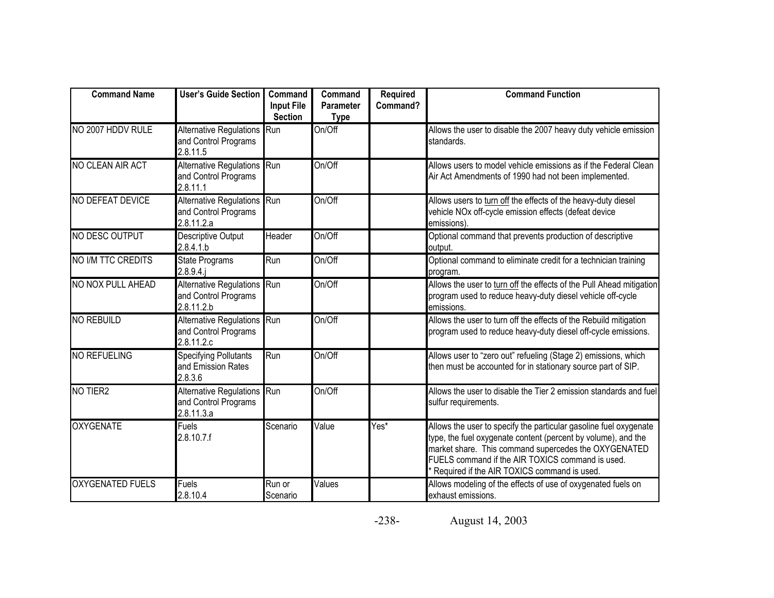| <b>Command Name</b>     | User's Guide Section                                              | Command<br><b>Input File</b><br><b>Section</b> | Command<br><b>Parameter</b><br><b>Type</b> | <b>Required</b><br>Command? | <b>Command Function</b>                                                                                                                                                                                                                                                                       |
|-------------------------|-------------------------------------------------------------------|------------------------------------------------|--------------------------------------------|-----------------------------|-----------------------------------------------------------------------------------------------------------------------------------------------------------------------------------------------------------------------------------------------------------------------------------------------|
| NO 2007 HDDV RULE       | Alternative Regulations Run<br>and Control Programs<br>2.8.11.5   |                                                | On/Off                                     |                             | Allows the user to disable the 2007 heavy duty vehicle emission<br>standards.                                                                                                                                                                                                                 |
| NO CLEAN AIR ACT        | Alternative Regulations Run<br>and Control Programs<br>2.8.11.1   |                                                | On/Off                                     |                             | Allows users to model vehicle emissions as if the Federal Clean<br>Air Act Amendments of 1990 had not been implemented.                                                                                                                                                                       |
| NO DEFEAT DEVICE        | Alternative Regulations Run<br>and Control Programs<br>2.8.11.2.a |                                                | On/Off                                     |                             | Allows users to turn off the effects of the heavy-duty diesel<br>vehicle NOx off-cycle emission effects (defeat device<br>emissions)                                                                                                                                                          |
| NO DESC OUTPUT          | <b>Descriptive Output</b><br>2.8.4.1.b                            | Header                                         | On/Off                                     |                             | Optional command that prevents production of descriptive<br>output.                                                                                                                                                                                                                           |
| NO I/M TTC CREDITS      | <b>State Programs</b><br>$2.8.9.4.$ j                             | Run                                            | On/Off                                     |                             | Optional command to eliminate credit for a technician training<br>program.                                                                                                                                                                                                                    |
| NO NOX PULL AHEAD       | Alternative Regulations Run<br>and Control Programs<br>2.8.11.2.b |                                                | On/Off                                     |                             | Allows the user to turn off the effects of the Pull Ahead mitigation<br>program used to reduce heavy-duty diesel vehicle off-cycle<br>emissions.                                                                                                                                              |
| <b>NO REBUILD</b>       | Alternative Regulations Run<br>and Control Programs<br>2.8.11.2.c |                                                | On/Off                                     |                             | Allows the user to turn off the effects of the Rebuild mitigation<br>program used to reduce heavy-duty diesel off-cycle emissions.                                                                                                                                                            |
| <b>NO REFUELING</b>     | <b>Specifying Pollutants</b><br>and Emission Rates<br>2.8.3.6     | Run                                            | On/Off                                     |                             | Allows user to "zero out" refueling (Stage 2) emissions, which<br>then must be accounted for in stationary source part of SIP.                                                                                                                                                                |
| NO TIER2                | Alternative Regulations Run<br>and Control Programs<br>2.8.11.3.a |                                                | On/Off                                     |                             | Allows the user to disable the Tier 2 emission standards and fuel<br>sulfur requirements.                                                                                                                                                                                                     |
| <b>OXYGENATE</b>        | Fuels<br>2.8.10.7.f                                               | Scenario                                       | Value                                      | Yes*                        | Allows the user to specify the particular gasoline fuel oxygenate<br>type, the fuel oxygenate content (percent by volume), and the<br>market share. This command supercedes the OXYGENATED<br>FUELS command if the AIR TOXICS command is used.<br>Required if the AIR TOXICS command is used. |
| <b>OXYGENATED FUELS</b> | <b>Fuels</b><br>2.8.10.4                                          | Run or<br>Scenario                             | Values                                     |                             | Allows modeling of the effects of use of oxygenated fuels on<br>exhaust emissions.                                                                                                                                                                                                            |

-238-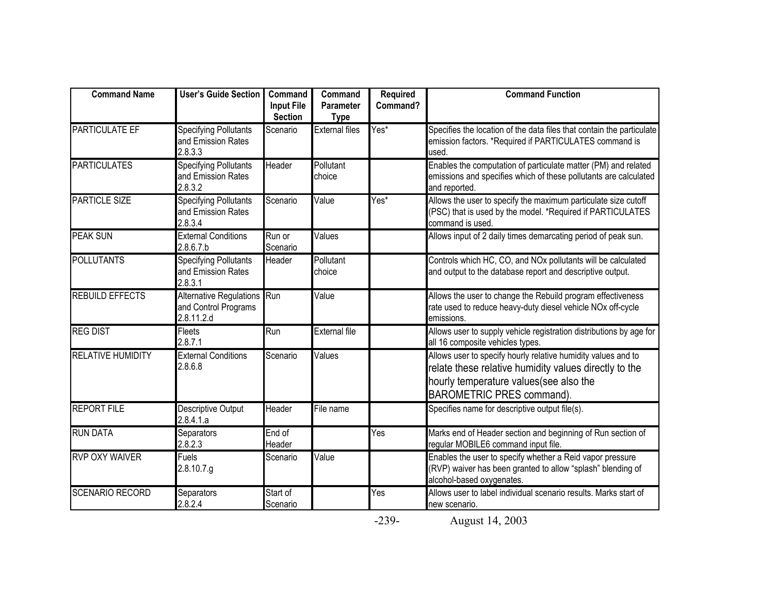| <b>Command Name</b>      | <b>User's Guide Section</b>                                       | Command<br><b>Input File</b><br><b>Section</b> | Command<br><b>Parameter</b><br><b>Type</b> | <b>Required</b><br>Command? | <b>Command Function</b>                                                                                                                                                                              |
|--------------------------|-------------------------------------------------------------------|------------------------------------------------|--------------------------------------------|-----------------------------|------------------------------------------------------------------------------------------------------------------------------------------------------------------------------------------------------|
| <b>PARTICULATE EF</b>    | <b>Specifying Pollutants</b><br>and Emission Rates<br>2.8.3.3     | Scenario                                       | <b>External files</b>                      | Yes*                        | Specifies the location of the data files that contain the particulate<br>emission factors. *Required if PARTICULATES command is<br>used                                                              |
| <b>PARTICULATES</b>      | <b>Specifying Pollutants</b><br>and Emission Rates<br>2.8.3.2     | Header                                         | Pollutant<br>choice                        |                             | Enables the computation of particulate matter (PM) and related<br>emissions and specifies which of these pollutants are calculated<br>and reported.                                                  |
| <b>PARTICLE SIZE</b>     | <b>Specifying Pollutants</b><br>and Emission Rates<br>2.8.3.4     | Scenario                                       | Value                                      | Yes*                        | Allows the user to specify the maximum particulate size cutoff<br>(PSC) that is used by the model. *Required if PARTICULATES<br>command is used.                                                     |
| <b>PEAK SUN</b>          | <b>External Conditions</b><br>2.8.6.7.b                           | Run or<br>Scenario                             | Values                                     |                             | Allows input of 2 daily times demarcating period of peak sun.                                                                                                                                        |
| <b>POLLUTANTS</b>        | <b>Specifying Pollutants</b><br>and Emission Rates<br>2.8.3.1     | Header                                         | Pollutant<br>choice                        |                             | Controls which HC, CO, and NOx pollutants will be calculated<br>and output to the database report and descriptive output.                                                                            |
| <b>REBUILD EFFECTS</b>   | Alternative Regulations Run<br>and Control Programs<br>2.8.11.2.d |                                                | Value                                      |                             | Allows the user to change the Rebuild program effectiveness<br>rate used to reduce heavy-duty diesel vehicle NOx off-cycle<br>emissions.                                                             |
| <b>REG DIST</b>          | Fleets<br>2.8.7.1                                                 | Run                                            | <b>External file</b>                       |                             | Allows user to supply vehicle registration distributions by age for<br>all 16 composite vehicles types.                                                                                              |
| <b>RELATIVE HUMIDITY</b> | <b>External Conditions</b><br>2.8.6.8                             | Scenario                                       | Values                                     |                             | Allows user to specify hourly relative humidity values and to<br>relate these relative humidity values directly to the<br>hourly temperature values(see also the<br><b>BAROMETRIC PRES command).</b> |
| <b>REPORT FILE</b>       | Descriptive Output<br>2.8.4.1.a                                   | Header                                         | File name                                  |                             | Specifies name for descriptive output file(s).                                                                                                                                                       |
| <b>RUN DATA</b>          | Separators<br>2.8.2.3                                             | End of<br>Header                               |                                            | Yes                         | Marks end of Header section and beginning of Run section of<br>regular MOBILE6 command input file.                                                                                                   |
| <b>RVP OXY WAIVER</b>    | <b>Fuels</b><br>2.8.10.7.g                                        | Scenario                                       | Value                                      |                             | Enables the user to specify whether a Reid vapor pressure<br>(RVP) waiver has been granted to allow "splash" blending of<br>alcohol-based oxygenates.                                                |
| <b>SCENARIO RECORD</b>   | Separators<br>2.8.2.4                                             | Start of<br>Scenario                           |                                            | Yes                         | Allows user to label individual scenario results. Marks start of<br>new scenario.                                                                                                                    |

-239-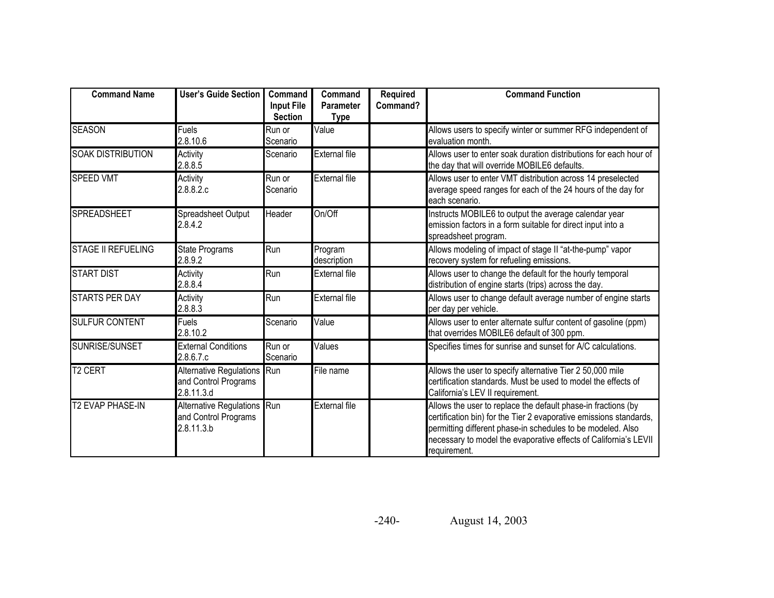| <b>Command Name</b>       | <b>User's Guide Section</b>                                          | Command<br><b>Input File</b><br><b>Section</b> | Command<br><b>Parameter</b><br><b>Type</b> | <b>Required</b><br>Command? | <b>Command Function</b>                                                                                                                                                                                                                                                                |
|---------------------------|----------------------------------------------------------------------|------------------------------------------------|--------------------------------------------|-----------------------------|----------------------------------------------------------------------------------------------------------------------------------------------------------------------------------------------------------------------------------------------------------------------------------------|
| <b>SEASON</b>             | Fuels<br>2.8.10.6                                                    | Run or<br>Scenario                             | Value                                      |                             | Allows users to specify winter or summer RFG independent of<br>evaluation month.                                                                                                                                                                                                       |
| <b>SOAK DISTRIBUTION</b>  | Activity<br>2.8.8.5                                                  | Scenario                                       | <b>External file</b>                       |                             | Allows user to enter soak duration distributions for each hour of<br>the day that will override MOBILE6 defaults.                                                                                                                                                                      |
| <b>SPEED VMT</b>          | Activity<br>2.8.8.2.c                                                | Run or<br>Scenario                             | <b>External file</b>                       |                             | Allows user to enter VMT distribution across 14 preselected<br>average speed ranges for each of the 24 hours of the day for<br>each scenario.                                                                                                                                          |
| <b>SPREADSHEET</b>        | Spreadsheet Output<br>2.8.4.2                                        | Header                                         | On/Off                                     |                             | Instructs MOBILE6 to output the average calendar year<br>emission factors in a form suitable for direct input into a<br>spreadsheet program.                                                                                                                                           |
| <b>STAGE II REFUELING</b> | State Programs<br>2.8.9.2                                            | Run                                            | Program<br>description                     |                             | Allows modeling of impact of stage II "at-the-pump" vapor<br>recovery system for refueling emissions.                                                                                                                                                                                  |
| <b>START DIST</b>         | Activity<br>2.8.8.4                                                  | Run                                            | <b>External file</b>                       |                             | Allows user to change the default for the hourly temporal<br>distribution of engine starts (trips) across the day.                                                                                                                                                                     |
| <b>STARTS PER DAY</b>     | Activity<br>2.8.8.3                                                  | Run                                            | <b>External file</b>                       |                             | Allows user to change default average number of engine starts<br>per day per vehicle.                                                                                                                                                                                                  |
| <b>SULFUR CONTENT</b>     | Fuels<br>2.8.10.2                                                    | Scenario                                       | Value                                      |                             | Allows user to enter alternate sulfur content of gasoline (ppm)<br>that overrides MOBILE6 default of 300 ppm.                                                                                                                                                                          |
| <b>SUNRISE/SUNSET</b>     | <b>External Conditions</b><br>2.8.6.7.c                              | Run or<br>Scenario                             | Values                                     |                             | Specifies times for sunrise and sunset for A/C calculations.                                                                                                                                                                                                                           |
| <b>T2 CERT</b>            | <b>Alternative Regulations</b><br>and Control Programs<br>2.8.11.3.d | Run                                            | File name                                  |                             | Allows the user to specify alternative Tier 2 50,000 mile<br>certification standards. Must be used to model the effects of<br>California's LEV II requirement.                                                                                                                         |
| <b>T2 EVAP PHASE-IN</b>   | Alternative Regulations Run<br>and Control Programs<br>2.8.11.3.b    |                                                | <b>External file</b>                       |                             | Allows the user to replace the default phase-in fractions (by<br>certification bin) for the Tier 2 evaporative emissions standards,<br>permitting different phase-in schedules to be modeled. Also<br>necessary to model the evaporative effects of California's LEVII<br>requirement. |

-240-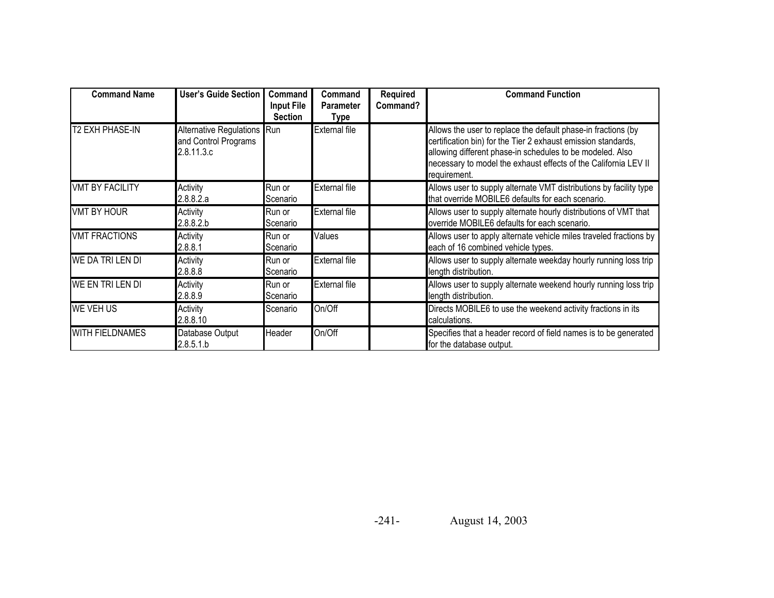| <b>Command Name</b>    | <b>User's Guide Section</b>                                       | Command<br><b>Input File</b><br><b>Section</b> | Command<br><b>Parameter</b><br>Type | <b>Required</b><br>Command? | <b>Command Function</b>                                                                                                                                                                                                                                                        |
|------------------------|-------------------------------------------------------------------|------------------------------------------------|-------------------------------------|-----------------------------|--------------------------------------------------------------------------------------------------------------------------------------------------------------------------------------------------------------------------------------------------------------------------------|
| <b>T2 EXH PHASE-IN</b> | Alternative Regulations Run<br>and Control Programs<br>2.8.11.3.c |                                                | <b>External file</b>                |                             | Allows the user to replace the default phase-in fractions (by<br>certification bin) for the Tier 2 exhaust emission standards,<br>allowing different phase-in schedules to be modeled. Also<br>necessary to model the exhaust effects of the California LEV II<br>requirement. |
| <b>VMT BY FACILITY</b> | Activity<br>2.8.8.2.a                                             | Run or<br>Scenario                             | <b>External file</b>                |                             | Allows user to supply alternate VMT distributions by facility type<br>that override MOBILE6 defaults for each scenario.                                                                                                                                                        |
| <b>VMT BY HOUR</b>     | Activity<br>2.8.8.2.b                                             | Run or<br>Scenario                             | <b>External file</b>                |                             | Allows user to supply alternate hourly distributions of VMT that<br>override MOBILE6 defaults for each scenario.                                                                                                                                                               |
| <b>VMT FRACTIONS</b>   | Activity<br>2.8.8.1                                               | Run or<br>Scenario                             | Values                              |                             | Allows user to apply alternate vehicle miles traveled fractions by<br>each of 16 combined vehicle types.                                                                                                                                                                       |
| WE DA TRI LEN DI       | Activity<br>2.8.8.8                                               | Run or<br>Scenario                             | <b>External file</b>                |                             | Allows user to supply alternate weekday hourly running loss trip<br>length distribution.                                                                                                                                                                                       |
| WE EN TRI LEN DI       | Activity<br>2.8.8.9                                               | Run or<br>Scenario                             | <b>External file</b>                |                             | Allows user to supply alternate weekend hourly running loss trip<br>length distribution.                                                                                                                                                                                       |
| <b>WE VEH US</b>       | Activity<br>2.8.8.10                                              | Scenario                                       | On/Off                              |                             | Directs MOBILE6 to use the weekend activity fractions in its<br>calculations.                                                                                                                                                                                                  |
| <b>WITH FIELDNAMES</b> | Database Output<br>2.8.5.1.b                                      | Header                                         | On/Off                              |                             | Specifies that a header record of field names is to be generated<br>for the database output.                                                                                                                                                                                   |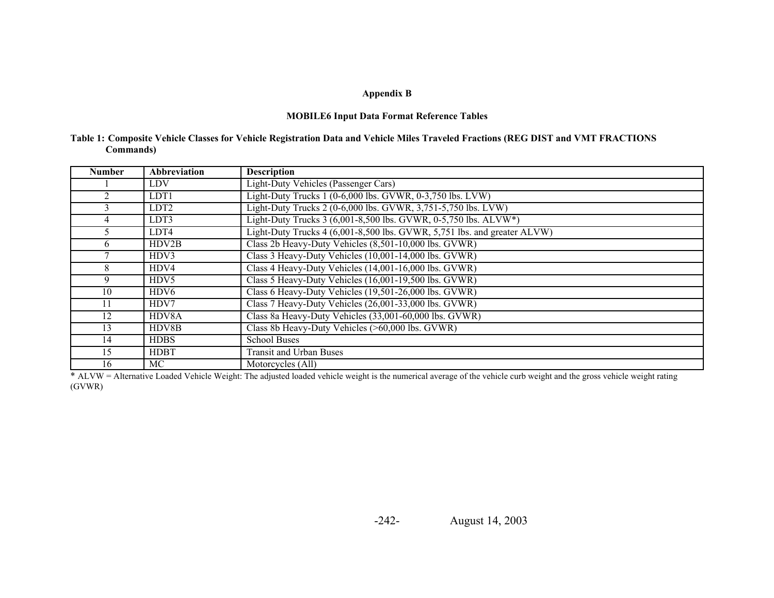#### **MOBILE6 Input Data Format Reference Tables**

|           |  |  | Table 1: Composite Vehicle Classes for Vehicle Registration Data and Vehicle Miles Traveled Fractions (REG DIST and VMT FRACTIONS |
|-----------|--|--|-----------------------------------------------------------------------------------------------------------------------------------|
| Commands) |  |  |                                                                                                                                   |

| <b>Number</b>  | <b>Abbreviation</b> | <b>Description</b>                                                       |
|----------------|---------------------|--------------------------------------------------------------------------|
|                | <b>LDV</b>          | Light-Duty Vehicles (Passenger Cars)                                     |
| $\mathfrak{D}$ | LDT1                | Light-Duty Trucks 1 (0-6,000 lbs. GVWR, 0-3,750 lbs. LVW)                |
| 3              | LDT <sub>2</sub>    | Light-Duty Trucks 2 (0-6,000 lbs. GVWR, 3,751-5,750 lbs. LVW)            |
| 4              | LDT3                | Light-Duty Trucks 3 (6,001-8,500 lbs. GVWR, 0-5,750 lbs. ALVW*)          |
| 5.             | LDT4                | Light-Duty Trucks 4 (6,001-8,500 lbs. GVWR, 5,751 lbs. and greater ALVW) |
| 6              | HDV2B               | Class 2b Heavy-Duty Vehicles (8,501-10,000 lbs. GVWR)                    |
| 7              | HDV3                | Class 3 Heavy-Duty Vehicles (10,001-14,000 lbs. GVWR)                    |
| 8              | HDV4                | Class 4 Heavy-Duty Vehicles (14,001-16,000 lbs. GVWR)                    |
| 9              | HDV5                | Class 5 Heavy-Duty Vehicles (16,001-19,500 lbs. GVWR)                    |
| 10             | HDV6                | Class 6 Heavy-Duty Vehicles (19,501-26,000 lbs. GVWR)                    |
| 11             | HDV7                | Class 7 Heavy-Duty Vehicles (26,001-33,000 lbs. GVWR)                    |
| 12             | HDV8A               | Class 8a Heavy-Duty Vehicles (33,001-60,000 lbs. GVWR)                   |
| 13             | HDV8B               | Class 8b Heavy-Duty Vehicles (>60,000 lbs. GVWR)                         |
| 14             | <b>HDBS</b>         | <b>School Buses</b>                                                      |
| 15             | <b>HDBT</b>         | <b>Transit and Urban Buses</b>                                           |
| 16             | MC                  | Motorcycles (All)                                                        |

\* ALVW = Alternative Loaded Vehicle Weight: The adjusted loaded vehicle weight is the numerical average of the vehicle curb weight and the gross vehicle weight rating (GVWR)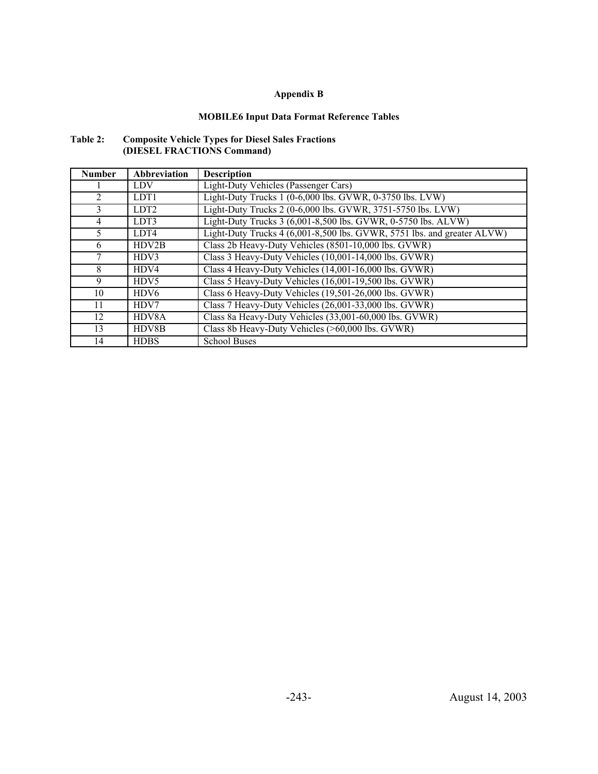### **MOBILE6 Input Data Format Reference Tables**

| Table 2: | <b>Composite Vehicle Types for Diesel Sales Fractions</b> |
|----------|-----------------------------------------------------------|
|          | (DIESEL FRACTIONS Command)                                |

| <b>Number</b>  | <b>Abbreviation</b> | <b>Description</b>                                                      |
|----------------|---------------------|-------------------------------------------------------------------------|
|                | <b>LDV</b>          | Light-Duty Vehicles (Passenger Cars)                                    |
| $\overline{2}$ | LDT1                | Light-Duty Trucks 1 (0-6,000 lbs. GVWR, 0-3750 lbs. LVW)                |
| 3              | LDT <sub>2</sub>    | Light-Duty Trucks 2 (0-6,000 lbs. GVWR, 3751-5750 lbs. LVW)             |
| $\overline{4}$ | LDT3                | Light-Duty Trucks 3 (6,001-8,500 lbs. GVWR, 0-5750 lbs. ALVW)           |
| 5              | LDT4                | Light-Duty Trucks 4 (6,001-8,500 lbs. GVWR, 5751 lbs. and greater ALVW) |
| 6              | HDV2B               | Class 2b Heavy-Duty Vehicles (8501-10,000 lbs. GVWR)                    |
| 7              | HDV3                | Class 3 Heavy-Duty Vehicles (10,001-14,000 lbs. GVWR)                   |
| 8              | H <sub>DV4</sub>    | Class 4 Heavy-Duty Vehicles (14,001-16,000 lbs. GVWR)                   |
| 9              | HDV5                | Class 5 Heavy-Duty Vehicles (16,001-19,500 lbs. GVWR)                   |
| 10             | HDV <sub>6</sub>    | Class 6 Heavy-Duty Vehicles (19,501-26,000 lbs. GVWR)                   |
| 11             | HDV7                | Class 7 Heavy-Duty Vehicles (26,001-33,000 lbs. GVWR)                   |
| 12             | HDV8A               | Class 8a Heavy-Duty Vehicles (33,001-60,000 lbs. GVWR)                  |
| 13             | HDV8B               | Class 8b Heavy-Duty Vehicles (>60,000 lbs. GVWR)                        |
| 14             | <b>HDBS</b>         | <b>School Buses</b>                                                     |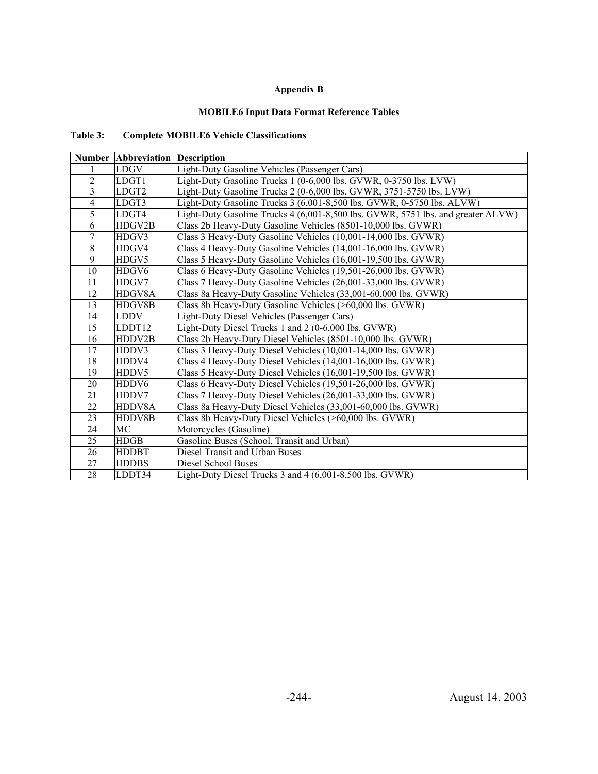#### **MOBILE6 Input Data Format Reference Tables**

### **Table 3: Complete MOBILE6 Vehicle Classifications**

|                | <b>Number Abbreviation Description</b> |                                                                                  |
|----------------|----------------------------------------|----------------------------------------------------------------------------------|
|                | LDGV                                   | Light-Duty Gasoline Vehicles (Passenger Cars)                                    |
| $\overline{2}$ | LDGT1                                  | Light-Duty Gasoline Trucks 1 (0-6,000 lbs. GVWR, 0-3750 lbs. LVW)                |
| 3              | LDGT2                                  | Light-Duty Gasoline Trucks 2 (0-6,000 lbs. GVWR, 3751-5750 lbs. LVW)             |
| 4              | LDGT3                                  | Light-Duty Gasoline Trucks 3 (6,001-8,500 lbs. GVWR, 0-5750 lbs. ALVW)           |
| 5              | LDGT4                                  | Light-Duty Gasoline Trucks 4 (6,001-8,500 lbs. GVWR, 5751 lbs. and greater ALVW) |
| 6              | HDGV2B                                 | Class 2b Heavy-Duty Gasoline Vehicles (8501-10,000 lbs. GVWR)                    |
| 7              | HDGV3                                  | Class 3 Heavy-Duty Gasoline Vehicles (10,001-14,000 lbs. GVWR)                   |
| 8              | HDGV4                                  | Class 4 Heavy-Duty Gasoline Vehicles (14,001-16,000 lbs. GVWR)                   |
| 9              | HDGV5                                  | Class 5 Heavy-Duty Gasoline Vehicles (16,001-19,500 lbs. GVWR)                   |
| 10             | HDGV <sub>6</sub>                      | Class 6 Heavy-Duty Gasoline Vehicles (19,501-26,000 lbs. GVWR)                   |
| 11             | HDGV7                                  | Class 7 Heavy-Duty Gasoline Vehicles (26,001-33,000 lbs. GVWR)                   |
| 12             | HDGV8A                                 | Class 8a Heavy-Duty Gasoline Vehicles (33,001-60,000 lbs. GVWR)                  |
| 13             | HDGV8B                                 | Class 8b Heavy-Duty Gasoline Vehicles (>60,000 lbs. GVWR)                        |
| 14             | <b>LDDV</b>                            | Light-Duty Diesel Vehicles (Passenger Cars)                                      |
| 15             | LDDT12                                 | Light-Duty Diesel Trucks 1 and 2 (0-6,000 lbs. GVWR)                             |
| 16             | HDDV2B                                 | Class 2b Heavy-Duty Diesel Vehicles (8501-10,000 lbs. GVWR)                      |
| 17             | HDDV3                                  | Class 3 Heavy-Duty Diesel Vehicles (10,001-14,000 lbs. GVWR)                     |
| 18             | HDDV4                                  | Class 4 Heavy-Duty Diesel Vehicles (14,001-16,000 lbs. GVWR)                     |
| 19             | HDDV5                                  | Class 5 Heavy-Duty Diesel Vehicles (16,001-19,500 lbs. GVWR)                     |
| 20             | HDDV6                                  | Class 6 Heavy-Duty Diesel Vehicles (19,501-26,000 lbs. GVWR)                     |
| 21             | HDDV7                                  | Class 7 Heavy-Duty Diesel Vehicles (26,001-33,000 lbs. GVWR)                     |
| 22             | HDDV8A                                 | Class 8a Heavy-Duty Diesel Vehicles (33,001-60,000 lbs. GVWR)                    |
| 23             | HDDV8B                                 | Class 8b Heavy-Duty Diesel Vehicles (>60,000 lbs. GVWR)                          |
| 24             | MC                                     | Motorcycles (Gasoline)                                                           |
| 25             | HDGB                                   | Gasoline Buses (School, Transit and Urban)                                       |
| 26             | <b>HDDBT</b>                           | Diesel Transit and Urban Buses                                                   |
| 27             | <b>HDDBS</b>                           | Diesel School Buses                                                              |
| 28             | LDDT34                                 | Light-Duty Diesel Trucks 3 and 4 (6,001-8,500 lbs. GVWR)                         |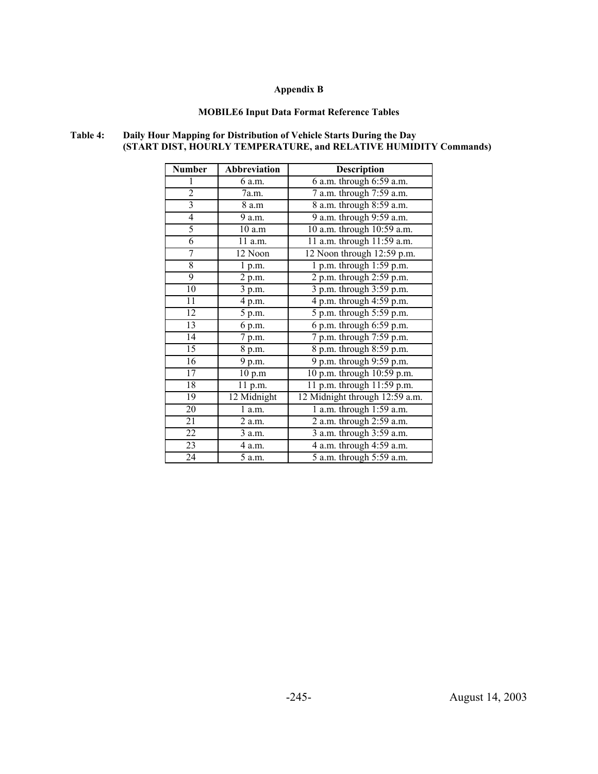#### **MOBILE6 Input Data Format Reference Tables**

#### **Number Abbreviation Description** 1 6 a.m. 6 a.m. through 6:59 a.m. 2 7a.m. 7 a.m. through 7:59 a.m. 3 8 a.m 8 a.m 8 a.m. through 8:59 a.m. 4 9 a.m. 9 a.m. through 9:59 a.m. 5 10 a.m 10 a.m. through 10:59 a.m. 6 11 a.m. 11 a.m. through 11:59 a.m. 7 12 Noon 12 Noon through 12:59 p.m. 8 1 p.m. 1 p.m. through 1:59 p.m. 9 2 p.m. 2 p.m. through 2:59 p.m. 10 3 p.m. 3 p.m. through 3:59 p.m. 11 4 p.m. 4 p.m. through 4:59 p.m. 12 5 p.m. 5 p.m. through 5:59 p.m. 13 6 p.m. 6 p.m. through 6:59 p.m. 14 7 p.m. 7 p.m. through 7:59 p.m. 15 8 p.m. 8 p.m. through 8:59 p.m.

16 9 p.m. 9 p.m. through 9:59 p.m. 17 10 p.m 10 p.m. through 10:59 p.m. 18 11 p.m. 11 p.m. through 11:59 p.m. 19 12 Midnight 12 Midnight through 12:59 a.m. 20 1 a.m. 1 a.m. through 1:59 a.m. 21 2 a.m. 2 a.m. through 2:59 a.m. 22 3 a.m. 3 a.m. through 3:59 a.m. 23 4 a.m. 4 a.m. through 4:59 a.m. 24 5 a.m. 5 a.m. through 5:59 a.m.

#### **Table 4: Daily Hour Mapping for Distribution of Vehicle Starts During the Day (START DIST, HOURLY TEMPERATURE, and RELATIVE HUMIDITY Commands)**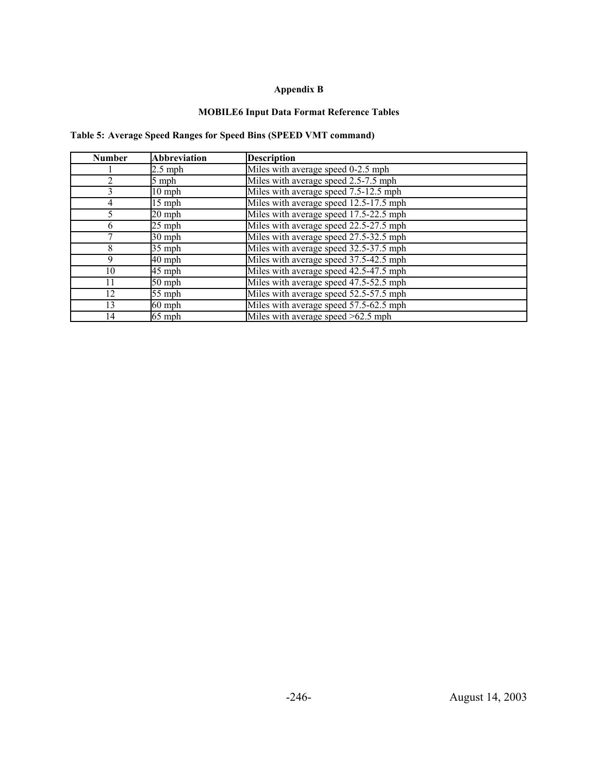#### **MOBILE6 Input Data Format Reference Tables**

### **Table 5: Average Speed Ranges for Speed Bins (SPEED VMT command)**

| <b>Number</b> | <b>Abbreviation</b> | <b>Description</b>                     |
|---------------|---------------------|----------------------------------------|
|               | $2.5$ mph           | Miles with average speed 0-2.5 mph     |
| 2             | 5 mph               | Miles with average speed 2.5-7.5 mph   |
| 3             | $10$ mph            | Miles with average speed 7.5-12.5 mph  |
| 4             | $15$ mph            | Miles with average speed 12.5-17.5 mph |
|               | $20$ mph            | Miles with average speed 17.5-22.5 mph |
| 6             | $25$ mph            | Miles with average speed 22.5-27.5 mph |
|               | $30$ mph            | Miles with average speed 27.5-32.5 mph |
| 8             | $35$ mph            | Miles with average speed 32.5-37.5 mph |
| 9             | 40 mph              | Miles with average speed 37.5-42.5 mph |
| 10            | 45 mph              | Miles with average speed 42.5-47.5 mph |
| 11            | 50 mph              | Miles with average speed 47.5-52.5 mph |
| 12            | 55 mph              | Miles with average speed 52.5-57.5 mph |
| 13            | $60$ mph            | Miles with average speed 57.5-62.5 mph |
| 14            | $65$ mph            | Miles with average speed $>62.5$ mph   |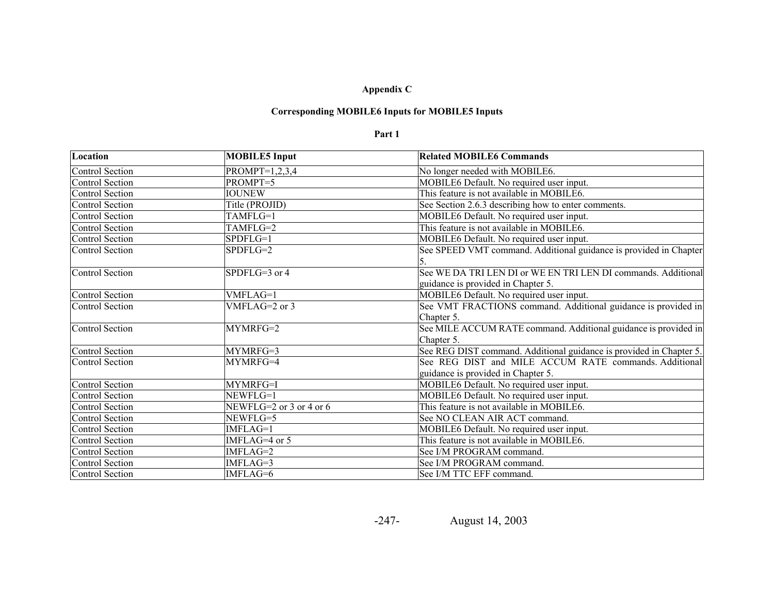### **Corresponding MOBILE6 Inputs for MOBILE5 Inputs**

#### **Part 1**

| Location               | <b>MOBILE5</b> Input    | <b>Related MOBILE6 Commands</b>                                     |
|------------------------|-------------------------|---------------------------------------------------------------------|
| Control Section        | $PROMPT=1,2,3,4$        | No longer needed with MOBILE6.                                      |
| Control Section        | PROMPT=5                | MOBILE6 Default. No required user input.                            |
| <b>Control Section</b> | <b>IOUNEW</b>           | This feature is not available in MOBILE6.                           |
| Control Section        | Title (PROJID)          | See Section 2.6.3 describing how to enter comments.                 |
| Control Section        | TAMFLG=1                | MOBILE6 Default. No required user input.                            |
| Control Section        | TAMFLG=2                | This feature is not available in MOBILE6.                           |
| <b>Control Section</b> | SPDFLG=1                | MOBILE6 Default. No required user input.                            |
| Control Section        | SPDFLG=2                | See SPEED VMT command. Additional guidance is provided in Chapter   |
|                        |                         |                                                                     |
| Control Section        | SPDFLG=3 or 4           | See WE DA TRI LEN DI or WE EN TRI LEN DI commands. Additional       |
|                        |                         | guidance is provided in Chapter 5.                                  |
| Control Section        | VMFLAG=1                | MOBILE6 Default. No required user input.                            |
| Control Section        | VMFLAG=2 or 3           | See VMT FRACTIONS command. Additional guidance is provided in       |
|                        |                         | Chapter 5.                                                          |
| Control Section        | MYMRFG=2                | See MILE ACCUM RATE command. Additional guidance is provided in     |
|                        |                         | Chapter 5.                                                          |
| Control Section        | MYMRFG=3                | See REG DIST command. Additional guidance is provided in Chapter 5. |
| Control Section        | MYMRFG=4                | See REG DIST and MILE ACCUM RATE commands. Additional               |
|                        |                         | guidance is provided in Chapter 5.                                  |
| Control Section        | MYMRFG=I                | MOBILE6 Default. No required user input.                            |
| <b>Control Section</b> | NEWFLG=1                | MOBILE6 Default. No required user input.                            |
| <b>Control Section</b> | NEWFLG=2 or 3 or 4 or 6 | This feature is not available in MOBILE6.                           |
| <b>Control Section</b> | NEWFLG=5                | See NO CLEAN AIR ACT command.                                       |
| Control Section        | IMFLAG=1                | MOBILE6 Default. No required user input.                            |
| <b>Control Section</b> | IMFLAG=4 or 5           | This feature is not available in MOBILE6.                           |
| Control Section        | IMFLAG=2                | See I/M PROGRAM command.                                            |
| Control Section        | IMFLAG=3                | See I/M PROGRAM command.                                            |
| Control Section        | IMFLAG=6                | See I/M TTC EFF command.                                            |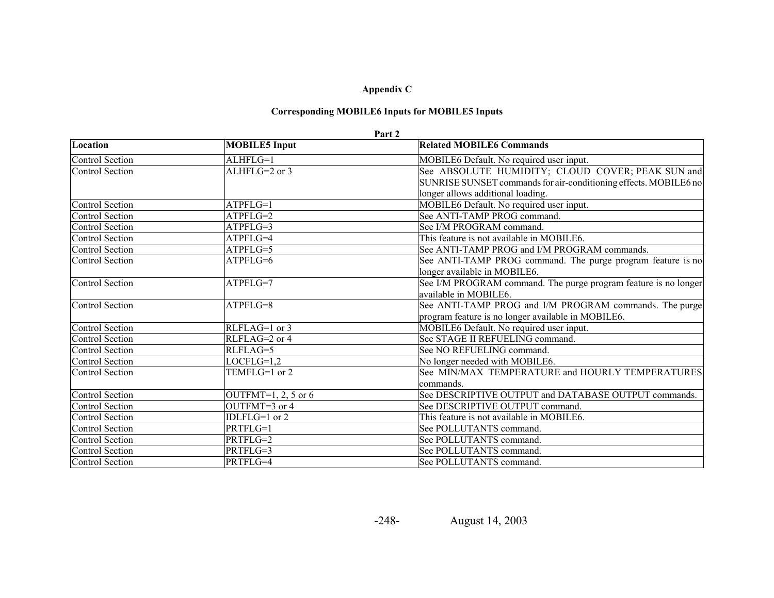# **Corresponding MOBILE6 Inputs for MOBILE5 Inputs**

#### **Part 2**

| Location               | <b>MOBILE5</b> Input  | <b>Related MOBILE6 Commands</b>                                  |
|------------------------|-----------------------|------------------------------------------------------------------|
| <b>Control Section</b> | ALHFLG=1              | MOBILE6 Default. No required user input.                         |
| <b>Control Section</b> | ALHFLG=2 or 3         | See ABSOLUTE HUMIDITY; CLOUD COVER; PEAK SUN and                 |
|                        |                       | SUNRISE SUNSET commands for air-conditioning effects. MOBILE6 no |
|                        |                       | longer allows additional loading.                                |
| <b>Control Section</b> | ATPFLG=1              | MOBILE6 Default. No required user input.                         |
| <b>Control Section</b> | ATPFLG=2              | See ANTI-TAMP PROG command.                                      |
| <b>Control Section</b> | ATPFLG=3              | See I/M PROGRAM command.                                         |
| <b>Control Section</b> | ATPFLG=4              | This feature is not available in MOBILE6.                        |
| <b>Control Section</b> | ATPFLG=5              | See ANTI-TAMP PROG and I/M PROGRAM commands.                     |
| <b>Control Section</b> | ATPFLG=6              | See ANTI-TAMP PROG command. The purge program feature is no      |
|                        |                       | longer available in MOBILE6.                                     |
| <b>Control Section</b> | ATPFLG=7              | See I/M PROGRAM command. The purge program feature is no longer  |
|                        |                       | available in MOBILE6.                                            |
| <b>Control Section</b> | ATPFLG=8              | See ANTI-TAMP PROG and I/M PROGRAM commands. The purge           |
|                        |                       | program feature is no longer available in MOBILE6.               |
| <b>Control Section</b> | RLFLAG=1 or 3         | MOBILE6 Default. No required user input.                         |
| <b>Control Section</b> | RLFLAG=2 or 4         | See STAGE II REFUELING command.                                  |
| <b>Control Section</b> | RLFLAG=5              | See NO REFUELING command.                                        |
| <b>Control Section</b> | $LOCFLG=1.2$          | No longer needed with MOBILE6.                                   |
| <b>Control Section</b> | TEMFLG=1 or 2         | See MIN/MAX TEMPERATURE and HOURLY TEMPERATURES                  |
|                        |                       | commands.                                                        |
| <b>Control Section</b> | OUTFMT=1, 2, 5 or $6$ | See DESCRIPTIVE OUTPUT and DATABASE OUTPUT commands.             |
| <b>Control Section</b> | OUTFMT=3 or 4         | See DESCRIPTIVE OUTPUT command.                                  |
| <b>Control Section</b> | IDLFLG=1 or 2         | This feature is not available in MOBILE6.                        |
| <b>Control Section</b> | PRTFLG=1              | See POLLUTANTS command.                                          |
| <b>Control Section</b> | PRTFLG=2              | See POLLUTANTS command.                                          |
| <b>Control Section</b> | PRTFLG=3              | See POLLUTANTS command.                                          |
| <b>Control Section</b> | PRTFLG=4              | See POLLUTANTS command.                                          |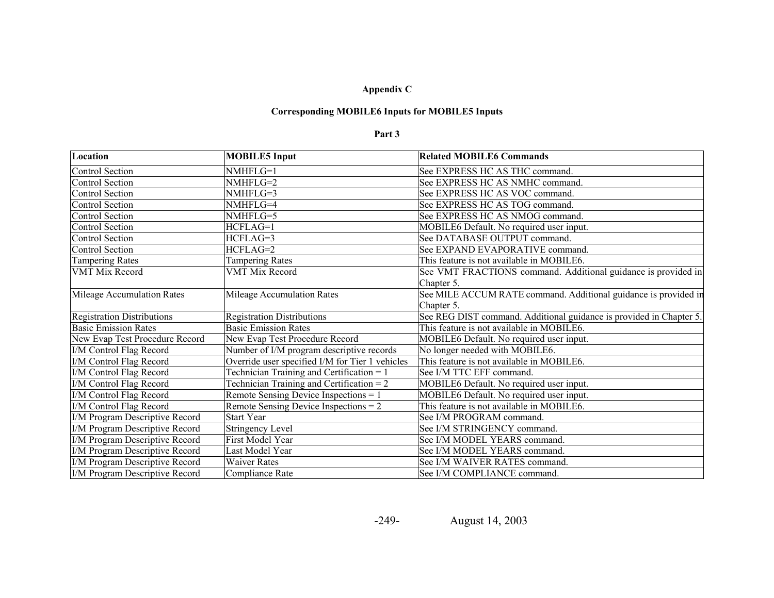# **Corresponding MOBILE6 Inputs for MOBILE5 Inputs**

#### **Part 3**

| Location                          | <b>MOBILE5</b> Input                            | <b>Related MOBILE6 Commands</b>                                     |
|-----------------------------------|-------------------------------------------------|---------------------------------------------------------------------|
| Control Section                   | NMHFLG=1                                        | See EXPRESS HC AS THC command.                                      |
| Control Section                   | NMHFLG=2                                        | See EXPRESS HC AS NMHC command.                                     |
| <b>Control Section</b>            | NMHFLG=3                                        | See EXPRESS HC AS VOC command.                                      |
| <b>Control Section</b>            | NMHFLG=4                                        | See EXPRESS HC AS TOG command.                                      |
| <b>Control Section</b>            | NMHFLG=5                                        | See EXPRESS HC AS NMOG command.                                     |
| <b>Control Section</b>            | HCFLAG=1                                        | MOBILE6 Default. No required user input.                            |
| <b>Control Section</b>            | HCFLAG=3                                        | See DATABASE OUTPUT command.                                        |
| <b>Control Section</b>            | HCFLAG=2                                        | See EXPAND EVAPORATIVE command.                                     |
| <b>Tampering Rates</b>            | <b>Tampering Rates</b>                          | This feature is not available in MOBILE6.                           |
| <b>VMT Mix Record</b>             | <b>VMT Mix Record</b>                           | See VMT FRACTIONS command. Additional guidance is provided in       |
|                                   |                                                 | Chapter 5.                                                          |
| Mileage Accumulation Rates        | Mileage Accumulation Rates                      | See MILE ACCUM RATE command. Additional guidance is provided in     |
|                                   |                                                 | Chapter 5.                                                          |
| <b>Registration Distributions</b> | <b>Registration Distributions</b>               | See REG DIST command. Additional guidance is provided in Chapter 5. |
| <b>Basic Emission Rates</b>       | <b>Basic Emission Rates</b>                     | This feature is not available in MOBILE6.                           |
| New Evap Test Procedure Record    | New Evap Test Procedure Record                  | MOBILE6 Default. No required user input.                            |
| I/M Control Flag Record           | Number of I/M program descriptive records       | No longer needed with MOBILE6.                                      |
| I/M Control Flag Record           | Override user specified I/M for Tier 1 vehicles | This feature is not available in MOBILE6.                           |
| I/M Control Flag Record           | Technician Training and Certification = 1       | See I/M TTC EFF command.                                            |
| I/M Control Flag Record           | Technician Training and Certification = $2$     | MOBILE6 Default. No required user input.                            |
| I/M Control Flag Record           | Remote Sensing Device Inspections = 1           | MOBILE6 Default. No required user input.                            |
| I/M Control Flag Record           | Remote Sensing Device Inspections = $2$         | This feature is not available in MOBILE6.                           |
| I/M Program Descriptive Record    | <b>Start Year</b>                               | See I/M PROGRAM command.                                            |
| I/M Program Descriptive Record    | <b>Stringency Level</b>                         | See I/M STRINGENCY command.                                         |
| I/M Program Descriptive Record    | First Model Year                                | See I/M MODEL YEARS command.                                        |
| I/M Program Descriptive Record    | Last Model Year                                 | See I/M MODEL YEARS command.                                        |
| I/M Program Descriptive Record    | <b>Waiver Rates</b>                             | See I/M WAIVER RATES command.                                       |
| I/M Program Descriptive Record    | Compliance Rate                                 | See I/M COMPLIANCE command.                                         |

-249-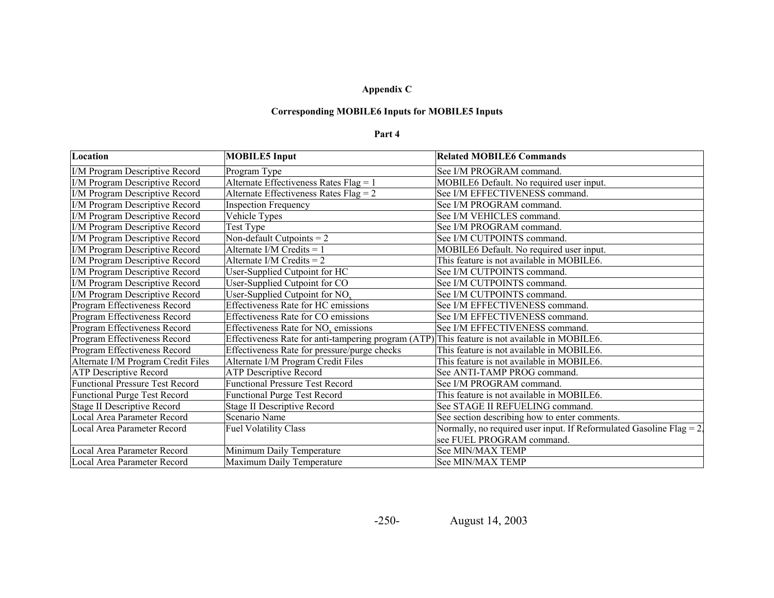### **Corresponding MOBILE6 Inputs for MOBILE5 Inputs**

#### **Part 4**

| Location                               | <b>MOBILE5</b> Input                                                                          | <b>Related MOBILE6 Commands</b>                                         |
|----------------------------------------|-----------------------------------------------------------------------------------------------|-------------------------------------------------------------------------|
| I/M Program Descriptive Record         | Program Type                                                                                  | See I/M PROGRAM command.                                                |
| I/M Program Descriptive Record         | Alternate Effectiveness Rates Flag = 1                                                        | MOBILE6 Default. No required user input.                                |
| I/M Program Descriptive Record         | Alternate Effectiveness Rates Flag = 2                                                        | See I/M EFFECTIVENESS command.                                          |
| I/M Program Descriptive Record         | <b>Inspection Frequency</b>                                                                   | See I/M PROGRAM command.                                                |
| I/M Program Descriptive Record         | Vehicle Types                                                                                 | See I/M VEHICLES command.                                               |
| I/M Program Descriptive Record         | Test Type                                                                                     | See I/M PROGRAM command.                                                |
| I/M Program Descriptive Record         | Non-default Cutpoints = $2$                                                                   | See I/M CUTPOINTS command.                                              |
| I/M Program Descriptive Record         | Alternate I/M Credits = $1$                                                                   | MOBILE6 Default. No required user input.                                |
| I/M Program Descriptive Record         | Alternate I/M Credits $= 2$                                                                   | This feature is not available in MOBILE6.                               |
| I/M Program Descriptive Record         | User-Supplied Cutpoint for HC                                                                 | See I/M CUTPOINTS command.                                              |
| I/M Program Descriptive Record         | User-Supplied Cutpoint for CO                                                                 | See I/M CUTPOINTS command.                                              |
| I/M Program Descriptive Record         | User-Supplied Cutpoint for $NOx$                                                              | See I/M CUTPOINTS command.                                              |
| Program Effectiveness Record           | Effectiveness Rate for HC emissions                                                           | See I/M EFFECTIVENESS command.                                          |
| Program Effectiveness Record           | Effectiveness Rate for CO emissions                                                           | See I/M EFFECTIVENESS command.                                          |
| Program Effectiveness Record           | Effectiveness Rate for $NOx$ emissions                                                        | See I/M EFFECTIVENESS command.                                          |
| Program Effectiveness Record           | Effectiveness Rate for anti-tampering program (ATP) This feature is not available in MOBILE6. |                                                                         |
| Program Effectiveness Record           | Effectiveness Rate for pressure/purge checks                                                  | This feature is not available in MOBILE6.                               |
| Alternate I/M Program Credit Files     | Alternate I/M Program Credit Files                                                            | This feature is not available in MOBILE6.                               |
| <b>ATP Descriptive Record</b>          | <b>ATP Descriptive Record</b>                                                                 | See ANTI-TAMP PROG command.                                             |
| <b>Functional Pressure Test Record</b> | <b>Functional Pressure Test Record</b>                                                        | See I/M PROGRAM command.                                                |
| <b>Functional Purge Test Record</b>    | <b>Functional Purge Test Record</b>                                                           | This feature is not available in MOBILE6.                               |
| <b>Stage II Descriptive Record</b>     | Stage II Descriptive Record                                                                   | See STAGE II REFUELING command.                                         |
| Local Area Parameter Record            | Scenario Name                                                                                 | See section describing how to enter comments.                           |
| Local Area Parameter Record            | <b>Fuel Volatility Class</b>                                                                  | Normally, no required user input. If Reformulated Gasoline Flag $= 2$ . |
|                                        |                                                                                               | see FUEL PROGRAM command.                                               |
| Local Area Parameter Record            | Minimum Daily Temperature                                                                     | See MIN/MAX TEMP                                                        |
| Local Area Parameter Record            | Maximum Daily Temperature                                                                     | See MIN/MAX TEMP                                                        |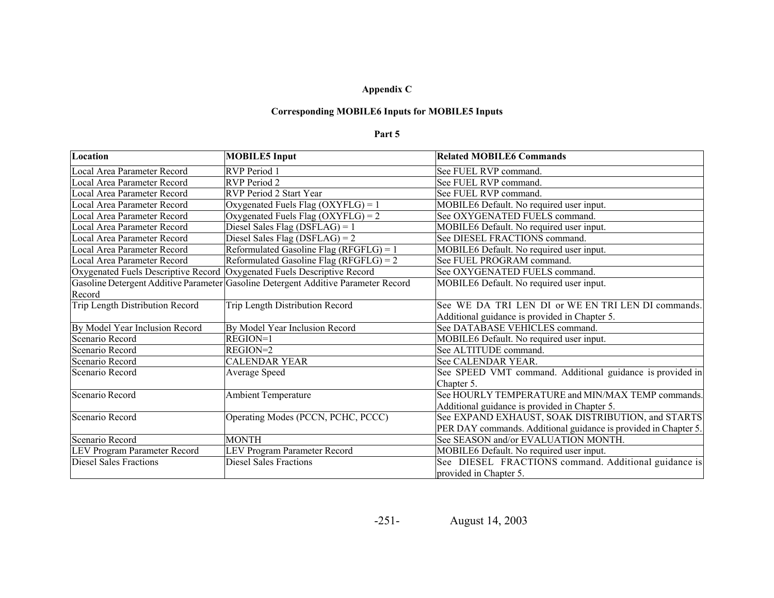### **Corresponding MOBILE6 Inputs for MOBILE5 Inputs**

#### **Part 5**

| Location                                                                | <b>MOBILE5</b> Input                                                               | <b>Related MOBILE6 Commands</b>                                 |
|-------------------------------------------------------------------------|------------------------------------------------------------------------------------|-----------------------------------------------------------------|
| Local Area Parameter Record                                             | RVP Period 1                                                                       | See FUEL RVP command.                                           |
| Local Area Parameter Record                                             | RVP Period 2                                                                       | See FUEL RVP command.                                           |
| Local Area Parameter Record                                             | RVP Period 2 Start Year                                                            | See FUEL RVP command.                                           |
| Local Area Parameter Record                                             | Oxygenated Fuels Flag (OXYFLG) = 1                                                 | MOBILE6 Default. No required user input.                        |
| Local Area Parameter Record                                             | Oxygenated Fuels Flag $(OXYFLG) = 2$                                               | See OXYGENATED FUELS command.                                   |
| Local Area Parameter Record                                             | Diesel Sales Flag (DSFLAG) = $1$                                                   | MOBILE6 Default. No required user input.                        |
| Local Area Parameter Record                                             | Diesel Sales Flag (DSFLAG) = $2$                                                   | See DIESEL FRACTIONS command.                                   |
| Local Area Parameter Record                                             | Reformulated Gasoline Flag (RFGFLG) = $1$                                          | MOBILE6 Default. No required user input.                        |
| Local Area Parameter Record                                             | Reformulated Gasoline Flag (RFGFLG) = $2$                                          | See FUEL PROGRAM command.                                       |
| Oxygenated Fuels Descriptive Record Oxygenated Fuels Descriptive Record |                                                                                    | See OXYGENATED FUELS command.                                   |
|                                                                         | Gasoline Detergent Additive Parameter Gasoline Detergent Additive Parameter Record | MOBILE6 Default. No required user input.                        |
| Record                                                                  |                                                                                    |                                                                 |
| Trip Length Distribution Record                                         | Trip Length Distribution Record                                                    | See WE DA TRI LEN DI or WE EN TRI LEN DI commands.              |
|                                                                         |                                                                                    | Additional guidance is provided in Chapter 5.                   |
| By Model Year Inclusion Record                                          | By Model Year Inclusion Record                                                     | See DATABASE VEHICLES command.                                  |
| Scenario Record                                                         | $REGION=1$                                                                         | MOBILE6 Default. No required user input.                        |
| Scenario Record                                                         | REGION=2                                                                           | See ALTITUDE command.                                           |
| Scenario Record                                                         | <b>CALENDAR YEAR</b>                                                               | See CALENDAR YEAR.                                              |
| Scenario Record                                                         | Average Speed                                                                      | See SPEED VMT command. Additional guidance is provided in       |
|                                                                         |                                                                                    | Chapter 5.                                                      |
| Scenario Record                                                         | <b>Ambient Temperature</b>                                                         | See HOURLY TEMPERATURE and MIN/MAX TEMP commands.               |
|                                                                         |                                                                                    | Additional guidance is provided in Chapter 5.                   |
| Scenario Record                                                         | Operating Modes (PCCN, PCHC, PCCC)                                                 | See EXPAND EXHAUST, SOAK DISTRIBUTION, and STARTS               |
|                                                                         |                                                                                    | PER DAY commands. Additional guidance is provided in Chapter 5. |
| Scenario Record                                                         | <b>MONTH</b>                                                                       | See SEASON and/or EVALUATION MONTH.                             |
| LEV Program Parameter Record                                            | <b>LEV Program Parameter Record</b>                                                | MOBILE6 Default. No required user input.                        |
| <b>Diesel Sales Fractions</b>                                           | <b>Diesel Sales Fractions</b>                                                      | See DIESEL FRACTIONS command. Additional guidance is            |
|                                                                         |                                                                                    | provided in Chapter 5.                                          |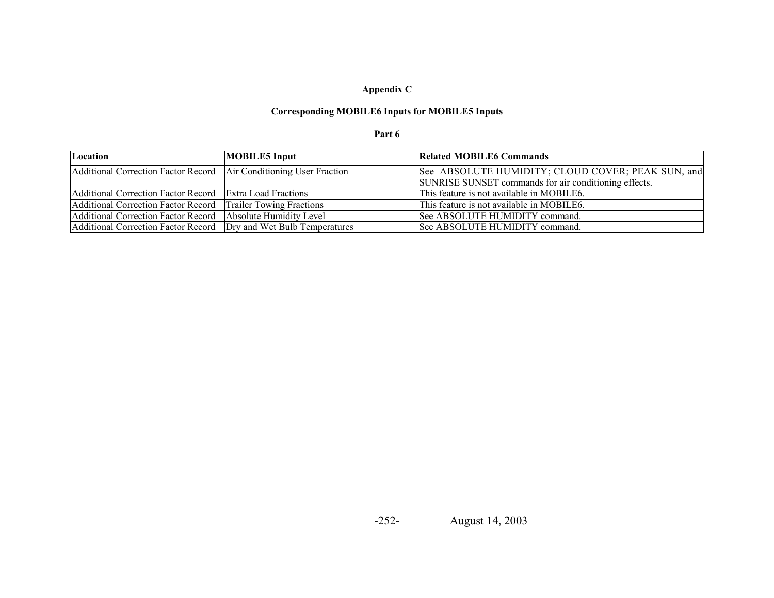# **Appendix C**

# **Corresponding MOBILE6 Inputs for MOBILE5 Inputs**

#### **Part 6**

| Location                                                             | <b>MOBILE5</b> Input            | <b>Related MOBILE6 Commands</b>                       |
|----------------------------------------------------------------------|---------------------------------|-------------------------------------------------------|
| Additional Correction Factor Record   Air Conditioning User Fraction |                                 | See ABSOLUTE HUMIDITY; CLOUD COVER; PEAK SUN, and     |
|                                                                      |                                 | SUNRISE SUNSET commands for air conditioning effects. |
| Additional Correction Factor Record Extra Load Fractions             |                                 | This feature is not available in MOBILE6.             |
| Additional Correction Factor Record                                  | <b>Trailer Towing Fractions</b> | This feature is not available in MOBILE6.             |
| Additional Correction Factor Record                                  | Absolute Humidity Level         | See ABSOLUTE HUMIDITY command.                        |
| Additional Correction Factor Record   Dry and Wet Bulb Temperatures  |                                 | See ABSOLUTE HUMIDITY command.                        |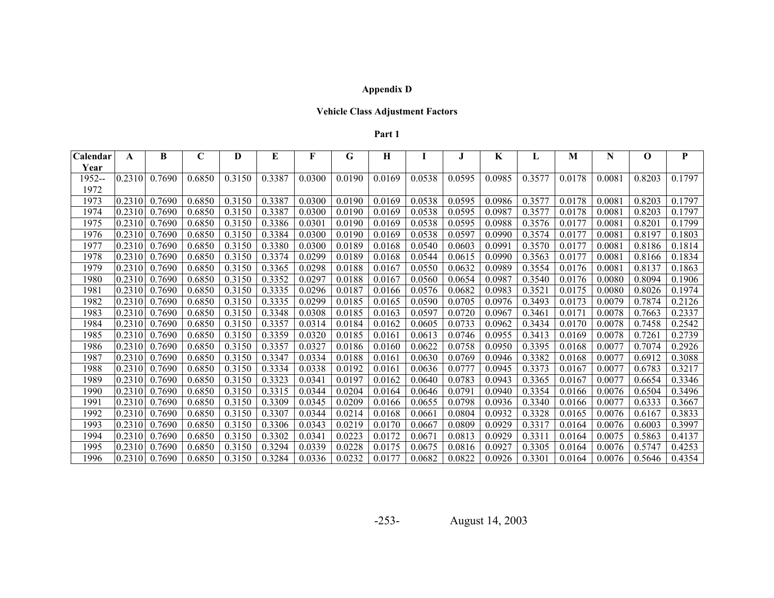# **Appendix D**

# **Vehicle Class Adjustment Factors**

#### **Part 1**

| Calendar | A      | B             | $\mathbf C$ | D      | E      | F      | G      | Н      |        | J.     | K      | L      | M      | N      | O      | ${\bf P}$ |
|----------|--------|---------------|-------------|--------|--------|--------|--------|--------|--------|--------|--------|--------|--------|--------|--------|-----------|
| Year     |        |               |             |        |        |        |        |        |        |        |        |        |        |        |        |           |
| 1952--   | 0.2310 | 0.7690        | 0.6850      | 0.3150 | 0.3387 | 0.0300 | 0.0190 | 0.0169 | 0.0538 | 0.0595 | 0.0985 | 0.3577 | 0.0178 | 0.0081 | 0.8203 | 0.1797    |
| 1972     |        |               |             |        |        |        |        |        |        |        |        |        |        |        |        |           |
| 1973     | 0.2310 | 0.7690        | 0.6850      | 0.3150 | 0.3387 | 0.0300 | 0.0190 | 0.0169 | 0.0538 | 0.0595 | 0.0986 | 0.3577 | 0.0178 | 0.0081 | 0.8203 | 0.1797    |
| 1974     | 0.2310 | 0.7690        | 0.6850      | 0.3150 | 0.3387 | 0.0300 | 0.0190 | 0.0169 | 0.0538 | 0.0595 | 0.0987 | 0.3577 | 0.0178 | 0.0081 | 0.8203 | 0.1797    |
| 1975     | 0.2310 | 0.7690        | 0.6850      | 0.3150 | 0.3386 | 0.0301 | 0.0190 | 0.0169 | 0.0538 | 0.0595 | 0.0988 | 0.3576 | 0.0177 | 0.0081 | 0.8201 | 0.1799    |
| 1976     | 0.2310 | 0.7690        | 0.6850      | 0.3150 | 0.3384 | 0.0300 | 0.0190 | 0.0169 | 0.0538 | 0.0597 | 0.0990 | 0.3574 | 0.0177 | 0.0081 | 0.8197 | 0.1803    |
| 1977     | 0.2310 | 0.7690        | 0.6850      | 0.3150 | 0.3380 | 0.0300 | 0.0189 | 0.0168 | 0.0540 | 0.0603 | 0.0991 | 0.3570 | 0.0177 | 0.0081 | 0.8186 | 0.1814    |
| 1978     | 0.2310 | 0.7690        | 0.6850      | 0.3150 | 0.3374 | 0.0299 | 0.0189 | 0.0168 | 0.0544 | 0.0615 | 0.0990 | 0.3563 | 0.0177 | 0.0081 | 0.8166 | 0.1834    |
| 1979     | 0.2310 | 0.7690        | 0.6850      | 0.3150 | 0.3365 | 0.0298 | 0.0188 | 0.0167 | 0.0550 | 0.0632 | 0.0989 | 0.3554 | 0.0176 | 0.0081 | 0.8137 | 0.1863    |
| 1980     | 0.2310 | 0.7690        | 0.6850      | 0.3150 | 0.3352 | 0.0297 | 0.0188 | 0.0167 | 0.0560 | 0.0654 | 0.0987 | 0.3540 | 0.0176 | 0.0080 | 0.8094 | 0.1906    |
| 1981     | 0.2310 | 0.7690        | 0.6850      | 0.3150 | 0.3335 | 0.0296 | 0.0187 | 0.0166 | 0.0576 | 0.0682 | 0.0983 | 0.3521 | 0.0175 | 0.0080 | 0.8026 | 0.1974    |
| 1982     | 0.2310 | 0.7690        | 0.6850      | 0.3150 | 0.3335 | 0.0299 | 0.0185 | 0.0165 | 0.0590 | 0.0705 | 0.0976 | 0.3493 | 0.0173 | 0.0079 | 0.7874 | 0.2126    |
| 1983     | 0.2310 | 0.7690        | 0.6850      | 0.3150 | 0.3348 | 0.0308 | 0.0185 | 0.0163 | 0.0597 | 0.0720 | 0.0967 | 0.3461 | 0.0171 | 0.0078 | 0.7663 | 0.2337    |
| 1984     | 0.2310 | 0.7690        | 0.6850      | 0.3150 | 0.3357 | 0.0314 | 0.0184 | 0.0162 | 0.0605 | 0.0733 | 0.0962 | 0.3434 | 0.0170 | 0.0078 | 0.7458 | 0.2542    |
| 1985     | 0.2310 | 0.7690        | 0.6850      | 0.3150 | 0.3359 | 0.0320 | 0.0185 | 0.0161 | 0.0613 | 0.0746 | 0.0955 | 0.3413 | 0.0169 | 0.0078 | 0.7261 | 0.2739    |
| 1986     | 0.2310 | 0.7690        | 0.6850      | 0.3150 | 0.3357 | 0.0327 | 0.0186 | 0.0160 | 0.0622 | 0.0758 | 0.0950 | 0.3395 | 0.0168 | 0.0077 | 0.7074 | 0.2926    |
| 1987     | 0.2310 | 0.7690        | 0.6850      | 0.3150 | 0.3347 | 0.0334 | 0.0188 | 0.0161 | 0.0630 | 0.0769 | 0.0946 | 0.3382 | 0.0168 | 0.0077 | 0.6912 | 0.3088    |
| 1988     | 0.2310 | 0.7690        | 0.6850      | 0.3150 | 0.3334 | 0.0338 | 0.0192 | 0.0161 | 0.0636 | 0.0777 | 0.0945 | 0.3373 | 0.0167 | 0.0077 | 0.6783 | 0.3217    |
| 1989     | 0.2310 | 0.7690        | 0.6850      | 0.3150 | 0.3323 | 0.0341 | 0.0197 | 0.0162 | 0.0640 | 0.0783 | 0.0943 | 0.3365 | 0.0167 | 0.0077 | 0.6654 | 0.3346    |
| 1990     | 0.2310 | 0.7690        | 0.6850      | 0.3150 | 0.3315 | 0.0344 | 0.0204 | 0.0164 | 0.0646 | 0.0791 | 0.0940 | 0.3354 | 0.0166 | 0.0076 | 0.6504 | 0.3496    |
| 1991     | 0.2310 | 0.7690        | 0.6850      | 0.3150 | 0.3309 | 0.0345 | 0.0209 | 0.0166 | 0.0655 | 0.0798 | 0.0936 | 0.3340 | 0.0166 | 0.0077 | 0.6333 | 0.3667    |
| 1992     | 0.2310 | 0.7690        | 0.6850      | 0.3150 | 0.3307 | 0.0344 | 0.0214 | 0.0168 | 0.0661 | 0.0804 | 0.0932 | 0.3328 | 0.0165 | 0.0076 | 0.6167 | 0.3833    |
| 1993     | 0.2310 | 0.7690        | 0.6850      | 0.3150 | 0.3306 | 0.0343 | 0.0219 | 0.0170 | 0.0667 | 0.0809 | 0.0929 | 0.3317 | 0.0164 | 0.0076 | 0.6003 | 0.3997    |
| 1994     | 0.2310 | 0.7690        | 0.6850      | 0.3150 | 0.3302 | 0.0341 | 0.0223 | 0.0172 | 0.0671 | 0.0813 | 0.0929 | 0.3311 | 0.0164 | 0.0075 | 0.5863 | 0.4137    |
| 1995     | 0.2310 | 0.7690        | 0.6850      | 0.3150 | 0.3294 | 0.0339 | 0.0228 | 0.0175 | 0.0675 | 0.0816 | 0.0927 | 0.3305 | 0.0164 | 0.0076 | 0.5747 | 0.4253    |
| 1996     |        | 0.2310 0.7690 | 0.6850      | 0.3150 | 0.3284 | 0.0336 | 0.0232 | 0.0177 | 0.0682 | 0.0822 | 0.0926 | 0.3301 | 0.0164 | 0.0076 | 0.5646 | 0.4354    |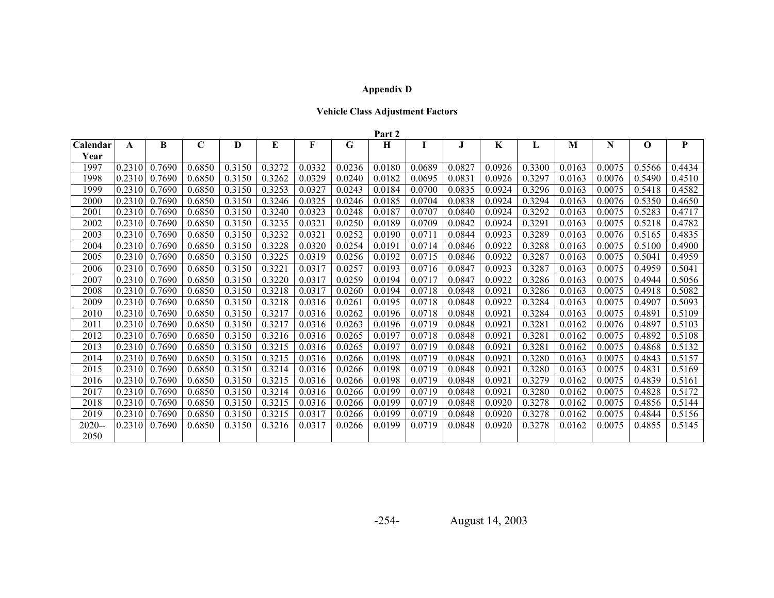# **Appendix D**

# **Vehicle Class Adjustment Factors**

|          |        |        |             |        |        |        |        | Part 2 |        |        |         |        |        |        |             |        |
|----------|--------|--------|-------------|--------|--------|--------|--------|--------|--------|--------|---------|--------|--------|--------|-------------|--------|
| Calendar | A      | B      | $\mathbf C$ | D      | E      | F      | G      | H      | I      | J      | $\bf K$ | L      | M      | N      | $\mathbf 0$ | P      |
| Year     |        |        |             |        |        |        |        |        |        |        |         |        |        |        |             |        |
| 1997     | 0.2310 | 0.7690 | 0.6850      | 0.3150 | 0.3272 | 0.0332 | 0.0236 | 0.0180 | 0.0689 | 0.0827 | 0.0926  | 0.3300 | 0.0163 | 0.0075 | 0.5566      | 0.4434 |
| 1998     | 0.2310 | 0.7690 | 0.6850      | 0.3150 | 0.3262 | 0.0329 | 0.0240 | 0.0182 | 0.0695 | 0.0831 | 0.0926  | 0.3297 | 0.0163 | 0.0076 | 0.5490      | 0.4510 |
| 1999     | 0.2310 | 0.7690 | 0.6850      | 0.3150 | 0.3253 | 0.0327 | 0.0243 | 0.0184 | 0.0700 | 0.0835 | 0.0924  | 0.3296 | 0.0163 | 0.0075 | 0.5418      | 0.4582 |
| 2000     | 0.2310 | 0.7690 | 0.6850      | 0.3150 | 0.3246 | 0.0325 | 0.0246 | 0.0185 | 0.0704 | 0.0838 | 0.0924  | 0.3294 | 0.0163 | 0.0076 | 0.5350      | 0.4650 |
| 2001     | 0.2310 | 0.7690 | 0.6850      | 0.3150 | 0.3240 | 0.0323 | 0.0248 | 0.0187 | 0.0707 | 0.0840 | 0.0924  | 0.3292 | 0.0163 | 0.0075 | 0.5283      | 0.4717 |
| 2002     | 0.2310 | 0.7690 | 0.6850      | 0.3150 | 0.3235 | 0.0321 | 0.0250 | 0.0189 | 0.0709 | 0.0842 | 0.0924  | 0.3291 | 0.0163 | 0.0075 | 0.5218      | 0.4782 |
| 2003     | 0.2310 | 0.7690 | 0.6850      | 0.3150 | 0.3232 | 0.0321 | 0.0252 | 0.0190 | 0.0711 | 0.0844 | 0.0923  | 0.3289 | 0.0163 | 0.0076 | 0.5165      | 0.4835 |
| 2004     | 0.2310 | 0.7690 | 0.6850      | 0.3150 | 0.3228 | 0.0320 | 0.0254 | 0.0191 | 0.0714 | 0.0846 | 0.0922  | 0.3288 | 0.0163 | 0.0075 | 0.5100      | 0.4900 |
| 2005     | 0.2310 | 0.7690 | 0.6850      | 0.3150 | 0.3225 | 0.0319 | 0.0256 | 0.0192 | 0.0715 | 0.0846 | 0.0922  | 0.3287 | 0.0163 | 0.0075 | 0.5041      | 0.4959 |
| 2006     | 0.2310 | 0.7690 | 0.6850      | 0.3150 | 0.3221 | 0.0317 | 0.0257 | 0.0193 | 0.0716 | 0.0847 | 0.0923  | 0.3287 | 0.0163 | 0.0075 | 0.4959      | 0.5041 |
| 2007     | 0.2310 | 0.7690 | 0.6850      | 0.3150 | 0.3220 | 0.0317 | 0.0259 | 0.0194 | 0.0717 | 0.0847 | 0.0922  | 0.3286 | 0.0163 | 0.0075 | 0.4944      | 0.5056 |
| 2008     | 0.2310 | 0.7690 | 0.6850      | 0.3150 | 0.3218 | 0.0317 | 0.0260 | 0.0194 | 0.0718 | 0.0848 | 0.0921  | 0.3286 | 0.0163 | 0.0075 | 0.4918      | 0.5082 |
| 2009     | 0.2310 | 0.7690 | 0.6850      | 0.3150 | 0.3218 | 0.0316 | 0.0261 | 0.0195 | 0.0718 | 0.0848 | 0.0922  | 0.3284 | 0.0163 | 0.0075 | 0.4907      | 0.5093 |
| 2010     | 0.2310 | 0.7690 | 0.6850      | 0.3150 | 0.3217 | 0.0316 | 0.0262 | 0.0196 | 0.0718 | 0.0848 | 0.0921  | 0.3284 | 0.0163 | 0.0075 | 0.4891      | 0.5109 |
| 2011     | 0.2310 | 0.7690 | 0.6850      | 0.3150 | 0.3217 | 0.0316 | 0.0263 | 0.0196 | 0.0719 | 0.0848 | 0.0921  | 0.3281 | 0.0162 | 0.0076 | 0.4897      | 0.5103 |
| 2012     | 0.2310 | 0.7690 | 0.6850      | 0.3150 | 0.3216 | 0.0316 | 0.0265 | 0.0197 | 0.0718 | 0.0848 | 0.0921  | 0.3281 | 0.0162 | 0.0075 | 0.4892      | 0.5108 |
| 2013     | 0.2310 | 0.7690 | 0.6850      | 0.3150 | 0.3215 | 0.0316 | 0.0265 | 0.0197 | 0.0719 | 0.0848 | 0.0921  | 0.3281 | 0.0162 | 0.0075 | 0.4868      | 0.5132 |
| 2014     | 0.2310 | 0.7690 | 0.6850      | 0.3150 | 0.3215 | 0.0316 | 0.0266 | 0.0198 | 0.0719 | 0.0848 | 0.0921  | 0.3280 | 0.0163 | 0.0075 | 0.4843      | 0.5157 |
| 2015     | 0.2310 | 0.7690 | 0.6850      | 0.3150 | 0.3214 | 0.0316 | 0.0266 | 0.0198 | 0.0719 | 0.0848 | 0.0921  | 0.3280 | 0.0163 | 0.0075 | 0.4831      | 0.5169 |
| 2016     | 0.2310 | 0.7690 | 0.6850      | 0.3150 | 0.3215 | 0.0316 | 0.0266 | 0.0198 | 0.0719 | 0.0848 | 0.092   | 0.3279 | 0.0162 | 0.0075 | 0.4839      | 0.5161 |
| 2017     | 0.2310 | 0.7690 | 0.6850      | 0.3150 | 0.3214 | 0.0316 | 0.0266 | 0.0199 | 0.0719 | 0.0848 | 0.0921  | 0.3280 | 0.0162 | 0.0075 | 0.4828      | 0.5172 |
| 2018     | 0.2310 | 0.7690 | 0.6850      | 0.3150 | 0.3215 | 0.0316 | 0.0266 | 0.0199 | 0.0719 | 0.0848 | 0.0920  | 0.3278 | 0.0162 | 0.0075 | 0.4856      | 0.5144 |
| 2019     | 0.2310 | 0.7690 | 0.6850      | 0.3150 | 0.3215 | 0.0317 | 0.0266 | 0.0199 | 0.0719 | 0.0848 | 0.0920  | 0.3278 | 0.0162 | 0.0075 | 0.4844      | 0.5156 |
| $2020 -$ | 0.2310 | 0.7690 | 0.6850      | 0.3150 | 0.3216 | 0.0317 | 0.0266 | 0.0199 | 0.0719 | 0.0848 | 0.0920  | 0.3278 | 0.0162 | 0.0075 | 0.4855      | 0.5145 |
| 2050     |        |        |             |        |        |        |        |        |        |        |         |        |        |        |             |        |

-254-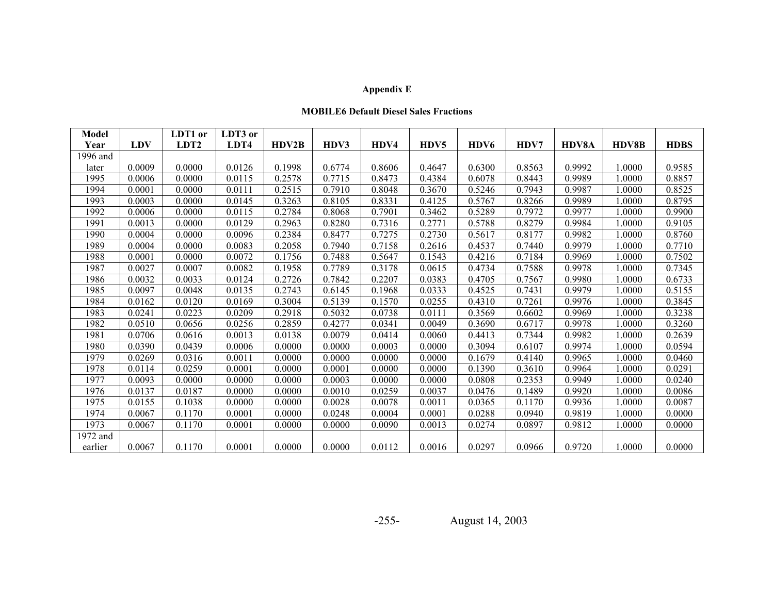# **Appendix E**

#### **MOBILE6 Default Diesel Sales Fractions**

| <b>Model</b> |            | LDT1 or          | LDT3 or |        |        |        |        |        |        |              |              |             |
|--------------|------------|------------------|---------|--------|--------|--------|--------|--------|--------|--------------|--------------|-------------|
| Year         | <b>LDV</b> | LDT <sub>2</sub> | LDT4    | HDV2B  | HDV3   | HDV4   | HDV5   | HDV6   | HDV7   | <b>HDV8A</b> | <b>HDV8B</b> | <b>HDBS</b> |
| 1996 and     |            |                  |         |        |        |        |        |        |        |              |              |             |
| later        | 0.0009     | 0.0000           | 0.0126  | 0.1998 | 0.6774 | 0.8606 | 0.4647 | 0.6300 | 0.8563 | 0.9992       | 1.0000       | 0.9585      |
| 1995         | 0.0006     | 0.0000           | 0.0115  | 0.2578 | 0.7715 | 0.8473 | 0.4384 | 0.6078 | 0.8443 | 0.9989       | 1.0000       | 0.8857      |
| 1994         | 0.0001     | 0.0000           | 0.0111  | 0.2515 | 0.7910 | 0.8048 | 0.3670 | 0.5246 | 0.7943 | 0.9987       | 1.0000       | 0.8525      |
| 1993         | 0.0003     | 0.0000           | 0.0145  | 0.3263 | 0.8105 | 0.8331 | 0.4125 | 0.5767 | 0.8266 | 0.9989       | 1.0000       | 0.8795      |
| 1992         | 0.0006     | 0.0000           | 0.0115  | 0.2784 | 0.8068 | 0.7901 | 0.3462 | 0.5289 | 0.7972 | 0.9977       | 1.0000       | 0.9900      |
| 1991         | 0.0013     | 0.0000           | 0.0129  | 0.2963 | 0.8280 | 0.7316 | 0.2771 | 0.5788 | 0.8279 | 0.9984       | 1.0000       | 0.9105      |
| 1990         | 0.0004     | 0.0000           | 0.0096  | 0.2384 | 0.8477 | 0.7275 | 0.2730 | 0.5617 | 0.8177 | 0.9982       | 1.0000       | 0.8760      |
| 1989         | 0.0004     | 0.0000           | 0.0083  | 0.2058 | 0.7940 | 0.7158 | 0.2616 | 0.4537 | 0.7440 | 0.9979       | 1.0000       | 0.7710      |
| 1988         | 0.0001     | 0.0000           | 0.0072  | 0.1756 | 0.7488 | 0.5647 | 0.1543 | 0.4216 | 0.7184 | 0.9969       | 1.0000       | 0.7502      |
| 1987         | 0.0027     | 0.0007           | 0.0082  | 0.1958 | 0.7789 | 0.3178 | 0.0615 | 0.4734 | 0.7588 | 0.9978       | 1.0000       | 0.7345      |
| 1986         | 0.0032     | 0.0033           | 0.0124  | 0.2726 | 0.7842 | 0.2207 | 0.0383 | 0.4705 | 0.7567 | 0.9980       | 1.0000       | 0.6733      |
| 1985         | 0.0097     | 0.0048           | 0.0135  | 0.2743 | 0.6145 | 0.1968 | 0.0333 | 0.4525 | 0.7431 | 0.9979       | 1.0000       | 0.5155      |
| 1984         | 0.0162     | 0.0120           | 0.0169  | 0.3004 | 0.5139 | 0.1570 | 0.0255 | 0.4310 | 0.7261 | 0.9976       | 1.0000       | 0.3845      |
| 1983         | 0.0241     | 0.0223           | 0.0209  | 0.2918 | 0.5032 | 0.0738 | 0.0111 | 0.3569 | 0.6602 | 0.9969       | 1.0000       | 0.3238      |
| 1982         | 0.0510     | 0.0656           | 0.0256  | 0.2859 | 0.4277 | 0.0341 | 0.0049 | 0.3690 | 0.6717 | 0.9978       | 1.0000       | 0.3260      |
| 1981         | 0.0706     | 0.0616           | 0.0013  | 0.0138 | 0.0079 | 0.0414 | 0.0060 | 0.4413 | 0.7344 | 0.9982       | 1.0000       | 0.2639      |
| 1980         | 0.0390     | 0.0439           | 0.0006  | 0.0000 | 0.0000 | 0.0003 | 0.0000 | 0.3094 | 0.6107 | 0.9974       | 1.0000       | 0.0594      |
| 1979         | 0.0269     | 0.0316           | 0.0011  | 0.0000 | 0.0000 | 0.0000 | 0.0000 | 0.1679 | 0.4140 | 0.9965       | 1.0000       | 0.0460      |
| 1978         | 0.0114     | 0.0259           | 0.0001  | 0.0000 | 0.0001 | 0.0000 | 0.0000 | 0.1390 | 0.3610 | 0.9964       | 1.0000       | 0.0291      |
| 1977         | 0.0093     | 0.0000           | 0.0000  | 0.0000 | 0.0003 | 0.0000 | 0.0000 | 0.0808 | 0.2353 | 0.9949       | 1.0000       | 0.0240      |
| 1976         | 0.0137     | 0.0187           | 0.0000  | 0.0000 | 0.0010 | 0.0259 | 0.0037 | 0.0476 | 0.1489 | 0.9920       | 1.0000       | 0.0086      |
| 1975         | 0.0155     | 0.1038           | 0.0000  | 0.0000 | 0.0028 | 0.0078 | 0.0011 | 0.0365 | 0.1170 | 0.9936       | 1.0000       | 0.0087      |
| 1974         | 0.0067     | 0.1170           | 0.0001  | 0.0000 | 0.0248 | 0.0004 | 0.0001 | 0.0288 | 0.0940 | 0.9819       | 1.0000       | 0.0000      |
| 1973         | 0.0067     | 0.1170           | 0.0001  | 0.0000 | 0.0000 | 0.0090 | 0.0013 | 0.0274 | 0.0897 | 0.9812       | 1.0000       | 0.0000      |
| 1972 and     |            |                  |         |        |        |        |        |        |        |              |              |             |
| earlier      | 0.0067     | 0.1170           | 0.0001  | 0.0000 | 0.0000 | 0.0112 | 0.0016 | 0.0297 | 0.0966 | 0.9720       | 1.0000       | 0.0000      |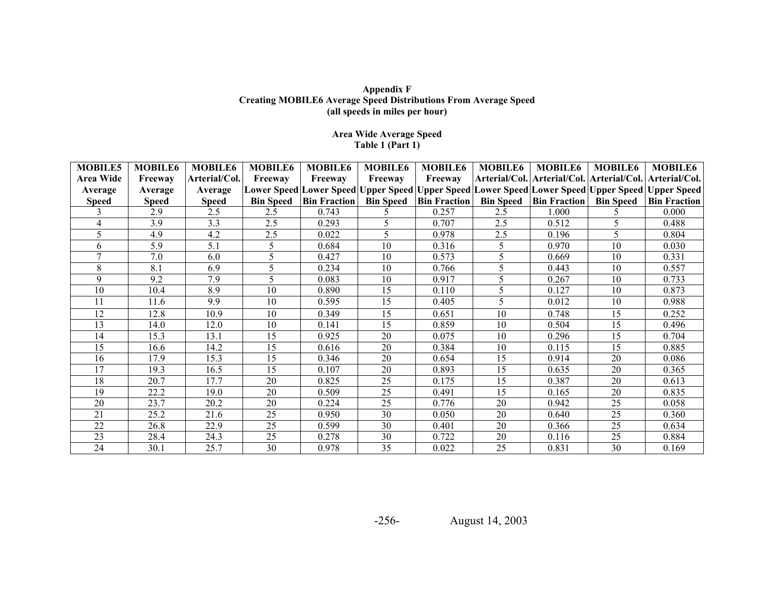#### **Appendix F Creating MOBILE6 Average Speed Distributions From Average Speed (all speeds in miles per hour)**

## **Area Wide Average Speed Table 1 (Part 1)**

| <b>MOBILE5</b> | <b>MOBILE6</b> | <b>MOBILE6</b> | <b>MOBILE6</b>   | <b>MOBILE6</b>      | <b>MOBILE6</b>   | <b>MOBILE6</b>      | <b>MOBILE6</b> | <b>MOBILE6</b>                         | <b>MOBILE6</b>   | <b>MOBILE6</b>                                                                                  |
|----------------|----------------|----------------|------------------|---------------------|------------------|---------------------|----------------|----------------------------------------|------------------|-------------------------------------------------------------------------------------------------|
| Area Wide      | Freeway        | Arterial/Col.  | Freeway          | Freeway             | Freeway          | Freeway             |                |                                        |                  | Arterial/Col.   Arterial/Col.   Arterial/Col.   Arterial/Col.                                   |
| Average        | Average        | Average        |                  |                     |                  |                     |                |                                        |                  | Lower Speed Lower Speed Upper Speed Upper Speed Lower Speed Lower Speed Upper Speed Upper Speed |
| <b>Speed</b>   | <b>Speed</b>   | <b>Speed</b>   | <b>Bin Speed</b> | <b>Bin Fraction</b> | <b>Bin Speed</b> | <b>Bin Fraction</b> |                | <b>Bin Speed</b>   <b>Bin Fraction</b> | <b>Bin Speed</b> | <b>Bin Fraction</b>                                                                             |
|                | 2.9            | 2.5            | 2.5              | 0.743               |                  | 0.257               | 2.5            | 1.000                                  |                  | 0.000                                                                                           |
| 4              | 3.9            | 3.3            | 2.5              | 0.293               | 5                | 0.707               | 2.5            | 0.512                                  | 5                | 0.488                                                                                           |
| 5              | 4.9            | 4.2            | 2.5              | 0.022               | 5                | 0.978               | 2.5            | 0.196                                  | 5                | 0.804                                                                                           |
| 6              | 5.9            | 5.1            | 5                | 0.684               | 10               | 0.316               | 5              | 0.970                                  | 10               | 0.030                                                                                           |
| 7              | 7.0            | 6.0            | 5                | 0.427               | 10               | 0.573               | 5              | 0.669                                  | 10               | 0.331                                                                                           |
| 8              | 8.1            | 6.9            | 5                | 0.234               | 10               | 0.766               |                | 0.443                                  | 10               | 0.557                                                                                           |
| 9              | 9.2            | 7.9            | 5                | 0.083               | 10               | 0.917               | 5              | 0.267                                  | 10               | 0.733                                                                                           |
| 10             | 10.4           | 8.9            | 10               | 0.890               | 15               | 0.110               | 5              | 0.127                                  | 10               | 0.873                                                                                           |
| 11             | 11.6           | 9.9            | 10               | 0.595               | 15               | 0.405               | 5              | 0.012                                  | 10               | 0.988                                                                                           |
| 12             | 12.8           | 10.9           | 10               | 0.349               | 15               | 0.651               | 10             | 0.748                                  | 15               | 0.252                                                                                           |
| 13             | 14.0           | 12.0           | 10               | 0.141               | 15               | 0.859               | 10             | 0.504                                  | 15               | 0.496                                                                                           |
| 14             | 15.3           | 13.1           | 15               | 0.925               | 20               | 0.075               | 10             | 0.296                                  | 15               | 0.704                                                                                           |
| 15             | 16.6           | 14.2           | 15               | 0.616               | 20               | 0.384               | 10             | 0.115                                  | 15               | 0.885                                                                                           |
| 16             | 17.9           | 15.3           | 15               | 0.346               | 20               | 0.654               | 15             | 0.914                                  | 20               | 0.086                                                                                           |
| 17             | 19.3           | 16.5           | 15               | 0.107               | 20               | 0.893               | 15             | 0.635                                  | 20               | 0.365                                                                                           |
| 18             | 20.7           | 17.7           | 20               | 0.825               | 25               | 0.175               | 15             | 0.387                                  | 20               | 0.613                                                                                           |
| 19             | 22.2           | 19.0           | 20               | 0.509               | 25               | 0.491               | 15             | 0.165                                  | 20               | 0.835                                                                                           |
| 20             | 23.7           | 20.2           | 20               | 0.224               | 25               | 0.776               | 20             | 0.942                                  | 25               | 0.058                                                                                           |
| 21             | 25.2           | 21.6           | 25               | 0.950               | 30               | 0.050               | 20             | 0.640                                  | 25               | 0.360                                                                                           |
| 22             | 26.8           | 22.9           | 25               | 0.599               | 30               | 0.401               | 20             | 0.366                                  | 25               | 0.634                                                                                           |
| 23             | 28.4           | 24.3           | 25               | 0.278               | 30               | 0.722               | 20             | 0.116                                  | 25               | 0.884                                                                                           |
| 24             | 30.1           | 25.7           | 30               | 0.978               | 35               | 0.022               | 25             | 0.831                                  | 30               | 0.169                                                                                           |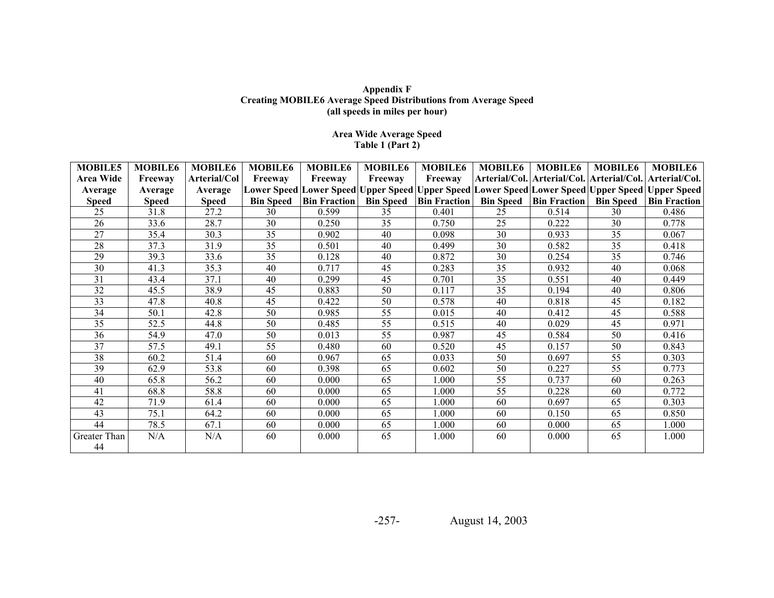#### **Appendix F Creating MOBILE6 Average Speed Distributions from Average Speed (all speeds in miles per hour)**

## **Area Wide Average Speed Table 1 (Part 2)**

| <b>MOBILE5</b> | <b>MOBILE6</b> | <b>MOBILE6</b> | <b>MOBILE6</b>   | <b>MOBILE6</b>      | <b>MOBILE6</b>   | <b>MOBILE6</b>      | <b>MOBILE6</b> | <b>MOBILE6</b>                         | <b>MOBILE6</b>   | <b>MOBILE6</b>                                                                                  |
|----------------|----------------|----------------|------------------|---------------------|------------------|---------------------|----------------|----------------------------------------|------------------|-------------------------------------------------------------------------------------------------|
| Area Wide      | Freeway        | Arterial/Col   | Freeway          | Freeway             | Freeway          | Freeway             |                |                                        |                  | Arterial/Col.   Arterial/Col.   Arterial/Col.   Arterial/Col.                                   |
| Average        | Average        | Average        |                  |                     |                  |                     |                |                                        |                  | Lower Speed Lower Speed Upper Speed Upper Speed Lower Speed Lower Speed Upper Speed Upper Speed |
| <b>Speed</b>   | <b>Speed</b>   | <b>Speed</b>   | <b>Bin Speed</b> | <b>Bin Fraction</b> | <b>Bin Speed</b> | <b>Bin Fraction</b> |                | <b>Bin Speed</b>   <b>Bin Fraction</b> | <b>Bin Speed</b> | <b>Bin Fraction</b>                                                                             |
| 25             | 31.8           | 27.2           | 30               | 0.599               | 35               | 0.401               | 25             | 0.514                                  | 30               | 0.486                                                                                           |
| 26             | 33.6           | 28.7           | 30               | 0.250               | 35               | 0.750               | 25             | 0.222                                  | 30               | 0.778                                                                                           |
| 27             | 35.4           | 30.3           | 35               | 0.902               | 40               | 0.098               | 30             | 0.933                                  | 35               | 0.067                                                                                           |
| 28             | 37.3           | 31.9           | 35               | 0.501               | 40               | 0.499               | 30             | 0.582                                  | 35               | 0.418                                                                                           |
| 29             | 39.3           | 33.6           | 35               | 0.128               | 40               | 0.872               | 30             | 0.254                                  | 35               | 0.746                                                                                           |
| 30             | 41.3           | 35.3           | 40               | 0.717               | 45               | 0.283               | 35             | 0.932                                  | 40               | 0.068                                                                                           |
| 31             | 43.4           | 37.1           | 40               | 0.299               | 45               | 0.701               | 35             | 0.551                                  | 40               | 0.449                                                                                           |
| 32             | 45.5           | 38.9           | 45               | 0.883               | 50               | 0.117               | 35             | 0.194                                  | 40               | 0.806                                                                                           |
| 33             | 47.8           | 40.8           | 45               | 0.422               | 50               | 0.578               | 40             | 0.818                                  | 45               | 0.182                                                                                           |
| 34             | 50.1           | 42.8           | 50               | 0.985               | 55               | 0.015               | 40             | 0.412                                  | 45               | 0.588                                                                                           |
| 35             | 52.5           | 44.8           | 50               | 0.485               | 55               | 0.515               | 40             | 0.029                                  | 45               | 0.971                                                                                           |
| 36             | 54.9           | 47.0           | 50               | 0.013               | 55               | 0.987               | 45             | 0.584                                  | 50               | 0.416                                                                                           |
| 37             | 57.5           | 49.1           | 55               | 0.480               | 60               | 0.520               | 45             | 0.157                                  | 50               | 0.843                                                                                           |
| 38             | 60.2           | 51.4           | 60               | 0.967               | 65               | 0.033               | 50             | 0.697                                  | 55               | 0.303                                                                                           |
| 39             | 62.9           | 53.8           | 60               | 0.398               | 65               | 0.602               | 50             | 0.227                                  | 55               | 0.773                                                                                           |
| 40             | 65.8           | 56.2           | 60               | 0.000               | 65               | 1.000               | 55             | 0.737                                  | 60               | 0.263                                                                                           |
| 41             | 68.8           | 58.8           | 60               | 0.000               | 65               | 1.000               | 55             | 0.228                                  | 60               | 0.772                                                                                           |
| 42             | 71.9           | 61.4           | 60               | 0.000               | 65               | 1.000               | 60             | 0.697                                  | 65               | 0.303                                                                                           |
| 43             | 75.1           | 64.2           | 60               | 0.000               | 65               | 1.000               | 60             | 0.150                                  | 65               | 0.850                                                                                           |
| 44             | 78.5           | 67.1           | 60               | 0.000               | 65               | 1.000               | 60             | 0.000                                  | 65               | 1.000                                                                                           |
| Greater Than   | N/A            | N/A            | 60               | 0.000               | 65               | 1.000               | 60             | 0.000                                  | 65               | 1.000                                                                                           |
| 44             |                |                |                  |                     |                  |                     |                |                                        |                  |                                                                                                 |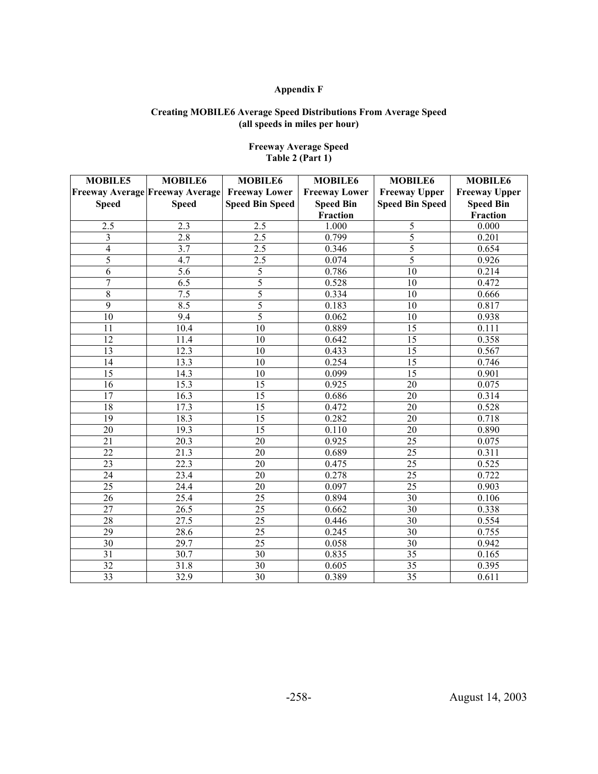#### **Creating MOBILE6 Average Speed Distributions From Average Speed (all speeds in miles per hour)**

| <b>MOBILE5</b> | <b>MOBILE6</b>                         | <b>MOBILE6</b>         | <b>MOBILE6</b>       | <b>MOBILE6</b>         | <b>MOBILE6</b>       |
|----------------|----------------------------------------|------------------------|----------------------|------------------------|----------------------|
|                | <b>Freeway Average Freeway Average</b> | <b>Freeway Lower</b>   | <b>Freeway Lower</b> | <b>Freeway Upper</b>   | <b>Freeway Upper</b> |
| <b>Speed</b>   | <b>Speed</b>                           | <b>Speed Bin Speed</b> | <b>Speed Bin</b>     | <b>Speed Bin Speed</b> | <b>Speed Bin</b>     |
|                |                                        |                        | Fraction             |                        | Fraction             |
| 2.5            | 2.3                                    | 2.5                    | 1.000                | 5                      | 0.000                |
| 3              | 2.8                                    | 2.5                    | 0.799                | 5                      | 0.201                |
| $\overline{4}$ | 3.7                                    | $2.\overline{5}$       | 0.346                | 5                      | 0.654                |
| 5              | $\overline{4.7}$                       | $\overline{2.5}$       | 0.074                | $\overline{5}$         | 0.926                |
| $\overline{6}$ | $\overline{5.6}$                       | 5                      | 0.786                | $\overline{10}$        | 0.214                |
| $\overline{7}$ | 6.5                                    | 5                      | 0.528                | 10                     | 0.472                |
| $\overline{8}$ | 7.5                                    | 5                      | 0.334                | 10                     | 0.666                |
| 9              | 8.5                                    | 5                      | 0.183                | 10                     | 0.817                |
| 10             | 9.4                                    | 5                      | 0.062                | 10                     | 0.938                |
| 11             | 10.4                                   | 10                     | 0.889                | 15                     | 0.111                |
| 12             | 11.4                                   | 10                     | 0.642                | 15                     | 0.358                |
| 13             | 12.3                                   | 10                     | 0.433                | 15                     | 0.567                |
| 14             | 13.3                                   | 10                     | 0.254                | 15                     | 0.746                |
| 15             | 14.3                                   | 10                     | 0.099                | 15                     | 0.901                |
| 16             | 15.3                                   | $\overline{15}$        | 0.925                | 20                     | 0.075                |
| 17             | 16.3                                   | $\overline{15}$        | 0.686                | 20                     | 0.314                |
| 18             | 17.3                                   | 15                     | 0.472                | 20                     | 0.528                |
| 19             | 18.3                                   | $\overline{15}$        | 0.282                | 20                     | 0.718                |
| 20             | 19.3                                   | $\overline{15}$        | 0.110                | 20                     | 0.890                |
| 21             | 20.3                                   | 20                     | 0.925                | 25                     | 0.075                |
| 22             | 21.3                                   | 20                     | 0.689                | $\overline{25}$        | 0.311                |
| 23             | 22.3                                   | 20                     | 0.475                | $\overline{25}$        | 0.525                |
| 24             | 23.4                                   | 20                     | 0.278                | $\overline{25}$        | 0.722                |
| 25             | 24.4                                   | 20                     | 0.097                | 25                     | 0.903                |
| 26             | 25.4                                   | 25                     | 0.894                | 30                     | 0.106                |
| 27             | 26.5                                   | 25                     | 0.662                | 30                     | 0.338                |
| 28             | 27.5                                   | $\overline{25}$        | 0.446                | 30                     | 0.554                |
| 29             | 28.6                                   | 25                     | 0.245                | 30                     | 0.755                |
| 30             | 29.7                                   | $\overline{25}$        | 0.058                | 30                     | 0.942                |
| 31             | 30.7                                   | 30                     | 0.835                | 35                     | 0.165                |
| 32             | 31.8                                   | 30                     | 0.605                | $\overline{35}$        | 0.395                |
| 33             | 32.9                                   | $\overline{30}$        | 0.389                | $\overline{35}$        | 0.611                |

## **Freeway Average Speed Table 2 (Part 1)**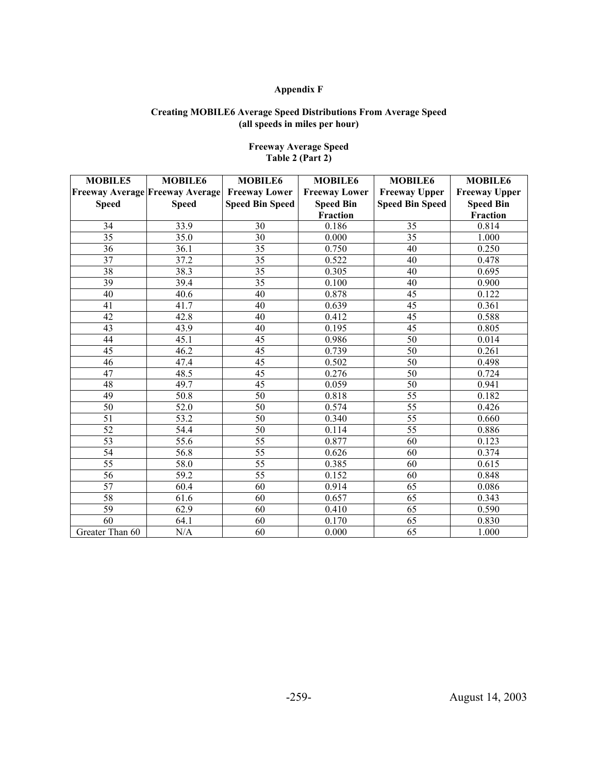#### **Creating MOBILE6 Average Speed Distributions From Average Speed (all speeds in miles per hour)**

| <b>MOBILE5</b>  | <b>MOBILE6</b>                         | <b>MOBILE6</b>         | <b>MOBILE6</b>       | <b>MOBILE6</b>         | <b>MOBILE6</b>       |
|-----------------|----------------------------------------|------------------------|----------------------|------------------------|----------------------|
|                 | <b>Freeway Average Freeway Average</b> | <b>Freeway Lower</b>   | <b>Freeway Lower</b> | <b>Freeway Upper</b>   | <b>Freeway Upper</b> |
| <b>Speed</b>    | <b>Speed</b>                           | <b>Speed Bin Speed</b> | <b>Speed Bin</b>     | <b>Speed Bin Speed</b> | <b>Speed Bin</b>     |
|                 |                                        |                        | <b>Fraction</b>      |                        | Fraction             |
| 34              | 33.9                                   | 30                     | 0.186                | 35                     | 0.814                |
| 35              | 35.0                                   | 30                     | 0.000                | 35                     | 1.000                |
| 36              | 36.1                                   | 35                     | 0.750                | 40                     | 0.250                |
| 37              | 37.2                                   | 35                     | 0.522                | 40                     | 0.478                |
| 38              | 38.3                                   | 35                     | 0.305                | 40                     | 0.695                |
| 39              | 39.4                                   | $\overline{35}$        | 0.100                | 40                     | 0.900                |
| 40              | 40.6                                   | 40                     | 0.878                | 45                     | 0.122                |
| 41              | 41.7                                   | 40                     | 0.639                | 45                     | 0.361                |
| 42              | 42.8                                   | 40                     | 0.412                | 45                     | 0.588                |
| 43              | 43.9                                   | 40                     | 0.195                | $\overline{45}$        | 0.805                |
| 44              | 45.1                                   | 45                     | 0.986                | 50                     | 0.014                |
| 45              | 46.2                                   | 45                     | 0.739                | 50                     | 0.261                |
| 46              | 47.4                                   | $\overline{45}$        | 0.502                | $\overline{50}$        | 0.498                |
| 47              | 48.5                                   | 45                     | 0.276                | 50                     | 0.724                |
| 48              | 49.7                                   | 45                     | 0.059                | 50                     | 0.941                |
| 49              | 50.8                                   | $\overline{50}$        | 0.818                | $\overline{55}$        | 0.182                |
| $50\,$          | 52.0                                   | 50                     | 0.574                | 55                     | 0.426                |
| 51              | 53.2                                   | 50                     | 0.340                | 55                     | 0.660                |
| 52              | 54.4                                   | 50                     | 0.114                | $\overline{55}$        | 0.886                |
| $\overline{53}$ | 55.6                                   | 55                     | 0.877                | 60                     | 0.123                |
| 54              | 56.8                                   | $\overline{55}$        | 0.626                | 60                     | 0.374                |
| 55              | 58.0                                   | $\overline{55}$        | 0.385                | 60                     | 0.615                |
| $\overline{56}$ | 59.2                                   | $\overline{55}$        | 0.152                | 60                     | 0.848                |
| 57              | 60.4                                   | 60                     | 0.914                | 65                     | 0.086                |
| 58              | 61.6                                   | 60                     | 0.657                | 65                     | 0.343                |
| 59              | 62.9                                   | 60                     | 0.410                | 65                     | 0.590                |
| $\overline{60}$ | 64.1                                   | 60                     | 0.170                | 65                     | 0.830                |
| Greater Than 60 | N/A                                    | 60                     | 0.000                | 65                     | 1.000                |

## **Freeway Average Speed Table 2 (Part 2)**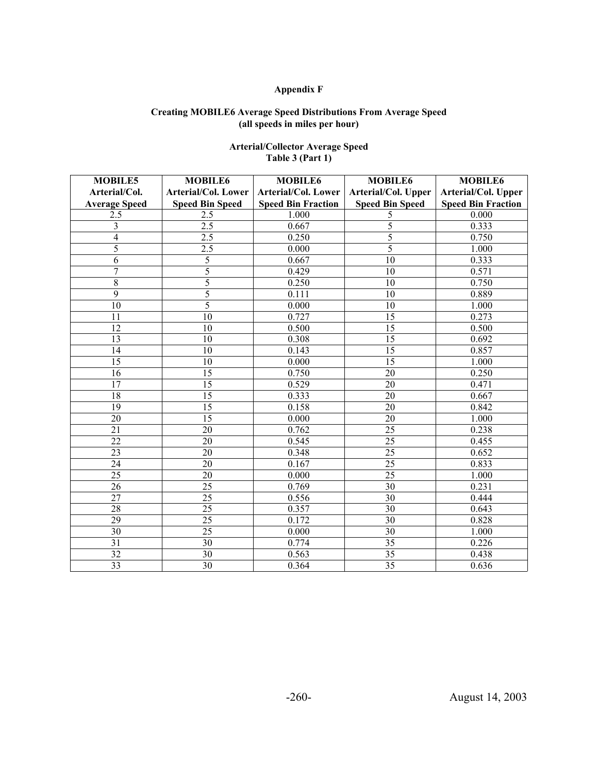#### **Creating MOBILE6 Average Speed Distributions From Average Speed (all speeds in miles per hour)**

| <b>MOBILE5</b>          | <b>MOBILE6</b>         | <b>MOBILE6</b>            | <b>MOBILE6</b>         | <b>MOBILE6</b>            |
|-------------------------|------------------------|---------------------------|------------------------|---------------------------|
| Arterial/Col.           | Arterial/Col. Lower    | Arterial/Col. Lower       | Arterial/Col. Upper    | Arterial/Col. Upper       |
| <b>Average Speed</b>    | <b>Speed Bin Speed</b> | <b>Speed Bin Fraction</b> | <b>Speed Bin Speed</b> | <b>Speed Bin Fraction</b> |
| 2.5                     | 2.5                    | 1.000                     | 5                      | 0.000                     |
| $\overline{\mathbf{3}}$ | 2.5                    | 0.667                     | 5                      | 0.333                     |
| $\overline{4}$          | 2.5                    | 0.250                     | 5                      | 0.750                     |
| $\overline{5}$          | 2.5                    | 0.000                     | 5                      | 1.000                     |
| 6                       | 5                      | 0.667                     | 10                     | 0.333                     |
| $\overline{7}$          | $\overline{5}$         | 0.429                     | 10                     | 0.571                     |
| 8                       | 5                      | 0.250                     | 10                     | 0.750                     |
| $\overline{9}$          | 5                      | 0.111                     | 10                     | 0.889                     |
| 10                      | 5                      | 0.000                     | 10                     | 1.000                     |
| 11                      | 10                     | 0.727                     | 15                     | 0.273                     |
| 12                      | 10                     | 0.500                     | 15                     | 0.500                     |
| 13                      | 10                     | 0.308                     | 15                     | 0.692                     |
| 14                      | 10                     | 0.143                     | 15                     | 0.857                     |
| 15                      | 10                     | 0.000                     | 15                     | 1.000                     |
| 16                      | 15                     | 0.750                     | 20                     | 0.250                     |
| $\overline{17}$         | 15                     | 0.529                     | 20                     | 0.471                     |
| 18                      | 15                     | 0.333                     | 20                     | 0.667                     |
| 19                      | 15                     | 0.158                     | 20                     | 0.842                     |
| 20                      | 15                     | 0.000                     | 20                     | 1.000                     |
| 21                      | 20                     | 0.762                     | 25                     | 0.238                     |
| 22                      | 20                     | 0.545                     | 25                     | 0.455                     |
| 23                      | 20                     | 0.348                     | 25                     | 0.652                     |
| 24                      | 20                     | 0.167                     | 25                     | 0.833                     |
| $\overline{25}$         | 20                     | 0.000                     | $\overline{25}$        | 1.000                     |
| 26                      | 25                     | 0.769                     | 30                     | 0.231                     |
| $\overline{27}$         | 25                     | 0.556                     | 30                     | 0.444                     |
| 28                      | 25                     | 0.357                     | $\overline{30}$        | 0.643                     |
| 29                      | 25                     | 0.172                     | 30                     | 0.828                     |
| 30                      | 25                     | 0.000                     | 30                     | 1.000                     |
| 31                      | 30                     | 0.774                     | 35                     | 0.226                     |
| 32                      | 30                     | 0.563                     | 35                     | 0.438                     |
| 33                      | 30                     | 0.364                     | 35                     | 0.636                     |

## **Arterial/Collector Average Speed Table 3 (Part 1)**